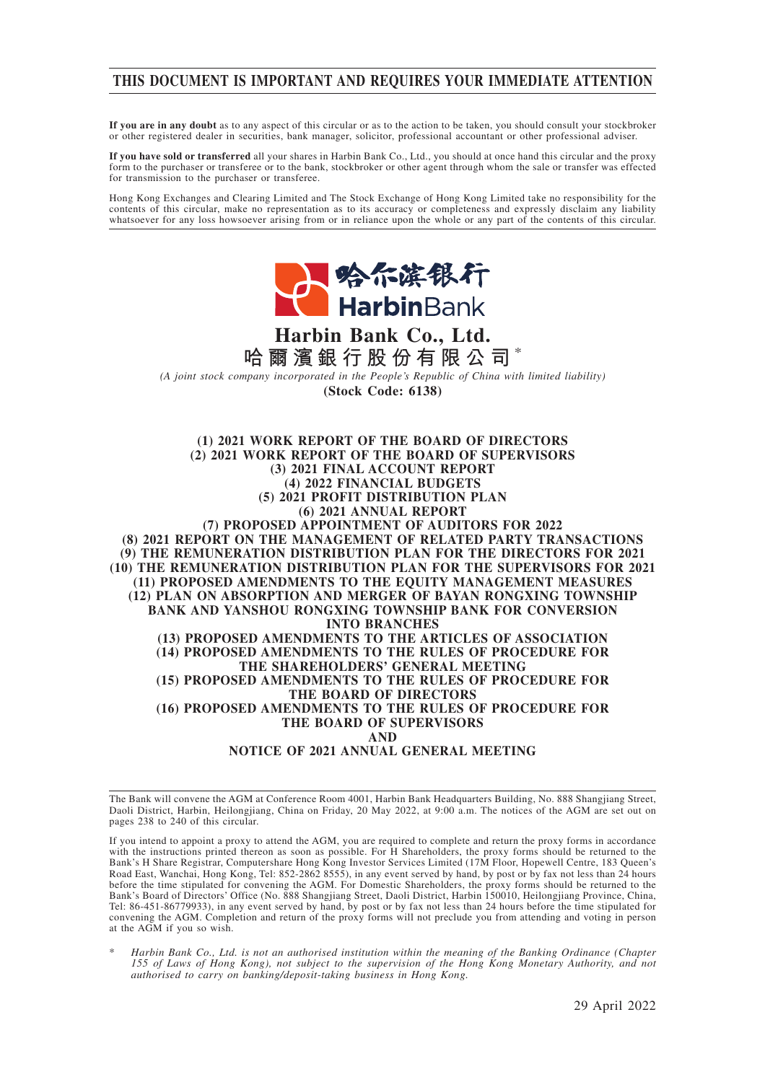# **THIS DOCUMENT IS IMPORTANT AND REQUIRES YOUR IMMEDIATE ATTENTION**

**If you are in any doubt** as to any aspect of this circular or as to the action to be taken, you should consult your stockbroker or other registered dealer in securities, bank manager, solicitor, professional accountant or other professional adviser.

**If you have sold or transferred** all your shares in Harbin Bank Co., Ltd., you should at once hand this circular and the proxy form to the purchaser or transferee or to the bank, stockbroker or other agent through whom the sale or transfer was effected for transmission to the purchaser or transferee.

Hong Kong Exchanges and Clearing Limited and The Stock Exchange of Hong Kong Limited take no responsibility for the contents of this circular, make no representation as to its accuracy or completeness and expressly disclaim any liability whatsoever for any loss howsoever arising from or in reliance upon the whole or any part of the contents of this circular.



# **Harbin Bank Co., Ltd. 哈爾濱銀行股份有限公司** \*

*(A joint stock company incorporated in the People's Republic of China with limited liability)* **(Stock Code: 6138)**

**(1) 2021 WORK REPORT OF THE BOARD OF DIRECTORS (2) 2021 WORK REPORT OF THE BOARD OF SUPERVISORS (3) 2021 FINAL ACCOUNT REPORT (4) 2022 FINANCIAL BUDGETS (5) 2021 PROFIT DISTRIBUTION PLAN (6) 2021 ANNUAL REPORT (7) PROPOSED APPOINTMENT OF AUDITORS FOR 2022 (8) 2021 REPORT ON THE MANAGEMENT OF RELATED PARTY TRANSACTIONS (9) THE REMUNERATION DISTRIBUTION PLAN FOR THE DIRECTORS FOR 2021 (10) THE REMUNERATION DISTRIBUTION PLAN FOR THE SUPERVISORS FOR 2021 (11) PROPOSED AMENDMENTS TO THE EQUITY MANAGEMENT MEASURES (12) PLAN ON ABSORPTION AND MERGER OF BAYAN RONGXING TOWNSHIP BANK AND YANSHOU RONGXING TOWNSHIP BANK FOR CONVERSION INTO BRANCHES (13) PROPOSED AMENDMENTS TO THE ARTICLES OF ASSOCIATION (14) PROPOSED AMENDMENTS TO THE RULES OF PROCEDURE FOR THE SHAREHOLDERS' GENERAL MEETING (15) PROPOSED AMENDMENTS TO THE RULES OF PROCEDURE FOR THE BOARD OF DIRECTORS (16) PROPOSED AMENDMENTS TO THE RULES OF PROCEDURE FOR THE BOARD OF SUPERVISORS AND NOTICE OF 2021 ANNUAL GENERAL MEETING**

The Bank will convene the AGM at Conference Room 4001, Harbin Bank Headquarters Building, No. 888 Shangjiang Street, Daoli District, Harbin, Heilongjiang, China on Friday, 20 May 2022, at 9:00 a.m. The notices of the AGM are set out on pages 238 to 240 of this circular.

If you intend to appoint a proxy to attend the AGM, you are required to complete and return the proxy forms in accordance with the instructions printed thereon as soon as possible. For H Shareholders, the proxy forms should be returned to the Bank's H Share Registrar, Computershare Hong Kong Investor Services Limited (17M Floor, Hopewell Centre, 183 Queen's Road East, Wanchai, Hong Kong, Tel: 852-2862 8555), in any event served by hand, by post or by fax not less than 24 hours before the time stipulated for convening the AGM. For Domestic Shareholders, the proxy forms should be returned to the Bank's Board of Directors' Office (No. 888 Shangjiang Street, Daoli District, Harbin 150010, Heilongjiang Province, China, Tel: 86-451-86779933), in any event served by hand, by post or by fax not less than 24 hours before the time stipulated for convening the AGM. Completion and return of the proxy forms will not preclude you from attending and voting in person at the AGM if you so wish.

\* *Harbin Bank Co., Ltd. is not an authorised institution within the meaning of the Banking Ordinance (Chapter 155 of Laws of Hong Kong), not subject to the supervision of the Hong Kong Monetary Authority, and not authorised to carry on banking/deposit-taking business in Hong Kong.*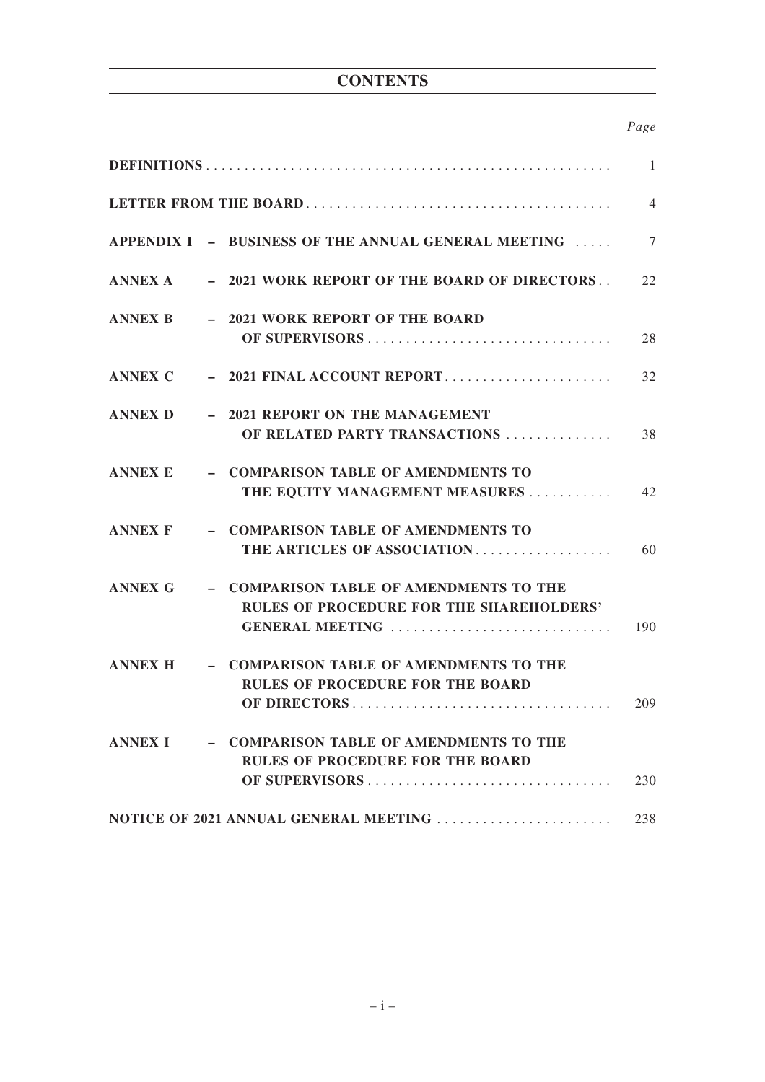# **CONTENTS**

# *Page*

|                |                                                                                                               | 1              |
|----------------|---------------------------------------------------------------------------------------------------------------|----------------|
|                |                                                                                                               | $\overline{4}$ |
|                | APPENDIX I - BUSINESS OF THE ANNUAL GENERAL MEETING                                                           | 7              |
|                | ANNEX A - 2021 WORK REPORT OF THE BOARD OF DIRECTORS                                                          | 22             |
| ANNEX B        | - 2021 WORK REPORT OF THE BOARD                                                                               | 28             |
| ANNEX C        | $-2021$ FINAL ACCOUNT REPORT                                                                                  | 32             |
| ANNEX D        | - 2021 REPORT ON THE MANAGEMENT<br>OF RELATED PARTY TRANSACTIONS                                              | 38             |
| <b>ANNEX E</b> | - COMPARISON TABLE OF AMENDMENTS TO<br>THE EQUITY MANAGEMENT MEASURES                                         | 42             |
| ANNEX F        | - COMPARISON TABLE OF AMENDMENTS TO<br>THE ARTICLES OF ASSOCIATION                                            | 60             |
| <b>ANNEX G</b> | - COMPARISON TABLE OF AMENDMENTS TO THE<br><b>RULES OF PROCEDURE FOR THE SHAREHOLDERS'</b><br>GENERAL MEETING | 190            |
| <b>ANNEX H</b> | - COMPARISON TABLE OF AMENDMENTS TO THE<br><b>RULES OF PROCEDURE FOR THE BOARD</b>                            | 209            |
| <b>ANNEX I</b> | - COMPARISON TABLE OF AMENDMENTS TO THE<br><b>RULES OF PROCEDURE FOR THE BOARD</b>                            | 230            |
|                | NOTICE OF 2021 ANNUAL GENERAL MEETING                                                                         | 238            |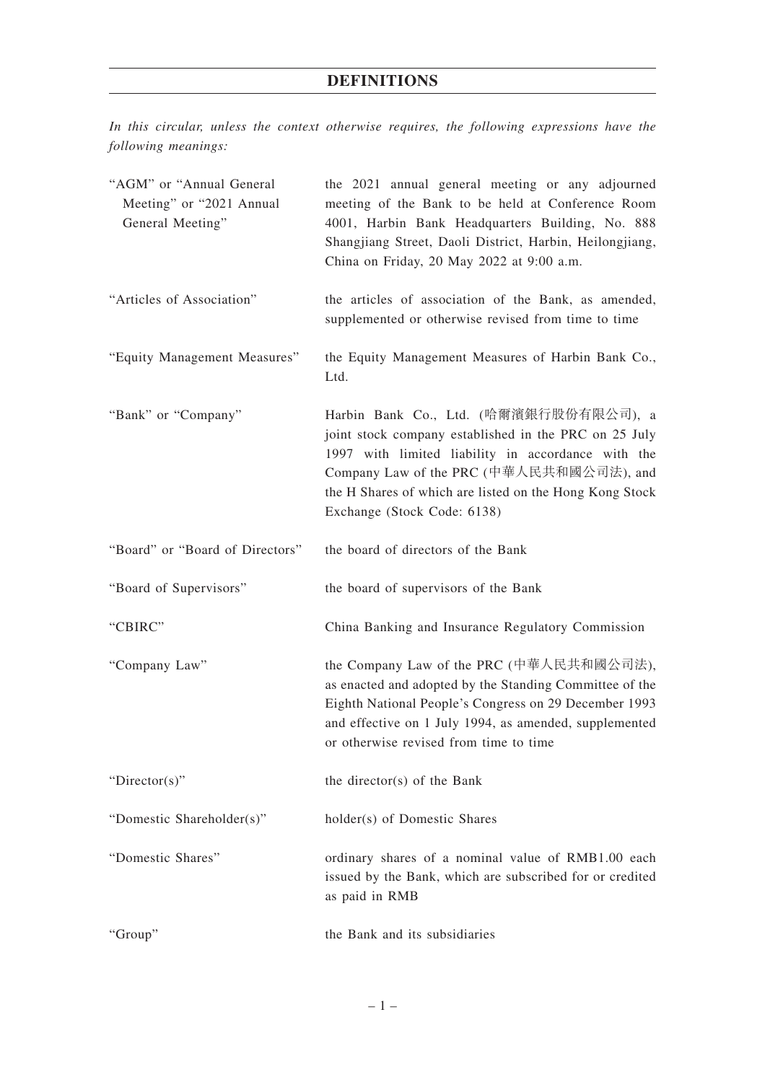# **DEFINITIONS**

*In this circular, unless the context otherwise requires, the following expressions have the following meanings:*

| "AGM" or "Annual General<br>Meeting" or "2021 Annual<br>General Meeting" | the 2021 annual general meeting or any adjourned<br>meeting of the Bank to be held at Conference Room<br>4001, Harbin Bank Headquarters Building, No. 888<br>Shangjiang Street, Daoli District, Harbin, Heilongjiang,<br>China on Friday, 20 May 2022 at 9:00 a.m.                          |
|--------------------------------------------------------------------------|---------------------------------------------------------------------------------------------------------------------------------------------------------------------------------------------------------------------------------------------------------------------------------------------|
| "Articles of Association"                                                | the articles of association of the Bank, as amended,<br>supplemented or otherwise revised from time to time                                                                                                                                                                                 |
| "Equity Management Measures"                                             | the Equity Management Measures of Harbin Bank Co.,<br>Ltd.                                                                                                                                                                                                                                  |
| "Bank" or "Company"                                                      | Harbin Bank Co., Ltd. (哈爾濱銀行股份有限公司), a<br>joint stock company established in the PRC on 25 July<br>1997 with limited liability in accordance with the<br>Company Law of the PRC (中華人民共和國公司法), and<br>the H Shares of which are listed on the Hong Kong Stock<br>Exchange (Stock Code: 6138) |
| "Board" or "Board of Directors"                                          | the board of directors of the Bank                                                                                                                                                                                                                                                          |
| "Board of Supervisors"                                                   | the board of supervisors of the Bank                                                                                                                                                                                                                                                        |
| "CBIRC"                                                                  | China Banking and Insurance Regulatory Commission                                                                                                                                                                                                                                           |
| "Company Law"                                                            | the Company Law of the PRC (中華人民共和國公司法),<br>as enacted and adopted by the Standing Committee of the<br>Eighth National People's Congress on 29 December 1993<br>and effective on 1 July 1994, as amended, supplemented<br>or otherwise revised from time to time                            |
| " $Directory$ "                                                          | the director(s) of the Bank                                                                                                                                                                                                                                                                 |
| "Domestic Shareholder(s)"                                                | holder(s) of Domestic Shares                                                                                                                                                                                                                                                                |
| "Domestic Shares"                                                        | ordinary shares of a nominal value of RMB1.00 each<br>issued by the Bank, which are subscribed for or credited<br>as paid in RMB                                                                                                                                                            |
| "Group"                                                                  | the Bank and its subsidiaries                                                                                                                                                                                                                                                               |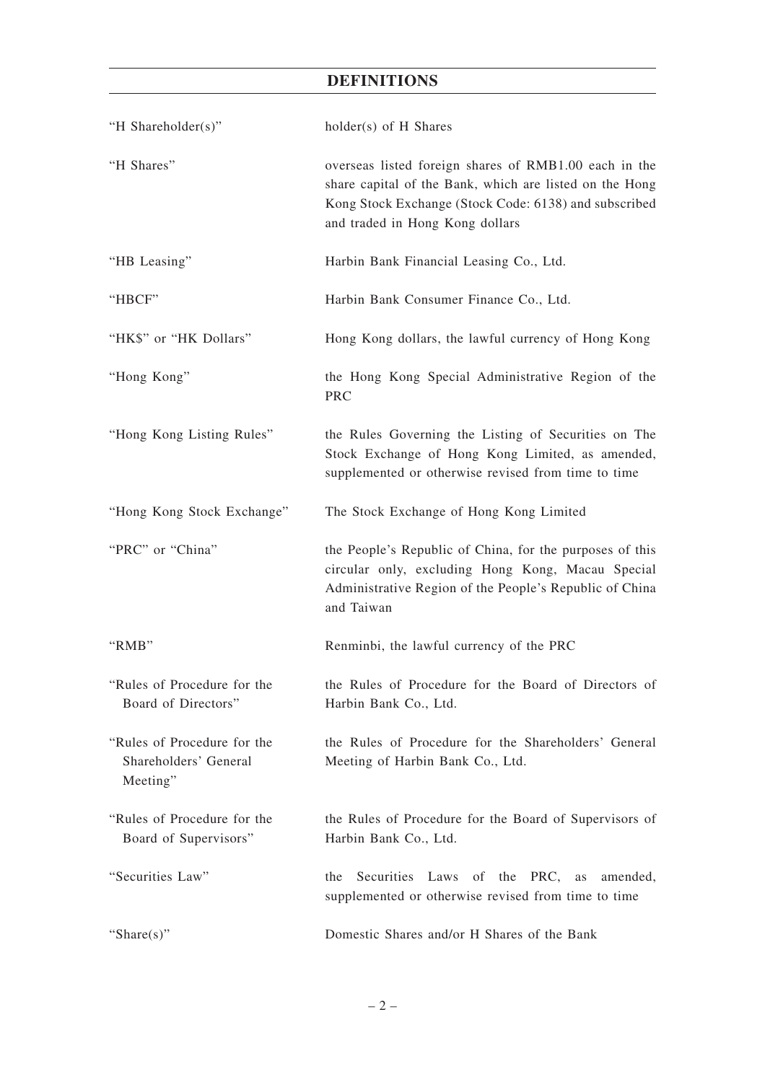# **DEFINITIONS**

| "H Shareholder(s)"                                               | holder(s) of H Shares                                                                                                                                                                                        |
|------------------------------------------------------------------|--------------------------------------------------------------------------------------------------------------------------------------------------------------------------------------------------------------|
| "H Shares"                                                       | overseas listed foreign shares of RMB1.00 each in the<br>share capital of the Bank, which are listed on the Hong<br>Kong Stock Exchange (Stock Code: 6138) and subscribed<br>and traded in Hong Kong dollars |
| "HB Leasing"                                                     | Harbin Bank Financial Leasing Co., Ltd.                                                                                                                                                                      |
| "HBCF"                                                           | Harbin Bank Consumer Finance Co., Ltd.                                                                                                                                                                       |
| "HK\$" or "HK Dollars"                                           | Hong Kong dollars, the lawful currency of Hong Kong                                                                                                                                                          |
| "Hong Kong"                                                      | the Hong Kong Special Administrative Region of the<br>PRC                                                                                                                                                    |
| "Hong Kong Listing Rules"                                        | the Rules Governing the Listing of Securities on The<br>Stock Exchange of Hong Kong Limited, as amended,<br>supplemented or otherwise revised from time to time                                              |
| "Hong Kong Stock Exchange"                                       | The Stock Exchange of Hong Kong Limited                                                                                                                                                                      |
| "PRC" or "China"                                                 | the People's Republic of China, for the purposes of this<br>circular only, excluding Hong Kong, Macau Special<br>Administrative Region of the People's Republic of China<br>and Taiwan                       |
| "RMB"                                                            | Renminbi, the lawful currency of the PRC                                                                                                                                                                     |
| "Rules of Procedure for the<br>Board of Directors"               | the Rules of Procedure for the Board of Directors of<br>Harbin Bank Co., Ltd.                                                                                                                                |
| "Rules of Procedure for the<br>Shareholders' General<br>Meeting" | the Rules of Procedure for the Shareholders' General<br>Meeting of Harbin Bank Co., Ltd.                                                                                                                     |
| "Rules of Procedure for the<br>Board of Supervisors"             | the Rules of Procedure for the Board of Supervisors of<br>Harbin Bank Co., Ltd.                                                                                                                              |
| "Securities Law"                                                 | Securities<br>Laws of the PRC,<br>the<br>as<br>amended,<br>supplemented or otherwise revised from time to time                                                                                               |
| "Share $(s)$ "                                                   | Domestic Shares and/or H Shares of the Bank                                                                                                                                                                  |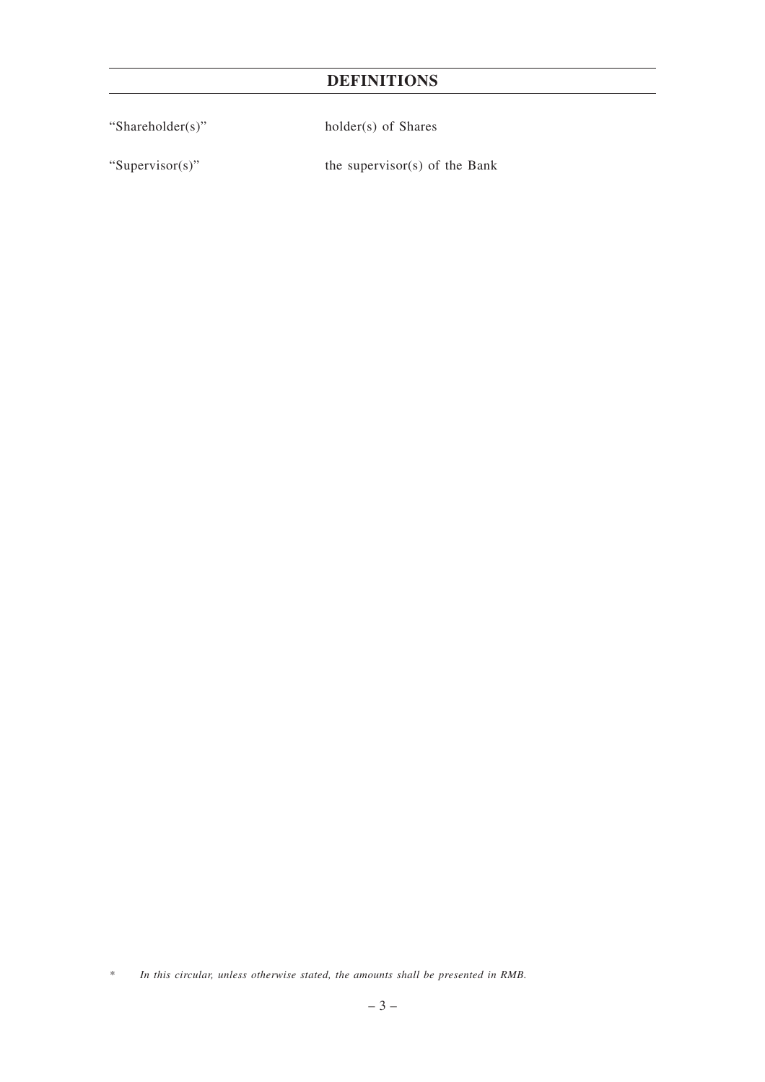# **DEFINITIONS**

"Shareholder(s)" holder(s) of Shares

"Supervisor(s)" the supervisor(s) of the Bank

*<sup>\*</sup> In this circular, unless otherwise stated, the amounts shall be presented in RMB.*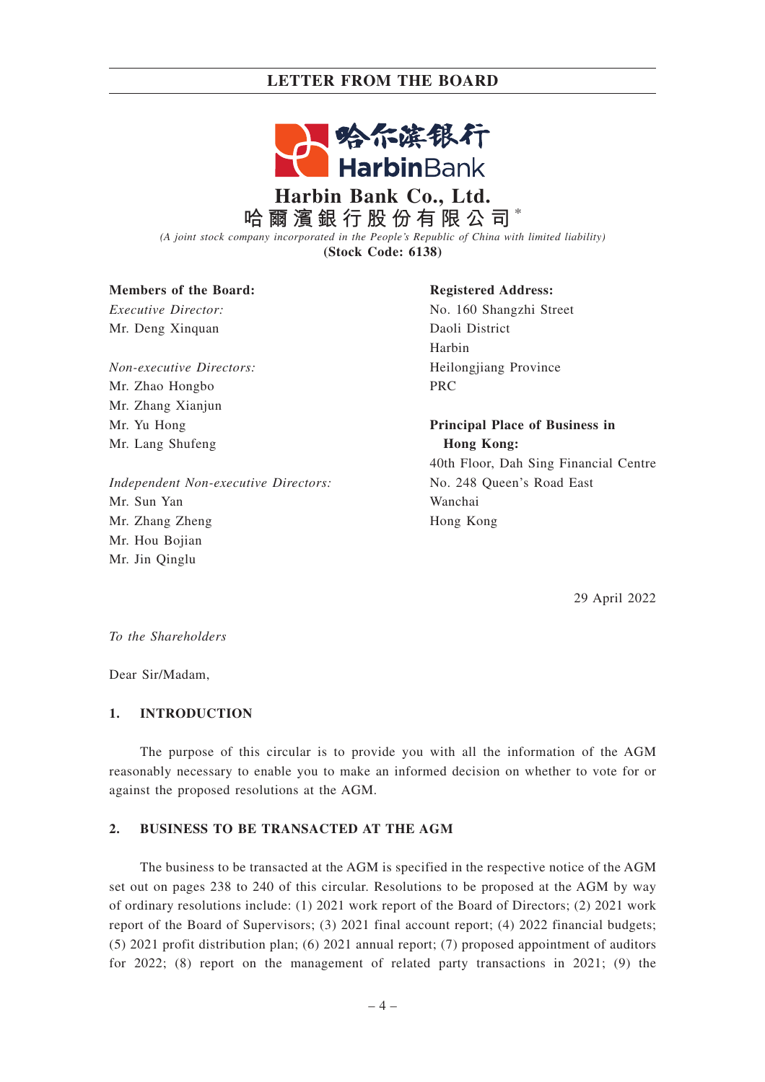# **LETTER FROM THE BOARD**



# **Harbin Bank Co., Ltd. 哈爾濱銀行股份有限公司** \*

*(A joint stock company incorporated in the People's Republic of China with limited liability)* **(Stock Code: 6138)**

### **Members of the Board:**

*Executive Director:* Mr. Deng Xinquan

*Non-executive Directors:* Mr. Zhao Hongbo Mr. Zhang Xianjun Mr. Yu Hong Mr. Lang Shufeng

*Independent Non-executive Directors:* Mr. Sun Yan Mr. Zhang Zheng Mr. Hou Bojian Mr. Jin Qinglu

### **Registered Address:**

No. 160 Shangzhi Street Daoli District Harbin Heilongjiang Province PRC

**Principal Place of Business in Hong Kong:** 40th Floor, Dah Sing Financial Centre

No. 248 Queen's Road East Wanchai Hong Kong

29 April 2022

*To the Shareholders*

Dear Sir/Madam,

### **1. INTRODUCTION**

The purpose of this circular is to provide you with all the information of the AGM reasonably necessary to enable you to make an informed decision on whether to vote for or against the proposed resolutions at the AGM.

### **2. BUSINESS TO BE TRANSACTED AT THE AGM**

The business to be transacted at the AGM is specified in the respective notice of the AGM set out on pages 238 to 240 of this circular. Resolutions to be proposed at the AGM by way of ordinary resolutions include: (1) 2021 work report of the Board of Directors; (2) 2021 work report of the Board of Supervisors; (3) 2021 final account report; (4) 2022 financial budgets; (5) 2021 profit distribution plan; (6) 2021 annual report; (7) proposed appointment of auditors for 2022; (8) report on the management of related party transactions in 2021; (9) the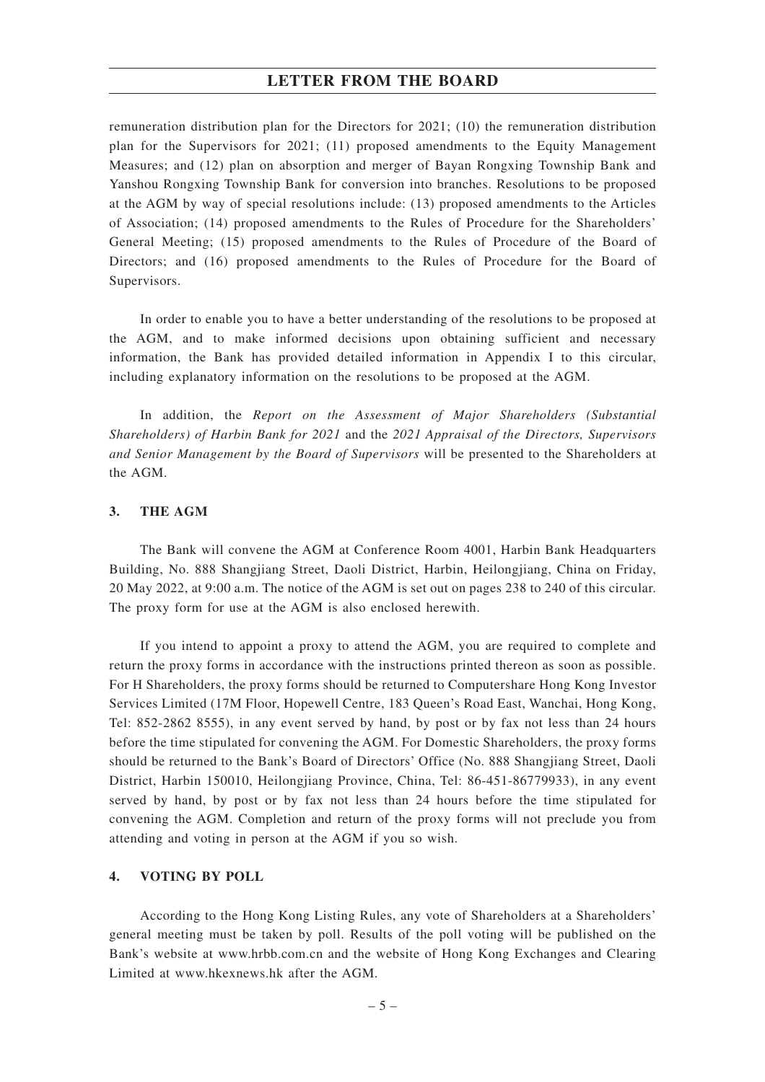### **LETTER FROM THE BOARD**

remuneration distribution plan for the Directors for 2021; (10) the remuneration distribution plan for the Supervisors for 2021; (11) proposed amendments to the Equity Management Measures; and (12) plan on absorption and merger of Bayan Rongxing Township Bank and Yanshou Rongxing Township Bank for conversion into branches. Resolutions to be proposed at the AGM by way of special resolutions include: (13) proposed amendments to the Articles of Association; (14) proposed amendments to the Rules of Procedure for the Shareholders' General Meeting; (15) proposed amendments to the Rules of Procedure of the Board of Directors; and (16) proposed amendments to the Rules of Procedure for the Board of Supervisors.

In order to enable you to have a better understanding of the resolutions to be proposed at the AGM, and to make informed decisions upon obtaining sufficient and necessary information, the Bank has provided detailed information in Appendix I to this circular, including explanatory information on the resolutions to be proposed at the AGM.

In addition, the *Report on the Assessment of Major Shareholders (Substantial Shareholders) of Harbin Bank for 2021* and the *2021 Appraisal of the Directors, Supervisors and Senior Management by the Board of Supervisors* will be presented to the Shareholders at the AGM.

### **3. THE AGM**

The Bank will convene the AGM at Conference Room 4001, Harbin Bank Headquarters Building, No. 888 Shangjiang Street, Daoli District, Harbin, Heilongjiang, China on Friday, 20 May 2022, at 9:00 a.m. The notice of the AGM is set out on pages 238 to 240 of this circular. The proxy form for use at the AGM is also enclosed herewith.

If you intend to appoint a proxy to attend the AGM, you are required to complete and return the proxy forms in accordance with the instructions printed thereon as soon as possible. For H Shareholders, the proxy forms should be returned to Computershare Hong Kong Investor Services Limited (17M Floor, Hopewell Centre, 183 Queen's Road East, Wanchai, Hong Kong, Tel: 852-2862 8555), in any event served by hand, by post or by fax not less than 24 hours before the time stipulated for convening the AGM. For Domestic Shareholders, the proxy forms should be returned to the Bank's Board of Directors' Office (No. 888 Shangjiang Street, Daoli District, Harbin 150010, Heilongjiang Province, China, Tel: 86-451-86779933), in any event served by hand, by post or by fax not less than 24 hours before the time stipulated for convening the AGM. Completion and return of the proxy forms will not preclude you from attending and voting in person at the AGM if you so wish.

#### **4. VOTING BY POLL**

According to the Hong Kong Listing Rules, any vote of Shareholders at a Shareholders' general meeting must be taken by poll. Results of the poll voting will be published on the Bank's website at www.hrbb.com.cn and the website of Hong Kong Exchanges and Clearing Limited at www.hkexnews.hk after the AGM.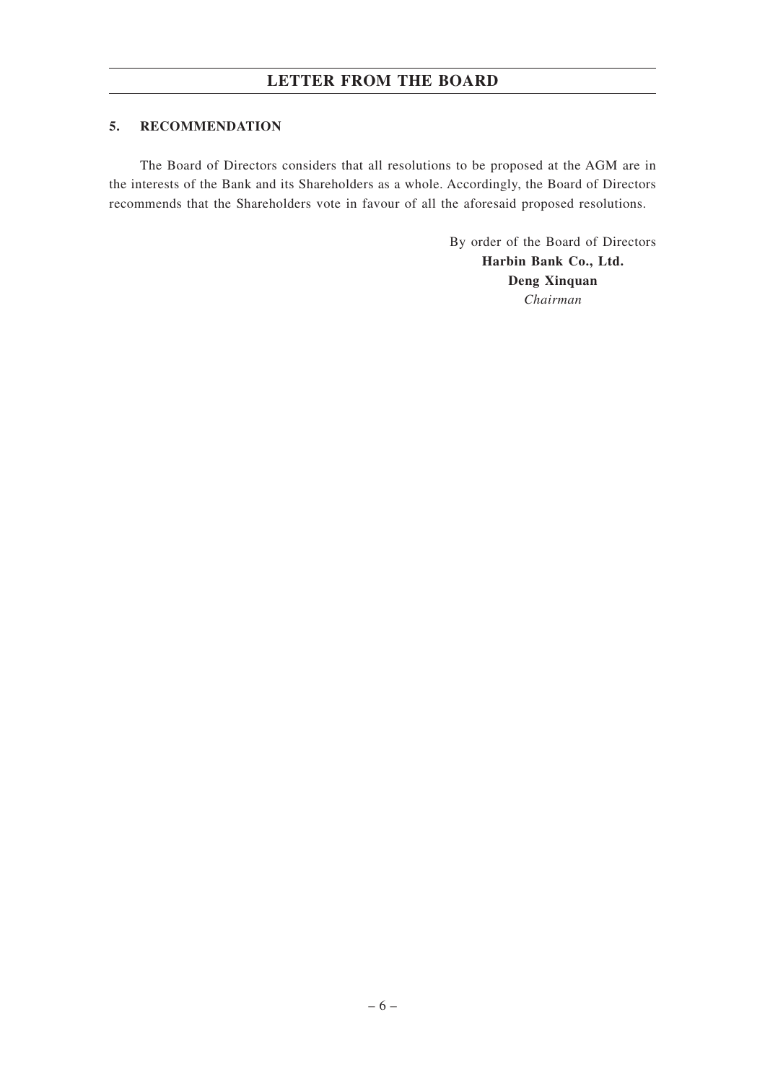# **LETTER FROM THE BOARD**

## **5. RECOMMENDATION**

The Board of Directors considers that all resolutions to be proposed at the AGM are in the interests of the Bank and its Shareholders as a whole. Accordingly, the Board of Directors recommends that the Shareholders vote in favour of all the aforesaid proposed resolutions.

> By order of the Board of Directors **Harbin Bank Co., Ltd. Deng Xinquan** *Chairman*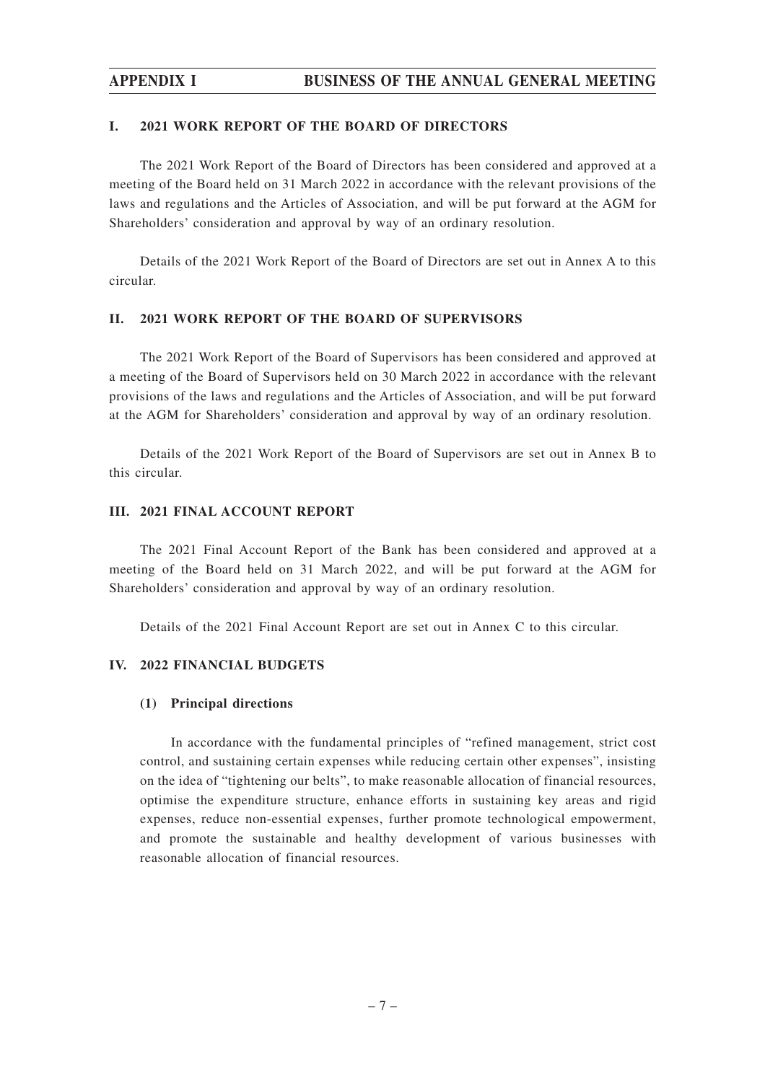# **APPENDIX I BUSINESS OF THE ANNUAL GENERAL MEETING**

### **I. 2021 WORK REPORT OF THE BOARD OF DIRECTORS**

The 2021 Work Report of the Board of Directors has been considered and approved at a meeting of the Board held on 31 March 2022 in accordance with the relevant provisions of the laws and regulations and the Articles of Association, and will be put forward at the AGM for Shareholders' consideration and approval by way of an ordinary resolution.

Details of the 2021 Work Report of the Board of Directors are set out in Annex A to this circular.

### **II. 2021 WORK REPORT OF THE BOARD OF SUPERVISORS**

The 2021 Work Report of the Board of Supervisors has been considered and approved at a meeting of the Board of Supervisors held on 30 March 2022 in accordance with the relevant provisions of the laws and regulations and the Articles of Association, and will be put forward at the AGM for Shareholders' consideration and approval by way of an ordinary resolution.

Details of the 2021 Work Report of the Board of Supervisors are set out in Annex B to this circular.

#### **III. 2021 FINAL ACCOUNT REPORT**

The 2021 Final Account Report of the Bank has been considered and approved at a meeting of the Board held on 31 March 2022, and will be put forward at the AGM for Shareholders' consideration and approval by way of an ordinary resolution.

Details of the 2021 Final Account Report are set out in Annex C to this circular.

### **IV. 2022 FINANCIAL BUDGETS**

#### **(1) Principal directions**

In accordance with the fundamental principles of "refined management, strict cost control, and sustaining certain expenses while reducing certain other expenses", insisting on the idea of "tightening our belts", to make reasonable allocation of financial resources, optimise the expenditure structure, enhance efforts in sustaining key areas and rigid expenses, reduce non-essential expenses, further promote technological empowerment, and promote the sustainable and healthy development of various businesses with reasonable allocation of financial resources.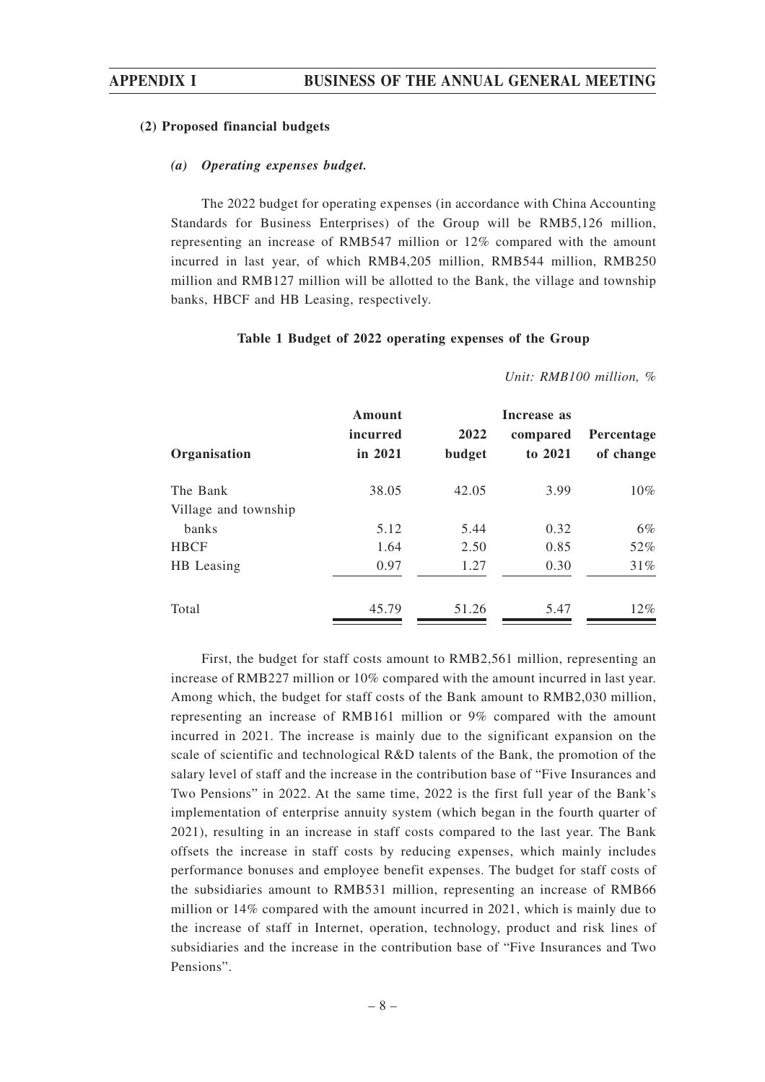#### **(2) Proposed financial budgets**

#### *(a) Operating expenses budget.*

The 2022 budget for operating expenses (in accordance with China Accounting Standards for Business Enterprises) of the Group will be RMB5,126 million, representing an increase of RMB547 million or 12% compared with the amount incurred in last year, of which RMB4,205 million, RMB544 million, RMB250 million and RMB127 million will be allotted to the Bank, the village and township banks, HBCF and HB Leasing, respectively.

#### **Table 1 Budget of 2022 operating expenses of the Group**

| Organisation         | Amount<br>incurred<br>in 2021 | 2022<br>budget | Increase as<br>compared<br>to 2021 | Percentage<br>of change |
|----------------------|-------------------------------|----------------|------------------------------------|-------------------------|
| The Bank             | 38.05                         | 42.05          | 3.99                               | 10%                     |
| Village and township |                               |                |                                    |                         |
| banks                | 5.12                          | 5.44           | 0.32                               | $6\%$                   |
| <b>HBCF</b>          | 1.64                          | 2.50           | 0.85                               | 52%                     |
| HB Leasing           | 0.97                          | 1.27           | 0.30                               | 31%                     |
| Total                | 45.79                         | 51.26          | 5.47                               | $12\%$                  |

*Unit: RMB100 million, %*

First, the budget for staff costs amount to RMB2,561 million, representing an increase of RMB227 million or 10% compared with the amount incurred in last year. Among which, the budget for staff costs of the Bank amount to RMB2,030 million, representing an increase of RMB161 million or 9% compared with the amount incurred in 2021. The increase is mainly due to the significant expansion on the scale of scientific and technological R&D talents of the Bank, the promotion of the salary level of staff and the increase in the contribution base of "Five Insurances and Two Pensions" in 2022. At the same time, 2022 is the first full year of the Bank's implementation of enterprise annuity system (which began in the fourth quarter of 2021), resulting in an increase in staff costs compared to the last year. The Bank offsets the increase in staff costs by reducing expenses, which mainly includes performance bonuses and employee benefit expenses. The budget for staff costs of the subsidiaries amount to RMB531 million, representing an increase of RMB66 million or 14% compared with the amount incurred in 2021, which is mainly due to the increase of staff in Internet, operation, technology, product and risk lines of subsidiaries and the increase in the contribution base of "Five Insurances and Two Pensions".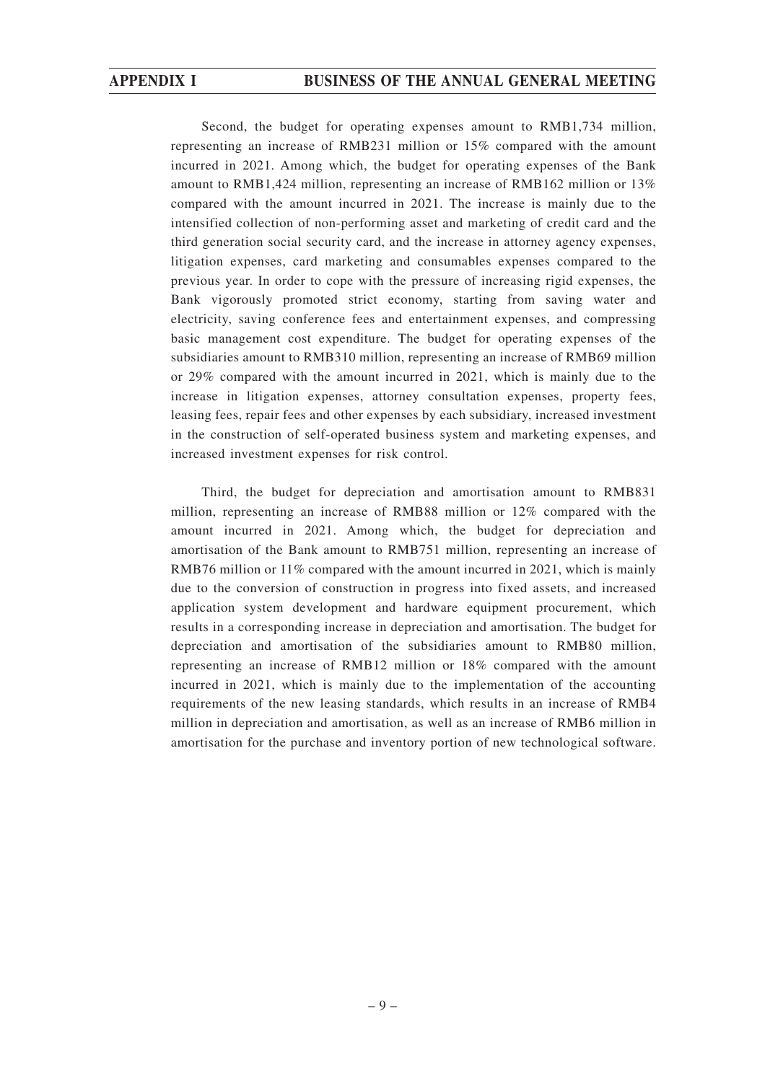Second, the budget for operating expenses amount to RMB1,734 million, representing an increase of RMB231 million or 15% compared with the amount incurred in 2021. Among which, the budget for operating expenses of the Bank amount to RMB1,424 million, representing an increase of RMB162 million or 13% compared with the amount incurred in 2021. The increase is mainly due to the intensified collection of non-performing asset and marketing of credit card and the third generation social security card, and the increase in attorney agency expenses, litigation expenses, card marketing and consumables expenses compared to the previous year. In order to cope with the pressure of increasing rigid expenses, the Bank vigorously promoted strict economy, starting from saving water and electricity, saving conference fees and entertainment expenses, and compressing basic management cost expenditure. The budget for operating expenses of the subsidiaries amount to RMB310 million, representing an increase of RMB69 million or 29% compared with the amount incurred in 2021, which is mainly due to the increase in litigation expenses, attorney consultation expenses, property fees, leasing fees, repair fees and other expenses by each subsidiary, increased investment in the construction of self-operated business system and marketing expenses, and increased investment expenses for risk control.

Third, the budget for depreciation and amortisation amount to RMB831 million, representing an increase of RMB88 million or 12% compared with the amount incurred in 2021. Among which, the budget for depreciation and amortisation of the Bank amount to RMB751 million, representing an increase of RMB76 million or 11% compared with the amount incurred in 2021, which is mainly due to the conversion of construction in progress into fixed assets, and increased application system development and hardware equipment procurement, which results in a corresponding increase in depreciation and amortisation. The budget for depreciation and amortisation of the subsidiaries amount to RMB80 million, representing an increase of RMB12 million or 18% compared with the amount incurred in 2021, which is mainly due to the implementation of the accounting requirements of the new leasing standards, which results in an increase of RMB4 million in depreciation and amortisation, as well as an increase of RMB6 million in amortisation for the purchase and inventory portion of new technological software.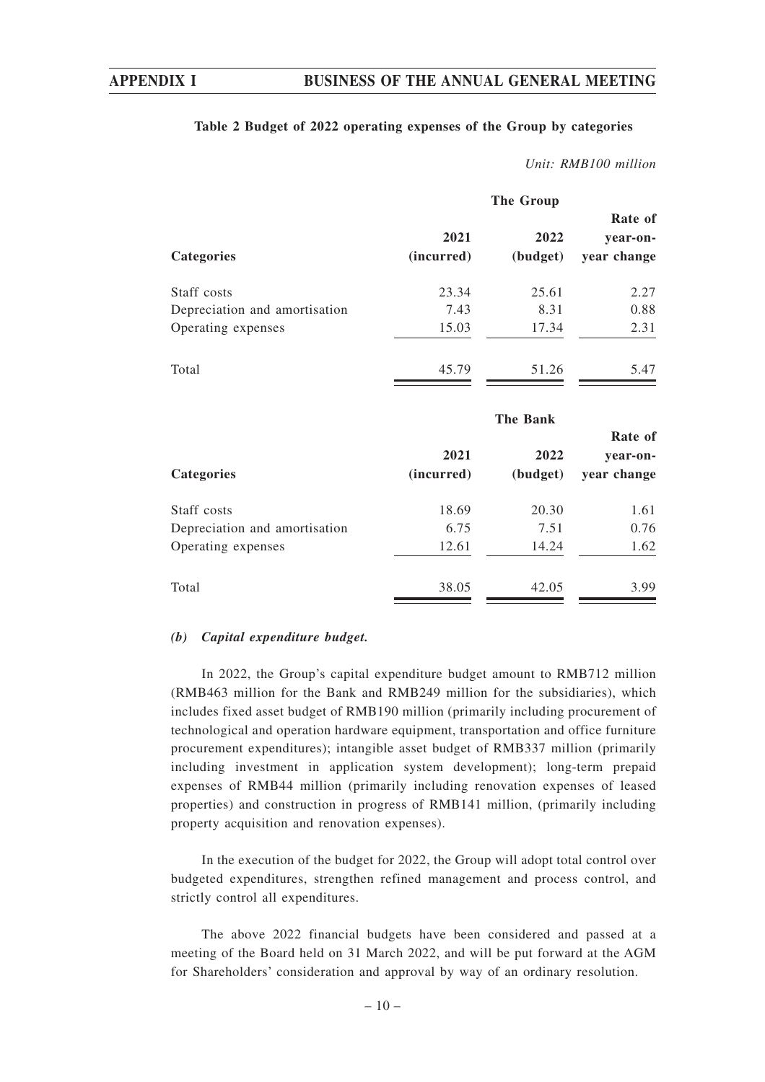## **Table 2 Budget of 2022 operating expenses of the Group by categories**

#### *Unit: RMB100 million*

|                               |            | <b>The Group</b> |                         |
|-------------------------------|------------|------------------|-------------------------|
|                               | 2021       | 2022             | Rate of<br>year-on-     |
| Categories                    | (incurred) | (budget)         | year change             |
| Staff costs                   | 23.34      | 25.61            | 2.27                    |
| Depreciation and amortisation | 7.43       | 8.31             | 0.88                    |
| Operating expenses            | 15.03      | 17.34            | 2.31                    |
| Total                         | 45.79      | 51.26            | 5.47                    |
|                               |            | The Bank         | Rate of                 |
|                               | 2021       | 2022             |                         |
| Categories                    | (incurred) | (budget)         | year-on-<br>year change |
|                               |            |                  |                         |
| Staff costs                   | 18.69      | 20.30            | 1.61                    |
| Depreciation and amortisation | 6.75       | 7.51             | 0.76                    |
| Operating expenses            | 12.61      | 14.24            | 1.62                    |

## *(b) Capital expenditure budget.*

In 2022, the Group's capital expenditure budget amount to RMB712 million (RMB463 million for the Bank and RMB249 million for the subsidiaries), which includes fixed asset budget of RMB190 million (primarily including procurement of technological and operation hardware equipment, transportation and office furniture procurement expenditures); intangible asset budget of RMB337 million (primarily including investment in application system development); long-term prepaid expenses of RMB44 million (primarily including renovation expenses of leased properties) and construction in progress of RMB141 million, (primarily including property acquisition and renovation expenses).

In the execution of the budget for 2022, the Group will adopt total control over budgeted expenditures, strengthen refined management and process control, and strictly control all expenditures.

The above 2022 financial budgets have been considered and passed at a meeting of the Board held on 31 March 2022, and will be put forward at the AGM for Shareholders' consideration and approval by way of an ordinary resolution.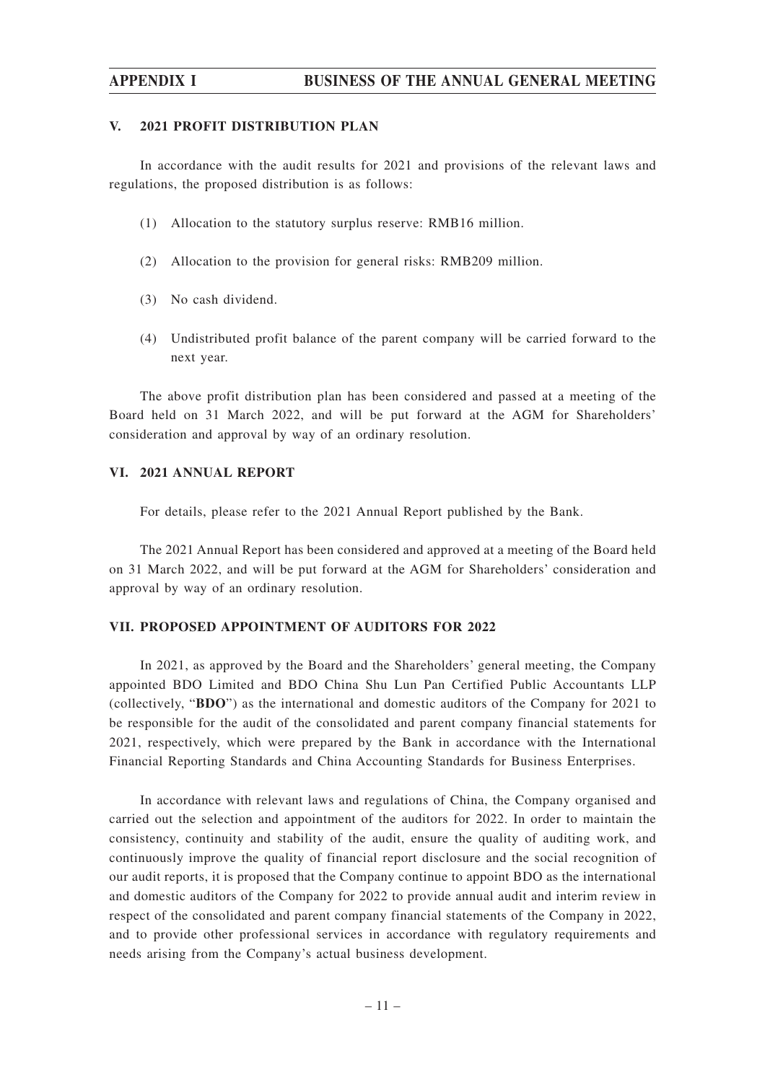### **APPENDIX I BUSINESS OF THE ANNUAL GENERAL MEETING**

#### **V. 2021 PROFIT DISTRIBUTION PLAN**

In accordance with the audit results for 2021 and provisions of the relevant laws and regulations, the proposed distribution is as follows:

- (1) Allocation to the statutory surplus reserve: RMB16 million.
- (2) Allocation to the provision for general risks: RMB209 million.
- (3) No cash dividend.
- (4) Undistributed profit balance of the parent company will be carried forward to the next year.

The above profit distribution plan has been considered and passed at a meeting of the Board held on 31 March 2022, and will be put forward at the AGM for Shareholders' consideration and approval by way of an ordinary resolution.

#### **VI. 2021 ANNUAL REPORT**

For details, please refer to the 2021 Annual Report published by the Bank.

The 2021 Annual Report has been considered and approved at a meeting of the Board held on 31 March 2022, and will be put forward at the AGM for Shareholders' consideration and approval by way of an ordinary resolution.

#### **VII. PROPOSED APPOINTMENT OF AUDITORS FOR 2022**

In 2021, as approved by the Board and the Shareholders' general meeting, the Company appointed BDO Limited and BDO China Shu Lun Pan Certified Public Accountants LLP (collectively, "**BDO**") as the international and domestic auditors of the Company for 2021 to be responsible for the audit of the consolidated and parent company financial statements for 2021, respectively, which were prepared by the Bank in accordance with the International Financial Reporting Standards and China Accounting Standards for Business Enterprises.

In accordance with relevant laws and regulations of China, the Company organised and carried out the selection and appointment of the auditors for 2022. In order to maintain the consistency, continuity and stability of the audit, ensure the quality of auditing work, and continuously improve the quality of financial report disclosure and the social recognition of our audit reports, it is proposed that the Company continue to appoint BDO as the international and domestic auditors of the Company for 2022 to provide annual audit and interim review in respect of the consolidated and parent company financial statements of the Company in 2022, and to provide other professional services in accordance with regulatory requirements and needs arising from the Company's actual business development.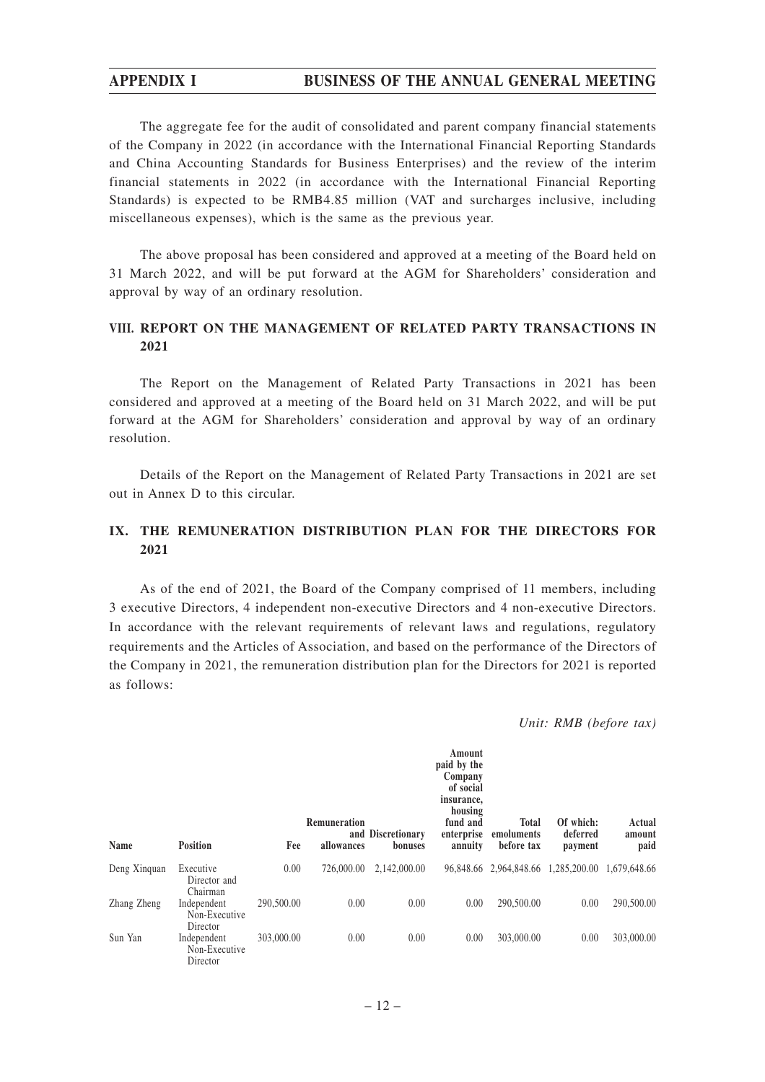# **APPENDIX I BUSINESS OF THE ANNUAL GENERAL MEETING**

The aggregate fee for the audit of consolidated and parent company financial statements of the Company in 2022 (in accordance with the International Financial Reporting Standards and China Accounting Standards for Business Enterprises) and the review of the interim financial statements in 2022 (in accordance with the International Financial Reporting Standards) is expected to be RMB4.85 million (VAT and surcharges inclusive, including miscellaneous expenses), which is the same as the previous year.

The above proposal has been considered and approved at a meeting of the Board held on 31 March 2022, and will be put forward at the AGM for Shareholders' consideration and approval by way of an ordinary resolution.

# **VIII. REPORT ON THE MANAGEMENT OF RELATED PARTY TRANSACTIONS IN 2021**

The Report on the Management of Related Party Transactions in 2021 has been considered and approved at a meeting of the Board held on 31 March 2022, and will be put forward at the AGM for Shareholders' consideration and approval by way of an ordinary resolution.

Details of the Report on the Management of Related Party Transactions in 2021 are set out in Annex D to this circular.

# **IX. THE REMUNERATION DISTRIBUTION PLAN FOR THE DIRECTORS FOR 2021**

As of the end of 2021, the Board of the Company comprised of 11 members, including 3 executive Directors, 4 independent non-executive Directors and 4 non-executive Directors. In accordance with the relevant requirements of relevant laws and regulations, regulatory requirements and the Articles of Association, and based on the performance of the Directors of the Company in 2021, the remuneration distribution plan for the Directors for 2021 is reported as follows:

*Unit: RMB (before tax)*

| Name         | <b>Position</b>                          | Fee        | Remuneration<br>allowances | and Discretionary<br>bonuses | Amount<br>paid by the<br>Company<br>of social<br>insurance,<br>housing<br>fund and<br>enterprise<br>annuity | Total<br>emoluments<br>before tax   | Of which:<br>deferred<br>payment | Actual<br>amount<br>paid |
|--------------|------------------------------------------|------------|----------------------------|------------------------------|-------------------------------------------------------------------------------------------------------------|-------------------------------------|----------------------------------|--------------------------|
| Deng Xinquan | Executive<br>Director and<br>Chairman    | 0.00       | 726,000.00                 | 2.142.000.00                 |                                                                                                             | 96,848.66 2,964,848.66 1,285,200.00 |                                  | 1.679.648.66             |
| Zhang Zheng  | Independent<br>Non-Executive<br>Director | 290,500.00 | 0.00                       | 0.00                         | 0.00                                                                                                        | 290,500.00                          | 0.00                             | 290,500.00               |
| Sun Yan      | Independent<br>Non-Executive<br>Director | 303,000.00 | 0.00                       | 0.00                         | 0.00                                                                                                        | 303,000.00                          | 0.00                             | 303,000.00               |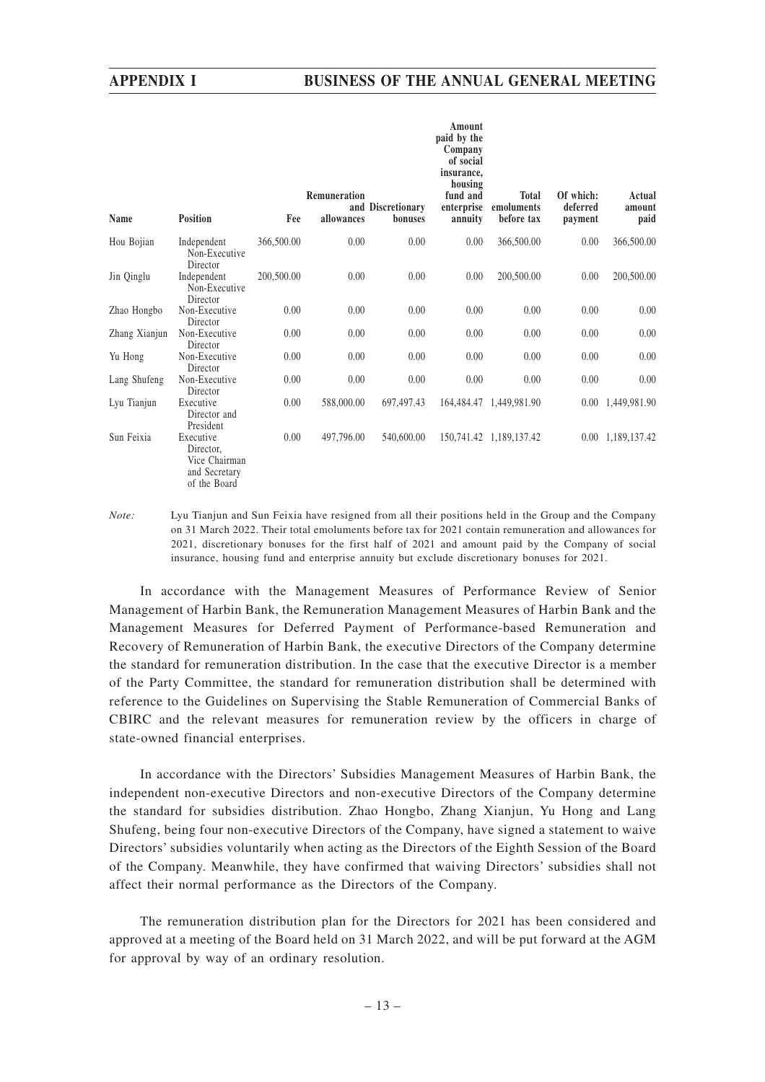| Name          | <b>Position</b>                                                          | Fee        | Remuneration<br>allowances | and Discretionary<br>bonuses | Amount<br>paid by the<br>Company<br>of social<br>insurance,<br>housing<br>fund and<br>enterprise<br>annuity | <b>Total</b><br>emoluments<br>before tax | Of which:<br>deferred<br>payment | Actual<br>amount<br>paid |
|---------------|--------------------------------------------------------------------------|------------|----------------------------|------------------------------|-------------------------------------------------------------------------------------------------------------|------------------------------------------|----------------------------------|--------------------------|
| Hou Bojian    | Independent<br>Non-Executive<br>Director                                 | 366,500.00 | 0.00                       | 0.00                         | 0.00                                                                                                        | 366,500.00                               | 0.00                             | 366,500.00               |
| Jin Qinglu    | Independent<br>Non-Executive<br>Director                                 | 200,500.00 | 0.00                       | 0.00                         | 0.00                                                                                                        | 200,500.00                               | 0.00                             | 200,500.00               |
| Zhao Hongbo   | Non-Executive<br>Director                                                | 0.00       | 0.00                       | 0.00                         | 0.00                                                                                                        | 0.00                                     | 0.00                             | 0.00                     |
| Zhang Xianjun | Non-Executive<br>Director                                                | 0.00       | 0.00                       | 0.00                         | 0.00                                                                                                        | 0.00                                     | 0.00                             | 0.00                     |
| Yu Hong       | Non-Executive<br>Director                                                | 0.00       | 0.00                       | 0.00                         | 0.00                                                                                                        | 0.00                                     | 0.00                             | 0.00                     |
| Lang Shufeng  | Non-Executive<br>Director                                                | 0.00       | 0.00                       | 0.00                         | 0.00                                                                                                        | 0.00                                     | 0.00                             | 0.00                     |
| Lyu Tianjun   | Executive<br>Director and<br>President                                   | 0.00       | 588,000.00                 | 697,497.43                   |                                                                                                             | 164,484.47 1,449,981.90                  |                                  | 0.00 1,449,981.90        |
| Sun Feixia    | Executive<br>Director,<br>Vice Chairman<br>and Secretary<br>of the Board | 0.00       | 497,796.00                 | 540,600.00                   |                                                                                                             | 150,741.42 1,189,137.42                  |                                  | 0.00 1,189,137.42        |

*Note:* Lyu Tianjun and Sun Feixia have resigned from all their positions held in the Group and the Company on 31 March 2022. Their total emoluments before tax for 2021 contain remuneration and allowances for 2021, discretionary bonuses for the first half of 2021 and amount paid by the Company of social insurance, housing fund and enterprise annuity but exclude discretionary bonuses for 2021.

In accordance with the Management Measures of Performance Review of Senior Management of Harbin Bank, the Remuneration Management Measures of Harbin Bank and the Management Measures for Deferred Payment of Performance-based Remuneration and Recovery of Remuneration of Harbin Bank, the executive Directors of the Company determine the standard for remuneration distribution. In the case that the executive Director is a member of the Party Committee, the standard for remuneration distribution shall be determined with reference to the Guidelines on Supervising the Stable Remuneration of Commercial Banks of CBIRC and the relevant measures for remuneration review by the officers in charge of state-owned financial enterprises.

In accordance with the Directors' Subsidies Management Measures of Harbin Bank, the independent non-executive Directors and non-executive Directors of the Company determine the standard for subsidies distribution. Zhao Hongbo, Zhang Xianjun, Yu Hong and Lang Shufeng, being four non-executive Directors of the Company, have signed a statement to waive Directors' subsidies voluntarily when acting as the Directors of the Eighth Session of the Board of the Company. Meanwhile, they have confirmed that waiving Directors' subsidies shall not affect their normal performance as the Directors of the Company.

The remuneration distribution plan for the Directors for 2021 has been considered and approved at a meeting of the Board held on 31 March 2022, and will be put forward at the AGM for approval by way of an ordinary resolution.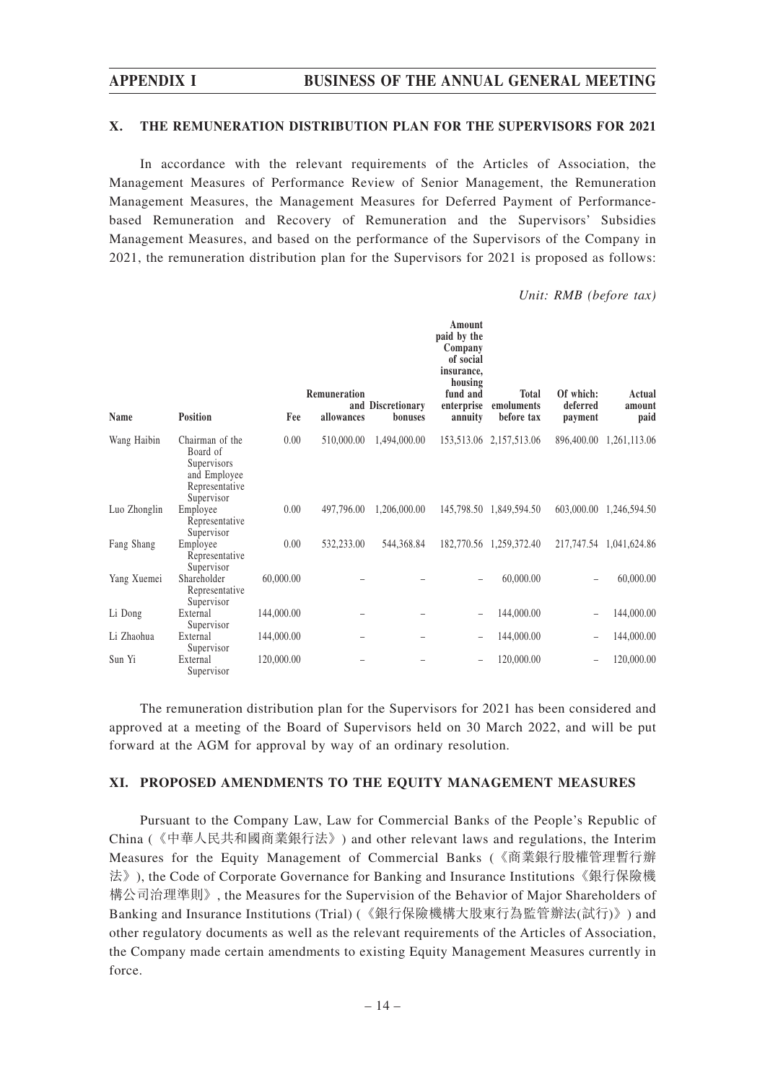#### **X. THE REMUNERATION DISTRIBUTION PLAN FOR THE SUPERVISORS FOR 2021**

In accordance with the relevant requirements of the Articles of Association, the Management Measures of Performance Review of Senior Management, the Remuneration Management Measures, the Management Measures for Deferred Payment of Performancebased Remuneration and Recovery of Remuneration and the Supervisors' Subsidies Management Measures, and based on the performance of the Supervisors of the Company in 2021, the remuneration distribution plan for the Supervisors for 2021 is proposed as follows:

*Unit: RMB (before tax)*

| Name         | <b>Position</b>                                                                            | Fee        | Remuneration<br>allowances | and Discretionary<br>bonuses | Amount<br>paid by the<br>Company<br>of social<br>insurance,<br>housing<br>fund and<br>enterprise<br>annuity | <b>Total</b><br>emoluments<br>before tax | Of which:<br>deferred<br>payment | Actual<br>amount<br>paid |
|--------------|--------------------------------------------------------------------------------------------|------------|----------------------------|------------------------------|-------------------------------------------------------------------------------------------------------------|------------------------------------------|----------------------------------|--------------------------|
| Wang Haibin  | Chairman of the<br>Board of<br>Supervisors<br>and Employee<br>Representative<br>Supervisor | 0.00       | 510,000.00                 | 1,494,000.00                 |                                                                                                             | 153,513.06 2,157,513.06                  | 896,400.00                       | 1,261,113.06             |
| Luo Zhonglin | Employee<br>Representative<br>Supervisor                                                   | 0.00       | 497,796.00                 | 1,206,000.00                 |                                                                                                             | 145,798.50 1,849,594.50                  |                                  | 603,000.00 1,246,594.50  |
| Fang Shang   | Employee<br>Representative<br>Supervisor                                                   | 0.00       | 532,233.00                 | 544,368.84                   |                                                                                                             | 182,770.56 1,259,372.40                  |                                  | 217,747.54 1,041,624.86  |
| Yang Xuemei  | Shareholder<br>Representative<br>Supervisor                                                | 60,000.00  |                            |                              | $\equiv$                                                                                                    | 60,000.00                                | $\qquad \qquad -$                | 60,000.00                |
| Li Dong      | External<br>Supervisor                                                                     | 144,000.00 |                            |                              | $\equiv$                                                                                                    | 144,000.00                               |                                  | 144,000.00               |
| Li Zhaohua   | External<br>Supervisor                                                                     | 144,000.00 |                            |                              | -                                                                                                           | 144,000.00                               |                                  | 144,000.00               |
| Sun Yi       | External<br>Supervisor                                                                     | 120,000.00 |                            |                              |                                                                                                             | 120,000.00                               |                                  | 120,000.00               |

The remuneration distribution plan for the Supervisors for 2021 has been considered and approved at a meeting of the Board of Supervisors held on 30 March 2022, and will be put forward at the AGM for approval by way of an ordinary resolution.

#### **XI. PROPOSED AMENDMENTS TO THE EQUITY MANAGEMENT MEASURES**

Pursuant to the Company Law, Law for Commercial Banks of the People's Republic of China (《中華人民共和國商業銀行法》) and other relevant laws and regulations, the Interim Measures for the Equity Management of Commercial Banks (《商業銀行股權管理暫行辦 法》), the Code of Corporate Governance for Banking and Insurance Institutions《銀行保險機 構公司治理準則》, the Measures for the Supervision of the Behavior of Major Shareholders of Banking and Insurance Institutions (Trial) (《銀行保險機構大股東行為監管辦法(試行)》) and other regulatory documents as well as the relevant requirements of the Articles of Association, the Company made certain amendments to existing Equity Management Measures currently in force.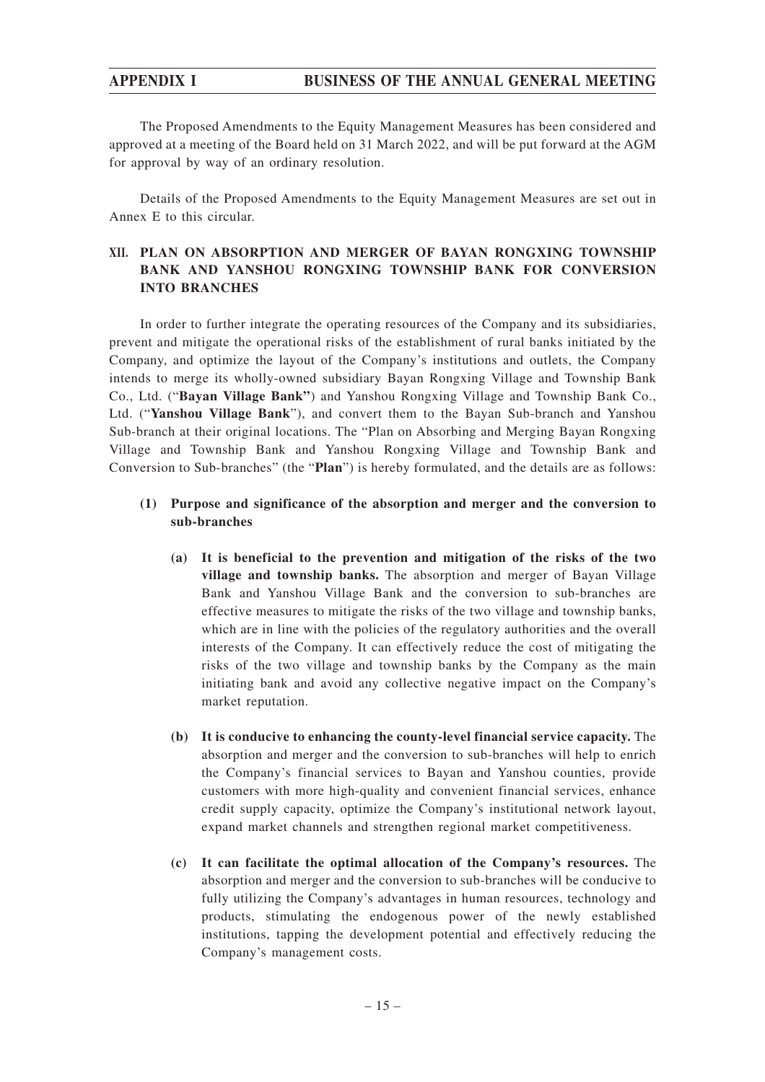# **APPENDIX I BUSINESS OF THE ANNUAL GENERAL MEETING**

The Proposed Amendments to the Equity Management Measures has been considered and approved at a meeting of the Board held on 31 March 2022, and will be put forward at the AGM for approval by way of an ordinary resolution.

Details of the Proposed Amendments to the Equity Management Measures are set out in Annex E to this circular.

# **XII. PLAN ON ABSORPTION AND MERGER OF BAYAN RONGXING TOWNSHIP BANK AND YANSHOU RONGXING TOWNSHIP BANK FOR CONVERSION INTO BRANCHES**

In order to further integrate the operating resources of the Company and its subsidiaries, prevent and mitigate the operational risks of the establishment of rural banks initiated by the Company, and optimize the layout of the Company's institutions and outlets, the Company intends to merge its wholly-owned subsidiary Bayan Rongxing Village and Township Bank Co., Ltd. ("**Bayan Village Bank"**) and Yanshou Rongxing Village and Township Bank Co., Ltd. ("**Yanshou Village Bank**"), and convert them to the Bayan Sub-branch and Yanshou Sub-branch at their original locations. The "Plan on Absorbing and Merging Bayan Rongxing Village and Township Bank and Yanshou Rongxing Village and Township Bank and Conversion to Sub-branches" (the "**Plan**") is hereby formulated, and the details are as follows:

## **(1) Purpose and significance of the absorption and merger and the conversion to sub-branches**

- **(a) It is beneficial to the prevention and mitigation of the risks of the two village and township banks.** The absorption and merger of Bayan Village Bank and Yanshou Village Bank and the conversion to sub-branches are effective measures to mitigate the risks of the two village and township banks, which are in line with the policies of the regulatory authorities and the overall interests of the Company. It can effectively reduce the cost of mitigating the risks of the two village and township banks by the Company as the main initiating bank and avoid any collective negative impact on the Company's market reputation.
- **(b) It is conducive to enhancing the county-level financial service capacity.** The absorption and merger and the conversion to sub-branches will help to enrich the Company's financial services to Bayan and Yanshou counties, provide customers with more high-quality and convenient financial services, enhance credit supply capacity, optimize the Company's institutional network layout, expand market channels and strengthen regional market competitiveness.
- **(c) It can facilitate the optimal allocation of the Company's resources.** The absorption and merger and the conversion to sub-branches will be conducive to fully utilizing the Company's advantages in human resources, technology and products, stimulating the endogenous power of the newly established institutions, tapping the development potential and effectively reducing the Company's management costs.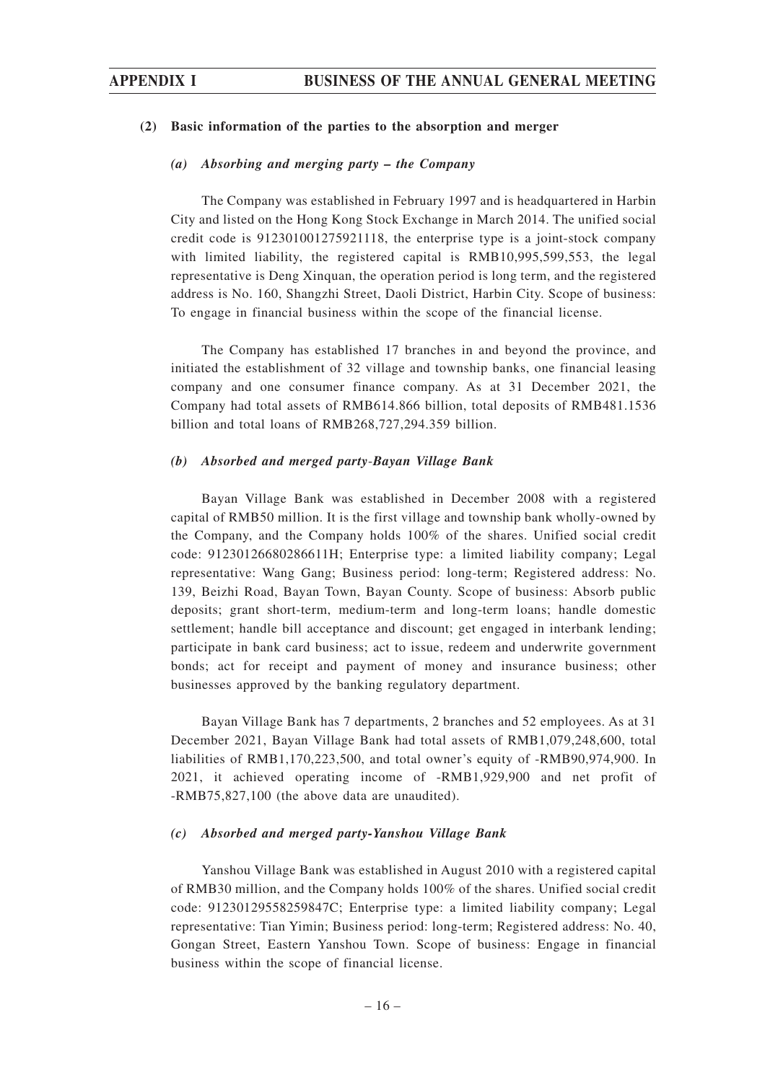#### **(2) Basic information of the parties to the absorption and merger**

#### *(a) Absorbing and merging party – the Company*

The Company was established in February 1997 and is headquartered in Harbin City and listed on the Hong Kong Stock Exchange in March 2014. The unified social credit code is 912301001275921118, the enterprise type is a joint-stock company with limited liability, the registered capital is RMB10,995,599,553, the legal representative is Deng Xinquan, the operation period is long term, and the registered address is No. 160, Shangzhi Street, Daoli District, Harbin City. Scope of business: To engage in financial business within the scope of the financial license.

The Company has established 17 branches in and beyond the province, and initiated the establishment of 32 village and township banks, one financial leasing company and one consumer finance company. As at 31 December 2021, the Company had total assets of RMB614.866 billion, total deposits of RMB481.1536 billion and total loans of RMB268,727,294.359 billion.

#### *(b) Absorbed and merged party*-*Bayan Village Bank*

Bayan Village Bank was established in December 2008 with a registered capital of RMB50 million. It is the first village and township bank wholly-owned by the Company, and the Company holds 100% of the shares. Unified social credit code: 91230126680286611H; Enterprise type: a limited liability company; Legal representative: Wang Gang; Business period: long-term; Registered address: No. 139, Beizhi Road, Bayan Town, Bayan County. Scope of business: Absorb public deposits; grant short-term, medium-term and long-term loans; handle domestic settlement; handle bill acceptance and discount; get engaged in interbank lending; participate in bank card business; act to issue, redeem and underwrite government bonds; act for receipt and payment of money and insurance business; other businesses approved by the banking regulatory department.

Bayan Village Bank has 7 departments, 2 branches and 52 employees. As at 31 December 2021, Bayan Village Bank had total assets of RMB1,079,248,600, total liabilities of RMB1,170,223,500, and total owner's equity of -RMB90,974,900. In 2021, it achieved operating income of -RMB1,929,900 and net profit of -RMB75,827,100 (the above data are unaudited).

#### *(c) Absorbed and merged party-Yanshou Village Bank*

Yanshou Village Bank was established in August 2010 with a registered capital of RMB30 million, and the Company holds 100% of the shares. Unified social credit code: 91230129558259847C; Enterprise type: a limited liability company; Legal representative: Tian Yimin; Business period: long-term; Registered address: No. 40, Gongan Street, Eastern Yanshou Town. Scope of business: Engage in financial business within the scope of financial license.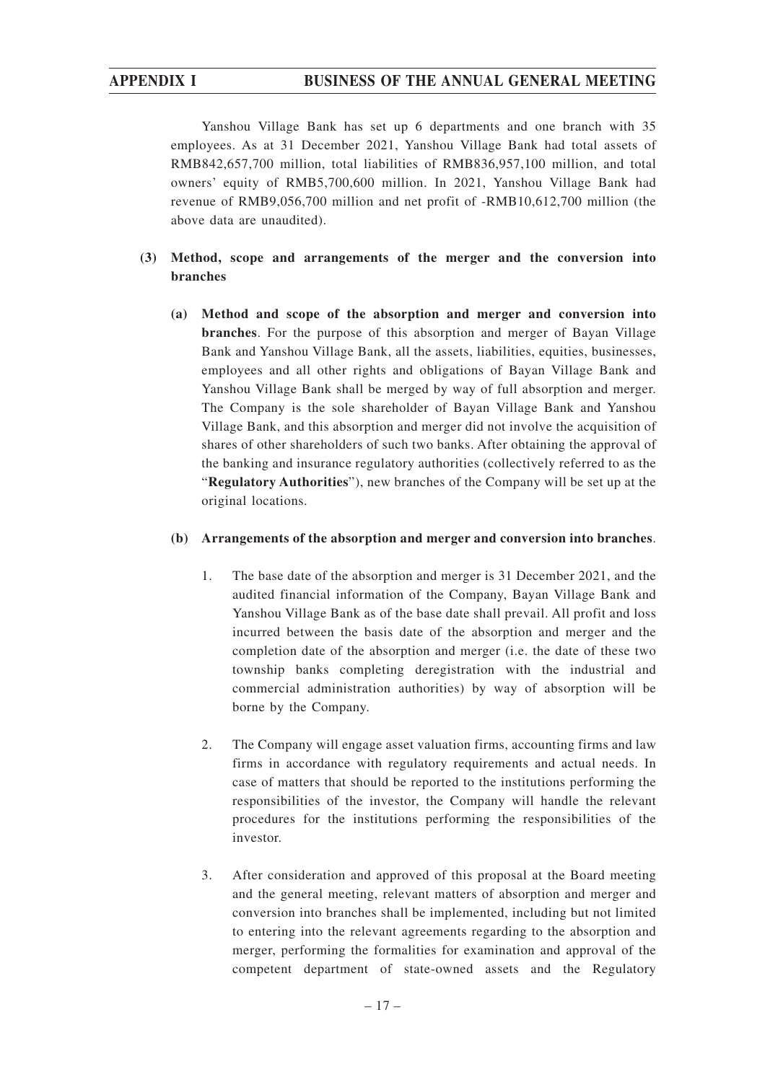Yanshou Village Bank has set up 6 departments and one branch with 35 employees. As at 31 December 2021, Yanshou Village Bank had total assets of RMB842,657,700 million, total liabilities of RMB836,957,100 million, and total owners' equity of RMB5,700,600 million. In 2021, Yanshou Village Bank had revenue of RMB9,056,700 million and net profit of -RMB10,612,700 million (the above data are unaudited).

# **(3) Method, scope and arrangements of the merger and the conversion into branches**

**(a) Method and scope of the absorption and merger and conversion into branches**. For the purpose of this absorption and merger of Bayan Village Bank and Yanshou Village Bank, all the assets, liabilities, equities, businesses, employees and all other rights and obligations of Bayan Village Bank and Yanshou Village Bank shall be merged by way of full absorption and merger. The Company is the sole shareholder of Bayan Village Bank and Yanshou Village Bank, and this absorption and merger did not involve the acquisition of shares of other shareholders of such two banks. After obtaining the approval of the banking and insurance regulatory authorities (collectively referred to as the "**Regulatory Authorities**"), new branches of the Company will be set up at the original locations.

## **(b) Arrangements of the absorption and merger and conversion into branches**.

- 1. The base date of the absorption and merger is 31 December 2021, and the audited financial information of the Company, Bayan Village Bank and Yanshou Village Bank as of the base date shall prevail. All profit and loss incurred between the basis date of the absorption and merger and the completion date of the absorption and merger (i.e. the date of these two township banks completing deregistration with the industrial and commercial administration authorities) by way of absorption will be borne by the Company.
- 2. The Company will engage asset valuation firms, accounting firms and law firms in accordance with regulatory requirements and actual needs. In case of matters that should be reported to the institutions performing the responsibilities of the investor, the Company will handle the relevant procedures for the institutions performing the responsibilities of the investor.
- 3. After consideration and approved of this proposal at the Board meeting and the general meeting, relevant matters of absorption and merger and conversion into branches shall be implemented, including but not limited to entering into the relevant agreements regarding to the absorption and merger, performing the formalities for examination and approval of the competent department of state-owned assets and the Regulatory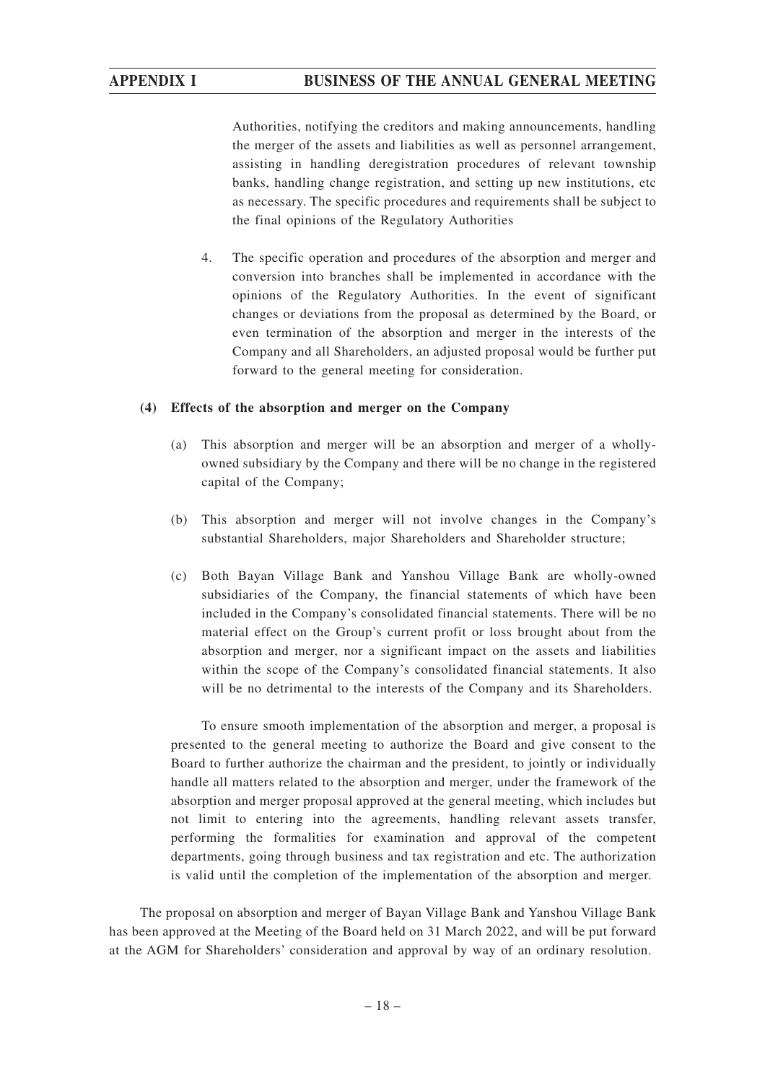Authorities, notifying the creditors and making announcements, handling the merger of the assets and liabilities as well as personnel arrangement, assisting in handling deregistration procedures of relevant township banks, handling change registration, and setting up new institutions, etc as necessary. The specific procedures and requirements shall be subject to the final opinions of the Regulatory Authorities

4. The specific operation and procedures of the absorption and merger and conversion into branches shall be implemented in accordance with the opinions of the Regulatory Authorities. In the event of significant changes or deviations from the proposal as determined by the Board, or even termination of the absorption and merger in the interests of the Company and all Shareholders, an adjusted proposal would be further put forward to the general meeting for consideration.

## **(4) Effects of the absorption and merger on the Company**

- (a) This absorption and merger will be an absorption and merger of a whollyowned subsidiary by the Company and there will be no change in the registered capital of the Company;
- (b) This absorption and merger will not involve changes in the Company's substantial Shareholders, major Shareholders and Shareholder structure;
- (c) Both Bayan Village Bank and Yanshou Village Bank are wholly-owned subsidiaries of the Company, the financial statements of which have been included in the Company's consolidated financial statements. There will be no material effect on the Group's current profit or loss brought about from the absorption and merger, nor a significant impact on the assets and liabilities within the scope of the Company's consolidated financial statements. It also will be no detrimental to the interests of the Company and its Shareholders.

To ensure smooth implementation of the absorption and merger, a proposal is presented to the general meeting to authorize the Board and give consent to the Board to further authorize the chairman and the president, to jointly or individually handle all matters related to the absorption and merger, under the framework of the absorption and merger proposal approved at the general meeting, which includes but not limit to entering into the agreements, handling relevant assets transfer, performing the formalities for examination and approval of the competent departments, going through business and tax registration and etc. The authorization is valid until the completion of the implementation of the absorption and merger.

The proposal on absorption and merger of Bayan Village Bank and Yanshou Village Bank has been approved at the Meeting of the Board held on 31 March 2022, and will be put forward at the AGM for Shareholders' consideration and approval by way of an ordinary resolution.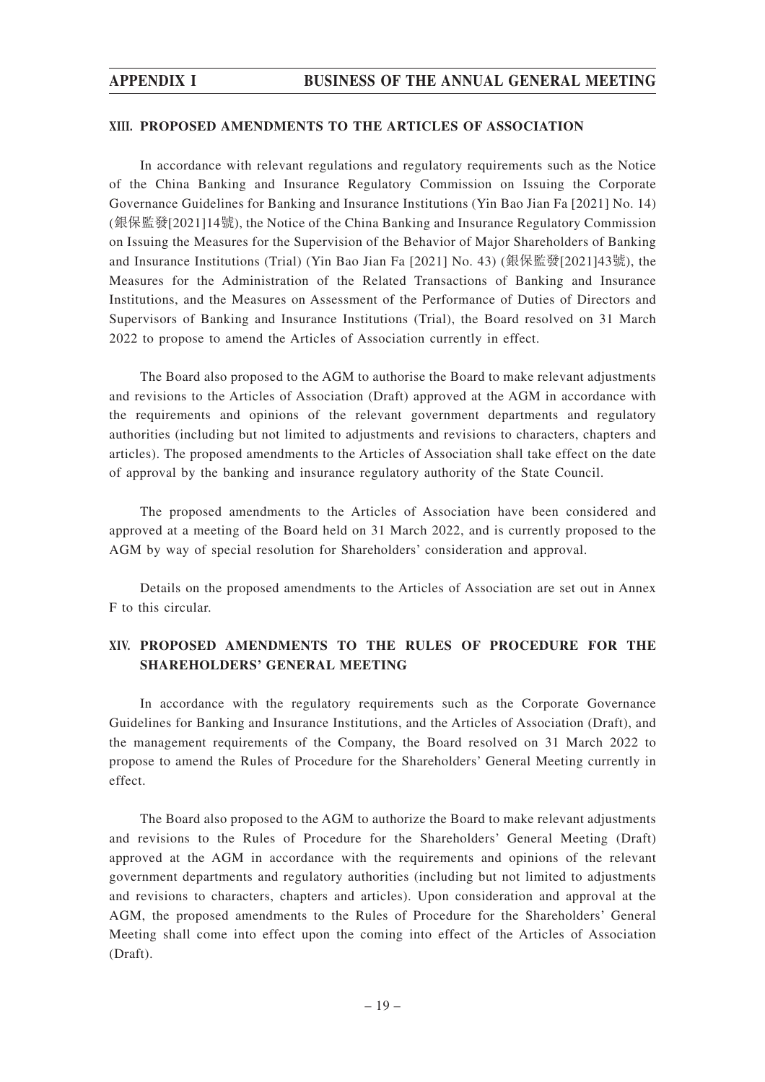#### **XIII. PROPOSED AMENDMENTS TO THE ARTICLES OF ASSOCIATION**

In accordance with relevant regulations and regulatory requirements such as the Notice of the China Banking and Insurance Regulatory Commission on Issuing the Corporate Governance Guidelines for Banking and Insurance Institutions (Yin Bao Jian Fa [2021] No. 14) (銀保監發[2021]14號), the Notice of the China Banking and Insurance Regulatory Commission on Issuing the Measures for the Supervision of the Behavior of Major Shareholders of Banking and Insurance Institutions (Trial) (Yin Bao Jian Fa [2021] No. 43) (銀保監發[2021]43號), the Measures for the Administration of the Related Transactions of Banking and Insurance Institutions, and the Measures on Assessment of the Performance of Duties of Directors and Supervisors of Banking and Insurance Institutions (Trial), the Board resolved on 31 March 2022 to propose to amend the Articles of Association currently in effect.

The Board also proposed to the AGM to authorise the Board to make relevant adjustments and revisions to the Articles of Association (Draft) approved at the AGM in accordance with the requirements and opinions of the relevant government departments and regulatory authorities (including but not limited to adjustments and revisions to characters, chapters and articles). The proposed amendments to the Articles of Association shall take effect on the date of approval by the banking and insurance regulatory authority of the State Council.

The proposed amendments to the Articles of Association have been considered and approved at a meeting of the Board held on 31 March 2022, and is currently proposed to the AGM by way of special resolution for Shareholders' consideration and approval.

Details on the proposed amendments to the Articles of Association are set out in Annex F to this circular.

# **XIV. PROPOSED AMENDMENTS TO THE RULES OF PROCEDURE FOR THE SHAREHOLDERS' GENERAL MEETING**

In accordance with the regulatory requirements such as the Corporate Governance Guidelines for Banking and Insurance Institutions, and the Articles of Association (Draft), and the management requirements of the Company, the Board resolved on 31 March 2022 to propose to amend the Rules of Procedure for the Shareholders' General Meeting currently in effect.

The Board also proposed to the AGM to authorize the Board to make relevant adjustments and revisions to the Rules of Procedure for the Shareholders' General Meeting (Draft) approved at the AGM in accordance with the requirements and opinions of the relevant government departments and regulatory authorities (including but not limited to adjustments and revisions to characters, chapters and articles). Upon consideration and approval at the AGM, the proposed amendments to the Rules of Procedure for the Shareholders' General Meeting shall come into effect upon the coming into effect of the Articles of Association (Draft).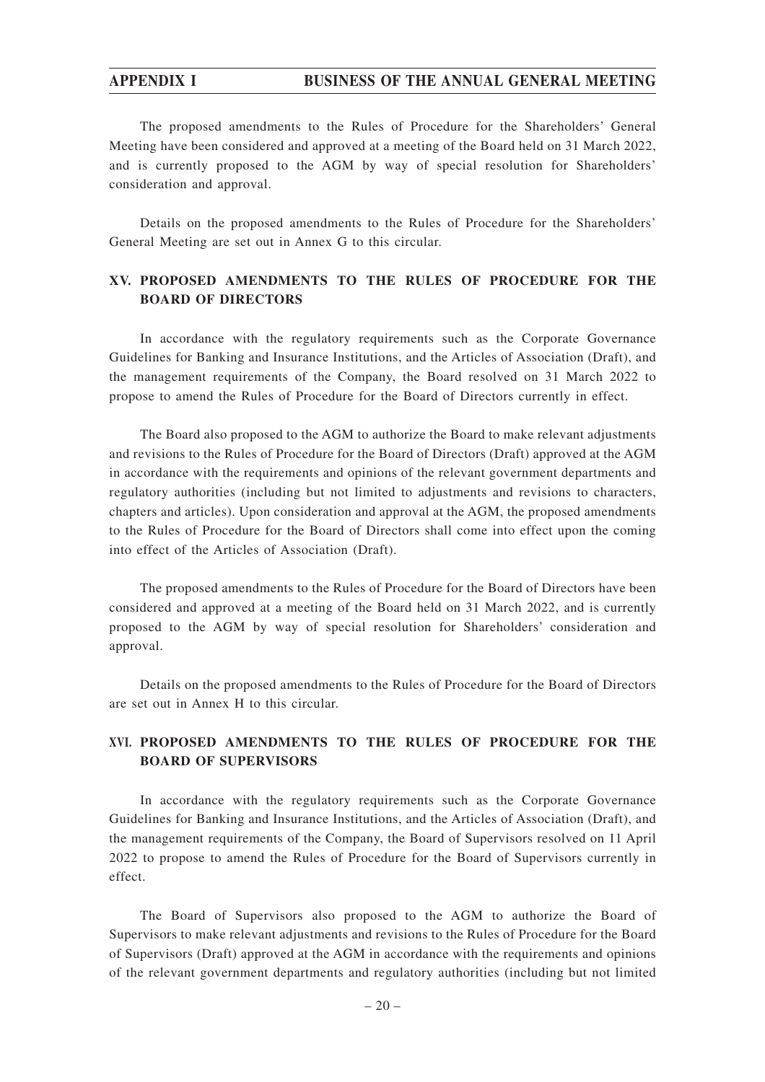# **APPENDIX I BUSINESS OF THE ANNUAL GENERAL MEETING**

The proposed amendments to the Rules of Procedure for the Shareholders' General Meeting have been considered and approved at a meeting of the Board held on 31 March 2022, and is currently proposed to the AGM by way of special resolution for Shareholders' consideration and approval.

Details on the proposed amendments to the Rules of Procedure for the Shareholders' General Meeting are set out in Annex G to this circular.

# **XV. PROPOSED AMENDMENTS TO THE RULES OF PROCEDURE FOR THE BOARD OF DIRECTORS**

In accordance with the regulatory requirements such as the Corporate Governance Guidelines for Banking and Insurance Institutions, and the Articles of Association (Draft), and the management requirements of the Company, the Board resolved on 31 March 2022 to propose to amend the Rules of Procedure for the Board of Directors currently in effect.

The Board also proposed to the AGM to authorize the Board to make relevant adjustments and revisions to the Rules of Procedure for the Board of Directors (Draft) approved at the AGM in accordance with the requirements and opinions of the relevant government departments and regulatory authorities (including but not limited to adjustments and revisions to characters, chapters and articles). Upon consideration and approval at the AGM, the proposed amendments to the Rules of Procedure for the Board of Directors shall come into effect upon the coming into effect of the Articles of Association (Draft).

The proposed amendments to the Rules of Procedure for the Board of Directors have been considered and approved at a meeting of the Board held on 31 March 2022, and is currently proposed to the AGM by way of special resolution for Shareholders' consideration and approval.

Details on the proposed amendments to the Rules of Procedure for the Board of Directors are set out in Annex H to this circular.

# **XVI. PROPOSED AMENDMENTS TO THE RULES OF PROCEDURE FOR THE BOARD OF SUPERVISORS**

In accordance with the regulatory requirements such as the Corporate Governance Guidelines for Banking and Insurance Institutions, and the Articles of Association (Draft), and the management requirements of the Company, the Board of Supervisors resolved on 11 April 2022 to propose to amend the Rules of Procedure for the Board of Supervisors currently in effect.

The Board of Supervisors also proposed to the AGM to authorize the Board of Supervisors to make relevant adjustments and revisions to the Rules of Procedure for the Board of Supervisors (Draft) approved at the AGM in accordance with the requirements and opinions of the relevant government departments and regulatory authorities (including but not limited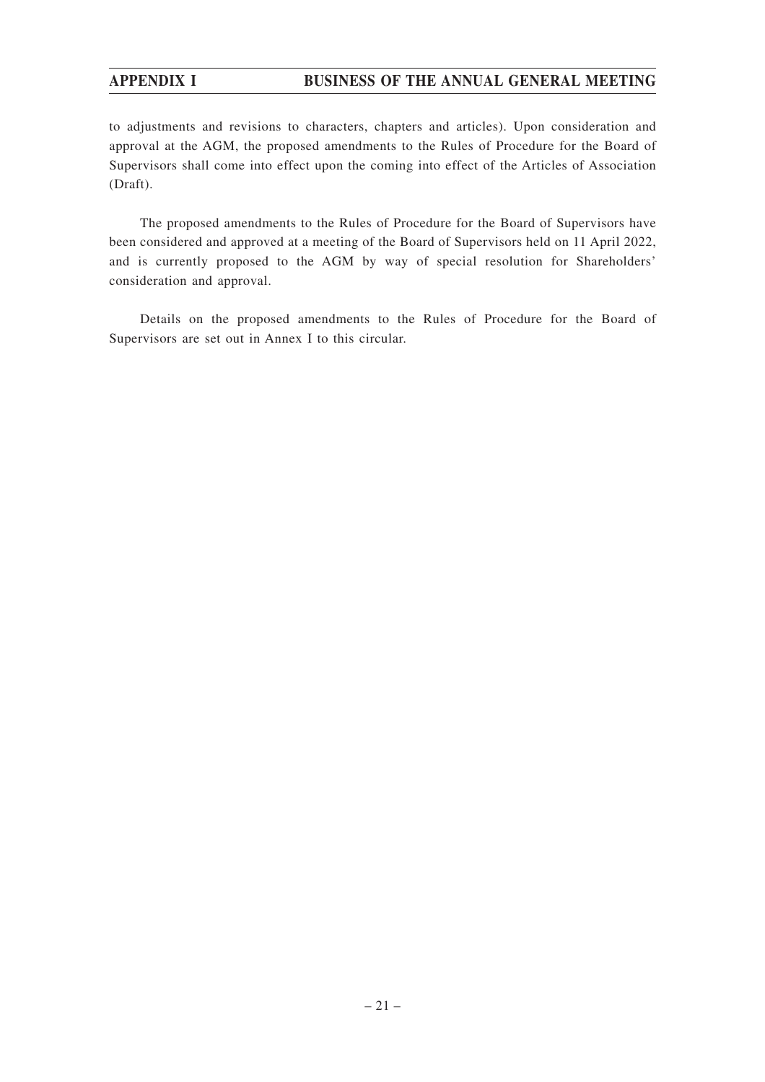# **APPENDIX I BUSINESS OF THE ANNUAL GENERAL MEETING**

to adjustments and revisions to characters, chapters and articles). Upon consideration and approval at the AGM, the proposed amendments to the Rules of Procedure for the Board of Supervisors shall come into effect upon the coming into effect of the Articles of Association (Draft).

The proposed amendments to the Rules of Procedure for the Board of Supervisors have been considered and approved at a meeting of the Board of Supervisors held on 11 April 2022, and is currently proposed to the AGM by way of special resolution for Shareholders' consideration and approval.

Details on the proposed amendments to the Rules of Procedure for the Board of Supervisors are set out in Annex I to this circular.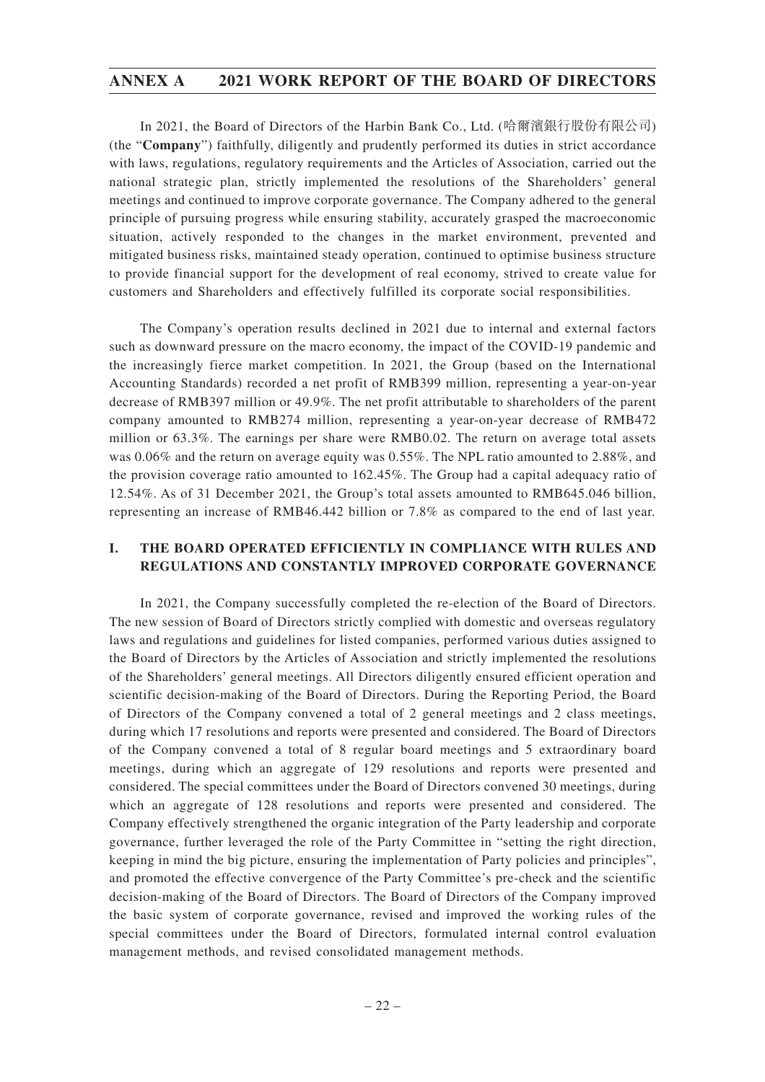In 2021, the Board of Directors of the Harbin Bank Co., Ltd. (哈爾濱銀行股份有限公司) (the "**Company**") faithfully, diligently and prudently performed its duties in strict accordance with laws, regulations, regulatory requirements and the Articles of Association, carried out the national strategic plan, strictly implemented the resolutions of the Shareholders' general meetings and continued to improve corporate governance. The Company adhered to the general principle of pursuing progress while ensuring stability, accurately grasped the macroeconomic situation, actively responded to the changes in the market environment, prevented and mitigated business risks, maintained steady operation, continued to optimise business structure to provide financial support for the development of real economy, strived to create value for customers and Shareholders and effectively fulfilled its corporate social responsibilities.

The Company's operation results declined in 2021 due to internal and external factors such as downward pressure on the macro economy, the impact of the COVID-19 pandemic and the increasingly fierce market competition. In 2021, the Group (based on the International Accounting Standards) recorded a net profit of RMB399 million, representing a year-on-year decrease of RMB397 million or 49.9%. The net profit attributable to shareholders of the parent company amounted to RMB274 million, representing a year-on-year decrease of RMB472 million or 63.3%. The earnings per share were RMB0.02. The return on average total assets was 0.06% and the return on average equity was 0.55%. The NPL ratio amounted to 2.88%, and the provision coverage ratio amounted to 162.45%. The Group had a capital adequacy ratio of 12.54%. As of 31 December 2021, the Group's total assets amounted to RMB645.046 billion, representing an increase of RMB46.442 billion or 7.8% as compared to the end of last year.

# **I. THE BOARD OPERATED EFFICIENTLY IN COMPLIANCE WITH RULES AND REGULATIONS AND CONSTANTLY IMPROVED CORPORATE GOVERNANCE**

In 2021, the Company successfully completed the re-election of the Board of Directors. The new session of Board of Directors strictly complied with domestic and overseas regulatory laws and regulations and guidelines for listed companies, performed various duties assigned to the Board of Directors by the Articles of Association and strictly implemented the resolutions of the Shareholders' general meetings. All Directors diligently ensured efficient operation and scientific decision-making of the Board of Directors. During the Reporting Period, the Board of Directors of the Company convened a total of 2 general meetings and 2 class meetings, during which 17 resolutions and reports were presented and considered. The Board of Directors of the Company convened a total of 8 regular board meetings and 5 extraordinary board meetings, during which an aggregate of 129 resolutions and reports were presented and considered. The special committees under the Board of Directors convened 30 meetings, during which an aggregate of 128 resolutions and reports were presented and considered. The Company effectively strengthened the organic integration of the Party leadership and corporate governance, further leveraged the role of the Party Committee in "setting the right direction, keeping in mind the big picture, ensuring the implementation of Party policies and principles", and promoted the effective convergence of the Party Committee's pre-check and the scientific decision-making of the Board of Directors. The Board of Directors of the Company improved the basic system of corporate governance, revised and improved the working rules of the special committees under the Board of Directors, formulated internal control evaluation management methods, and revised consolidated management methods.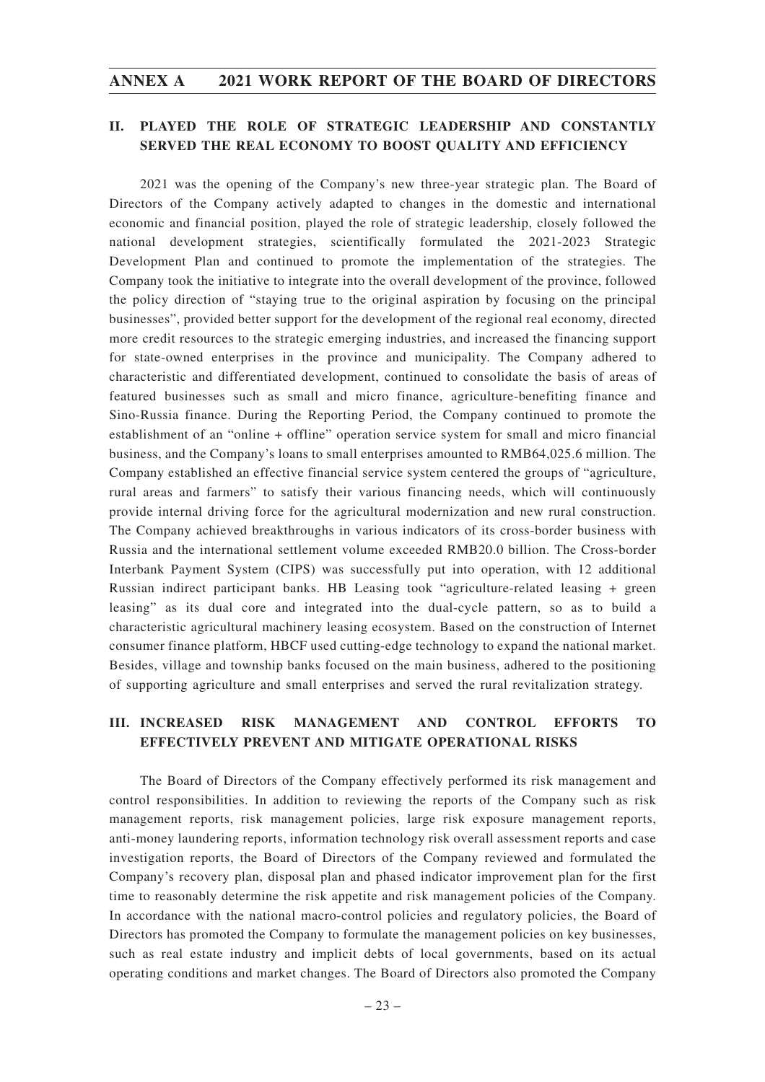# **II. PLAYED THE ROLE OF STRATEGIC LEADERSHIP AND CONSTANTLY SERVED THE REAL ECONOMY TO BOOST QUALITY AND EFFICIENCY**

2021 was the opening of the Company's new three-year strategic plan. The Board of Directors of the Company actively adapted to changes in the domestic and international economic and financial position, played the role of strategic leadership, closely followed the national development strategies, scientifically formulated the 2021-2023 Strategic Development Plan and continued to promote the implementation of the strategies. The Company took the initiative to integrate into the overall development of the province, followed the policy direction of "staying true to the original aspiration by focusing on the principal businesses", provided better support for the development of the regional real economy, directed more credit resources to the strategic emerging industries, and increased the financing support for state-owned enterprises in the province and municipality. The Company adhered to characteristic and differentiated development, continued to consolidate the basis of areas of featured businesses such as small and micro finance, agriculture-benefiting finance and Sino-Russia finance. During the Reporting Period, the Company continued to promote the establishment of an "online + offline" operation service system for small and micro financial business, and the Company's loans to small enterprises amounted to RMB64,025.6 million. The Company established an effective financial service system centered the groups of "agriculture, rural areas and farmers" to satisfy their various financing needs, which will continuously provide internal driving force for the agricultural modernization and new rural construction. The Company achieved breakthroughs in various indicators of its cross-border business with Russia and the international settlement volume exceeded RMB20.0 billion. The Cross-border Interbank Payment System (CIPS) was successfully put into operation, with 12 additional Russian indirect participant banks. HB Leasing took "agriculture-related leasing + green leasing" as its dual core and integrated into the dual-cycle pattern, so as to build a characteristic agricultural machinery leasing ecosystem. Based on the construction of Internet consumer finance platform, HBCF used cutting-edge technology to expand the national market. Besides, village and township banks focused on the main business, adhered to the positioning of supporting agriculture and small enterprises and served the rural revitalization strategy.

# **III. INCREASED RISK MANAGEMENT AND CONTROL EFFORTS TO EFFECTIVELY PREVENT AND MITIGATE OPERATIONAL RISKS**

The Board of Directors of the Company effectively performed its risk management and control responsibilities. In addition to reviewing the reports of the Company such as risk management reports, risk management policies, large risk exposure management reports, anti-money laundering reports, information technology risk overall assessment reports and case investigation reports, the Board of Directors of the Company reviewed and formulated the Company's recovery plan, disposal plan and phased indicator improvement plan for the first time to reasonably determine the risk appetite and risk management policies of the Company. In accordance with the national macro-control policies and regulatory policies, the Board of Directors has promoted the Company to formulate the management policies on key businesses, such as real estate industry and implicit debts of local governments, based on its actual operating conditions and market changes. The Board of Directors also promoted the Company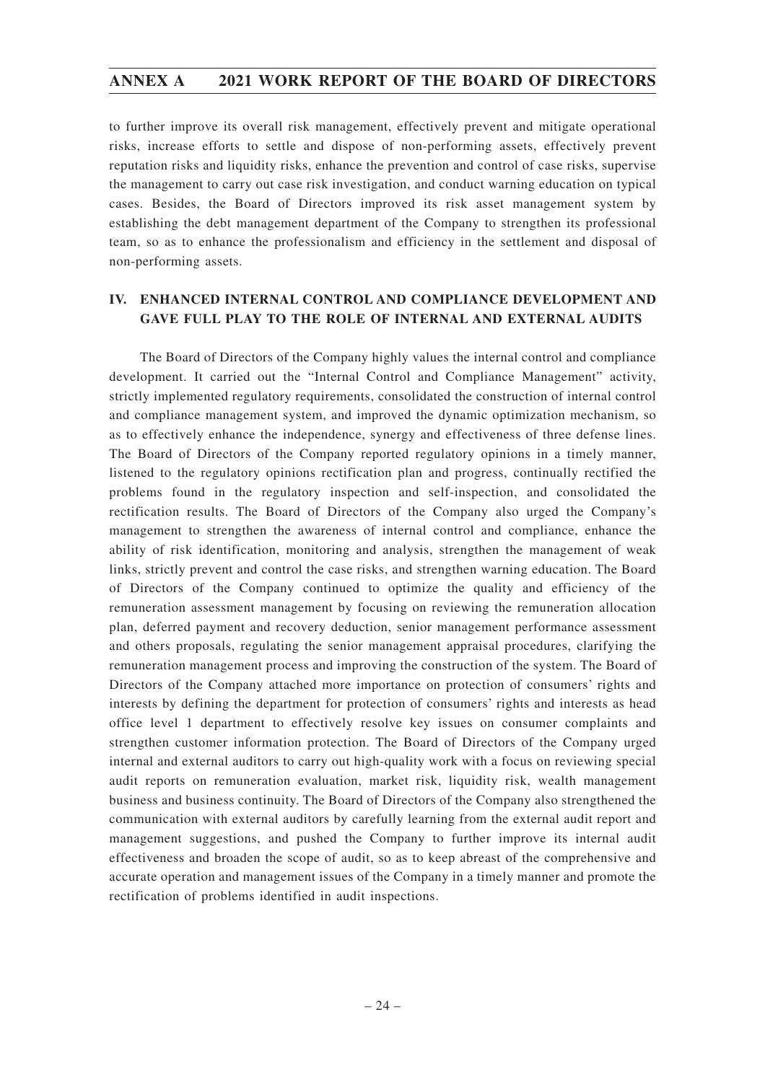to further improve its overall risk management, effectively prevent and mitigate operational risks, increase efforts to settle and dispose of non-performing assets, effectively prevent reputation risks and liquidity risks, enhance the prevention and control of case risks, supervise the management to carry out case risk investigation, and conduct warning education on typical cases. Besides, the Board of Directors improved its risk asset management system by establishing the debt management department of the Company to strengthen its professional team, so as to enhance the professionalism and efficiency in the settlement and disposal of non-performing assets.

# **IV. ENHANCED INTERNAL CONTROL AND COMPLIANCE DEVELOPMENT AND GAVE FULL PLAY TO THE ROLE OF INTERNAL AND EXTERNAL AUDITS**

The Board of Directors of the Company highly values the internal control and compliance development. It carried out the "Internal Control and Compliance Management" activity, strictly implemented regulatory requirements, consolidated the construction of internal control and compliance management system, and improved the dynamic optimization mechanism, so as to effectively enhance the independence, synergy and effectiveness of three defense lines. The Board of Directors of the Company reported regulatory opinions in a timely manner, listened to the regulatory opinions rectification plan and progress, continually rectified the problems found in the regulatory inspection and self-inspection, and consolidated the rectification results. The Board of Directors of the Company also urged the Company's management to strengthen the awareness of internal control and compliance, enhance the ability of risk identification, monitoring and analysis, strengthen the management of weak links, strictly prevent and control the case risks, and strengthen warning education. The Board of Directors of the Company continued to optimize the quality and efficiency of the remuneration assessment management by focusing on reviewing the remuneration allocation plan, deferred payment and recovery deduction, senior management performance assessment and others proposals, regulating the senior management appraisal procedures, clarifying the remuneration management process and improving the construction of the system. The Board of Directors of the Company attached more importance on protection of consumers' rights and interests by defining the department for protection of consumers' rights and interests as head office level 1 department to effectively resolve key issues on consumer complaints and strengthen customer information protection. The Board of Directors of the Company urged internal and external auditors to carry out high-quality work with a focus on reviewing special audit reports on remuneration evaluation, market risk, liquidity risk, wealth management business and business continuity. The Board of Directors of the Company also strengthened the communication with external auditors by carefully learning from the external audit report and management suggestions, and pushed the Company to further improve its internal audit effectiveness and broaden the scope of audit, so as to keep abreast of the comprehensive and accurate operation and management issues of the Company in a timely manner and promote the rectification of problems identified in audit inspections.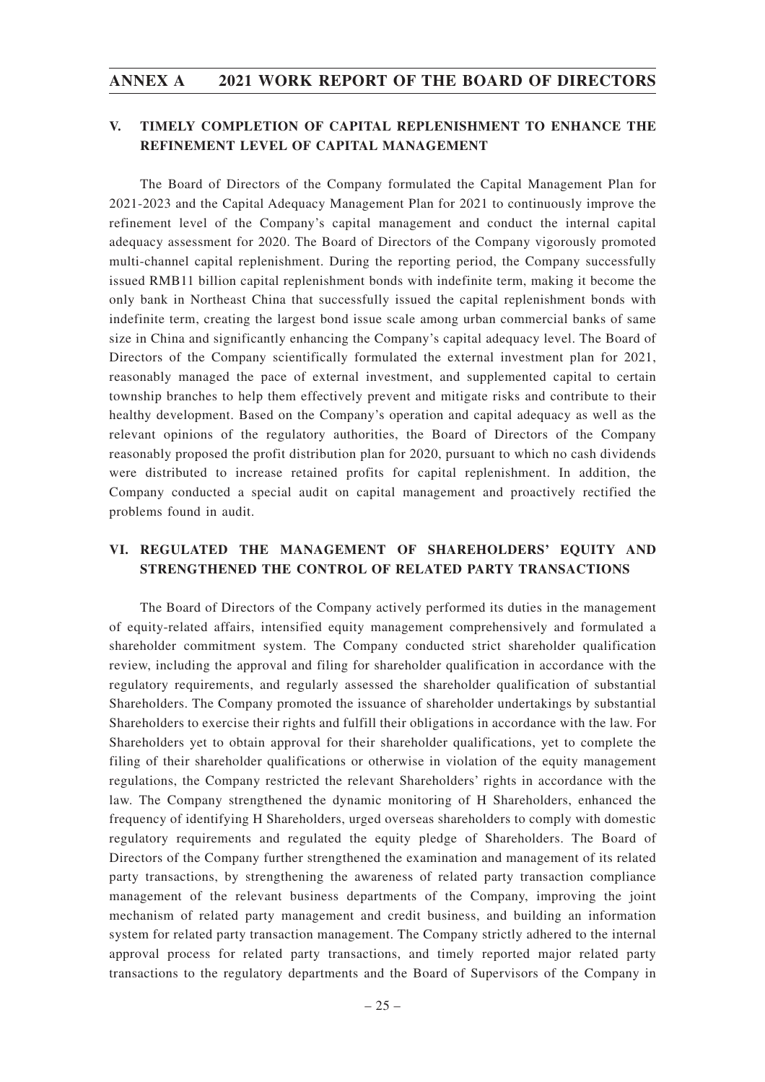# **V. TIMELY COMPLETION OF CAPITAL REPLENISHMENT TO ENHANCE THE REFINEMENT LEVEL OF CAPITAL MANAGEMENT**

The Board of Directors of the Company formulated the Capital Management Plan for 2021-2023 and the Capital Adequacy Management Plan for 2021 to continuously improve the refinement level of the Company's capital management and conduct the internal capital adequacy assessment for 2020. The Board of Directors of the Company vigorously promoted multi-channel capital replenishment. During the reporting period, the Company successfully issued RMB11 billion capital replenishment bonds with indefinite term, making it become the only bank in Northeast China that successfully issued the capital replenishment bonds with indefinite term, creating the largest bond issue scale among urban commercial banks of same size in China and significantly enhancing the Company's capital adequacy level. The Board of Directors of the Company scientifically formulated the external investment plan for 2021, reasonably managed the pace of external investment, and supplemented capital to certain township branches to help them effectively prevent and mitigate risks and contribute to their healthy development. Based on the Company's operation and capital adequacy as well as the relevant opinions of the regulatory authorities, the Board of Directors of the Company reasonably proposed the profit distribution plan for 2020, pursuant to which no cash dividends were distributed to increase retained profits for capital replenishment. In addition, the Company conducted a special audit on capital management and proactively rectified the problems found in audit.

# **VI. REGULATED THE MANAGEMENT OF SHAREHOLDERS' EQUITY AND STRENGTHENED THE CONTROL OF RELATED PARTY TRANSACTIONS**

The Board of Directors of the Company actively performed its duties in the management of equity-related affairs, intensified equity management comprehensively and formulated a shareholder commitment system. The Company conducted strict shareholder qualification review, including the approval and filing for shareholder qualification in accordance with the regulatory requirements, and regularly assessed the shareholder qualification of substantial Shareholders. The Company promoted the issuance of shareholder undertakings by substantial Shareholders to exercise their rights and fulfill their obligations in accordance with the law. For Shareholders yet to obtain approval for their shareholder qualifications, yet to complete the filing of their shareholder qualifications or otherwise in violation of the equity management regulations, the Company restricted the relevant Shareholders' rights in accordance with the law. The Company strengthened the dynamic monitoring of H Shareholders, enhanced the frequency of identifying H Shareholders, urged overseas shareholders to comply with domestic regulatory requirements and regulated the equity pledge of Shareholders. The Board of Directors of the Company further strengthened the examination and management of its related party transactions, by strengthening the awareness of related party transaction compliance management of the relevant business departments of the Company, improving the joint mechanism of related party management and credit business, and building an information system for related party transaction management. The Company strictly adhered to the internal approval process for related party transactions, and timely reported major related party transactions to the regulatory departments and the Board of Supervisors of the Company in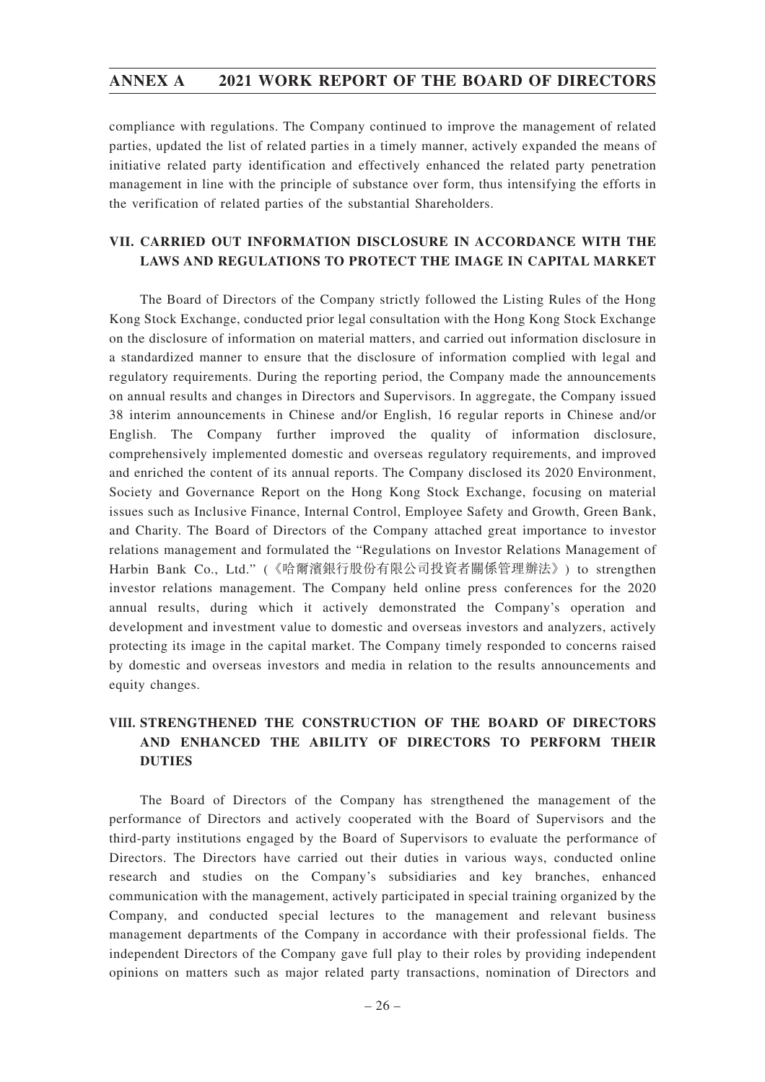compliance with regulations. The Company continued to improve the management of related parties, updated the list of related parties in a timely manner, actively expanded the means of initiative related party identification and effectively enhanced the related party penetration management in line with the principle of substance over form, thus intensifying the efforts in the verification of related parties of the substantial Shareholders.

# **VII. CARRIED OUT INFORMATION DISCLOSURE IN ACCORDANCE WITH THE LAWS AND REGULATIONS TO PROTECT THE IMAGE IN CAPITAL MARKET**

The Board of Directors of the Company strictly followed the Listing Rules of the Hong Kong Stock Exchange, conducted prior legal consultation with the Hong Kong Stock Exchange on the disclosure of information on material matters, and carried out information disclosure in a standardized manner to ensure that the disclosure of information complied with legal and regulatory requirements. During the reporting period, the Company made the announcements on annual results and changes in Directors and Supervisors. In aggregate, the Company issued 38 interim announcements in Chinese and/or English, 16 regular reports in Chinese and/or English. The Company further improved the quality of information disclosure, comprehensively implemented domestic and overseas regulatory requirements, and improved and enriched the content of its annual reports. The Company disclosed its 2020 Environment, Society and Governance Report on the Hong Kong Stock Exchange, focusing on material issues such as Inclusive Finance, Internal Control, Employee Safety and Growth, Green Bank, and Charity. The Board of Directors of the Company attached great importance to investor relations management and formulated the "Regulations on Investor Relations Management of Harbin Bank Co., Ltd." (《哈爾濱銀行股份有限公司投資者關係管理辦法》) to strengthen investor relations management. The Company held online press conferences for the 2020 annual results, during which it actively demonstrated the Company's operation and development and investment value to domestic and overseas investors and analyzers, actively protecting its image in the capital market. The Company timely responded to concerns raised by domestic and overseas investors and media in relation to the results announcements and equity changes.

# **VIII. STRENGTHENED THE CONSTRUCTION OF THE BOARD OF DIRECTORS AND ENHANCED THE ABILITY OF DIRECTORS TO PERFORM THEIR DUTIES**

The Board of Directors of the Company has strengthened the management of the performance of Directors and actively cooperated with the Board of Supervisors and the third-party institutions engaged by the Board of Supervisors to evaluate the performance of Directors. The Directors have carried out their duties in various ways, conducted online research and studies on the Company's subsidiaries and key branches, enhanced communication with the management, actively participated in special training organized by the Company, and conducted special lectures to the management and relevant business management departments of the Company in accordance with their professional fields. The independent Directors of the Company gave full play to their roles by providing independent opinions on matters such as major related party transactions, nomination of Directors and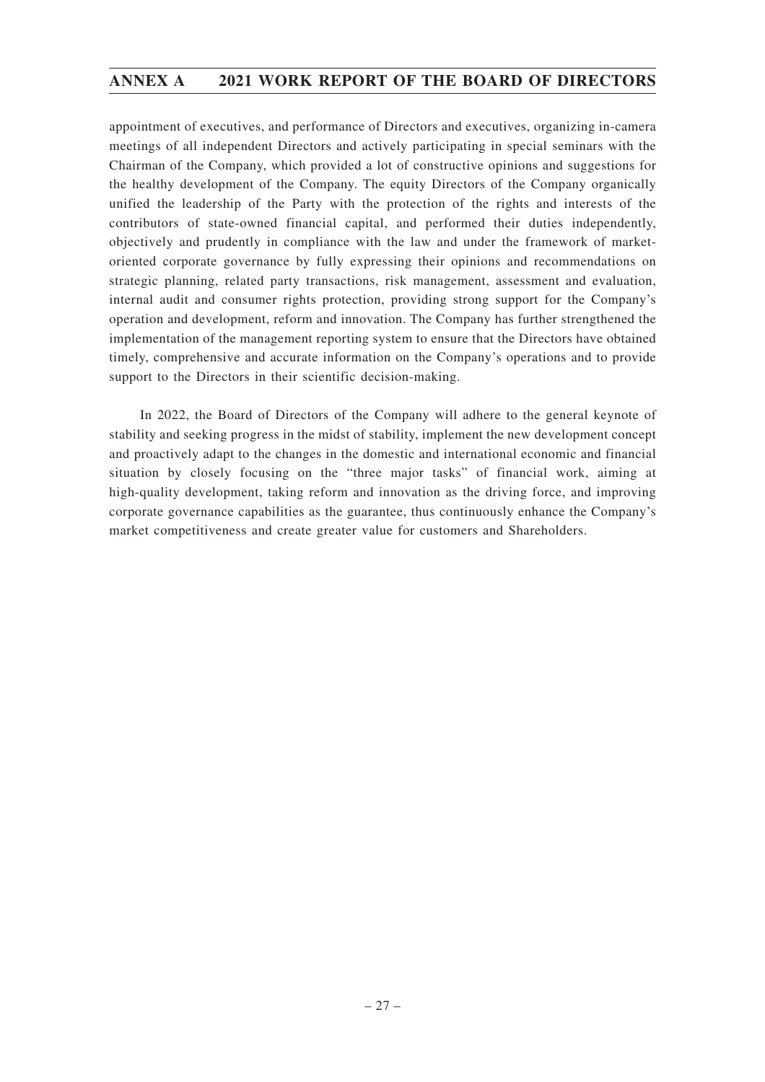appointment of executives, and performance of Directors and executives, organizing in-camera meetings of all independent Directors and actively participating in special seminars with the Chairman of the Company, which provided a lot of constructive opinions and suggestions for the healthy development of the Company. The equity Directors of the Company organically unified the leadership of the Party with the protection of the rights and interests of the contributors of state-owned financial capital, and performed their duties independently, objectively and prudently in compliance with the law and under the framework of marketoriented corporate governance by fully expressing their opinions and recommendations on strategic planning, related party transactions, risk management, assessment and evaluation, internal audit and consumer rights protection, providing strong support for the Company's operation and development, reform and innovation. The Company has further strengthened the implementation of the management reporting system to ensure that the Directors have obtained timely, comprehensive and accurate information on the Company's operations and to provide support to the Directors in their scientific decision-making.

In 2022, the Board of Directors of the Company will adhere to the general keynote of stability and seeking progress in the midst of stability, implement the new development concept and proactively adapt to the changes in the domestic and international economic and financial situation by closely focusing on the "three major tasks" of financial work, aiming at high-quality development, taking reform and innovation as the driving force, and improving corporate governance capabilities as the guarantee, thus continuously enhance the Company's market competitiveness and create greater value for customers and Shareholders.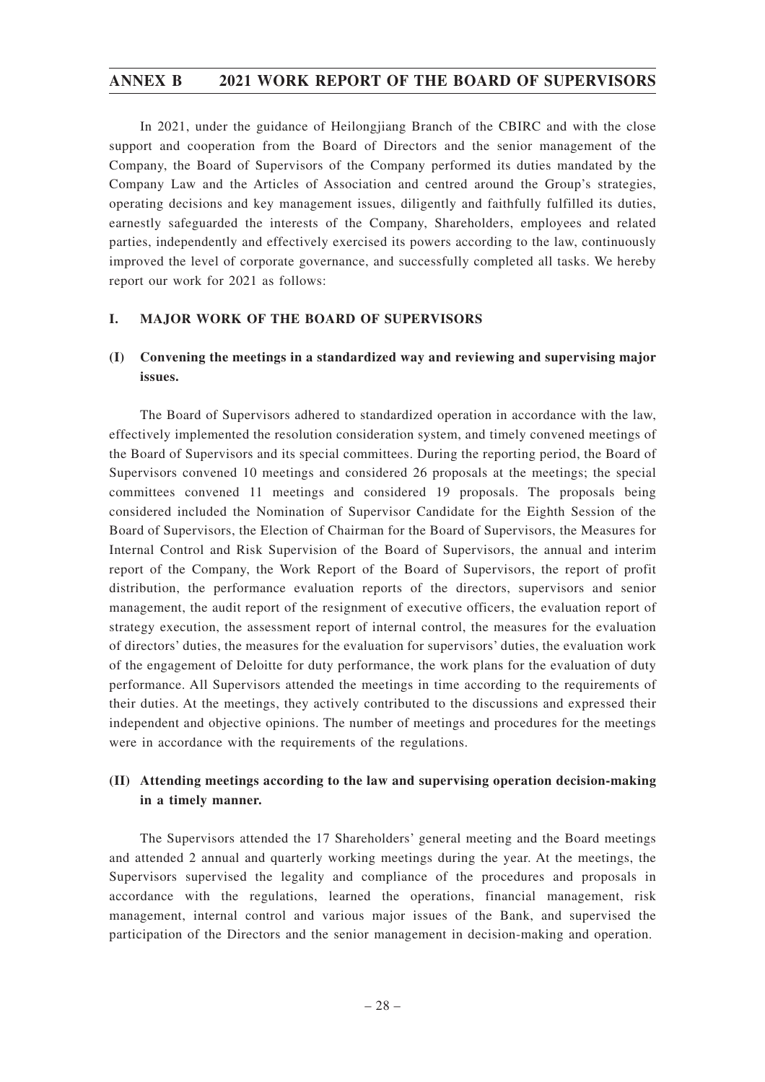In 2021, under the guidance of Heilongjiang Branch of the CBIRC and with the close support and cooperation from the Board of Directors and the senior management of the Company, the Board of Supervisors of the Company performed its duties mandated by the Company Law and the Articles of Association and centred around the Group's strategies, operating decisions and key management issues, diligently and faithfully fulfilled its duties, earnestly safeguarded the interests of the Company, Shareholders, employees and related parties, independently and effectively exercised its powers according to the law, continuously improved the level of corporate governance, and successfully completed all tasks. We hereby report our work for 2021 as follows:

### **I. MAJOR WORK OF THE BOARD OF SUPERVISORS**

# **(I) Convening the meetings in a standardized way and reviewing and supervising major issues.**

The Board of Supervisors adhered to standardized operation in accordance with the law, effectively implemented the resolution consideration system, and timely convened meetings of the Board of Supervisors and its special committees. During the reporting period, the Board of Supervisors convened 10 meetings and considered 26 proposals at the meetings; the special committees convened 11 meetings and considered 19 proposals. The proposals being considered included the Nomination of Supervisor Candidate for the Eighth Session of the Board of Supervisors, the Election of Chairman for the Board of Supervisors, the Measures for Internal Control and Risk Supervision of the Board of Supervisors, the annual and interim report of the Company, the Work Report of the Board of Supervisors, the report of profit distribution, the performance evaluation reports of the directors, supervisors and senior management, the audit report of the resignment of executive officers, the evaluation report of strategy execution, the assessment report of internal control, the measures for the evaluation of directors' duties, the measures for the evaluation for supervisors' duties, the evaluation work of the engagement of Deloitte for duty performance, the work plans for the evaluation of duty performance. All Supervisors attended the meetings in time according to the requirements of their duties. At the meetings, they actively contributed to the discussions and expressed their independent and objective opinions. The number of meetings and procedures for the meetings were in accordance with the requirements of the regulations.

# **(II) Attending meetings according to the law and supervising operation decision-making in a timely manner.**

The Supervisors attended the 17 Shareholders' general meeting and the Board meetings and attended 2 annual and quarterly working meetings during the year. At the meetings, the Supervisors supervised the legality and compliance of the procedures and proposals in accordance with the regulations, learned the operations, financial management, risk management, internal control and various major issues of the Bank, and supervised the participation of the Directors and the senior management in decision-making and operation.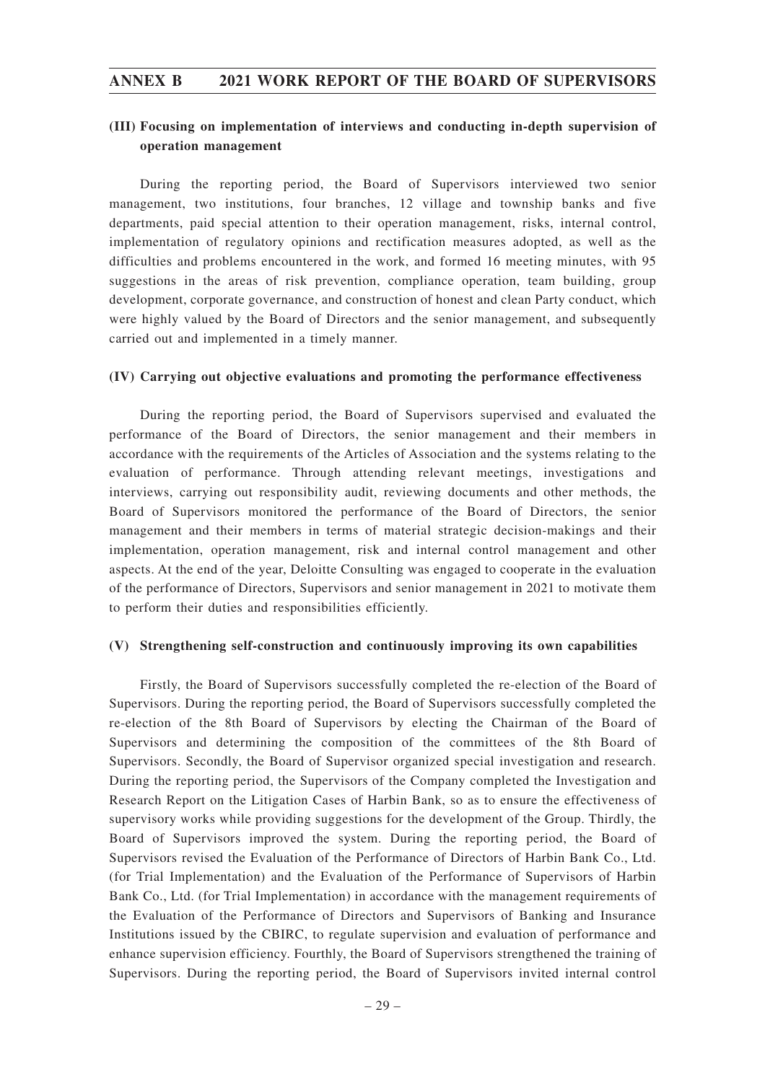# **(III) Focusing on implementation of interviews and conducting in-depth supervision of operation management**

During the reporting period, the Board of Supervisors interviewed two senior management, two institutions, four branches, 12 village and township banks and five departments, paid special attention to their operation management, risks, internal control, implementation of regulatory opinions and rectification measures adopted, as well as the difficulties and problems encountered in the work, and formed 16 meeting minutes, with 95 suggestions in the areas of risk prevention, compliance operation, team building, group development, corporate governance, and construction of honest and clean Party conduct, which were highly valued by the Board of Directors and the senior management, and subsequently carried out and implemented in a timely manner.

#### **(IV) Carrying out objective evaluations and promoting the performance effectiveness**

During the reporting period, the Board of Supervisors supervised and evaluated the performance of the Board of Directors, the senior management and their members in accordance with the requirements of the Articles of Association and the systems relating to the evaluation of performance. Through attending relevant meetings, investigations and interviews, carrying out responsibility audit, reviewing documents and other methods, the Board of Supervisors monitored the performance of the Board of Directors, the senior management and their members in terms of material strategic decision-makings and their implementation, operation management, risk and internal control management and other aspects. At the end of the year, Deloitte Consulting was engaged to cooperate in the evaluation of the performance of Directors, Supervisors and senior management in 2021 to motivate them to perform their duties and responsibilities efficiently.

### **(V) Strengthening self-construction and continuously improving its own capabilities**

Firstly, the Board of Supervisors successfully completed the re-election of the Board of Supervisors. During the reporting period, the Board of Supervisors successfully completed the re-election of the 8th Board of Supervisors by electing the Chairman of the Board of Supervisors and determining the composition of the committees of the 8th Board of Supervisors. Secondly, the Board of Supervisor organized special investigation and research. During the reporting period, the Supervisors of the Company completed the Investigation and Research Report on the Litigation Cases of Harbin Bank, so as to ensure the effectiveness of supervisory works while providing suggestions for the development of the Group. Thirdly, the Board of Supervisors improved the system. During the reporting period, the Board of Supervisors revised the Evaluation of the Performance of Directors of Harbin Bank Co., Ltd. (for Trial Implementation) and the Evaluation of the Performance of Supervisors of Harbin Bank Co., Ltd. (for Trial Implementation) in accordance with the management requirements of the Evaluation of the Performance of Directors and Supervisors of Banking and Insurance Institutions issued by the CBIRC, to regulate supervision and evaluation of performance and enhance supervision efficiency. Fourthly, the Board of Supervisors strengthened the training of Supervisors. During the reporting period, the Board of Supervisors invited internal control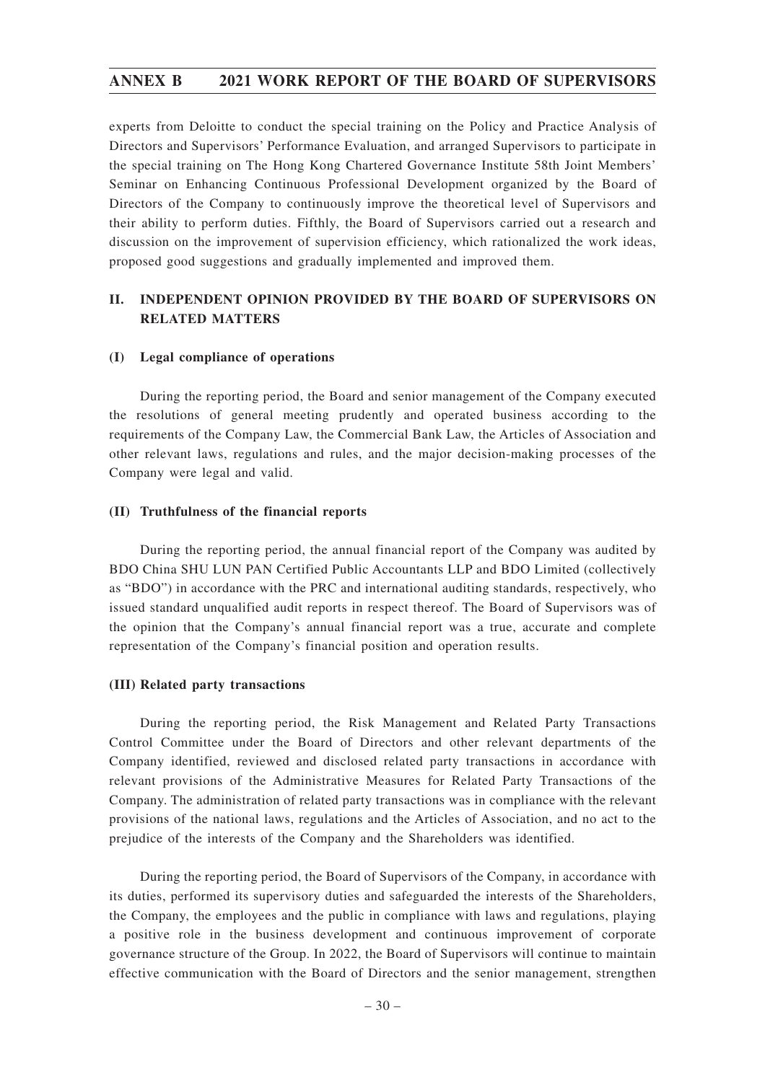experts from Deloitte to conduct the special training on the Policy and Practice Analysis of Directors and Supervisors' Performance Evaluation, and arranged Supervisors to participate in the special training on The Hong Kong Chartered Governance Institute 58th Joint Members' Seminar on Enhancing Continuous Professional Development organized by the Board of Directors of the Company to continuously improve the theoretical level of Supervisors and their ability to perform duties. Fifthly, the Board of Supervisors carried out a research and discussion on the improvement of supervision efficiency, which rationalized the work ideas, proposed good suggestions and gradually implemented and improved them.

# **II. INDEPENDENT OPINION PROVIDED BY THE BOARD OF SUPERVISORS ON RELATED MATTERS**

### **(I) Legal compliance of operations**

During the reporting period, the Board and senior management of the Company executed the resolutions of general meeting prudently and operated business according to the requirements of the Company Law, the Commercial Bank Law, the Articles of Association and other relevant laws, regulations and rules, and the major decision-making processes of the Company were legal and valid.

#### **(II) Truthfulness of the financial reports**

During the reporting period, the annual financial report of the Company was audited by BDO China SHU LUN PAN Certified Public Accountants LLP and BDO Limited (collectively as "BDO") in accordance with the PRC and international auditing standards, respectively, who issued standard unqualified audit reports in respect thereof. The Board of Supervisors was of the opinion that the Company's annual financial report was a true, accurate and complete representation of the Company's financial position and operation results.

### **(III) Related party transactions**

During the reporting period, the Risk Management and Related Party Transactions Control Committee under the Board of Directors and other relevant departments of the Company identified, reviewed and disclosed related party transactions in accordance with relevant provisions of the Administrative Measures for Related Party Transactions of the Company. The administration of related party transactions was in compliance with the relevant provisions of the national laws, regulations and the Articles of Association, and no act to the prejudice of the interests of the Company and the Shareholders was identified.

During the reporting period, the Board of Supervisors of the Company, in accordance with its duties, performed its supervisory duties and safeguarded the interests of the Shareholders, the Company, the employees and the public in compliance with laws and regulations, playing a positive role in the business development and continuous improvement of corporate governance structure of the Group. In 2022, the Board of Supervisors will continue to maintain effective communication with the Board of Directors and the senior management, strengthen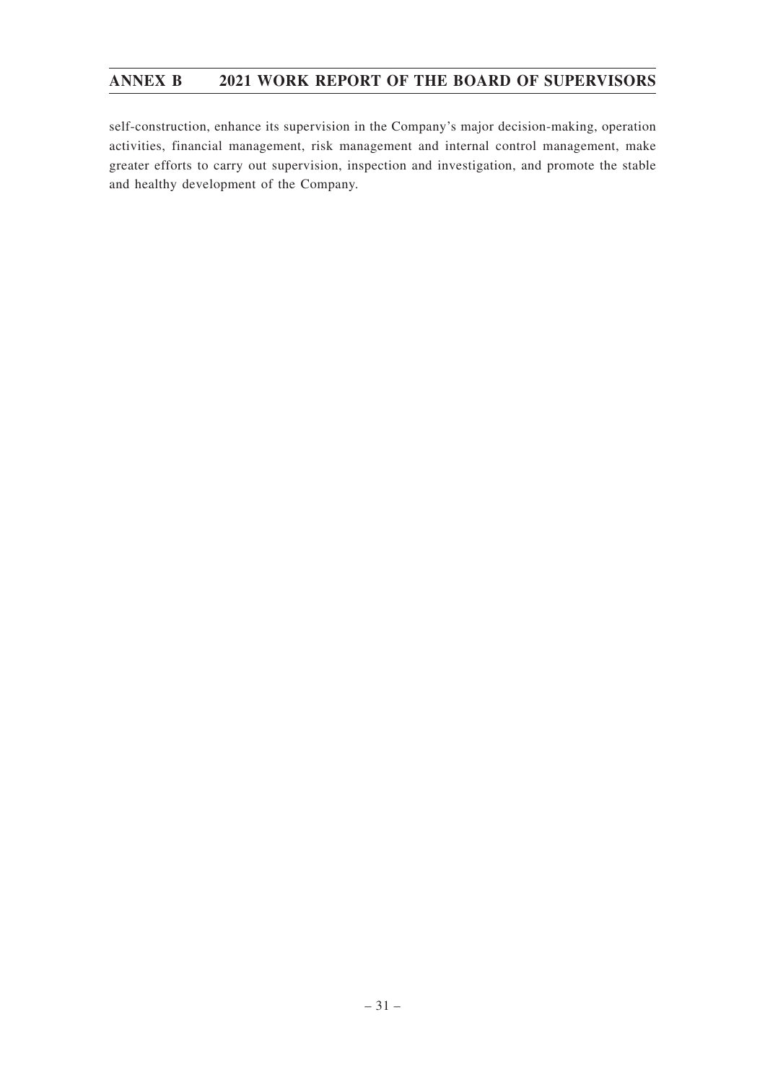self-construction, enhance its supervision in the Company's major decision-making, operation activities, financial management, risk management and internal control management, make greater efforts to carry out supervision, inspection and investigation, and promote the stable and healthy development of the Company.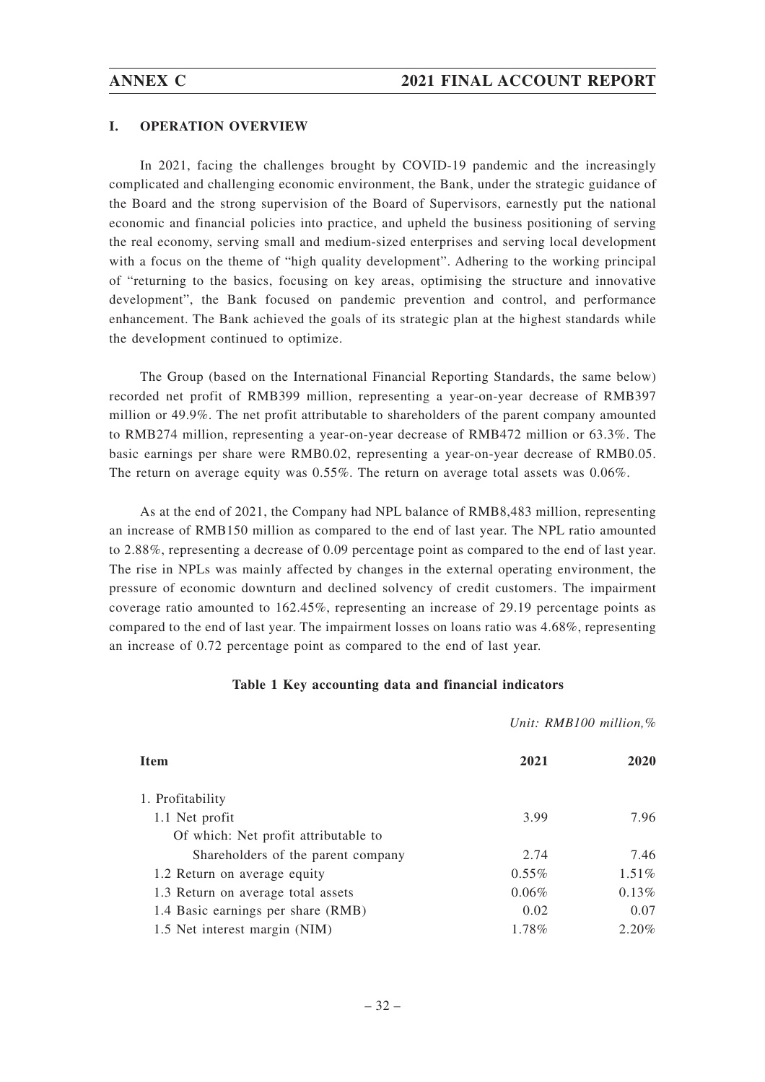#### **I. OPERATION OVERVIEW**

In 2021, facing the challenges brought by COVID-19 pandemic and the increasingly complicated and challenging economic environment, the Bank, under the strategic guidance of the Board and the strong supervision of the Board of Supervisors, earnestly put the national economic and financial policies into practice, and upheld the business positioning of serving the real economy, serving small and medium-sized enterprises and serving local development with a focus on the theme of "high quality development". Adhering to the working principal of "returning to the basics, focusing on key areas, optimising the structure and innovative development", the Bank focused on pandemic prevention and control, and performance enhancement. The Bank achieved the goals of its strategic plan at the highest standards while the development continued to optimize.

The Group (based on the International Financial Reporting Standards, the same below) recorded net profit of RMB399 million, representing a year-on-year decrease of RMB397 million or 49.9%. The net profit attributable to shareholders of the parent company amounted to RMB274 million, representing a year-on-year decrease of RMB472 million or 63.3%. The basic earnings per share were RMB0.02, representing a year-on-year decrease of RMB0.05. The return on average equity was 0.55%. The return on average total assets was 0.06%.

As at the end of 2021, the Company had NPL balance of RMB8,483 million, representing an increase of RMB150 million as compared to the end of last year. The NPL ratio amounted to 2.88%, representing a decrease of 0.09 percentage point as compared to the end of last year. The rise in NPLs was mainly affected by changes in the external operating environment, the pressure of economic downturn and declined solvency of credit customers. The impairment coverage ratio amounted to 162.45%, representing an increase of 29.19 percentage points as compared to the end of last year. The impairment losses on loans ratio was 4.68%, representing an increase of 0.72 percentage point as compared to the end of last year.

#### **Table 1 Key accounting data and financial indicators**

#### *Unit: RMB100 million,%*

| Item                                 | 2021     | 2020     |
|--------------------------------------|----------|----------|
| 1. Profitability                     |          |          |
| 1.1 Net profit                       | 3.99     | 7.96     |
| Of which: Net profit attributable to |          |          |
| Shareholders of the parent company   | 2.74     | 7.46     |
| 1.2 Return on average equity         | $0.55\%$ | $1.51\%$ |
| 1.3 Return on average total assets   | 0.06%    | 0.13%    |
| 1.4 Basic earnings per share (RMB)   | 0.02     | 0.07     |
| 1.5 Net interest margin (NIM)        | 1.78%    | $2.20\%$ |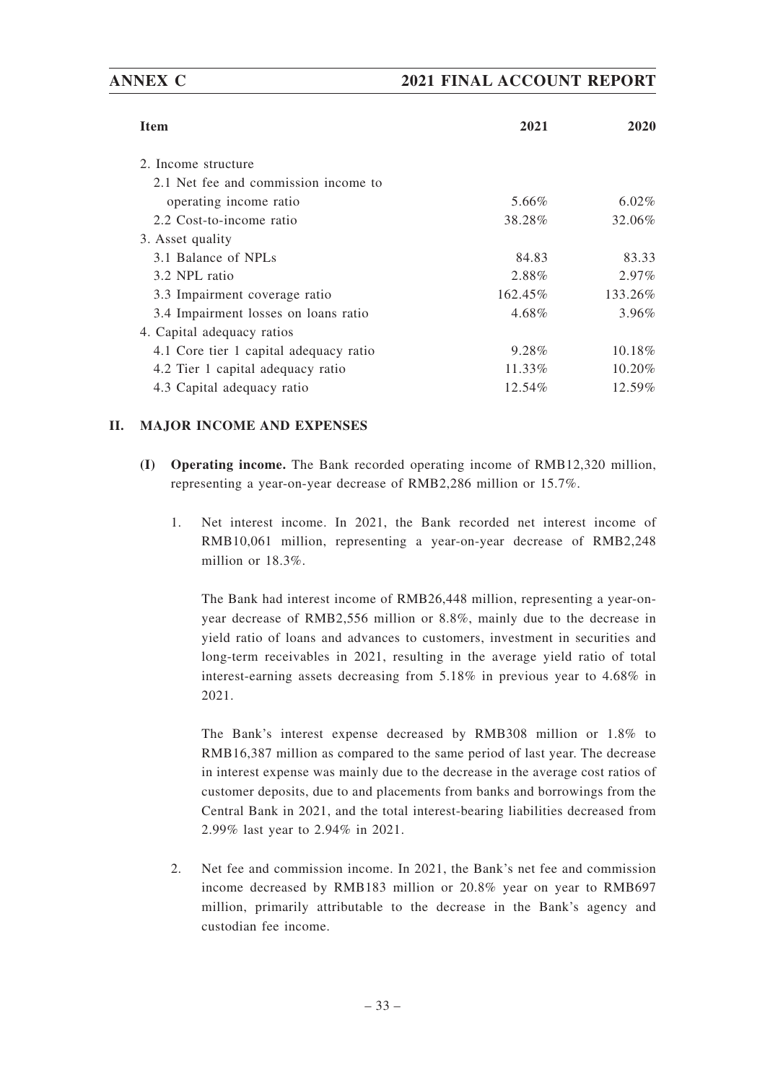# **ANNEX C 2021 FINAL ACCOUNT REPORT**

| <b>Item</b>                            | 2021    | 2020      |
|----------------------------------------|---------|-----------|
|                                        |         |           |
| 2. Income structure                    |         |           |
| 2.1 Net fee and commission income to   |         |           |
| operating income ratio                 | 5.66%   | $6.02\%$  |
| 2.2 Cost-to-income ratio               | 38.28%  | 32.06%    |
| 3. Asset quality                       |         |           |
| 3.1 Balance of NPLs                    | 84.83   | 83.33     |
| 3.2 NPL ratio                          | 2.88%   | $2.97\%$  |
| 3.3 Impairment coverage ratio          | 162.45% | 133.26%   |
| 3.4 Impairment losses on loans ratio   | 4.68%   | $3.96\%$  |
| 4. Capital adequacy ratios             |         |           |
| 4.1 Core tier 1 capital adequacy ratio | 9.28%   | $10.18\%$ |
| 4.2 Tier 1 capital adequacy ratio      | 11.33%  | $10.20\%$ |
| 4.3 Capital adequacy ratio             | 12.54%  | 12.59%    |

# **II. MAJOR INCOME AND EXPENSES**

- **(I) Operating income.** The Bank recorded operating income of RMB12,320 million, representing a year-on-year decrease of RMB2,286 million or 15.7%.
	- 1. Net interest income. In 2021, the Bank recorded net interest income of RMB10,061 million, representing a year-on-year decrease of RMB2,248 million or 18.3%.

The Bank had interest income of RMB26,448 million, representing a year-onyear decrease of RMB2,556 million or 8.8%, mainly due to the decrease in yield ratio of loans and advances to customers, investment in securities and long-term receivables in 2021, resulting in the average yield ratio of total interest-earning assets decreasing from 5.18% in previous year to 4.68% in 2021.

The Bank's interest expense decreased by RMB308 million or 1.8% to RMB16,387 million as compared to the same period of last year. The decrease in interest expense was mainly due to the decrease in the average cost ratios of customer deposits, due to and placements from banks and borrowings from the Central Bank in 2021, and the total interest-bearing liabilities decreased from 2.99% last year to 2.94% in 2021.

2. Net fee and commission income. In 2021, the Bank's net fee and commission income decreased by RMB183 million or 20.8% year on year to RMB697 million, primarily attributable to the decrease in the Bank's agency and custodian fee income.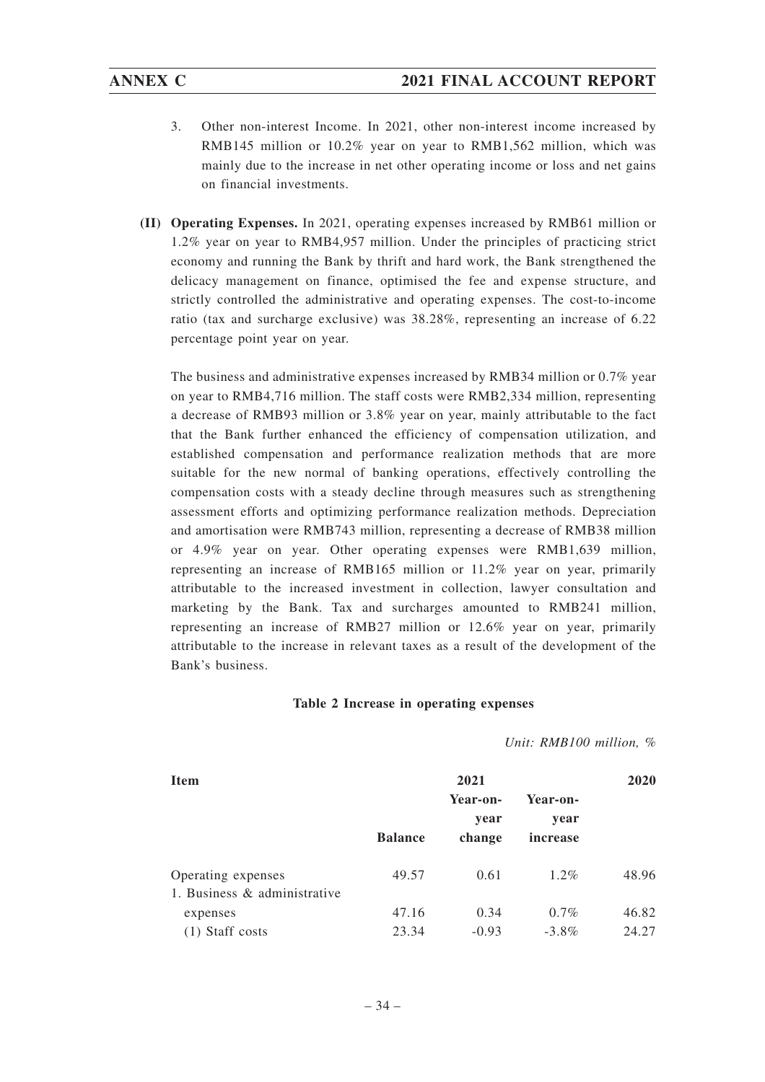- 3. Other non-interest Income. In 2021, other non-interest income increased by RMB145 million or 10.2% year on year to RMB1,562 million, which was mainly due to the increase in net other operating income or loss and net gains on financial investments.
- **(II) Operating Expenses.** In 2021, operating expenses increased by RMB61 million or 1.2% year on year to RMB4,957 million. Under the principles of practicing strict economy and running the Bank by thrift and hard work, the Bank strengthened the delicacy management on finance, optimised the fee and expense structure, and strictly controlled the administrative and operating expenses. The cost-to-income ratio (tax and surcharge exclusive) was 38.28%, representing an increase of 6.22 percentage point year on year.

The business and administrative expenses increased by RMB34 million or 0.7% year on year to RMB4,716 million. The staff costs were RMB2,334 million, representing a decrease of RMB93 million or 3.8% year on year, mainly attributable to the fact that the Bank further enhanced the efficiency of compensation utilization, and established compensation and performance realization methods that are more suitable for the new normal of banking operations, effectively controlling the compensation costs with a steady decline through measures such as strengthening assessment efforts and optimizing performance realization methods. Depreciation and amortisation were RMB743 million, representing a decrease of RMB38 million or 4.9% year on year. Other operating expenses were RMB1,639 million, representing an increase of RMB165 million or 11.2% year on year, primarily attributable to the increased investment in collection, lawyer consultation and marketing by the Bank. Tax and surcharges amounted to RMB241 million, representing an increase of RMB27 million or 12.6% year on year, primarily attributable to the increase in relevant taxes as a result of the development of the Bank's business.

### **Table 2 Increase in operating expenses**

*Unit: RMB100 million, %*

| <b>Item</b>                  | 2021           |                  |                  |       |  |  |
|------------------------------|----------------|------------------|------------------|-------|--|--|
|                              |                | Year-on-<br>year | Year-on-<br>year |       |  |  |
|                              | <b>Balance</b> | change           | increase         |       |  |  |
| Operating expenses           | 49.57          | 0.61             | $1.2\%$          | 48.96 |  |  |
| 1. Business & administrative |                |                  |                  |       |  |  |
| expenses                     | 47.16          | 0.34             | $0.7\%$          | 46.82 |  |  |
| Staff costs                  | 23.34          | $-0.93$          | $-3.8\%$         | 24.27 |  |  |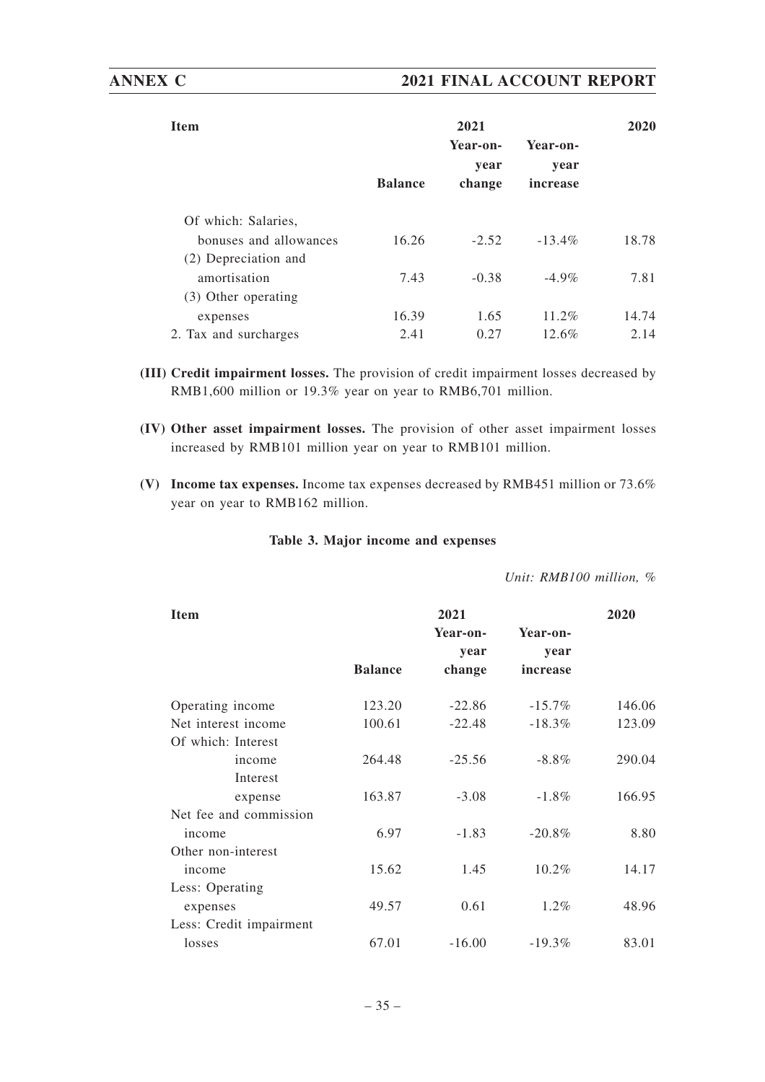| <b>Item</b>            |                | 2020                       |                              |       |
|------------------------|----------------|----------------------------|------------------------------|-------|
|                        | <b>Balance</b> | Year-on-<br>year<br>change | Year-on-<br>year<br>increase |       |
| Of which: Salaries,    |                |                            |                              |       |
| bonuses and allowances | 16.26          | $-2.52$                    | $-13.4\%$                    | 18.78 |
| (2) Depreciation and   |                |                            |                              |       |
| amortisation           | 7.43           | $-0.38$                    | $-4.9\%$                     | 7.81  |
| (3) Other operating    |                |                            |                              |       |
| expenses               | 16.39          | 1.65                       | $11.2\%$                     | 14.74 |
| 2. Tax and surcharges  | 2.41           | 0.27                       | 12.6%                        | 2.14  |

- **(III) Credit impairment losses.** The provision of credit impairment losses decreased by RMB1,600 million or 19.3% year on year to RMB6,701 million.
- **(IV) Other asset impairment losses.** The provision of other asset impairment losses increased by RMB101 million year on year to RMB101 million.
- **(V) Income tax expenses.** Income tax expenses decreased by RMB451 million or 73.6% year on year to RMB162 million.

### **Table 3. Major income and expenses**

*Unit: RMB100 million, %*

| <b>Item</b>             |                | 2021     |           | 2020   |
|-------------------------|----------------|----------|-----------|--------|
|                         |                | Year-on- | Year-on-  |        |
|                         |                | year     | year      |        |
|                         | <b>Balance</b> | change   | increase  |        |
| Operating income        | 123.20         | $-22.86$ | $-15.7\%$ | 146.06 |
| Net interest income     | 100.61         | $-22.48$ | $-18.3\%$ | 123.09 |
| Of which: Interest      |                |          |           |        |
| income                  | 264.48         | $-25.56$ | $-8.8\%$  | 290.04 |
| Interest                |                |          |           |        |
| expense                 | 163.87         | $-3.08$  | $-1.8\%$  | 166.95 |
| Net fee and commission  |                |          |           |        |
| income                  | 6.97           | $-1.83$  | $-20.8%$  | 8.80   |
| Other non-interest      |                |          |           |        |
| income                  | 15.62          | 1.45     | 10.2%     | 14.17  |
| Less: Operating         |                |          |           |        |
| expenses                | 49.57          | 0.61     | $1.2\%$   | 48.96  |
| Less: Credit impairment |                |          |           |        |
| losses                  | 67.01          | $-16.00$ | $-19.3%$  | 83.01  |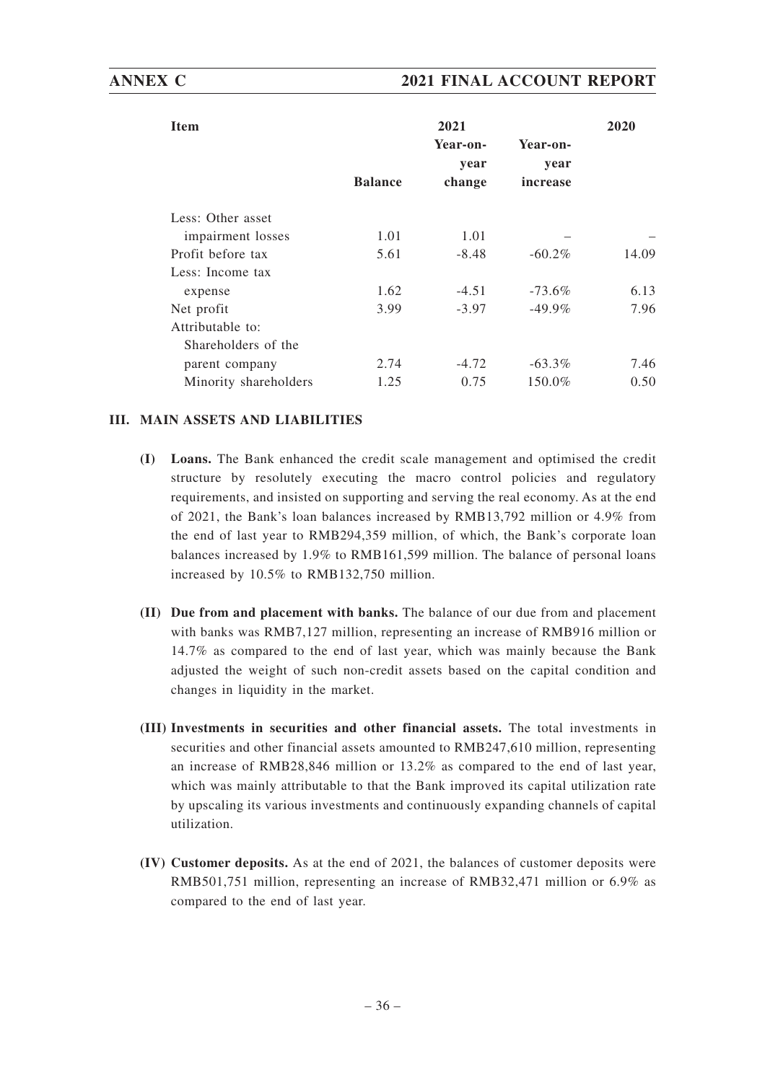| <b>Item</b>           |                | 2021     |           | 2020  |
|-----------------------|----------------|----------|-----------|-------|
|                       |                | Year-on- | Year-on-  |       |
|                       |                | year     | year      |       |
|                       | <b>Balance</b> | change   | increase  |       |
| Less: Other asset     |                |          |           |       |
| impairment losses     | 1.01           | 1.01     |           |       |
| Profit before tax     | 5.61           | $-8.48$  | $-60.2\%$ | 14.09 |
| Less: Income tax      |                |          |           |       |
| expense               | 1.62           | $-4.51$  | $-73.6\%$ | 6.13  |
| Net profit            | 3.99           | $-3.97$  | $-49.9\%$ | 7.96  |
| Attributable to:      |                |          |           |       |
| Shareholders of the   |                |          |           |       |
| parent company        | 2.74           | $-4.72$  | $-63.3\%$ | 7.46  |
| Minority shareholders | 1.25           | 0.75     | 150.0%    | 0.50  |

## **III. MAIN ASSETS AND LIABILITIES**

- **(I) Loans.** The Bank enhanced the credit scale management and optimised the credit structure by resolutely executing the macro control policies and regulatory requirements, and insisted on supporting and serving the real economy. As at the end of 2021, the Bank's loan balances increased by RMB13,792 million or 4.9% from the end of last year to RMB294,359 million, of which, the Bank's corporate loan balances increased by 1.9% to RMB161,599 million. The balance of personal loans increased by 10.5% to RMB132,750 million.
- **(II) Due from and placement with banks.** The balance of our due from and placement with banks was RMB7,127 million, representing an increase of RMB916 million or 14.7% as compared to the end of last year, which was mainly because the Bank adjusted the weight of such non-credit assets based on the capital condition and changes in liquidity in the market.
- **(III) Investments in securities and other financial assets.** The total investments in securities and other financial assets amounted to RMB247,610 million, representing an increase of RMB28,846 million or 13.2% as compared to the end of last year, which was mainly attributable to that the Bank improved its capital utilization rate by upscaling its various investments and continuously expanding channels of capital utilization.
- **(IV) Customer deposits.** As at the end of 2021, the balances of customer deposits were RMB501,751 million, representing an increase of RMB32,471 million or 6.9% as compared to the end of last year.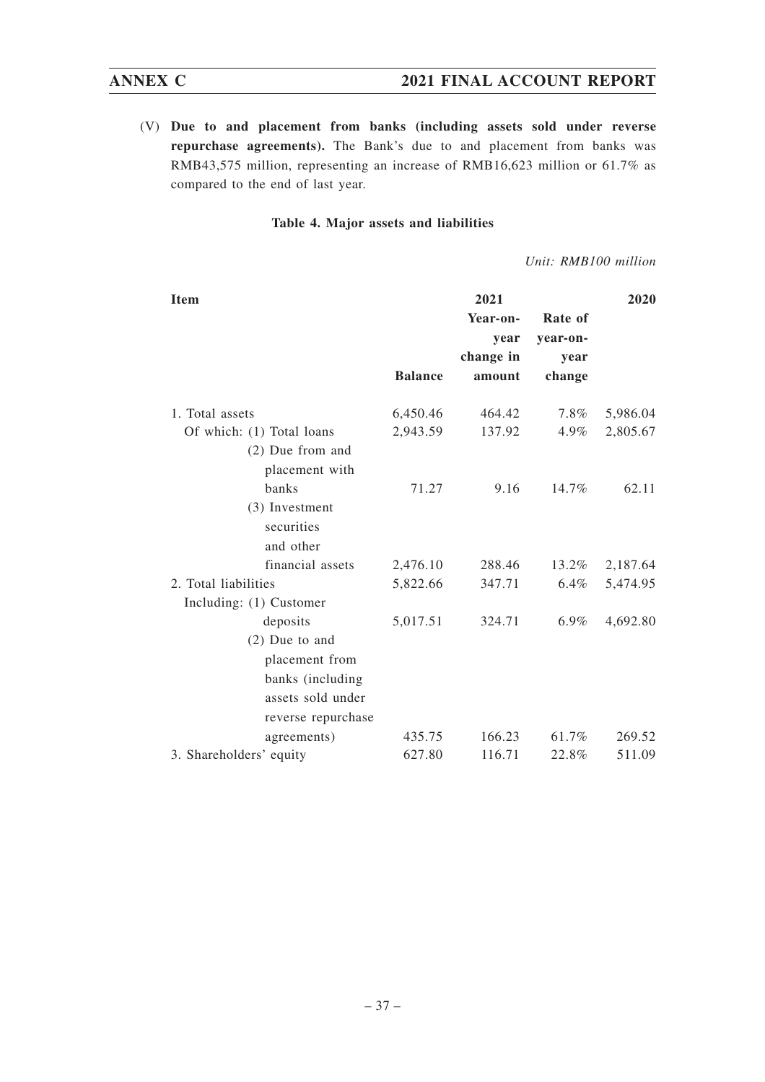## **ANNEX C 2021 FINAL ACCOUNT REPORT**

(V) **Due to and placement from banks (including assets sold under reverse repurchase agreements).** The Bank's due to and placement from banks was RMB43,575 million, representing an increase of RMB16,623 million or 61.7% as compared to the end of last year.

### **Table 4. Major assets and liabilities**

*Unit: RMB100 million*

| <b>Item</b>               |                | 2021      |          | 2020     |
|---------------------------|----------------|-----------|----------|----------|
|                           |                | Year-on-  | Rate of  |          |
|                           |                | year      | year-on- |          |
|                           |                | change in | year     |          |
|                           | <b>Balance</b> | amount    | change   |          |
| 1. Total assets           | 6,450.46       | 464.42    | $7.8\%$  | 5,986.04 |
| Of which: (1) Total loans | 2,943.59       | 137.92    | 4.9%     | 2,805.67 |
| $(2)$ Due from and        |                |           |          |          |
| placement with            |                |           |          |          |
| banks                     | 71.27          | 9.16      | 14.7%    | 62.11    |
| (3) Investment            |                |           |          |          |
| securities                |                |           |          |          |
| and other                 |                |           |          |          |
| financial assets          | 2,476.10       | 288.46    | 13.2%    | 2,187.64 |
| 2. Total liabilities      | 5,822.66       | 347.71    | $6.4\%$  | 5,474.95 |
| Including: (1) Customer   |                |           |          |          |
| deposits                  | 5,017.51       | 324.71    | $6.9\%$  | 4,692.80 |
| $(2)$ Due to and          |                |           |          |          |
| placement from            |                |           |          |          |
| banks (including          |                |           |          |          |
| assets sold under         |                |           |          |          |
| reverse repurchase        |                |           |          |          |
| agreements)               | 435.75         | 166.23    | 61.7%    | 269.52   |
| 3. Shareholders' equity   | 627.80         | 116.71    | 22.8%    | 511.09   |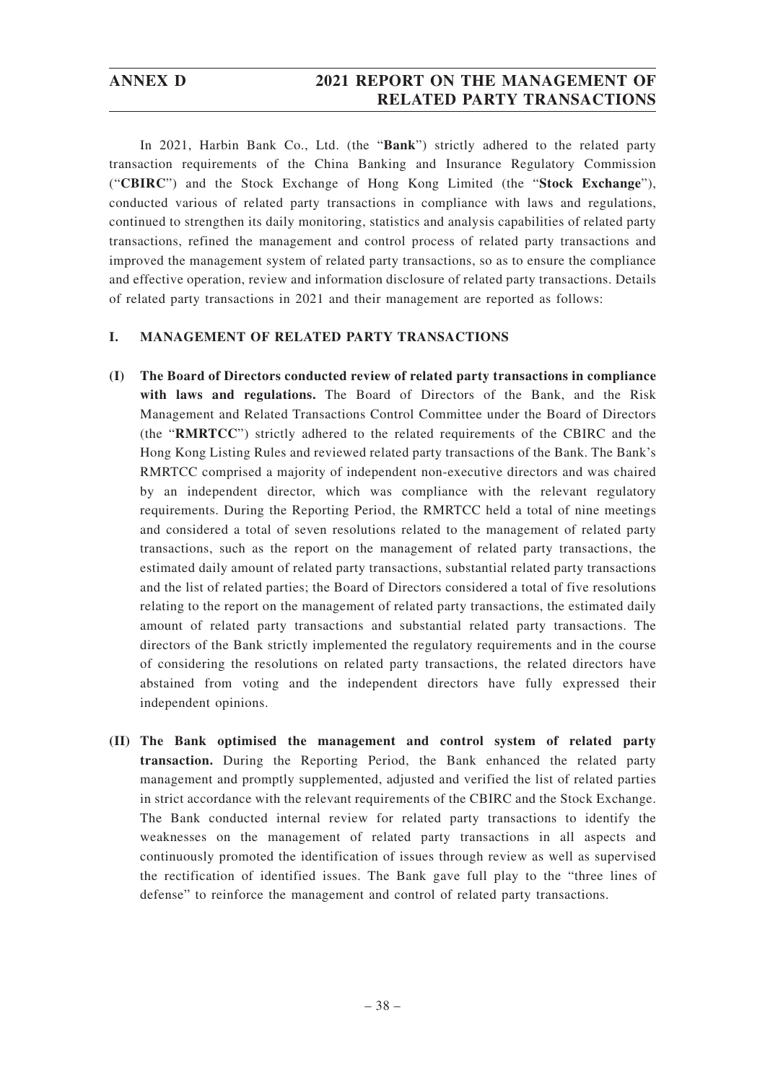# **ANNEX D 2021 REPORT ON THE MANAGEMENT OF RELATED PARTY TRANSACTIONS**

In 2021, Harbin Bank Co., Ltd. (the "**Bank**") strictly adhered to the related party transaction requirements of the China Banking and Insurance Regulatory Commission ("**CBIRC**") and the Stock Exchange of Hong Kong Limited (the "**Stock Exchange**"), conducted various of related party transactions in compliance with laws and regulations, continued to strengthen its daily monitoring, statistics and analysis capabilities of related party transactions, refined the management and control process of related party transactions and improved the management system of related party transactions, so as to ensure the compliance and effective operation, review and information disclosure of related party transactions. Details of related party transactions in 2021 and their management are reported as follows:

### **I. MANAGEMENT OF RELATED PARTY TRANSACTIONS**

- **(I) The Board of Directors conducted review of related party transactions in compliance with laws and regulations.** The Board of Directors of the Bank, and the Risk Management and Related Transactions Control Committee under the Board of Directors (the "**RMRTCC**") strictly adhered to the related requirements of the CBIRC and the Hong Kong Listing Rules and reviewed related party transactions of the Bank. The Bank's RMRTCC comprised a majority of independent non-executive directors and was chaired by an independent director, which was compliance with the relevant regulatory requirements. During the Reporting Period, the RMRTCC held a total of nine meetings and considered a total of seven resolutions related to the management of related party transactions, such as the report on the management of related party transactions, the estimated daily amount of related party transactions, substantial related party transactions and the list of related parties; the Board of Directors considered a total of five resolutions relating to the report on the management of related party transactions, the estimated daily amount of related party transactions and substantial related party transactions. The directors of the Bank strictly implemented the regulatory requirements and in the course of considering the resolutions on related party transactions, the related directors have abstained from voting and the independent directors have fully expressed their independent opinions.
- **(II) The Bank optimised the management and control system of related party transaction.** During the Reporting Period, the Bank enhanced the related party management and promptly supplemented, adjusted and verified the list of related parties in strict accordance with the relevant requirements of the CBIRC and the Stock Exchange. The Bank conducted internal review for related party transactions to identify the weaknesses on the management of related party transactions in all aspects and continuously promoted the identification of issues through review as well as supervised the rectification of identified issues. The Bank gave full play to the "three lines of defense" to reinforce the management and control of related party transactions.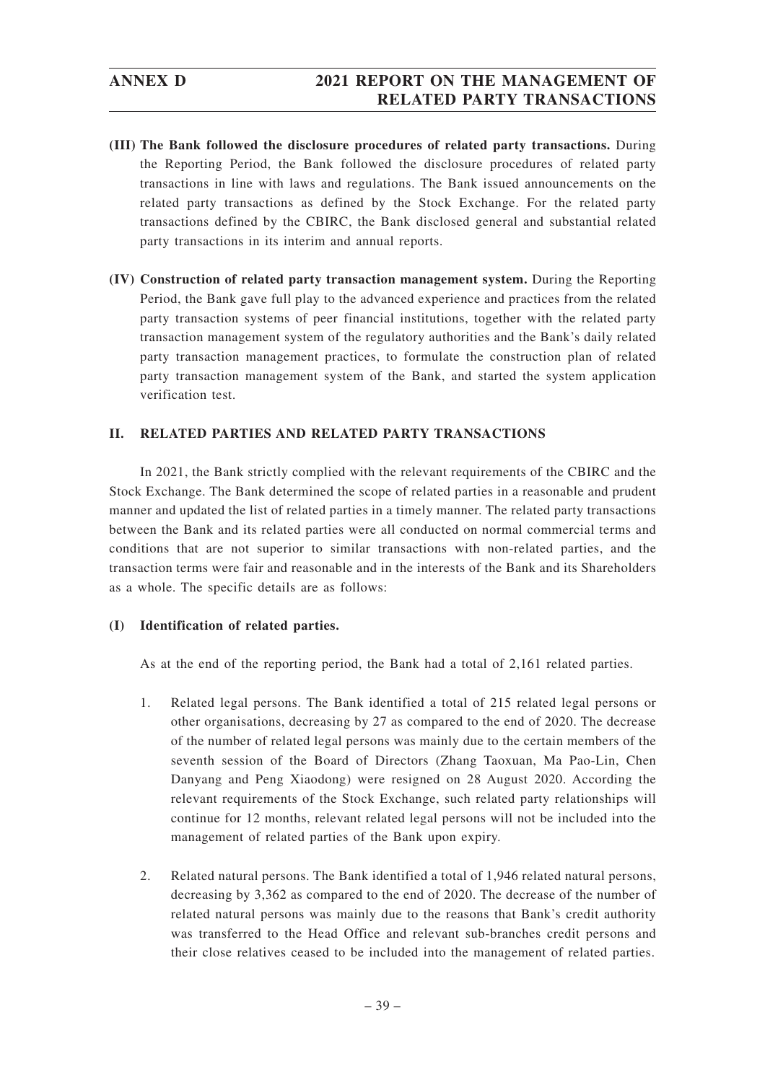- **(III) The Bank followed the disclosure procedures of related party transactions.** During the Reporting Period, the Bank followed the disclosure procedures of related party transactions in line with laws and regulations. The Bank issued announcements on the related party transactions as defined by the Stock Exchange. For the related party transactions defined by the CBIRC, the Bank disclosed general and substantial related party transactions in its interim and annual reports.
- **(IV) Construction of related party transaction management system.** During the Reporting Period, the Bank gave full play to the advanced experience and practices from the related party transaction systems of peer financial institutions, together with the related party transaction management system of the regulatory authorities and the Bank's daily related party transaction management practices, to formulate the construction plan of related party transaction management system of the Bank, and started the system application verification test.

## **II. RELATED PARTIES AND RELATED PARTY TRANSACTIONS**

In 2021, the Bank strictly complied with the relevant requirements of the CBIRC and the Stock Exchange. The Bank determined the scope of related parties in a reasonable and prudent manner and updated the list of related parties in a timely manner. The related party transactions between the Bank and its related parties were all conducted on normal commercial terms and conditions that are not superior to similar transactions with non-related parties, and the transaction terms were fair and reasonable and in the interests of the Bank and its Shareholders as a whole. The specific details are as follows:

### **(I) Identification of related parties.**

As at the end of the reporting period, the Bank had a total of 2,161 related parties.

- 1. Related legal persons. The Bank identified a total of 215 related legal persons or other organisations, decreasing by 27 as compared to the end of 2020. The decrease of the number of related legal persons was mainly due to the certain members of the seventh session of the Board of Directors (Zhang Taoxuan, Ma Pao-Lin, Chen Danyang and Peng Xiaodong) were resigned on 28 August 2020. According the relevant requirements of the Stock Exchange, such related party relationships will continue for 12 months, relevant related legal persons will not be included into the management of related parties of the Bank upon expiry.
- 2. Related natural persons. The Bank identified a total of 1,946 related natural persons, decreasing by 3,362 as compared to the end of 2020. The decrease of the number of related natural persons was mainly due to the reasons that Bank's credit authority was transferred to the Head Office and relevant sub-branches credit persons and their close relatives ceased to be included into the management of related parties.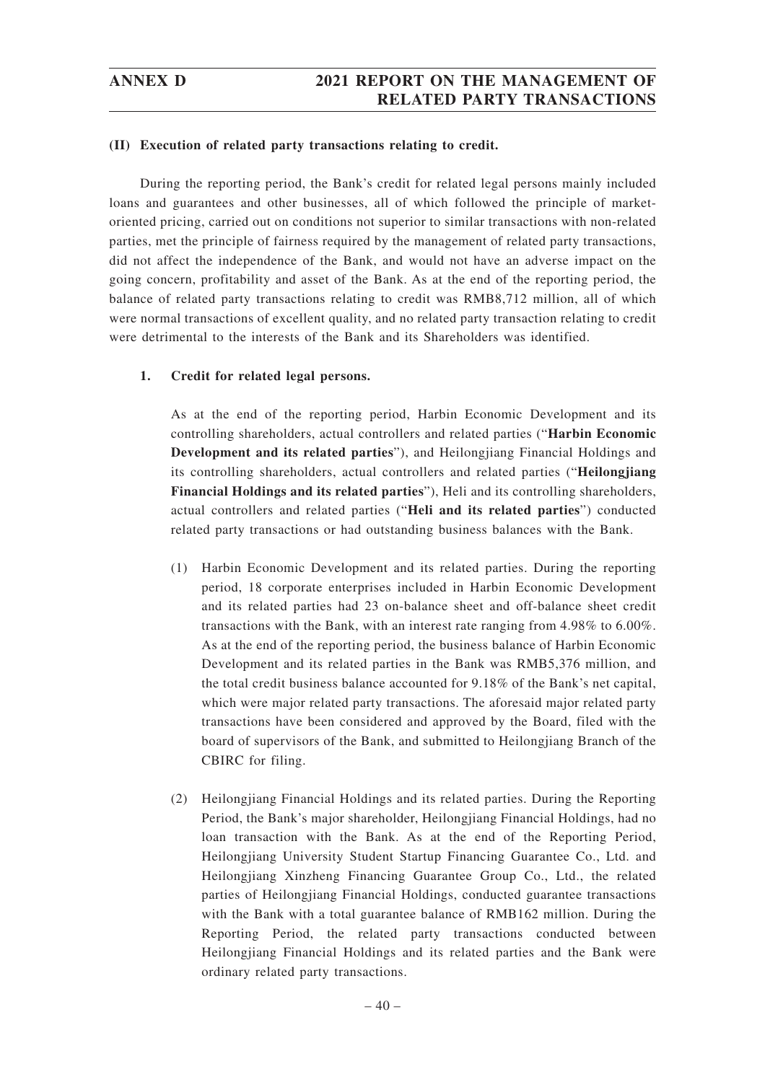### **(II) Execution of related party transactions relating to credit.**

During the reporting period, the Bank's credit for related legal persons mainly included loans and guarantees and other businesses, all of which followed the principle of marketoriented pricing, carried out on conditions not superior to similar transactions with non-related parties, met the principle of fairness required by the management of related party transactions, did not affect the independence of the Bank, and would not have an adverse impact on the going concern, profitability and asset of the Bank. As at the end of the reporting period, the balance of related party transactions relating to credit was RMB8,712 million, all of which were normal transactions of excellent quality, and no related party transaction relating to credit were detrimental to the interests of the Bank and its Shareholders was identified.

### **1. Credit for related legal persons.**

As at the end of the reporting period, Harbin Economic Development and its controlling shareholders, actual controllers and related parties ("**Harbin Economic Development and its related parties**"), and Heilongjiang Financial Holdings and its controlling shareholders, actual controllers and related parties ("**Heilongjiang Financial Holdings and its related parties**"), Heli and its controlling shareholders, actual controllers and related parties ("**Heli and its related parties**") conducted related party transactions or had outstanding business balances with the Bank.

- (1) Harbin Economic Development and its related parties. During the reporting period, 18 corporate enterprises included in Harbin Economic Development and its related parties had 23 on-balance sheet and off-balance sheet credit transactions with the Bank, with an interest rate ranging from 4.98% to 6.00%. As at the end of the reporting period, the business balance of Harbin Economic Development and its related parties in the Bank was RMB5,376 million, and the total credit business balance accounted for 9.18% of the Bank's net capital, which were major related party transactions. The aforesaid major related party transactions have been considered and approved by the Board, filed with the board of supervisors of the Bank, and submitted to Heilongjiang Branch of the CBIRC for filing.
- (2) Heilongjiang Financial Holdings and its related parties. During the Reporting Period, the Bank's major shareholder, Heilongjiang Financial Holdings, had no loan transaction with the Bank. As at the end of the Reporting Period, Heilongjiang University Student Startup Financing Guarantee Co., Ltd. and Heilongjiang Xinzheng Financing Guarantee Group Co., Ltd., the related parties of Heilongjiang Financial Holdings, conducted guarantee transactions with the Bank with a total guarantee balance of RMB162 million. During the Reporting Period, the related party transactions conducted between Heilongjiang Financial Holdings and its related parties and the Bank were ordinary related party transactions.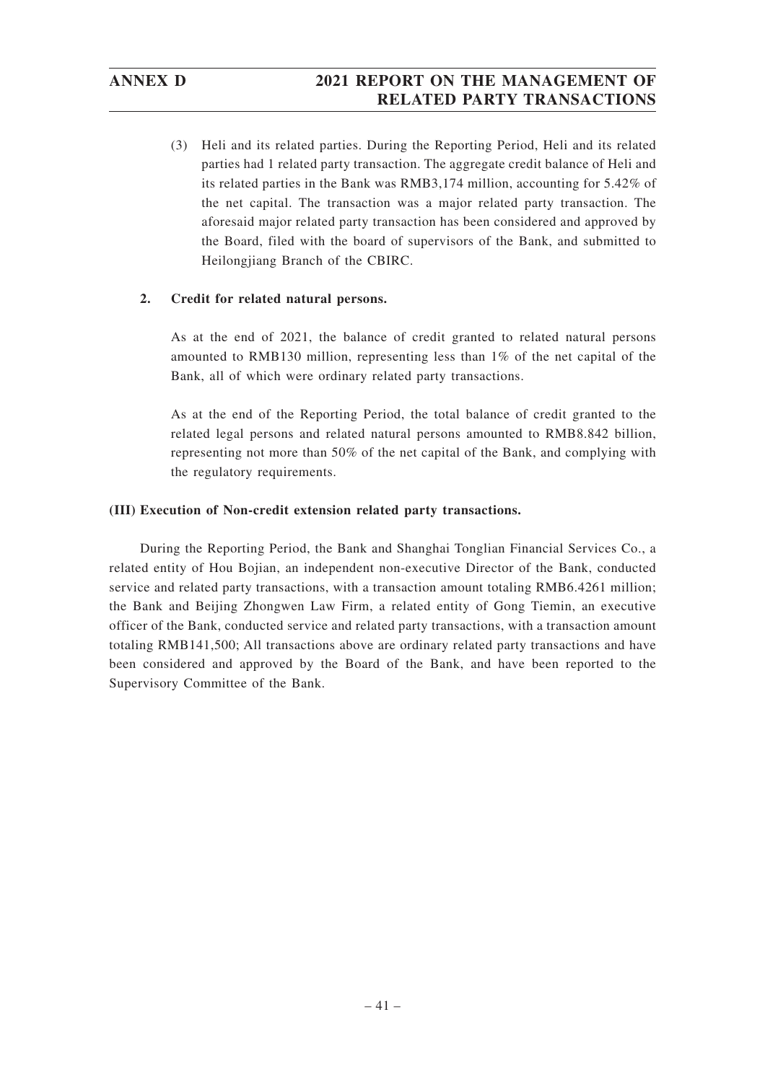# **ANNEX D 2021 REPORT ON THE MANAGEMENT OF RELATED PARTY TRANSACTIONS**

(3) Heli and its related parties. During the Reporting Period, Heli and its related parties had 1 related party transaction. The aggregate credit balance of Heli and its related parties in the Bank was RMB3,174 million, accounting for 5.42% of the net capital. The transaction was a major related party transaction. The aforesaid major related party transaction has been considered and approved by the Board, filed with the board of supervisors of the Bank, and submitted to Heilongjiang Branch of the CBIRC.

### **2. Credit for related natural persons.**

As at the end of 2021, the balance of credit granted to related natural persons amounted to RMB130 million, representing less than 1% of the net capital of the Bank, all of which were ordinary related party transactions.

As at the end of the Reporting Period, the total balance of credit granted to the related legal persons and related natural persons amounted to RMB8.842 billion, representing not more than 50% of the net capital of the Bank, and complying with the regulatory requirements.

### **(III) Execution of Non-credit extension related party transactions.**

During the Reporting Period, the Bank and Shanghai Tonglian Financial Services Co., a related entity of Hou Bojian, an independent non-executive Director of the Bank, conducted service and related party transactions, with a transaction amount totaling RMB6.4261 million; the Bank and Beijing Zhongwen Law Firm, a related entity of Gong Tiemin, an executive officer of the Bank, conducted service and related party transactions, with a transaction amount totaling RMB141,500; All transactions above are ordinary related party transactions and have been considered and approved by the Board of the Bank, and have been reported to the Supervisory Committee of the Bank.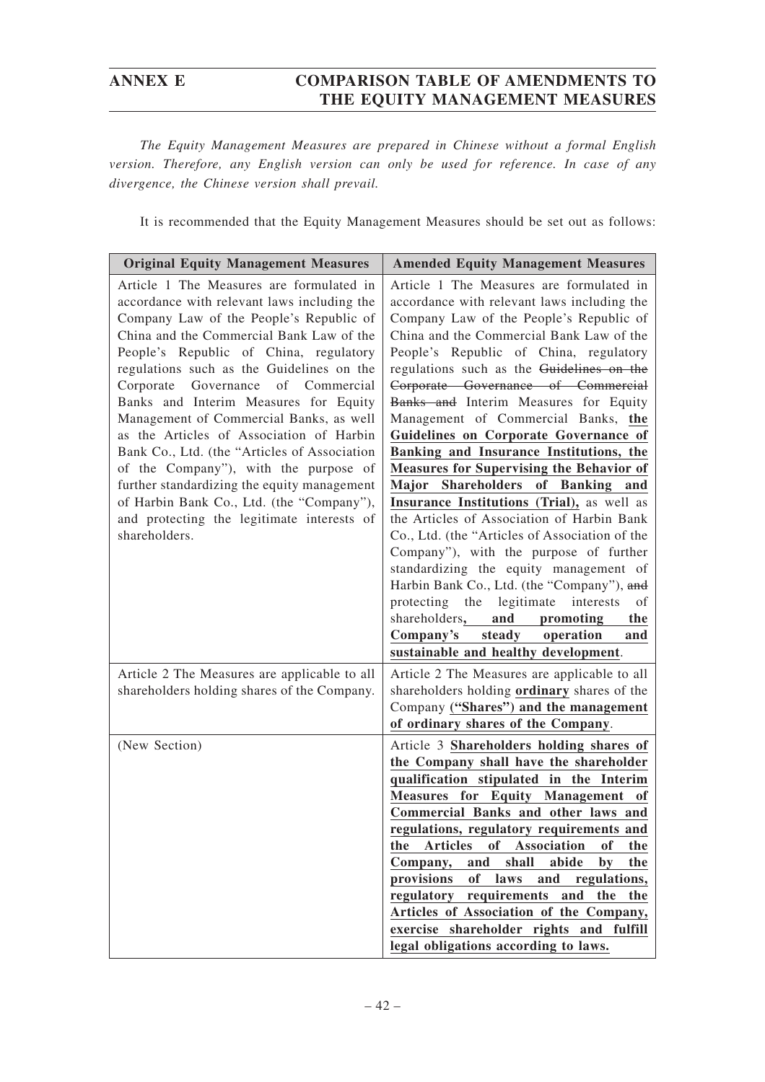*The Equity Management Measures are prepared in Chinese without a formal English version. Therefore, any English version can only be used for reference. In case of any divergence, the Chinese version shall prevail.*

It is recommended that the Equity Management Measures should be set out as follows:

| <b>Original Equity Management Measures</b>                                                                                                                                                                                                                                                                                                                                                                                                                                                                                                                                                                                                                                                         | <b>Amended Equity Management Measures</b>                                                                                                                                                                                                                                                                                                                                                                                                                                                                                                                                                                                                                                                                                                                                                                                                                                                                                                                                       |
|----------------------------------------------------------------------------------------------------------------------------------------------------------------------------------------------------------------------------------------------------------------------------------------------------------------------------------------------------------------------------------------------------------------------------------------------------------------------------------------------------------------------------------------------------------------------------------------------------------------------------------------------------------------------------------------------------|---------------------------------------------------------------------------------------------------------------------------------------------------------------------------------------------------------------------------------------------------------------------------------------------------------------------------------------------------------------------------------------------------------------------------------------------------------------------------------------------------------------------------------------------------------------------------------------------------------------------------------------------------------------------------------------------------------------------------------------------------------------------------------------------------------------------------------------------------------------------------------------------------------------------------------------------------------------------------------|
| Article 1 The Measures are formulated in<br>accordance with relevant laws including the<br>Company Law of the People's Republic of<br>China and the Commercial Bank Law of the<br>People's Republic of China, regulatory<br>regulations such as the Guidelines on the<br>Governance of Commercial<br>Corporate<br>Banks and Interim Measures for Equity<br>Management of Commercial Banks, as well<br>as the Articles of Association of Harbin<br>Bank Co., Ltd. (the "Articles of Association<br>of the Company"), with the purpose of<br>further standardizing the equity management<br>of Harbin Bank Co., Ltd. (the "Company"),<br>and protecting the legitimate interests of<br>shareholders. | Article 1 The Measures are formulated in<br>accordance with relevant laws including the<br>Company Law of the People's Republic of<br>China and the Commercial Bank Law of the<br>People's Republic of China, regulatory<br>regulations such as the Guidelines on the<br>Corporate Governance of Commercial<br>Banks and Interim Measures for Equity<br>Management of Commercial Banks, the<br>Guidelines on Corporate Governance of<br>Banking and Insurance Institutions, the<br><b>Measures for Supervising the Behavior of</b><br>Major Shareholders of Banking and<br>Insurance Institutions (Trial), as well as<br>the Articles of Association of Harbin Bank<br>Co., Ltd. (the "Articles of Association of the<br>Company"), with the purpose of further<br>standardizing the equity management of<br>Harbin Bank Co., Ltd. (the "Company"), and<br>protecting the legitimate interests<br>of<br>shareholders, and promoting<br>the<br>Company's steady operation<br>and |
| Article 2 The Measures are applicable to all<br>shareholders holding shares of the Company.                                                                                                                                                                                                                                                                                                                                                                                                                                                                                                                                                                                                        | sustainable and healthy development.<br>Article 2 The Measures are applicable to all<br>shareholders holding ordinary shares of the<br>Company ("Shares") and the management<br>of ordinary shares of the Company.                                                                                                                                                                                                                                                                                                                                                                                                                                                                                                                                                                                                                                                                                                                                                              |
| (New Section)                                                                                                                                                                                                                                                                                                                                                                                                                                                                                                                                                                                                                                                                                      | Article 3 Shareholders holding shares of<br>the Company shall have the shareholder<br>qualification stipulated in the Interim<br>Measures for Equity Management of<br>Commercial Banks and other laws and<br>regulations, regulatory requirements and<br>of<br><b>Articles</b><br>Association<br>of<br>the<br>the<br>shall<br>abide<br>and<br>the<br>Company,<br>by<br>provisions<br>of<br>laws<br>and regulations,<br>regulatory requirements and<br>the<br>the<br>Articles of Association of the Company,<br>exercise shareholder rights and fulfill<br>legal obligations according to laws.                                                                                                                                                                                                                                                                                                                                                                                  |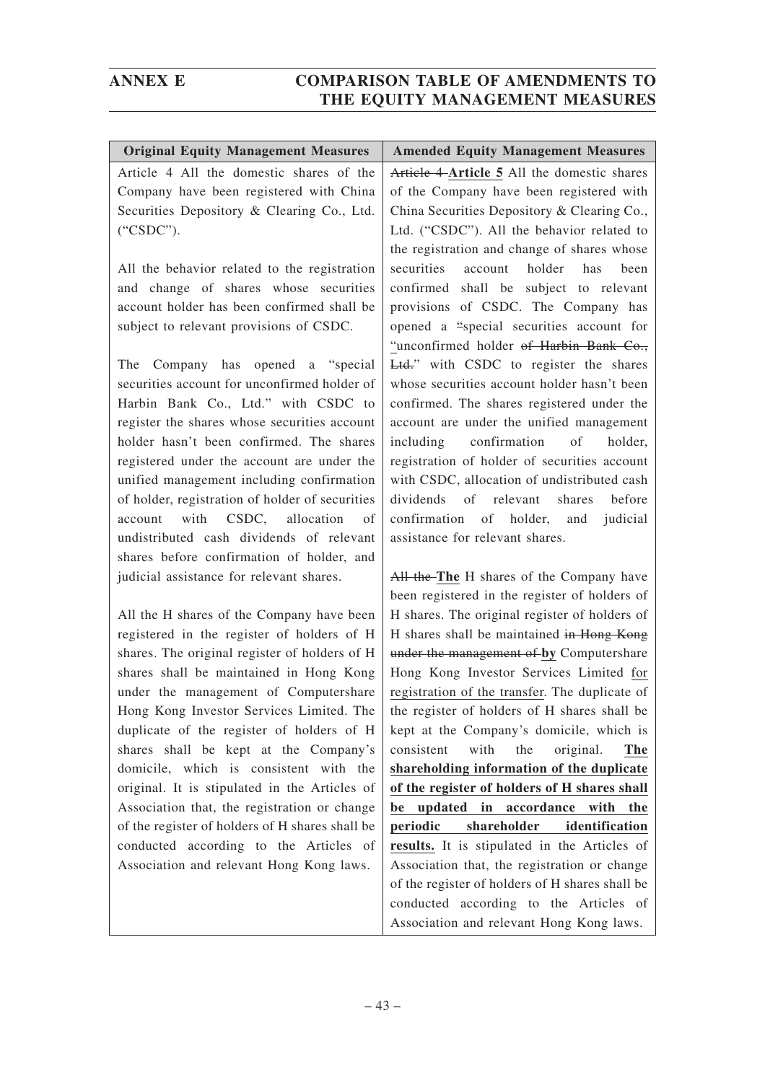| <b>Original Equity Management Measures</b>      | <b>Amended Equity Management Measures</b>            |
|-------------------------------------------------|------------------------------------------------------|
| Article 4 All the domestic shares of the        | Article 4-Article 5 All the domestic shares          |
| Company have been registered with China         | of the Company have been registered with             |
| Securities Depository & Clearing Co., Ltd.      | China Securities Depository & Clearing Co.,          |
| ("CSDC").                                       | Ltd. ("CSDC"). All the behavior related to           |
|                                                 | the registration and change of shares whose          |
| All the behavior related to the registration    | securities<br>holder<br>account<br>has<br>been       |
| and change of shares whose securities           | confirmed shall be subject to relevant               |
| account holder has been confirmed shall be      | provisions of CSDC. The Company has                  |
| subject to relevant provisions of CSDC.         | opened a "special securities account for             |
|                                                 | "unconfirmed holder of Harbin Bank Co.,              |
| Company has opened a "special<br>The            | Ltd." with CSDC to register the shares               |
| securities account for unconfirmed holder of    | whose securities account holder hasn't been          |
| Harbin Bank Co., Ltd." with CSDC to             | confirmed. The shares registered under the           |
| register the shares whose securities account    | account are under the unified management             |
| holder hasn't been confirmed. The shares        | including confirmation<br>of<br>holder,              |
| registered under the account are under the      | registration of holder of securities account         |
| unified management including confirmation       | with CSDC, allocation of undistributed cash          |
| of holder, registration of holder of securities | dividends<br>of relevant<br>before<br>shares         |
| with CSDC, allocation<br>account<br>of          | confirmation of holder, and<br>judicial              |
| undistributed cash dividends of relevant        | assistance for relevant shares.                      |
| shares before confirmation of holder, and       |                                                      |
| judicial assistance for relevant shares.        | All the-The H shares of the Company have             |
|                                                 | been registered in the register of holders of        |
| All the H shares of the Company have been       | H shares. The original register of holders of        |
| registered in the register of holders of H      | H shares shall be maintained in Hong Kong            |
| shares. The original register of holders of H   | under the management of by Computershare             |
| shares shall be maintained in Hong Kong         | Hong Kong Investor Services Limited for              |
| under the management of Computershare           | registration of the transfer. The duplicate of       |
| Hong Kong Investor Services Limited. The        | the register of holders of H shares shall be         |
| duplicate of the register of holders of H       | kept at the Company's domicile, which is             |
| shares shall be kept at the Company's           | with<br>the<br>consistent<br>original.<br><b>The</b> |
| domicile, which is consistent with the          | shareholding information of the duplicate            |
| original. It is stipulated in the Articles of   | of the register of holders of H shares shall         |
| Association that, the registration or change    | be updated in accordance with the                    |
| of the register of holders of H shares shall be | shareholder<br>identification<br>periodic            |
| conducted according to the Articles of          | results. It is stipulated in the Articles of         |
| Association and relevant Hong Kong laws.        | Association that, the registration or change         |
|                                                 | of the register of holders of H shares shall be      |
|                                                 | conducted according to the Articles of               |

Association and relevant Hong Kong laws.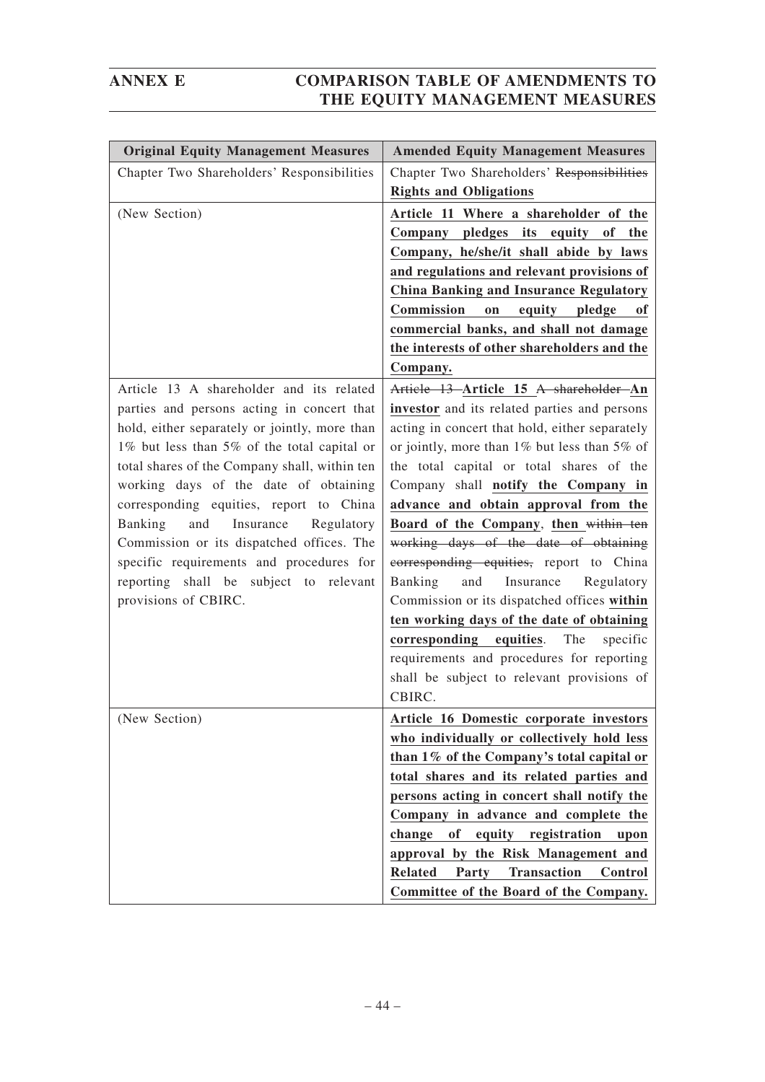| <b>Original Equity Management Measures</b>                                             | <b>Amended Equity Management Measures</b>                                      |
|----------------------------------------------------------------------------------------|--------------------------------------------------------------------------------|
| Chapter Two Shareholders' Responsibilities                                             | Chapter Two Shareholders' Responsibilities                                     |
|                                                                                        | <b>Rights and Obligations</b>                                                  |
| (New Section)                                                                          | Article 11 Where a shareholder of the                                          |
|                                                                                        | Company pledges its equity of<br>the                                           |
|                                                                                        | Company, he/she/it shall abide by laws                                         |
|                                                                                        | and regulations and relevant provisions of                                     |
|                                                                                        | <b>China Banking and Insurance Regulatory</b>                                  |
|                                                                                        | Commission<br>equity pledge<br>on<br>оf                                        |
|                                                                                        | commercial banks, and shall not damage                                         |
|                                                                                        | the interests of other shareholders and the                                    |
|                                                                                        | Company.                                                                       |
| Article 13 A shareholder and its related                                               | Article 13 Article 15 A shareholder An                                         |
| parties and persons acting in concert that                                             | investor and its related parties and persons                                   |
| hold, either separately or jointly, more than                                          | acting in concert that hold, either separately                                 |
| 1% but less than 5% of the total capital or                                            | or jointly, more than 1% but less than 5% of                                   |
| total shares of the Company shall, within ten                                          | the total capital or total shares of the                                       |
| working days of the date of obtaining                                                  | Company shall notify the Company in                                            |
| corresponding equities, report to China                                                | advance and obtain approval from the                                           |
| Banking<br>Insurance<br>and<br>Regulatory<br>Commission or its dispatched offices. The | Board of the Company, then within ten<br>working days of the date of obtaining |
| specific requirements and procedures for                                               | corresponding equities, report to China                                        |
| reporting shall be subject to relevant                                                 | Banking<br>and<br>Insurance<br>Regulatory                                      |
| provisions of CBIRC.                                                                   | Commission or its dispatched offices within                                    |
|                                                                                        | ten working days of the date of obtaining                                      |
|                                                                                        | corresponding equities.<br>The<br>specific                                     |
|                                                                                        | requirements and procedures for reporting                                      |
|                                                                                        | shall be subject to relevant provisions of                                     |
|                                                                                        | CBIRC.                                                                         |
| (New Section)                                                                          | Article 16 Domestic corporate investors                                        |
|                                                                                        | who individually or collectively hold less                                     |
|                                                                                        | than 1% of the Company's total capital or                                      |
|                                                                                        | total shares and its related parties and                                       |
|                                                                                        | persons acting in concert shall notify the                                     |
|                                                                                        | Company in advance and complete the                                            |
|                                                                                        | of<br>equity registration<br>change<br>upon                                    |
|                                                                                        | approval by the Risk Management and                                            |
|                                                                                        | <b>Transaction</b><br><b>Related</b><br>Control<br>Party                       |
|                                                                                        | Committee of the Board of the Company.                                         |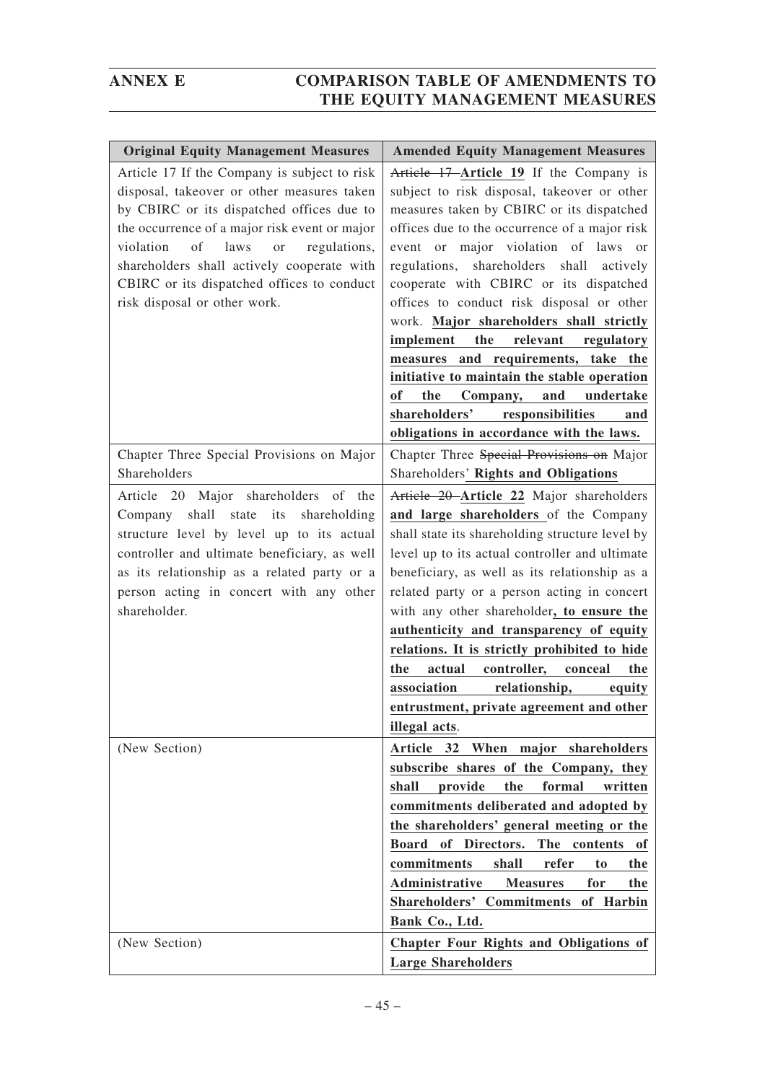| <b>Original Equity Management Measures</b>                                                                                                                                                                                                                                                                                                                                   | <b>Amended Equity Management Measures</b>                                                                                                                                                                                                                                                                                                                                                                                                                                                                                                                                                                                                                                                       |
|------------------------------------------------------------------------------------------------------------------------------------------------------------------------------------------------------------------------------------------------------------------------------------------------------------------------------------------------------------------------------|-------------------------------------------------------------------------------------------------------------------------------------------------------------------------------------------------------------------------------------------------------------------------------------------------------------------------------------------------------------------------------------------------------------------------------------------------------------------------------------------------------------------------------------------------------------------------------------------------------------------------------------------------------------------------------------------------|
| Article 17 If the Company is subject to risk<br>disposal, takeover or other measures taken<br>by CBIRC or its dispatched offices due to<br>the occurrence of a major risk event or major<br>violation<br>of<br>regulations,<br>laws<br><b>or</b><br>shareholders shall actively cooperate with<br>CBIRC or its dispatched offices to conduct<br>risk disposal or other work. | Article 17 Article 19 If the Company is<br>subject to risk disposal, takeover or other<br>measures taken by CBIRC or its dispatched<br>offices due to the occurrence of a major risk<br>event or major violation of laws or<br>regulations, shareholders<br>shall<br>actively<br>cooperate with CBIRC or its dispatched<br>offices to conduct risk disposal or other<br>work. Major shareholders shall strictly<br>the<br>relevant<br>implement<br>regulatory<br>measures and requirements, take the<br>initiative to maintain the stable operation<br><b>of</b><br>the<br>Company,<br>and<br>undertake<br>shareholders'<br>responsibilities<br>and<br>obligations in accordance with the laws. |
| Chapter Three Special Provisions on Major                                                                                                                                                                                                                                                                                                                                    | Chapter Three Special Provisions on Major                                                                                                                                                                                                                                                                                                                                                                                                                                                                                                                                                                                                                                                       |
| Shareholders                                                                                                                                                                                                                                                                                                                                                                 | Shareholders' Rights and Obligations                                                                                                                                                                                                                                                                                                                                                                                                                                                                                                                                                                                                                                                            |
| Article 20 Major shareholders of the                                                                                                                                                                                                                                                                                                                                         | Article 20 Article 22 Major shareholders                                                                                                                                                                                                                                                                                                                                                                                                                                                                                                                                                                                                                                                        |
| shall state<br>its<br>shareholding<br>Company                                                                                                                                                                                                                                                                                                                                | and large shareholders of the Company                                                                                                                                                                                                                                                                                                                                                                                                                                                                                                                                                                                                                                                           |
| structure level by level up to its actual                                                                                                                                                                                                                                                                                                                                    | shall state its shareholding structure level by                                                                                                                                                                                                                                                                                                                                                                                                                                                                                                                                                                                                                                                 |
| controller and ultimate beneficiary, as well                                                                                                                                                                                                                                                                                                                                 | level up to its actual controller and ultimate                                                                                                                                                                                                                                                                                                                                                                                                                                                                                                                                                                                                                                                  |
| as its relationship as a related party or a                                                                                                                                                                                                                                                                                                                                  | beneficiary, as well as its relationship as a                                                                                                                                                                                                                                                                                                                                                                                                                                                                                                                                                                                                                                                   |
| person acting in concert with any other                                                                                                                                                                                                                                                                                                                                      | related party or a person acting in concert                                                                                                                                                                                                                                                                                                                                                                                                                                                                                                                                                                                                                                                     |
| shareholder.                                                                                                                                                                                                                                                                                                                                                                 | with any other shareholder, to ensure the                                                                                                                                                                                                                                                                                                                                                                                                                                                                                                                                                                                                                                                       |
|                                                                                                                                                                                                                                                                                                                                                                              | authenticity and transparency of equity                                                                                                                                                                                                                                                                                                                                                                                                                                                                                                                                                                                                                                                         |
|                                                                                                                                                                                                                                                                                                                                                                              | relations. It is strictly prohibited to hide                                                                                                                                                                                                                                                                                                                                                                                                                                                                                                                                                                                                                                                    |
|                                                                                                                                                                                                                                                                                                                                                                              | controller,<br>actual<br>conceal<br>the<br>the                                                                                                                                                                                                                                                                                                                                                                                                                                                                                                                                                                                                                                                  |
|                                                                                                                                                                                                                                                                                                                                                                              | association<br>relationship, equity                                                                                                                                                                                                                                                                                                                                                                                                                                                                                                                                                                                                                                                             |
|                                                                                                                                                                                                                                                                                                                                                                              | entrustment, private agreement and other                                                                                                                                                                                                                                                                                                                                                                                                                                                                                                                                                                                                                                                        |
|                                                                                                                                                                                                                                                                                                                                                                              | illegal acts.                                                                                                                                                                                                                                                                                                                                                                                                                                                                                                                                                                                                                                                                                   |
| (New Section)                                                                                                                                                                                                                                                                                                                                                                | Article 32 When major shareholders                                                                                                                                                                                                                                                                                                                                                                                                                                                                                                                                                                                                                                                              |
|                                                                                                                                                                                                                                                                                                                                                                              | subscribe shares of the Company, they                                                                                                                                                                                                                                                                                                                                                                                                                                                                                                                                                                                                                                                           |
|                                                                                                                                                                                                                                                                                                                                                                              | the<br>formal<br>shall<br>provide<br>written                                                                                                                                                                                                                                                                                                                                                                                                                                                                                                                                                                                                                                                    |
|                                                                                                                                                                                                                                                                                                                                                                              | commitments deliberated and adopted by                                                                                                                                                                                                                                                                                                                                                                                                                                                                                                                                                                                                                                                          |
|                                                                                                                                                                                                                                                                                                                                                                              | the shareholders' general meeting or the                                                                                                                                                                                                                                                                                                                                                                                                                                                                                                                                                                                                                                                        |
|                                                                                                                                                                                                                                                                                                                                                                              | Board of Directors. The contents<br>0f                                                                                                                                                                                                                                                                                                                                                                                                                                                                                                                                                                                                                                                          |
|                                                                                                                                                                                                                                                                                                                                                                              | commitments<br>shall<br>refer<br>to<br>the                                                                                                                                                                                                                                                                                                                                                                                                                                                                                                                                                                                                                                                      |
|                                                                                                                                                                                                                                                                                                                                                                              | Administrative<br><b>Measures</b><br>for<br>the                                                                                                                                                                                                                                                                                                                                                                                                                                                                                                                                                                                                                                                 |
|                                                                                                                                                                                                                                                                                                                                                                              | Shareholders' Commitments of Harbin                                                                                                                                                                                                                                                                                                                                                                                                                                                                                                                                                                                                                                                             |
|                                                                                                                                                                                                                                                                                                                                                                              | Bank Co., Ltd.                                                                                                                                                                                                                                                                                                                                                                                                                                                                                                                                                                                                                                                                                  |
| (New Section)                                                                                                                                                                                                                                                                                                                                                                | <b>Chapter Four Rights and Obligations of</b><br><b>Large Shareholders</b>                                                                                                                                                                                                                                                                                                                                                                                                                                                                                                                                                                                                                      |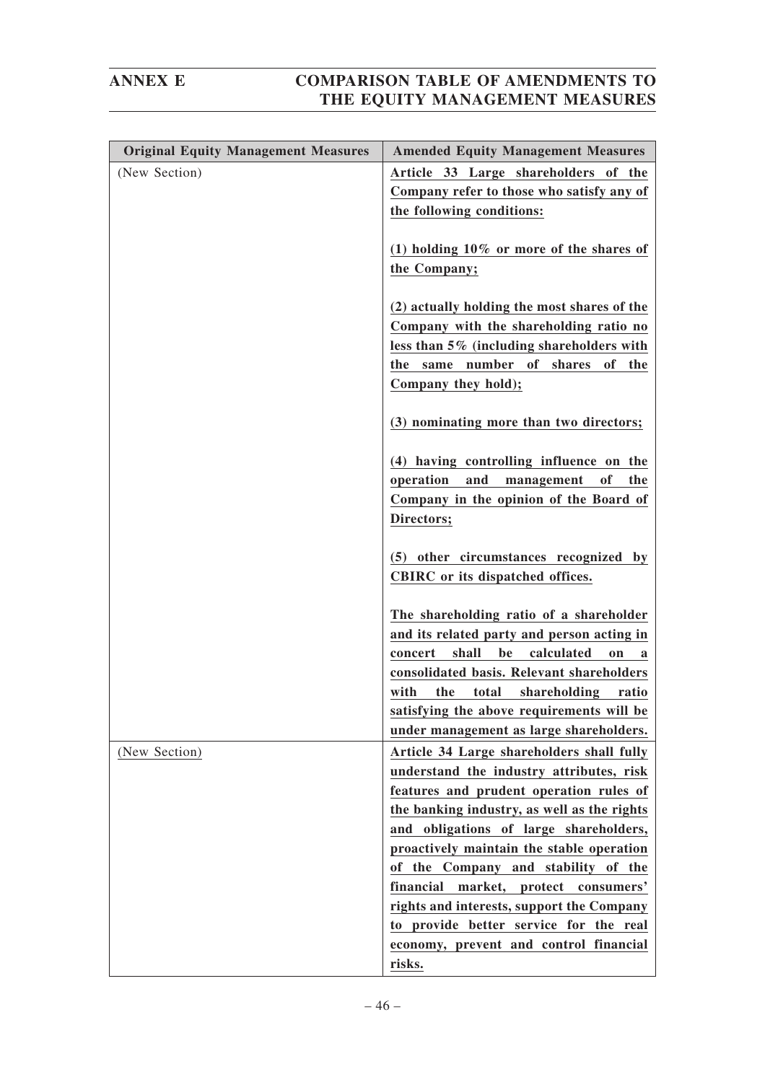| <b>Original Equity Management Measures</b> | <b>Amended Equity Management Measures</b>                                                                                                                                                                                                                                                                                              |
|--------------------------------------------|----------------------------------------------------------------------------------------------------------------------------------------------------------------------------------------------------------------------------------------------------------------------------------------------------------------------------------------|
| (New Section)                              | Article 33 Large shareholders of the<br>Company refer to those who satisfy any of<br>the following conditions:                                                                                                                                                                                                                         |
|                                            | (1) holding $10\%$ or more of the shares of<br>the Company;                                                                                                                                                                                                                                                                            |
|                                            | (2) actually holding the most shares of the<br>Company with the shareholding ratio no<br>less than 5% (including shareholders with<br>same number of shares of the<br>the<br>Company they hold);                                                                                                                                       |
|                                            | (3) nominating more than two directors;                                                                                                                                                                                                                                                                                                |
|                                            | (4) having controlling influence on the<br>and management<br>operation<br>of<br>the<br>Company in the opinion of the Board of<br>Directors;                                                                                                                                                                                            |
|                                            | (5) other circumstances recognized by<br>CBIRC or its dispatched offices.                                                                                                                                                                                                                                                              |
|                                            | The shareholding ratio of a shareholder<br>and its related party and person acting in<br>shall<br>be<br>calculated<br>concert<br><sub>on</sub><br>a<br>consolidated basis. Relevant shareholders<br>the<br>total<br>with<br>shareholding ratio<br>satisfying the above requirements will be<br>under management as large shareholders. |
| (New Section)                              | Article 34 Large shareholders shall fully<br>understand the industry attributes, risk<br>features and prudent operation rules of<br>the banking industry, as well as the rights<br>and obligations of large shareholders,                                                                                                              |
|                                            | proactively maintain the stable operation<br>of the Company and stability of the<br>financial<br>market, protect<br>consumers'<br>rights and interests, support the Company<br>to provide better service for the real                                                                                                                  |
|                                            | economy, prevent and control financial<br>risks.                                                                                                                                                                                                                                                                                       |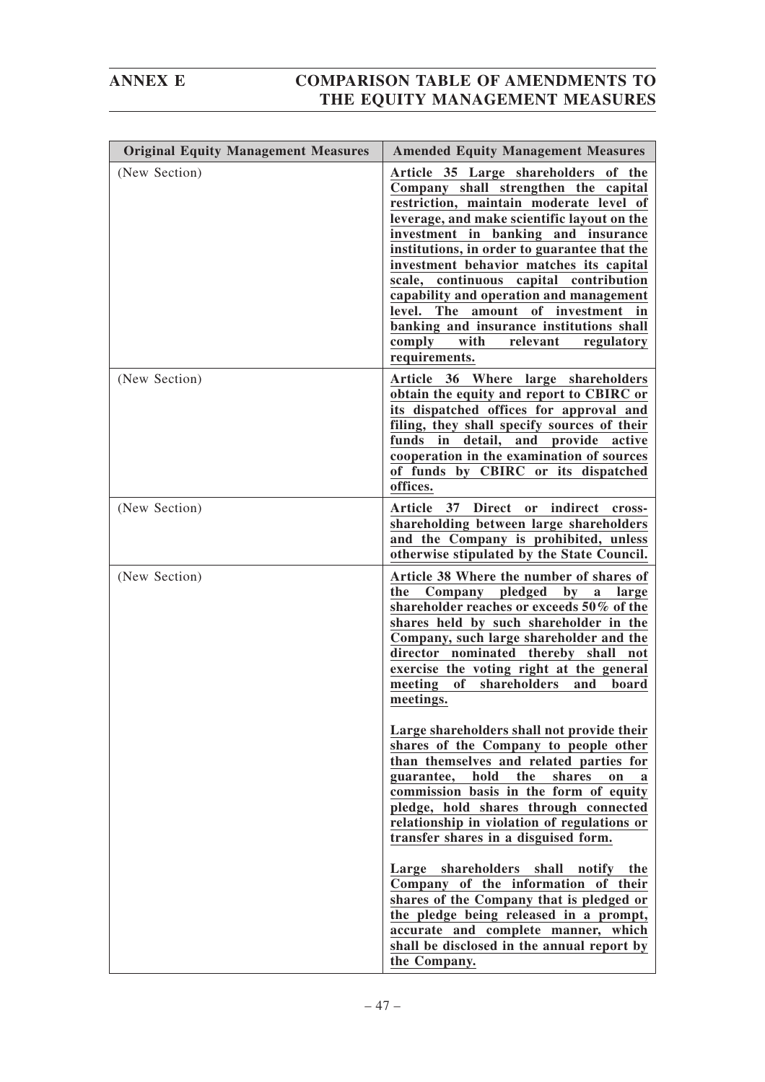| <b>Original Equity Management Measures</b> | <b>Amended Equity Management Measures</b>                                                                                                                                                                                                                                                                                                                                                                                                                                                                                                    |
|--------------------------------------------|----------------------------------------------------------------------------------------------------------------------------------------------------------------------------------------------------------------------------------------------------------------------------------------------------------------------------------------------------------------------------------------------------------------------------------------------------------------------------------------------------------------------------------------------|
| (New Section)                              | Article 35 Large shareholders of the<br>Company shall strengthen the capital<br>restriction, maintain moderate level of<br>leverage, and make scientific layout on the<br>investment in banking and insurance<br>institutions, in order to guarantee that the<br>investment behavior matches its capital<br>scale, continuous capital contribution<br>capability and operation and management<br>level. The amount of investment in<br>banking and insurance institutions shall<br>comply<br>with<br>relevant<br>regulatory<br>requirements. |
| (New Section)                              | Article 36 Where large shareholders<br>obtain the equity and report to CBIRC or<br>its dispatched offices for approval and<br>filing, they shall specify sources of their<br>funds in detail, and provide active<br>cooperation in the examination of sources<br>of funds by CBIRC or its dispatched<br>offices.                                                                                                                                                                                                                             |
| (New Section)                              | Article 37 Direct<br>indirect<br>or<br>cross-<br>shareholding between large shareholders<br>and the Company is prohibited, unless<br>otherwise stipulated by the State Council.                                                                                                                                                                                                                                                                                                                                                              |
| (New Section)                              | Article 38 Where the number of shares of<br>Company pledged<br>$by$ a<br>the<br>large<br>shareholder reaches or exceeds 50% of the<br>shares held by such shareholder in the<br>Company, such large shareholder and the<br>director nominated thereby shall not<br>exercise the voting right at the general<br>meeting<br>of shareholders<br>and<br>board<br>meetings.                                                                                                                                                                       |
|                                            | Large shareholders shall not provide their<br>shares of the Company to people other<br>than themselves and related parties for<br>hold<br>the<br>guarantee,<br>shares<br>on<br>commission basis in the form of equity<br>pledge, hold shares through connected<br>relationship in violation of regulations or<br>transfer shares in a disguised form.                                                                                                                                                                                        |
|                                            | Large shareholders<br>shall<br>notify the<br>Company of the information of their<br>shares of the Company that is pledged or<br>the pledge being released in a prompt,<br>accurate and complete manner, which<br>shall be disclosed in the annual report by<br>the Company.                                                                                                                                                                                                                                                                  |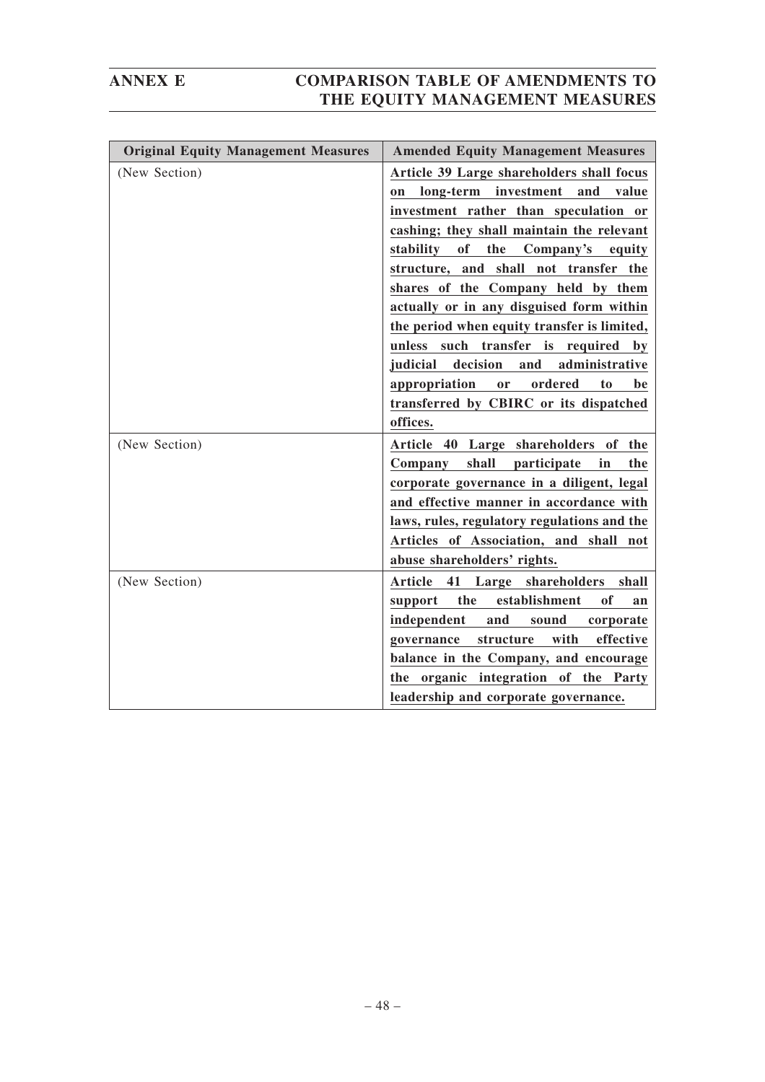| <b>Original Equity Management Measures</b> | <b>Amended Equity Management Measures</b>              |
|--------------------------------------------|--------------------------------------------------------|
| (New Section)                              | Article 39 Large shareholders shall focus              |
|                                            | long-term investment and value<br>on                   |
|                                            | investment rather than speculation or                  |
|                                            | cashing; they shall maintain the relevant              |
|                                            | of<br>the<br>stability<br>Company's<br>equity          |
|                                            | structure, and shall not transfer the                  |
|                                            | shares of the Company held by them                     |
|                                            | actually or in any disguised form within               |
|                                            | the period when equity transfer is limited,            |
|                                            | unless such transfer is required<br>by                 |
|                                            | judicial<br>decision<br>and<br>administrative          |
|                                            | appropriation<br>ordered<br>or<br>to<br>be             |
|                                            | transferred by CBIRC or its dispatched                 |
|                                            | offices.                                               |
| (New Section)                              | Article 40 Large shareholders of the                   |
|                                            | Company<br>shall participate<br>in<br>the              |
|                                            | corporate governance in a diligent, legal              |
|                                            | and effective manner in accordance with                |
|                                            | laws, rules, regulatory regulations and the            |
|                                            | Articles of Association, and shall not                 |
|                                            | abuse shareholders' rights.                            |
| (New Section)                              | 41<br>Large shareholders<br>Article<br>shall           |
|                                            | establishment<br>the<br><sub>of</sub><br>support<br>an |
|                                            | independent<br>and<br>sound<br>corporate               |
|                                            | structure<br>with<br>effective<br>governance           |
|                                            | balance in the Company, and encourage                  |
|                                            | the organic integration of the Party                   |
|                                            | leadership and corporate governance.                   |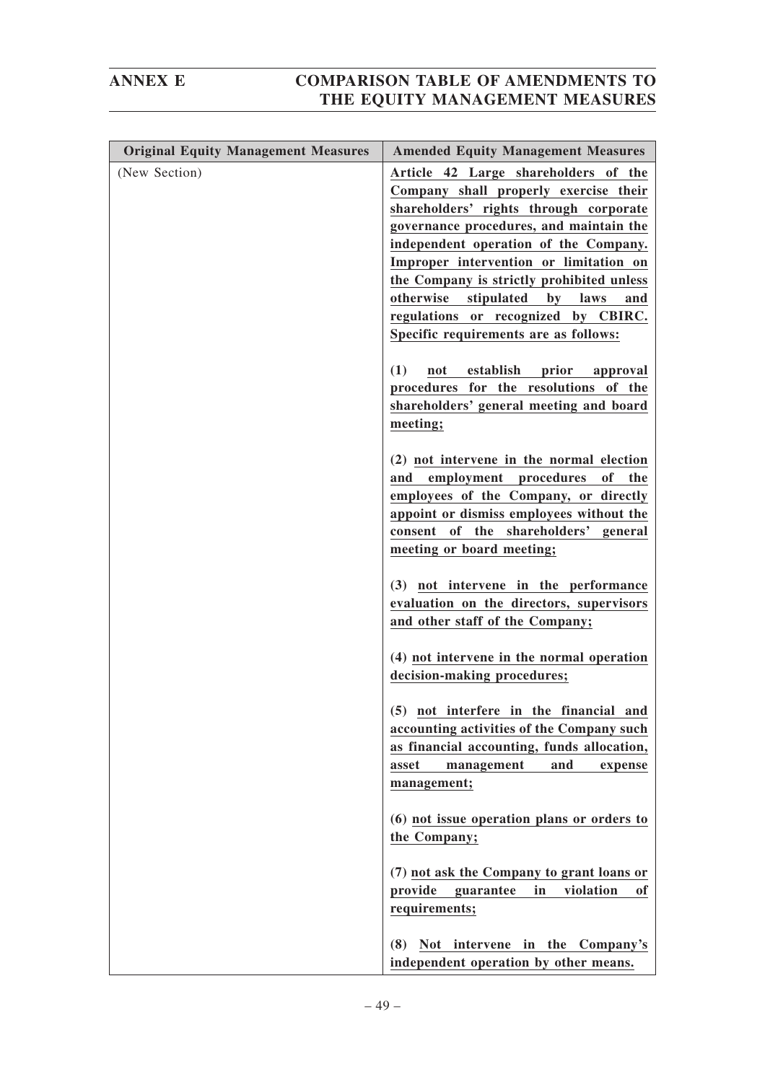| <b>Original Equity Management Measures</b> | <b>Amended Equity Management Measures</b>                                                                                                                                                                                                                                                                                                                                                                                       |
|--------------------------------------------|---------------------------------------------------------------------------------------------------------------------------------------------------------------------------------------------------------------------------------------------------------------------------------------------------------------------------------------------------------------------------------------------------------------------------------|
| (New Section)                              | Article 42 Large shareholders of the<br>Company shall properly exercise their<br>shareholders' rights through corporate<br>governance procedures, and maintain the<br>independent operation of the Company.<br>Improper intervention or limitation on<br>the Company is strictly prohibited unless<br>otherwise<br>stipulated<br>by laws<br>and<br>regulations or recognized by CBIRC.<br>Specific requirements are as follows: |
|                                            | (1)<br>not establish prior approval<br>procedures for the resolutions of the<br>shareholders' general meeting and board<br>meeting;                                                                                                                                                                                                                                                                                             |
|                                            | (2) not intervene in the normal election<br>and employment procedures of the<br>employees of the Company, or directly<br>appoint or dismiss employees without the<br>consent of the shareholders' general<br>meeting or board meeting;                                                                                                                                                                                          |
|                                            | (3) not intervene in the performance<br>evaluation on the directors, supervisors<br>and other staff of the Company;                                                                                                                                                                                                                                                                                                             |
|                                            | (4) not intervene in the normal operation<br>decision-making procedures;                                                                                                                                                                                                                                                                                                                                                        |
|                                            | (5) not interfere in the financial and<br>accounting activities of the Company such<br>as financial accounting, funds allocation,<br>asset<br>management<br>and<br>expense<br>management;                                                                                                                                                                                                                                       |
|                                            | (6) not issue operation plans or orders to<br>the Company;                                                                                                                                                                                                                                                                                                                                                                      |
|                                            | (7) not ask the Company to grant loans or<br>provide<br>guarantee<br>in<br>violation<br>оf<br>requirements;                                                                                                                                                                                                                                                                                                                     |
|                                            | Not intervene in the Company's<br>(8)<br>independent operation by other means.                                                                                                                                                                                                                                                                                                                                                  |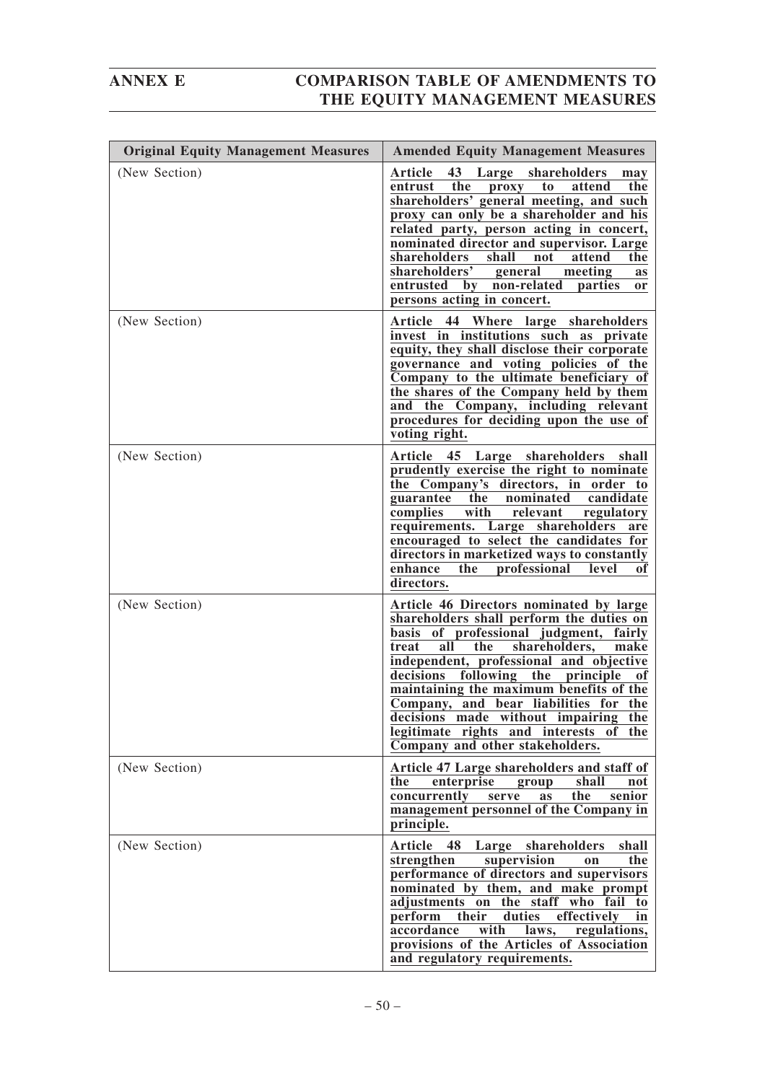| <b>Original Equity Management Measures</b> | <b>Amended Equity Management Measures</b>                                                                                                                                                                                                                                                                                                                                                                                                                                                      |
|--------------------------------------------|------------------------------------------------------------------------------------------------------------------------------------------------------------------------------------------------------------------------------------------------------------------------------------------------------------------------------------------------------------------------------------------------------------------------------------------------------------------------------------------------|
| (New Section)                              | Article<br>43<br>Large shareholders<br>may<br>the<br>attend<br>the<br>entrust<br>proxy<br>to<br>shareholders' general meeting, and such<br>proxy can only be a shareholder and his<br>related party, person acting in concert,<br>nominated director and supervisor. Large<br>shareholders<br>shall<br>not<br>attend<br>the<br>shareholders'<br>general<br>meeting<br>as<br>entrusted<br>by non-related<br>parties<br><b>or</b><br>persons acting in concert.                                  |
| (New Section)                              | Article 44 Where large shareholders<br>invest in institutions such as private<br>equity, they shall disclose their corporate<br>governance and voting policies of the<br>Company to the ultimate beneficiary of<br>the shares of the Company held by them<br>and the Company, including relevant<br>procedures for deciding upon the use of<br>voting right.                                                                                                                                   |
| (New Section)                              | Article 45 Large shareholders shall<br>prudently exercise the right to nominate<br>the Company's directors, in order to<br>the<br>nominated<br>candidate<br>guarantee<br>with<br>complies<br>relevant<br>regulatory<br>requirements. Large shareholders<br>are<br>encouraged to select the candidates for<br>directors in marketized ways to constantly<br>enhance<br>professional<br>the<br>level<br>оf<br>directors.                                                                         |
| (New Section)                              | Article 46 Directors nominated by large<br>shareholders shall perform the duties on<br>basis of professional judgment,<br>fairly<br>all<br>shareholders,<br>treat<br>the<br>make<br>independent, professional and objective<br>following<br>the principle<br>decisions<br>of<br>maintaining the maximum benefits of the<br>Company, and bear liabilities for the<br>decisions made without impairing<br>the<br>legitimate rights and interests<br>the<br>of<br>Company and other stakeholders. |
| (New Section)                              | Article 47 Large shareholders and staff of<br>enterprise<br>the<br>shall<br>not<br>group<br>concurrently<br>the<br>senior<br>serve<br><b>as</b><br>management personnel of the Company in<br>principle.                                                                                                                                                                                                                                                                                        |
| (New Section)                              | Article<br>48<br>Large shareholders<br>shall<br>supervision<br>strengthen<br>the<br><sub>on</sub><br>performance of directors and supervisors<br>nominated by them, and make prompt<br>adjustments on the staff who fail<br>to<br>perform<br>duties<br>effectively<br>their<br>in<br>accordance<br>with<br>regulations,<br>laws,<br>provisions of the Articles of Association<br>and regulatory requirements.                                                                                  |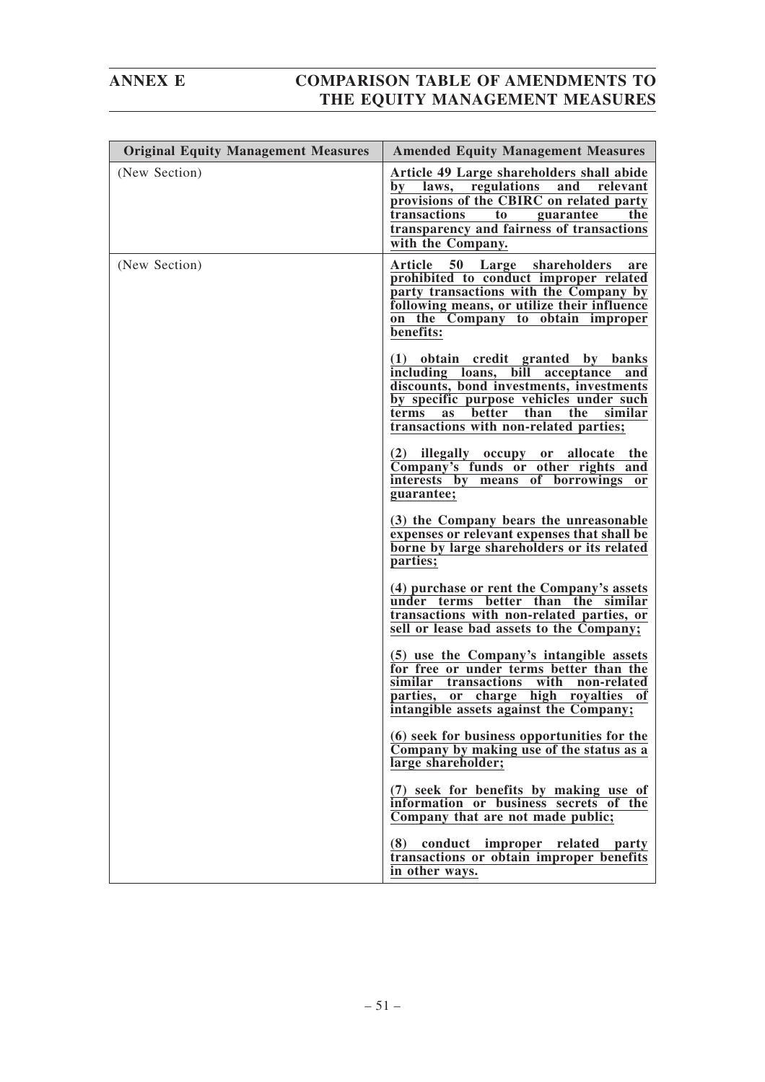| <b>Original Equity Management Measures</b> | <b>Amended Equity Management Measures</b>                                                                                                                                                                                                                         |
|--------------------------------------------|-------------------------------------------------------------------------------------------------------------------------------------------------------------------------------------------------------------------------------------------------------------------|
| (New Section)                              | Article 49 Large shareholders shall abide<br>regulations<br>and<br>bv<br>laws,<br>relevant<br>provisions of the CBIRC on related party<br>transactions<br>the<br>to<br>guarantee<br>transparency and fairness of transactions<br>with the Company.                |
| (New Section)                              | 50 Large shareholders<br>Article<br>are<br>prohibited to conduct improper related<br>party transactions with the Company by<br>following means, or utilize their influence<br>on the Company to obtain improper<br>benefits:                                      |
|                                            | (1) obtain credit granted by banks<br>including loans,<br>bill<br>acceptance<br>and<br>discounts, bond investments, investments<br>by specific purpose vehicles under such<br>better than the<br>similar<br>terms<br>as<br>transactions with non-related parties; |
|                                            | (2) illegally occupy or allocate the<br>Company's funds or other rights and<br>of borrowings or<br>interests by means<br>guarantee;                                                                                                                               |
|                                            | (3) the Company bears the unreasonable<br>expenses or relevant expenses that shall be<br>borne by large shareholders or its related<br>parties;                                                                                                                   |
|                                            | (4) purchase or rent the Company's assets<br>better than the similar<br>under terms<br>transactions with non-related parties, or<br>sell or lease bad assets to the Company;                                                                                      |
|                                            | (5) use the Company's intangible assets<br>for free or under terms better than the<br>similar transactions with non-related<br>parties, or charge high royalties<br>of<br>intangible assets against the Company;                                                  |
|                                            | (6) seek for business opportunities for the<br>Company by making use of the status as a<br>large shareholder;                                                                                                                                                     |
|                                            | (7) seek for benefits by making use of<br>information or business secrets of the<br>Company that are not made public;                                                                                                                                             |
|                                            | (8) conduct improper related party<br>transactions or obtain improper benefits<br>in other ways.                                                                                                                                                                  |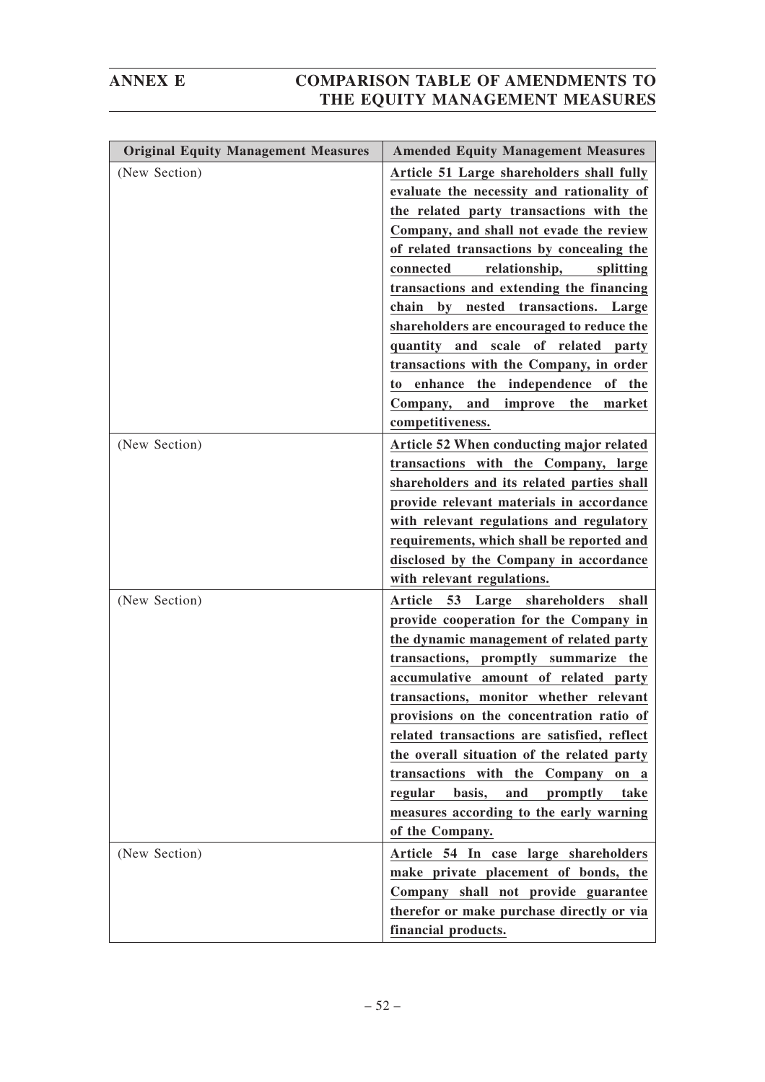| <b>Original Equity Management Measures</b> | <b>Amended Equity Management Measures</b>                                                                                                                                                                                                                                                                                                                                                                                                                                                                                                                                                                                          |
|--------------------------------------------|------------------------------------------------------------------------------------------------------------------------------------------------------------------------------------------------------------------------------------------------------------------------------------------------------------------------------------------------------------------------------------------------------------------------------------------------------------------------------------------------------------------------------------------------------------------------------------------------------------------------------------|
| (New Section)                              | Article 51 Large shareholders shall fully<br>evaluate the necessity and rationality of<br>the related party transactions with the<br>Company, and shall not evade the review<br>of related transactions by concealing the<br>relationship,<br>connected<br>splitting<br>transactions and extending the financing<br>transactions. Large<br>chain<br>$\mathbf{b}\mathbf{v}$<br>nested<br>shareholders are encouraged to reduce the<br>quantity and scale of related party<br>transactions with the Company, in order<br>enhance<br>the independence<br>of the<br>to<br>the<br>Company, and<br>improve<br>market<br>competitiveness. |
| (New Section)                              | Article 52 When conducting major related<br>transactions with the Company, large<br>shareholders and its related parties shall<br>provide relevant materials in accordance<br>with relevant regulations and regulatory<br>requirements, which shall be reported and<br>disclosed by the Company in accordance<br>with relevant regulations.                                                                                                                                                                                                                                                                                        |
| (New Section)                              | Article 53<br>Large shareholders<br>shall<br>provide cooperation for the Company in<br>the dynamic management of related party<br>transactions, promptly summarize the<br>accumulative amount of related party<br>transactions, monitor whether relevant<br>provisions on the concentration ratio of<br>related transactions are satisfied, reflect<br>the overall situation of the related party<br>transactions with the Company<br>on<br>a<br>regular<br>basis,<br>and<br>promptly<br>take<br>measures according to the early warning<br>of the Company.                                                                        |
| (New Section)                              | Article 54 In case large shareholders<br>make private placement of bonds, the<br>Company shall not provide guarantee<br>therefor or make purchase directly or via<br>financial products.                                                                                                                                                                                                                                                                                                                                                                                                                                           |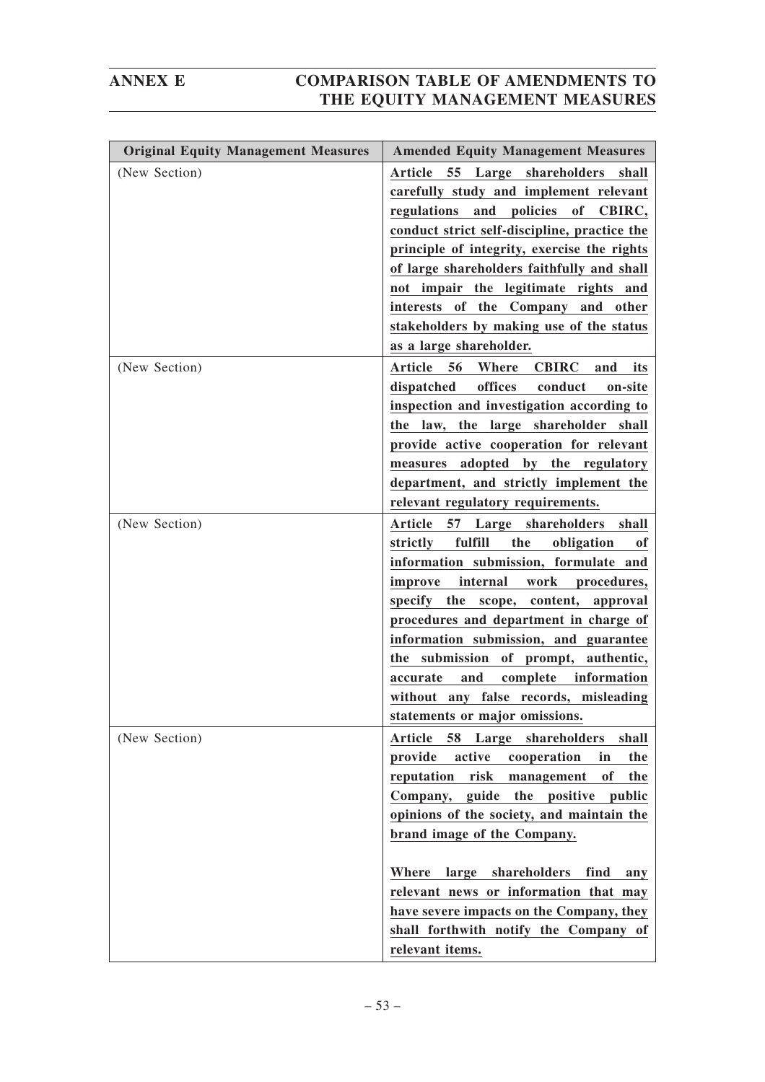| <b>Original Equity Management Measures</b> | <b>Amended Equity Management Measures</b>                                                                                                                                                                                                                                                                                                                                                                                                                              |
|--------------------------------------------|------------------------------------------------------------------------------------------------------------------------------------------------------------------------------------------------------------------------------------------------------------------------------------------------------------------------------------------------------------------------------------------------------------------------------------------------------------------------|
| (New Section)                              | Article<br>55 Large shareholders<br>shall<br>carefully study and implement relevant<br>regulations and policies of CBIRC,<br>conduct strict self-discipline, practice the<br>principle of integrity, exercise the rights<br>of large shareholders faithfully and shall<br>not impair the legitimate rights and<br>interests of the Company and other<br>stakeholders by making use of the status                                                                       |
| (New Section)                              | as a large shareholder.<br>56<br>Article<br>Where<br><b>CBIRC</b><br>and<br>its<br>offices<br>dispatched<br>conduct<br>on-site<br>inspection and investigation according to<br>the law, the large shareholder shall                                                                                                                                                                                                                                                    |
|                                            | provide active cooperation for relevant<br>measures adopted by the regulatory<br>department, and strictly implement the<br>relevant regulatory requirements.                                                                                                                                                                                                                                                                                                           |
| (New Section)                              | Article 57 Large shareholders shall<br>fulfill<br>the<br>obligation<br>strictly<br>of<br>information submission, formulate and<br>internal<br>work procedures,<br>improve<br>specify the scope, content, approval<br>procedures and department in charge of<br>information submission, and guarantee<br>the submission of prompt, authentic,<br>complete<br>information<br>accurate<br>and<br>without any false records, misleading<br>statements or major omissions.  |
| (New Section)                              | Large shareholders<br><b>Article</b><br>58<br>shall<br>active<br>provide<br>cooperation<br>in<br>the<br>reputation<br>risk<br>management<br>of<br>the<br>Company, guide the positive<br>public<br>opinions of the society, and maintain the<br>brand image of the Company.<br>Where large shareholders<br>find<br>any<br>relevant news or information that may<br>have severe impacts on the Company, they<br>shall forthwith notify the Company of<br>relevant items. |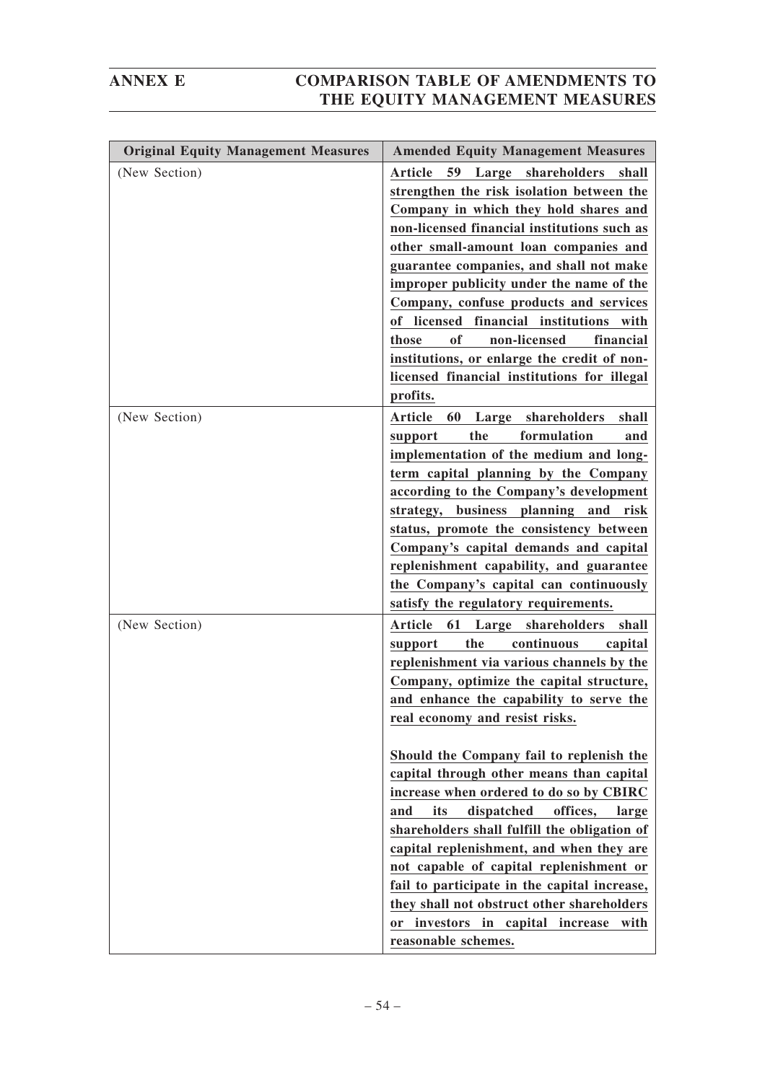| <b>Original Equity Management Measures</b> | <b>Amended Equity Management Measures</b>                                                                                                                                                                                                                                                                                                                                                                                                                                                                                                                                                                                                                                                                                                              |
|--------------------------------------------|--------------------------------------------------------------------------------------------------------------------------------------------------------------------------------------------------------------------------------------------------------------------------------------------------------------------------------------------------------------------------------------------------------------------------------------------------------------------------------------------------------------------------------------------------------------------------------------------------------------------------------------------------------------------------------------------------------------------------------------------------------|
| (New Section)                              | 59 Large shareholders<br>Article<br>shall<br>strengthen the risk isolation between the<br>Company in which they hold shares and<br>non-licensed financial institutions such as<br>other small-amount loan companies and<br>guarantee companies, and shall not make<br>improper publicity under the name of the<br>Company, confuse products and services<br>of licensed financial institutions<br>with<br>non-licensed<br>of<br>financial<br>those<br>institutions, or enlarge the credit of non-<br>licensed financial institutions for illegal<br>profits.                                                                                                                                                                                           |
| (New Section)                              | 60<br>Article<br>Large shareholders<br>shall<br>the<br>formulation<br>support<br>and<br>implementation of the medium and long-<br>term capital planning by the Company<br>according to the Company's development<br>strategy, business planning and risk<br>status, promote the consistency between<br>Company's capital demands and capital<br>replenishment capability, and guarantee<br>the Company's capital can continuously<br>satisfy the regulatory requirements.                                                                                                                                                                                                                                                                              |
| (New Section)                              | 61 Large shareholders<br>Article<br>shall<br>the<br>continuous<br>capital<br>support<br>replenishment via various channels by the<br>Company, optimize the capital structure,<br>and enhance the capability to serve the<br>real economy and resist risks.<br>Should the Company fail to replenish the<br>capital through other means than capital<br>increase when ordered to do so by CBIRC<br>dispatched<br>offices,<br>and<br>its<br>large<br>shareholders shall fulfill the obligation of<br>capital replenishment, and when they are<br>not capable of capital replenishment or<br>fail to participate in the capital increase,<br>they shall not obstruct other shareholders<br>or investors in capital increase<br>with<br>reasonable schemes. |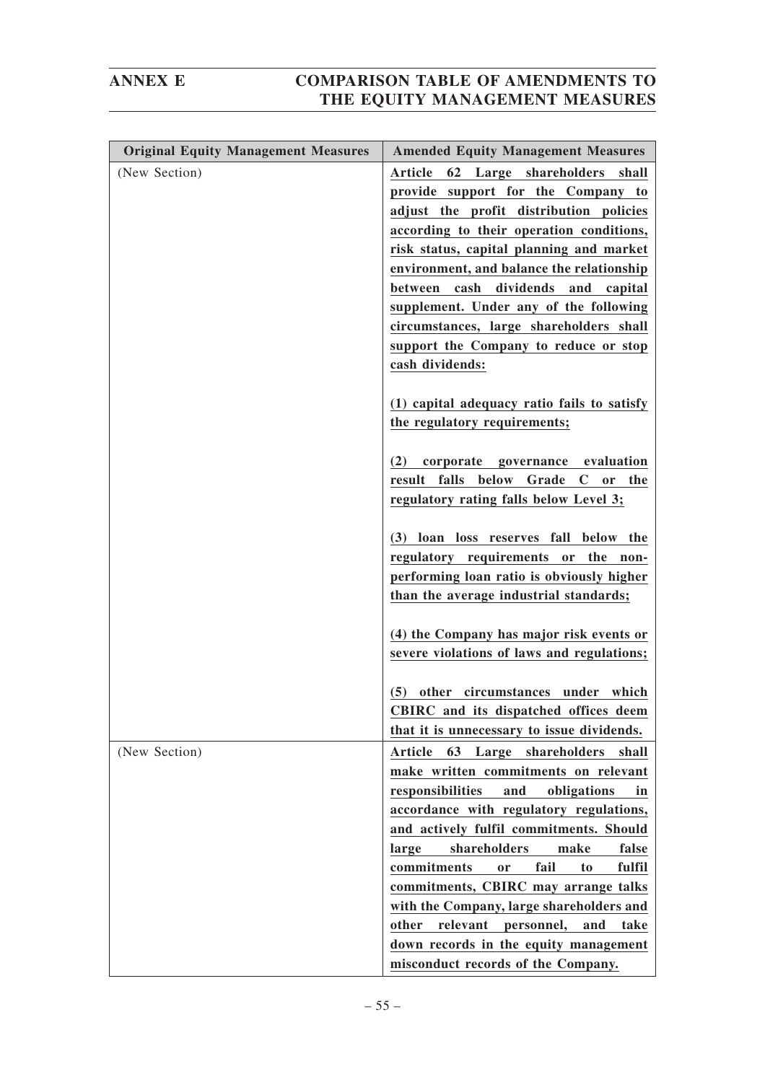| <b>Original Equity Management Measures</b> | <b>Amended Equity Management Measures</b>            |
|--------------------------------------------|------------------------------------------------------|
| (New Section)                              | <b>Article</b><br>62 Large shareholders<br>shall     |
|                                            | provide support for the Company to                   |
|                                            | adjust the profit distribution policies              |
|                                            |                                                      |
|                                            | according to their operation conditions,             |
|                                            | risk status, capital planning and market             |
|                                            | environment, and balance the relationship            |
|                                            | cash dividends and capital<br>between                |
|                                            | supplement. Under any of the following               |
|                                            | circumstances, large shareholders shall              |
|                                            | support the Company to reduce or stop                |
|                                            |                                                      |
|                                            | cash dividends:                                      |
|                                            |                                                      |
|                                            | (1) capital adequacy ratio fails to satisfy          |
|                                            | the regulatory requirements;                         |
|                                            |                                                      |
|                                            | corporate governance evaluation<br>(2)               |
|                                            | result falls below Grade C<br>or the                 |
|                                            | regulatory rating falls below Level 3;               |
|                                            |                                                      |
|                                            | (3) loan loss reserves fall below the                |
|                                            | regulatory requirements or the non-                  |
|                                            |                                                      |
|                                            | performing loan ratio is obviously higher            |
|                                            | than the average industrial standards;               |
|                                            |                                                      |
|                                            | (4) the Company has major risk events or             |
|                                            | severe violations of laws and regulations;           |
|                                            |                                                      |
|                                            | other circumstances under which<br>(5)               |
|                                            | CBIRC and its dispatched offices deem                |
|                                            | that it is unnecessary to issue dividends.           |
| (New Section)                              | Large shareholders<br>Article<br>63<br>shall         |
|                                            | make written commitments on relevant                 |
|                                            | responsibilities<br>and<br>obligations<br>in         |
|                                            | accordance with regulatory regulations,              |
|                                            | and actively fulfil commitments. Should              |
|                                            |                                                      |
|                                            | shareholders<br>make<br>false<br>large               |
|                                            | commitments<br>fail<br>fulfil<br><sub>or</sub><br>to |
|                                            | commitments, CBIRC may arrange talks                 |
|                                            | with the Company, large shareholders and             |
|                                            | relevant<br>other<br>personnel,<br>and<br>take       |
|                                            | down records in the equity management                |
|                                            | misconduct records of the Company.                   |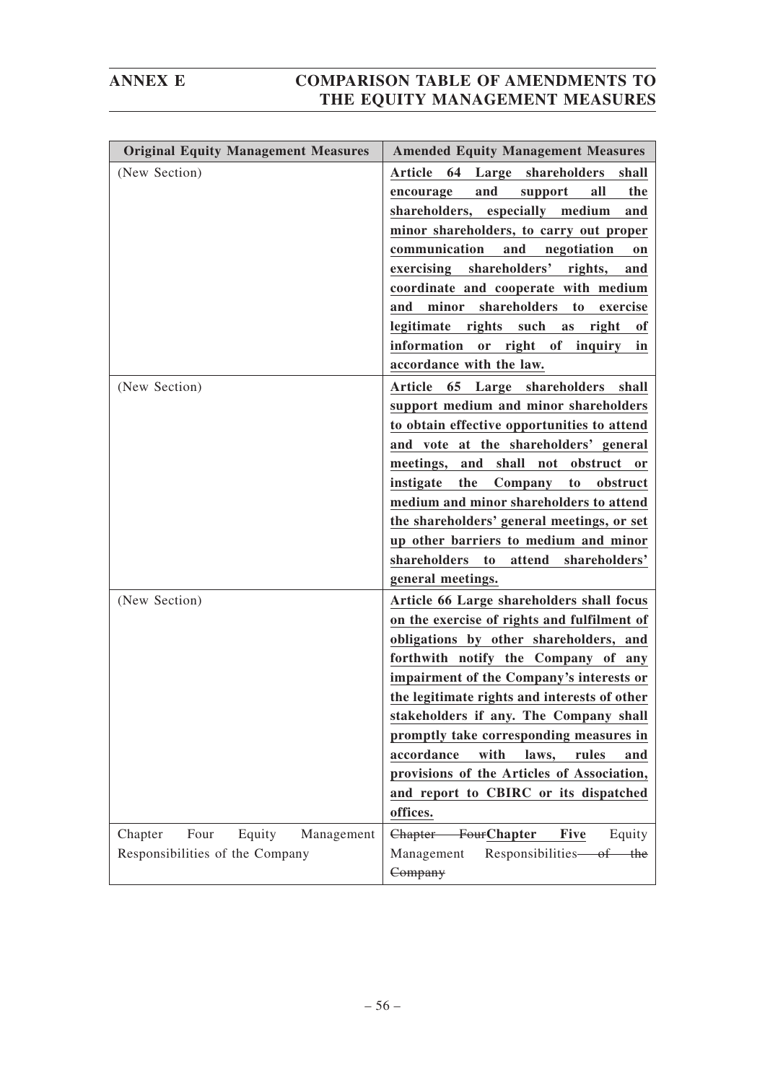| <b>Original Equity Management Measures</b>                                 | <b>Amended Equity Management Measures</b>                                                                                                                                                                                                                                                                                                                                                                                                                                                                            |
|----------------------------------------------------------------------------|----------------------------------------------------------------------------------------------------------------------------------------------------------------------------------------------------------------------------------------------------------------------------------------------------------------------------------------------------------------------------------------------------------------------------------------------------------------------------------------------------------------------|
| (New Section)                                                              | <b>Article</b><br>64<br>Large shareholders<br>shall<br>and<br>all<br>the<br>encourage<br>support<br>shareholders, especially medium<br>and<br>minor shareholders, to carry out proper<br>communication<br>and<br>negotiation<br><sub>on</sub><br>exercising shareholders'<br>rights,<br>and<br>coordinate and cooperate with medium<br>shareholders<br>minor<br>to<br>and<br>exercise<br>legitimate rights such<br>right<br>as<br>of<br>information or right of inquiry<br>in<br>accordance with the law.            |
| (New Section)                                                              | 65 Large shareholders<br>Article<br>shall<br>support medium and minor shareholders<br>to obtain effective opportunities to attend<br>and vote at the shareholders' general<br>meetings,<br>and shall<br>not obstruct or<br>instigate<br>the<br>Company<br>to<br>obstruct<br>medium and minor shareholders to attend<br>the shareholders' general meetings, or set<br>up other barriers to medium and minor<br>shareholders to<br>attend shareholders'<br>general meetings.                                           |
| (New Section)                                                              | Article 66 Large shareholders shall focus<br>on the exercise of rights and fulfilment of<br>obligations by other shareholders, and<br>forthwith notify the Company of any<br>impairment of the Company's interests or<br>the legitimate rights and interests of other<br>stakeholders if any. The Company shall<br>promptly take corresponding measures in<br>accordance<br>with<br>laws,<br>rules<br>and<br>provisions of the Articles of Association,<br>and report to CBIRC or its dispatched<br>offices.<br>Five |
| Chapter<br>Four<br>Equity<br>Management<br>Responsibilities of the Company | Chapter FourChapter<br>Equity<br>Management<br>Responsibilities of the<br>Company                                                                                                                                                                                                                                                                                                                                                                                                                                    |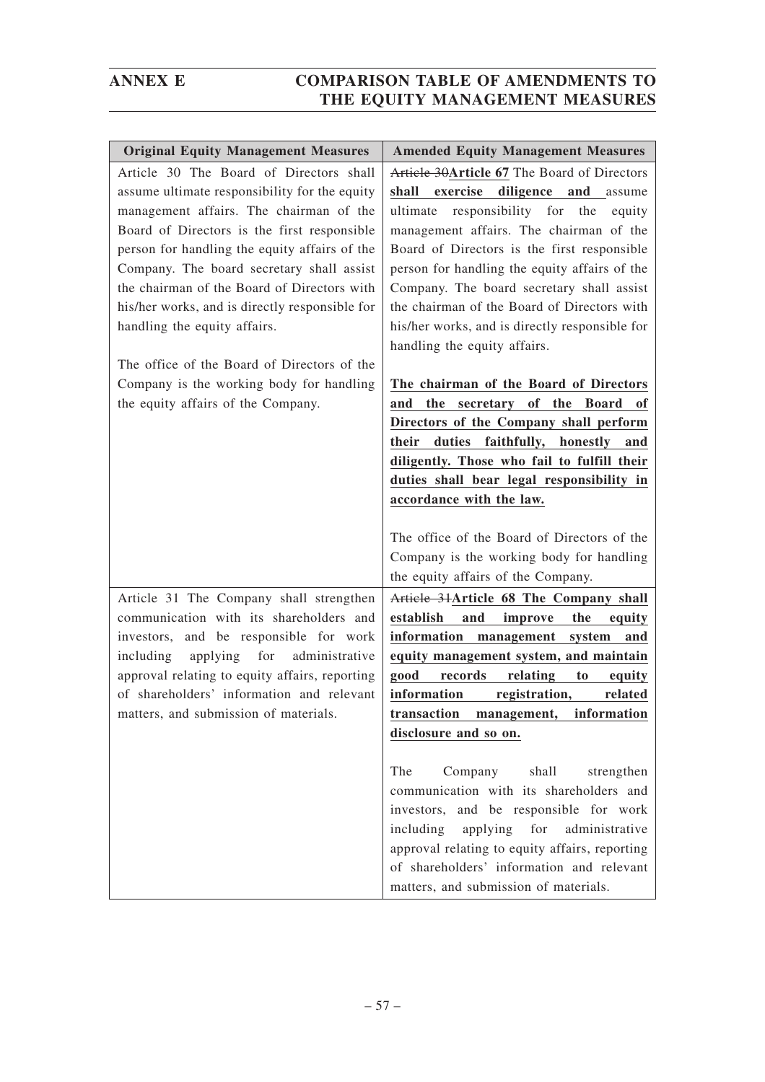| <b>Original Equity Management Measures</b>                                                                                                                                                                                                                                                                                                                                                                        | <b>Amended Equity Management Measures</b>                                                                                                                                                                                                                                                                                                                                                                                                                |
|-------------------------------------------------------------------------------------------------------------------------------------------------------------------------------------------------------------------------------------------------------------------------------------------------------------------------------------------------------------------------------------------------------------------|----------------------------------------------------------------------------------------------------------------------------------------------------------------------------------------------------------------------------------------------------------------------------------------------------------------------------------------------------------------------------------------------------------------------------------------------------------|
| Article 30 The Board of Directors shall<br>assume ultimate responsibility for the equity<br>management affairs. The chairman of the<br>Board of Directors is the first responsible<br>person for handling the equity affairs of the<br>Company. The board secretary shall assist<br>the chairman of the Board of Directors with<br>his/her works, and is directly responsible for<br>handling the equity affairs. | Article 30Article 67 The Board of Directors<br>shall exercise diligence and assume<br>ultimate responsibility for the<br>equity<br>management affairs. The chairman of the<br>Board of Directors is the first responsible<br>person for handling the equity affairs of the<br>Company. The board secretary shall assist<br>the chairman of the Board of Directors with<br>his/her works, and is directly responsible for<br>handling the equity affairs. |
| The office of the Board of Directors of the<br>Company is the working body for handling<br>the equity affairs of the Company.                                                                                                                                                                                                                                                                                     | The chairman of the Board of Directors<br>and the secretary of the Board of<br>Directors of the Company shall perform<br>duties faithfully, honestly and<br>their<br>diligently. Those who fail to fulfill their<br>duties shall bear legal responsibility in<br>accordance with the law.                                                                                                                                                                |
|                                                                                                                                                                                                                                                                                                                                                                                                                   | The office of the Board of Directors of the<br>Company is the working body for handling<br>the equity affairs of the Company.                                                                                                                                                                                                                                                                                                                            |
| Article 31 The Company shall strengthen<br>communication with its shareholders and<br>investors, and be responsible for work<br>applying for<br>administrative<br>including<br>approval relating to equity affairs, reporting<br>of shareholders' information and relevant<br>matters, and submission of materials.                                                                                               | Article 31Article 68 The Company shall<br>establish<br>and<br>the<br>improve<br>equity<br>information<br>management<br>system<br>and<br>equity management system, and maintain<br>good<br>records<br>relating<br>to<br>equity<br>information<br>registration,<br>related<br>transaction management, information<br>disclosure and so on.                                                                                                                 |
|                                                                                                                                                                                                                                                                                                                                                                                                                   | The<br>Company<br>shall<br>strengthen<br>communication with its shareholders and<br>investors, and be responsible for work<br>including<br>applying<br>for<br>administrative<br>approval relating to equity affairs, reporting<br>of shareholders' information and relevant<br>matters, and submission of materials.                                                                                                                                     |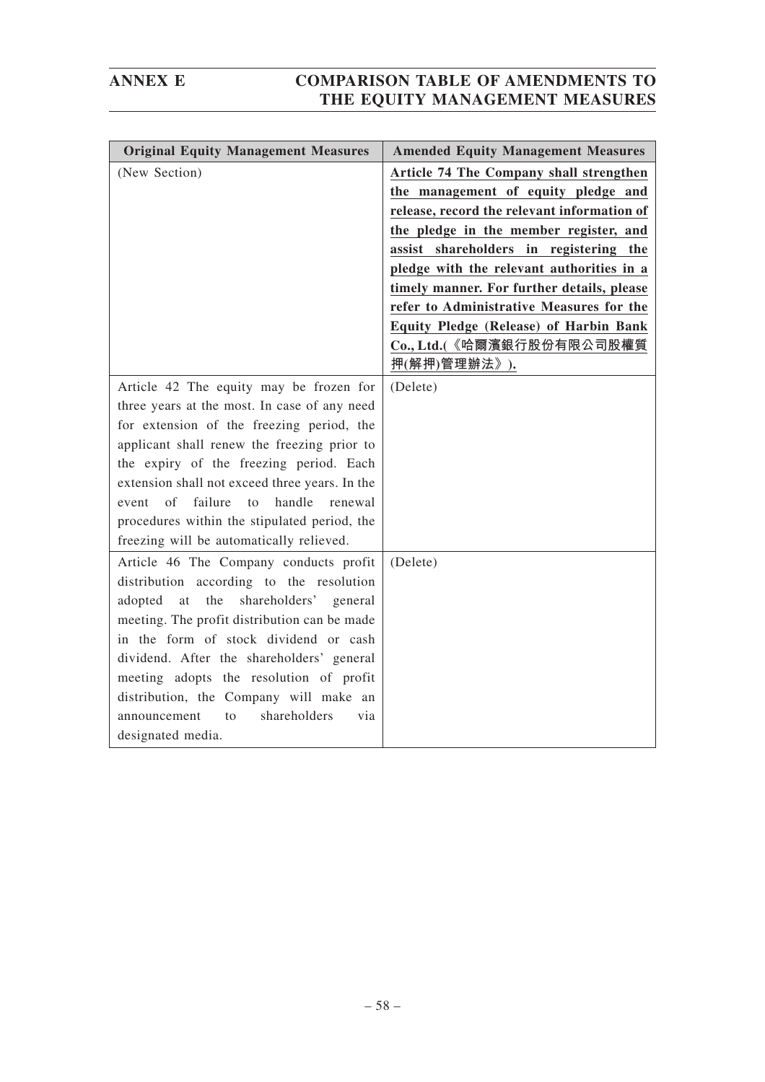| <b>Original Equity Management Measures</b>                                                                                                                                                                                                                                                                                                                                                                                        | <b>Amended Equity Management Measures</b>                                                                                                                                                                                                                                                                                                                                                                                                       |
|-----------------------------------------------------------------------------------------------------------------------------------------------------------------------------------------------------------------------------------------------------------------------------------------------------------------------------------------------------------------------------------------------------------------------------------|-------------------------------------------------------------------------------------------------------------------------------------------------------------------------------------------------------------------------------------------------------------------------------------------------------------------------------------------------------------------------------------------------------------------------------------------------|
| (New Section)                                                                                                                                                                                                                                                                                                                                                                                                                     | Article 74 The Company shall strengthen<br>the management of equity pledge and<br>release, record the relevant information of<br>the pledge in the member register, and<br>assist shareholders in registering the<br>pledge with the relevant authorities in a<br>timely manner. For further details, please<br>refer to Administrative Measures for the<br>Equity Pledge (Release) of Harbin Bank<br>Co., Ltd.(《哈爾濱銀行股份有限公司股權質<br>押(解押)管理辦法》). |
| Article 42 The equity may be frozen for<br>three years at the most. In case of any need<br>for extension of the freezing period, the<br>applicant shall renew the freezing prior to<br>the expiry of the freezing period. Each<br>extension shall not exceed three years. In the<br>of<br>failure<br>handle<br>renewal<br>event<br>to<br>procedures within the stipulated period, the<br>freezing will be automatically relieved. | (Delete)                                                                                                                                                                                                                                                                                                                                                                                                                                        |
| Article 46 The Company conducts profit<br>distribution according to the resolution<br>shareholders' general<br>adopted<br>the<br>at<br>meeting. The profit distribution can be made<br>in the form of stock dividend or cash<br>dividend. After the shareholders' general<br>meeting adopts the resolution of profit<br>distribution, the Company will make an<br>shareholders<br>announcement<br>to<br>via<br>designated media.  | (Delete)                                                                                                                                                                                                                                                                                                                                                                                                                                        |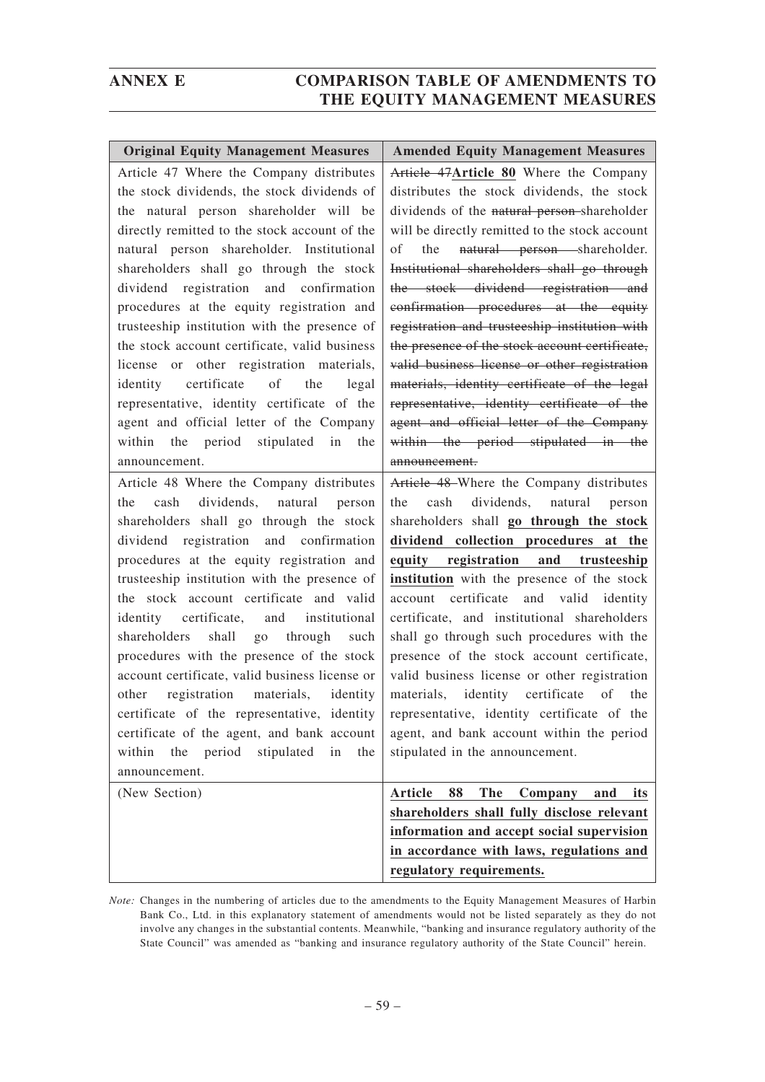| <b>Original Equity Management Measures</b>     | <b>Amended Equity Management Measures</b>                                               |
|------------------------------------------------|-----------------------------------------------------------------------------------------|
| Article 47 Where the Company distributes       | Article 47Article 80 Where the Company                                                  |
| the stock dividends, the stock dividends of    | distributes the stock dividends, the stock                                              |
| the natural person shareholder will be         | dividends of the natural person-shareholder                                             |
| directly remitted to the stock account of the  | will be directly remitted to the stock account                                          |
| natural person shareholder. Institutional      | natural person shareholder.<br>of<br>the                                                |
| shareholders shall go through the stock        | Institutional shareholders shall go through                                             |
| dividend registration and confirmation         | the stock dividend registration and                                                     |
| procedures at the equity registration and      | confirmation procedures at the equity                                                   |
| trusteeship institution with the presence of   | registration and trusteeship institution with                                           |
| the stock account certificate, valid business  | the presence of the stock account certificate,                                          |
| license or other registration materials,       | valid business license or other registration                                            |
| identity certificate of the<br>legal           | materials, identity certificate of the legal                                            |
| representative, identity certificate of the    | representative, identity certificate of the                                             |
| agent and official letter of the Company       | agent and official letter of the Company                                                |
| within the period stipulated in the            | within the period stipulated in the                                                     |
| announcement.                                  | announcement.                                                                           |
| Article 48 Where the Company distributes       | Article 48 Where the Company distributes                                                |
| dividends, natural<br>cash<br>person<br>the    | dividends, natural person<br>cash<br>the                                                |
| shareholders shall go through the stock        | shareholders shall go through the stock                                                 |
| dividend registration and confirmation         | dividend collection procedures at the                                                   |
| procedures at the equity registration and      | equity registration and trusteeship                                                     |
| trusteeship institution with the presence of   | institution with the presence of the stock                                              |
| the stock account certificate and valid        | account certificate and valid identity                                                  |
| identity certificate, and institutional        | certificate, and institutional shareholders                                             |
| shareholders shall go through<br>such          | shall go through such procedures with the                                               |
| procedures with the presence of the stock      | presence of the stock account certificate,                                              |
| account certificate, valid business license or | valid business license or other registration                                            |
| registration materials,<br>identity<br>other   | materials, identity certificate<br>of<br>the                                            |
| certificate of the representative, identity    | representative, identity certificate of the                                             |
| certificate of the agent, and bank account     | agent, and bank account within the period                                               |
| period<br>stipulated in<br>within the<br>the   | stipulated in the announcement.                                                         |
| announcement.                                  |                                                                                         |
| (New Section)                                  | Article<br>88<br><b>The</b><br>Company<br>and<br>its                                    |
|                                                | shareholders shall fully disclose relevant<br>information and accept social supervision |
|                                                | in accordance with laws, regulations and                                                |
|                                                | regulatory requirements.                                                                |

*Note:* Changes in the numbering of articles due to the amendments to the Equity Management Measures of Harbin Bank Co., Ltd. in this explanatory statement of amendments would not be listed separately as they do not involve any changes in the substantial contents. Meanwhile, "banking and insurance regulatory authority of the State Council" was amended as "banking and insurance regulatory authority of the State Council" herein.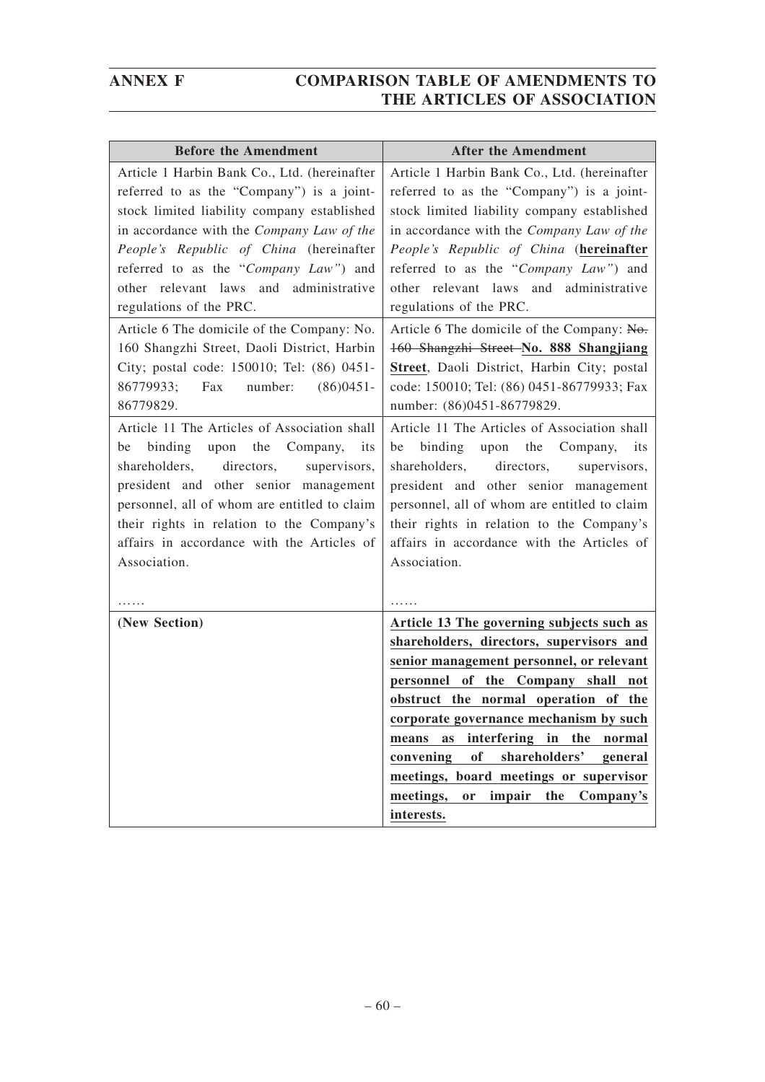| <b>Before the Amendment</b>                  | <b>After the Amendment</b>                           |
|----------------------------------------------|------------------------------------------------------|
| Article 1 Harbin Bank Co., Ltd. (hereinafter | Article 1 Harbin Bank Co., Ltd. (hereinafter         |
| referred to as the "Company") is a joint-    | referred to as the "Company") is a joint-            |
| stock limited liability company established  | stock limited liability company established          |
| in accordance with the Company Law of the    | in accordance with the Company Law of the            |
| People's Republic of China (hereinafter      | People's Republic of China (hereinafter              |
| referred to as the "Company Law") and        | referred to as the "Company Law") and                |
| other relevant laws and administrative       | other relevant laws and administrative               |
| regulations of the PRC.                      | regulations of the PRC.                              |
| Article 6 The domicile of the Company: No.   | Article 6 The domicile of the Company: No.           |
| 160 Shangzhi Street, Daoli District, Harbin  | 160 Shangzhi Street-No. 888 Shangjiang               |
| City; postal code: 150010; Tel: (86) 0451-   | Street, Daoli District, Harbin City; postal          |
| 86779933;<br>number:<br>$(86)0451 -$<br>Fax  | code: 150010; Tel: (86) 0451-86779933; Fax           |
| 86779829.                                    | number: (86)0451-86779829.                           |
| Article 11 The Articles of Association shall | Article 11 The Articles of Association shall         |
| upon the<br>binding<br>Company,<br>its<br>be | upon the<br>binding<br>Company,<br>be<br><i>its</i>  |
| shareholders,<br>directors,<br>supervisors,  | shareholders,<br>directors,<br>supervisors,          |
| president and other senior management        | president and other senior management                |
| personnel, all of whom are entitled to claim | personnel, all of whom are entitled to claim         |
| their rights in relation to the Company's    | their rights in relation to the Company's            |
| affairs in accordance with the Articles of   | affairs in accordance with the Articles of           |
| Association.                                 | Association.                                         |
|                                              |                                                      |
|                                              |                                                      |
| (New Section)                                | Article 13 The governing subjects such as            |
|                                              | shareholders, directors, supervisors and             |
|                                              | senior management personnel, or relevant             |
|                                              | personnel of the Company shall not                   |
|                                              | obstruct the normal operation of the                 |
|                                              | corporate governance mechanism by such               |
|                                              | interfering in the<br>means<br>as<br>normal          |
|                                              | of<br>shareholders'<br>convening<br>general          |
|                                              | meetings, board meetings or supervisor               |
|                                              | Company's<br>meetings,<br>impair<br>the<br><b>or</b> |
|                                              | interests.                                           |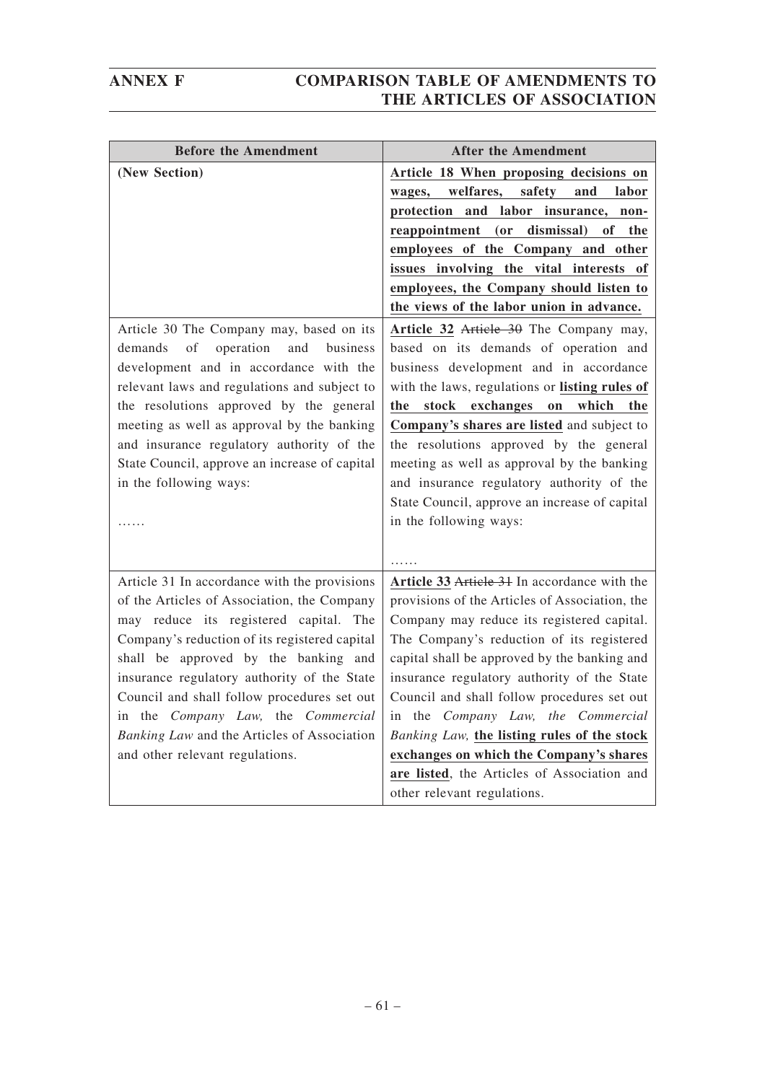| <b>Before the Amendment</b>                   | <b>After the Amendment</b>                      |
|-----------------------------------------------|-------------------------------------------------|
| (New Section)                                 | Article 18 When proposing decisions on          |
|                                               | welfares,<br>safety<br>and<br>labor<br>wages,   |
|                                               | and labor insurance, non-<br>protection         |
|                                               | dismissal)<br>reappointment (or<br>of<br>the    |
|                                               | employees of the Company and other              |
|                                               | issues involving the vital interests of         |
|                                               | employees, the Company should listen to         |
|                                               | the views of the labor union in advance.        |
| Article 30 The Company may, based on its      | Article 32 Article 30 The Company may,          |
| of<br>operation<br>and<br>business<br>demands | based on its demands of operation and           |
| development and in accordance with the        | business development and in accordance          |
| relevant laws and regulations and subject to  | with the laws, regulations or listing rules of  |
| the resolutions approved by the general       | stock<br>exchanges<br>which<br>the<br>the<br>on |
| meeting as well as approval by the banking    | Company's shares are listed and subject to      |
| and insurance regulatory authority of the     | the resolutions approved by the general         |
| State Council, approve an increase of capital | meeting as well as approval by the banking      |
| in the following ways:                        | and insurance regulatory authority of the       |
|                                               | State Council, approve an increase of capital   |
|                                               | in the following ways:                          |
|                                               |                                                 |
|                                               |                                                 |
| Article 31 In accordance with the provisions  | Article 33 Article 31 In accordance with the    |
| of the Articles of Association, the Company   | provisions of the Articles of Association, the  |
| may reduce its registered capital. The        | Company may reduce its registered capital.      |
| Company's reduction of its registered capital | The Company's reduction of its registered       |
| shall be approved by the banking and          | capital shall be approved by the banking and    |
| insurance regulatory authority of the State   | insurance regulatory authority of the State     |
| Council and shall follow procedures set out   | Council and shall follow procedures set out     |
| in the Company Law, the Commercial            | in the Company Law, the Commercial              |
| Banking Law and the Articles of Association   | Banking Law, the listing rules of the stock     |
| and other relevant regulations.               | exchanges on which the Company's shares         |
|                                               | are listed, the Articles of Association and     |
|                                               | other relevant regulations.                     |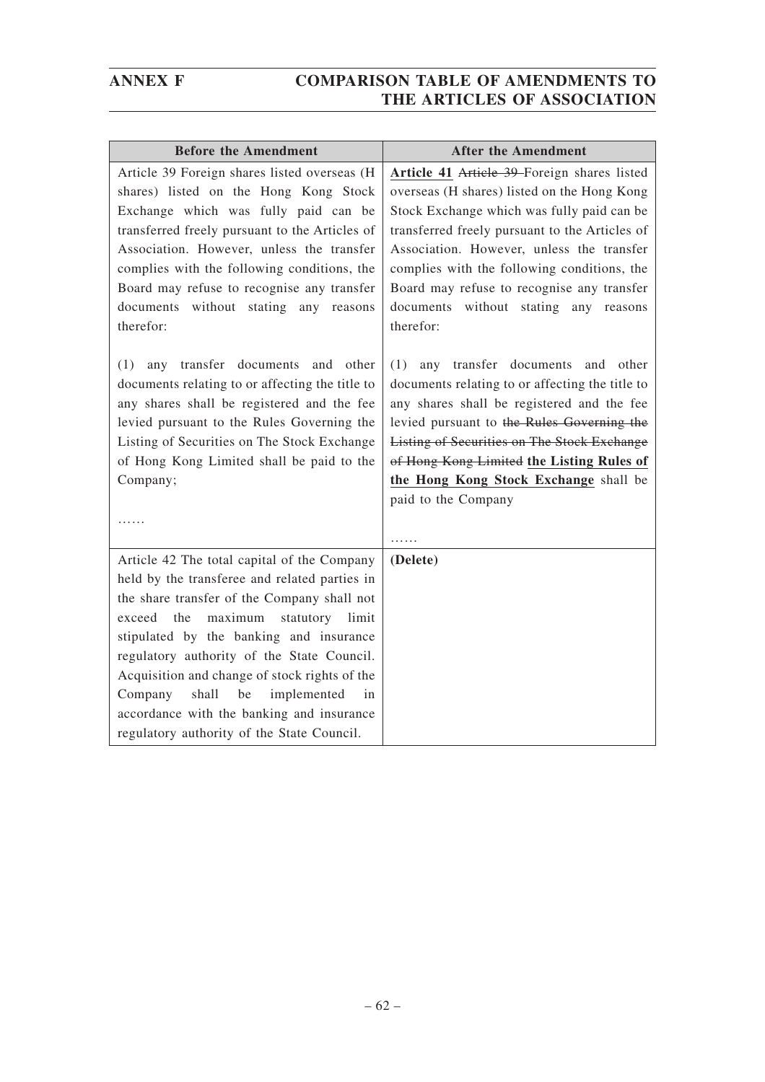| <b>Before the Amendment</b>                     | <b>After the Amendment</b>                         |
|-------------------------------------------------|----------------------------------------------------|
| Article 39 Foreign shares listed overseas (H    | Article 41 Article 39 Foreign shares listed        |
| shares) listed on the Hong Kong Stock           | overseas (H shares) listed on the Hong Kong        |
| Exchange which was fully paid can be            | Stock Exchange which was fully paid can be         |
| transferred freely pursuant to the Articles of  | transferred freely pursuant to the Articles of     |
| Association. However, unless the transfer       | Association. However, unless the transfer          |
| complies with the following conditions, the     | complies with the following conditions, the        |
| Board may refuse to recognise any transfer      | Board may refuse to recognise any transfer         |
| documents without stating any reasons           | documents without stating any reasons              |
| therefor:                                       | therefor:                                          |
|                                                 |                                                    |
| transfer documents<br>(1)<br>any<br>and other   | any transfer documents<br>(1)<br>and other         |
| documents relating to or affecting the title to | documents relating to or affecting the title to    |
| any shares shall be registered and the fee      | any shares shall be registered and the fee         |
| levied pursuant to the Rules Governing the      | levied pursuant to the Rules Governing the         |
| Listing of Securities on The Stock Exchange     | <b>Listing of Securities on The Stock Exchange</b> |
| of Hong Kong Limited shall be paid to the       | of Hong Kong Limited the Listing Rules of          |
| Company;                                        | the Hong Kong Stock Exchange shall be              |
|                                                 | paid to the Company                                |
| $\cdots$                                        | .                                                  |
| Article 42 The total capital of the Company     | (Delete)                                           |
| held by the transferee and related parties in   |                                                    |
| the share transfer of the Company shall not     |                                                    |
| exceed the<br>maximum<br>statutory limit        |                                                    |
| stipulated by the banking and insurance         |                                                    |
| regulatory authority of the State Council.      |                                                    |
| Acquisition and change of stock rights of the   |                                                    |
| shall<br>implemented<br>Company<br>be<br>in     |                                                    |
| accordance with the banking and insurance       |                                                    |
| regulatory authority of the State Council.      |                                                    |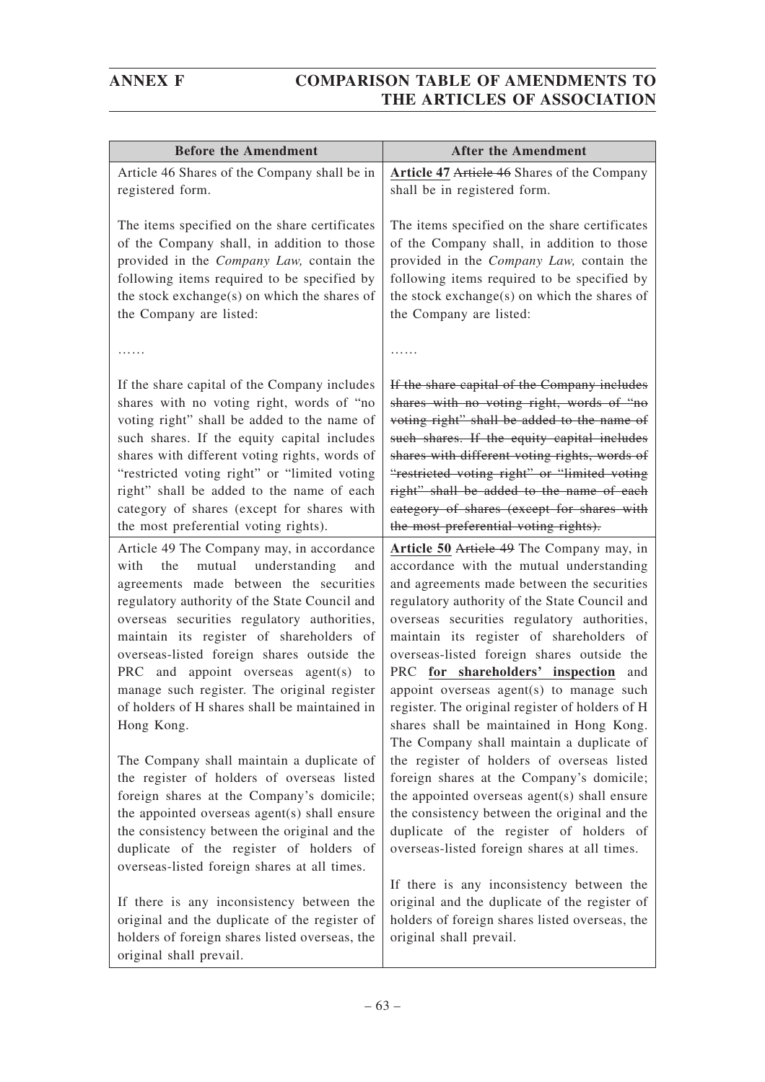| <b>Before the Amendment</b>                                                                                                                                                                                                                                                                                                                                                                                                                                                          | <b>After the Amendment</b>                                                                                                                                                                                                                                                                                                                                                                                                                                                                                                                                       |
|--------------------------------------------------------------------------------------------------------------------------------------------------------------------------------------------------------------------------------------------------------------------------------------------------------------------------------------------------------------------------------------------------------------------------------------------------------------------------------------|------------------------------------------------------------------------------------------------------------------------------------------------------------------------------------------------------------------------------------------------------------------------------------------------------------------------------------------------------------------------------------------------------------------------------------------------------------------------------------------------------------------------------------------------------------------|
| Article 46 Shares of the Company shall be in                                                                                                                                                                                                                                                                                                                                                                                                                                         | Article 47 Article 46 Shares of the Company                                                                                                                                                                                                                                                                                                                                                                                                                                                                                                                      |
| registered form.                                                                                                                                                                                                                                                                                                                                                                                                                                                                     | shall be in registered form.                                                                                                                                                                                                                                                                                                                                                                                                                                                                                                                                     |
| The items specified on the share certificates                                                                                                                                                                                                                                                                                                                                                                                                                                        | The items specified on the share certificates                                                                                                                                                                                                                                                                                                                                                                                                                                                                                                                    |
| of the Company shall, in addition to those                                                                                                                                                                                                                                                                                                                                                                                                                                           | of the Company shall, in addition to those                                                                                                                                                                                                                                                                                                                                                                                                                                                                                                                       |
| provided in the Company Law, contain the                                                                                                                                                                                                                                                                                                                                                                                                                                             | provided in the Company Law, contain the                                                                                                                                                                                                                                                                                                                                                                                                                                                                                                                         |
| following items required to be specified by                                                                                                                                                                                                                                                                                                                                                                                                                                          | following items required to be specified by                                                                                                                                                                                                                                                                                                                                                                                                                                                                                                                      |
| the stock exchange(s) on which the shares of                                                                                                                                                                                                                                                                                                                                                                                                                                         | the stock exchange(s) on which the shares of                                                                                                                                                                                                                                                                                                                                                                                                                                                                                                                     |
| the Company are listed:                                                                                                                                                                                                                                                                                                                                                                                                                                                              | the Company are listed:                                                                                                                                                                                                                                                                                                                                                                                                                                                                                                                                          |
|                                                                                                                                                                                                                                                                                                                                                                                                                                                                                      |                                                                                                                                                                                                                                                                                                                                                                                                                                                                                                                                                                  |
| If the share capital of the Company includes                                                                                                                                                                                                                                                                                                                                                                                                                                         | If the share capital of the Company includes                                                                                                                                                                                                                                                                                                                                                                                                                                                                                                                     |
| shares with no voting right, words of "no                                                                                                                                                                                                                                                                                                                                                                                                                                            | shares with no voting right, words of "no                                                                                                                                                                                                                                                                                                                                                                                                                                                                                                                        |
| voting right" shall be added to the name of                                                                                                                                                                                                                                                                                                                                                                                                                                          | voting right" shall be added to the name of                                                                                                                                                                                                                                                                                                                                                                                                                                                                                                                      |
| such shares. If the equity capital includes                                                                                                                                                                                                                                                                                                                                                                                                                                          | such shares. If the equity capital includes                                                                                                                                                                                                                                                                                                                                                                                                                                                                                                                      |
| shares with different voting rights, words of                                                                                                                                                                                                                                                                                                                                                                                                                                        | shares with different voting rights, words of                                                                                                                                                                                                                                                                                                                                                                                                                                                                                                                    |
| "restricted voting right" or "limited voting                                                                                                                                                                                                                                                                                                                                                                                                                                         | "restricted voting right" or "limited voting                                                                                                                                                                                                                                                                                                                                                                                                                                                                                                                     |
| right" shall be added to the name of each                                                                                                                                                                                                                                                                                                                                                                                                                                            | right" shall be added to the name of each                                                                                                                                                                                                                                                                                                                                                                                                                                                                                                                        |
| category of shares (except for shares with                                                                                                                                                                                                                                                                                                                                                                                                                                           | eategory of shares (except for shares with                                                                                                                                                                                                                                                                                                                                                                                                                                                                                                                       |
| the most preferential voting rights).                                                                                                                                                                                                                                                                                                                                                                                                                                                | the most preferential voting rights).                                                                                                                                                                                                                                                                                                                                                                                                                                                                                                                            |
| Article 49 The Company may, in accordance<br>understanding<br>with<br>mutual<br>the<br>and<br>agreements made between the securities<br>regulatory authority of the State Council and<br>overseas securities regulatory authorities,<br>maintain its register of shareholders of<br>overseas-listed foreign shares outside the<br>PRC and appoint overseas agent(s) to<br>manage such register. The original register<br>of holders of H shares shall be maintained in<br>Hong Kong. | Article 50 Article 49 The Company may, in<br>accordance with the mutual understanding<br>and agreements made between the securities<br>regulatory authority of the State Council and<br>overseas securities regulatory authorities,<br>maintain its register of shareholders of<br>overseas-listed foreign shares outside the<br>PRC for shareholders' inspection<br>and<br>appoint overseas agent(s) to manage such<br>register. The original register of holders of H<br>shares shall be maintained in Hong Kong.<br>The Company shall maintain a duplicate of |
| The Company shall maintain a duplicate of<br>the register of holders of overseas listed<br>foreign shares at the Company's domicile;<br>the appointed overseas agent(s) shall ensure<br>the consistency between the original and the<br>duplicate of the register of holders of<br>overseas-listed foreign shares at all times.                                                                                                                                                      | the register of holders of overseas listed<br>foreign shares at the Company's domicile;<br>the appointed overseas agent(s) shall ensure<br>the consistency between the original and the<br>duplicate of the register of holders of<br>overseas-listed foreign shares at all times.                                                                                                                                                                                                                                                                               |
| If there is any inconsistency between the                                                                                                                                                                                                                                                                                                                                                                                                                                            | If there is any inconsistency between the                                                                                                                                                                                                                                                                                                                                                                                                                                                                                                                        |
| original and the duplicate of the register of                                                                                                                                                                                                                                                                                                                                                                                                                                        | original and the duplicate of the register of                                                                                                                                                                                                                                                                                                                                                                                                                                                                                                                    |
| holders of foreign shares listed overseas, the                                                                                                                                                                                                                                                                                                                                                                                                                                       | holders of foreign shares listed overseas, the                                                                                                                                                                                                                                                                                                                                                                                                                                                                                                                   |
| original shall prevail.                                                                                                                                                                                                                                                                                                                                                                                                                                                              | original shall prevail.                                                                                                                                                                                                                                                                                                                                                                                                                                                                                                                                          |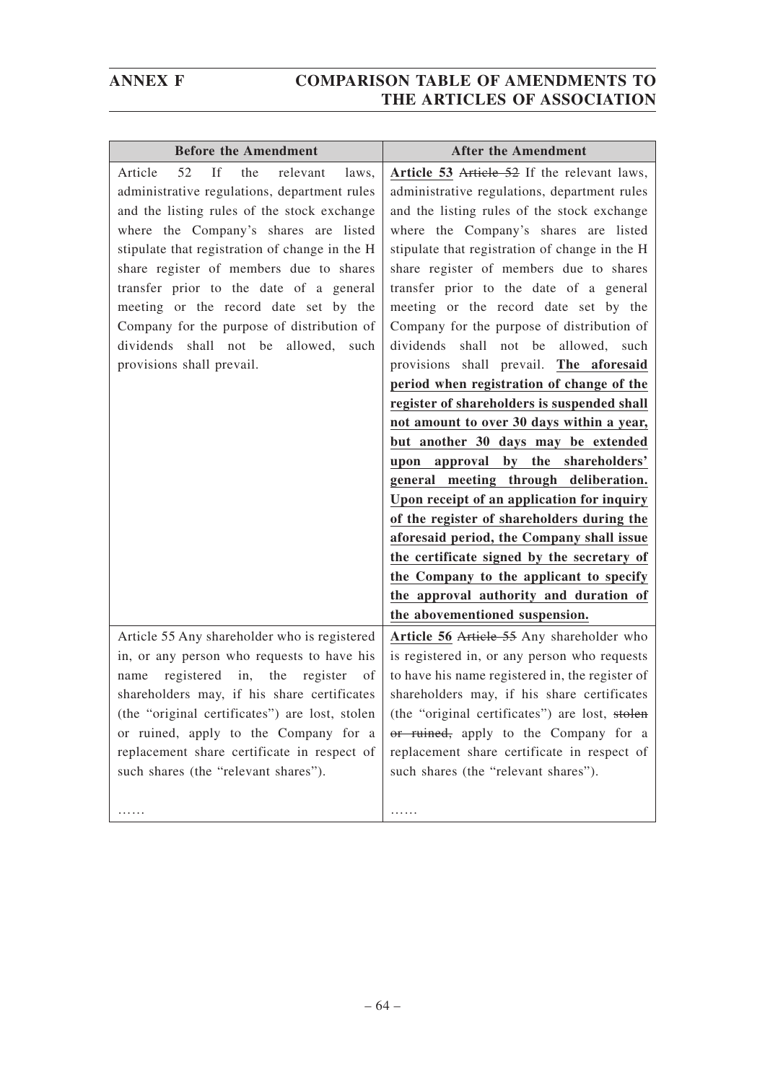| <b>Before the Amendment</b>                                                                                                                                                                                                                                                                                                                                                                                                                                                                    | <b>After the Amendment</b>                                                                                                                                                                                                                                                                                                                                                                                                                                                                                                                                                                                                                                                                                                                                                                                                                                                                                    |
|------------------------------------------------------------------------------------------------------------------------------------------------------------------------------------------------------------------------------------------------------------------------------------------------------------------------------------------------------------------------------------------------------------------------------------------------------------------------------------------------|---------------------------------------------------------------------------------------------------------------------------------------------------------------------------------------------------------------------------------------------------------------------------------------------------------------------------------------------------------------------------------------------------------------------------------------------------------------------------------------------------------------------------------------------------------------------------------------------------------------------------------------------------------------------------------------------------------------------------------------------------------------------------------------------------------------------------------------------------------------------------------------------------------------|
| If<br>52<br>the<br>relevant<br>Article<br>laws.<br>administrative regulations, department rules<br>and the listing rules of the stock exchange<br>where the Company's shares are listed<br>stipulate that registration of change in the H<br>share register of members due to shares<br>transfer prior to the date of a general<br>meeting or the record date set by the<br>Company for the purpose of distribution of<br>dividends shall not be allowed,<br>such<br>provisions shall prevail. | Article 53 Article 52 If the relevant laws,<br>administrative regulations, department rules<br>and the listing rules of the stock exchange<br>where the Company's shares are listed<br>stipulate that registration of change in the H<br>share register of members due to shares<br>transfer prior to the date of a general<br>meeting or the record date set by the<br>Company for the purpose of distribution of<br>dividends shall not be allowed, such<br>provisions shall prevail. The aforesaid<br>period when registration of change of the<br>register of shareholders is suspended shall<br>not amount to over 30 days within a year,<br>but another 30 days may be extended<br>upon approval by the shareholders'<br>general meeting through deliberation.<br>Upon receipt of an application for inquiry<br>of the register of shareholders during the<br>aforesaid period, the Company shall issue |
|                                                                                                                                                                                                                                                                                                                                                                                                                                                                                                | the certificate signed by the secretary of                                                                                                                                                                                                                                                                                                                                                                                                                                                                                                                                                                                                                                                                                                                                                                                                                                                                    |
|                                                                                                                                                                                                                                                                                                                                                                                                                                                                                                | the Company to the applicant to specify<br>the approval authority and duration of                                                                                                                                                                                                                                                                                                                                                                                                                                                                                                                                                                                                                                                                                                                                                                                                                             |
|                                                                                                                                                                                                                                                                                                                                                                                                                                                                                                | the abovementioned suspension.                                                                                                                                                                                                                                                                                                                                                                                                                                                                                                                                                                                                                                                                                                                                                                                                                                                                                |
| Article 55 Any shareholder who is registered<br>in, or any person who requests to have his<br>registered in, the register<br>- of<br>name<br>shareholders may, if his share certificates<br>or ruined, apply to the Company for a<br>replacement share certificate in respect of<br>such shares (the "relevant shares").                                                                                                                                                                       | Article 56 Article 55 Any shareholder who<br>is registered in, or any person who requests<br>to have his name registered in, the register of<br>shareholders may, if his share certificates<br>(the "original certificates") are lost, stolen $\vert$ (the "original certificates") are lost, stolen<br>or ruined, apply to the Company for a<br>replacement share certificate in respect of<br>such shares (the "relevant shares").                                                                                                                                                                                                                                                                                                                                                                                                                                                                          |
| .                                                                                                                                                                                                                                                                                                                                                                                                                                                                                              | .                                                                                                                                                                                                                                                                                                                                                                                                                                                                                                                                                                                                                                                                                                                                                                                                                                                                                                             |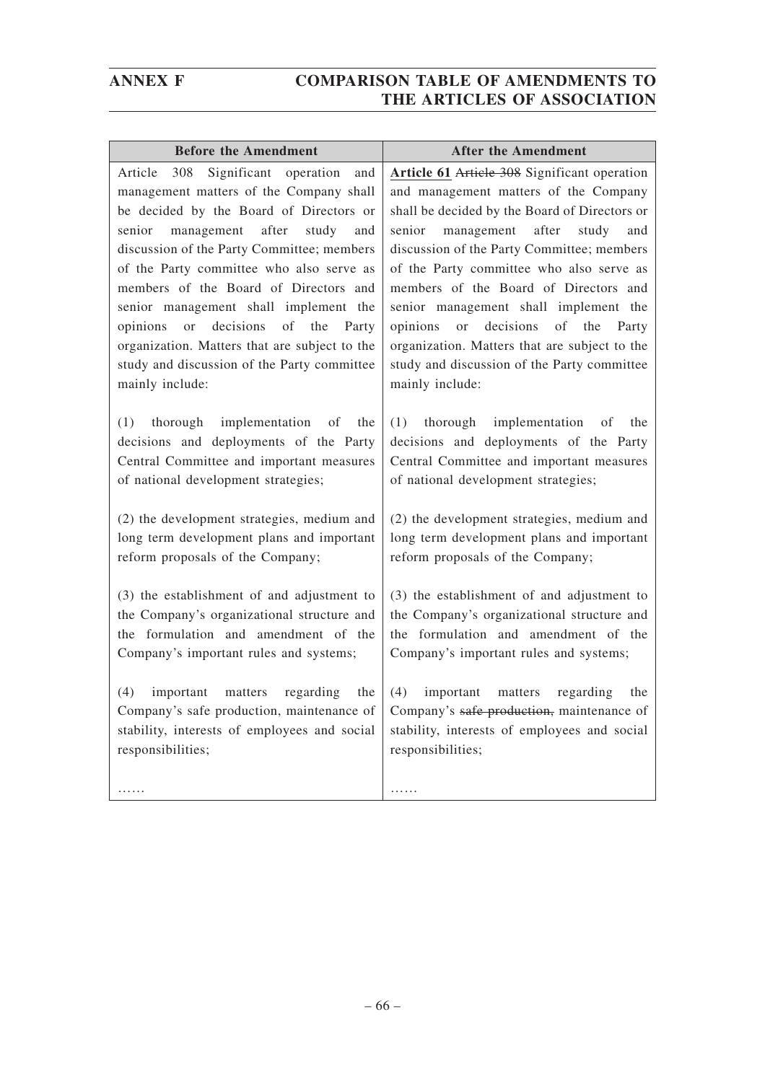| <b>Before the Amendment</b>                                                                                                                                                                                                                                                                                                                                                                                                                                                       | <b>After the Amendment</b>                                                                                                                                                                                                                                                                                                                                                                                                                                             |
|-----------------------------------------------------------------------------------------------------------------------------------------------------------------------------------------------------------------------------------------------------------------------------------------------------------------------------------------------------------------------------------------------------------------------------------------------------------------------------------|------------------------------------------------------------------------------------------------------------------------------------------------------------------------------------------------------------------------------------------------------------------------------------------------------------------------------------------------------------------------------------------------------------------------------------------------------------------------|
| Significant<br>308<br>operation<br>Article<br>and<br>management matters of the Company shall<br>be decided by the Board of Directors or<br>after<br>senior<br>management<br>study<br>and<br>discussion of the Party Committee; members<br>of the Party committee who also serve as<br>members of the Board of Directors and<br>senior management shall implement the<br>decisions<br>of<br>the<br><b>or</b><br>Party<br>opinions<br>organization. Matters that are subject to the | Article 61 Article 308 Significant operation<br>and management matters of the Company<br>shall be decided by the Board of Directors or<br>after<br>senior<br>management<br>study<br>and<br>discussion of the Party Committee; members<br>of the Party committee who also serve as<br>members of the Board of Directors and<br>senior management shall implement the<br>decisions<br>of the<br>opinions<br>or<br>Party<br>organization. Matters that are subject to the |
| study and discussion of the Party committee                                                                                                                                                                                                                                                                                                                                                                                                                                       | study and discussion of the Party committee                                                                                                                                                                                                                                                                                                                                                                                                                            |
| mainly include:                                                                                                                                                                                                                                                                                                                                                                                                                                                                   | mainly include:                                                                                                                                                                                                                                                                                                                                                                                                                                                        |
| implementation                                                                                                                                                                                                                                                                                                                                                                                                                                                                    | implementation                                                                                                                                                                                                                                                                                                                                                                                                                                                         |
| of                                                                                                                                                                                                                                                                                                                                                                                                                                                                                | (1)                                                                                                                                                                                                                                                                                                                                                                                                                                                                    |
| (1)                                                                                                                                                                                                                                                                                                                                                                                                                                                                               | thorough                                                                                                                                                                                                                                                                                                                                                                                                                                                               |
| thorough                                                                                                                                                                                                                                                                                                                                                                                                                                                                          | οf                                                                                                                                                                                                                                                                                                                                                                                                                                                                     |
| the                                                                                                                                                                                                                                                                                                                                                                                                                                                                               | the                                                                                                                                                                                                                                                                                                                                                                                                                                                                    |
| decisions and deployments of the Party                                                                                                                                                                                                                                                                                                                                                                                                                                            | decisions and deployments of the Party                                                                                                                                                                                                                                                                                                                                                                                                                                 |
| Central Committee and important measures                                                                                                                                                                                                                                                                                                                                                                                                                                          | Central Committee and important measures                                                                                                                                                                                                                                                                                                                                                                                                                               |
| of national development strategies;                                                                                                                                                                                                                                                                                                                                                                                                                                               | of national development strategies;                                                                                                                                                                                                                                                                                                                                                                                                                                    |
| (2) the development strategies, medium and                                                                                                                                                                                                                                                                                                                                                                                                                                        | (2) the development strategies, medium and                                                                                                                                                                                                                                                                                                                                                                                                                             |
| long term development plans and important                                                                                                                                                                                                                                                                                                                                                                                                                                         | long term development plans and important                                                                                                                                                                                                                                                                                                                                                                                                                              |
| reform proposals of the Company;                                                                                                                                                                                                                                                                                                                                                                                                                                                  | reform proposals of the Company;                                                                                                                                                                                                                                                                                                                                                                                                                                       |
| (3) the establishment of and adjustment to                                                                                                                                                                                                                                                                                                                                                                                                                                        | (3) the establishment of and adjustment to                                                                                                                                                                                                                                                                                                                                                                                                                             |
| the Company's organizational structure and                                                                                                                                                                                                                                                                                                                                                                                                                                        | the Company's organizational structure and                                                                                                                                                                                                                                                                                                                                                                                                                             |
| the formulation and amendment of the                                                                                                                                                                                                                                                                                                                                                                                                                                              | the formulation and amendment of the                                                                                                                                                                                                                                                                                                                                                                                                                                   |
| Company's important rules and systems;                                                                                                                                                                                                                                                                                                                                                                                                                                            | Company's important rules and systems;                                                                                                                                                                                                                                                                                                                                                                                                                                 |
| (4)                                                                                                                                                                                                                                                                                                                                                                                                                                                                               | (4)                                                                                                                                                                                                                                                                                                                                                                                                                                                                    |
| important                                                                                                                                                                                                                                                                                                                                                                                                                                                                         | regarding                                                                                                                                                                                                                                                                                                                                                                                                                                                              |
| regarding                                                                                                                                                                                                                                                                                                                                                                                                                                                                         | the                                                                                                                                                                                                                                                                                                                                                                                                                                                                    |
| matters                                                                                                                                                                                                                                                                                                                                                                                                                                                                           | important                                                                                                                                                                                                                                                                                                                                                                                                                                                              |
| the                                                                                                                                                                                                                                                                                                                                                                                                                                                                               | matters                                                                                                                                                                                                                                                                                                                                                                                                                                                                |
| Company's safe production, maintenance of                                                                                                                                                                                                                                                                                                                                                                                                                                         | Company's safe production, maintenance of                                                                                                                                                                                                                                                                                                                                                                                                                              |
| stability, interests of employees and social                                                                                                                                                                                                                                                                                                                                                                                                                                      | stability, interests of employees and social                                                                                                                                                                                                                                                                                                                                                                                                                           |
| responsibilities;                                                                                                                                                                                                                                                                                                                                                                                                                                                                 | responsibilities;                                                                                                                                                                                                                                                                                                                                                                                                                                                      |
| .                                                                                                                                                                                                                                                                                                                                                                                                                                                                                 | .                                                                                                                                                                                                                                                                                                                                                                                                                                                                      |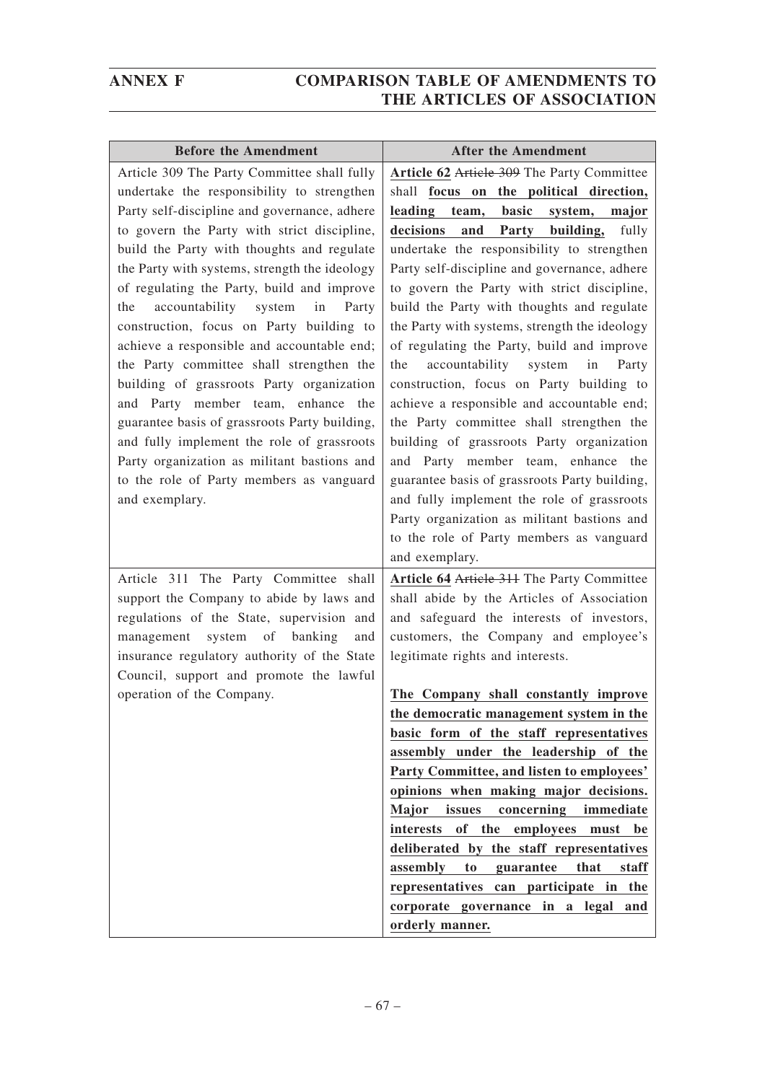| <b>Before the Amendment</b>                                                                                                                                                                                                                                                                                                                                                                                                                                                                                                                                                                                                                                                                                                                                                                                               | <b>After the Amendment</b>                                                                                                                                                                                                                                                                                                                                                                                                                                                                                                                                                                                                                                                                                                                                                                                                                     |
|---------------------------------------------------------------------------------------------------------------------------------------------------------------------------------------------------------------------------------------------------------------------------------------------------------------------------------------------------------------------------------------------------------------------------------------------------------------------------------------------------------------------------------------------------------------------------------------------------------------------------------------------------------------------------------------------------------------------------------------------------------------------------------------------------------------------------|------------------------------------------------------------------------------------------------------------------------------------------------------------------------------------------------------------------------------------------------------------------------------------------------------------------------------------------------------------------------------------------------------------------------------------------------------------------------------------------------------------------------------------------------------------------------------------------------------------------------------------------------------------------------------------------------------------------------------------------------------------------------------------------------------------------------------------------------|
| Article 309 The Party Committee shall fully<br>undertake the responsibility to strengthen<br>Party self-discipline and governance, adhere<br>to govern the Party with strict discipline,<br>build the Party with thoughts and regulate<br>the Party with systems, strength the ideology<br>of regulating the Party, build and improve<br>accountability system<br>in<br>Party<br>the<br>construction, focus on Party building to<br>achieve a responsible and accountable end;<br>the Party committee shall strengthen the<br>building of grassroots Party organization<br>and Party member team, enhance the<br>guarantee basis of grassroots Party building,<br>and fully implement the role of grassroots<br>Party organization as militant bastions and<br>to the role of Party members as vanguard<br>and exemplary. | Article 62 Article 309 The Party Committee<br>shall focus on the political direction,<br>leading team, basic system,<br>major<br>decisions<br>building,<br>and<br>Party<br>fully<br>undertake the responsibility to strengthen<br>Party self-discipline and governance, adhere<br>to govern the Party with strict discipline,<br>build the Party with thoughts and regulate<br>the Party with systems, strength the ideology<br>of regulating the Party, build and improve<br>accountability system in<br>Party<br>the<br>construction, focus on Party building to<br>achieve a responsible and accountable end;<br>the Party committee shall strengthen the<br>building of grassroots Party organization<br>and Party member team, enhance the<br>guarantee basis of grassroots Party building,<br>and fully implement the role of grassroots |
| Article 311 The Party Committee shall<br>support the Company to abide by laws and<br>regulations of the State, supervision and<br>management system of banking<br>and<br>insurance regulatory authority of the State                                                                                                                                                                                                                                                                                                                                                                                                                                                                                                                                                                                                      | Party organization as militant bastions and<br>to the role of Party members as vanguard<br>and exemplary.<br>Article 64 Article 311 The Party Committee<br>shall abide by the Articles of Association<br>and safeguard the interests of investors,<br>customers, the Company and employee's<br>legitimate rights and interests.                                                                                                                                                                                                                                                                                                                                                                                                                                                                                                                |
| Council, support and promote the lawful<br>operation of the Company.                                                                                                                                                                                                                                                                                                                                                                                                                                                                                                                                                                                                                                                                                                                                                      | The Company shall constantly improve<br>the democratic management system in the<br>basic form of the staff representatives<br>assembly under the leadership of the<br>Party Committee, and listen to employees'<br>opinions when making major decisions.<br>issues<br>concerning<br>Major<br>immediate<br>interests<br>of the<br>employees<br>must<br>be<br>deliberated by the staff representatives<br>assembly<br>to<br>guarantee<br>that<br>staff<br>representatives can participate in the<br>corporate governance in a legal<br>and<br>orderly manner.                                                                                                                                                                                                                                                                                    |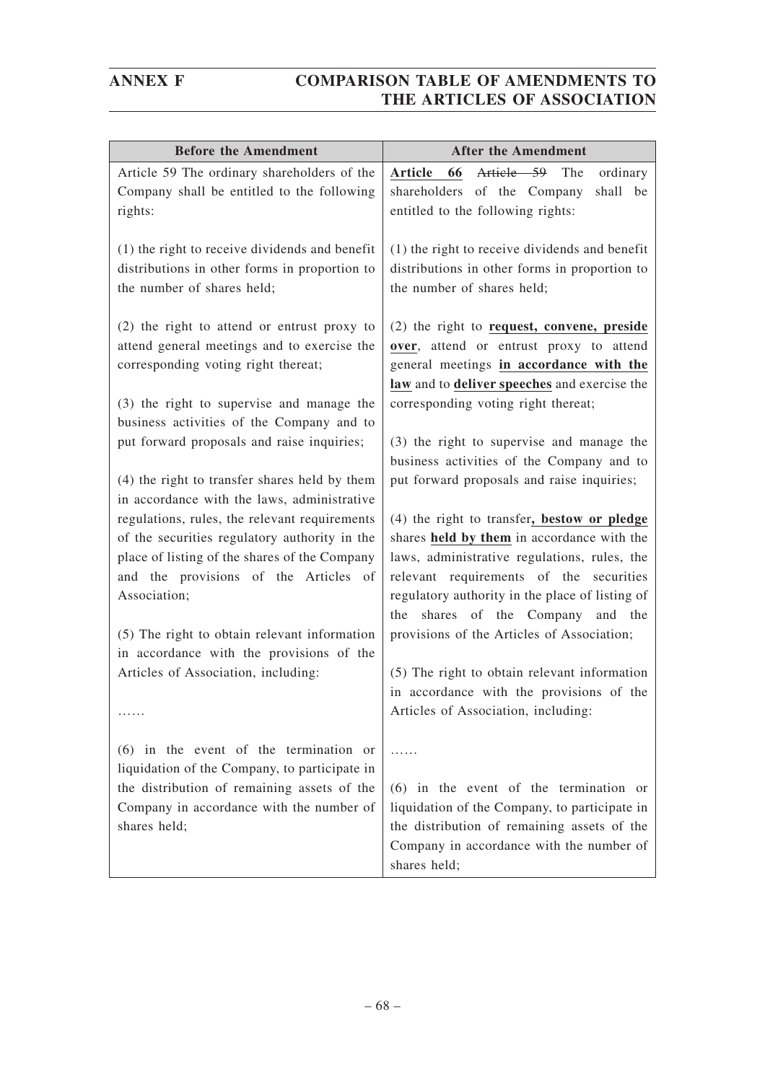| <b>Before the Amendment</b>                                                                                                                                                                                                                                                                                                                                                                                                                 | <b>After the Amendment</b>                                                                                                                                                                                                                                                                                                                                                                                                                                                                                                                                  |
|---------------------------------------------------------------------------------------------------------------------------------------------------------------------------------------------------------------------------------------------------------------------------------------------------------------------------------------------------------------------------------------------------------------------------------------------|-------------------------------------------------------------------------------------------------------------------------------------------------------------------------------------------------------------------------------------------------------------------------------------------------------------------------------------------------------------------------------------------------------------------------------------------------------------------------------------------------------------------------------------------------------------|
| Article 59 The ordinary shareholders of the<br>Company shall be entitled to the following<br>rights:                                                                                                                                                                                                                                                                                                                                        | Article 59<br>66<br>Article<br>The<br>ordinary<br>shareholders of the Company<br>shall be<br>entitled to the following rights:                                                                                                                                                                                                                                                                                                                                                                                                                              |
| (1) the right to receive dividends and benefit<br>distributions in other forms in proportion to<br>the number of shares held;                                                                                                                                                                                                                                                                                                               | (1) the right to receive dividends and benefit<br>distributions in other forms in proportion to<br>the number of shares held;                                                                                                                                                                                                                                                                                                                                                                                                                               |
| (2) the right to attend or entrust proxy to<br>attend general meetings and to exercise the<br>corresponding voting right thereat;<br>(3) the right to supervise and manage the<br>business activities of the Company and to<br>put forward proposals and raise inquiries;                                                                                                                                                                   | (2) the right to request, convene, preside<br>over, attend or entrust proxy to attend<br>general meetings in accordance with the<br>law and to deliver speeches and exercise the<br>corresponding voting right thereat;<br>(3) the right to supervise and manage the                                                                                                                                                                                                                                                                                        |
| (4) the right to transfer shares held by them<br>in accordance with the laws, administrative<br>regulations, rules, the relevant requirements<br>of the securities regulatory authority in the<br>place of listing of the shares of the Company<br>and the provisions of the Articles of<br>Association;<br>(5) The right to obtain relevant information<br>in accordance with the provisions of the<br>Articles of Association, including: | business activities of the Company and to<br>put forward proposals and raise inquiries;<br>(4) the right to transfer, bestow or pledge<br>shares held by them in accordance with the<br>laws, administrative regulations, rules, the<br>relevant requirements of the securities<br>regulatory authority in the place of listing of<br>shares of the Company and the<br>the<br>provisions of the Articles of Association;<br>(5) The right to obtain relevant information<br>in accordance with the provisions of the<br>Articles of Association, including: |
| $(6)$ in the event of the termination or<br>liquidation of the Company, to participate in<br>the distribution of remaining assets of the<br>Company in accordance with the number of<br>shares held;                                                                                                                                                                                                                                        | .<br>$(6)$ in the event of the termination or<br>liquidation of the Company, to participate in<br>the distribution of remaining assets of the<br>Company in accordance with the number of<br>shares held;                                                                                                                                                                                                                                                                                                                                                   |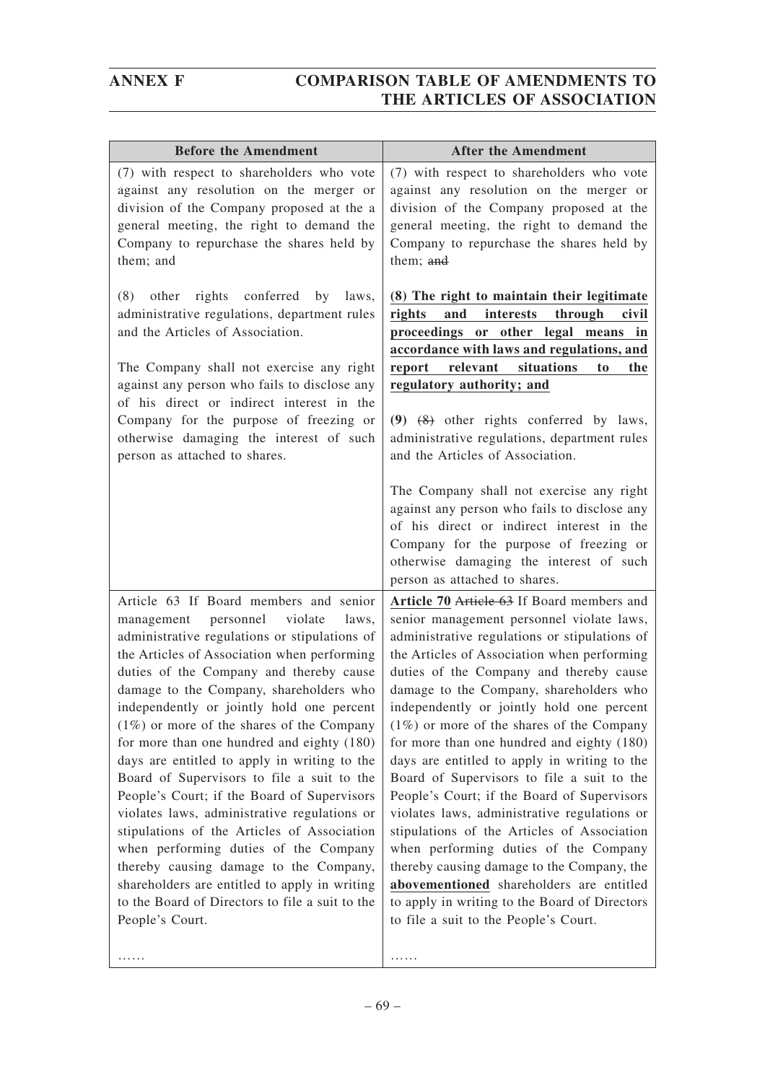| <b>Before the Amendment</b>                                                                                                                                                                                                                                                                                                                                                                                                                                                                                                                                                                                                                                                                                                                                                                                                                                                  | <b>After the Amendment</b>                                                                                                                                                                                                                                                                                                                                                                                                                                                                                                                                                                                                                                                                                                                                                                                                                                                                        |
|------------------------------------------------------------------------------------------------------------------------------------------------------------------------------------------------------------------------------------------------------------------------------------------------------------------------------------------------------------------------------------------------------------------------------------------------------------------------------------------------------------------------------------------------------------------------------------------------------------------------------------------------------------------------------------------------------------------------------------------------------------------------------------------------------------------------------------------------------------------------------|---------------------------------------------------------------------------------------------------------------------------------------------------------------------------------------------------------------------------------------------------------------------------------------------------------------------------------------------------------------------------------------------------------------------------------------------------------------------------------------------------------------------------------------------------------------------------------------------------------------------------------------------------------------------------------------------------------------------------------------------------------------------------------------------------------------------------------------------------------------------------------------------------|
| (7) with respect to shareholders who vote<br>against any resolution on the merger or<br>division of the Company proposed at the a<br>general meeting, the right to demand the<br>Company to repurchase the shares held by<br>them; and                                                                                                                                                                                                                                                                                                                                                                                                                                                                                                                                                                                                                                       | (7) with respect to shareholders who vote<br>against any resolution on the merger or<br>division of the Company proposed at the<br>general meeting, the right to demand the<br>Company to repurchase the shares held by<br>them; and                                                                                                                                                                                                                                                                                                                                                                                                                                                                                                                                                                                                                                                              |
| conferred<br>other<br>rights<br>by<br>laws,<br>(8)<br>administrative regulations, department rules<br>and the Articles of Association.<br>The Company shall not exercise any right<br>against any person who fails to disclose any<br>of his direct or indirect interest in the<br>Company for the purpose of freezing or<br>otherwise damaging the interest of such<br>person as attached to shares.                                                                                                                                                                                                                                                                                                                                                                                                                                                                        | (8) The right to maintain their legitimate<br>rights<br>and<br>interests<br>through<br>civil<br>proceedings or other legal means in<br>accordance with laws and regulations, and<br>relevant<br>situations<br>report<br>to<br>the<br>regulatory authority; and<br>$(9)$ $(8)$ other rights conferred by laws,<br>administrative regulations, department rules<br>and the Articles of Association.                                                                                                                                                                                                                                                                                                                                                                                                                                                                                                 |
|                                                                                                                                                                                                                                                                                                                                                                                                                                                                                                                                                                                                                                                                                                                                                                                                                                                                              | The Company shall not exercise any right<br>against any person who fails to disclose any<br>of his direct or indirect interest in the<br>Company for the purpose of freezing or<br>otherwise damaging the interest of such<br>person as attached to shares.                                                                                                                                                                                                                                                                                                                                                                                                                                                                                                                                                                                                                                       |
| Article 63 If Board members and senior<br>violate<br>personnel<br>management<br>laws,<br>administrative regulations or stipulations of<br>the Articles of Association when performing<br>duties of the Company and thereby cause<br>damage to the Company, shareholders who<br>independently or jointly hold one percent<br>$(1\%)$ or more of the shares of the Company<br>for more than one hundred and eighty (180)<br>days are entitled to apply in writing to the<br>Board of Supervisors to file a suit to the<br>People's Court; if the Board of Supervisors<br>violates laws, administrative regulations or<br>stipulations of the Articles of Association<br>when performing duties of the Company<br>thereby causing damage to the Company,<br>shareholders are entitled to apply in writing<br>to the Board of Directors to file a suit to the<br>People's Court. | Article 70 Article 63 If Board members and<br>senior management personnel violate laws,<br>administrative regulations or stipulations of<br>the Articles of Association when performing<br>duties of the Company and thereby cause<br>damage to the Company, shareholders who<br>independently or jointly hold one percent<br>$(1\%)$ or more of the shares of the Company<br>for more than one hundred and eighty (180)<br>days are entitled to apply in writing to the<br>Board of Supervisors to file a suit to the<br>People's Court; if the Board of Supervisors<br>violates laws, administrative regulations or<br>stipulations of the Articles of Association<br>when performing duties of the Company<br>thereby causing damage to the Company, the<br>abovementioned shareholders are entitled<br>to apply in writing to the Board of Directors<br>to file a suit to the People's Court. |

……

……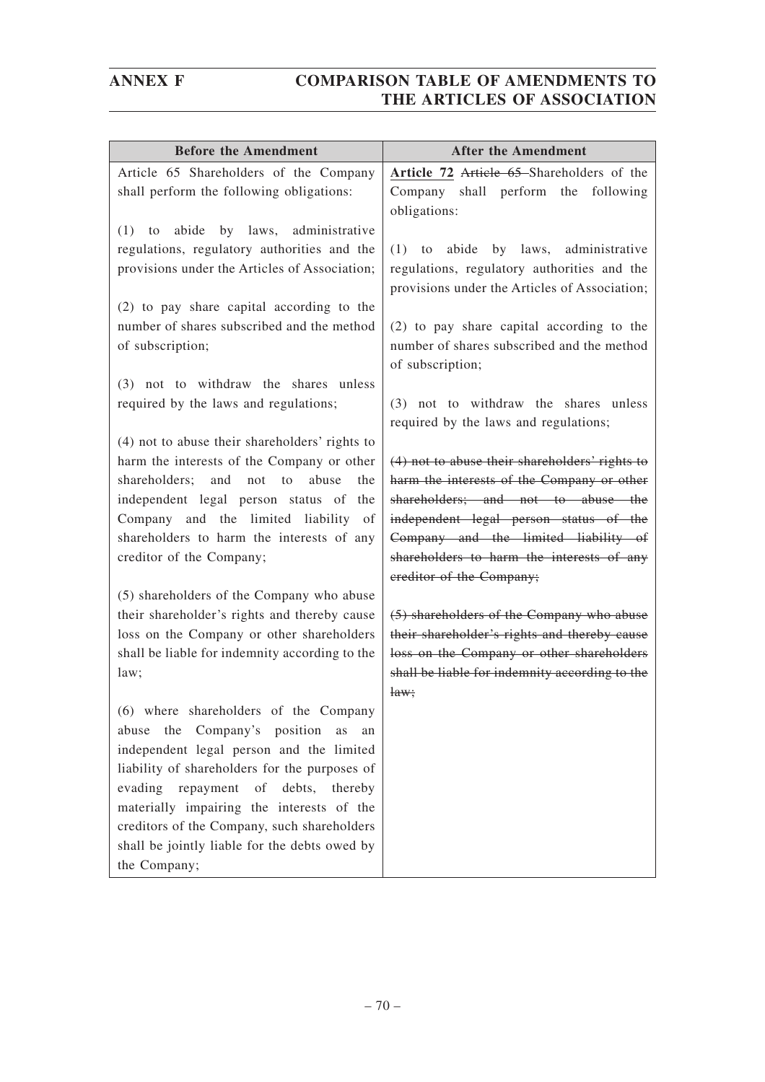| <b>Before the Amendment</b>                                                                                                                                                                                                                                                                                                                                                                       | <b>After the Amendment</b>                                                                                                                                                                                                                                                                    |
|---------------------------------------------------------------------------------------------------------------------------------------------------------------------------------------------------------------------------------------------------------------------------------------------------------------------------------------------------------------------------------------------------|-----------------------------------------------------------------------------------------------------------------------------------------------------------------------------------------------------------------------------------------------------------------------------------------------|
| Article 65 Shareholders of the Company<br>shall perform the following obligations:                                                                                                                                                                                                                                                                                                                | Article 72 Article 65 Shareholders of the<br>Company shall perform the following<br>obligations:                                                                                                                                                                                              |
| by laws, administrative<br>(1)<br>abide<br>to<br>regulations, regulatory authorities and the<br>provisions under the Articles of Association;                                                                                                                                                                                                                                                     | (1)<br>abide by laws, administrative<br>to<br>regulations, regulatory authorities and the<br>provisions under the Articles of Association;                                                                                                                                                    |
| (2) to pay share capital according to the<br>number of shares subscribed and the method<br>of subscription;                                                                                                                                                                                                                                                                                       | (2) to pay share capital according to the<br>number of shares subscribed and the method<br>of subscription;                                                                                                                                                                                   |
| (3) not to withdraw the shares unless<br>required by the laws and regulations;                                                                                                                                                                                                                                                                                                                    | (3) not to withdraw the shares unless<br>required by the laws and regulations;                                                                                                                                                                                                                |
| (4) not to abuse their shareholders' rights to<br>harm the interests of the Company or other<br>shareholders;<br>and<br>not<br>to<br>abuse<br>the<br>independent legal person status of the<br>Company and the limited liability of<br>shareholders to harm the interests of any<br>creditor of the Company;                                                                                      | (4) not to abuse their shareholders' rights to<br>harm the interests of the Company or other<br>shareholders; and not to abuse the<br>independent legal person status of the<br>Company and the limited liability of<br>shareholders to harm the interests of any<br>ereditor of the Company; |
| (5) shareholders of the Company who abuse<br>their shareholder's rights and thereby cause<br>loss on the Company or other shareholders<br>shall be liable for indemnity according to the<br>law;                                                                                                                                                                                                  | (5) shareholders of the Company who abuse<br>their shareholder's rights and thereby cause<br>loss on the Company or other shareholders<br>shall be liable for indemnity according to the<br>$\frac{1}{2}$                                                                                     |
| (6) where shareholders of the Company<br>Company's position<br>the<br>abuse<br>as<br>an<br>independent legal person and the limited<br>liability of shareholders for the purposes of<br>evading repayment<br>of<br>debts,<br>thereby<br>materially impairing the interests of the<br>creditors of the Company, such shareholders<br>shall be jointly liable for the debts owed by<br>the Company; |                                                                                                                                                                                                                                                                                               |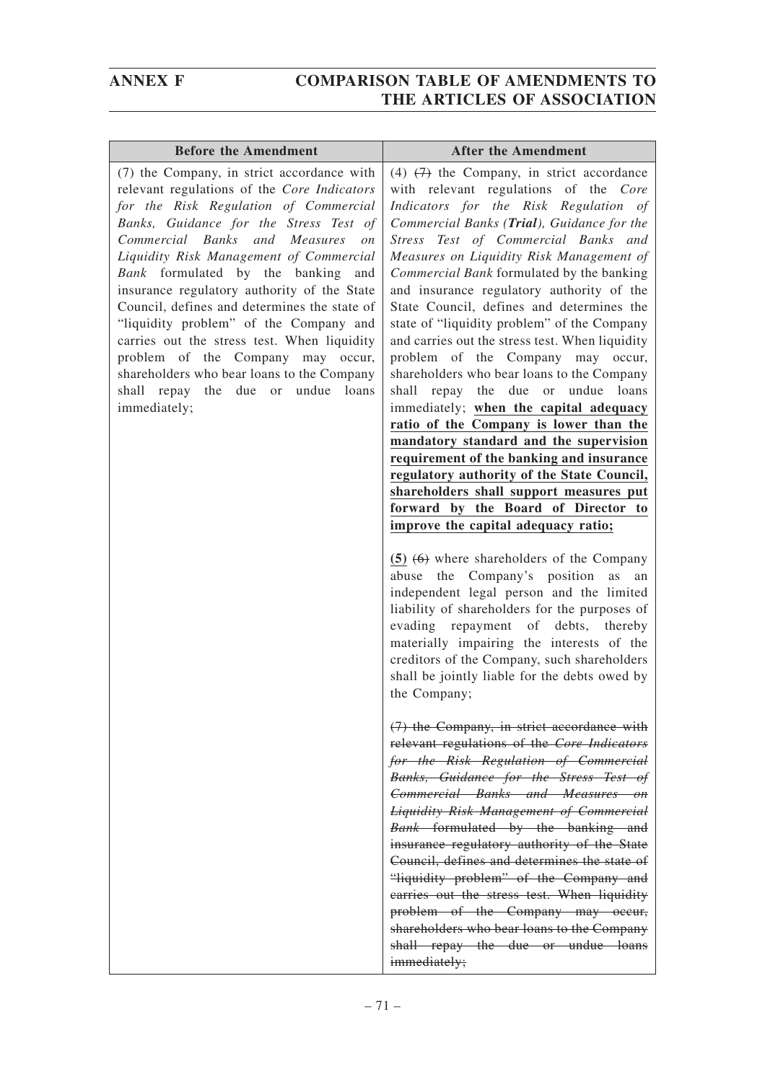| <b>Before the Amendment</b>                                                                                                                                                                                                                                                                                                                                                                                                                                                                                                                                                                                                                        | <b>After the Amendment</b>                                                                                                                                                                                                                                                                                                                                                                                                                                                                                                                                                                                                                                                                                                                                                                                                                                                                                                                                                        |
|----------------------------------------------------------------------------------------------------------------------------------------------------------------------------------------------------------------------------------------------------------------------------------------------------------------------------------------------------------------------------------------------------------------------------------------------------------------------------------------------------------------------------------------------------------------------------------------------------------------------------------------------------|-----------------------------------------------------------------------------------------------------------------------------------------------------------------------------------------------------------------------------------------------------------------------------------------------------------------------------------------------------------------------------------------------------------------------------------------------------------------------------------------------------------------------------------------------------------------------------------------------------------------------------------------------------------------------------------------------------------------------------------------------------------------------------------------------------------------------------------------------------------------------------------------------------------------------------------------------------------------------------------|
| (7) the Company, in strict accordance with<br>relevant regulations of the Core Indicators<br>for the Risk Regulation of Commercial<br>Banks, Guidance for the Stress Test of<br>Commercial Banks and Measures<br>$\mathfrak{O}n$<br>Liquidity Risk Management of Commercial<br>Bank formulated by the banking and<br>insurance regulatory authority of the State<br>Council, defines and determines the state of<br>"liquidity problem" of the Company and<br>carries out the stress test. When liquidity<br>problem of the Company may occur,<br>shareholders who bear loans to the Company<br>shall repay the due or undue loans<br>immediately; | (4) $(7)$ the Company, in strict accordance<br>with relevant regulations of the Core<br>Indicators for the Risk Regulation of<br>Commercial Banks (Trial), Guidance for the<br>Stress Test of Commercial Banks and<br>Measures on Liquidity Risk Management of<br>Commercial Bank formulated by the banking<br>and insurance regulatory authority of the<br>State Council, defines and determines the<br>state of "liquidity problem" of the Company<br>and carries out the stress test. When liquidity<br>problem of the Company may occur,<br>shareholders who bear loans to the Company<br>shall repay the due or undue loans<br>immediately; when the capital adequacy<br>ratio of the Company is lower than the<br>mandatory standard and the supervision<br>requirement of the banking and insurance<br>regulatory authority of the State Council,<br>shareholders shall support measures put<br>forward by the Board of Director to<br>improve the capital adequacy ratio; |
|                                                                                                                                                                                                                                                                                                                                                                                                                                                                                                                                                                                                                                                    | $(5)$ $(6)$ where shareholders of the Company<br>abuse the Company's position<br>as<br>an<br>independent legal person and the limited<br>liability of shareholders for the purposes of<br>evading repayment of debts, thereby<br>materially impairing the interests of the<br>creditors of the Company, such shareholders<br>shall be jointly liable for the debts owed by<br>the Company;                                                                                                                                                                                                                                                                                                                                                                                                                                                                                                                                                                                        |
|                                                                                                                                                                                                                                                                                                                                                                                                                                                                                                                                                                                                                                                    | (7) the Company, in strict accordance with<br>relevant regulations of the Core Indicators<br>for the Risk Regulation of Commercial<br>Banks, Guidance for the Stress Test of<br>Commercial Banks and Measures on<br><b>Liquidity Risk Management of Commercial</b><br>Bank formulated by the banking and<br>insurance regulatory authority of the State<br>Council, defines and determines the state of<br>"liquidity problem" of the Company and<br>earries out the stress test. When liquidity<br>problem of the Company may occur,<br>shareholders who bear loans to the Company<br>shall repay the due or undue loans<br>immediately;                                                                                                                                                                                                                                                                                                                                         |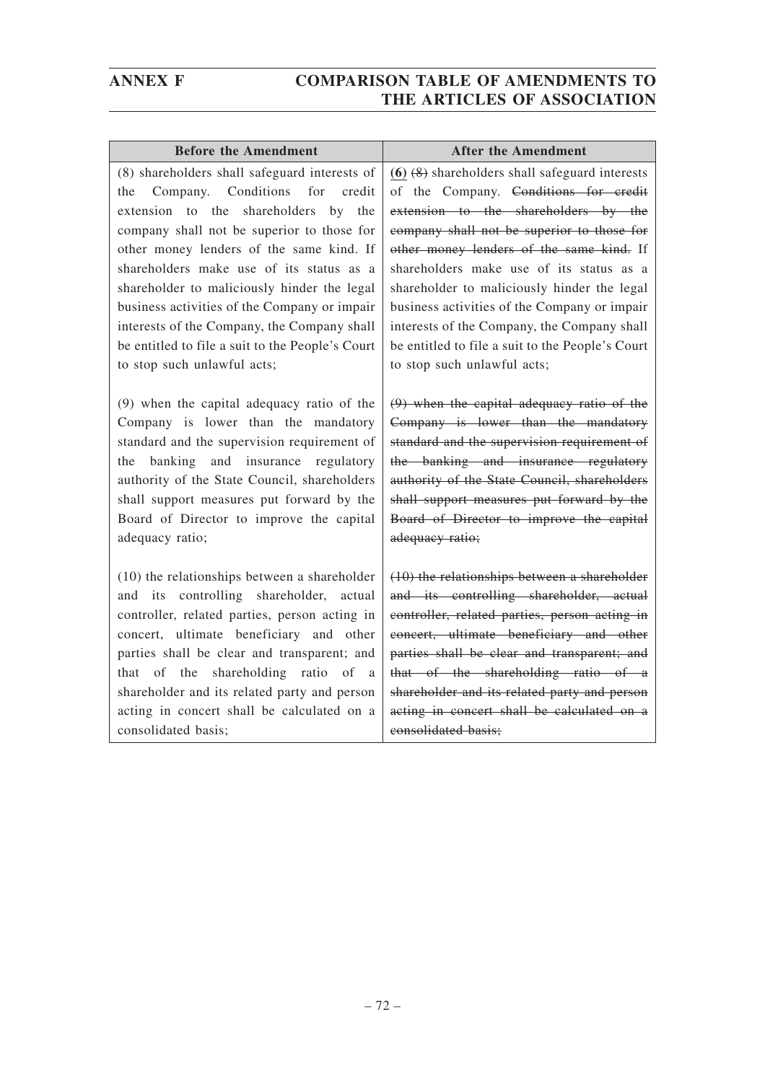| <b>Before the Amendment</b>                                                                                                                                                                                                                                                                                                                                                                                                                                                                                                   | <b>After the Amendment</b>                                                                                                                                                                                                                                                                                                                                                                                                                                                                                            |
|-------------------------------------------------------------------------------------------------------------------------------------------------------------------------------------------------------------------------------------------------------------------------------------------------------------------------------------------------------------------------------------------------------------------------------------------------------------------------------------------------------------------------------|-----------------------------------------------------------------------------------------------------------------------------------------------------------------------------------------------------------------------------------------------------------------------------------------------------------------------------------------------------------------------------------------------------------------------------------------------------------------------------------------------------------------------|
| (8) shareholders shall safeguard interests of<br>Company. Conditions<br>for<br>credit<br>the<br>extension to the shareholders<br>$\mathbf{b}$ y<br>the<br>company shall not be superior to those for<br>other money lenders of the same kind. If<br>shareholders make use of its status as a<br>shareholder to maliciously hinder the legal<br>business activities of the Company or impair<br>interests of the Company, the Company shall<br>be entitled to file a suit to the People's Court<br>to stop such unlawful acts; | $(6)$ $(8)$ shareholders shall safeguard interests<br>of the Company. <del>Conditions for credit</del><br>extension to the shareholders by the<br>company shall not be superior to those for<br>other money lenders of the same kind. If<br>shareholders make use of its status as a<br>shareholder to maliciously hinder the legal<br>business activities of the Company or impair<br>interests of the Company, the Company shall<br>be entitled to file a suit to the People's Court<br>to stop such unlawful acts; |
| (9) when the capital adequacy ratio of the<br>Company is lower than the mandatory<br>standard and the supervision requirement of<br>banking and insurance regulatory<br>the<br>authority of the State Council, shareholders<br>shall support measures put forward by the<br>Board of Director to improve the capital<br>adequacy ratio;                                                                                                                                                                                       | $(9)$ when the capital adequacy ratio of the<br>Company is lower than the mandatory<br>standard and the supervision requirement of<br>the banking and insurance regulatory<br>authority of the State Council, shareholders<br>shall support measures put forward by the<br>Board of Director to improve the capital<br>adequacy ratio;                                                                                                                                                                                |
| (10) the relationships between a shareholder<br>its controlling shareholder,<br>actual<br>and<br>controller, related parties, person acting in<br>concert, ultimate beneficiary and other<br>parties shall be clear and transparent; and<br>that of the shareholding ratio of<br>a<br>shareholder and its related party and person<br>acting in concert shall be calculated on a<br>consolidated basis;                                                                                                                       | (10) the relationships between a shareholder<br>and its controlling shareholder, actual<br>controller, related parties, person acting in<br>concert, ultimate beneficiary and other<br>parties shall be clear and transparent; and<br>that of the shareholding ratio of a<br>shareholder and its related party and person<br>acting in concert shall be calculated on a<br>consolidated basis;                                                                                                                        |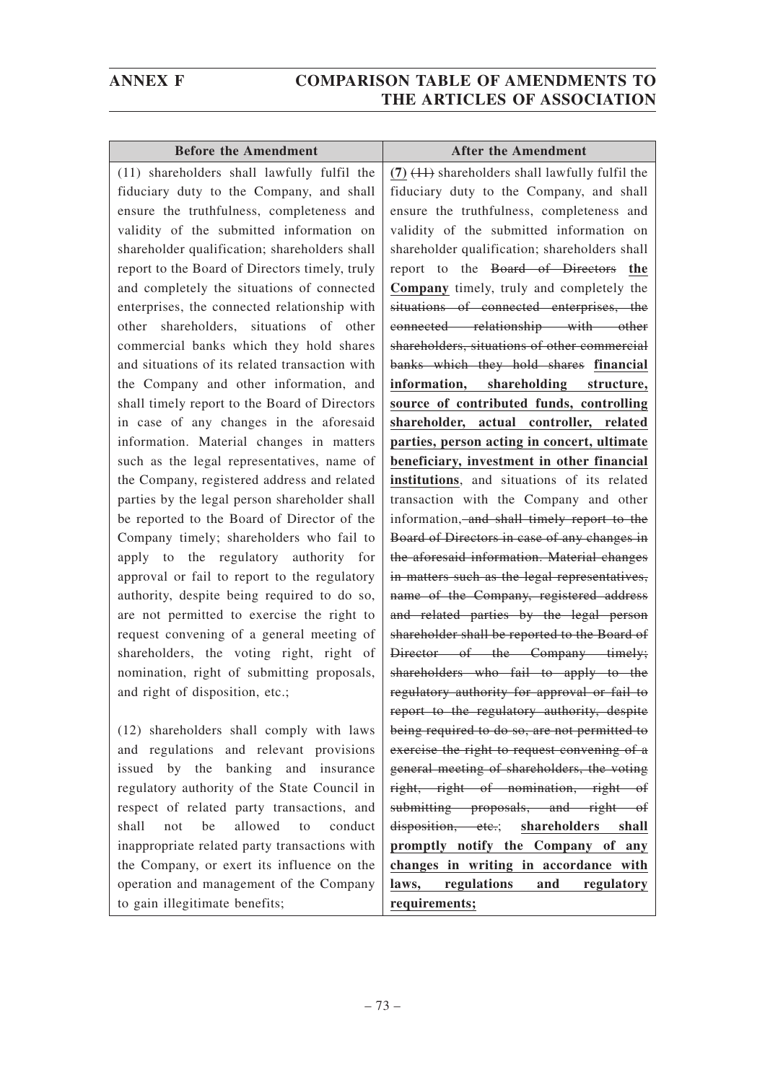| <b>Before the Amendment</b>                    | <b>After the Amendment</b>                          |
|------------------------------------------------|-----------------------------------------------------|
| (11) shareholders shall lawfully fulfil the    | $(7)$ $(11)$ shareholders shall lawfully fulfil the |
| fiduciary duty to the Company, and shall       | fiduciary duty to the Company, and shall            |
| ensure the truthfulness, completeness and      | ensure the truthfulness, completeness and           |
| validity of the submitted information on       | validity of the submitted information on            |
| shareholder qualification; shareholders shall  | shareholder qualification; shareholders shall       |
| report to the Board of Directors timely, truly | report to the Board of Directors the                |
| and completely the situations of connected     | Company timely, truly and completely the            |
| enterprises, the connected relationship with   | situations of connected enterprises, the            |
| other shareholders, situations of other        | connected relationship with other                   |
| commercial banks which they hold shares        | shareholders, situations of other commercial        |
| and situations of its related transaction with | banks which they hold shares financial              |
| the Company and other information, and         | information, shareholding structure,                |
| shall timely report to the Board of Directors  | source of contributed funds, controlling            |
| in case of any changes in the aforesaid        | shareholder, actual controller, related             |
| information. Material changes in matters       | parties, person acting in concert, ultimate         |
| such as the legal representatives, name of     | beneficiary, investment in other financial          |
| the Company, registered address and related    | institutions, and situations of its related         |
| parties by the legal person shareholder shall  | transaction with the Company and other              |
| be reported to the Board of Director of the    | information, and shall timely report to the         |
| Company timely; shareholders who fail to       | Board of Directors in case of any changes in        |
| apply to the regulatory authority for          | the aforesaid information. Material changes         |
| approval or fail to report to the regulatory   | in matters such as the legal representatives,       |
| authority, despite being required to do so,    | name of the Company, registered address             |
| are not permitted to exercise the right to     | and related parties by the legal person             |
| request convening of a general meeting of      | shareholder shall be reported to the Board of       |
| shareholders, the voting right, right of       | Director of the Company timely;                     |
| nomination, right of submitting proposals,     | shareholders who fail to apply to the               |
| and right of disposition, etc.;                | regulatory authority for approval or fail to        |
|                                                | report to the regulatory authority, despite         |
| (12) shareholders shall comply with laws       | being required to do so, are not permitted to       |
| and regulations and relevant provisions        | exercise the right to request convening of a        |
| issued by the<br>banking and insurance         | general meeting of shareholders, the voting         |
| regulatory authority of the State Council in   | right, right of nomination, right of                |
| respect of related party transactions, and     | submitting proposals, and right of                  |
| allowed<br>shall<br>be<br>conduct<br>not<br>to | disposition, etc.;<br>shareholders<br>shall         |
| inappropriate related party transactions with  | promptly notify the Company of any                  |
| the Company, or exert its influence on the     | changes in writing in accordance with               |
| operation and management of the Company        | regulations<br>and<br>laws,<br>regulatory           |
| to gain illegitimate benefits;                 | requirements;                                       |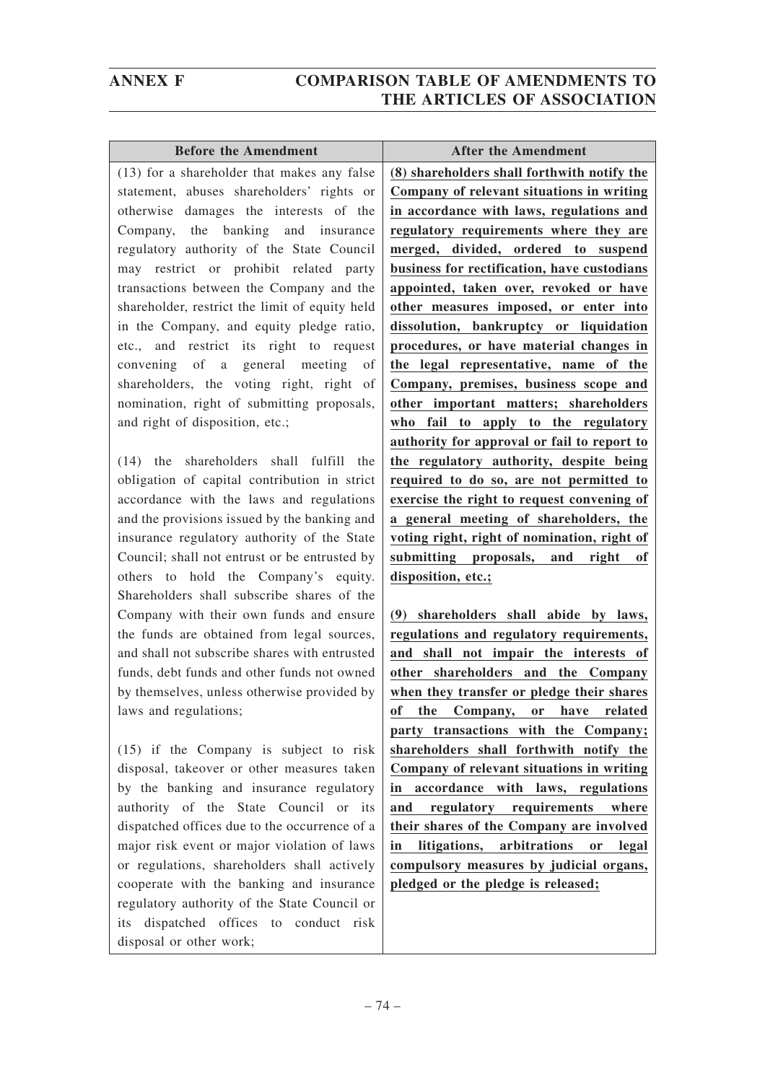|                | <b>Before the Amendment</b>                    |
|----------------|------------------------------------------------|
| (8)            | (13) for a shareholder that makes any false    |
| $\mathbf{C}$   | statement, abuses shareholders' rights or      |
| in             | otherwise damages the interests of the         |
| re             | Company, the banking and insurance             |
| m              | regulatory authority of the State Council      |
| bι             | may restrict or prohibit related party         |
| a <sub>f</sub> | transactions between the Company and the       |
| ot             | shareholder, restrict the limit of equity held |
| di             | in the Company, and equity pledge ratio,       |
| pr             | etc., and restrict its right to request        |
| th             | convening of a general meeting of              |
| $\mathbf{C}$   | shareholders, the voting right, right of       |
| ot             | nomination, right of submitting proposals,     |
| $\mathbf{w}$   | and right of disposition, etc.;                |
|                |                                                |

(14) the shareholders shall fulfill the obligation of capital contribution in strict accordance with the laws and regulations and the provisions issued by the banking and insurance regulatory authority of the State Council; shall not entrust or be entrusted by others to hold the Company's equity. Shareholders shall subscribe shares of the Company with their own funds and ensure the funds are obtained from legal sources, and shall not subscribe shares with entrusted funds, debt funds and other funds not owned by themselves, unless otherwise provided by laws and regulations;

(15) if the Company is subject to risk disposal, takeover or other measures taken by the banking and insurance regulatory authority of the State Council or its dispatched offices due to the occurrence of a major risk event or major violation of laws or regulations, shareholders shall actively cooperate with the banking and insurance regulatory authority of the State Council or its dispatched offices to conduct risk disposal or other work;

**Before the Amendment After the Amendment (8) shareholders shall forthwith notify the Company of relevant situations in writing in accordance with laws, regulations and regulatory requirements where they are merged, divided, ordered to suspend business for rectification, have custodians appointed, taken over, revoked or have other measures imposed, or enter into dissolution, bankruptcy or liquidation procedures, or have material changes in the legal representative, name of the Company, premises, business scope and other important matters; shareholders who fail to apply to the regulatory authority for approval or fail to report to the regulatory authority, despite being required to do so, are not permitted to exercise the right to request convening of a general meeting of shareholders, the voting right, right of nomination, right of submitting proposals, and right of disposition, etc.;**

**(9) shareholders shall abide by laws, regulations and regulatory requirements, and shall not impair the interests of other shareholders and the Company when they transfer or pledge their shares of the Company, or have related party transactions with the Company; shareholders shall forthwith notify the Company of relevant situations in writing in accordance with laws, regulations and regulatory requirements where their shares of the Company are involved in litigations, arbitrations or legal compulsory measures by judicial organs, pledged or the pledge is released;**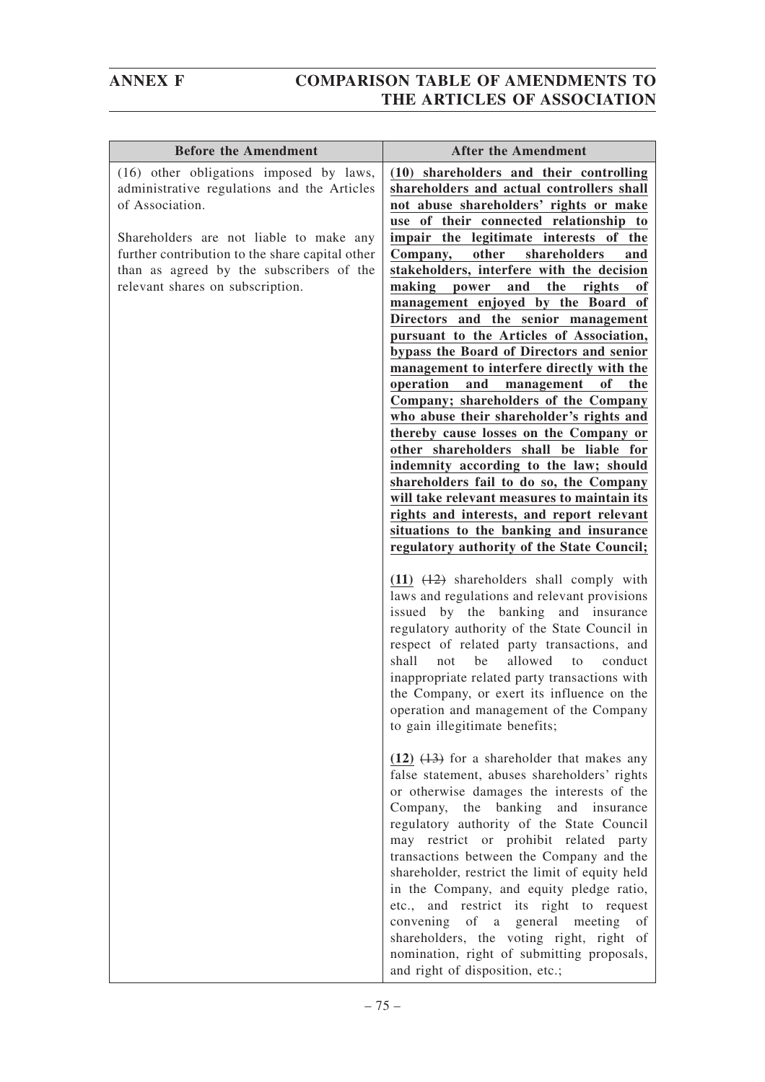| <b>Before the Amendment</b>                                                                                                                                                                                                                                                             | <b>After the Amendment</b>                                                                                                                                                                                                                                                                                                                                                                                                                                                                                                                                                                                                                                                                                                                                                                                                                                                                                                                                                                                                                                                                                                   |
|-----------------------------------------------------------------------------------------------------------------------------------------------------------------------------------------------------------------------------------------------------------------------------------------|------------------------------------------------------------------------------------------------------------------------------------------------------------------------------------------------------------------------------------------------------------------------------------------------------------------------------------------------------------------------------------------------------------------------------------------------------------------------------------------------------------------------------------------------------------------------------------------------------------------------------------------------------------------------------------------------------------------------------------------------------------------------------------------------------------------------------------------------------------------------------------------------------------------------------------------------------------------------------------------------------------------------------------------------------------------------------------------------------------------------------|
| (16) other obligations imposed by laws,<br>administrative regulations and the Articles<br>of Association.<br>Shareholders are not liable to make any<br>further contribution to the share capital other<br>than as agreed by the subscribers of the<br>relevant shares on subscription. | (10) shareholders and their controlling<br>shareholders and actual controllers shall<br>not abuse shareholders' rights or make<br>use of their connected relationship to<br>impair the legitimate interests of the<br>shareholders<br>other<br>Company,<br>and<br>stakeholders, interfere with the decision<br>making power<br>and<br>the<br>rights<br>of<br>management enjoyed by the Board of<br>Directors and the senior management<br>pursuant to the Articles of Association,<br>bypass the Board of Directors and senior<br>management to interfere directly with the<br>operation<br>and<br>of<br>the<br>management<br>Company; shareholders of the Company<br>who abuse their shareholder's rights and<br>thereby cause losses on the Company or<br>other shareholders shall be liable for<br>indemnity according to the law; should<br>shareholders fail to do so, the Company<br>will take relevant measures to maintain its<br>rights and interests, and report relevant<br>situations to the banking and insurance<br>regulatory authority of the State Council;<br>$(11)$ $(12)$ shareholders shall comply with |
|                                                                                                                                                                                                                                                                                         | laws and regulations and relevant provisions<br>issued by the banking and insurance<br>regulatory authority of the State Council in<br>respect of related party transactions, and<br>shall<br>allowed<br>not<br>be<br>conduct<br>to<br>inappropriate related party transactions with<br>the Company, or exert its influence on the<br>operation and management of the Company<br>to gain illegitimate benefits;                                                                                                                                                                                                                                                                                                                                                                                                                                                                                                                                                                                                                                                                                                              |
|                                                                                                                                                                                                                                                                                         | $(12)$ $(13)$ for a shareholder that makes any<br>false statement, abuses shareholders' rights<br>or otherwise damages the interests of the<br>banking<br>Company,<br>the<br>and insurance<br>regulatory authority of the State Council<br>may restrict or prohibit related party<br>transactions between the Company and the<br>shareholder, restrict the limit of equity held<br>in the Company, and equity pledge ratio,<br>etc., and restrict its right to request<br>convening of a general meeting<br>of<br>shareholders, the voting right, right of<br>nomination, right of submitting proposals,<br>and right of disposition, etc.;                                                                                                                                                                                                                                                                                                                                                                                                                                                                                  |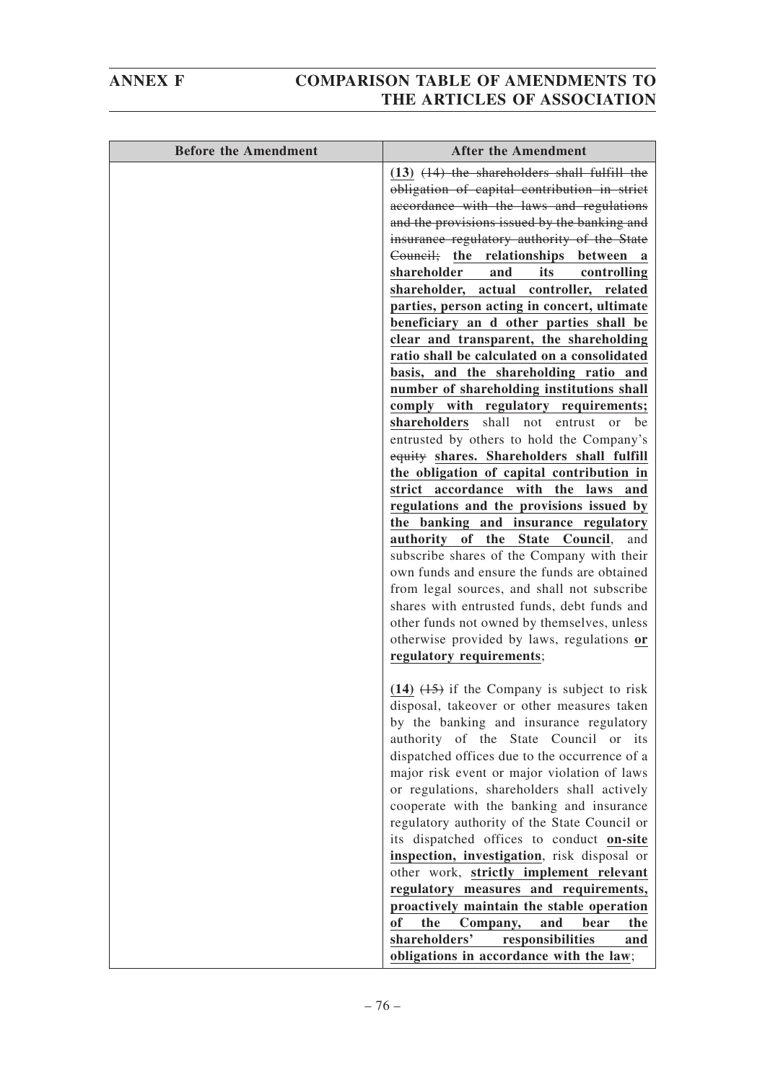| <b>Before the Amendment</b> | <b>After the Amendment</b>                                                                 |
|-----------------------------|--------------------------------------------------------------------------------------------|
|                             | $(13)$ $(14)$ the shareholders shall fulfill the                                           |
|                             | obligation of capital contribution in strict                                               |
|                             | accordance with the laws and regulations                                                   |
|                             | and the provisions issued by the banking and                                               |
|                             | insurance regulatory authority of the State                                                |
|                             | Council; the relationships between a                                                       |
|                             | shareholder<br>and<br>its<br>controlling                                                   |
|                             | shareholder, actual controller, related                                                    |
|                             | parties, person acting in concert, ultimate                                                |
|                             | beneficiary an d other parties shall be                                                    |
|                             | clear and transparent, the shareholding                                                    |
|                             | ratio shall be calculated on a consolidated                                                |
|                             | basis, and the shareholding ratio and                                                      |
|                             | number of shareholding institutions shall                                                  |
|                             | comply with regulatory requirements;                                                       |
|                             | shareholders<br>shall not entrust<br>be<br><sub>or</sub>                                   |
|                             | entrusted by others to hold the Company's                                                  |
|                             | equity shares. Shareholders shall fulfill                                                  |
|                             | the obligation of capital contribution in                                                  |
|                             | strict accordance with the laws<br>and                                                     |
|                             | regulations and the provisions issued by                                                   |
|                             | the banking and insurance regulatory<br>of the                                             |
|                             | <b>State</b><br>authority<br>Council,<br>and<br>subscribe shares of the Company with their |
|                             | own funds and ensure the funds are obtained                                                |
|                             | from legal sources, and shall not subscribe                                                |
|                             | shares with entrusted funds, debt funds and                                                |
|                             | other funds not owned by themselves, unless                                                |
|                             | otherwise provided by laws, regulations or                                                 |
|                             | regulatory requirements;                                                                   |
|                             |                                                                                            |
|                             | $(14)$ $(15)$ if the Company is subject to risk                                            |
|                             | disposal, takeover or other measures taken                                                 |
|                             | by the banking and insurance regulatory                                                    |
|                             | authority of the State Council or its                                                      |
|                             | dispatched offices due to the occurrence of a                                              |
|                             | major risk event or major violation of laws                                                |
|                             | or regulations, shareholders shall actively                                                |
|                             | cooperate with the banking and insurance                                                   |
|                             | regulatory authority of the State Council or                                               |
|                             | its dispatched offices to conduct on-site                                                  |
|                             | inspection, investigation, risk disposal or                                                |
|                             | other work, strictly implement relevant                                                    |
|                             | regulatory measures and requirements,<br>proactively maintain the stable operation         |
|                             | of<br>the<br>Company,<br>bear<br>and<br>the                                                |
|                             | shareholders'<br>responsibilities<br>and                                                   |
|                             | obligations in accordance with the law;                                                    |
|                             |                                                                                            |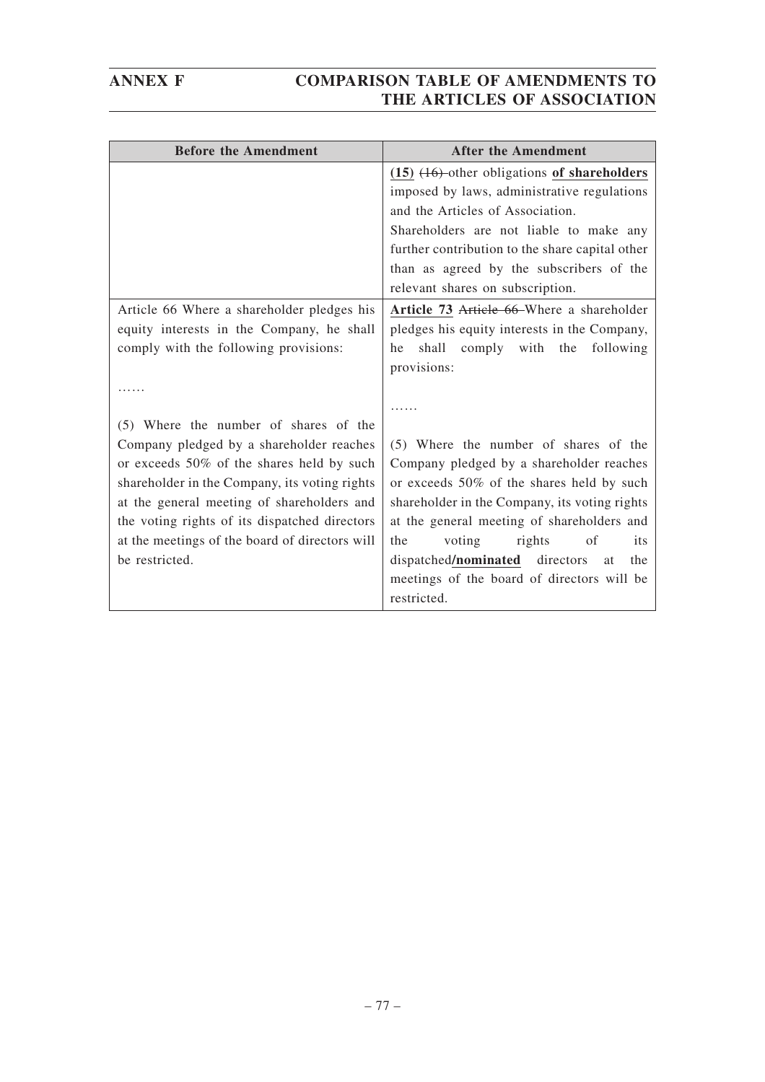| <b>Before the Amendment</b>                    | <b>After the Amendment</b>                       |
|------------------------------------------------|--------------------------------------------------|
|                                                | $(15)$ $(16)$ -other obligations of shareholders |
|                                                | imposed by laws, administrative regulations      |
|                                                | and the Articles of Association.                 |
|                                                | Shareholders are not liable to make any          |
|                                                | further contribution to the share capital other  |
|                                                | than as agreed by the subscribers of the         |
|                                                | relevant shares on subscription.                 |
| Article 66 Where a shareholder pledges his     | Article 73 Article 66-Where a shareholder        |
| equity interests in the Company, he shall      | pledges his equity interests in the Company,     |
| comply with the following provisions:          | shall comply with the following<br>he            |
|                                                | provisions:                                      |
|                                                |                                                  |
|                                                |                                                  |
| (5) Where the number of shares of the          |                                                  |
| Company pledged by a shareholder reaches       | (5) Where the number of shares of the            |
| or exceeds 50% of the shares held by such      | Company pledged by a shareholder reaches         |
| shareholder in the Company, its voting rights  | or exceeds 50% of the shares held by such        |
| at the general meeting of shareholders and     | shareholder in the Company, its voting rights    |
| the voting rights of its dispatched directors  | at the general meeting of shareholders and       |
| at the meetings of the board of directors will | voting<br>rights<br>of<br>the<br>its             |
| be restricted.                                 | dispatched/nominated directors<br>the<br>at      |
|                                                | meetings of the board of directors will be       |
|                                                | restricted.                                      |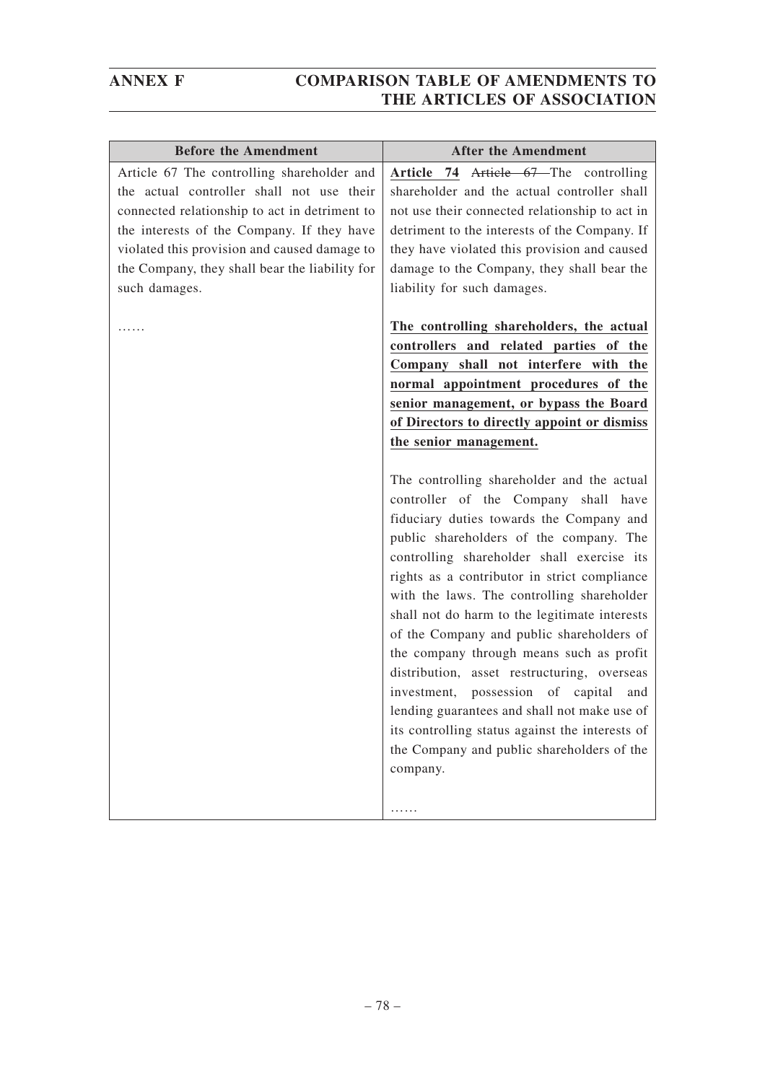| <b>Before the Amendment</b>                                                                                                                                                                                                                                                                               | <b>After the Amendment</b>                                                                                                                                                                                                                                                                                                                                                                                                                                                                                                                                                                                                                                                                                                                                                                                                                                                                                                                                                                                          |
|-----------------------------------------------------------------------------------------------------------------------------------------------------------------------------------------------------------------------------------------------------------------------------------------------------------|---------------------------------------------------------------------------------------------------------------------------------------------------------------------------------------------------------------------------------------------------------------------------------------------------------------------------------------------------------------------------------------------------------------------------------------------------------------------------------------------------------------------------------------------------------------------------------------------------------------------------------------------------------------------------------------------------------------------------------------------------------------------------------------------------------------------------------------------------------------------------------------------------------------------------------------------------------------------------------------------------------------------|
| Article 67 The controlling shareholder and<br>the actual controller shall not use their<br>connected relationship to act in detriment to<br>the interests of the Company. If they have<br>violated this provision and caused damage to<br>the Company, they shall bear the liability for<br>such damages. | Article 74 Article 67—The controlling<br>shareholder and the actual controller shall<br>not use their connected relationship to act in<br>detriment to the interests of the Company. If<br>they have violated this provision and caused<br>damage to the Company, they shall bear the<br>liability for such damages.                                                                                                                                                                                                                                                                                                                                                                                                                                                                                                                                                                                                                                                                                                |
|                                                                                                                                                                                                                                                                                                           | The controlling shareholders, the actual<br>controllers and related parties of the<br>Company shall not interfere with the<br>normal appointment procedures of the<br>senior management, or bypass the Board<br>of Directors to directly appoint or dismiss<br>the senior management.<br>The controlling shareholder and the actual<br>controller of the Company shall have<br>fiduciary duties towards the Company and<br>public shareholders of the company. The<br>controlling shareholder shall exercise its<br>rights as a contributor in strict compliance<br>with the laws. The controlling shareholder<br>shall not do harm to the legitimate interests<br>of the Company and public shareholders of<br>the company through means such as profit<br>distribution, asset restructuring, overseas<br>investment, possession of<br>capital<br>and<br>lending guarantees and shall not make use of<br>its controlling status against the interests of<br>the Company and public shareholders of the<br>company. |
|                                                                                                                                                                                                                                                                                                           | .                                                                                                                                                                                                                                                                                                                                                                                                                                                                                                                                                                                                                                                                                                                                                                                                                                                                                                                                                                                                                   |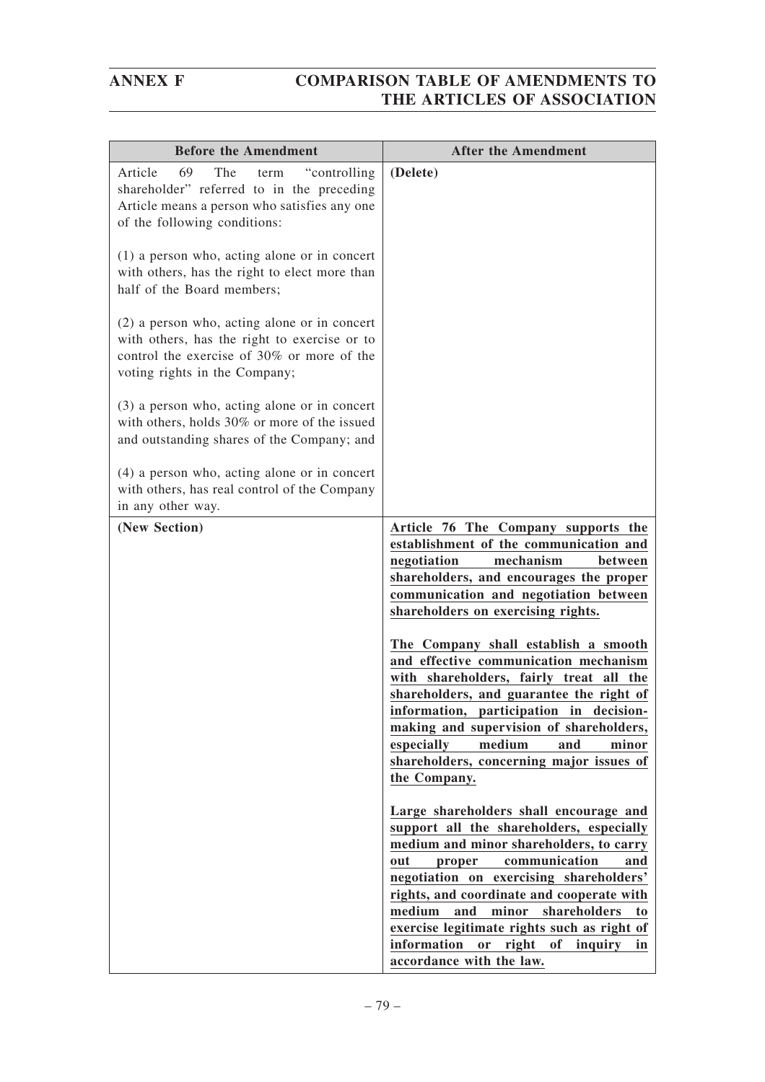| <b>Before the Amendment</b>                                                                                                                                                 | <b>After the Amendment</b>                                                                                                                                                                                                                                                                                                                                                                             |
|-----------------------------------------------------------------------------------------------------------------------------------------------------------------------------|--------------------------------------------------------------------------------------------------------------------------------------------------------------------------------------------------------------------------------------------------------------------------------------------------------------------------------------------------------------------------------------------------------|
| 69<br>The<br>"controlling"<br>Article<br>term<br>shareholder" referred to in the preceding<br>Article means a person who satisfies any one<br>of the following conditions:  | (Delete)                                                                                                                                                                                                                                                                                                                                                                                               |
| $(1)$ a person who, acting alone or in concert<br>with others, has the right to elect more than<br>half of the Board members;                                               |                                                                                                                                                                                                                                                                                                                                                                                                        |
| (2) a person who, acting alone or in concert<br>with others, has the right to exercise or to<br>control the exercise of 30% or more of the<br>voting rights in the Company; |                                                                                                                                                                                                                                                                                                                                                                                                        |
| $(3)$ a person who, acting alone or in concert<br>with others, holds 30% or more of the issued<br>and outstanding shares of the Company; and                                |                                                                                                                                                                                                                                                                                                                                                                                                        |
| $(4)$ a person who, acting alone or in concert<br>with others, has real control of the Company<br>in any other way.                                                         |                                                                                                                                                                                                                                                                                                                                                                                                        |
| (New Section)                                                                                                                                                               | Article 76 The Company supports the<br>establishment of the communication and<br>mechanism<br>negotiation<br>between<br>shareholders, and encourages the proper<br>communication and negotiation between<br>shareholders on exercising rights.                                                                                                                                                         |
|                                                                                                                                                                             | The Company shall establish a smooth<br>and effective communication mechanism<br>with shareholders, fairly treat all the<br>shareholders, and guarantee the right of<br>information, participation in decision-<br>making and supervision of shareholders,                                                                                                                                             |
|                                                                                                                                                                             | especially<br>medium<br>and<br>minor<br>shareholders, concerning major issues of<br>the Company.                                                                                                                                                                                                                                                                                                       |
|                                                                                                                                                                             | Large shareholders shall encourage and<br>support all the shareholders, especially<br>medium and minor shareholders, to carry<br>communication<br>out<br>proper<br>and<br>negotiation on exercising shareholders'<br>rights, and coordinate and cooperate with<br>medium<br>and<br>minor<br>shareholders<br>to<br>exercise legitimate rights such as right of<br>information or right of inquiry<br>in |
|                                                                                                                                                                             | accordance with the law.                                                                                                                                                                                                                                                                                                                                                                               |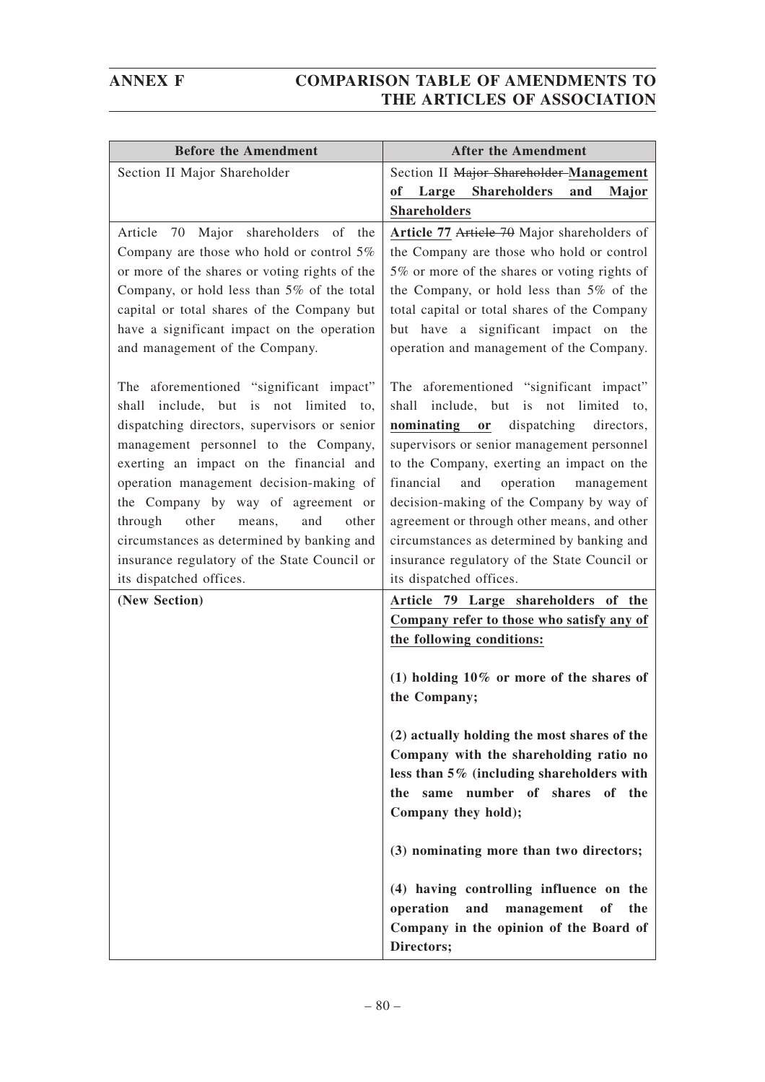| <b>Before the Amendment</b>                                                              | <b>After the Amendment</b>                                                               |
|------------------------------------------------------------------------------------------|------------------------------------------------------------------------------------------|
| Section II Major Shareholder                                                             | Section II Major Shareholder-Management                                                  |
|                                                                                          | of Large Shareholders<br>and<br>Major                                                    |
|                                                                                          | <b>Shareholders</b>                                                                      |
| 70 Major shareholders of the<br>Article                                                  | Article 77 Article 70 Major shareholders of                                              |
| Company are those who hold or control $5\%$                                              | the Company are those who hold or control                                                |
| or more of the shares or voting rights of the                                            | 5% or more of the shares or voting rights of                                             |
| Company, or hold less than 5% of the total<br>capital or total shares of the Company but | the Company, or hold less than 5% of the<br>total capital or total shares of the Company |
| have a significant impact on the operation                                               | but have a significant impact on the                                                     |
| and management of the Company.                                                           | operation and management of the Company.                                                 |
|                                                                                          |                                                                                          |
| The aforementioned "significant impact"                                                  | The aforementioned "significant impact"                                                  |
| shall include, but is not limited to,                                                    | shall include, but is not limited to,                                                    |
| dispatching directors, supervisors or senior                                             | nominating or<br>dispatching directors,                                                  |
| management personnel to the Company,                                                     | supervisors or senior management personnel                                               |
| exerting an impact on the financial and<br>operation management decision-making of       | to the Company, exerting an impact on the<br>financial<br>operation<br>and<br>management |
| the Company by way of agreement or                                                       | decision-making of the Company by way of                                                 |
| through<br>other<br>means,<br>and<br>other                                               | agreement or through other means, and other                                              |
| circumstances as determined by banking and                                               | circumstances as determined by banking and                                               |
| insurance regulatory of the State Council or                                             | insurance regulatory of the State Council or                                             |
| its dispatched offices.                                                                  | its dispatched offices.                                                                  |
| (New Section)                                                                            | Article 79 Large shareholders of the                                                     |
|                                                                                          | Company refer to those who satisfy any of                                                |
|                                                                                          | the following conditions:                                                                |
|                                                                                          | (1) holding $10\%$ or more of the shares of                                              |
|                                                                                          | the Company;                                                                             |
|                                                                                          |                                                                                          |
|                                                                                          | (2) actually holding the most shares of the                                              |
|                                                                                          | Company with the shareholding ratio no                                                   |
|                                                                                          | less than 5% (including shareholders with                                                |
|                                                                                          | same number of shares<br>of the<br>the                                                   |
|                                                                                          | Company they hold);                                                                      |
|                                                                                          | (3) nominating more than two directors;                                                  |
|                                                                                          | (4) having controlling influence on the                                                  |
|                                                                                          | operation<br>and<br>management<br>of<br>the                                              |
|                                                                                          | Company in the opinion of the Board of                                                   |
|                                                                                          | Directors;                                                                               |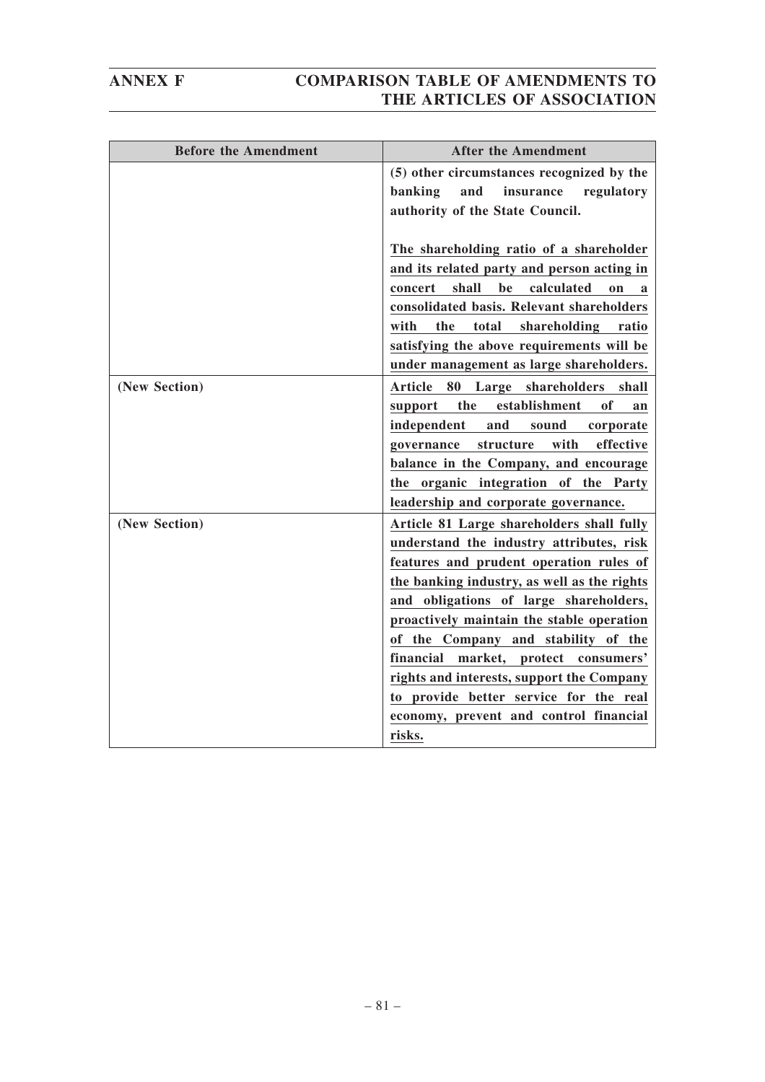| <b>Before the Amendment</b> | <b>After the Amendment</b>                                                                                                                                                                                                                                                                                                                                                                                                                                                                       |
|-----------------------------|--------------------------------------------------------------------------------------------------------------------------------------------------------------------------------------------------------------------------------------------------------------------------------------------------------------------------------------------------------------------------------------------------------------------------------------------------------------------------------------------------|
|                             | (5) other circumstances recognized by the<br>banking<br>and<br>insurance<br>regulatory<br>authority of the State Council.                                                                                                                                                                                                                                                                                                                                                                        |
|                             | The shareholding ratio of a shareholder<br>and its related party and person acting in<br>shall<br>be<br>calculated<br>concert<br>on<br>a<br>consolidated basis. Relevant shareholders<br>the<br>total<br>with<br>shareholding<br>ratio<br>satisfying the above requirements will be<br>under management as large shareholders.                                                                                                                                                                   |
| (New Section)               | 80<br>Large shareholders<br><b>Article</b><br>shall<br>establishment<br>the<br>of<br>support<br>an<br>independent<br>sound<br>and<br>corporate<br>with<br>effective<br>structure<br>governance<br>balance in the Company, and encourage<br>the organic integration of the Party<br>leadership and corporate governance.                                                                                                                                                                          |
| (New Section)               | Article 81 Large shareholders shall fully<br>understand the industry attributes, risk<br>features and prudent operation rules of<br>the banking industry, as well as the rights<br>and obligations of large shareholders,<br>proactively maintain the stable operation<br>of the Company and stability of the<br>financial market, protect consumers'<br>rights and interests, support the Company<br>to provide better service for the real<br>economy, prevent and control financial<br>risks. |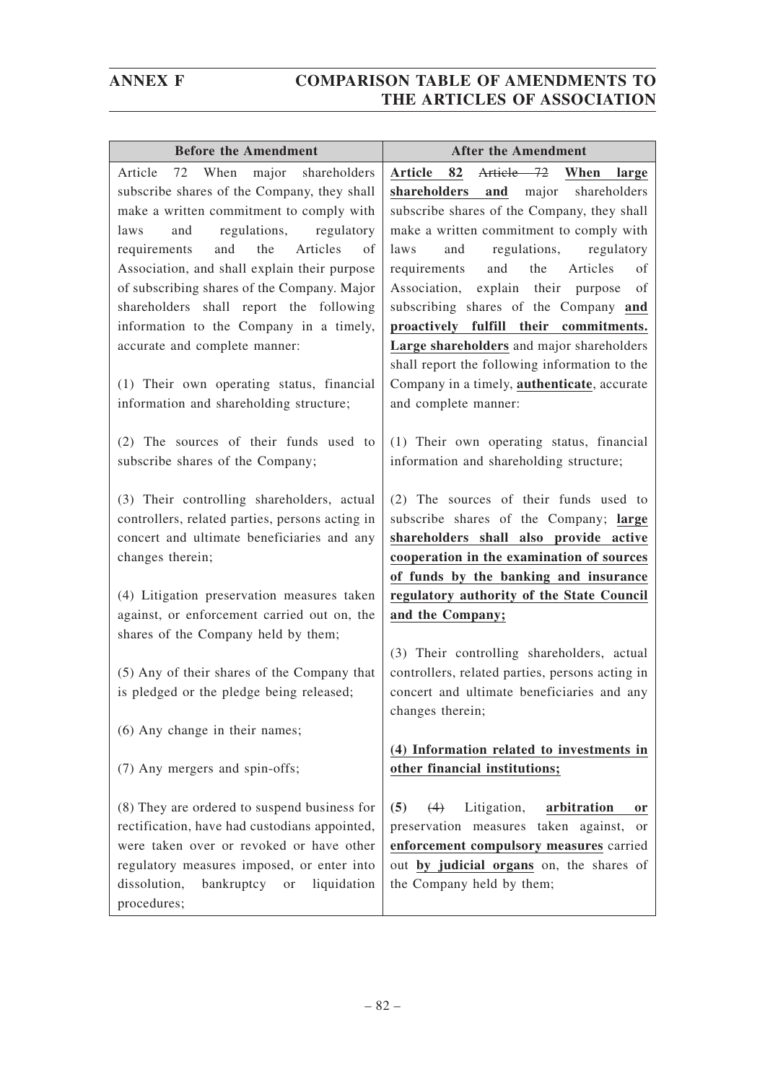| <b>Before the Amendment</b>                                                                                                                                                                                                                                                                                                                                                                                                                                  | <b>After the Amendment</b>                                                                                                                                                                                                                                                                                                                                                                                                                                       |
|--------------------------------------------------------------------------------------------------------------------------------------------------------------------------------------------------------------------------------------------------------------------------------------------------------------------------------------------------------------------------------------------------------------------------------------------------------------|------------------------------------------------------------------------------------------------------------------------------------------------------------------------------------------------------------------------------------------------------------------------------------------------------------------------------------------------------------------------------------------------------------------------------------------------------------------|
| When<br>major<br>shareholders<br>Article<br>72<br>subscribe shares of the Company, they shall<br>make a written commitment to comply with<br>regulations,<br>regulatory<br>laws<br>and<br>the<br>Articles<br>requirements<br>and<br>of<br>Association, and shall explain their purpose<br>of subscribing shares of the Company. Major<br>shareholders shall report the following<br>information to the Company in a timely,<br>accurate and complete manner: | 82<br>Article 72 When<br>Article<br>large<br>major<br>shareholders<br>shareholders<br>and<br>subscribe shares of the Company, they shall<br>make a written commitment to comply with<br>regulations,<br>laws<br>and<br>regulatory<br>the<br>Articles<br>requirements<br>and<br>of<br>Association, explain their<br>purpose<br>of<br>subscribing shares of the Company and<br>proactively fulfill their commitments.<br>Large shareholders and major shareholders |
| (1) Their own operating status, financial<br>information and shareholding structure;                                                                                                                                                                                                                                                                                                                                                                         | shall report the following information to the<br>Company in a timely, <b>authenticate</b> , accurate<br>and complete manner:                                                                                                                                                                                                                                                                                                                                     |
| (2) The sources of their funds used to<br>subscribe shares of the Company;                                                                                                                                                                                                                                                                                                                                                                                   | (1) Their own operating status, financial<br>information and shareholding structure;                                                                                                                                                                                                                                                                                                                                                                             |
| (3) Their controlling shareholders, actual<br>controllers, related parties, persons acting in<br>concert and ultimate beneficiaries and any<br>changes therein;                                                                                                                                                                                                                                                                                              | (2) The sources of their funds used to<br>subscribe shares of the Company; large<br>shareholders shall also provide active<br>cooperation in the examination of sources<br>of funds by the banking and insurance                                                                                                                                                                                                                                                 |
| (4) Litigation preservation measures taken<br>against, or enforcement carried out on, the<br>shares of the Company held by them;                                                                                                                                                                                                                                                                                                                             | regulatory authority of the State Council<br>and the Company;                                                                                                                                                                                                                                                                                                                                                                                                    |
| (5) Any of their shares of the Company that<br>is pledged or the pledge being released;                                                                                                                                                                                                                                                                                                                                                                      | (3) Their controlling shareholders, actual<br>controllers, related parties, persons acting in<br>concert and ultimate beneficiaries and any<br>changes therein;                                                                                                                                                                                                                                                                                                  |
| (6) Any change in their names;<br>(7) Any mergers and spin-offs;                                                                                                                                                                                                                                                                                                                                                                                             | (4) Information related to investments in<br>other financial institutions;                                                                                                                                                                                                                                                                                                                                                                                       |
| (8) They are ordered to suspend business for<br>rectification, have had custodians appointed,<br>were taken over or revoked or have other<br>regulatory measures imposed, or enter into<br>dissolution,<br>bankruptcy<br>liquidation<br>or<br>procedures;                                                                                                                                                                                                    | (5)<br>(4)<br>Litigation,<br>arbitration<br>0r<br>preservation measures taken against,<br>or<br>enforcement compulsory measures carried<br>out by judicial organs on, the shares of<br>the Company held by them;                                                                                                                                                                                                                                                 |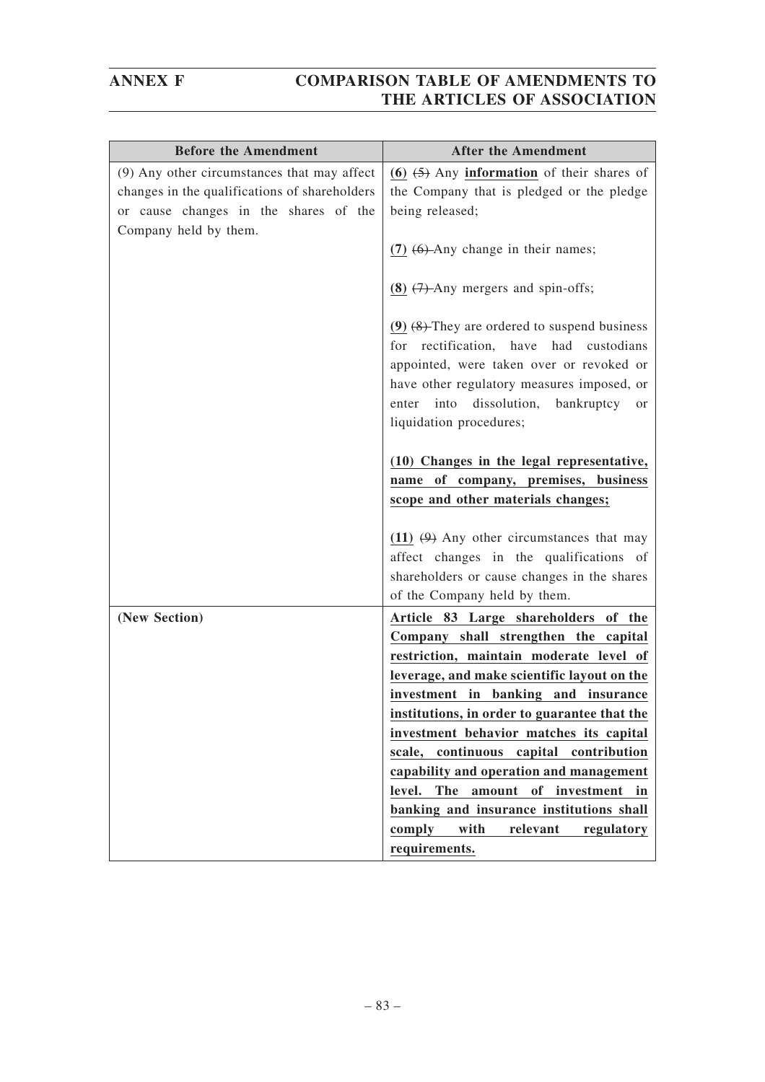| <b>Before the Amendment</b>                   | <b>After the Amendment</b>                                                                                                                                                                                                                 |
|-----------------------------------------------|--------------------------------------------------------------------------------------------------------------------------------------------------------------------------------------------------------------------------------------------|
| (9) Any other circumstances that may affect   | $(6)$ $(5)$ Any <b>information</b> of their shares of                                                                                                                                                                                      |
| changes in the qualifications of shareholders | the Company that is pledged or the pledge                                                                                                                                                                                                  |
| or cause changes in the shares of the         | being released;                                                                                                                                                                                                                            |
| Company held by them.                         |                                                                                                                                                                                                                                            |
|                                               | $(7)$ $(6)$ -Any change in their names;                                                                                                                                                                                                    |
|                                               | $(8)$ $(7)$ -Any mergers and spin-offs;                                                                                                                                                                                                    |
|                                               | $(9)$ $(8)$ -They are ordered to suspend business<br>for rectification, have had custodians<br>appointed, were taken over or revoked or<br>have other regulatory measures imposed, or<br>dissolution,<br>into<br>bankruptcy<br>enter<br>or |
|                                               | liquidation procedures;                                                                                                                                                                                                                    |
|                                               | (10) Changes in the legal representative,                                                                                                                                                                                                  |
|                                               | name of company, premises, business<br>scope and other materials changes;                                                                                                                                                                  |
|                                               |                                                                                                                                                                                                                                            |
|                                               | $(11)$ $(9)$ Any other circumstances that may                                                                                                                                                                                              |
|                                               | affect changes in the qualifications of                                                                                                                                                                                                    |
|                                               | shareholders or cause changes in the shares                                                                                                                                                                                                |
|                                               | of the Company held by them.                                                                                                                                                                                                               |
| (New Section)                                 | Article 83 Large shareholders of the                                                                                                                                                                                                       |
|                                               | Company shall strengthen the capital                                                                                                                                                                                                       |
|                                               | restriction, maintain moderate level of                                                                                                                                                                                                    |
|                                               | leverage, and make scientific layout on the                                                                                                                                                                                                |
|                                               | investment in banking and insurance                                                                                                                                                                                                        |
|                                               | institutions, in order to guarantee that the                                                                                                                                                                                               |
|                                               | investment behavior matches its capital                                                                                                                                                                                                    |
|                                               | scale, continuous capital contribution                                                                                                                                                                                                     |
|                                               | capability and operation and management<br>of investment<br>level.<br>The<br>amount<br>in                                                                                                                                                  |
|                                               | banking and insurance institutions shall                                                                                                                                                                                                   |
|                                               | with<br>relevant<br>comply<br>regulatory                                                                                                                                                                                                   |
|                                               | requirements.                                                                                                                                                                                                                              |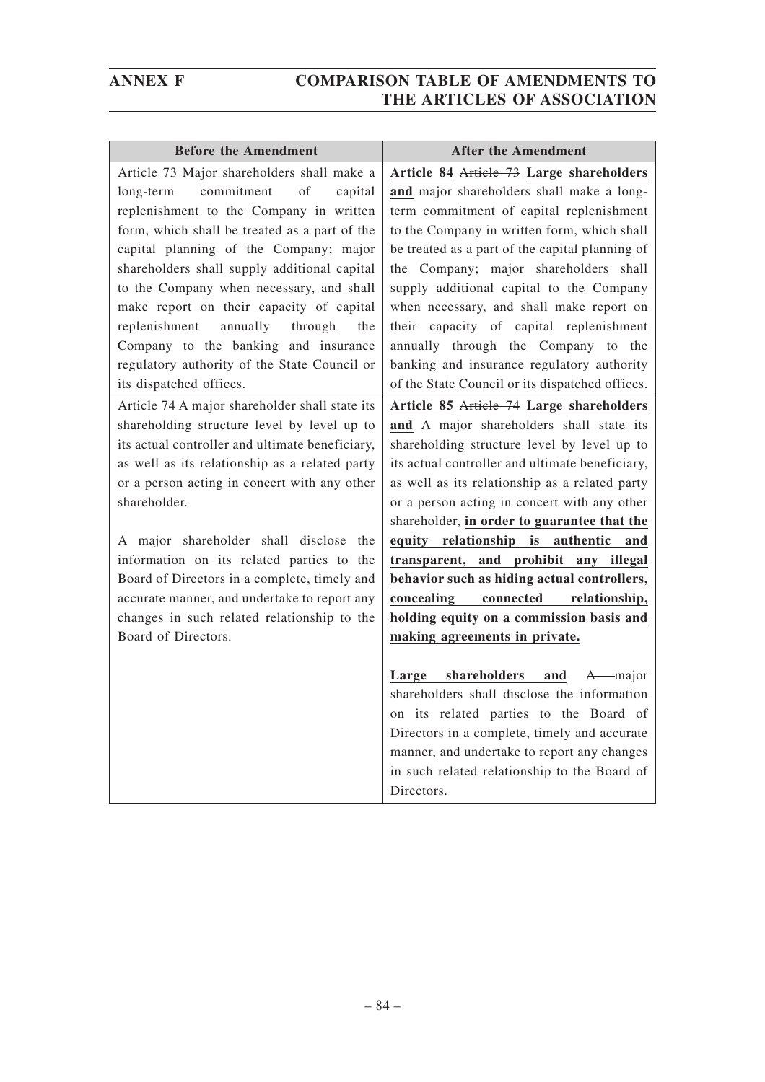| <b>Before the Amendment</b>                                                                                                                                                                                                                                                                                                                                                                                                                                                   | <b>After the Amendment</b>                                                                                                                                                                                                                                                                                                                                                                                                                                                                                                                                 |
|-------------------------------------------------------------------------------------------------------------------------------------------------------------------------------------------------------------------------------------------------------------------------------------------------------------------------------------------------------------------------------------------------------------------------------------------------------------------------------|------------------------------------------------------------------------------------------------------------------------------------------------------------------------------------------------------------------------------------------------------------------------------------------------------------------------------------------------------------------------------------------------------------------------------------------------------------------------------------------------------------------------------------------------------------|
| Article 73 Major shareholders shall make a<br>commitment<br>of<br>long-term<br>capital                                                                                                                                                                                                                                                                                                                                                                                        | Article 84 Article 73 Large shareholders<br>and major shareholders shall make a long-                                                                                                                                                                                                                                                                                                                                                                                                                                                                      |
| replenishment to the Company in written<br>form, which shall be treated as a part of the                                                                                                                                                                                                                                                                                                                                                                                      | term commitment of capital replenishment<br>to the Company in written form, which shall                                                                                                                                                                                                                                                                                                                                                                                                                                                                    |
| capital planning of the Company; major<br>shareholders shall supply additional capital                                                                                                                                                                                                                                                                                                                                                                                        | be treated as a part of the capital planning of<br>the Company; major shareholders shall                                                                                                                                                                                                                                                                                                                                                                                                                                                                   |
| to the Company when necessary, and shall<br>make report on their capacity of capital<br>annually<br>replenishment<br>through<br>the                                                                                                                                                                                                                                                                                                                                           | supply additional capital to the Company<br>when necessary, and shall make report on<br>their capacity of capital replenishment                                                                                                                                                                                                                                                                                                                                                                                                                            |
| Company to the banking and insurance<br>regulatory authority of the State Council or<br>its dispatched offices.                                                                                                                                                                                                                                                                                                                                                               | annually through the Company to the<br>banking and insurance regulatory authority<br>of the State Council or its dispatched offices.                                                                                                                                                                                                                                                                                                                                                                                                                       |
| Article 74 A major shareholder shall state its                                                                                                                                                                                                                                                                                                                                                                                                                                | Article 85 Article 74 Large shareholders                                                                                                                                                                                                                                                                                                                                                                                                                                                                                                                   |
| shareholding structure level by level up to<br>its actual controller and ultimate beneficiary,<br>as well as its relationship as a related party<br>or a person acting in concert with any other<br>shareholder.<br>A major shareholder shall disclose the<br>information on its related parties to the<br>Board of Directors in a complete, timely and<br>accurate manner, and undertake to report any<br>changes in such related relationship to the<br>Board of Directors. | and A major shareholders shall state its<br>shareholding structure level by level up to<br>its actual controller and ultimate beneficiary,<br>as well as its relationship as a related party<br>or a person acting in concert with any other<br>shareholder, in order to guarantee that the<br>equity relationship is<br>authentic<br>and<br>transparent, and prohibit any illegal<br>behavior such as hiding actual controllers,<br>concealing<br>connected<br>relationship,<br>holding equity on a commission basis and<br>making agreements in private. |
|                                                                                                                                                                                                                                                                                                                                                                                                                                                                               | shareholders<br>Large<br>and<br>A major<br>shareholders shall disclose the information<br>on its related parties to the Board of<br>Directors in a complete, timely and accurate<br>manner, and undertake to report any changes<br>in such related relationship to the Board of<br>Directors.                                                                                                                                                                                                                                                              |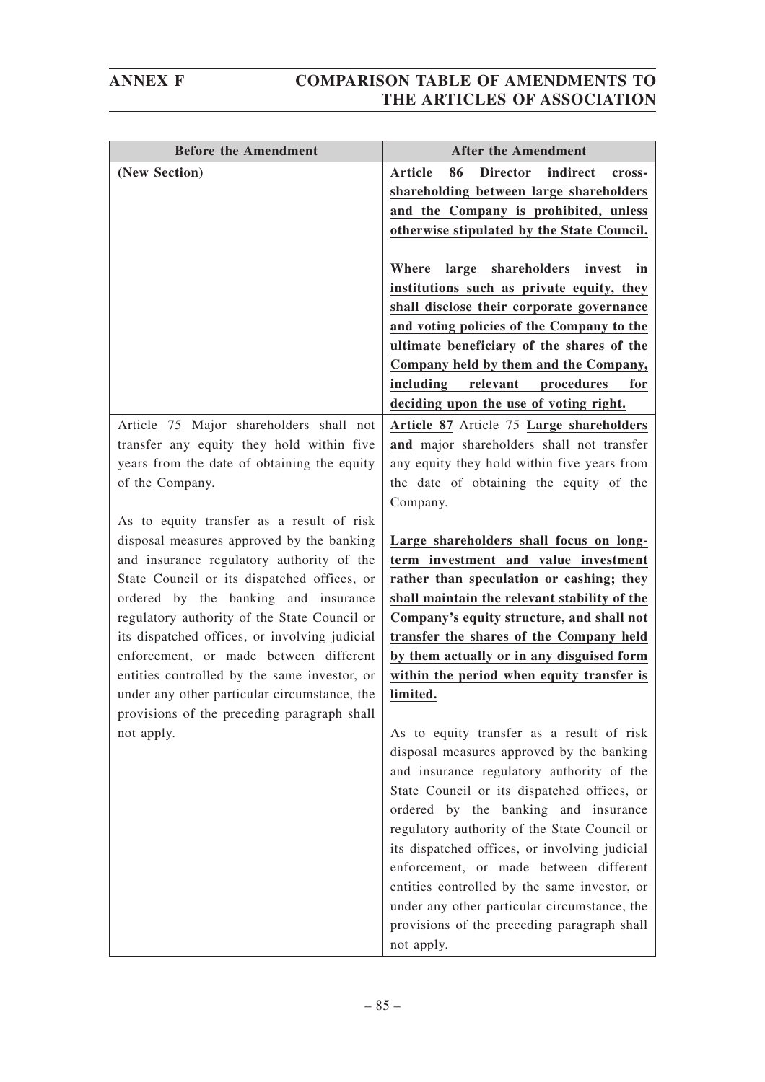| <b>Before the Amendment</b>                                                                                                                                                                                                                                                                                                                                                                                                                                                                                                        | <b>After the Amendment</b>                                                                                                                                                                                                                                                                                                                                                                                                                                                                                                                                                                                                                                                                               |
|------------------------------------------------------------------------------------------------------------------------------------------------------------------------------------------------------------------------------------------------------------------------------------------------------------------------------------------------------------------------------------------------------------------------------------------------------------------------------------------------------------------------------------|----------------------------------------------------------------------------------------------------------------------------------------------------------------------------------------------------------------------------------------------------------------------------------------------------------------------------------------------------------------------------------------------------------------------------------------------------------------------------------------------------------------------------------------------------------------------------------------------------------------------------------------------------------------------------------------------------------|
| (New Section)                                                                                                                                                                                                                                                                                                                                                                                                                                                                                                                      | <b>Article</b><br>86<br><b>Director</b><br>indirect<br>cross-<br>shareholding between large shareholders<br>and the Company is prohibited, unless<br>otherwise stipulated by the State Council.<br>shareholders invest<br>large<br>Where<br>in<br>institutions such as private equity, they<br>shall disclose their corporate governance<br>and voting policies of the Company to the<br>ultimate beneficiary of the shares of the<br>Company held by them and the Company,<br>including<br>relevant<br>procedures<br>for<br>deciding upon the use of voting right.                                                                                                                                      |
| Article 75 Major shareholders shall not<br>transfer any equity they hold within five<br>years from the date of obtaining the equity<br>of the Company.                                                                                                                                                                                                                                                                                                                                                                             | Article 87 Article 75 Large shareholders<br>and major shareholders shall not transfer<br>any equity they hold within five years from<br>the date of obtaining the equity of the<br>Company.                                                                                                                                                                                                                                                                                                                                                                                                                                                                                                              |
| As to equity transfer as a result of risk<br>disposal measures approved by the banking<br>and insurance regulatory authority of the<br>State Council or its dispatched offices, or<br>ordered by the banking and insurance<br>regulatory authority of the State Council or<br>its dispatched offices, or involving judicial<br>enforcement, or made between different<br>entities controlled by the same investor, or<br>under any other particular circumstance, the<br>provisions of the preceding paragraph shall<br>not apply. | Large shareholders shall focus on long-<br>term investment and value investment<br>rather than speculation or cashing; they<br>shall maintain the relevant stability of the<br>Company's equity structure, and shall not<br>transfer the shares of the Company held<br>by them actually or in any disguised form<br>within the period when equity transfer is<br>limited.<br>As to equity transfer as a result of risk<br>disposal measures approved by the banking<br>and insurance regulatory authority of the<br>State Council or its dispatched offices, or<br>ordered by the banking and insurance<br>regulatory authority of the State Council or<br>its dispatched offices, or involving judicial |
|                                                                                                                                                                                                                                                                                                                                                                                                                                                                                                                                    | enforcement, or made between different<br>entities controlled by the same investor, or<br>under any other particular circumstance, the<br>provisions of the preceding paragraph shall<br>not apply.                                                                                                                                                                                                                                                                                                                                                                                                                                                                                                      |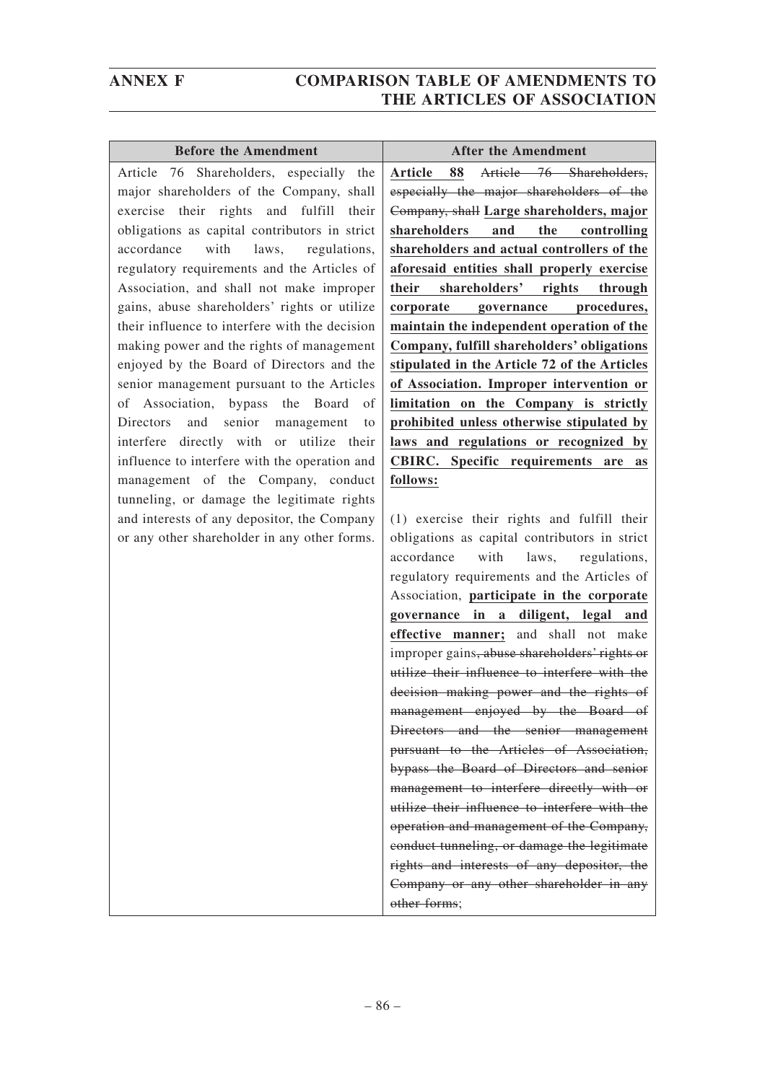pursuant to the Articles of Association, bypass the Board of Directors and senior management to interfere directly with or utilize their influence to interfere with the operation and management of the Company, conduct tunneling, or damage the legitimate rights and interests of any depositor, the Company or any other shareholder in any

| <b>Before the Amendment</b>                    | <b>After the Amendment</b>                       |
|------------------------------------------------|--------------------------------------------------|
| Shareholders, especially the<br>Article<br>76  | Article 76 Shareholders,<br><b>Article</b><br>88 |
| major shareholders of the Company, shall       | especially the major shareholders of the         |
| exercise their rights and fulfill<br>their     | Company, shall Large shareholders, major         |
| obligations as capital contributors in strict  | shareholders<br>and<br>the<br>controlling        |
| with<br>laws,<br>accordance<br>regulations,    | shareholders and actual controllers of the       |
| regulatory requirements and the Articles of    | aforesaid entities shall properly exercise       |
| Association, and shall not make improper       | shareholders'<br>their<br>rights<br>through      |
| gains, abuse shareholders' rights or utilize   | procedures,<br>corporate<br>governance           |
| their influence to interfere with the decision | maintain the independent operation of the        |
| making power and the rights of management      | Company, fulfill shareholders' obligations       |
| enjoyed by the Board of Directors and the      | stipulated in the Article 72 of the Articles     |
| senior management pursuant to the Articles     | of Association. Improper intervention or         |
| of Association, bypass the Board<br>of         | limitation on the Company is strictly            |
| and<br>senior<br>management<br>Directors<br>to | prohibited unless otherwise stipulated by        |
| interfere directly with or utilize their       | laws and regulations or recognized by            |
| influence to interfere with the operation and  | CBIRC. Specific requirements are<br><b>as</b>    |
| management of the Company, conduct             | follows:                                         |
| tunneling, or damage the legitimate rights     |                                                  |
| and interests of any depositor, the Company    | (1) exercise their rights and fulfill their      |
| or any other shareholder in any other forms.   | obligations as capital contributors in strict    |
|                                                | with<br>accordance<br>laws,<br>regulations,      |
|                                                | regulatory requirements and the Articles of      |
|                                                | Association, participate in the corporate        |
|                                                | governance in a diligent, legal and              |
|                                                | effective manner; and shall not make             |
|                                                | improper gains, abuse shareholders' rights or    |
|                                                | utilize their influence to interfere with the    |
|                                                | decision making power and the rights of          |
|                                                | management enjoyed by the Board of               |
|                                                | Directors and the senior management              |

other forms;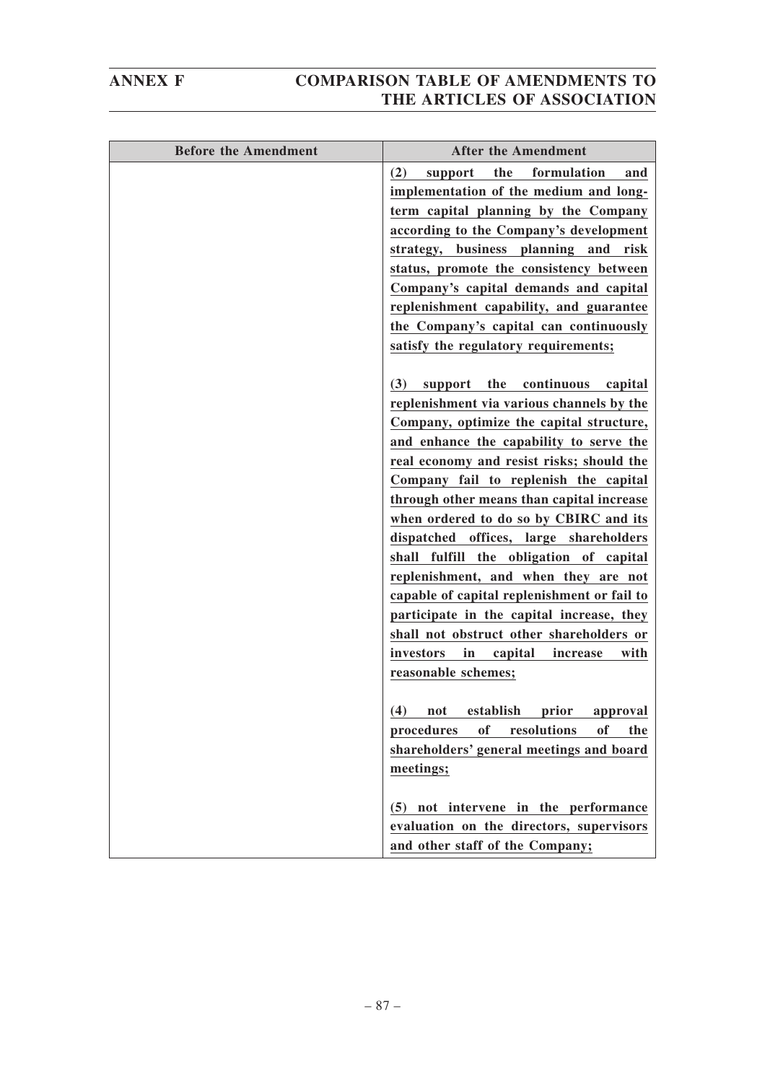| <b>Before the Amendment</b> | <b>After the Amendment</b>                                                               |
|-----------------------------|------------------------------------------------------------------------------------------|
|                             | the<br>formulation<br>(2)<br>support<br>and                                              |
|                             | implementation of the medium and long-                                                   |
|                             | term capital planning by the Company                                                     |
|                             | according to the Company's development                                                   |
|                             | strategy, business planning and risk                                                     |
|                             | status, promote the consistency between                                                  |
|                             | Company's capital demands and capital                                                    |
|                             | replenishment capability, and guarantee                                                  |
|                             | the Company's capital can continuously                                                   |
|                             | satisfy the regulatory requirements;                                                     |
|                             |                                                                                          |
|                             | the<br>continuous<br>(3)<br>support<br>capital                                           |
|                             | replenishment via various channels by the                                                |
|                             | Company, optimize the capital structure,                                                 |
|                             | and enhance the capability to serve the                                                  |
|                             | real economy and resist risks; should the                                                |
|                             | Company fail to replenish the capital                                                    |
|                             | through other means than capital increase                                                |
|                             | when ordered to do so by CBIRC and its                                                   |
|                             | dispatched offices, large shareholders                                                   |
|                             | shall fulfill the obligation of capital                                                  |
|                             | replenishment, and when they are not                                                     |
|                             | capable of capital replenishment or fail to<br>participate in the capital increase, they |
|                             | shall not obstruct other shareholders or                                                 |
|                             | investors<br>in<br>capital<br>with<br>increase                                           |
|                             | reasonable schemes;                                                                      |
|                             |                                                                                          |
|                             | (4) not establish prior approval                                                         |
|                             | <b>of</b><br>procedures<br>resolutions<br>of<br>the                                      |
|                             | shareholders' general meetings and board                                                 |
|                             | meetings;                                                                                |
|                             |                                                                                          |
|                             | (5) not intervene in the performance                                                     |
|                             | evaluation on the directors, supervisors                                                 |
|                             | and other staff of the Company;                                                          |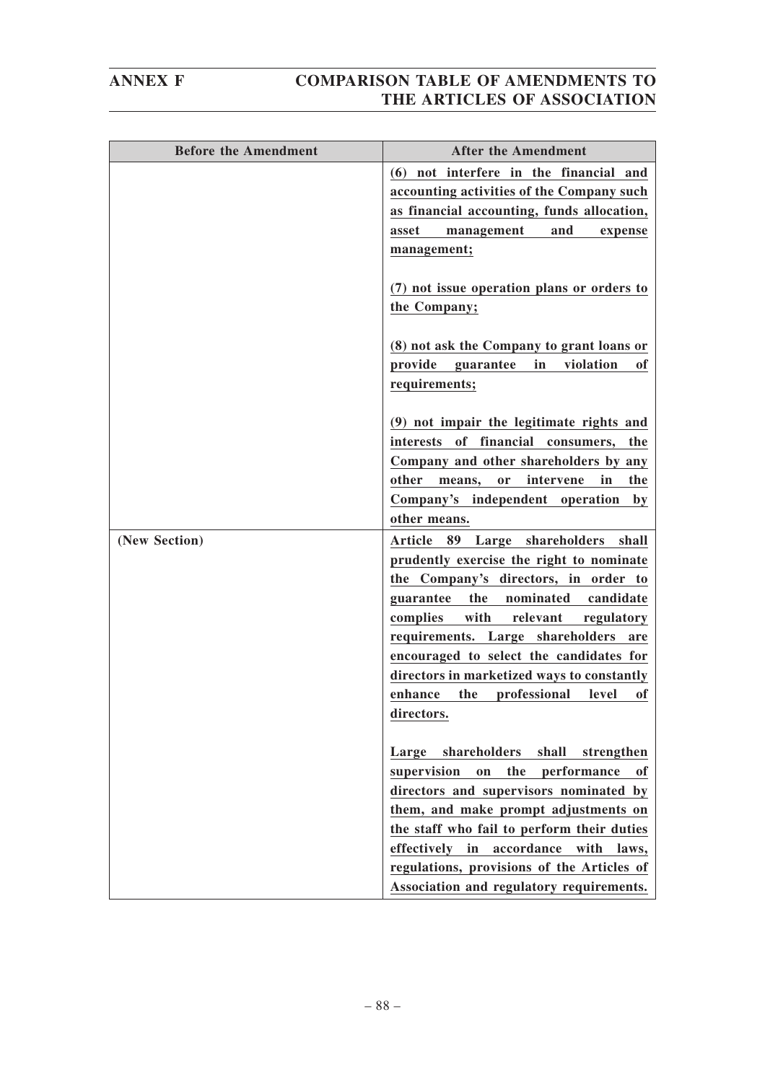| <b>Before the Amendment</b> | <b>After the Amendment</b>                       |
|-----------------------------|--------------------------------------------------|
|                             | (6) not interfere in the financial and           |
|                             | accounting activities of the Company such        |
|                             | as financial accounting, funds allocation,       |
|                             | and<br>asset<br>management<br>expense            |
|                             | management;                                      |
|                             |                                                  |
|                             | (7) not issue operation plans or orders to       |
|                             | the Company;                                     |
|                             |                                                  |
|                             | (8) not ask the Company to grant loans or        |
|                             | provide<br>in<br>violation<br>guarantee<br>оf    |
|                             | requirements;                                    |
|                             | (9) not impair the legitimate rights and         |
|                             | interests of financial consumers,<br>the         |
|                             | Company and other shareholders by any            |
|                             | other<br>intervene<br>in<br>the<br>means,<br>or  |
|                             | Company's independent operation<br>$\mathbf{by}$ |
|                             | other means.                                     |
| (New Section)               | 89 Large shareholders<br><b>Article</b><br>shall |
|                             | prudently exercise the right to nominate         |
|                             | the Company's directors, in order to             |
|                             | the<br>nominated<br>guarantee<br>candidate       |
|                             | with<br>relevant<br>complies<br>regulatory       |
|                             | requirements. Large shareholders<br>are          |
|                             | encouraged to select the candidates for          |
|                             | directors in marketized ways to constantly       |
|                             | professional<br>enhance<br>the<br>level<br>оf    |
|                             | directors.                                       |
|                             | shareholders<br>shall<br>strengthen<br>Large     |
|                             | supervision<br>the<br>performance<br>on<br>оf    |
|                             | directors and supervisors nominated by           |
|                             | them, and make prompt adjustments on             |
|                             | the staff who fail to perform their duties       |
|                             | effectively in accordance with laws,             |
|                             | regulations, provisions of the Articles of       |
|                             | Association and regulatory requirements.         |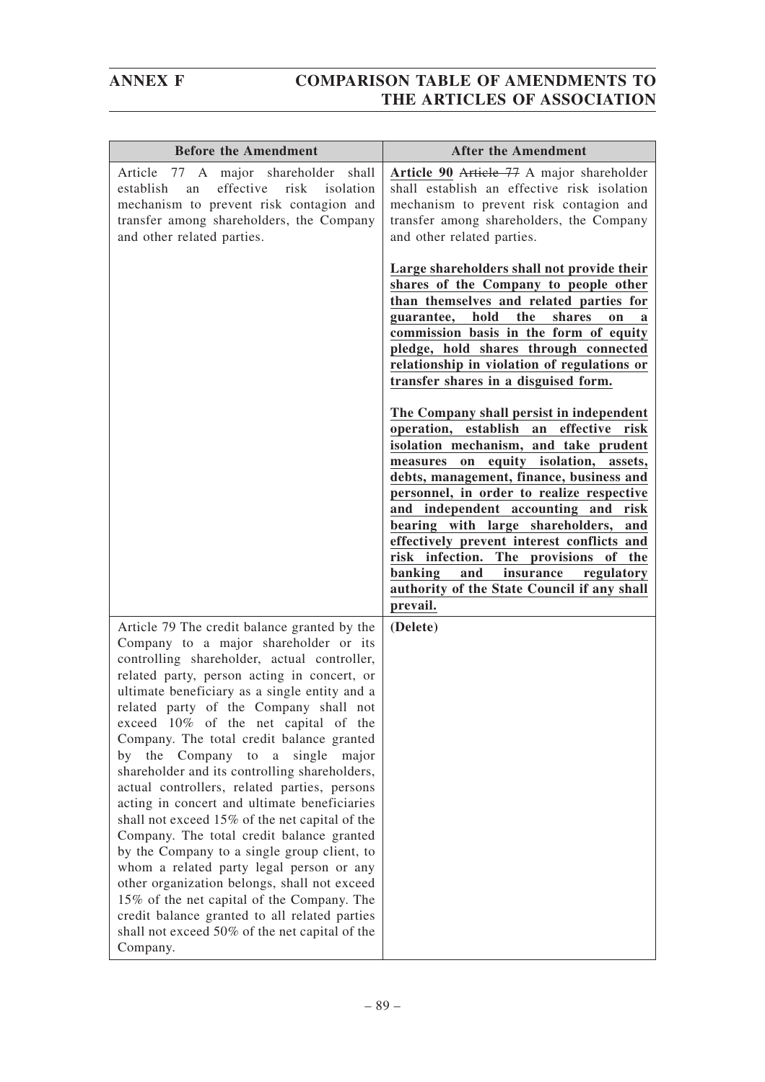| <b>Before the Amendment</b>                                                                                                                                                                                                                                                                                                                                                                                                                                                                                                                                                                                                                                                                                                                                                                                                                                                                                                                                        | <b>After the Amendment</b>                                                                                                                                                                                                                                                                                                                                                                                                                                                                                                                                  |
|--------------------------------------------------------------------------------------------------------------------------------------------------------------------------------------------------------------------------------------------------------------------------------------------------------------------------------------------------------------------------------------------------------------------------------------------------------------------------------------------------------------------------------------------------------------------------------------------------------------------------------------------------------------------------------------------------------------------------------------------------------------------------------------------------------------------------------------------------------------------------------------------------------------------------------------------------------------------|-------------------------------------------------------------------------------------------------------------------------------------------------------------------------------------------------------------------------------------------------------------------------------------------------------------------------------------------------------------------------------------------------------------------------------------------------------------------------------------------------------------------------------------------------------------|
| 77 A major shareholder<br>shall<br>Article<br>effective<br>establish<br>risk<br>isolation<br>an<br>mechanism to prevent risk contagion and<br>transfer among shareholders, the Company<br>and other related parties.                                                                                                                                                                                                                                                                                                                                                                                                                                                                                                                                                                                                                                                                                                                                               | Article 90 Article 77 A major shareholder<br>shall establish an effective risk isolation<br>mechanism to prevent risk contagion and<br>transfer among shareholders, the Company<br>and other related parties.                                                                                                                                                                                                                                                                                                                                               |
|                                                                                                                                                                                                                                                                                                                                                                                                                                                                                                                                                                                                                                                                                                                                                                                                                                                                                                                                                                    | Large shareholders shall not provide their<br>shares of the Company to people other<br>than themselves and related parties for<br>hold<br>the<br>shares<br>guarantee,<br>on<br>a<br>commission basis in the form of equity<br>pledge, hold shares through connected<br>relationship in violation of regulations or<br>transfer shares in a disguised form.                                                                                                                                                                                                  |
|                                                                                                                                                                                                                                                                                                                                                                                                                                                                                                                                                                                                                                                                                                                                                                                                                                                                                                                                                                    | The Company shall persist in independent<br>operation, establish an effective risk<br>isolation mechanism, and take prudent<br>measures on equity isolation, assets,<br>debts, management, finance, business and<br>personnel, in order to realize respective<br>and independent accounting and risk<br>bearing with large shareholders,<br>and<br>effectively prevent interest conflicts and<br>risk infection.<br>The provisions<br>of the<br><b>banking</b><br>and<br>insurance<br>regulatory<br>authority of the State Council if any shall<br>prevail. |
| Article 79 The credit balance granted by the<br>Company to a major shareholder or its<br>controlling shareholder, actual controller,<br>related party, person acting in concert, or<br>ultimate beneficiary as a single entity and a<br>related party of the Company shall not<br>exceed 10% of the net capital of the<br>Company. The total credit balance granted<br>by the Company to a single<br>major<br>shareholder and its controlling shareholders,<br>actual controllers, related parties, persons<br>acting in concert and ultimate beneficiaries<br>shall not exceed 15% of the net capital of the<br>Company. The total credit balance granted<br>by the Company to a single group client, to<br>whom a related party legal person or any<br>other organization belongs, shall not exceed<br>15% of the net capital of the Company. The<br>credit balance granted to all related parties<br>shall not exceed 50% of the net capital of the<br>Company. | (Delete)                                                                                                                                                                                                                                                                                                                                                                                                                                                                                                                                                    |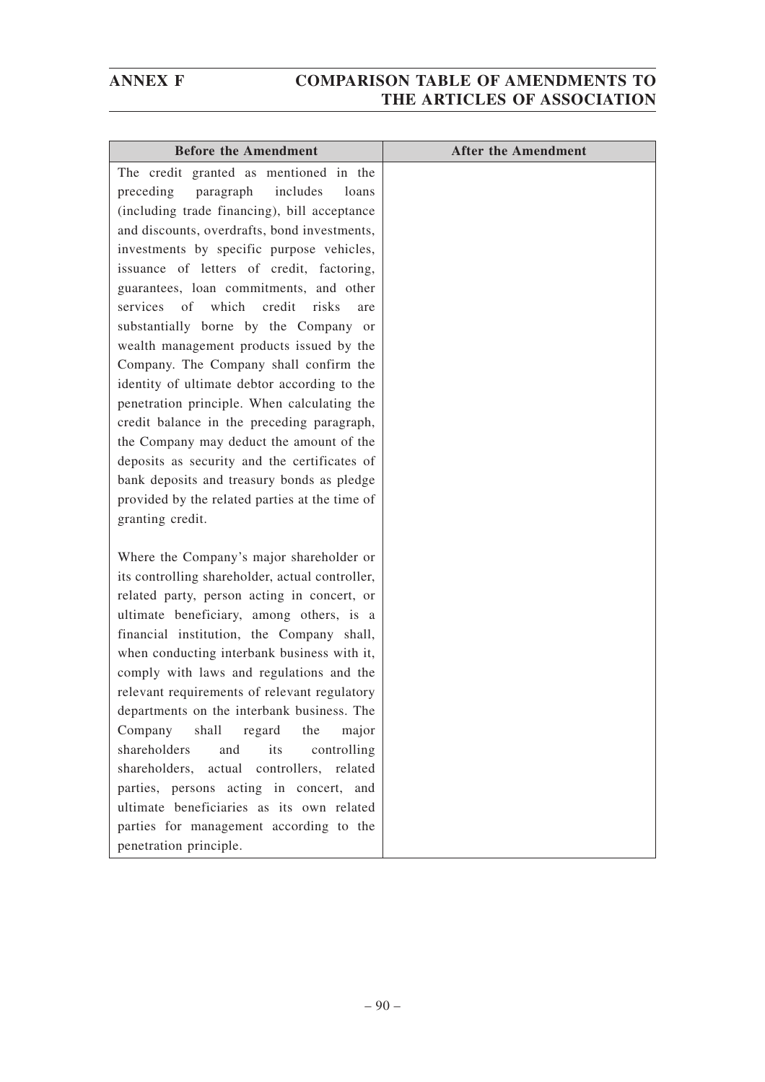| <b>Before the Amendment</b>                                            | <b>After the Amendment</b> |
|------------------------------------------------------------------------|----------------------------|
| The credit granted as mentioned in the                                 |                            |
| paragraph<br>includes<br>preceding<br>loans                            |                            |
| (including trade financing), bill acceptance                           |                            |
| and discounts, overdrafts, bond investments,                           |                            |
| investments by specific purpose vehicles,                              |                            |
| issuance of letters of credit, factoring,                              |                            |
| guarantees, loan commitments, and other                                |                            |
| of<br>which<br>credit<br>services<br>risks<br>are                      |                            |
| substantially borne by the Company or                                  |                            |
| wealth management products issued by the                               |                            |
| Company. The Company shall confirm the                                 |                            |
| identity of ultimate debtor according to the                           |                            |
| penetration principle. When calculating the                            |                            |
| credit balance in the preceding paragraph,                             |                            |
| the Company may deduct the amount of the                               |                            |
| deposits as security and the certificates of                           |                            |
| bank deposits and treasury bonds as pledge                             |                            |
| provided by the related parties at the time of                         |                            |
| granting credit.                                                       |                            |
|                                                                        |                            |
| Where the Company's major shareholder or                               |                            |
| its controlling shareholder, actual controller,                        |                            |
| related party, person acting in concert, or                            |                            |
| ultimate beneficiary, among others, is a                               |                            |
| financial institution, the Company shall,                              |                            |
| when conducting interbank business with it,                            |                            |
| comply with laws and regulations and the                               |                            |
| relevant requirements of relevant regulatory                           |                            |
| departments on the interbank business. The                             |                            |
| Company<br>shall<br>regard<br>the<br>major<br>shareholders             |                            |
| controlling<br>and<br>its<br>shareholders, actual controllers, related |                            |
| parties, persons acting in concert, and                                |                            |
| ultimate beneficiaries as its own related                              |                            |
| parties for management according to the                                |                            |
| penetration principle.                                                 |                            |
|                                                                        |                            |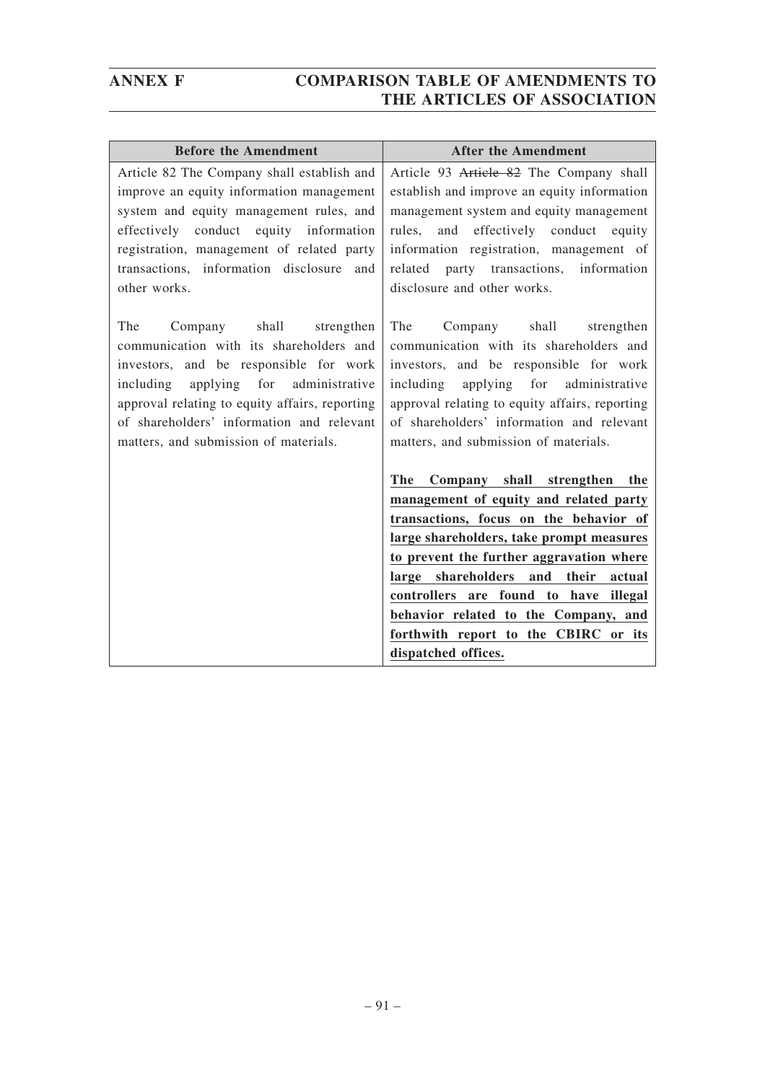| <b>Before the Amendment</b>                                                                                                                                                                                                                                                                                 | <b>After the Amendment</b>                                                                                                                                                                                                                                                                                                                                                                                      |
|-------------------------------------------------------------------------------------------------------------------------------------------------------------------------------------------------------------------------------------------------------------------------------------------------------------|-----------------------------------------------------------------------------------------------------------------------------------------------------------------------------------------------------------------------------------------------------------------------------------------------------------------------------------------------------------------------------------------------------------------|
| Article 82 The Company shall establish and<br>improve an equity information management<br>system and equity management rules, and<br>effectively conduct equity information<br>registration, management of related party<br>transactions, information disclosure and<br>other works.                        | Article 93 Article 82 The Company shall<br>establish and improve an equity information<br>management system and equity management<br>and effectively conduct equity<br>rules,<br>information registration, management of<br>party transactions, information<br>related<br>disclosure and other works.                                                                                                           |
| The<br>Company shall<br>strengthen<br>communication with its shareholders and<br>investors, and be responsible for work<br>including applying for<br>administrative<br>approval relating to equity affairs, reporting<br>of shareholders' information and relevant<br>matters, and submission of materials. | The<br>Company shall<br>strengthen<br>communication with its shareholders and<br>investors, and be responsible for work<br>including applying for<br>administrative<br>approval relating to equity affairs, reporting<br>of shareholders' information and relevant<br>matters, and submission of materials.                                                                                                     |
|                                                                                                                                                                                                                                                                                                             | The<br>Company shall strengthen the<br>management of equity and related party<br>transactions, focus on the behavior of<br>large shareholders, take prompt measures<br>to prevent the further aggravation where<br>large shareholders<br>their<br>and<br>actual<br>controllers are found to have illegal<br>behavior related to the Company, and<br>forthwith report to the CBIRC or its<br>dispatched offices. |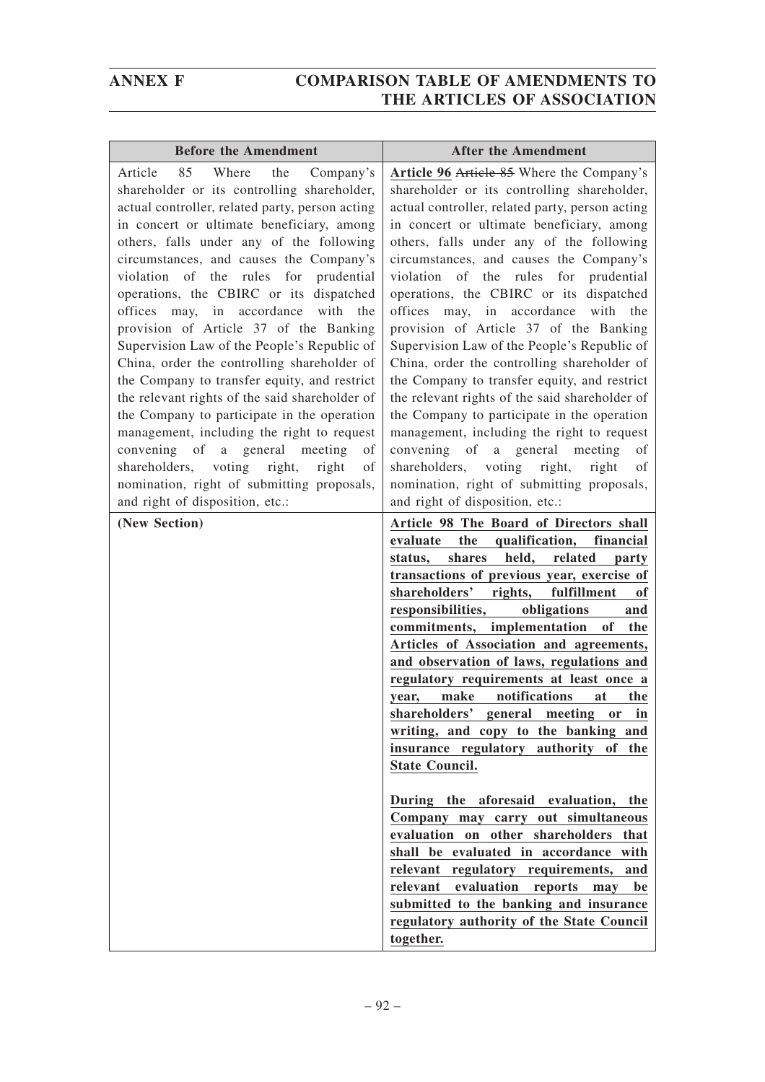| <b>Before the Amendment</b>                                                                                                                                                                                                                                                                                                                                                                                                                                                                                                                                                                                                                                                                                                                                                                                                                                                                                                                          | <b>After the Amendment</b>                                                                                                                                                                                                                                                                                                                                                                                                                                                                                                                                                                                                                                                                                                                                                                                                                                                                                                                                                                          |
|------------------------------------------------------------------------------------------------------------------------------------------------------------------------------------------------------------------------------------------------------------------------------------------------------------------------------------------------------------------------------------------------------------------------------------------------------------------------------------------------------------------------------------------------------------------------------------------------------------------------------------------------------------------------------------------------------------------------------------------------------------------------------------------------------------------------------------------------------------------------------------------------------------------------------------------------------|-----------------------------------------------------------------------------------------------------------------------------------------------------------------------------------------------------------------------------------------------------------------------------------------------------------------------------------------------------------------------------------------------------------------------------------------------------------------------------------------------------------------------------------------------------------------------------------------------------------------------------------------------------------------------------------------------------------------------------------------------------------------------------------------------------------------------------------------------------------------------------------------------------------------------------------------------------------------------------------------------------|
| 85<br>Where<br>Article<br>the<br>Company's<br>shareholder or its controlling shareholder,<br>actual controller, related party, person acting<br>in concert or ultimate beneficiary, among<br>others, falls under any of the following<br>circumstances, and causes the Company's<br>violation of the rules for<br>prudential<br>operations, the CBIRC or its dispatched<br>accordance<br>with<br>offices<br>may,<br>in<br>the<br>provision of Article 37 of the Banking<br>Supervision Law of the People's Republic of<br>China, order the controlling shareholder of<br>the Company to transfer equity, and restrict<br>the relevant rights of the said shareholder of<br>the Company to participate in the operation<br>management, including the right to request<br>convening of<br>a general<br>meeting<br>of<br>shareholders, voting<br>right,<br>right<br>of<br>nomination, right of submitting proposals,<br>and right of disposition, etc.: | Article 96 Article 85 Where the Company's<br>shareholder or its controlling shareholder,<br>actual controller, related party, person acting<br>in concert or ultimate beneficiary, among<br>others, falls under any of the following<br>circumstances, and causes the Company's<br>violation of the rules for prudential<br>operations, the CBIRC or its dispatched<br>offices<br>accordance<br>with<br>may,<br>in<br>the<br>provision of Article 37 of the Banking<br>Supervision Law of the People's Republic of<br>China, order the controlling shareholder of<br>the Company to transfer equity, and restrict<br>the relevant rights of the said shareholder of<br>the Company to participate in the operation<br>management, including the right to request<br>convening<br>of<br>a a<br>general<br>meeting<br>οf<br>shareholders, voting<br>right,<br>right<br>of<br>nomination, right of submitting proposals,<br>and right of disposition, etc.:<br>Article 98 The Board of Directors shall |
|                                                                                                                                                                                                                                                                                                                                                                                                                                                                                                                                                                                                                                                                                                                                                                                                                                                                                                                                                      | evaluate<br>the<br>qualification,<br>financial<br>shares<br>held,<br>related<br>status,<br>party<br>transactions of previous year, exercise of<br>shareholders'<br>rights,<br>fulfillment<br>of<br>responsibilities,<br>obligations<br>and<br>commitments, implementation<br>of<br>the<br>Articles of Association and agreements,<br>and observation of laws, regulations and<br>regulatory requirements at least once a<br>notifications<br>make<br>the<br>at<br>year,<br>shareholders' general meeting or in<br>writing, and copy to the banking and<br>insurance regulatory authority of the<br><b>State Council.</b><br>During the aforesaid evaluation, the<br>Company may carry out simultaneous<br>evaluation on other shareholders that<br>shall be evaluated in accordance with<br>relevant regulatory requirements, and<br>relevant evaluation<br>reports<br>may<br>be<br>submitted to the banking and insurance<br>regulatory authority of the State Council<br>together.                |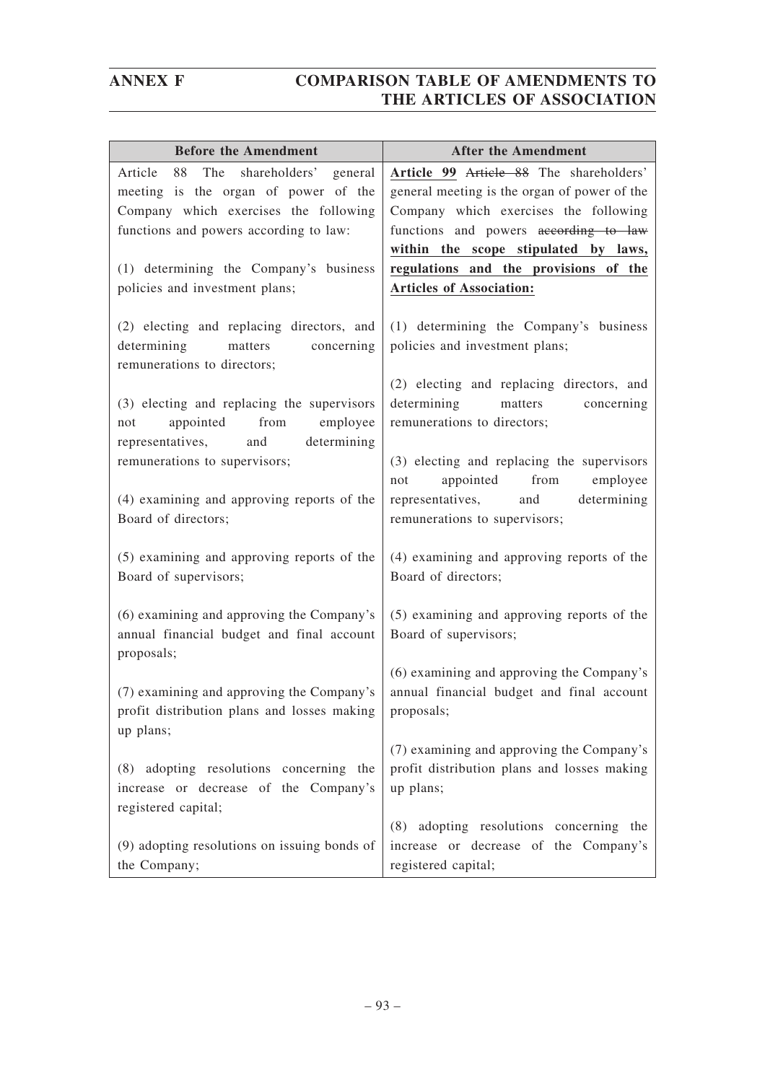| <b>Before the Amendment</b>                                                                                      | <b>After the Amendment</b>                                                                                       |
|------------------------------------------------------------------------------------------------------------------|------------------------------------------------------------------------------------------------------------------|
| The<br>shareholders' general<br>Article<br>88                                                                    | Article 99 Article 88 The shareholders'                                                                          |
| meeting is the organ of power of the                                                                             | general meeting is the organ of power of the                                                                     |
| Company which exercises the following                                                                            | Company which exercises the following                                                                            |
| functions and powers according to law:                                                                           | functions and powers according to law                                                                            |
|                                                                                                                  | within the scope stipulated by laws,                                                                             |
| (1) determining the Company's business                                                                           | regulations and the provisions of the                                                                            |
| policies and investment plans;                                                                                   | <b>Articles of Association:</b>                                                                                  |
| (2) electing and replacing directors, and<br>determining<br>matters<br>concerning<br>remunerations to directors; | (1) determining the Company's business<br>policies and investment plans;                                         |
| (3) electing and replacing the supervisors<br>appointed<br>from<br>employee<br>not                               | (2) electing and replacing directors, and<br>determining<br>matters<br>concerning<br>remunerations to directors; |
| determining<br>representatives,<br>and<br>remunerations to supervisors;                                          | (3) electing and replacing the supervisors<br>appointed from<br>employee<br>not                                  |
| (4) examining and approving reports of the<br>Board of directors;                                                | determining<br>representatives,<br>and<br>remunerations to supervisors;                                          |
| (5) examining and approving reports of the<br>Board of supervisors;                                              | (4) examining and approving reports of the<br>Board of directors;                                                |
| (6) examining and approving the Company's<br>annual financial budget and final account<br>proposals;             | (5) examining and approving reports of the<br>Board of supervisors;                                              |
| (7) examining and approving the Company's<br>profit distribution plans and losses making<br>up plans;            | (6) examining and approving the Company's<br>annual financial budget and final account<br>proposals;             |
| (8) adopting resolutions concerning the<br>increase or decrease of the Company's<br>registered capital;          | (7) examining and approving the Company's<br>profit distribution plans and losses making<br>up plans;            |
| (9) adopting resolutions on issuing bonds of<br>the Company;                                                     | (8) adopting resolutions concerning the<br>increase or decrease of the Company's<br>registered capital;          |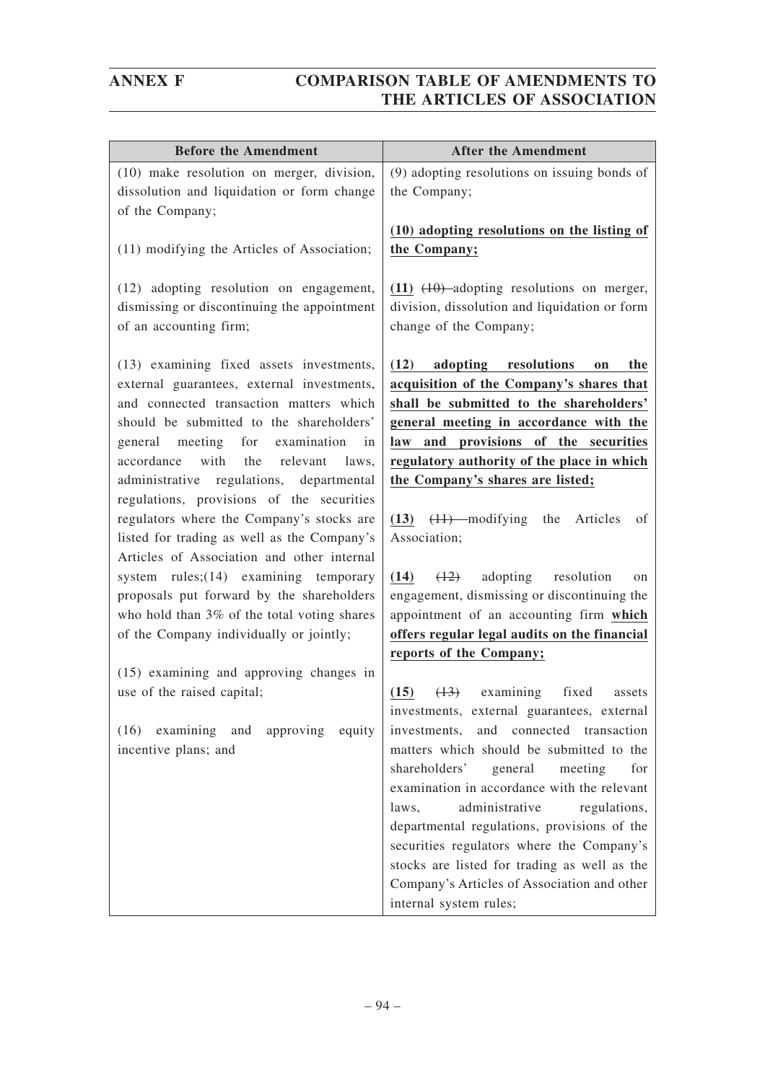| <b>Before the Amendment</b>                                                                                                                                                                                                                                                                                                                                                                                                                                                                                                                                                                                                                                                                                                                                                                                                      | <b>After the Amendment</b>                                                                                                                                                                                                                                                                                                                                                                                                                                                                                                                                                                                                                                                                                                       |
|----------------------------------------------------------------------------------------------------------------------------------------------------------------------------------------------------------------------------------------------------------------------------------------------------------------------------------------------------------------------------------------------------------------------------------------------------------------------------------------------------------------------------------------------------------------------------------------------------------------------------------------------------------------------------------------------------------------------------------------------------------------------------------------------------------------------------------|----------------------------------------------------------------------------------------------------------------------------------------------------------------------------------------------------------------------------------------------------------------------------------------------------------------------------------------------------------------------------------------------------------------------------------------------------------------------------------------------------------------------------------------------------------------------------------------------------------------------------------------------------------------------------------------------------------------------------------|
| (10) make resolution on merger, division,<br>dissolution and liquidation or form change<br>of the Company;                                                                                                                                                                                                                                                                                                                                                                                                                                                                                                                                                                                                                                                                                                                       | (9) adopting resolutions on issuing bonds of<br>the Company;                                                                                                                                                                                                                                                                                                                                                                                                                                                                                                                                                                                                                                                                     |
| (11) modifying the Articles of Association;                                                                                                                                                                                                                                                                                                                                                                                                                                                                                                                                                                                                                                                                                                                                                                                      | (10) adopting resolutions on the listing of<br>the Company;                                                                                                                                                                                                                                                                                                                                                                                                                                                                                                                                                                                                                                                                      |
| (12) adopting resolution on engagement,<br>dismissing or discontinuing the appointment<br>of an accounting firm;                                                                                                                                                                                                                                                                                                                                                                                                                                                                                                                                                                                                                                                                                                                 | $(11)$ $(10)$ adopting resolutions on merger,<br>division, dissolution and liquidation or form<br>change of the Company;                                                                                                                                                                                                                                                                                                                                                                                                                                                                                                                                                                                                         |
| (13) examining fixed assets investments,<br>external guarantees, external investments,<br>and connected transaction matters which<br>should be submitted to the shareholders'<br>general meeting for<br>examination<br>in<br>with<br>the<br>relevant<br>accordance<br>laws,<br>administrative regulations, departmental<br>regulations, provisions of the securities<br>regulators where the Company's stocks are<br>listed for trading as well as the Company's<br>Articles of Association and other internal<br>system $rules$ ; $(14)$ examining temporary<br>proposals put forward by the shareholders<br>who hold than 3% of the total voting shares<br>of the Company individually or jointly;<br>(15) examining and approving changes in<br>use of the raised capital;<br>examining<br>(16)<br>and<br>approving<br>equity | (12) adopting resolutions<br>the<br>on<br>acquisition of the Company's shares that<br>shall be submitted to the shareholders'<br>general meeting in accordance with the<br>and provisions of the securities<br>law<br>regulatory authority of the place in which<br>the Company's shares are listed;<br>$(13)$ $(11)$ —modifying the<br>Articles<br>οf<br>Association;<br>(14)<br>(12)<br>adopting resolution<br>on<br>engagement, dismissing or discontinuing the<br>appointment of an accounting firm which<br>offers regular legal audits on the financial<br>reports of the Company;<br>examining fixed<br>(15)<br>(13)<br>assets<br>investments, external guarantees, external<br>and connected transaction<br>investments, |
| incentive plans; and                                                                                                                                                                                                                                                                                                                                                                                                                                                                                                                                                                                                                                                                                                                                                                                                             | matters which should be submitted to the<br>shareholders'<br>meeting<br>general<br>for<br>examination in accordance with the relevant<br>administrative<br>regulations,<br>laws,<br>departmental regulations, provisions of the<br>securities regulators where the Company's<br>stocks are listed for trading as well as the<br>Company's Articles of Association and other<br>internal system rules;                                                                                                                                                                                                                                                                                                                            |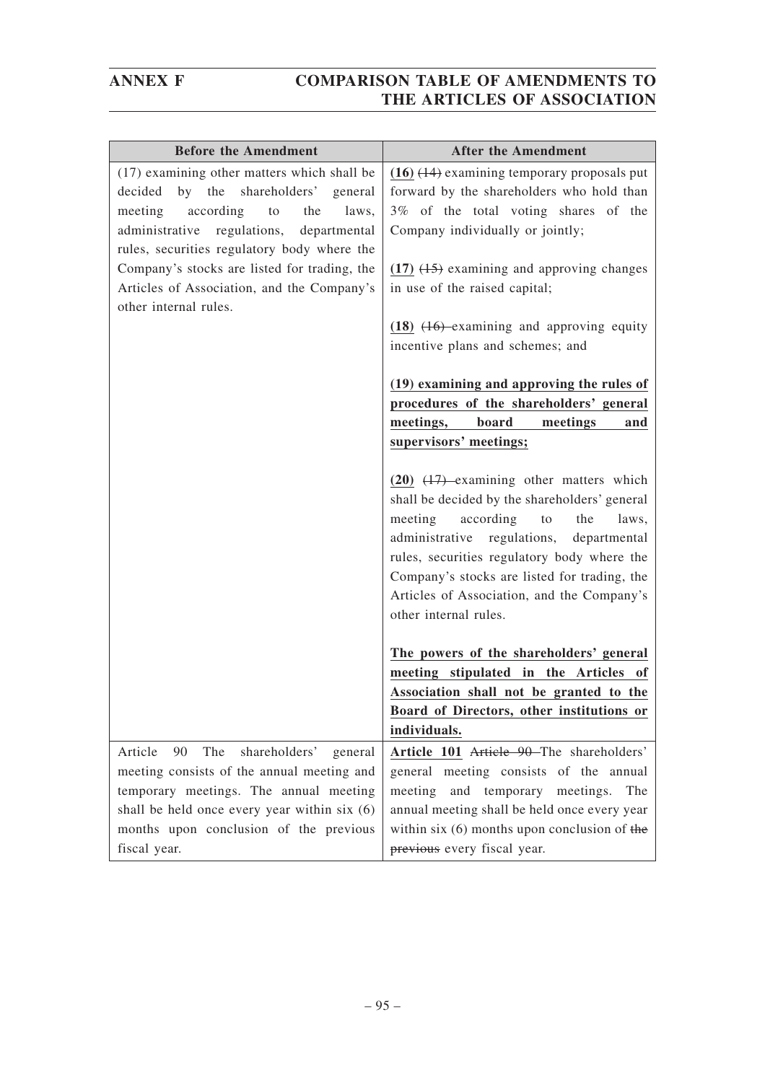| <b>Before the Amendment</b>                   | <b>After the Amendment</b>                      |
|-----------------------------------------------|-------------------------------------------------|
| (17) examining other matters which shall be   | $(16)$ $(14)$ examining temporary proposals put |
| by the shareholders' general<br>decided       | forward by the shareholders who hold than       |
| according<br>meeting<br>to<br>the<br>laws,    | 3% of the total voting shares of the            |
| administrative regulations,<br>departmental   | Company individually or jointly;                |
| rules, securities regulatory body where the   |                                                 |
| Company's stocks are listed for trading, the  | $(17)$ $(15)$ examining and approving changes   |
| Articles of Association, and the Company's    | in use of the raised capital;                   |
| other internal rules.                         |                                                 |
|                                               | $(18)$ $(16)$ examining and approving equity    |
|                                               | incentive plans and schemes; and                |
|                                               | (19) examining and approving the rules of       |
|                                               | procedures of the shareholders' general         |
|                                               | meetings,<br>board<br>meetings<br>and           |
|                                               | supervisors' meetings;                          |
|                                               |                                                 |
|                                               | $(20)$ $(17)$ examining other matters which     |
|                                               | shall be decided by the shareholders' general   |
|                                               | according<br>to<br>the<br>meeting<br>laws,      |
|                                               | administrative regulations,<br>departmental     |
|                                               | rules, securities regulatory body where the     |
|                                               | Company's stocks are listed for trading, the    |
|                                               | Articles of Association, and the Company's      |
|                                               | other internal rules.                           |
|                                               | The powers of the shareholders' general         |
|                                               | meeting stipulated in the Articles of           |
|                                               | Association shall not be granted to the         |
|                                               | Board of Directors, other institutions or       |
|                                               | individuals.                                    |
| The<br>shareholders' general<br>Article<br>90 | Article 101 Article 90 The shareholders'        |
| meeting consists of the annual meeting and    | general meeting consists of the annual          |
| temporary meetings. The annual meeting        | meeting<br>and temporary meetings. The          |
| shall be held once every year within six (6)  | annual meeting shall be held once every year    |
| months upon conclusion of the previous        | within six $(6)$ months upon conclusion of the  |
| fiscal year.                                  | previous every fiscal year.                     |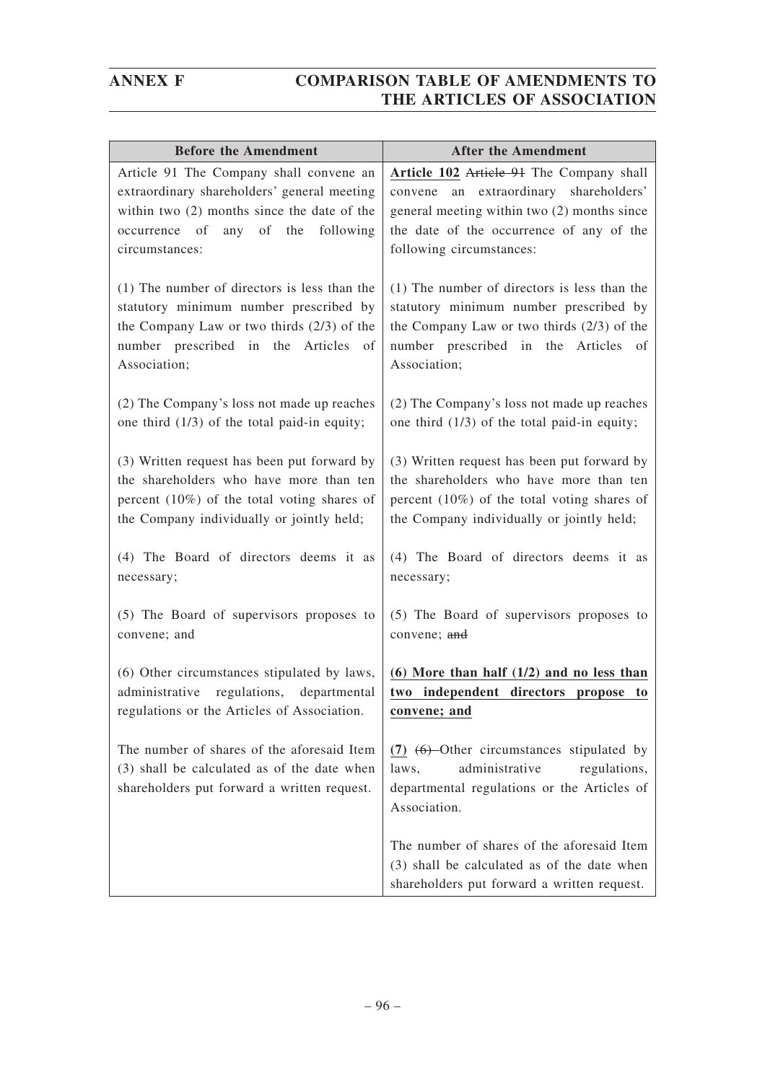| <b>Before the Amendment</b>                                                                                                                                                                           | <b>After the Amendment</b>                                                                                                                                                                                |
|-------------------------------------------------------------------------------------------------------------------------------------------------------------------------------------------------------|-----------------------------------------------------------------------------------------------------------------------------------------------------------------------------------------------------------|
| Article 91 The Company shall convene an<br>extraordinary shareholders' general meeting<br>within two $(2)$ months since the date of the<br>occurrence of<br>any of the<br>following<br>circumstances: | Article 102 Article 91 The Company shall<br>convene an extraordinary shareholders'<br>general meeting within two (2) months since<br>the date of the occurrence of any of the<br>following circumstances: |
| (1) The number of directors is less than the                                                                                                                                                          | (1) The number of directors is less than the                                                                                                                                                              |
| statutory minimum number prescribed by                                                                                                                                                                | statutory minimum number prescribed by                                                                                                                                                                    |
| the Company Law or two thirds $(2/3)$ of the                                                                                                                                                          | the Company Law or two thirds $(2/3)$ of the                                                                                                                                                              |
| number prescribed in the Articles of                                                                                                                                                                  | number prescribed in the Articles of                                                                                                                                                                      |
| Association;                                                                                                                                                                                          | Association;                                                                                                                                                                                              |
| (2) The Company's loss not made up reaches                                                                                                                                                            | (2) The Company's loss not made up reaches                                                                                                                                                                |
| one third $(1/3)$ of the total paid-in equity;                                                                                                                                                        | one third $(1/3)$ of the total paid-in equity;                                                                                                                                                            |
| (3) Written request has been put forward by                                                                                                                                                           | (3) Written request has been put forward by                                                                                                                                                               |
| the shareholders who have more than ten                                                                                                                                                               | the shareholders who have more than ten                                                                                                                                                                   |
| percent $(10\%)$ of the total voting shares of                                                                                                                                                        | percent $(10\%)$ of the total voting shares of                                                                                                                                                            |
| the Company individually or jointly held;                                                                                                                                                             | the Company individually or jointly held;                                                                                                                                                                 |
| (4) The Board of directors deems it as                                                                                                                                                                | (4) The Board of directors deems it as                                                                                                                                                                    |
| necessary;                                                                                                                                                                                            | necessary;                                                                                                                                                                                                |
| (5) The Board of supervisors proposes to                                                                                                                                                              | (5) The Board of supervisors proposes to                                                                                                                                                                  |
| convene; and                                                                                                                                                                                          | convene; and                                                                                                                                                                                              |
| (6) Other circumstances stipulated by laws,<br>regulations, departmental<br>administrative<br>regulations or the Articles of Association.                                                             | $(6)$ More than half $(1/2)$ and no less than<br>two independent directors propose to<br>convene; and                                                                                                     |
| The number of shares of the aforesaid Item<br>(3) shall be calculated as of the date when<br>shareholders put forward a written request.                                                              | $(7)$ $(6)$ -Other circumstances stipulated by<br>administrative<br>regulations,<br>laws,<br>departmental regulations or the Articles of<br>Association.                                                  |
|                                                                                                                                                                                                       | The number of shares of the aforesaid Item<br>(3) shall be calculated as of the date when<br>shareholders put forward a written request.                                                                  |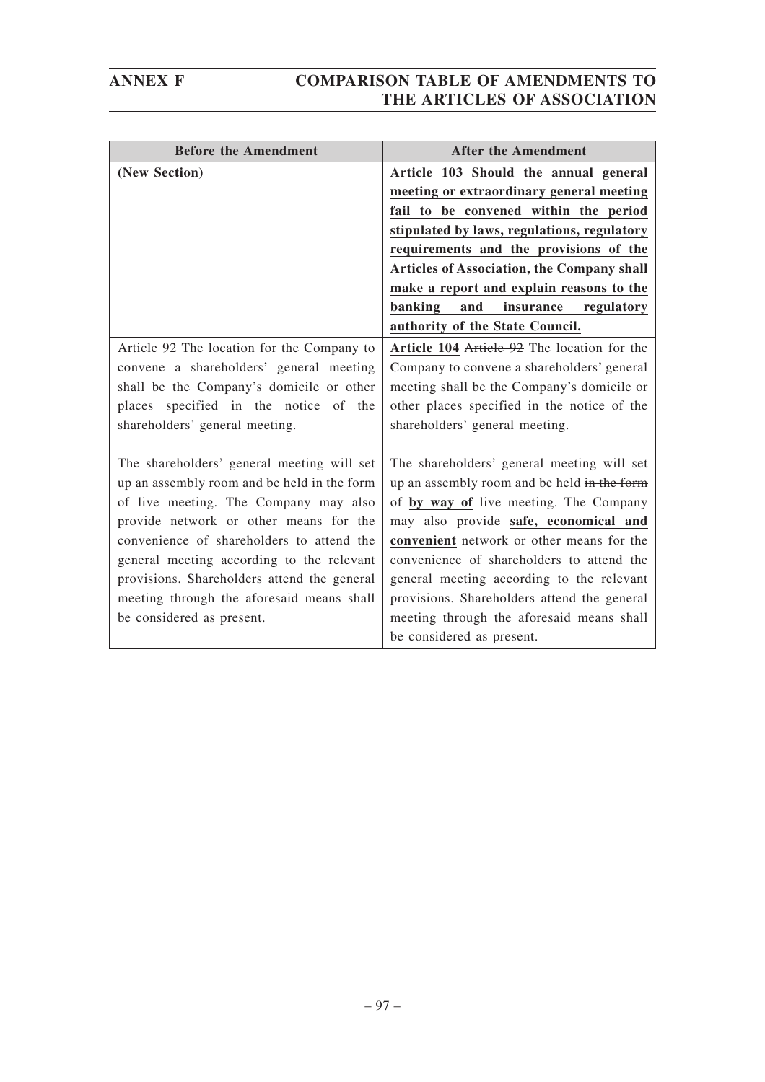| <b>Before the Amendment</b>                 | <b>After the Amendment</b>                        |
|---------------------------------------------|---------------------------------------------------|
| (New Section)                               | Article 103 Should the annual general             |
|                                             | meeting or extraordinary general meeting          |
|                                             | fail to be convened within the period             |
|                                             | stipulated by laws, regulations, regulatory       |
|                                             | requirements and the provisions of the            |
|                                             | <b>Articles of Association, the Company shall</b> |
|                                             | make a report and explain reasons to the          |
|                                             | banking<br>and<br>insurance<br>regulatory         |
|                                             | authority of the State Council.                   |
| Article 92 The location for the Company to  | Article 104 Article 92 The location for the       |
| convene a shareholders' general meeting     | Company to convene a shareholders' general        |
| shall be the Company's domicile or other    | meeting shall be the Company's domicile or        |
| places specified in the notice of the       | other places specified in the notice of the       |
| shareholders' general meeting.              | shareholders' general meeting.                    |
|                                             |                                                   |
| The shareholders' general meeting will set  | The shareholders' general meeting will set        |
| up an assembly room and be held in the form | up an assembly room and be held in the form       |
| of live meeting. The Company may also       | of by way of live meeting. The Company            |
| provide network or other means for the      | may also provide safe, economical and             |
| convenience of shareholders to attend the   | convenient network or other means for the         |
| general meeting according to the relevant   | convenience of shareholders to attend the         |
| provisions. Shareholders attend the general | general meeting according to the relevant         |
| meeting through the aforesaid means shall   | provisions. Shareholders attend the general       |
| be considered as present.                   | meeting through the aforesaid means shall         |
|                                             | be considered as present.                         |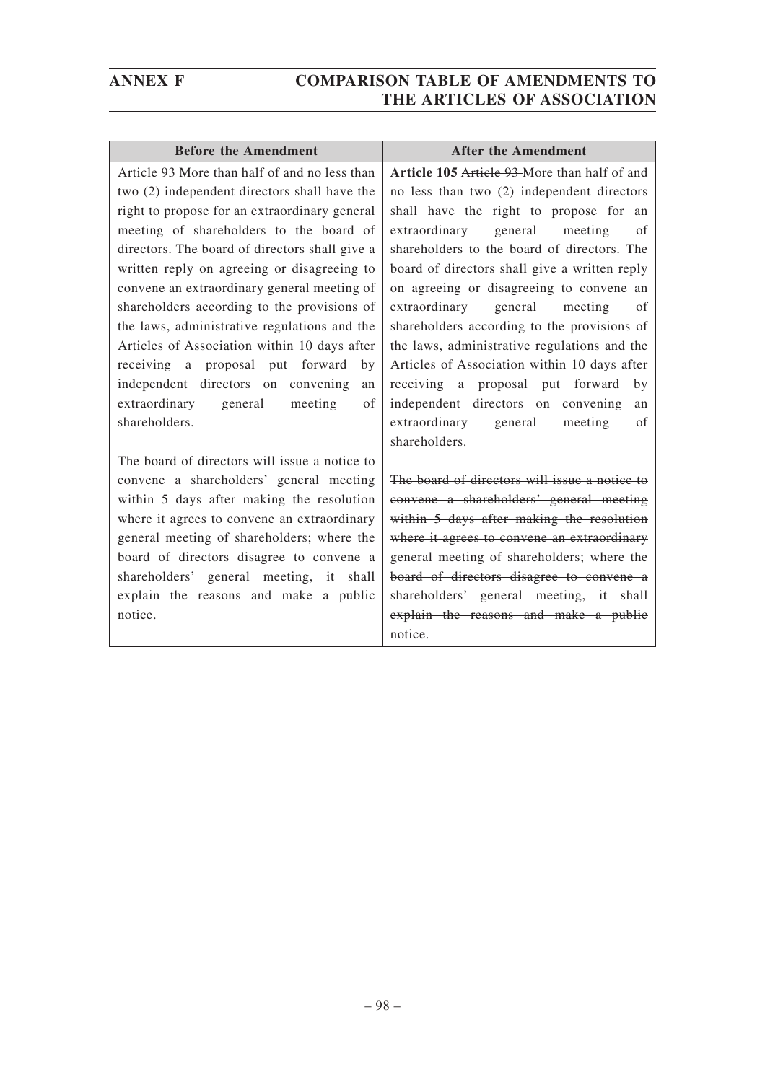| <b>Before the Amendment</b>                    | <b>After the Amendment</b>                    |
|------------------------------------------------|-----------------------------------------------|
| Article 93 More than half of and no less than  | Article 105 Article 93 More than half of and  |
| two (2) independent directors shall have the   | no less than two (2) independent directors    |
| right to propose for an extraordinary general  | shall have the right to propose for an        |
| meeting of shareholders to the board of        | extraordinary general<br>meeting<br>of        |
| directors. The board of directors shall give a | shareholders to the board of directors. The   |
| written reply on agreeing or disagreeing to    | board of directors shall give a written reply |
| convene an extraordinary general meeting of    | on agreeing or disagreeing to convene an      |
| shareholders according to the provisions of    | general<br>extraordinary<br>meeting<br>of     |
| the laws, administrative regulations and the   | shareholders according to the provisions of   |
| Articles of Association within 10 days after   | the laws, administrative regulations and the  |
| receiving a proposal put forward<br>by         | Articles of Association within 10 days after  |
| independent directors on convening<br>an       | receiving a proposal put forward<br>by        |
| extraordinary general<br>meeting<br>of         | independent directors on convening<br>an      |
| shareholders.                                  | extraordinary general<br>meeting<br>of        |
|                                                | shareholders.                                 |
| The board of directors will issue a notice to  |                                               |
| convene a shareholders' general meeting        | The board of directors will issue a notice to |
| within 5 days after making the resolution      | convene a shareholders' general meeting       |
| where it agrees to convene an extraordinary    | within 5 days after making the resolution     |
| general meeting of shareholders; where the     | where it agrees to convene an extraordinary   |
| board of directors disagree to convene a       | general meeting of shareholders; where the    |
| shareholders' general meeting, it shall        | board of directors disagree to convene a      |
| explain the reasons and make a public          | shareholders' general meeting, it shall       |
| notice.                                        | explain the reasons and make a public         |
|                                                | notice.                                       |
|                                                |                                               |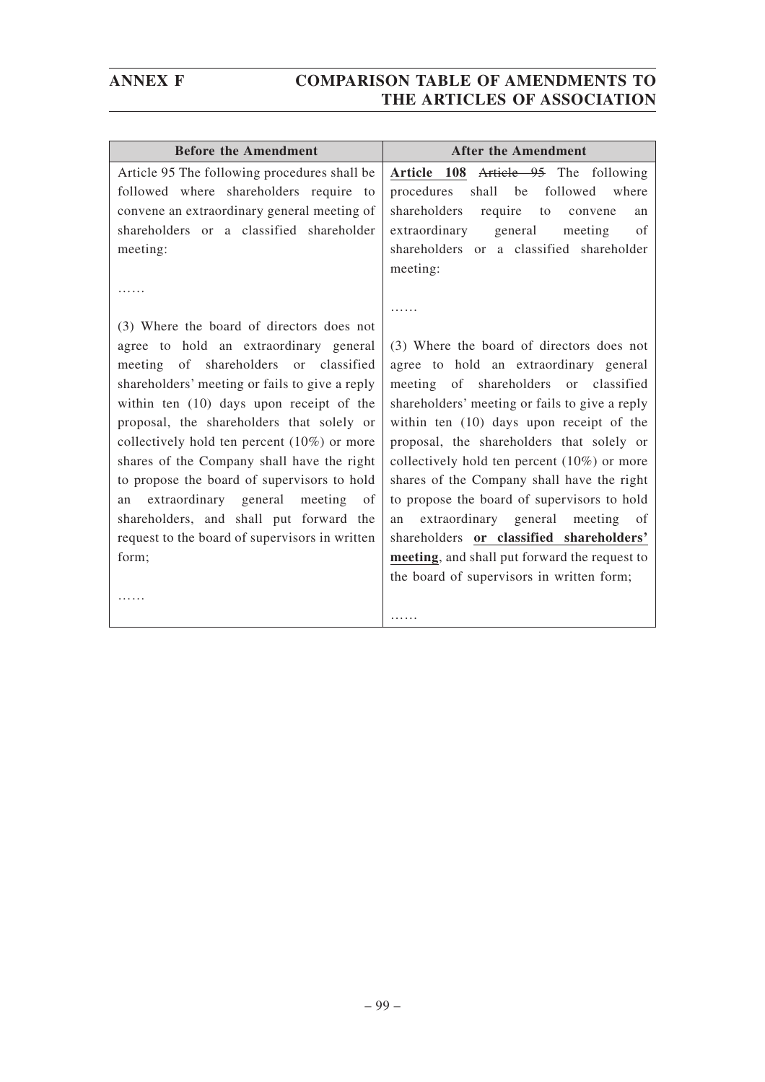| <b>Before the Amendment</b>                    | <b>After the Amendment</b>                     |
|------------------------------------------------|------------------------------------------------|
| Article 95 The following procedures shall be   | Article 108 Article 95 The following           |
| followed where shareholders require to         | where<br>procedures<br>shall be followed       |
| convene an extraordinary general meeting of    | shareholders<br>require<br>to<br>convene<br>an |
| shareholders or a classified shareholder       | extraordinary general<br>meeting<br>of         |
| meeting:                                       | shareholders or a classified shareholder       |
|                                                | meeting:                                       |
|                                                |                                                |
|                                                |                                                |
| (3) Where the board of directors does not      |                                                |
| agree to hold an extraordinary general         | (3) Where the board of directors does not      |
| meeting of shareholders or classified          | agree to hold an extraordinary general         |
| shareholders' meeting or fails to give a reply | meeting of shareholders or classified          |
| within ten (10) days upon receipt of the       | shareholders' meeting or fails to give a reply |
| proposal, the shareholders that solely or      | within ten (10) days upon receipt of the       |
| collectively hold ten percent $(10\%)$ or more | proposal, the shareholders that solely or      |
| shares of the Company shall have the right     | collectively hold ten percent $(10\%)$ or more |
| to propose the board of supervisors to hold    | shares of the Company shall have the right     |
| extraordinary general meeting<br>of<br>an      | to propose the board of supervisors to hold    |
| shareholders, and shall put forward the        | an extraordinary general meeting of            |
| request to the board of supervisors in written | shareholders or classified shareholders'       |
| form;                                          | meeting, and shall put forward the request to  |
|                                                | the board of supervisors in written form;      |
|                                                |                                                |
|                                                | .                                              |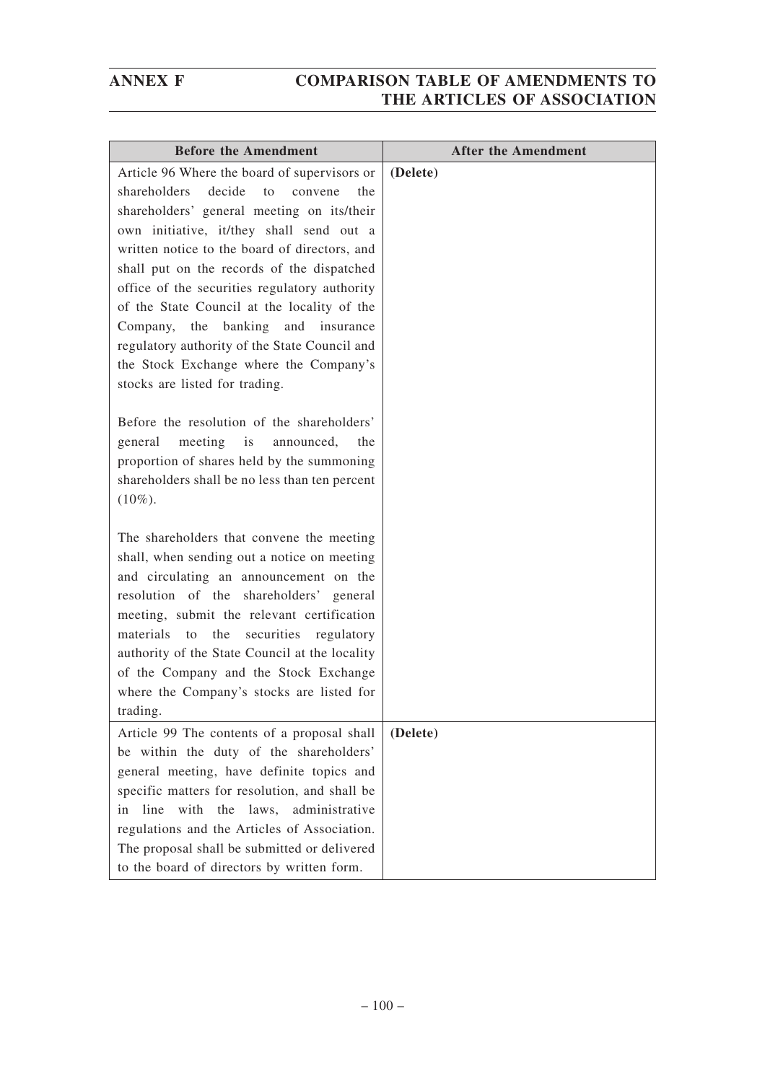| <b>Before the Amendment</b>                                                                                                                                                                                                                                                                                                                                                                                                                                                       | <b>After the Amendment</b> |
|-----------------------------------------------------------------------------------------------------------------------------------------------------------------------------------------------------------------------------------------------------------------------------------------------------------------------------------------------------------------------------------------------------------------------------------------------------------------------------------|----------------------------|
| Article 96 Where the board of supervisors or<br>shareholders<br>decide<br>to<br>convene<br>the<br>shareholders' general meeting on its/their<br>own initiative, it/they shall send out a<br>written notice to the board of directors, and<br>shall put on the records of the dispatched<br>office of the securities regulatory authority<br>of the State Council at the locality of the<br>Company, the banking<br>and insurance<br>regulatory authority of the State Council and | (Delete)                   |
| the Stock Exchange where the Company's<br>stocks are listed for trading.<br>Before the resolution of the shareholders'<br>meeting is<br>general<br>announced,<br>the                                                                                                                                                                                                                                                                                                              |                            |
| proportion of shares held by the summoning<br>shareholders shall be no less than ten percent<br>$(10\%).$<br>The shareholders that convene the meeting                                                                                                                                                                                                                                                                                                                            |                            |
| shall, when sending out a notice on meeting<br>and circulating an announcement on the<br>resolution of the shareholders' general<br>meeting, submit the relevant certification<br>the<br>securities<br>materials<br>regulatory<br>to                                                                                                                                                                                                                                              |                            |
| authority of the State Council at the locality<br>of the Company and the Stock Exchange<br>where the Company's stocks are listed for<br>trading.                                                                                                                                                                                                                                                                                                                                  |                            |
| Article 99 The contents of a proposal shall<br>be within the duty of the shareholders'<br>general meeting, have definite topics and<br>specific matters for resolution, and shall be<br>the<br>line<br>with<br>laws,<br>administrative<br>in                                                                                                                                                                                                                                      | (Delete)                   |
| regulations and the Articles of Association.<br>The proposal shall be submitted or delivered<br>to the board of directors by written form.                                                                                                                                                                                                                                                                                                                                        |                            |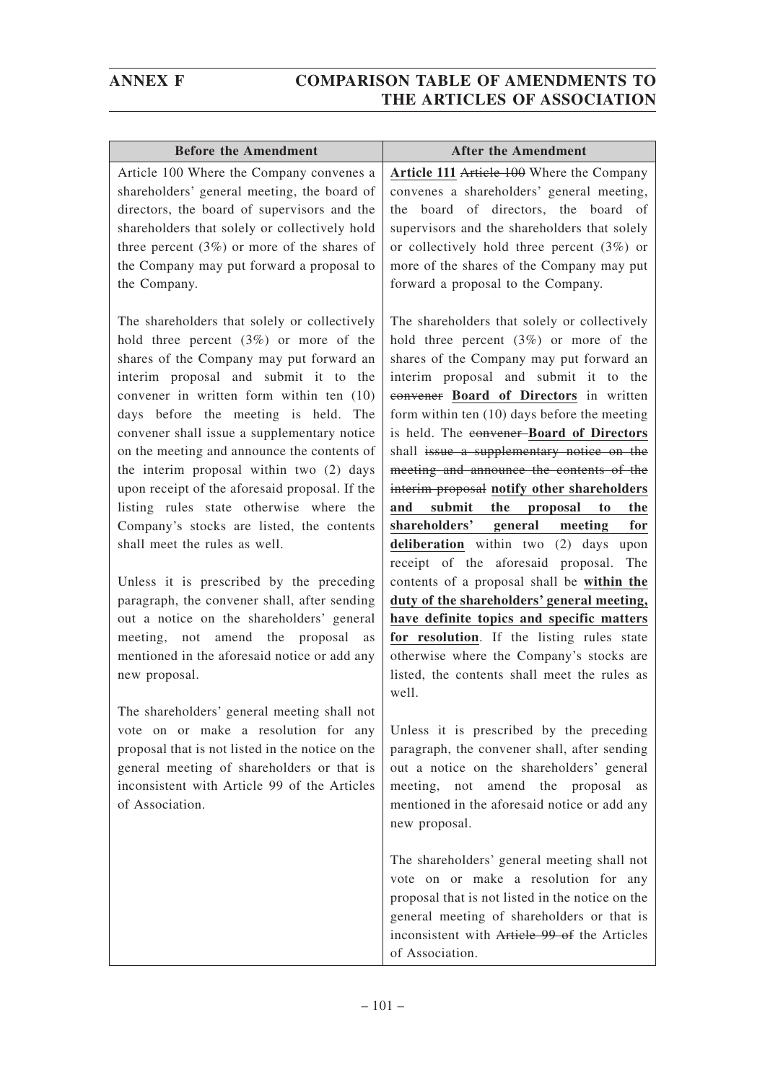| <b>Before the Amendment</b>                                                                                                                                                                                                                                                                                                                                                                                                                                                                                                                                                            | <b>After the Amendment</b>                                                                                                                                                                                                                                                                                                                                                                                                                                                                                                                                                                                                               |
|----------------------------------------------------------------------------------------------------------------------------------------------------------------------------------------------------------------------------------------------------------------------------------------------------------------------------------------------------------------------------------------------------------------------------------------------------------------------------------------------------------------------------------------------------------------------------------------|------------------------------------------------------------------------------------------------------------------------------------------------------------------------------------------------------------------------------------------------------------------------------------------------------------------------------------------------------------------------------------------------------------------------------------------------------------------------------------------------------------------------------------------------------------------------------------------------------------------------------------------|
| Article 100 Where the Company convenes a                                                                                                                                                                                                                                                                                                                                                                                                                                                                                                                                               | Article 111 Article 100 Where the Company                                                                                                                                                                                                                                                                                                                                                                                                                                                                                                                                                                                                |
| shareholders' general meeting, the board of<br>directors, the board of supervisors and the<br>shareholders that solely or collectively hold<br>three percent $(3\%)$ or more of the shares of<br>the Company may put forward a proposal to<br>the Company.                                                                                                                                                                                                                                                                                                                             | convenes a shareholders' general meeting,<br>board of directors, the board of<br>the.<br>supervisors and the shareholders that solely<br>or collectively hold three percent $(3%)$ or<br>more of the shares of the Company may put<br>forward a proposal to the Company.                                                                                                                                                                                                                                                                                                                                                                 |
| The shareholders that solely or collectively<br>hold three percent $(3%)$ or more of the<br>shares of the Company may put forward an<br>interim proposal and submit it to the<br>convener in written form within ten (10)<br>days before the meeting is held. The<br>convener shall issue a supplementary notice<br>on the meeting and announce the contents of<br>the interim proposal within two (2) days<br>upon receipt of the aforesaid proposal. If the<br>listing rules state otherwise where the<br>Company's stocks are listed, the contents<br>shall meet the rules as well. | The shareholders that solely or collectively<br>hold three percent $(3%)$ or more of the<br>shares of the Company may put forward an<br>interim proposal and submit it to the<br>convener Board of Directors in written<br>form within ten $(10)$ days before the meeting<br>is held. The convener-Board of Directors<br>shall issue a supplementary notice on the<br>meeting and announce the contents of the<br>interim proposal notify other shareholders<br>and<br>submit<br>the proposal<br>to<br>the<br>shareholders' general<br>meeting<br>for<br>deliberation within two (2) days upon<br>receipt of the aforesaid proposal. The |
| Unless it is prescribed by the preceding<br>paragraph, the convener shall, after sending<br>out a notice on the shareholders' general<br>meeting, not amend the proposal<br>as<br>mentioned in the aforesaid notice or add any<br>new proposal.                                                                                                                                                                                                                                                                                                                                        | contents of a proposal shall be within the<br>duty of the shareholders' general meeting,<br>have definite topics and specific matters<br>for resolution. If the listing rules state<br>otherwise where the Company's stocks are<br>listed, the contents shall meet the rules as<br>well.                                                                                                                                                                                                                                                                                                                                                 |
| The shareholders' general meeting shall not<br>vote on or make a resolution for any<br>proposal that is not listed in the notice on the<br>general meeting of shareholders or that is<br>inconsistent with Article 99 of the Articles<br>of Association.                                                                                                                                                                                                                                                                                                                               | Unless it is prescribed by the preceding<br>paragraph, the convener shall, after sending<br>out a notice on the shareholders' general<br>meeting, not amend the proposal<br>as<br>mentioned in the aforesaid notice or add any<br>new proposal.                                                                                                                                                                                                                                                                                                                                                                                          |
|                                                                                                                                                                                                                                                                                                                                                                                                                                                                                                                                                                                        | The shareholders' general meeting shall not<br>vote on or make a resolution for any<br>proposal that is not listed in the notice on the<br>general meeting of shareholders or that is<br>inconsistent with Article 99 of the Articles<br>of Association.                                                                                                                                                                                                                                                                                                                                                                                 |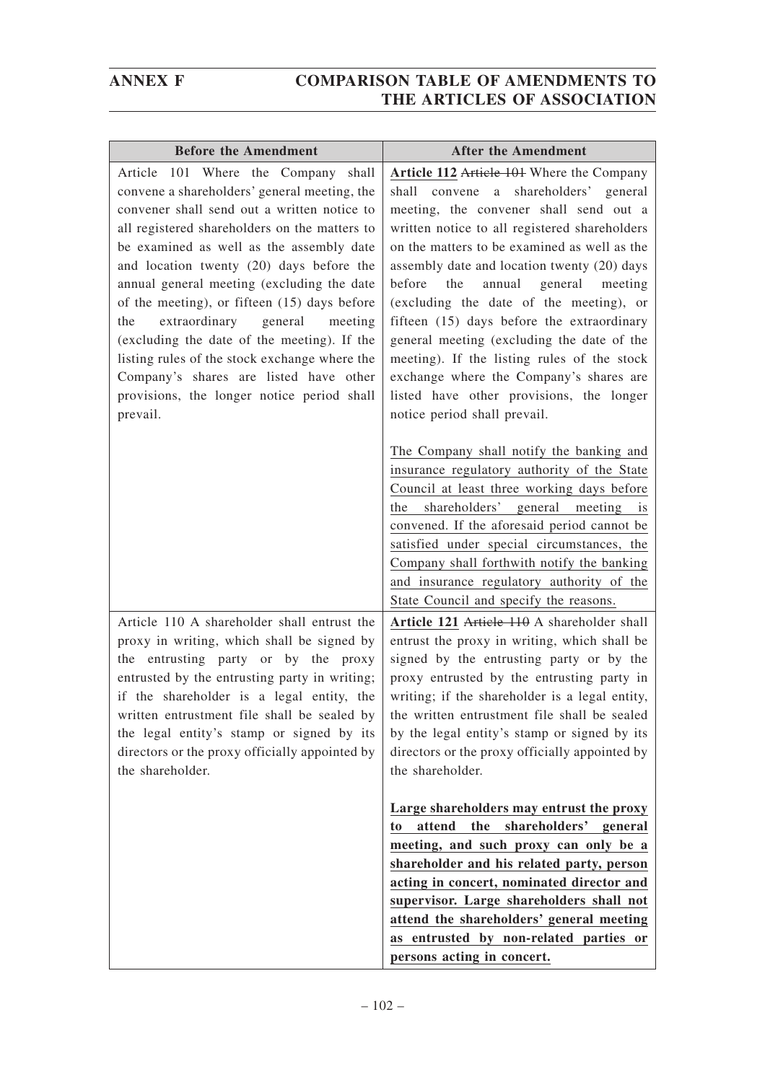| <b>Before the Amendment</b>                                                                                                                                                                                                                                                                                                                                                                                                                                                                                                                                                                                              | <b>After the Amendment</b>                                                                                                                                                                                                                                                                                                                                                                                                                                                                                                                                                                                                           |
|--------------------------------------------------------------------------------------------------------------------------------------------------------------------------------------------------------------------------------------------------------------------------------------------------------------------------------------------------------------------------------------------------------------------------------------------------------------------------------------------------------------------------------------------------------------------------------------------------------------------------|--------------------------------------------------------------------------------------------------------------------------------------------------------------------------------------------------------------------------------------------------------------------------------------------------------------------------------------------------------------------------------------------------------------------------------------------------------------------------------------------------------------------------------------------------------------------------------------------------------------------------------------|
| Article 101 Where the Company shall<br>convene a shareholders' general meeting, the<br>convener shall send out a written notice to<br>all registered shareholders on the matters to<br>be examined as well as the assembly date<br>and location twenty (20) days before the<br>annual general meeting (excluding the date<br>of the meeting), or fifteen (15) days before<br>extraordinary general<br>the<br>meeting<br>(excluding the date of the meeting). If the<br>listing rules of the stock exchange where the<br>Company's shares are listed have other<br>provisions, the longer notice period shall<br>prevail. | Article 112 Article 101 Where the Company<br>shall convene a shareholders' general<br>meeting, the convener shall send out a<br>written notice to all registered shareholders<br>on the matters to be examined as well as the<br>assembly date and location twenty (20) days<br>annual general meeting<br>before<br>the<br>(excluding the date of the meeting), or<br>fifteen (15) days before the extraordinary<br>general meeting (excluding the date of the<br>meeting). If the listing rules of the stock<br>exchange where the Company's shares are<br>listed have other provisions, the longer<br>notice period shall prevail. |
|                                                                                                                                                                                                                                                                                                                                                                                                                                                                                                                                                                                                                          | The Company shall notify the banking and<br>insurance regulatory authority of the State<br>Council at least three working days before<br>shareholders' general meeting is<br>the<br>convened. If the aforesaid period cannot be<br>satisfied under special circumstances, the<br>Company shall forthwith notify the banking<br>and insurance regulatory authority of the<br>State Council and specify the reasons.                                                                                                                                                                                                                   |
| Article 110 A shareholder shall entrust the<br>proxy in writing, which shall be signed by<br>the entrusting party or by the proxy<br>entrusted by the entrusting party in writing;<br>if the shareholder is a legal entity, the<br>written entrustment file shall be sealed by<br>the legal entity's stamp or signed by its<br>directors or the proxy officially appointed by<br>the shareholder.                                                                                                                                                                                                                        | Article 121 Article 110 A shareholder shall<br>entrust the proxy in writing, which shall be<br>signed by the entrusting party or by the<br>proxy entrusted by the entrusting party in<br>writing; if the shareholder is a legal entity,<br>the written entrustment file shall be sealed<br>by the legal entity's stamp or signed by its<br>directors or the proxy officially appointed by<br>the shareholder.                                                                                                                                                                                                                        |
|                                                                                                                                                                                                                                                                                                                                                                                                                                                                                                                                                                                                                          | Large shareholders may entrust the proxy<br>shareholders' general<br>attend<br>the<br>to<br>meeting, and such proxy can only be a<br>shareholder and his related party, person<br>acting in concert, nominated director and<br>supervisor. Large shareholders shall not<br>attend the shareholders' general meeting<br>as entrusted by non-related parties or<br>persons acting in concert.                                                                                                                                                                                                                                          |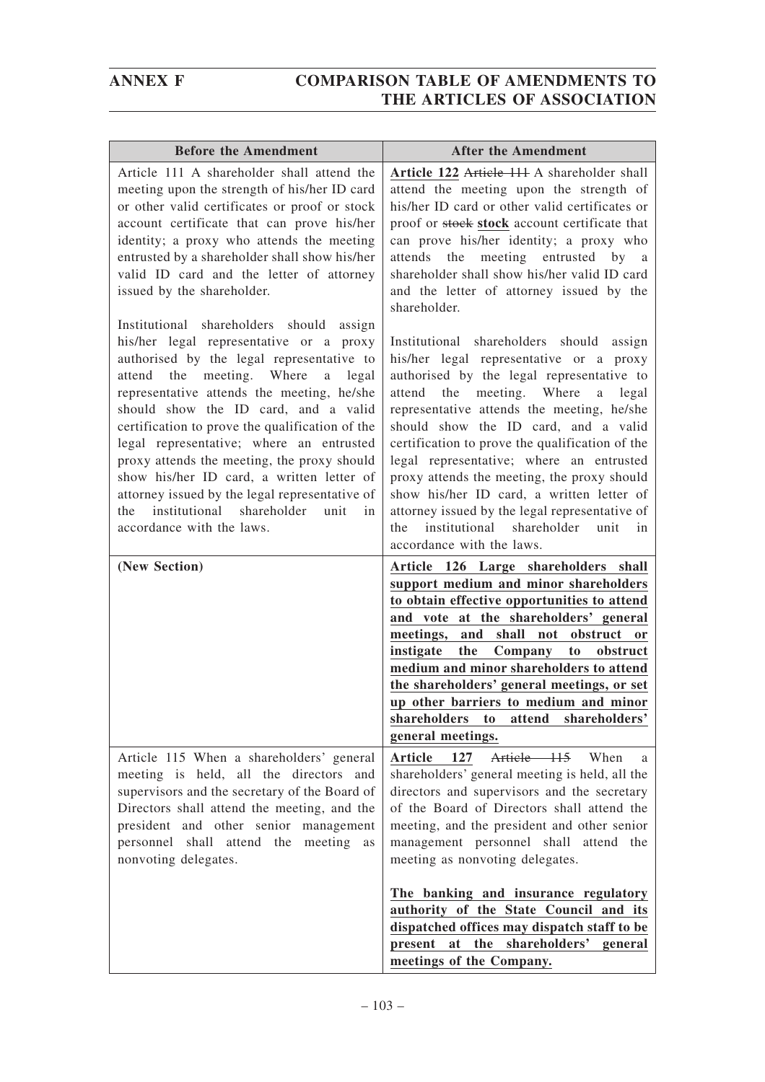| <b>Before the Amendment</b>                                                                                                                                                                                                                                                                                                                                                                                                                                                                                                                                                                      | <b>After the Amendment</b>                                                                                                                                                                                                                                                                                                                                                                                                                                                                                                                                                                       |
|--------------------------------------------------------------------------------------------------------------------------------------------------------------------------------------------------------------------------------------------------------------------------------------------------------------------------------------------------------------------------------------------------------------------------------------------------------------------------------------------------------------------------------------------------------------------------------------------------|--------------------------------------------------------------------------------------------------------------------------------------------------------------------------------------------------------------------------------------------------------------------------------------------------------------------------------------------------------------------------------------------------------------------------------------------------------------------------------------------------------------------------------------------------------------------------------------------------|
| Article 111 A shareholder shall attend the<br>meeting upon the strength of his/her ID card<br>or other valid certificates or proof or stock<br>account certificate that can prove his/her<br>identity; a proxy who attends the meeting<br>entrusted by a shareholder shall show his/her<br>valid ID card and the letter of attorney<br>issued by the shareholder.                                                                                                                                                                                                                                | Article 122 Article 111 A shareholder shall<br>attend the meeting upon the strength of<br>his/her ID card or other valid certificates or<br>proof or stock stock account certificate that<br>can prove his/her identity; a proxy who<br>meeting entrusted by a<br>attends<br>the<br>shareholder shall show his/her valid ID card<br>and the letter of attorney issued by the<br>shareholder.                                                                                                                                                                                                     |
| Institutional shareholders should<br>assign<br>his/her legal representative or a proxy<br>authorised by the legal representative to<br>meeting. Where<br>attend the<br>a legal<br>representative attends the meeting, he/she<br>should show the ID card, and a valid<br>certification to prove the qualification of the<br>legal representative; where an entrusted<br>proxy attends the meeting, the proxy should<br>show his/her ID card, a written letter of<br>attorney issued by the legal representative of<br>institutional shareholder<br>unit<br>the<br>in<br>accordance with the laws. | Institutional shareholders should<br>assign<br>his/her legal representative or a proxy<br>authorised by the legal representative to<br>attend the meeting. Where<br>legal<br>a<br>representative attends the meeting, he/she<br>should show the ID card, and a valid<br>certification to prove the qualification of the<br>legal representative; where an entrusted<br>proxy attends the meeting, the proxy should<br>show his/her ID card, a written letter of<br>attorney issued by the legal representative of<br>institutional shareholder<br>unit<br>the<br>in<br>accordance with the laws. |
| (New Section)                                                                                                                                                                                                                                                                                                                                                                                                                                                                                                                                                                                    | Article 126 Large shareholders shall<br>support medium and minor shareholders<br>to obtain effective opportunities to attend<br>and vote at the shareholders' general<br>meetings,<br>and<br>shall<br>obstruct<br>not<br><b>or</b><br>the<br>instigate<br>Company<br>to<br>obstruct<br>medium and minor shareholders to attend<br>the shareholders' general meetings, or set<br>up other barriers to medium and minor<br>shareholders<br>to<br>attend<br>shareholders'<br>general meetings.                                                                                                      |
| Article 115 When a shareholders' general<br>meeting is held, all the directors and<br>supervisors and the secretary of the Board of<br>Directors shall attend the meeting, and the<br>president and other senior management<br>personnel shall attend the meeting<br>as<br>nonvoting delegates.                                                                                                                                                                                                                                                                                                  | Article 115 When<br><b>Article</b><br>127<br>a<br>shareholders' general meeting is held, all the<br>directors and supervisors and the secretary<br>of the Board of Directors shall attend the<br>meeting, and the president and other senior<br>management personnel shall attend the<br>meeting as nonvoting delegates.                                                                                                                                                                                                                                                                         |
|                                                                                                                                                                                                                                                                                                                                                                                                                                                                                                                                                                                                  | The banking and insurance regulatory<br>authority of the State Council and its<br>dispatched offices may dispatch staff to be<br>at the shareholders' general<br>present<br>meetings of the Company.                                                                                                                                                                                                                                                                                                                                                                                             |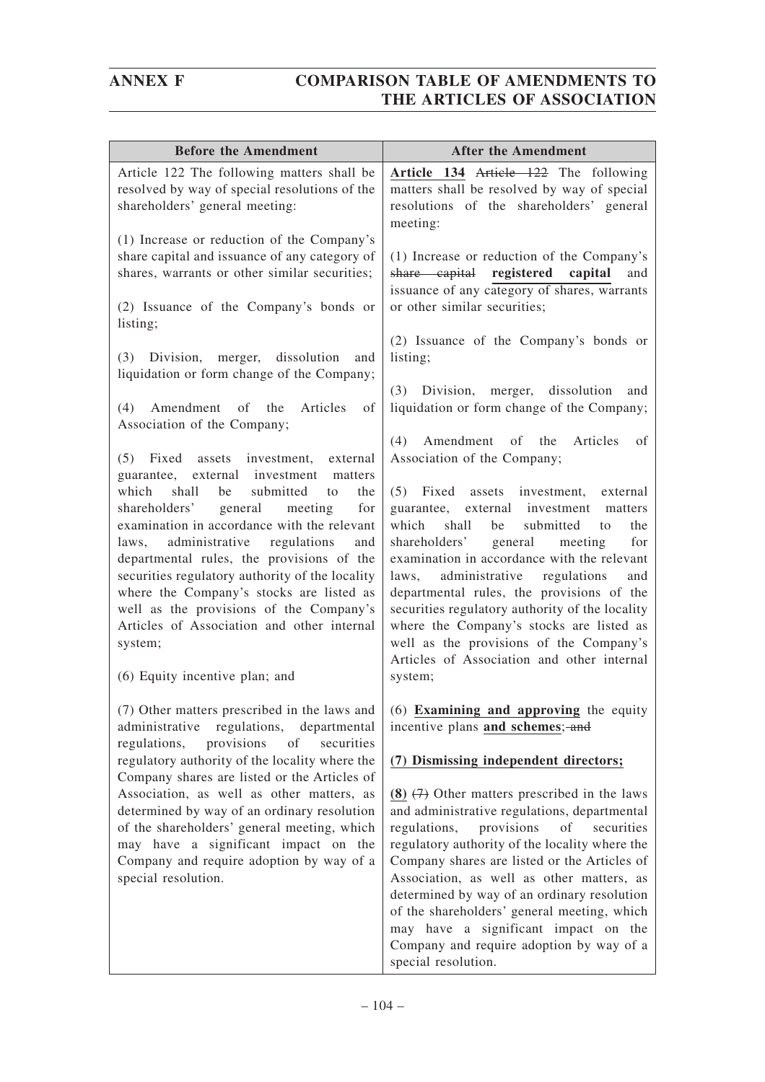| <b>Before the Amendment</b>                                                                                                                                                                                                                                                                                                                                                                                                                                                                                                                                                                                                                                                                                                                               | <b>After the Amendment</b>                                                                                                                                                                                                                                                                                                                                                                                                                                                                                                                                                                                                                                                                                                                                        |
|-----------------------------------------------------------------------------------------------------------------------------------------------------------------------------------------------------------------------------------------------------------------------------------------------------------------------------------------------------------------------------------------------------------------------------------------------------------------------------------------------------------------------------------------------------------------------------------------------------------------------------------------------------------------------------------------------------------------------------------------------------------|-------------------------------------------------------------------------------------------------------------------------------------------------------------------------------------------------------------------------------------------------------------------------------------------------------------------------------------------------------------------------------------------------------------------------------------------------------------------------------------------------------------------------------------------------------------------------------------------------------------------------------------------------------------------------------------------------------------------------------------------------------------------|
| Article 122 The following matters shall be<br>resolved by way of special resolutions of the<br>shareholders' general meeting:                                                                                                                                                                                                                                                                                                                                                                                                                                                                                                                                                                                                                             | Article 134 Article 122 The following<br>matters shall be resolved by way of special<br>resolutions of the shareholders' general<br>meeting:                                                                                                                                                                                                                                                                                                                                                                                                                                                                                                                                                                                                                      |
| (1) Increase or reduction of the Company's<br>share capital and issuance of any category of<br>shares, warrants or other similar securities;<br>(2) Issuance of the Company's bonds or<br>listing;                                                                                                                                                                                                                                                                                                                                                                                                                                                                                                                                                        | (1) Increase or reduction of the Company's<br>share capital registered<br>capital<br>and<br>issuance of any category of shares, warrants<br>or other similar securities;                                                                                                                                                                                                                                                                                                                                                                                                                                                                                                                                                                                          |
| dissolution<br>(3)<br>Division,<br>merger,<br>and<br>liquidation or form change of the Company;<br>(4)<br>Amendment of the<br>Articles<br>of<br>Association of the Company;<br>(5)<br>Fixed<br>assets investment,<br>external<br>guarantee, external investment matters<br>which<br>shall<br>submitted<br>be<br>to<br>the<br>general<br>meeting<br>shareholders'<br>for<br>examination in accordance with the relevant<br>administrative<br>regulations<br>laws,<br>and<br>departmental rules, the provisions of the<br>securities regulatory authority of the locality<br>where the Company's stocks are listed as<br>well as the provisions of the Company's<br>Articles of Association and other internal<br>system;<br>(6) Equity incentive plan; and | (2) Issuance of the Company's bonds or<br>listing;<br>(3)<br>Division, merger, dissolution<br>and<br>liquidation or form change of the Company;<br>(4)<br>Amendment of the<br>Articles<br>of<br>Association of the Company;<br>(5) Fixed assets investment,<br>external<br>guarantee, external investment<br>matters<br>shall<br>which<br>be<br>submitted<br>the<br>to<br>shareholders'<br>general<br>meeting<br>for<br>examination in accordance with the relevant<br>administrative regulations<br>laws,<br>and<br>departmental rules, the provisions of the<br>securities regulatory authority of the locality<br>where the Company's stocks are listed as<br>well as the provisions of the Company's<br>Articles of Association and other internal<br>system; |
| (7) Other matters prescribed in the laws and<br>administrative regulations,<br>departmental<br>provisions<br>of<br>securities<br>regulations,<br>regulatory authority of the locality where the<br>Company shares are listed or the Articles of<br>Association, as well as other matters, as<br>determined by way of an ordinary resolution<br>of the shareholders' general meeting, which<br>may have a significant impact on the<br>Company and require adoption by way of a<br>special resolution.                                                                                                                                                                                                                                                     | $(6)$ Examining and approving the equity<br>incentive plans and schemes; and<br>(7) Dismissing independent directors;<br>$(8)$ $(7)$ Other matters prescribed in the laws<br>and administrative regulations, departmental<br>regulations,<br>provisions<br>of<br>securities<br>regulatory authority of the locality where the<br>Company shares are listed or the Articles of<br>Association, as well as other matters, as<br>determined by way of an ordinary resolution<br>of the shareholders' general meeting, which<br>may have a significant impact on the<br>Company and require adoption by way of a<br>special resolution.                                                                                                                               |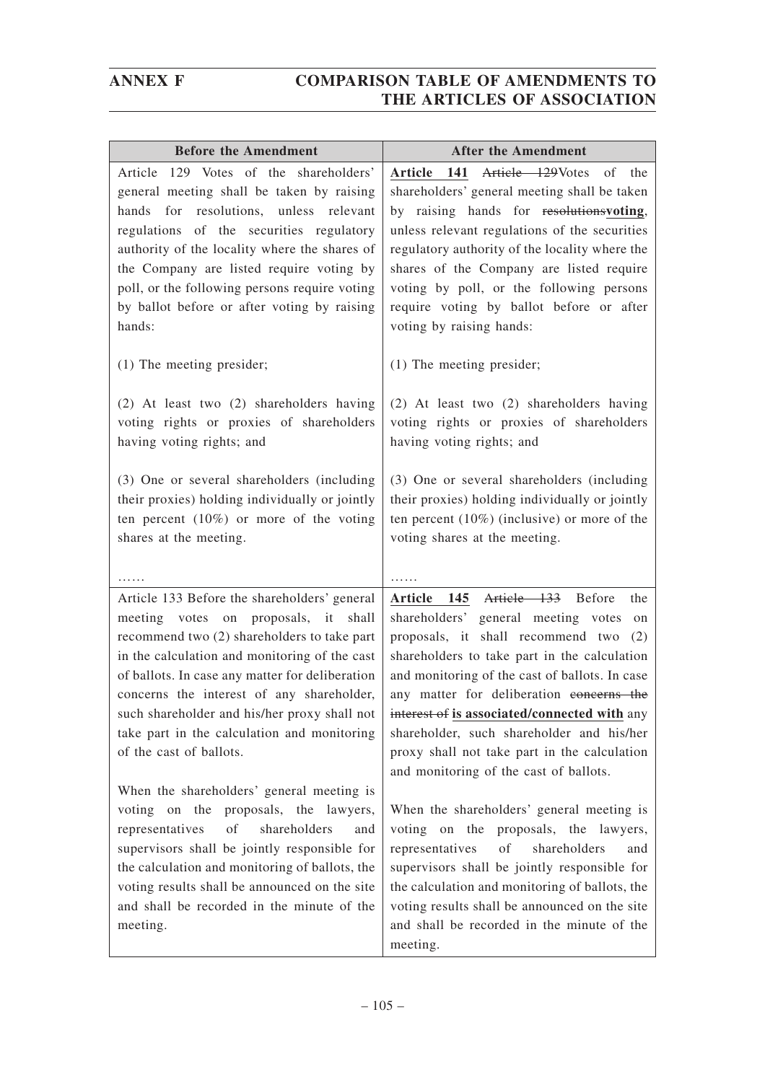| <b>Before the Amendment</b>                                                                  | <b>After the Amendment</b>                                                                      |
|----------------------------------------------------------------------------------------------|-------------------------------------------------------------------------------------------------|
| Article 129 Votes of the shareholders'<br>general meeting shall be taken by raising          | Article 129Votes<br>141<br>Article<br>of<br>the<br>shareholders' general meeting shall be taken |
| hands for resolutions, unless relevant<br>regulations of the securities regulatory           | by raising hands for resolutions voting,<br>unless relevant regulations of the securities       |
| authority of the locality where the shares of<br>the Company are listed require voting by    | regulatory authority of the locality where the<br>shares of the Company are listed require      |
| poll, or the following persons require voting                                                | voting by poll, or the following persons                                                        |
| by ballot before or after voting by raising<br>hands:                                        | require voting by ballot before or after<br>voting by raising hands:                            |
| $(1)$ The meeting presider;                                                                  | (1) The meeting presider;                                                                       |
| (2) At least two (2) shareholders having                                                     | (2) At least two (2) shareholders having<br>voting rights or proxies of shareholders            |
| voting rights or proxies of shareholders<br>having voting rights; and                        | having voting rights; and                                                                       |
| (3) One or several shareholders (including<br>their proxies) holding individually or jointly | (3) One or several shareholders (including<br>their proxies) holding individually or jointly    |
| ten percent $(10\%)$ or more of the voting                                                   | ten percent $(10\%)$ (inclusive) or more of the                                                 |
| shares at the meeting.                                                                       | voting shares at the meeting.                                                                   |
|                                                                                              |                                                                                                 |
| Article 133 Before the shareholders' general                                                 | Article 133 Before<br>Article 145<br>the                                                        |
| meeting votes on proposals, it shall<br>recommend two (2) shareholders to take part          | shareholders' general meeting votes<br>on<br>proposals, it shall recommend two (2)              |
| in the calculation and monitoring of the cast                                                | shareholders to take part in the calculation                                                    |
| of ballots. In case any matter for deliberation                                              | and monitoring of the cast of ballots. In case                                                  |
| concerns the interest of any shareholder,<br>such shareholder and his/her proxy shall not    | any matter for deliberation eoncerns the<br>interest of is associated/connected with any        |
| take part in the calculation and monitoring                                                  | shareholder, such shareholder and his/her                                                       |
| of the cast of ballots.                                                                      | proxy shall not take part in the calculation<br>and monitoring of the cast of ballots.          |
| When the shareholders' general meeting is                                                    |                                                                                                 |
| voting on the proposals, the lawyers,                                                        | When the shareholders' general meeting is                                                       |
| representatives<br>of<br>shareholders<br>and<br>supervisors shall be jointly responsible for | voting on the proposals, the lawyers,<br>representatives<br>of<br>shareholders<br>and           |
| the calculation and monitoring of ballots, the                                               | supervisors shall be jointly responsible for                                                    |
| voting results shall be announced on the site                                                | the calculation and monitoring of ballots, the                                                  |
| and shall be recorded in the minute of the                                                   | voting results shall be announced on the site                                                   |
| meeting.                                                                                     | and shall be recorded in the minute of the<br>meeting.                                          |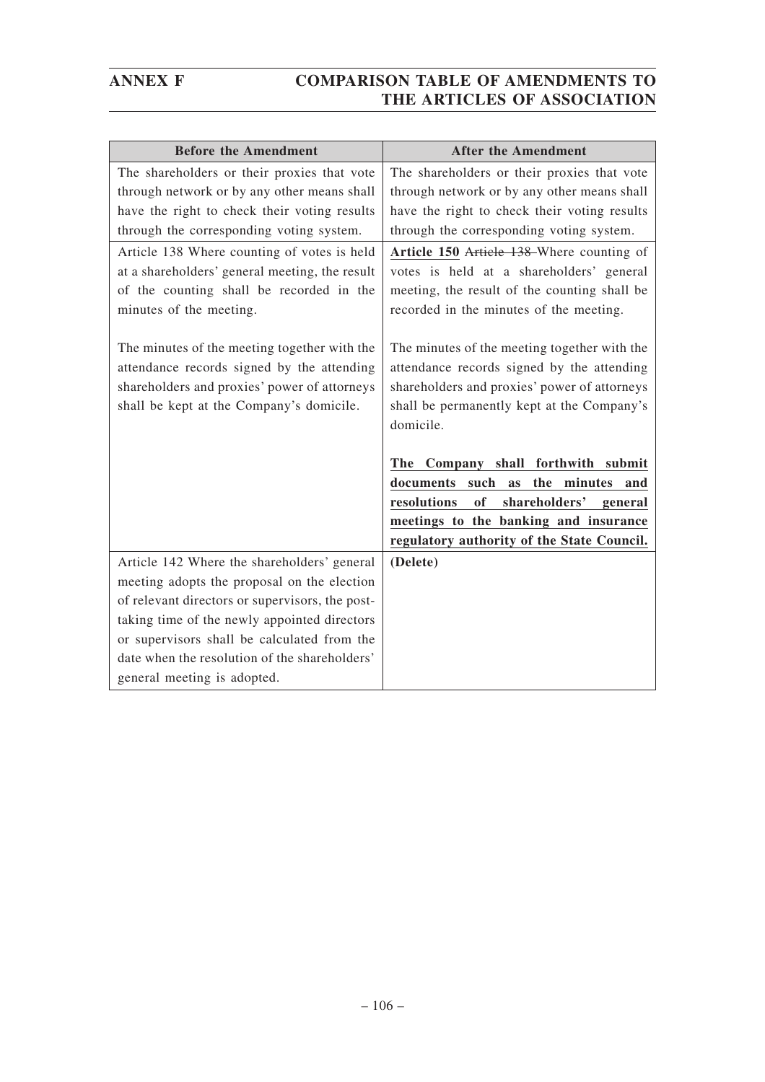| <b>Before the Amendment</b>                                                                                                                                                            | <b>After the Amendment</b>                                                                                                                                                                            |
|----------------------------------------------------------------------------------------------------------------------------------------------------------------------------------------|-------------------------------------------------------------------------------------------------------------------------------------------------------------------------------------------------------|
| The shareholders or their proxies that vote                                                                                                                                            | The shareholders or their proxies that vote                                                                                                                                                           |
| through network or by any other means shall                                                                                                                                            | through network or by any other means shall                                                                                                                                                           |
| have the right to check their voting results                                                                                                                                           | have the right to check their voting results                                                                                                                                                          |
| through the corresponding voting system.                                                                                                                                               | through the corresponding voting system.                                                                                                                                                              |
| Article 138 Where counting of votes is held<br>at a shareholders' general meeting, the result<br>of the counting shall be recorded in the<br>minutes of the meeting.                   | Article 150 Article 138 Where counting of<br>votes is held at a shareholders' general<br>meeting, the result of the counting shall be<br>recorded in the minutes of the meeting.                      |
| The minutes of the meeting together with the<br>attendance records signed by the attending<br>shareholders and proxies' power of attorneys<br>shall be kept at the Company's domicile. | The minutes of the meeting together with the<br>attendance records signed by the attending<br>shareholders and proxies' power of attorneys<br>shall be permanently kept at the Company's<br>domicile. |
|                                                                                                                                                                                        | The Company shall forthwith submit                                                                                                                                                                    |
|                                                                                                                                                                                        | documents such<br>as the minutes<br>and                                                                                                                                                               |
|                                                                                                                                                                                        | shareholders' general<br>resolutions<br>of                                                                                                                                                            |
|                                                                                                                                                                                        | meetings to the banking and insurance                                                                                                                                                                 |
|                                                                                                                                                                                        | regulatory authority of the State Council.                                                                                                                                                            |
| Article 142 Where the shareholders' general                                                                                                                                            | (Delete)                                                                                                                                                                                              |
| meeting adopts the proposal on the election                                                                                                                                            |                                                                                                                                                                                                       |
| of relevant directors or supervisors, the post-                                                                                                                                        |                                                                                                                                                                                                       |
| taking time of the newly appointed directors                                                                                                                                           |                                                                                                                                                                                                       |
| or supervisors shall be calculated from the                                                                                                                                            |                                                                                                                                                                                                       |
| date when the resolution of the shareholders'                                                                                                                                          |                                                                                                                                                                                                       |
| general meeting is adopted.                                                                                                                                                            |                                                                                                                                                                                                       |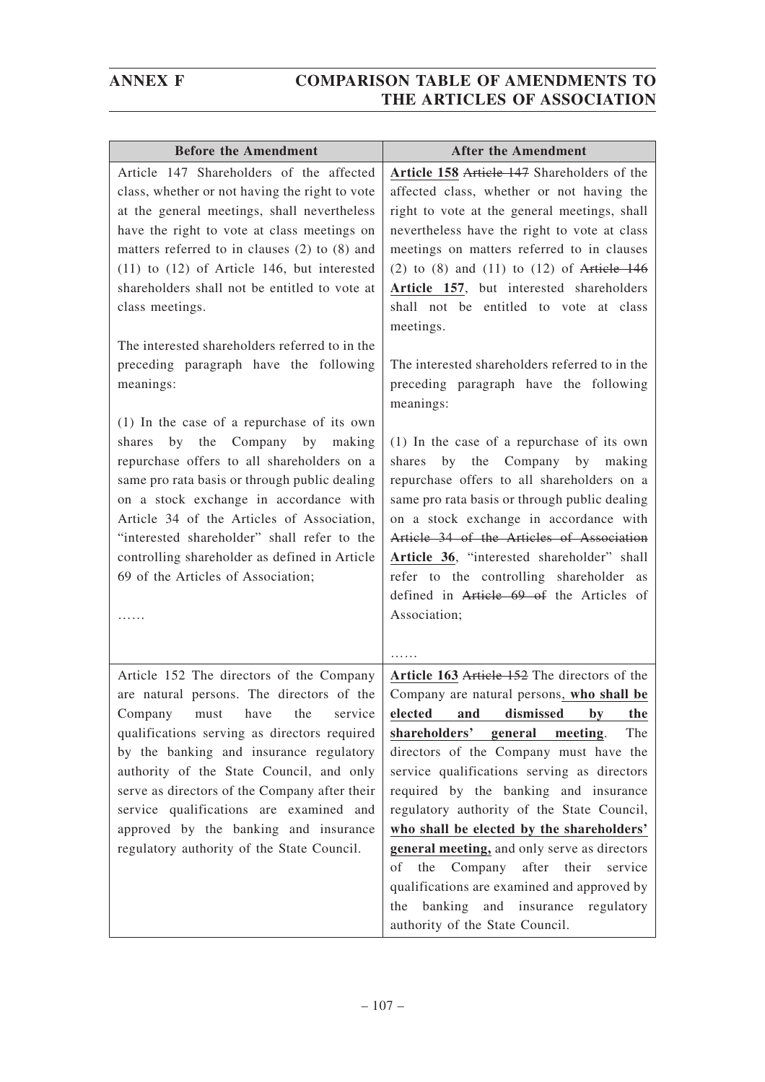| <b>Before the Amendment</b>                                                                                                                                                                                                                                                                                                                                                                                                                                                   | <b>After the Amendment</b>                                                                                                                                                                                                                                                                                                                                                                                                                                                                                                                                                                                                 |
|-------------------------------------------------------------------------------------------------------------------------------------------------------------------------------------------------------------------------------------------------------------------------------------------------------------------------------------------------------------------------------------------------------------------------------------------------------------------------------|----------------------------------------------------------------------------------------------------------------------------------------------------------------------------------------------------------------------------------------------------------------------------------------------------------------------------------------------------------------------------------------------------------------------------------------------------------------------------------------------------------------------------------------------------------------------------------------------------------------------------|
| Article 147 Shareholders of the affected<br>class, whether or not having the right to vote<br>at the general meetings, shall nevertheless<br>have the right to vote at class meetings on<br>matters referred to in clauses $(2)$ to $(8)$ and<br>$(11)$ to $(12)$ of Article 146, but interested<br>shareholders shall not be entitled to vote at<br>class meetings.<br>The interested shareholders referred to in the<br>preceding paragraph have the following<br>meanings: | Article 158 Article 147 Shareholders of the<br>affected class, whether or not having the<br>right to vote at the general meetings, shall<br>nevertheless have the right to vote at class<br>meetings on matters referred to in clauses<br>(2) to $(8)$ and $(11)$ to $(12)$ of Article 146<br>Article 157, but interested shareholders<br>shall not be entitled to vote at class<br>meetings.<br>The interested shareholders referred to in the<br>preceding paragraph have the following                                                                                                                                  |
| $(1)$ In the case of a repurchase of its own<br>shares by the<br>Company by making<br>repurchase offers to all shareholders on a<br>same pro rata basis or through public dealing<br>on a stock exchange in accordance with<br>Article 34 of the Articles of Association,<br>"interested shareholder" shall refer to the<br>controlling shareholder as defined in Article<br>69 of the Articles of Association;                                                               | meanings:<br>$(1)$ In the case of a repurchase of its own<br>by the Company by making<br>shares<br>repurchase offers to all shareholders on a<br>same pro rata basis or through public dealing<br>on a stock exchange in accordance with<br>Article 34 of the Articles of Association<br>Article 36, "interested shareholder" shall<br>refer to the controlling shareholder as<br>defined in Article 69 of the Articles of<br>Association;                                                                                                                                                                                 |
| Article 152 The directors of the Company<br>are natural persons. The directors of the<br>Company must have the service<br>qualifications serving as directors required<br>by the banking and insurance regulatory<br>authority of the State Council, and only<br>serve as directors of the Company after their<br>service qualifications are examined and<br>approved by the banking and insurance<br>regulatory authority of the State Council.                              | .<br>Article 163 Article 152 The directors of the<br>Company are natural persons, who shall be<br>elected and dismissed by the<br>shareholders' general<br>The<br>meeting.<br>directors of the Company must have the<br>service qualifications serving as directors<br>required by the banking and insurance<br>regulatory authority of the State Council,<br>who shall be elected by the shareholders'<br>general meeting, and only serve as directors<br>the Company after their service<br>οf<br>qualifications are examined and approved by<br>the banking and insurance regulatory<br>authority of the State Council. |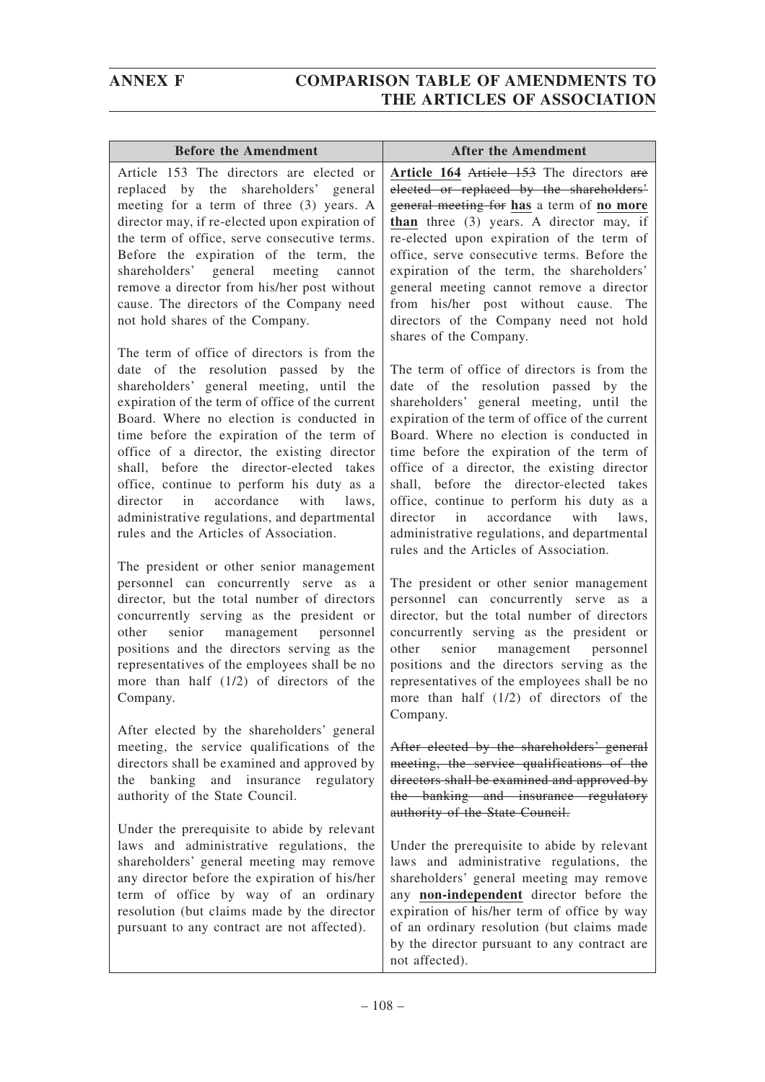| <b>Before the Amendment</b>                                                                                                                                                                                                                                                                                                                                                                                                                                                                                                                                    | <b>After the Amendment</b>                                                                                                                                                                                                                                                                                                                                                                                                                                                                                                                                     |
|----------------------------------------------------------------------------------------------------------------------------------------------------------------------------------------------------------------------------------------------------------------------------------------------------------------------------------------------------------------------------------------------------------------------------------------------------------------------------------------------------------------------------------------------------------------|----------------------------------------------------------------------------------------------------------------------------------------------------------------------------------------------------------------------------------------------------------------------------------------------------------------------------------------------------------------------------------------------------------------------------------------------------------------------------------------------------------------------------------------------------------------|
| Article 153 The directors are elected or                                                                                                                                                                                                                                                                                                                                                                                                                                                                                                                       | Article 164 Article 153 The directors are                                                                                                                                                                                                                                                                                                                                                                                                                                                                                                                      |
| replaced by the shareholders' general<br>meeting for a term of three (3) years. A<br>director may, if re-elected upon expiration of<br>the term of office, serve consecutive terms.                                                                                                                                                                                                                                                                                                                                                                            | elected or replaced by the shareholders'<br>general meeting for has a term of no more<br>than three $(3)$ years. A director may, if<br>re-elected upon expiration of the term of                                                                                                                                                                                                                                                                                                                                                                               |
| Before the expiration of the term, the<br>shareholders' general meeting<br>cannot<br>remove a director from his/her post without                                                                                                                                                                                                                                                                                                                                                                                                                               | office, serve consecutive terms. Before the<br>expiration of the term, the shareholders'<br>general meeting cannot remove a director                                                                                                                                                                                                                                                                                                                                                                                                                           |
| cause. The directors of the Company need<br>not hold shares of the Company.                                                                                                                                                                                                                                                                                                                                                                                                                                                                                    | from his/her post without cause.<br>The<br>directors of the Company need not hold<br>shares of the Company.                                                                                                                                                                                                                                                                                                                                                                                                                                                    |
| The term of office of directors is from the<br>date of the resolution passed by<br>the<br>shareholders' general meeting, until the<br>expiration of the term of office of the current<br>Board. Where no election is conducted in<br>time before the expiration of the term of<br>office of a director, the existing director<br>shall, before the director-elected takes<br>office, continue to perform his duty as a<br>director in<br>with<br>accordance<br>laws.<br>administrative regulations, and departmental<br>rules and the Articles of Association. | The term of office of directors is from the<br>date of the resolution passed by the<br>shareholders' general meeting, until the<br>expiration of the term of office of the current<br>Board. Where no election is conducted in<br>time before the expiration of the term of<br>office of a director, the existing director<br>shall, before the director-elected takes<br>office, continue to perform his duty as a<br>accordance<br>in<br>with<br>director<br>laws,<br>administrative regulations, and departmental<br>rules and the Articles of Association. |
| The president or other senior management<br>personnel can concurrently serve as a<br>director, but the total number of directors<br>concurrently serving as the president or<br>senior management personnel<br>other<br>positions and the directors serving as the<br>representatives of the employees shall be no<br>more than half $(1/2)$ of directors of the<br>Company.                                                                                                                                                                                   | The president or other senior management<br>personnel can concurrently serve as a<br>director, but the total number of directors<br>concurrently serving as the president or<br>senior management personnel<br>other<br>positions and the directors serving as the<br>representatives of the employees shall be no<br>more than half $(1/2)$ of directors of the<br>Company.                                                                                                                                                                                   |
| After elected by the shareholders' general<br>meeting, the service qualifications of the<br>directors shall be examined and approved by<br>the banking and insurance<br>regulatory<br>authority of the State Council.                                                                                                                                                                                                                                                                                                                                          | After elected by the shareholders' general<br>meeting, the service qualifications of the<br>directors shall be examined and approved by<br>the banking and insurance regulatory<br>authority of the State Council.                                                                                                                                                                                                                                                                                                                                             |
| Under the prerequisite to abide by relevant<br>laws and administrative regulations, the<br>shareholders' general meeting may remove<br>any director before the expiration of his/her<br>term of office by way of an ordinary<br>resolution (but claims made by the director<br>pursuant to any contract are not affected).                                                                                                                                                                                                                                     | Under the prerequisite to abide by relevant<br>laws and administrative regulations, the<br>shareholders' general meeting may remove<br>any non-independent director before the<br>expiration of his/her term of office by way<br>of an ordinary resolution (but claims made<br>by the director pursuant to any contract are<br>not affected).                                                                                                                                                                                                                  |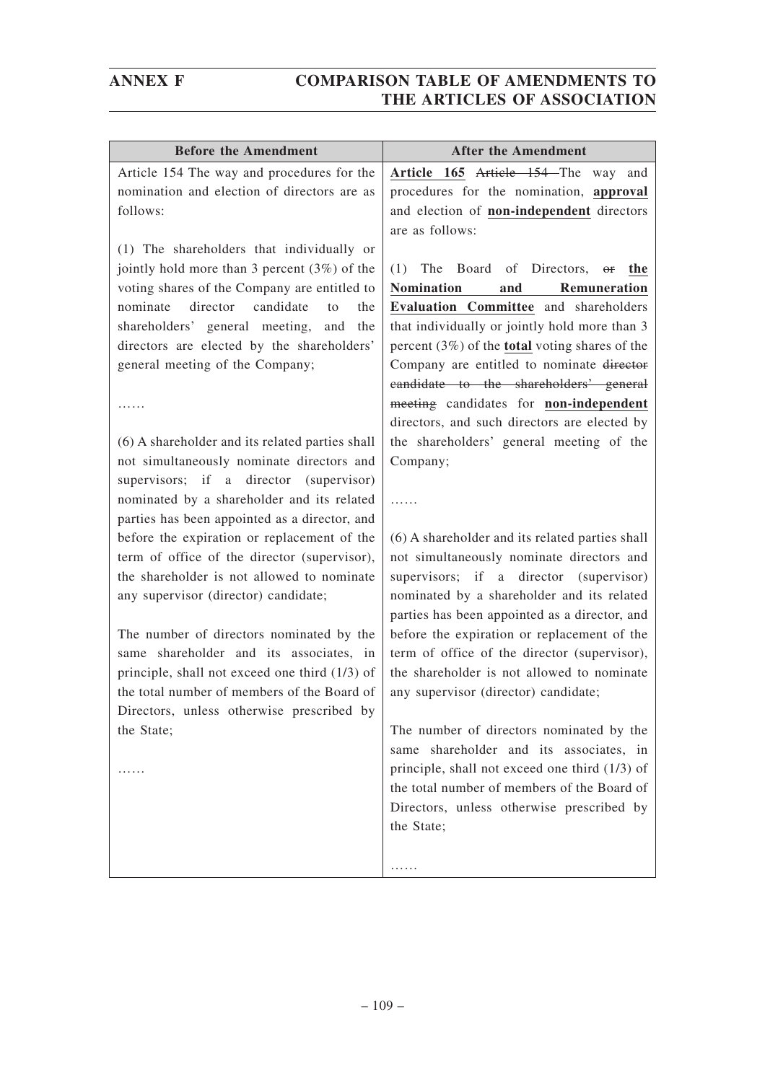| <b>Before the Amendment</b>                     | <b>After the Amendment</b>                               |
|-------------------------------------------------|----------------------------------------------------------|
| Article 154 The way and procedures for the      | Article 165 Article 154 The way and                      |
| nomination and election of directors are as     | procedures for the nomination, approval                  |
| follows:                                        | and election of non-independent directors                |
|                                                 | are as follows:                                          |
| (1) The shareholders that individually or       |                                                          |
| jointly hold more than 3 percent $(3%)$ of the  | The Board of Directors,<br>(1)<br>$\Theta$ f<br>the      |
| voting shares of the Company are entitled to    | <b>Nomination</b><br>Remuneration<br>and                 |
| candidate<br>nominate<br>director<br>the<br>to  | Evaluation Committee and shareholders                    |
| shareholders' general meeting,<br>and<br>the    | that individually or jointly hold more than 3            |
| directors are elected by the shareholders'      | percent $(3\%)$ of the <b>total</b> voting shares of the |
| general meeting of the Company;                 | Company are entitled to nominate director                |
|                                                 | eandidate to the shareholders' general                   |
|                                                 | meeting candidates for non-independent                   |
|                                                 | directors, and such directors are elected by             |
| (6) A shareholder and its related parties shall | the shareholders' general meeting of the                 |
| not simultaneously nominate directors and       | Company;                                                 |
| supervisors; if a director (supervisor)         |                                                          |
| nominated by a shareholder and its related      | .                                                        |
| parties has been appointed as a director, and   |                                                          |
| before the expiration or replacement of the     | (6) A shareholder and its related parties shall          |
| term of office of the director (supervisor),    | not simultaneously nominate directors and                |
| the shareholder is not allowed to nominate      | supervisors; if a director (supervisor)                  |
| any supervisor (director) candidate;            | nominated by a shareholder and its related               |
|                                                 | parties has been appointed as a director, and            |
| The number of directors nominated by the        | before the expiration or replacement of the              |
| same shareholder and its associates, in         | term of office of the director (supervisor),             |
| principle, shall not exceed one third (1/3) of  | the shareholder is not allowed to nominate               |
| the total number of members of the Board of     | any supervisor (director) candidate;                     |
| Directors, unless otherwise prescribed by       |                                                          |
| the State;                                      | The number of directors nominated by the                 |
|                                                 | same shareholder and its associates, in                  |
| .                                               | principle, shall not exceed one third $(1/3)$ of         |
|                                                 | the total number of members of the Board of              |
|                                                 | Directors, unless otherwise prescribed by                |
|                                                 | the State;                                               |
|                                                 |                                                          |
|                                                 | .                                                        |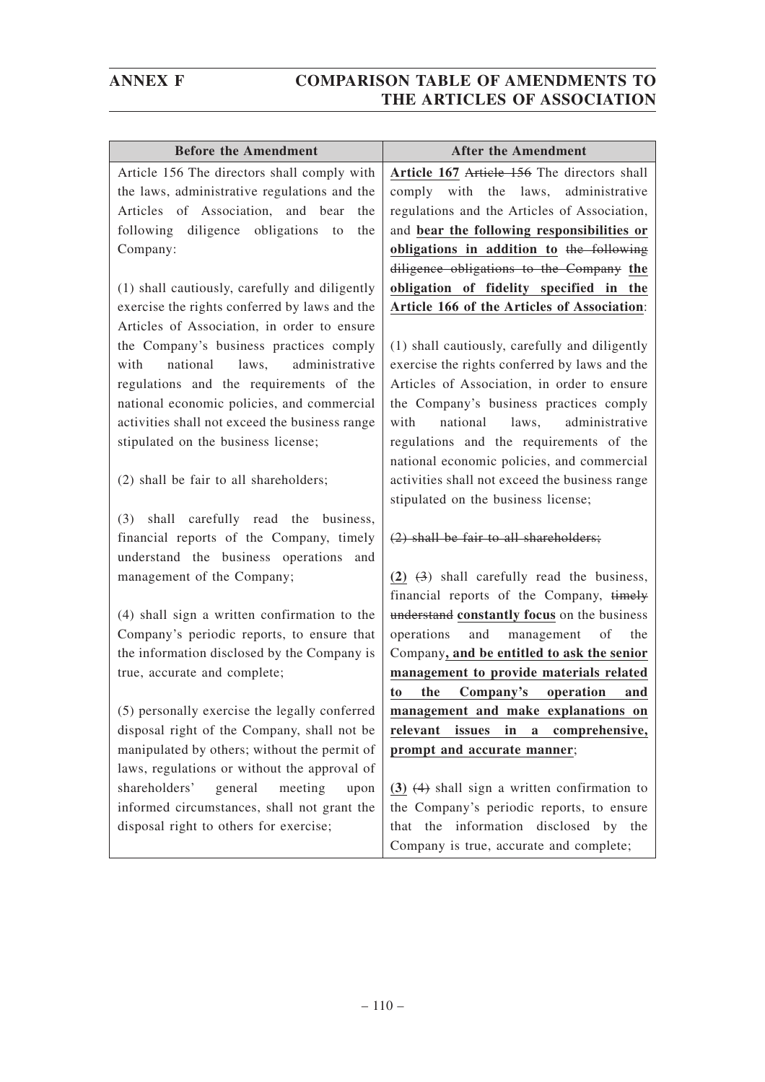| <b>Before the Amendment</b>                    | <b>After the Amendment</b>                                |
|------------------------------------------------|-----------------------------------------------------------|
| Article 156 The directors shall comply with    | Article 167 Article 156 The directors shall               |
| the laws, administrative regulations and the   | comply with the laws, administrative                      |
| Articles of Association, and bear<br>the       | regulations and the Articles of Association,              |
| following diligence obligations<br>to<br>the   | and bear the following responsibilities or                |
| Company:                                       | obligations in addition to the following                  |
|                                                | diligence obligations to the Company the                  |
| (1) shall cautiously, carefully and diligently | obligation of fidelity specified in the                   |
| exercise the rights conferred by laws and the  | Article 166 of the Articles of Association:               |
| Articles of Association, in order to ensure    |                                                           |
| the Company's business practices comply        | (1) shall cautiously, carefully and diligently            |
| national<br>administrative<br>with<br>laws,    | exercise the rights conferred by laws and the             |
| regulations and the requirements of the        | Articles of Association, in order to ensure               |
| national economic policies, and commercial     | the Company's business practices comply                   |
| activities shall not exceed the business range | national laws,<br>administrative<br>with                  |
| stipulated on the business license;            | regulations and the requirements of the                   |
|                                                | national economic policies, and commercial                |
| (2) shall be fair to all shareholders;         | activities shall not exceed the business range            |
|                                                | stipulated on the business license;                       |
| shall carefully read the business,<br>(3)      |                                                           |
| financial reports of the Company, timely       | $(2)$ shall be fair to all shareholders;                  |
| understand the business operations<br>and      |                                                           |
| management of the Company;                     | $(2)$ $(3)$ shall carefully read the business,            |
|                                                | financial reports of the Company, timely                  |
| (4) shall sign a written confirmation to the   | understand constantly focus on the business               |
| Company's periodic reports, to ensure that     | operations<br>and management of<br>the                    |
| the information disclosed by the Company is    | Company, and be entitled to ask the senior                |
| true, accurate and complete;                   | management to provide materials related                   |
|                                                | the Company's operation<br>to<br>and                      |
| (5) personally exercise the legally conferred  | management and make explanations on                       |
| disposal right of the Company, shall not be    | relevant<br>issues<br>in<br>comprehensive,<br>$\mathbf a$ |
| manipulated by others; without the permit of   | prompt and accurate manner;                               |
| laws, regulations or without the approval of   |                                                           |
| shareholders'<br>meeting<br>general<br>upon    | $(3)$ $(4)$ shall sign a written confirmation to          |
| informed circumstances, shall not grant the    | the Company's periodic reports, to ensure                 |
| disposal right to others for exercise;         | that the information disclosed by the                     |
|                                                | Company is true, accurate and complete;                   |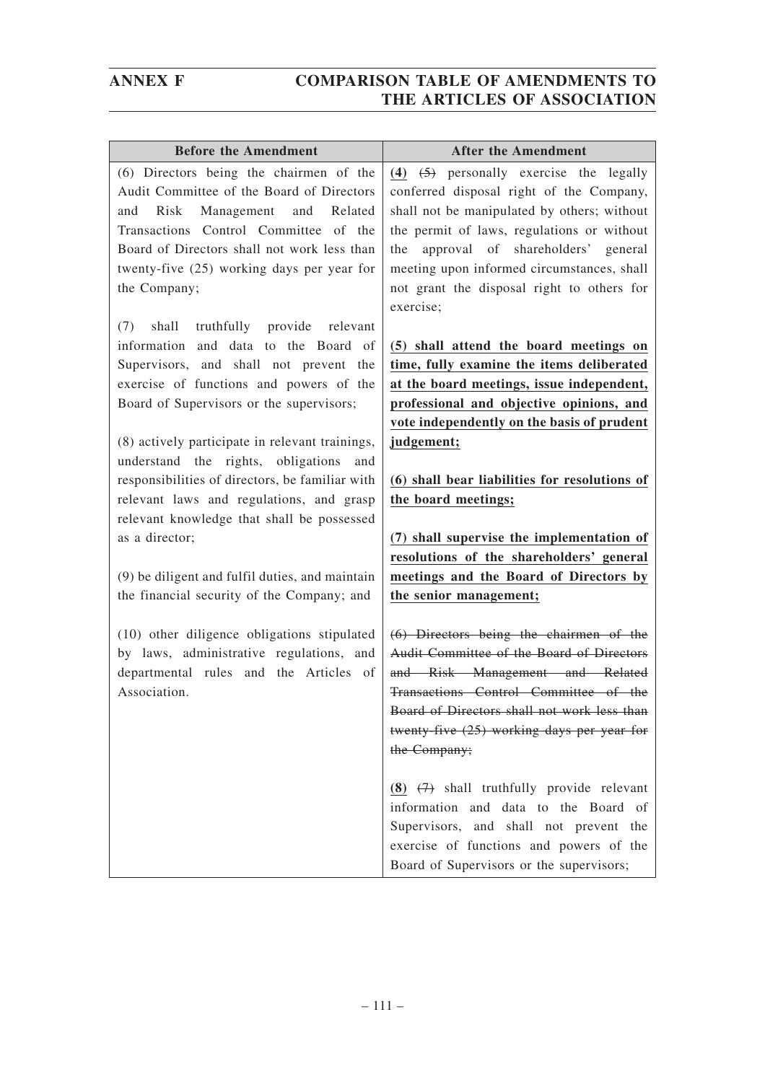| <b>Before the Amendment</b>                                                        | <b>After the Amendment</b>                                                             |
|------------------------------------------------------------------------------------|----------------------------------------------------------------------------------------|
| (6) Directors being the chairmen of the                                            | $(4)$ $(5)$ personally exercise the legally                                            |
| Audit Committee of the Board of Directors                                          | conferred disposal right of the Company,                                               |
| Risk<br>Management and<br>Related<br>and                                           | shall not be manipulated by others; without                                            |
| Transactions Control Committee of the                                              | the permit of laws, regulations or without                                             |
| Board of Directors shall not work less than                                        | approval of shareholders' general<br>the                                               |
| twenty-five (25) working days per year for                                         | meeting upon informed circumstances, shall                                             |
| the Company;                                                                       | not grant the disposal right to others for                                             |
|                                                                                    | exercise;                                                                              |
| shall truthfully provide relevant<br>(7)                                           |                                                                                        |
| information and data to the Board of                                               | (5) shall attend the board meetings on                                                 |
| Supervisors, and shall not prevent the                                             | time, fully examine the items deliberated                                              |
| exercise of functions and powers of the                                            | at the board meetings, issue independent,                                              |
| Board of Supervisors or the supervisors;                                           | professional and objective opinions, and                                               |
|                                                                                    | vote independently on the basis of prudent                                             |
| (8) actively participate in relevant trainings,                                    | judgement;                                                                             |
| understand the rights, obligations<br>and                                          |                                                                                        |
| responsibilities of directors, be familiar with                                    | (6) shall bear liabilities for resolutions of                                          |
| relevant laws and regulations, and grasp                                           | the board meetings;                                                                    |
| relevant knowledge that shall be possessed                                         |                                                                                        |
| as a director;                                                                     | (7) shall supervise the implementation of                                              |
|                                                                                    | resolutions of the shareholders' general                                               |
| (9) be diligent and fulfil duties, and maintain                                    | meetings and the Board of Directors by                                                 |
| the financial security of the Company; and                                         | the senior management;                                                                 |
|                                                                                    |                                                                                        |
| (10) other diligence obligations stipulated                                        | $(6)$ Directors being the chairmen of the<br>Audit Committee of the Board of Directors |
| by laws, administrative regulations, and<br>departmental rules and the Articles of | and Risk Management and Related                                                        |
| Association.                                                                       | Transactions Control Committee of the                                                  |
|                                                                                    | Board of Directors shall not work less than                                            |
|                                                                                    | twenty-five $(25)$ working days per year for                                           |
|                                                                                    | the Company;                                                                           |
|                                                                                    |                                                                                        |
|                                                                                    | (8) $(7)$ shall truthfully provide relevant                                            |
|                                                                                    | information and data to the Board of                                                   |
|                                                                                    | Supervisors, and shall not prevent the                                                 |
|                                                                                    | exercise of functions and powers of the                                                |
|                                                                                    | Board of Supervisors or the supervisors;                                               |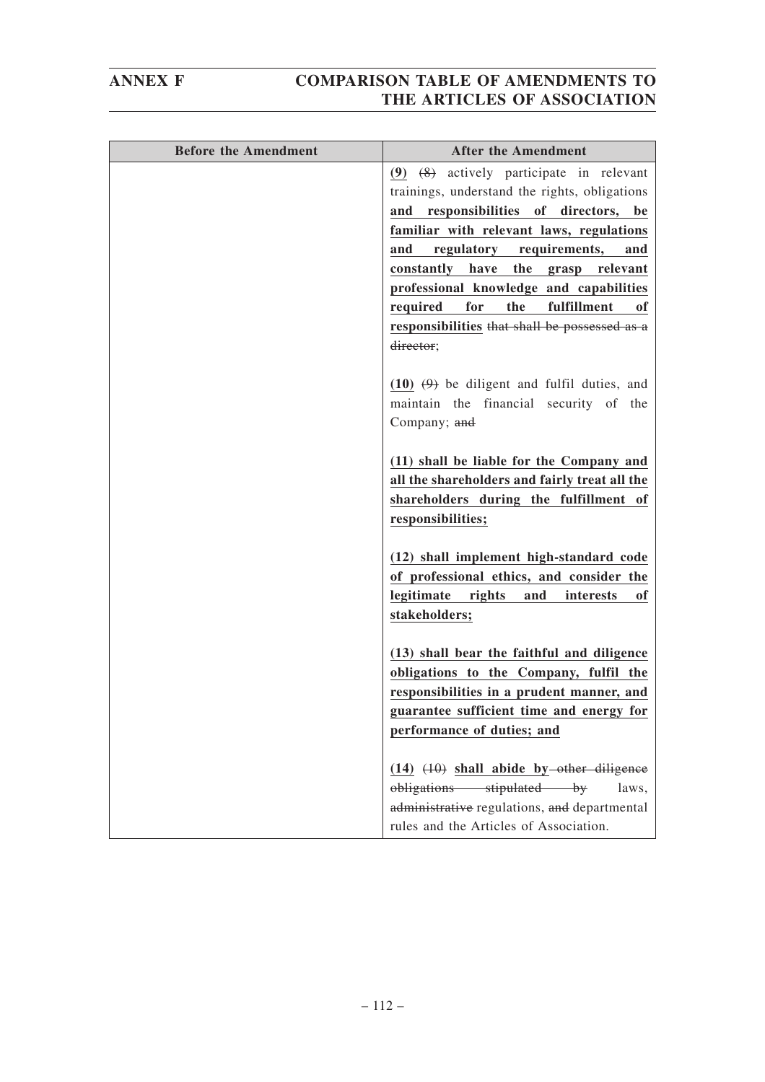| <b>Before the Amendment</b> | <b>After the Amendment</b>                      |
|-----------------------------|-------------------------------------------------|
|                             | $(9)$ $(8)$ actively participate in relevant    |
|                             | trainings, understand the rights, obligations   |
|                             | and responsibilities of directors, be           |
|                             | familiar with relevant laws, regulations        |
|                             | regulatory requirements,<br>and<br>and          |
|                             | the<br>constantly have<br>grasp relevant        |
|                             | professional knowledge and capabilities         |
|                             | for<br>the<br>fulfillment<br>required<br>оf     |
|                             | responsibilities that shall be possessed as a   |
|                             | director;                                       |
|                             |                                                 |
|                             | $(10)$ $(9)$ be diligent and fulfil duties, and |
|                             | maintain the financial security of the          |
|                             | Company; and                                    |
|                             | (11) shall be liable for the Company and        |
|                             | all the shareholders and fairly treat all the   |
|                             | shareholders during the fulfillment of          |
|                             | responsibilities;                               |
|                             |                                                 |
|                             | (12) shall implement high-standard code         |
|                             | of professional ethics, and consider the        |
|                             | legitimate<br>rights<br>and<br>interests<br>оf  |
|                             | stakeholders;                                   |
|                             |                                                 |
|                             | (13) shall bear the faithful and diligence      |
|                             | obligations to the Company, fulfil the          |
|                             | responsibilities in a prudent manner, and       |
|                             | guarantee sufficient time and energy for        |
|                             | performance of duties; and                      |
|                             | $(14)$ $(10)$ shall abide by-other diligence    |
|                             | obligations stipulated by<br>laws,              |
|                             | administrative regulations, and departmental    |
|                             | rules and the Articles of Association.          |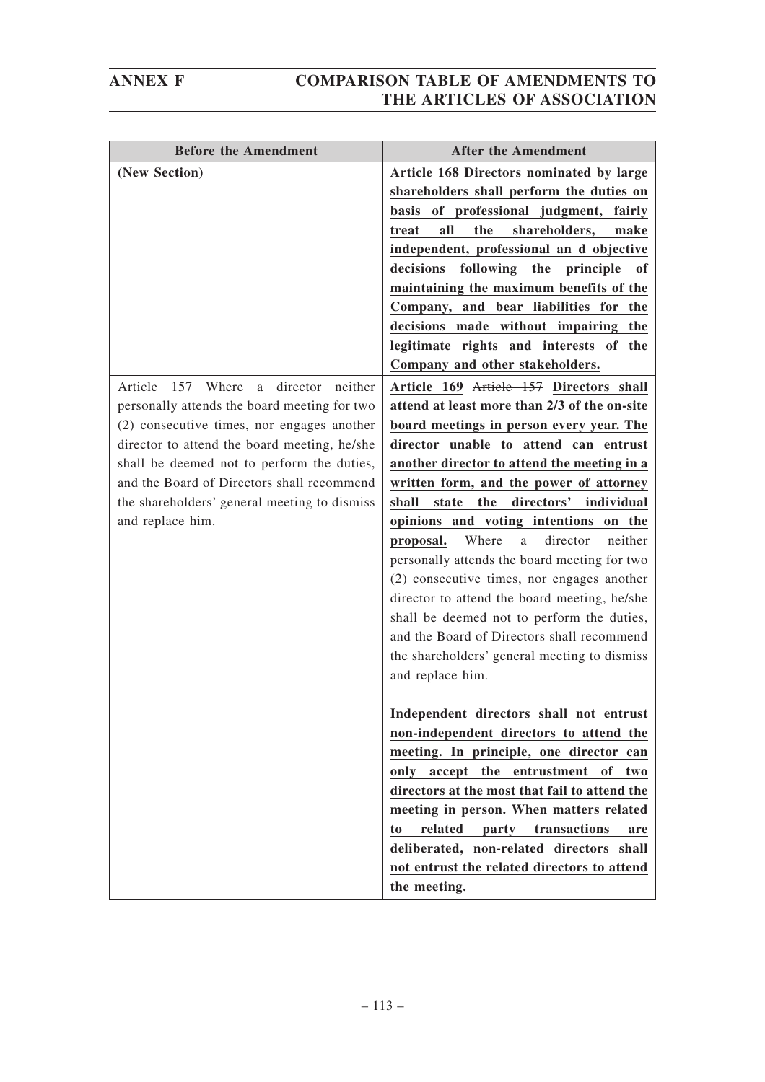| <b>Before the Amendment</b>                      | <b>After the Amendment</b>                                                    |
|--------------------------------------------------|-------------------------------------------------------------------------------|
| (New Section)                                    | Article 168 Directors nominated by large                                      |
|                                                  | shareholders shall perform the duties on                                      |
|                                                  | basis of professional judgment, fairly                                        |
|                                                  | shareholders,<br>all<br>the<br>treat<br>make                                  |
|                                                  | independent, professional an d objective                                      |
|                                                  | decisions<br>following the<br>principle<br>0ľ                                 |
|                                                  | maintaining the maximum benefits of the                                       |
|                                                  | Company, and bear liabilities for the                                         |
|                                                  | decisions made without impairing<br>the                                       |
|                                                  | legitimate rights and interests of<br>the                                     |
|                                                  | Company and other stakeholders.                                               |
| Where<br>director neither<br>Article<br>157<br>a | Article 169 Article 157 Directors shall                                       |
| personally attends the board meeting for two     | attend at least more than 2/3 of the on-site                                  |
| (2) consecutive times, nor engages another       | board meetings in person every year. The                                      |
| director to attend the board meeting, he/she     | director unable to attend can entrust                                         |
| shall be deemed not to perform the duties,       | another director to attend the meeting in a                                   |
| and the Board of Directors shall recommend       | written form, and the power of attorney                                       |
| the shareholders' general meeting to dismiss     | directors' individual<br>the<br>state<br>shall                                |
| and replace him.                                 | opinions and voting intentions on the                                         |
|                                                  | Where<br>director<br>neither<br>proposal.<br>$\mathbf{a}$                     |
|                                                  | personally attends the board meeting for two                                  |
|                                                  | (2) consecutive times, nor engages another                                    |
|                                                  | director to attend the board meeting, he/she                                  |
|                                                  | shall be deemed not to perform the duties,                                    |
|                                                  | and the Board of Directors shall recommend                                    |
|                                                  | the shareholders' general meeting to dismiss                                  |
|                                                  | and replace him.                                                              |
|                                                  |                                                                               |
|                                                  | Independent directors shall not entrust                                       |
|                                                  | non-independent directors to attend the                                       |
|                                                  | meeting. In principle, one director can<br>only accept the entrustment of two |
|                                                  | directors at the most that fail to attend the                                 |
|                                                  | meeting in person. When matters related                                       |
|                                                  | transactions<br>related<br>party<br>to<br>are                                 |
|                                                  | deliberated, non-related directors shall                                      |
|                                                  | not entrust the related directors to attend                                   |
|                                                  | the meeting.                                                                  |
|                                                  |                                                                               |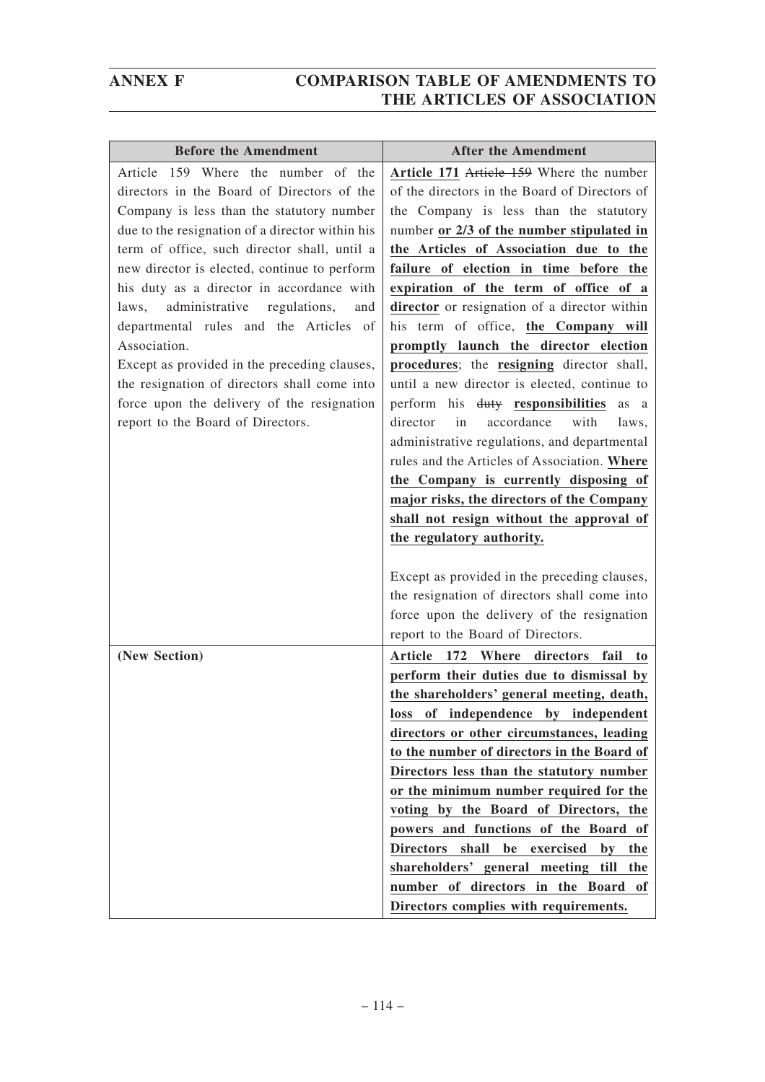| <b>Before the Amendment</b>                     | <b>After the Amendment</b>                                     |
|-------------------------------------------------|----------------------------------------------------------------|
| Article 159 Where the number of the             | Article 171 Article 159 Where the number                       |
| directors in the Board of Directors of the      | of the directors in the Board of Directors of                  |
| Company is less than the statutory number       | the Company is less than the statutory                         |
| due to the resignation of a director within his | number or 2/3 of the number stipulated in                      |
| term of office, such director shall, until a    | the Articles of Association due to the                         |
| new director is elected, continue to perform    | failure of election in time before the                         |
| his duty as a director in accordance with       | expiration of the term of office of a                          |
| administrative regulations,<br>laws,<br>and     | director or resignation of a director within                   |
| departmental rules and the Articles of          | his term of office, the Company will                           |
| Association.                                    | promptly launch the director election                          |
| Except as provided in the preceding clauses,    | procedures; the resigning director shall,                      |
| the resignation of directors shall come into    | until a new director is elected, continue to                   |
| force upon the delivery of the resignation      | perform his duty responsibilities<br>as a                      |
| report to the Board of Directors.               | director<br>in<br>accordance<br>with<br>laws,                  |
|                                                 | administrative regulations, and departmental                   |
|                                                 | rules and the Articles of Association. Where                   |
|                                                 | the Company is currently disposing of                          |
|                                                 | major risks, the directors of the Company                      |
|                                                 | shall not resign without the approval of                       |
|                                                 | the regulatory authority.                                      |
|                                                 | Except as provided in the preceding clauses,                   |
|                                                 | the resignation of directors shall come into                   |
|                                                 | force upon the delivery of the resignation                     |
|                                                 | report to the Board of Directors.                              |
| (New Section)                                   | Article 172 Where directors<br>fail<br>t <sub>0</sub>          |
|                                                 | perform their duties due to dismissal by                       |
|                                                 | the shareholders' general meeting, death,                      |
|                                                 | loss of independence by independent                            |
|                                                 | directors or other circumstances, leading                      |
|                                                 | to the number of directors in the Board of                     |
|                                                 | Directors less than the statutory number                       |
|                                                 | or the minimum number required for the                         |
|                                                 | voting by the Board of Directors, the                          |
|                                                 | powers and functions of the Board of                           |
|                                                 | Directors shall be exercised<br>$\mathbf{b} \mathbf{v}$<br>the |
|                                                 | shareholders' general meeting till the                         |
|                                                 | number of directors in the Board of                            |
|                                                 | Directors complies with requirements.                          |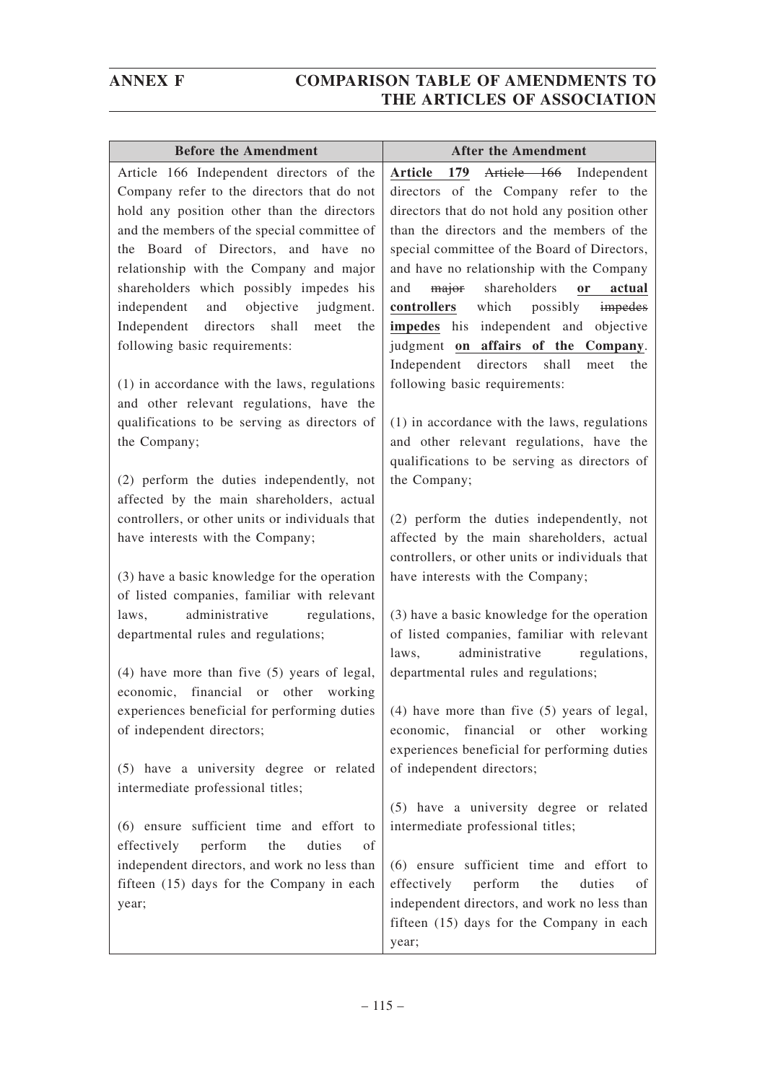| <b>Before the Amendment</b>                                                                   | <b>After the Amendment</b>                                                                 |
|-----------------------------------------------------------------------------------------------|--------------------------------------------------------------------------------------------|
| Article 166 Independent directors of the                                                      | Article 166 Independent<br>Article 179                                                     |
| Company refer to the directors that do not                                                    | directors of the Company refer to the                                                      |
| hold any position other than the directors                                                    | directors that do not hold any position other                                              |
| and the members of the special committee of                                                   | than the directors and the members of the                                                  |
| the Board of Directors, and have no                                                           | special committee of the Board of Directors,                                               |
| relationship with the Company and major                                                       | and have no relationship with the Company                                                  |
| shareholders which possibly impedes his                                                       | shareholders<br>and<br>major<br>actual<br><sub>or</sub>                                    |
| independent<br>and<br>objective<br>judgment.                                                  | which possibly impedes<br>controllers                                                      |
| Independent<br>directors<br>shall<br>meet<br>the                                              | impedes his independent and objective                                                      |
| following basic requirements:                                                                 | judgment on affairs of the Company.                                                        |
|                                                                                               | Independent directors shall<br>the<br>meet                                                 |
| $(1)$ in accordance with the laws, regulations                                                | following basic requirements:                                                              |
| and other relevant regulations, have the                                                      |                                                                                            |
| qualifications to be serving as directors of                                                  | (1) in accordance with the laws, regulations                                               |
| the Company;                                                                                  | and other relevant regulations, have the                                                   |
|                                                                                               | qualifications to be serving as directors of                                               |
| (2) perform the duties independently, not                                                     | the Company;                                                                               |
| affected by the main shareholders, actual                                                     |                                                                                            |
| controllers, or other units or individuals that                                               | (2) perform the duties independently, not                                                  |
| have interests with the Company;                                                              | affected by the main shareholders, actual                                                  |
|                                                                                               | controllers, or other units or individuals that                                            |
| (3) have a basic knowledge for the operation                                                  | have interests with the Company;                                                           |
| of listed companies, familiar with relevant                                                   |                                                                                            |
| administrative regulations,<br>laws,                                                          | (3) have a basic knowledge for the operation                                               |
| departmental rules and regulations;                                                           | of listed companies, familiar with relevant<br>laws.                                       |
|                                                                                               | administrative regulations,                                                                |
| $(4)$ have more than five $(5)$ years of legal,<br>economic, financial or<br>other<br>working | departmental rules and regulations;                                                        |
|                                                                                               | experiences beneficial for performing duties $(4)$ have more than five (5) years of legal, |
| of independent directors;                                                                     | economic, financial or other working                                                       |
|                                                                                               | experiences beneficial for performing duties                                               |
| (5) have a university degree or related                                                       | of independent directors;                                                                  |
| intermediate professional titles;                                                             |                                                                                            |
|                                                                                               | (5) have a university degree or related                                                    |
| (6) ensure sufficient time and effort to                                                      | intermediate professional titles;                                                          |
| perform<br>the<br>duties<br>effectively<br>οf                                                 |                                                                                            |
| independent directors, and work no less than                                                  | (6) ensure sufficient time and effort to                                                   |
| fifteen (15) days for the Company in each                                                     | perform<br>the<br>duties<br>effectively<br>οf                                              |
| year;                                                                                         | independent directors, and work no less than                                               |
|                                                                                               | fifteen (15) days for the Company in each                                                  |
|                                                                                               | year;                                                                                      |
|                                                                                               |                                                                                            |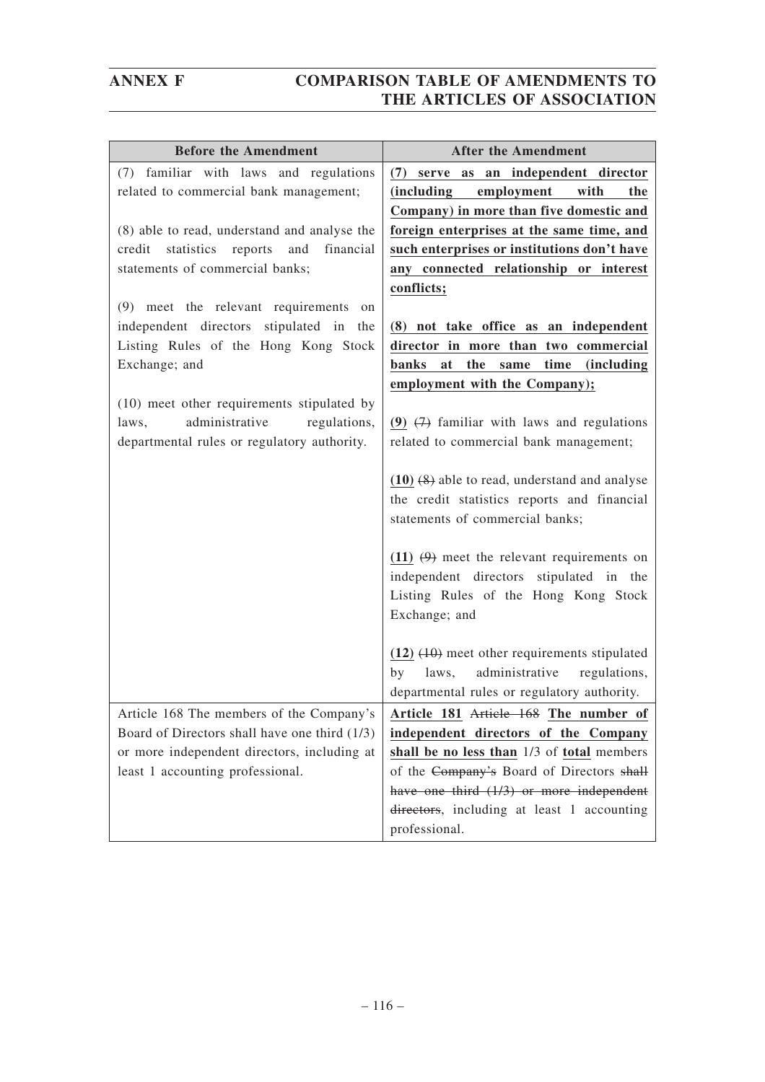| <b>Before the Amendment</b>                         | <b>After the Amendment</b>                                                       |
|-----------------------------------------------------|----------------------------------------------------------------------------------|
| (7) familiar with laws and regulations              | serve as an independent director<br>(7)                                          |
| related to commercial bank management;              | <i>(including</i><br>employment with<br>the                                      |
|                                                     | Company) in more than five domestic and                                          |
| (8) able to read, understand and analyse the        | foreign enterprises at the same time, and                                        |
| statistics<br>reports<br>and<br>financial<br>credit | such enterprises or institutions don't have                                      |
| statements of commercial banks;                     | any connected relationship or interest                                           |
|                                                     | conflicts;                                                                       |
| (9) meet the relevant requirements<br>on            |                                                                                  |
| independent directors stipulated in the             | (8) not take office as an independent                                            |
| Listing Rules of the Hong Kong Stock                | director in more than two commercial                                             |
| Exchange; and                                       | banks at<br>the same time<br><i>(including)</i><br>employment with the Company); |
| (10) meet other requirements stipulated by          |                                                                                  |
| administrative<br>regulations,<br>laws,             | (9) $(7)$ familiar with laws and regulations                                     |
| departmental rules or regulatory authority.         | related to commercial bank management;                                           |
|                                                     |                                                                                  |
|                                                     | $(10)$ $(8)$ able to read, understand and analyse                                |
|                                                     | the credit statistics reports and financial                                      |
|                                                     | statements of commercial banks;                                                  |
|                                                     |                                                                                  |
|                                                     | $(11)$ $(9)$ meet the relevant requirements on                                   |
|                                                     | independent directors stipulated in the                                          |
|                                                     | Listing Rules of the Hong Kong Stock                                             |
|                                                     | Exchange; and                                                                    |
|                                                     | $(12)$ $(10)$ meet other requirements stipulated                                 |
|                                                     | administrative<br>laws,<br>by<br>regulations,                                    |
|                                                     | departmental rules or regulatory authority.                                      |
| Article 168 The members of the Company's            | Article 181 Article 168 The number of                                            |
| Board of Directors shall have one third (1/3)       | independent directors of the Company                                             |
| or more independent directors, including at         | shall be no less than 1/3 of total members                                       |
| least 1 accounting professional.                    | of the Company's Board of Directors shall                                        |
|                                                     | have one third $(1/3)$ or more independent                                       |
|                                                     | directors, including at least 1 accounting                                       |
|                                                     | professional.                                                                    |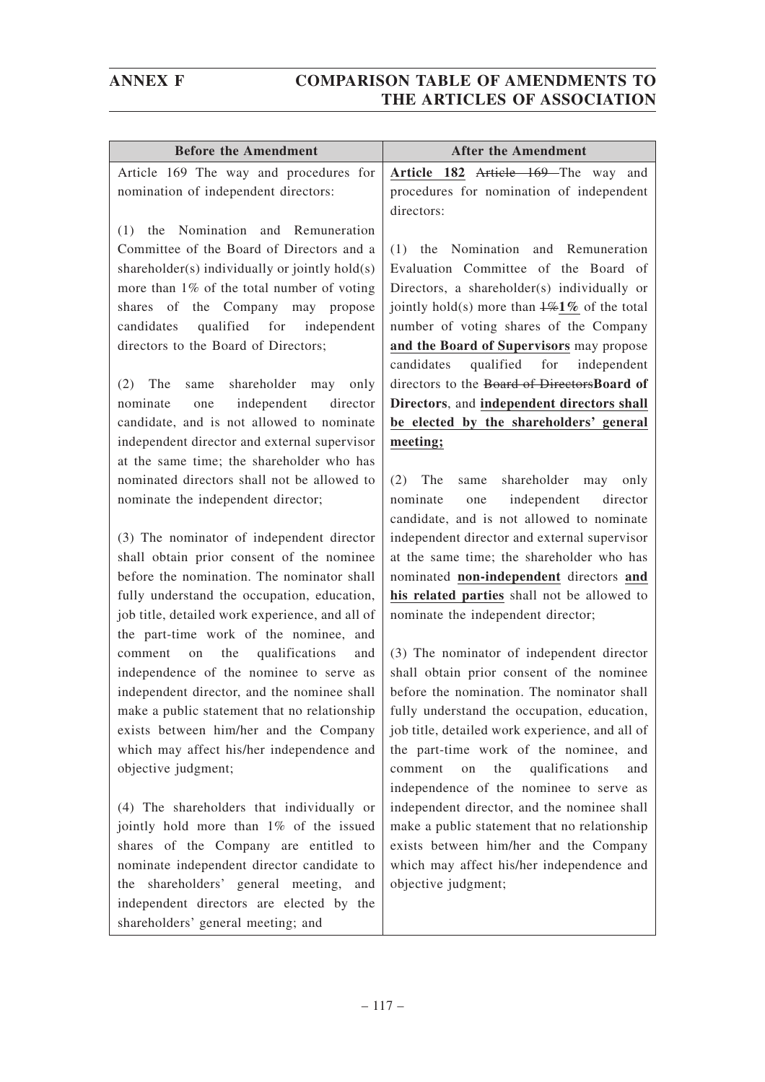| <b>Before the Amendment</b>                                                               | <b>After the Amendment</b>                                                             |
|-------------------------------------------------------------------------------------------|----------------------------------------------------------------------------------------|
| Article 169 The way and procedures for                                                    | Article 182 Article 169 The way and                                                    |
| nomination of independent directors:                                                      | procedures for nomination of independent                                               |
|                                                                                           | directors:                                                                             |
| Nomination and Remuneration<br>(1)<br>the                                                 |                                                                                        |
| Committee of the Board of Directors and a                                                 | (1)<br>the Nomination and Remuneration                                                 |
| shareholder(s) individually or jointly hold(s)                                            | Evaluation Committee of the Board of                                                   |
| more than 1% of the total number of voting                                                | Directors, a shareholder(s) individually or                                            |
| shares of the Company may propose                                                         | jointly hold(s) more than $\frac{1}{6}$ of the total                                   |
| qualified for<br>independent<br>candidates                                                | number of voting shares of the Company                                                 |
| directors to the Board of Directors;                                                      | and the Board of Supervisors may propose                                               |
|                                                                                           | qualified for<br>candidates<br>independent                                             |
| shareholder<br>(2)<br>The<br>may<br>only<br>same                                          | directors to the Board of DirectorsBoard of                                            |
| independent<br>nominate<br>director<br>one                                                | Directors, and independent directors shall                                             |
| candidate, and is not allowed to nominate                                                 | be elected by the shareholders' general                                                |
| independent director and external supervisor                                              | meeting;                                                                               |
| at the same time; the shareholder who has                                                 |                                                                                        |
| nominated directors shall not be allowed to                                               | (2)<br>shareholder may<br>The<br>only<br>same                                          |
| nominate the independent director;                                                        | independent<br>nominate<br>director<br>one                                             |
|                                                                                           | candidate, and is not allowed to nominate                                              |
| (3) The nominator of independent director                                                 | independent director and external supervisor                                           |
| shall obtain prior consent of the nominee                                                 | at the same time; the shareholder who has                                              |
| before the nomination. The nominator shall                                                | nominated non-independent directors and                                                |
| fully understand the occupation, education,                                               | his related parties shall not be allowed to                                            |
| job title, detailed work experience, and all of<br>the part-time work of the nominee, and | nominate the independent director;                                                     |
| qualifications<br>the<br>and<br>comment<br>on                                             |                                                                                        |
| independence of the nominee to serve as                                                   | (3) The nominator of independent director<br>shall obtain prior consent of the nominee |
| independent director, and the nominee shall                                               | before the nomination. The nominator shall                                             |
| make a public statement that no relationship                                              | fully understand the occupation, education,                                            |
| exists between him/her and the Company                                                    | job title, detailed work experience, and all of                                        |
| which may affect his/her independence and                                                 | the part-time work of the nominee, and                                                 |
| objective judgment;                                                                       | qualifications<br>the<br>comment<br>on<br>and                                          |
|                                                                                           | independence of the nominee to serve as                                                |
| (4) The shareholders that individually or                                                 | independent director, and the nominee shall                                            |
| jointly hold more than 1% of the issued                                                   | make a public statement that no relationship                                           |
| shares of the Company are entitled to                                                     | exists between him/her and the Company                                                 |
| nominate independent director candidate to                                                | which may affect his/her independence and                                              |
| shareholders' general meeting,<br>the<br>and                                              | objective judgment;                                                                    |
| independent directors are elected by the                                                  |                                                                                        |
| shareholders' general meeting; and                                                        |                                                                                        |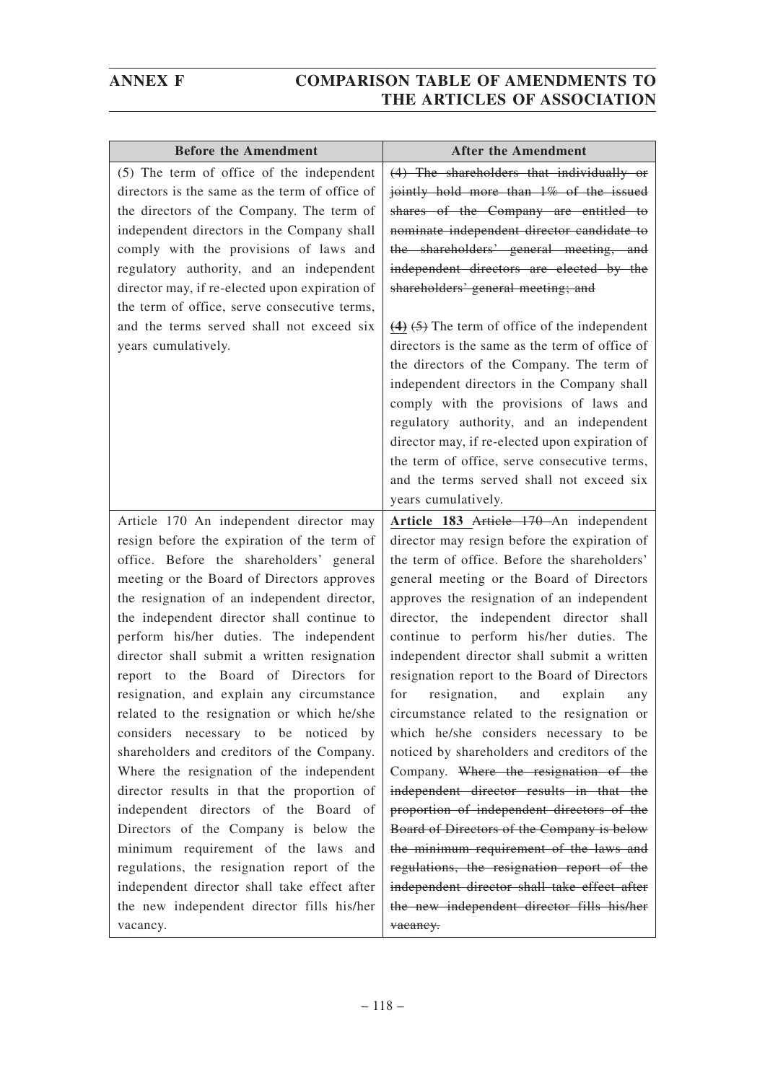| <b>Before the Amendment</b>                                                                                                                                                                                                                                                                                                                                                                                                                                                                                                                                                                                                                                                                                                                                                                                                                                                                                                                                     | <b>After the Amendment</b>                                                                                                                                                                                                                                                                                                                                                                                                                                                                                                                                                                                                                                                                                                                                                                                                                                                                                                                                                              |
|-----------------------------------------------------------------------------------------------------------------------------------------------------------------------------------------------------------------------------------------------------------------------------------------------------------------------------------------------------------------------------------------------------------------------------------------------------------------------------------------------------------------------------------------------------------------------------------------------------------------------------------------------------------------------------------------------------------------------------------------------------------------------------------------------------------------------------------------------------------------------------------------------------------------------------------------------------------------|-----------------------------------------------------------------------------------------------------------------------------------------------------------------------------------------------------------------------------------------------------------------------------------------------------------------------------------------------------------------------------------------------------------------------------------------------------------------------------------------------------------------------------------------------------------------------------------------------------------------------------------------------------------------------------------------------------------------------------------------------------------------------------------------------------------------------------------------------------------------------------------------------------------------------------------------------------------------------------------------|
| (5) The term of office of the independent<br>directors is the same as the term of office of<br>the directors of the Company. The term of<br>independent directors in the Company shall<br>comply with the provisions of laws and<br>regulatory authority, and an independent<br>director may, if re-elected upon expiration of<br>the term of office, serve consecutive terms,<br>and the terms served shall not exceed six<br>years cumulatively.                                                                                                                                                                                                                                                                                                                                                                                                                                                                                                              | (4) The shareholders that individually or<br>jointly hold more than 1% of the issued<br>shares of the Company are entitled to<br>nominate independent director candidate to<br>the shareholders' general meeting, and<br>independent directors are elected by the<br>shareholders' general meeting; and<br>$(4)$ $(5)$ The term of office of the independent<br>directors is the same as the term of office of<br>the directors of the Company. The term of<br>independent directors in the Company shall<br>comply with the provisions of laws and<br>regulatory authority, and an independent<br>director may, if re-elected upon expiration of<br>the term of office, serve consecutive terms,<br>and the terms served shall not exceed six<br>years cumulatively.                                                                                                                                                                                                                   |
| Article 170 An independent director may<br>resign before the expiration of the term of<br>office. Before the shareholders' general<br>meeting or the Board of Directors approves<br>the resignation of an independent director,<br>the independent director shall continue to<br>perform his/her duties. The independent<br>director shall submit a written resignation<br>report to the Board of Directors for<br>resignation, and explain any circumstance<br>related to the resignation or which he/she<br>considers necessary to be noticed by<br>shareholders and creditors of the Company.<br>Where the resignation of the independent<br>director results in that the proportion of<br>independent directors of the Board of<br>Directors of the Company is below the<br>minimum requirement of the laws and<br>regulations, the resignation report of the<br>independent director shall take effect after<br>the new independent director fills his/her | Article 183 Article 170 An independent<br>director may resign before the expiration of<br>the term of office. Before the shareholders'<br>general meeting or the Board of Directors<br>approves the resignation of an independent<br>director, the independent director shall<br>continue to perform his/her duties. The<br>independent director shall submit a written<br>resignation report to the Board of Directors<br>for<br>resignation,<br>and<br>explain<br>any<br>circumstance related to the resignation or<br>which he/she considers necessary to be<br>noticed by shareholders and creditors of the<br>Company. Where the resignation of the<br>independent director results in that the<br>proportion of independent directors of the<br>Board of Directors of the Company is below<br>the minimum requirement of the laws and<br>regulations, the resignation report of the<br>independent director shall take effect after<br>the new independent director fills his/her |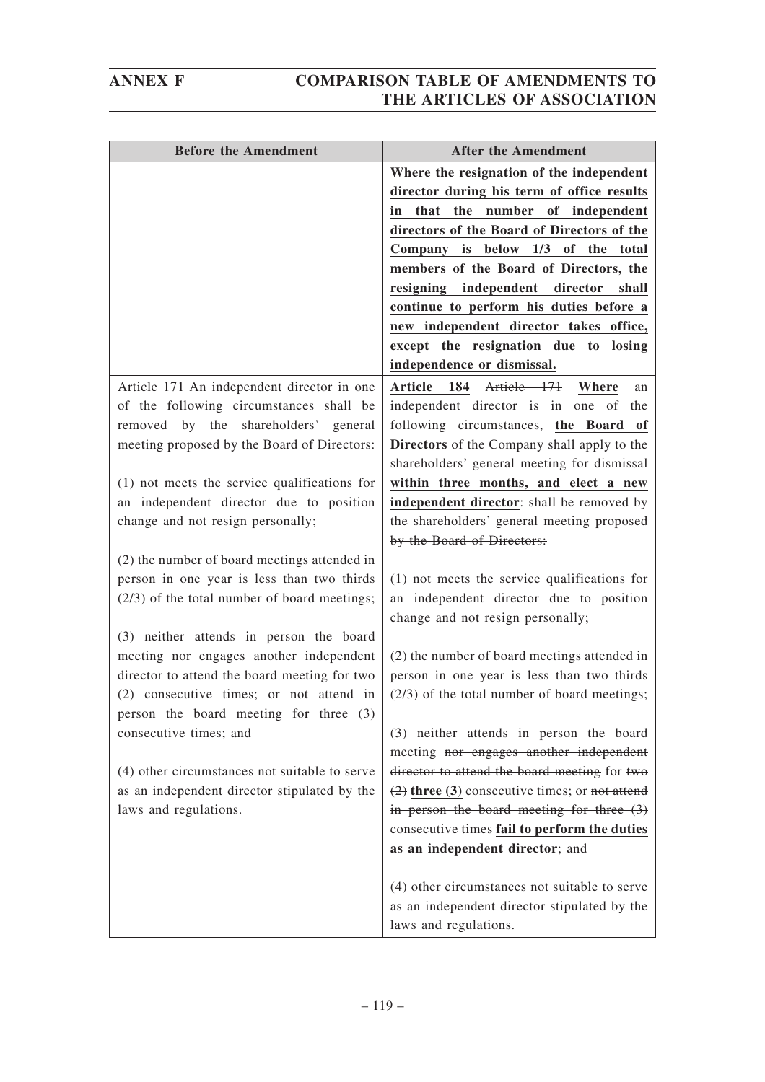| <b>Before the Amendment</b>                                                       | <b>After the Amendment</b>                                                         |
|-----------------------------------------------------------------------------------|------------------------------------------------------------------------------------|
|                                                                                   | Where the resignation of the independent                                           |
|                                                                                   | director during his term of office results                                         |
|                                                                                   | that the number of independent<br>in                                               |
|                                                                                   | directors of the Board of Directors of the                                         |
|                                                                                   | Company is below 1/3 of the total                                                  |
|                                                                                   | members of the Board of Directors, the                                             |
|                                                                                   | resigning independent director<br>shall                                            |
|                                                                                   | continue to perform his duties before a                                            |
|                                                                                   | new independent director takes office,                                             |
|                                                                                   | except the resignation due to losing                                               |
|                                                                                   | independence or dismissal.                                                         |
| Article 171 An independent director in one                                        | Article 184 Article 171 Where<br>an                                                |
| of the following circumstances shall be                                           | independent director is in one of the                                              |
| removed by the shareholders' general                                              | following circumstances, the Board of                                              |
| meeting proposed by the Board of Directors:                                       | Directors of the Company shall apply to the                                        |
|                                                                                   | shareholders' general meeting for dismissal                                        |
| (1) not meets the service qualifications for                                      | within three months, and elect a new                                               |
| an independent director due to position                                           | independent director: shall be removed by                                          |
| change and not resign personally;                                                 | the shareholders' general meeting proposed                                         |
|                                                                                   | by the Board of Directors:                                                         |
| (2) the number of board meetings attended in                                      |                                                                                    |
| person in one year is less than two thirds                                        | $(1)$ not meets the service qualifications for                                     |
| $(2/3)$ of the total number of board meetings;                                    | an independent director due to position                                            |
|                                                                                   | change and not resign personally;                                                  |
| (3) neither attends in person the board                                           |                                                                                    |
| meeting nor engages another independent                                           | (2) the number of board meetings attended in                                       |
| director to attend the board meeting for two                                      | person in one year is less than two thirds                                         |
| (2) consecutive times; or not attend in<br>person the board meeting for three (3) | $(2/3)$ of the total number of board meetings;                                     |
|                                                                                   |                                                                                    |
| consecutive times; and                                                            | (3) neither attends in person the board<br>meeting nor engages another independent |
| (4) other circumstances not suitable to serve                                     | director to attend the board meeting for two                                       |
| as an independent director stipulated by the                                      | $(2)$ three (3) consecutive times; or not attend                                   |
| laws and regulations.                                                             | in person the board meeting for three $(3)$                                        |
|                                                                                   | consecutive times fail to perform the duties                                       |
|                                                                                   | as an independent director; and                                                    |
|                                                                                   |                                                                                    |
|                                                                                   | (4) other circumstances not suitable to serve                                      |
|                                                                                   | as an independent director stipulated by the                                       |
|                                                                                   | laws and regulations.                                                              |
|                                                                                   |                                                                                    |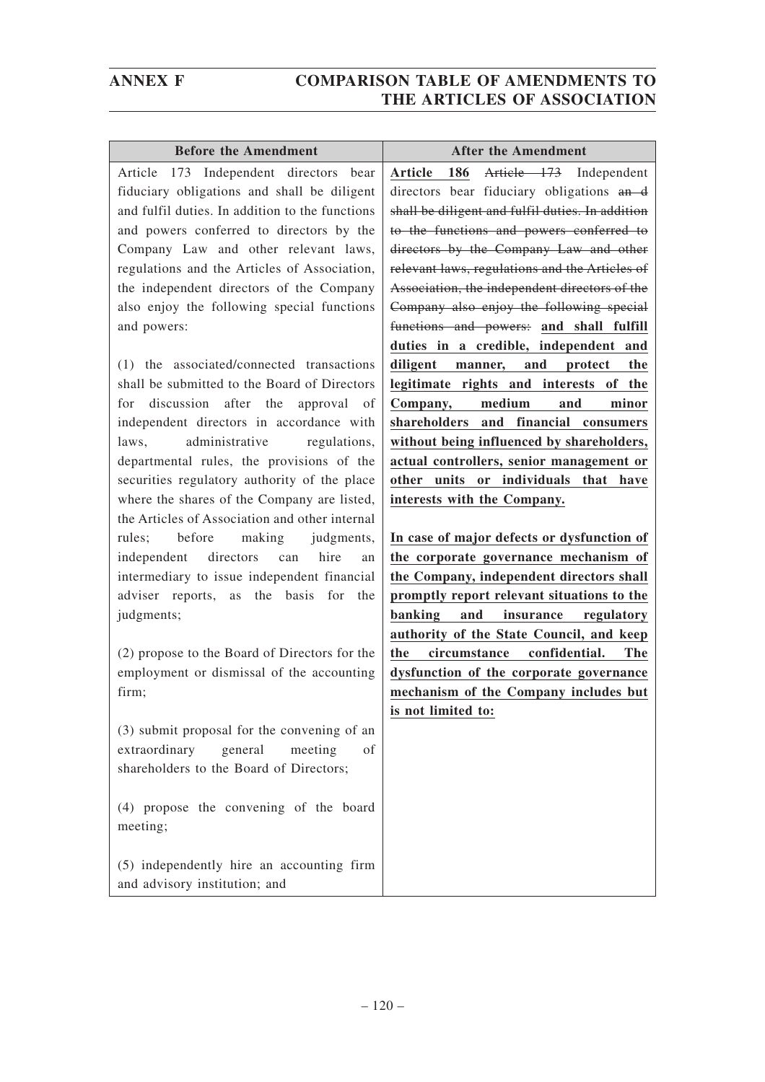| <b>Before the Amendment</b>                     | <b>After the Amendment</b>                         |
|-------------------------------------------------|----------------------------------------------------|
| Article 173 Independent directors bear          | Article 173 Independent<br>186<br><b>Article</b>   |
| fiduciary obligations and shall be diligent     | directors bear fiduciary obligations and           |
| and fulfil duties. In addition to the functions | shall be diligent and fulfil duties. In addition   |
| and powers conferred to directors by the        | to the functions and powers conferred to           |
| Company Law and other relevant laws,            | directors by the Company Law and other             |
| regulations and the Articles of Association,    | relevant laws, regulations and the Articles of     |
| the independent directors of the Company        | Association, the independent directors of the      |
| also enjoy the following special functions      | Company also enjoy the following special           |
| and powers:                                     | functions and powers: and shall fulfill            |
|                                                 | duties in a credible, independent and              |
| (1) the associated/connected transactions       | manner, and<br>diligent<br>protect<br>the          |
| shall be submitted to the Board of Directors    | legitimate rights and interests of the             |
| discussion after the<br>approval<br>for<br>of   | medium<br>Company,<br>and<br>minor                 |
| independent directors in accordance with        | shareholders and financial consumers               |
| administrative<br>regulations,<br>laws.         | without being influenced by shareholders,          |
| departmental rules, the provisions of the       | actual controllers, senior management or           |
| securities regulatory authority of the place    | other units or individuals that have               |
| where the shares of the Company are listed,     | interests with the Company.                        |
| the Articles of Association and other internal  |                                                    |
| before making<br>rules;<br>judgments,           | In case of major defects or dysfunction of         |
| directors<br>independent<br>hire<br>can<br>an   | the corporate governance mechanism of              |
| intermediary to issue independent financial     | the Company, independent directors shall           |
| adviser reports, as the basis for<br>the        | promptly report relevant situations to the         |
| judgments;                                      | banking<br>and<br>insurance<br>regulatory          |
|                                                 | authority of the State Council, and keep           |
| (2) propose to the Board of Directors for the   |                                                    |
| employment or dismissal of the accounting       | confidential.<br>circumstance<br><b>The</b><br>the |
| firm;                                           | dysfunction of the corporate governance            |
|                                                 | mechanism of the Company includes but              |
|                                                 | is not limited to:                                 |
| (3) submit proposal for the convening of an     |                                                    |
| extraordinary<br>general<br>meeting<br>οf       |                                                    |
| shareholders to the Board of Directors;         |                                                    |
|                                                 |                                                    |
| (4) propose the convening of the board          |                                                    |
| meeting;                                        |                                                    |
| (5) independently hire an accounting firm       |                                                    |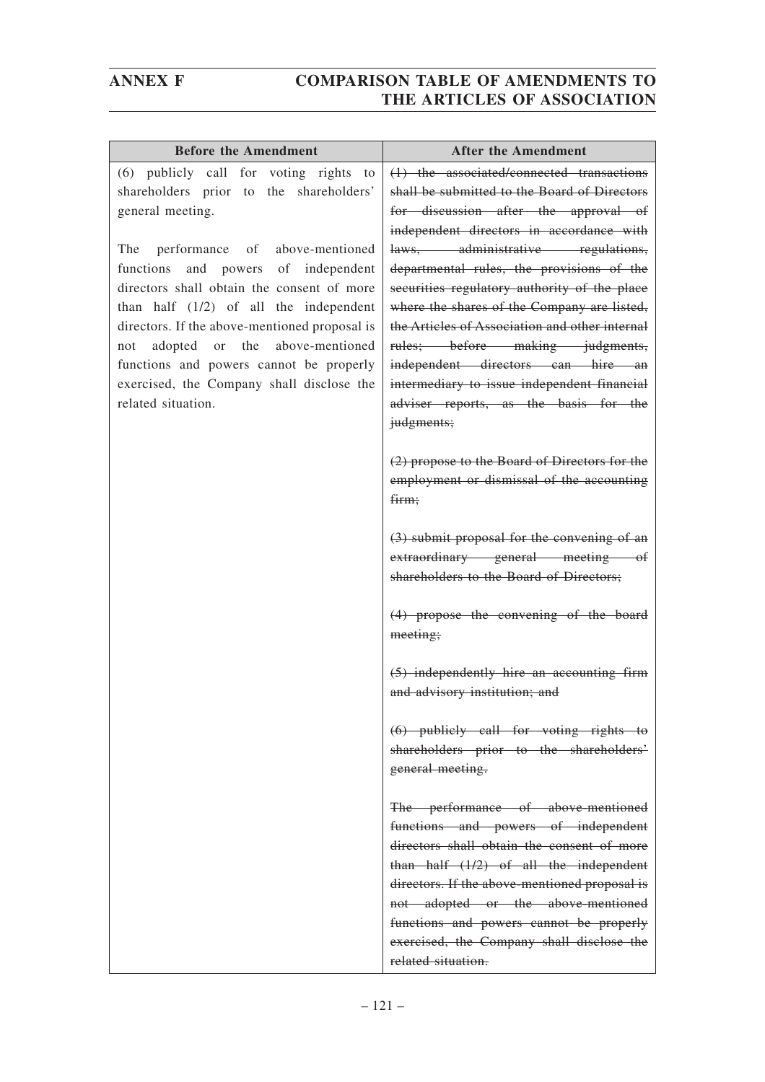| <b>Before the Amendment</b>                                                                                                                                                                                                                                                                                                                                                          | <b>After the Amendment</b>                                                                                                                                                                                                                                                                                                                                                                                    |
|--------------------------------------------------------------------------------------------------------------------------------------------------------------------------------------------------------------------------------------------------------------------------------------------------------------------------------------------------------------------------------------|---------------------------------------------------------------------------------------------------------------------------------------------------------------------------------------------------------------------------------------------------------------------------------------------------------------------------------------------------------------------------------------------------------------|
| (6) publicly call for voting rights<br>to<br>shareholders prior to<br>the<br>shareholders'<br>general meeting.                                                                                                                                                                                                                                                                       | (1) the associated/connected transactions<br>shall be submitted to the Board of Directors<br>for discussion after the approval of<br>independent directors in accordance with                                                                                                                                                                                                                                 |
| The<br>performance of above-mentioned<br>and powers of independent<br>functions<br>directors shall obtain the consent of more<br>than half $(1/2)$ of all the independent<br>directors. If the above-mentioned proposal is<br>adopted or the<br>above-mentioned<br>not<br>functions and powers cannot be properly<br>exercised, the Company shall disclose the<br>related situation. | laws, administrative regulations,<br>departmental rules, the provisions of the<br>securities regulatory authority of the place<br>where the shares of the Company are listed,<br>the Articles of Association and other internal<br>rules; before making judgments,<br>independent directors can hire an<br>intermediary to issue independent financial<br>adviser reports, as the basis for the<br>judgments; |
|                                                                                                                                                                                                                                                                                                                                                                                      | (2) propose to the Board of Directors for the<br>employment or dismissal of the accounting<br>firm;                                                                                                                                                                                                                                                                                                           |
|                                                                                                                                                                                                                                                                                                                                                                                      | $(3)$ submit proposal for the convening of an<br>extraordinary general meeting of<br>shareholders to the Board of Directors;                                                                                                                                                                                                                                                                                  |
|                                                                                                                                                                                                                                                                                                                                                                                      | (4) propose the convening of the board<br>meeting;                                                                                                                                                                                                                                                                                                                                                            |
|                                                                                                                                                                                                                                                                                                                                                                                      | (5) independently hire an accounting firm<br>and advisory institution; and                                                                                                                                                                                                                                                                                                                                    |
|                                                                                                                                                                                                                                                                                                                                                                                      | $(6)$ publicly call for voting rights to<br>shareholders prior to the shareholders'<br>general meeting.                                                                                                                                                                                                                                                                                                       |
|                                                                                                                                                                                                                                                                                                                                                                                      | The performance of above-mentioned<br>functions and powers of independent<br>directors shall obtain the consent of more                                                                                                                                                                                                                                                                                       |
|                                                                                                                                                                                                                                                                                                                                                                                      | than half $(1/2)$ of all the independent<br>directors. If the above-mentioned proposal is<br>not adopted or the above-mentioned                                                                                                                                                                                                                                                                               |
|                                                                                                                                                                                                                                                                                                                                                                                      | functions and powers cannot be properly<br>exercised, the Company shall disclose the<br>related situation.                                                                                                                                                                                                                                                                                                    |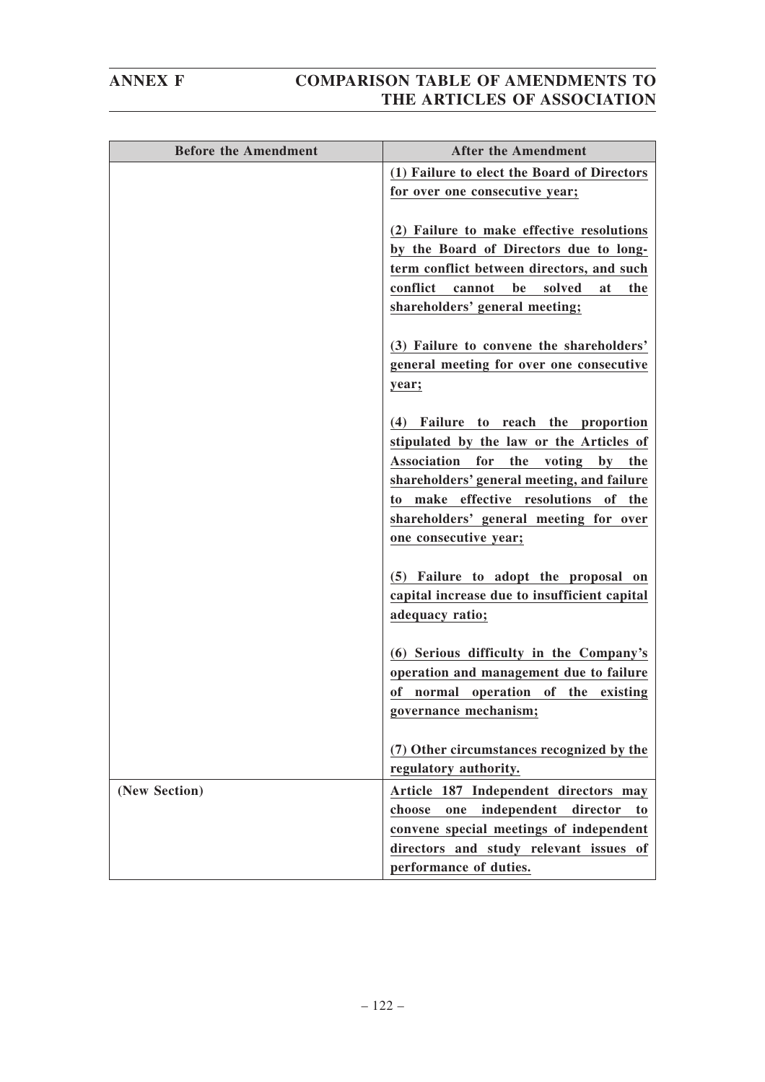| <b>Before the Amendment</b> | <b>After the Amendment</b>                                                      |
|-----------------------------|---------------------------------------------------------------------------------|
|                             | (1) Failure to elect the Board of Directors                                     |
|                             | for over one consecutive year;                                                  |
|                             | (2) Failure to make effective resolutions                                       |
|                             | by the Board of Directors due to long-                                          |
|                             | term conflict between directors, and such                                       |
|                             | conflict<br>be<br>solved<br>cannot<br>at<br>the                                 |
|                             | shareholders' general meeting;                                                  |
|                             | (3) Failure to convene the shareholders'                                        |
|                             | general meeting for over one consecutive                                        |
|                             | year;                                                                           |
|                             |                                                                                 |
|                             | (4) Failure to reach the proportion<br>stipulated by the law or the Articles of |
|                             | Association for the<br>voting by the                                            |
|                             | shareholders' general meeting, and failure                                      |
|                             | to make effective resolutions of the                                            |
|                             | shareholders' general meeting for over                                          |
|                             | one consecutive year;                                                           |
|                             | (5) Failure to adopt the proposal on                                            |
|                             | capital increase due to insufficient capital                                    |
|                             | adequacy ratio;                                                                 |
|                             | (6) Serious difficulty in the Company's                                         |
|                             | operation and management due to failure                                         |
|                             | of normal operation of the existing                                             |
|                             | governance mechanism;                                                           |
|                             |                                                                                 |
|                             | (7) Other circumstances recognized by the<br>regulatory authority.              |
| (New Section)               | Article 187 Independent directors may                                           |
|                             | independent<br>choose<br>director<br>one<br>to                                  |
|                             | convene special meetings of independent                                         |
|                             | directors and study relevant issues of                                          |
|                             | performance of duties.                                                          |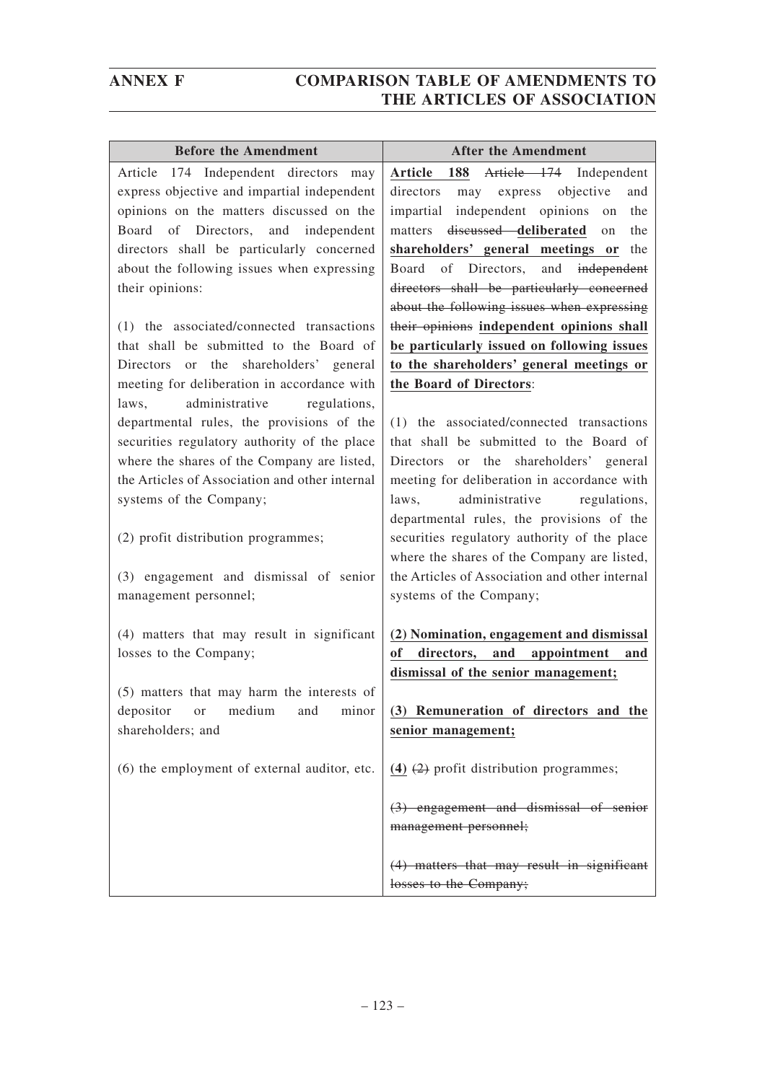| <b>Before the Amendment</b>                    | <b>After the Amendment</b>                                                                |
|------------------------------------------------|-------------------------------------------------------------------------------------------|
| Article 174 Independent directors may          | Article 188 Article 174 Independent                                                       |
| express objective and impartial independent    | may express objective<br>directors<br>and                                                 |
| opinions on the matters discussed on the       | impartial independent opinions<br>the<br>on                                               |
| Board of Directors, and independent            | matters <del>discussed</del> deliberated<br>the<br>on                                     |
| directors shall be particularly concerned      | shareholders' general meetings or<br>the                                                  |
| about the following issues when expressing     | Board of Directors, and independent                                                       |
| their opinions:                                | directors shall be particularly concerned                                                 |
|                                                | about the following issues when expressing                                                |
| (1) the associated/connected transactions      | their opinions independent opinions shall                                                 |
| that shall be submitted to the Board of        | be particularly issued on following issues                                                |
| Directors or the shareholders' general         | to the shareholders' general meetings or                                                  |
| meeting for deliberation in accordance with    | the Board of Directors:                                                                   |
| administrative<br>laws,<br>regulations,        |                                                                                           |
| departmental rules, the provisions of the      | (1) the associated/connected transactions                                                 |
| securities regulatory authority of the place   | that shall be submitted to the Board of                                                   |
| where the shares of the Company are listed,    | Directors or the shareholders' general                                                    |
| the Articles of Association and other internal | meeting for deliberation in accordance with                                               |
| systems of the Company;                        | administrative regulations,<br>laws,                                                      |
| (2) profit distribution programmes;            | departmental rules, the provisions of the<br>securities regulatory authority of the place |
|                                                | where the shares of the Company are listed,                                               |
| (3) engagement and dismissal of senior         | the Articles of Association and other internal                                            |
| management personnel;                          | systems of the Company;                                                                   |
|                                                |                                                                                           |
| (4) matters that may result in significant     | (2) Nomination, engagement and dismissal                                                  |
| losses to the Company;                         | of<br>directors, and appointment<br>and                                                   |
|                                                | dismissal of the senior management;                                                       |
| (5) matters that may harm the interests of     |                                                                                           |
| depositor or medium and minor                  | (3) Remuneration of directors and the                                                     |
| shareholders; and                              | senior management;                                                                        |
|                                                |                                                                                           |
| (6) the employment of external auditor, etc.   | (4) $(2)$ profit distribution programmes;                                                 |
|                                                |                                                                                           |
|                                                | (3) engagement and dismissal of senior                                                    |
|                                                | management personnel;                                                                     |
|                                                | (4) matters that may result in significant                                                |
|                                                | losses to the Company;                                                                    |
|                                                |                                                                                           |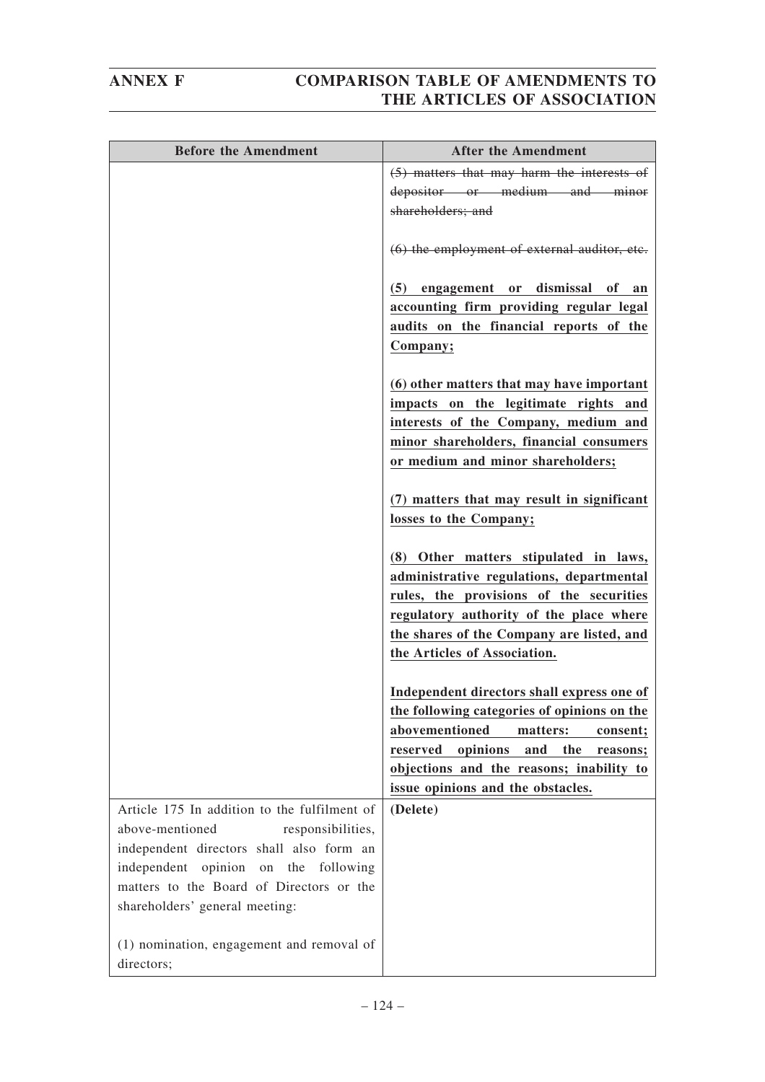| <b>Before the Amendment</b>                                                                                        | <b>After the Amendment</b>                                                                                                                                                                                                                           |
|--------------------------------------------------------------------------------------------------------------------|------------------------------------------------------------------------------------------------------------------------------------------------------------------------------------------------------------------------------------------------------|
|                                                                                                                    | (5) matters that may harm the interests of<br>depositor or medium and minor<br>shareholders; and                                                                                                                                                     |
|                                                                                                                    | (6) the employment of external auditor, etc.                                                                                                                                                                                                         |
|                                                                                                                    | (5) engagement or dismissal of an<br>accounting firm providing regular legal<br>audits on the financial reports of the<br>Company;                                                                                                                   |
|                                                                                                                    | (6) other matters that may have important<br>impacts on the legitimate rights and<br>interests of the Company, medium and<br>minor shareholders, financial consumers<br>or medium and minor shareholders;                                            |
|                                                                                                                    | (7) matters that may result in significant<br>losses to the Company;                                                                                                                                                                                 |
|                                                                                                                    | (8) Other matters stipulated in laws,<br>administrative regulations, departmental<br>rules, the provisions of the securities<br>regulatory authority of the place where<br>the shares of the Company are listed, and<br>the Articles of Association. |
|                                                                                                                    | Independent directors shall express one of                                                                                                                                                                                                           |
|                                                                                                                    | the following categories of opinions on the                                                                                                                                                                                                          |
|                                                                                                                    | abovementioned<br>matters:<br>consent;<br>reserved<br>opinions<br>and the<br>reasons;                                                                                                                                                                |
|                                                                                                                    | objections and the reasons; inability to                                                                                                                                                                                                             |
|                                                                                                                    | issue opinions and the obstacles.                                                                                                                                                                                                                    |
| Article 175 In addition to the fulfilment of<br>above-mentioned<br>responsibilities,                               | (Delete)                                                                                                                                                                                                                                             |
| independent directors shall also form an                                                                           |                                                                                                                                                                                                                                                      |
| independent opinion on the following<br>matters to the Board of Directors or the<br>shareholders' general meeting: |                                                                                                                                                                                                                                                      |
| (1) nomination, engagement and removal of<br>directors;                                                            |                                                                                                                                                                                                                                                      |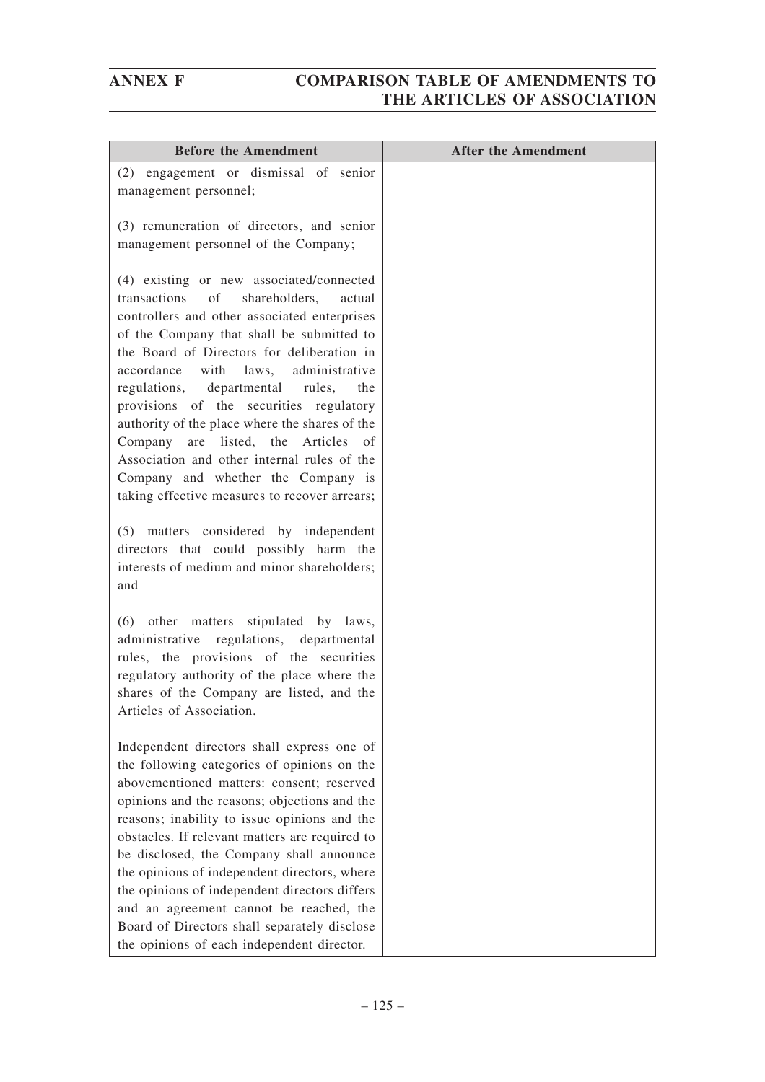| <b>Before the Amendment</b>                                                                                                                                                                                                                                                                                                                                                                                                                                                                                                                                                                                | <b>After the Amendment</b> |
|------------------------------------------------------------------------------------------------------------------------------------------------------------------------------------------------------------------------------------------------------------------------------------------------------------------------------------------------------------------------------------------------------------------------------------------------------------------------------------------------------------------------------------------------------------------------------------------------------------|----------------------------|
| (2) engagement or dismissal of senior<br>management personnel;                                                                                                                                                                                                                                                                                                                                                                                                                                                                                                                                             |                            |
| (3) remuneration of directors, and senior<br>management personnel of the Company;                                                                                                                                                                                                                                                                                                                                                                                                                                                                                                                          |                            |
| (4) existing or new associated/connected<br>transactions<br>of<br>shareholders,<br>actual<br>controllers and other associated enterprises<br>of the Company that shall be submitted to<br>the Board of Directors for deliberation in<br>accordance with laws, administrative<br>regulations, departmental<br>rules,<br>the<br>provisions of the securities regulatory<br>authority of the place where the shares of the<br>are listed, the Articles<br>Company<br>of<br>Association and other internal rules of the<br>Company and whether the Company is<br>taking effective measures to recover arrears; |                            |
| (5) matters considered by independent<br>directors that could possibly harm the<br>interests of medium and minor shareholders;<br>and                                                                                                                                                                                                                                                                                                                                                                                                                                                                      |                            |
| (6) other matters stipulated by laws,<br>administrative regulations, departmental<br>rules, the provisions of the securities<br>regulatory authority of the place where the<br>shares of the Company are listed, and the<br>Articles of Association.                                                                                                                                                                                                                                                                                                                                                       |                            |
| Independent directors shall express one of<br>the following categories of opinions on the<br>abovementioned matters: consent; reserved<br>opinions and the reasons; objections and the<br>reasons; inability to issue opinions and the<br>obstacles. If relevant matters are required to<br>be disclosed, the Company shall announce<br>the opinions of independent directors, where<br>the opinions of independent directors differs<br>and an agreement cannot be reached, the<br>Board of Directors shall separately disclose<br>the opinions of each independent director.                             |                            |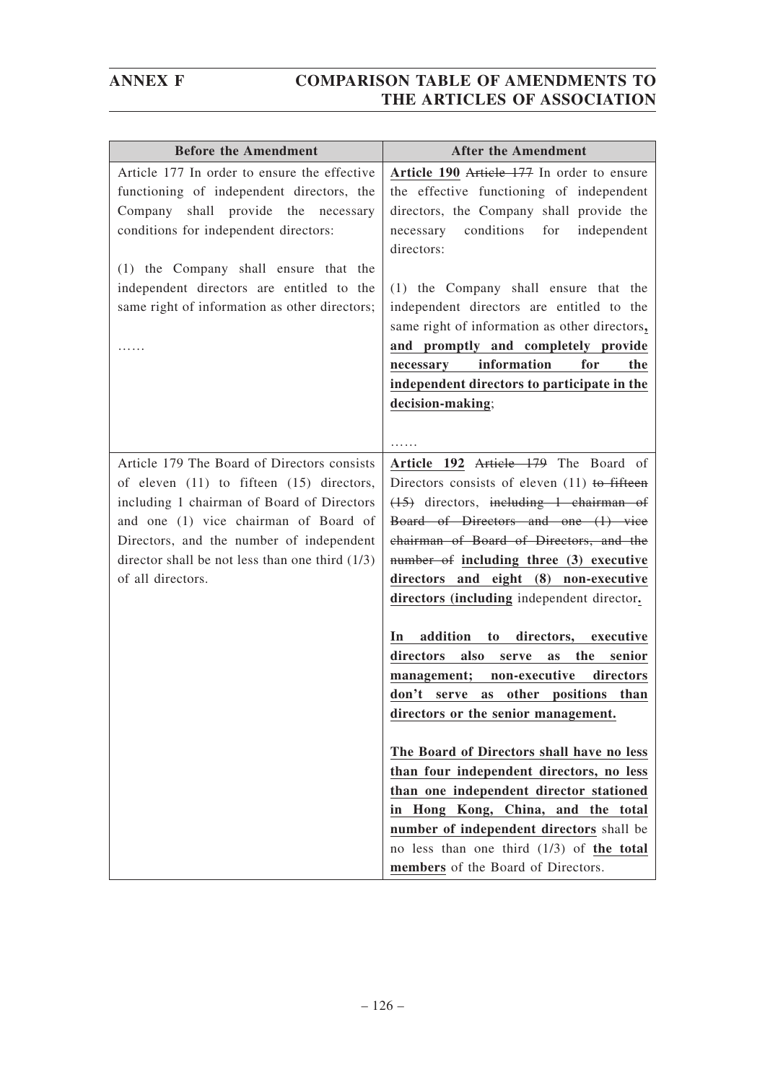| <b>Before the Amendment</b>                                                                                                                                                                                           | <b>After the Amendment</b>                                                                                                                                                                     |
|-----------------------------------------------------------------------------------------------------------------------------------------------------------------------------------------------------------------------|------------------------------------------------------------------------------------------------------------------------------------------------------------------------------------------------|
| Article 177 In order to ensure the effective<br>functioning of independent directors, the<br>Company shall provide the<br>necessary<br>conditions for independent directors:<br>(1) the Company shall ensure that the | Article 190 Article 177 In order to ensure<br>the effective functioning of independent<br>directors, the Company shall provide the<br>conditions for<br>necessary<br>independent<br>directors: |
| independent directors are entitled to the<br>same right of information as other directors;                                                                                                                            | (1) the Company shall ensure that the<br>independent directors are entitled to the<br>same right of information as other directors,<br>and promptly and completely provide                     |
|                                                                                                                                                                                                                       | information<br>for<br>necessary<br>the                                                                                                                                                         |
|                                                                                                                                                                                                                       | independent directors to participate in the                                                                                                                                                    |
|                                                                                                                                                                                                                       | decision-making;                                                                                                                                                                               |
|                                                                                                                                                                                                                       |                                                                                                                                                                                                |
| Article 179 The Board of Directors consists                                                                                                                                                                           | Article 192 Article 179 The Board of                                                                                                                                                           |
| of eleven $(11)$ to fifteen $(15)$ directors,                                                                                                                                                                         | Directors consists of eleven $(11)$ to fifteen                                                                                                                                                 |
| including 1 chairman of Board of Directors                                                                                                                                                                            | $(15)$ directors, including 1 chairman of                                                                                                                                                      |
| and one (1) vice chairman of Board of                                                                                                                                                                                 | Board of Directors and one (1) vice                                                                                                                                                            |
| Directors, and the number of independent                                                                                                                                                                              | chairman of Board of Directors, and the                                                                                                                                                        |
| director shall be not less than one third $(1/3)$                                                                                                                                                                     | number of including three (3) executive                                                                                                                                                        |
| of all directors.                                                                                                                                                                                                     | directors and eight (8) non-executive                                                                                                                                                          |
|                                                                                                                                                                                                                       | directors (including independent director.                                                                                                                                                     |
|                                                                                                                                                                                                                       | addition<br>directors,<br>In<br>to<br>executive                                                                                                                                                |
|                                                                                                                                                                                                                       | directors<br>also<br>the<br>senior<br>serve<br>as                                                                                                                                              |
|                                                                                                                                                                                                                       | management; non-executive<br>directors                                                                                                                                                         |
|                                                                                                                                                                                                                       | don't<br>other positions<br>than<br>serve<br>as                                                                                                                                                |
|                                                                                                                                                                                                                       | directors or the senior management.                                                                                                                                                            |
|                                                                                                                                                                                                                       | The Board of Directors shall have no less                                                                                                                                                      |
|                                                                                                                                                                                                                       | than four independent directors, no less                                                                                                                                                       |
|                                                                                                                                                                                                                       | than one independent director stationed                                                                                                                                                        |
|                                                                                                                                                                                                                       | in Hong Kong, China, and the total                                                                                                                                                             |
|                                                                                                                                                                                                                       | number of independent directors shall be                                                                                                                                                       |
|                                                                                                                                                                                                                       | no less than one third $(1/3)$ of the total                                                                                                                                                    |
|                                                                                                                                                                                                                       | members of the Board of Directors.                                                                                                                                                             |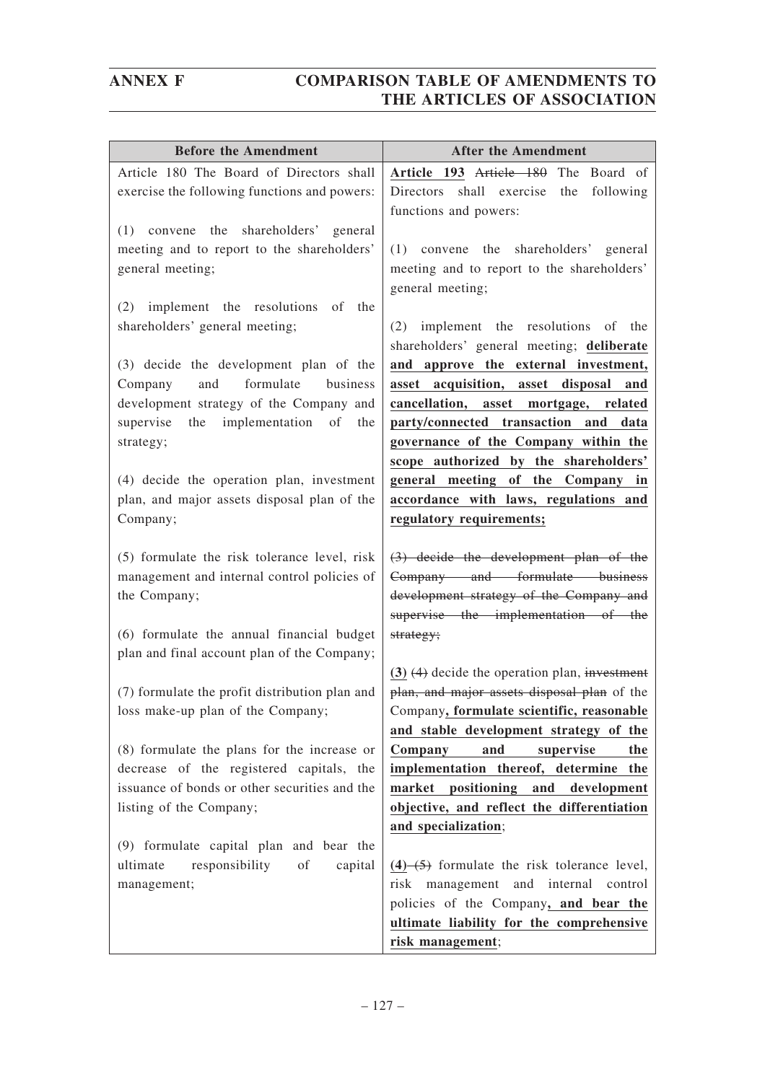| <b>Before the Amendment</b>                                                            | <b>After the Amendment</b>                                                     |
|----------------------------------------------------------------------------------------|--------------------------------------------------------------------------------|
| Article 180 The Board of Directors shall                                               | Article 193 Article 180 The Board of                                           |
| exercise the following functions and powers:                                           | Directors shall exercise<br>the<br>following                                   |
|                                                                                        | functions and powers:                                                          |
| $(1)$ convene the<br>shareholders' general                                             |                                                                                |
| meeting and to report to the shareholders'                                             | $(1)$ convene the<br>shareholders' general                                     |
| general meeting;                                                                       | meeting and to report to the shareholders'                                     |
|                                                                                        | general meeting;                                                               |
| (2) implement the resolutions<br>of the<br>shareholders' general meeting;              | (2) implement the resolutions of the                                           |
|                                                                                        | shareholders' general meeting; deliberate                                      |
| (3) decide the development plan of the                                                 | and approve the external investment,                                           |
| formulate<br>business<br>and<br>Company                                                | asset acquisition, asset disposal<br>and                                       |
| development strategy of the Company and                                                | cancellation, asset mortgage, related                                          |
| the implementation<br>supervise<br>of<br>the                                           | party/connected transaction and data                                           |
| strategy;                                                                              | governance of the Company within the                                           |
|                                                                                        | scope authorized by the shareholders'                                          |
| (4) decide the operation plan, investment                                              | general meeting of the Company in                                              |
| plan, and major assets disposal plan of the                                            | accordance with laws, regulations and                                          |
| Company;                                                                               | regulatory requirements;                                                       |
|                                                                                        |                                                                                |
| (5) formulate the risk tolerance level, risk                                           | $(3)$ decide the development plan of the                                       |
| management and internal control policies of                                            | Company and formulate business                                                 |
| the Company;                                                                           | development strategy of the Company and<br>supervise the implementation of the |
| (6) formulate the annual financial budget                                              | strategy;                                                                      |
| plan and final account plan of the Company;                                            |                                                                                |
|                                                                                        | $(3)$ $(4)$ decide the operation plan, investment                              |
| (7) formulate the profit distribution plan and                                         | plan, and major assets disposal plan of the                                    |
| loss make-up plan of the Company;                                                      | Company, formulate scientific, reasonable                                      |
|                                                                                        | and stable development strategy of the                                         |
| (8) formulate the plans for the increase or                                            | and<br>supervise<br>Company<br>the                                             |
| decrease of the registered capitals, the                                               | implementation thereof, determine the                                          |
| issuance of bonds or other securities and the                                          | market positioning and development                                             |
| listing of the Company;                                                                | objective, and reflect the differentiation                                     |
|                                                                                        | and specialization;                                                            |
| (9) formulate capital plan and bear the<br>responsibility<br>of<br>ultimate<br>capital | $(4)$ $(5)$ formulate the risk tolerance level,                                |
| management;                                                                            | risk management and internal control                                           |
|                                                                                        | policies of the Company, and bear the                                          |
|                                                                                        | ultimate liability for the comprehensive                                       |
|                                                                                        | risk management;                                                               |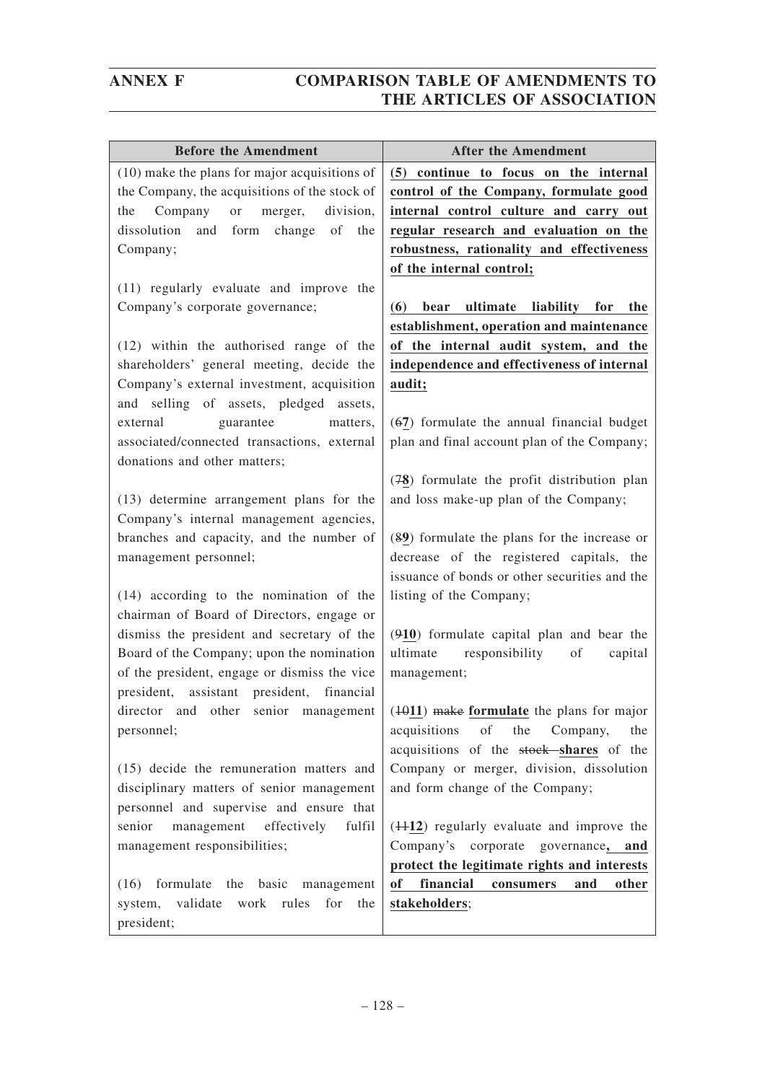| <b>Before the Amendment</b>                     | <b>After the Amendment</b>                              |
|-------------------------------------------------|---------------------------------------------------------|
| $(10)$ make the plans for major acquisitions of | (5) continue to focus on the internal                   |
| the Company, the acquisitions of the stock of   | control of the Company, formulate good                  |
| Company<br>the<br>or<br>merger,<br>division.    | internal control culture and carry out                  |
| dissolution<br>and<br>form change<br>of<br>the  | regular research and evaluation on the                  |
| Company;                                        | robustness, rationality and effectiveness               |
|                                                 | of the internal control;                                |
| (11) regularly evaluate and improve the         |                                                         |
| Company's corporate governance;                 | liability<br>bear<br>ultimate<br>for<br>the<br>(6)      |
|                                                 | establishment, operation and maintenance                |
| $(12)$ within the authorised range of the       | of the internal audit system, and the                   |
| shareholders' general meeting, decide the       | independence and effectiveness of internal              |
| Company's external investment, acquisition      | audit;                                                  |
| and selling of assets, pledged assets,          |                                                         |
| guarantee<br>external<br>matters,               | $(67)$ formulate the annual financial budget            |
| associated/connected transactions, external     | plan and final account plan of the Company;             |
| donations and other matters;                    |                                                         |
|                                                 | (78) formulate the profit distribution plan             |
| (13) determine arrangement plans for the        | and loss make-up plan of the Company;                   |
| Company's internal management agencies,         |                                                         |
| branches and capacity, and the number of        | (89) formulate the plans for the increase or            |
| management personnel;                           | decrease of the registered capitals, the                |
|                                                 | issuance of bonds or other securities and the           |
| (14) according to the nomination of the         | listing of the Company;                                 |
| chairman of Board of Directors, engage or       |                                                         |
| dismiss the president and secretary of the      | (910) formulate capital plan and bear the               |
| Board of the Company; upon the nomination       | ultimate<br>responsibility<br>of<br>capital             |
| of the president, engage or dismiss the vice    | management;                                             |
| president, assistant president, financial       |                                                         |
| director and other senior management            | $(1011)$ make formulate the plans for major             |
| personnel;                                      | acquisitions<br>of<br>the<br>Company,<br>the            |
|                                                 | acquisitions of the stock-shares of the                 |
| (15) decide the remuneration matters and        | Company or merger, division, dissolution                |
| disciplinary matters of senior management       | and form change of the Company;                         |
| personnel and supervise and ensure that         |                                                         |
| senior<br>management<br>effectively<br>fulfil   | $(+112)$ regularly evaluate and improve the             |
| management responsibilities;                    | Company's corporate governance, and                     |
|                                                 | protect the legitimate rights and interests             |
| (16) formulate the basic management             | financial<br><sub>of</sub><br>and<br>other<br>consumers |
| validate<br>work rules<br>system,<br>for<br>the | stakeholders;                                           |
| president;                                      |                                                         |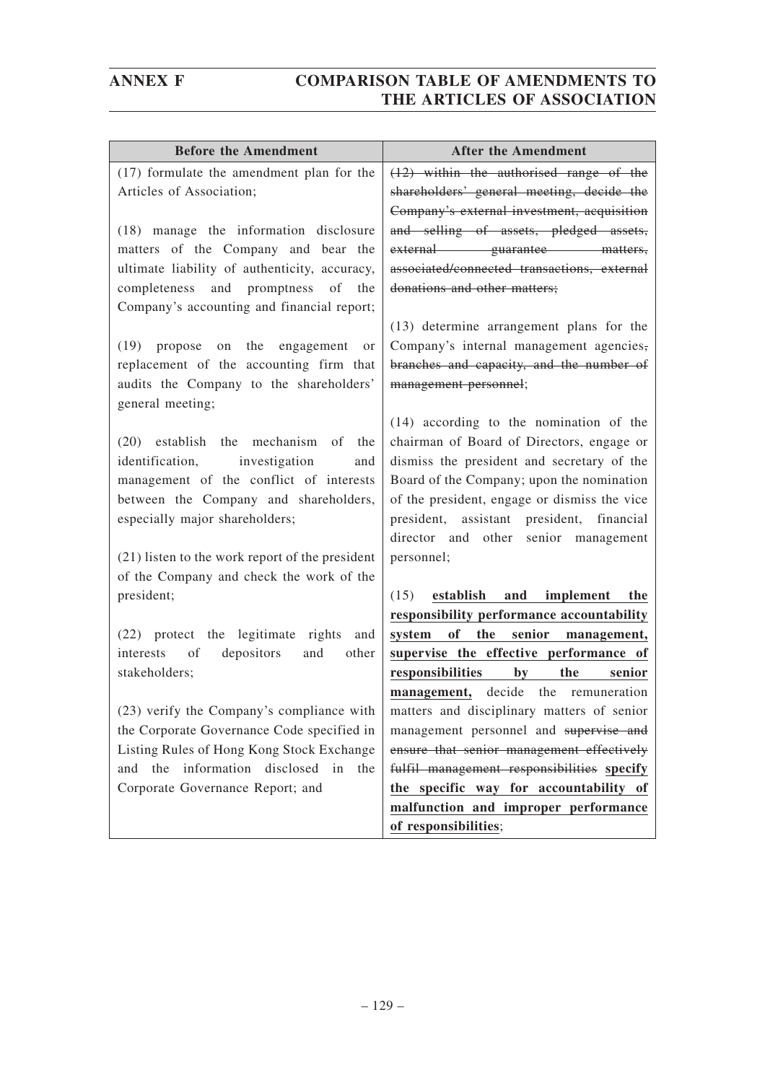| <b>Before the Amendment</b>                     | <b>After the Amendment</b>                   |
|-------------------------------------------------|----------------------------------------------|
| (17) formulate the amendment plan for the       | $(12)$ within the authorised range of the    |
| Articles of Association;                        | shareholders' general meeting, decide the    |
|                                                 | Company's external investment, acquisition   |
| (18) manage the information disclosure          | and selling of assets, pledged assets,       |
| matters of the Company and bear the             | external guarantee matters,                  |
| ultimate liability of authenticity, accuracy,   | associated/connected transactions, external  |
| completeness and promptness of the              | donations and other matters;                 |
| Company's accounting and financial report;      |                                              |
|                                                 | (13) determine arrangement plans for the     |
| $(19)$ propose<br>on<br>the engagement<br>or    | Company's internal management agencies,      |
| replacement of the accounting firm that         | branches and capacity, and the number of     |
| audits the Company to the shareholders'         | management personnel;                        |
| general meeting;                                |                                              |
|                                                 | $(14)$ according to the nomination of the    |
| (20) establish the mechanism of<br>the          | chairman of Board of Directors, engage or    |
| identification, investigation<br>and            | dismiss the president and secretary of the   |
| management of the conflict of interests         | Board of the Company; upon the nomination    |
| between the Company and shareholders,           | of the president, engage or dismiss the vice |
| especially major shareholders;                  | president, assistant president, financial    |
|                                                 | director and other senior management         |
| (21) listen to the work report of the president | personnel;                                   |
| of the Company and check the work of the        |                                              |
| president;                                      | establish and<br>(15)<br>implement<br>the    |
|                                                 | responsibility performance accountability    |
| (22) protect the legitimate rights<br>and       | of<br>the senior management,<br>system       |
| depositors<br>and<br>of<br>other<br>interests   | supervise the effective performance of       |
| stakeholders;                                   | the<br>responsibilities<br>by<br>senior      |
|                                                 | management, decide the remuneration          |
| (23) verify the Company's compliance with       | matters and disciplinary matters of senior   |
| the Corporate Governance Code specified in      | management personnel and supervise and       |
| Listing Rules of Hong Kong Stock Exchange       | ensure that senior management effectively    |
| and the information disclosed in the            | fulfil management responsibilities specify   |
| Corporate Governance Report; and                | the specific way for accountability of       |
|                                                 | malfunction and improper performance         |
|                                                 | of responsibilities;                         |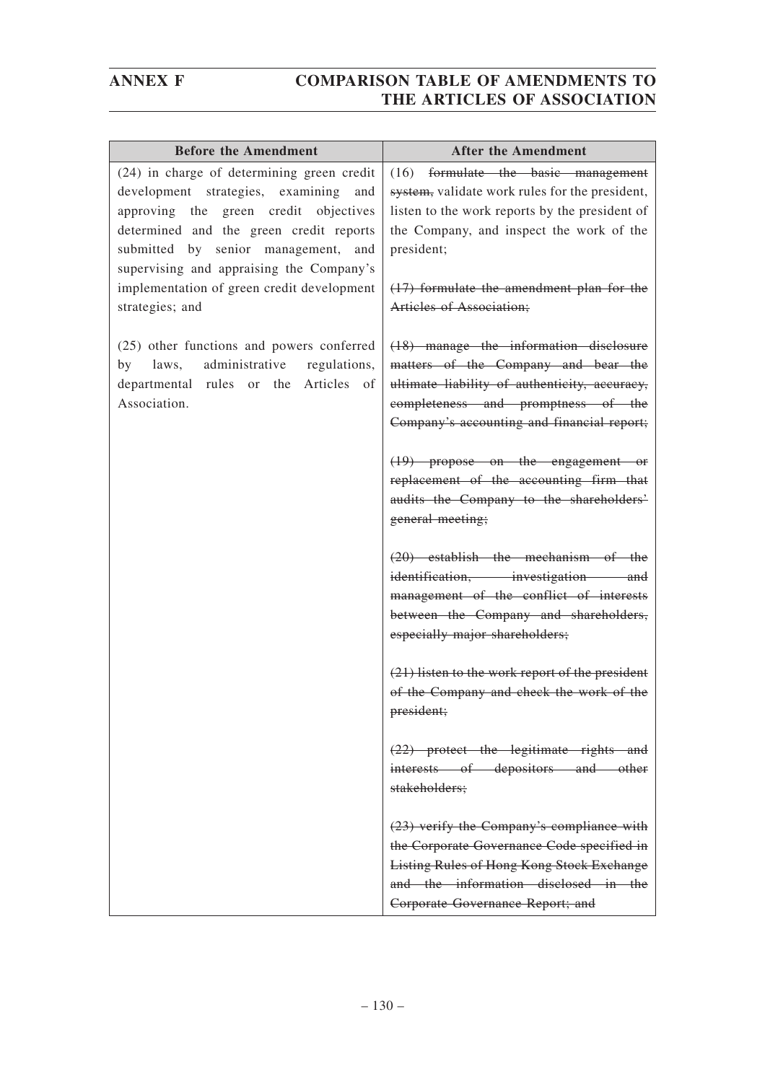| <b>Before the Amendment</b>                                                                                                                                                                                                                                   | <b>After the Amendment</b>                                                                                                                                                                                              |
|---------------------------------------------------------------------------------------------------------------------------------------------------------------------------------------------------------------------------------------------------------------|-------------------------------------------------------------------------------------------------------------------------------------------------------------------------------------------------------------------------|
| (24) in charge of determining green credit<br>development strategies, examining<br>and<br>approving the green credit objectives<br>determined and the green credit reports<br>submitted by senior management, and<br>supervising and appraising the Company's | formulate the basic management<br>(16)<br>system, validate work rules for the president,<br>listen to the work reports by the president of<br>the Company, and inspect the work of the<br>president;                    |
| implementation of green credit development<br>strategies; and                                                                                                                                                                                                 | $(17)$ formulate the amendment plan for the<br>Articles of Association;                                                                                                                                                 |
| (25) other functions and powers conferred<br>administrative<br>regulations,<br>by<br>laws,<br>departmental rules or the Articles of<br>Association.                                                                                                           | (18) manage the information disclosure<br>matters of the Company and bear the<br>ultimate liability of authenticity, accuracy,<br>completeness and promptness of the<br>Company's accounting and financial report;      |
|                                                                                                                                                                                                                                                               | $(19)$ propose on the engagement or<br>replacement of the accounting firm that<br>audits the Company to the shareholders'<br>general meeting;                                                                           |
|                                                                                                                                                                                                                                                               | $(20)$ establish the mechanism of the<br>identification, investigation and<br>management of the conflict of interests<br>between the Company and shareholders,<br>especially major shareholders;                        |
|                                                                                                                                                                                                                                                               | (21) listen to the work report of the president<br>of the Company and check the work of the<br>president;                                                                                                               |
|                                                                                                                                                                                                                                                               | $(22)$ protect the legitimate rights and<br>interests of depositors and other<br>stakeholders;                                                                                                                          |
|                                                                                                                                                                                                                                                               | (23) verify the Company's compliance with<br>the Corporate Governance Code specified in<br><b>Listing Rules of Hong Kong Stock Exchange</b><br>and the information disclosed in the<br>Corporate Governance Report; and |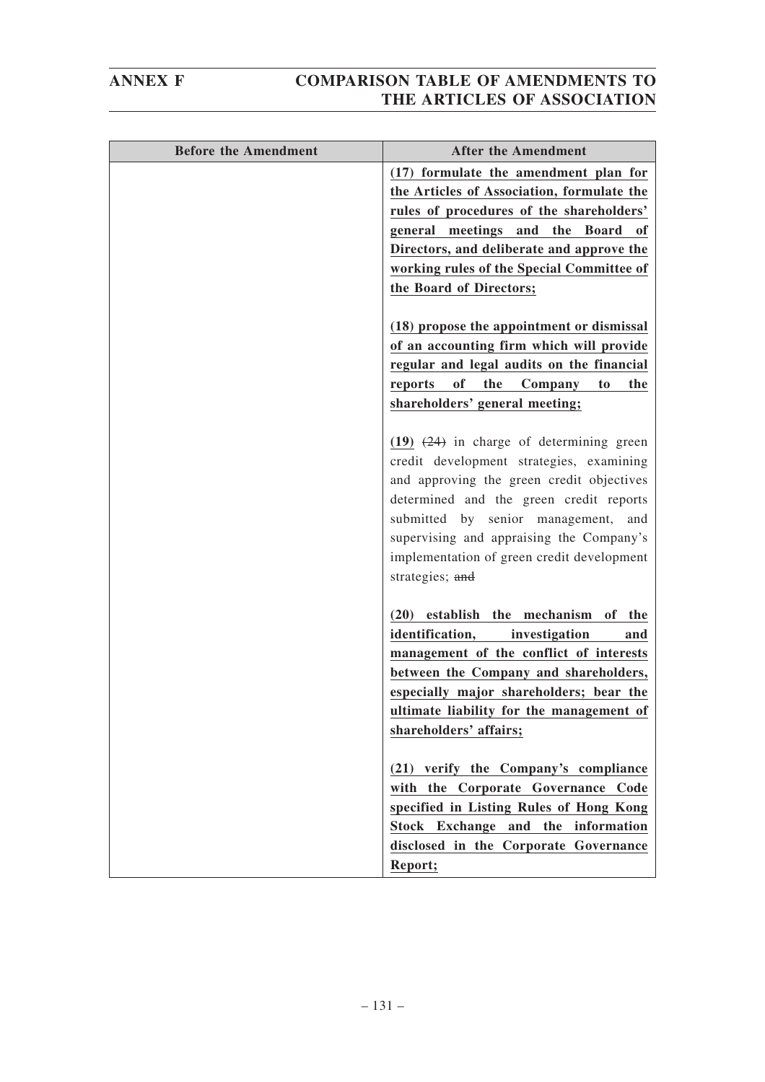| <b>Before the Amendment</b> | <b>After the Amendment</b>                                    |
|-----------------------------|---------------------------------------------------------------|
|                             | (17) formulate the amendment plan for                         |
|                             | the Articles of Association, formulate the                    |
|                             | rules of procedures of the shareholders'                      |
|                             | general meetings and the Board<br>0f                          |
|                             | Directors, and deliberate and approve the                     |
|                             | working rules of the Special Committee of                     |
|                             | the Board of Directors;                                       |
|                             | (18) propose the appointment or dismissal                     |
|                             | of an accounting firm which will provide                      |
|                             | regular and legal audits on the financial                     |
|                             | of<br>the<br>Company<br>reports<br>to<br>the                  |
|                             | shareholders' general meeting;                                |
|                             | $(19)$ $(24)$ in charge of determining green                  |
|                             | credit development strategies, examining                      |
|                             | and approving the green credit objectives                     |
|                             | determined and the green credit reports                       |
|                             | submitted by senior management,<br>and                        |
|                             | supervising and appraising the Company's                      |
|                             | implementation of green credit development<br>strategies; and |
|                             |                                                               |
|                             | $(20)$ establish<br>mechanism<br>the<br>of<br>the             |
|                             | identification,<br>investigation<br>and                       |
|                             | management of the conflict of interests                       |
|                             | between the Company and shareholders,                         |
|                             | especially major shareholders; bear the                       |
|                             | ultimate liability for the management of                      |
|                             | shareholders' affairs;                                        |
|                             | (21) verify the Company's compliance                          |
|                             | with the Corporate Governance Code                            |
|                             | specified in Listing Rules of Hong Kong                       |
|                             | Stock Exchange and the information                            |
|                             | disclosed in the Corporate Governance                         |
|                             | Report;                                                       |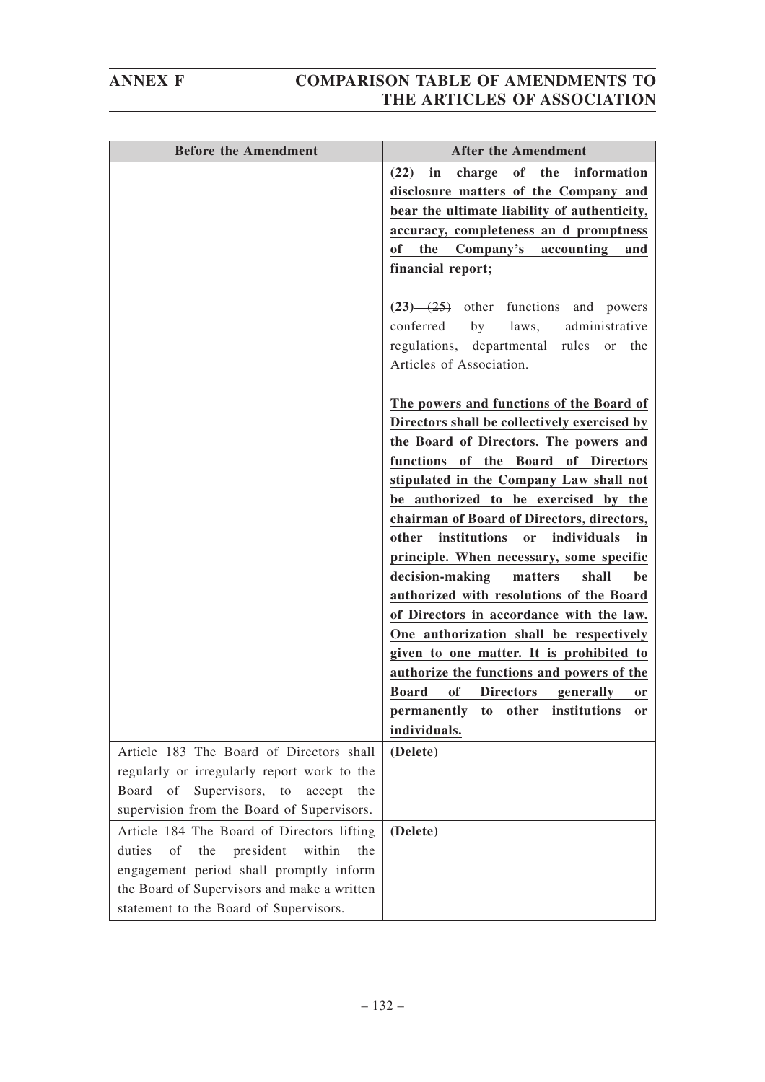| <b>Before the Amendment</b>                                                            | <b>After the Amendment</b>                                 |
|----------------------------------------------------------------------------------------|------------------------------------------------------------|
|                                                                                        | charge of the information<br>(22)<br>in                    |
|                                                                                        | disclosure matters of the Company and                      |
|                                                                                        | bear the ultimate liability of authenticity,               |
|                                                                                        | accuracy, completeness an d promptness                     |
|                                                                                        | of<br>the Company's<br>accounting<br>and                   |
|                                                                                        | financial report;                                          |
|                                                                                        |                                                            |
|                                                                                        | $(23)$ $-(25)$ other functions and powers                  |
|                                                                                        | conferred by laws,<br>administrative                       |
|                                                                                        | regulations, departmental rules or the                     |
|                                                                                        | Articles of Association.                                   |
|                                                                                        | The powers and functions of the Board of                   |
|                                                                                        | Directors shall be collectively exercised by               |
|                                                                                        | the Board of Directors. The powers and                     |
|                                                                                        | functions of the Board of Directors                        |
|                                                                                        | stipulated in the Company Law shall not                    |
|                                                                                        | be authorized to be exercised by the                       |
|                                                                                        | chairman of Board of Directors, directors,                 |
|                                                                                        | institutions<br>individuals<br>other<br>or<br>in           |
|                                                                                        | principle. When necessary, some specific                   |
|                                                                                        | decision-making<br>matters<br>shall<br>be                  |
|                                                                                        | authorized with resolutions of the Board                   |
|                                                                                        | of Directors in accordance with the law.                   |
|                                                                                        | One authorization shall be respectively                    |
|                                                                                        | given to one matter. It is prohibited to                   |
|                                                                                        | authorize the functions and powers of the                  |
|                                                                                        | <b>Board</b><br>of Directors<br>generally<br><sub>or</sub> |
|                                                                                        | permanently to other institutions or                       |
|                                                                                        | individuals.                                               |
| Article 183 The Board of Directors shall                                               | (Delete)                                                   |
| regularly or irregularly report work to the                                            |                                                            |
| Board of<br>Supervisors, to<br>accept<br>the                                           |                                                            |
| supervision from the Board of Supervisors.                                             |                                                            |
| Article 184 The Board of Directors lifting                                             |                                                            |
| of<br>president<br>within<br>duties<br>the<br>the                                      | (Delete)                                                   |
|                                                                                        |                                                            |
| engagement period shall promptly inform<br>the Board of Supervisors and make a written |                                                            |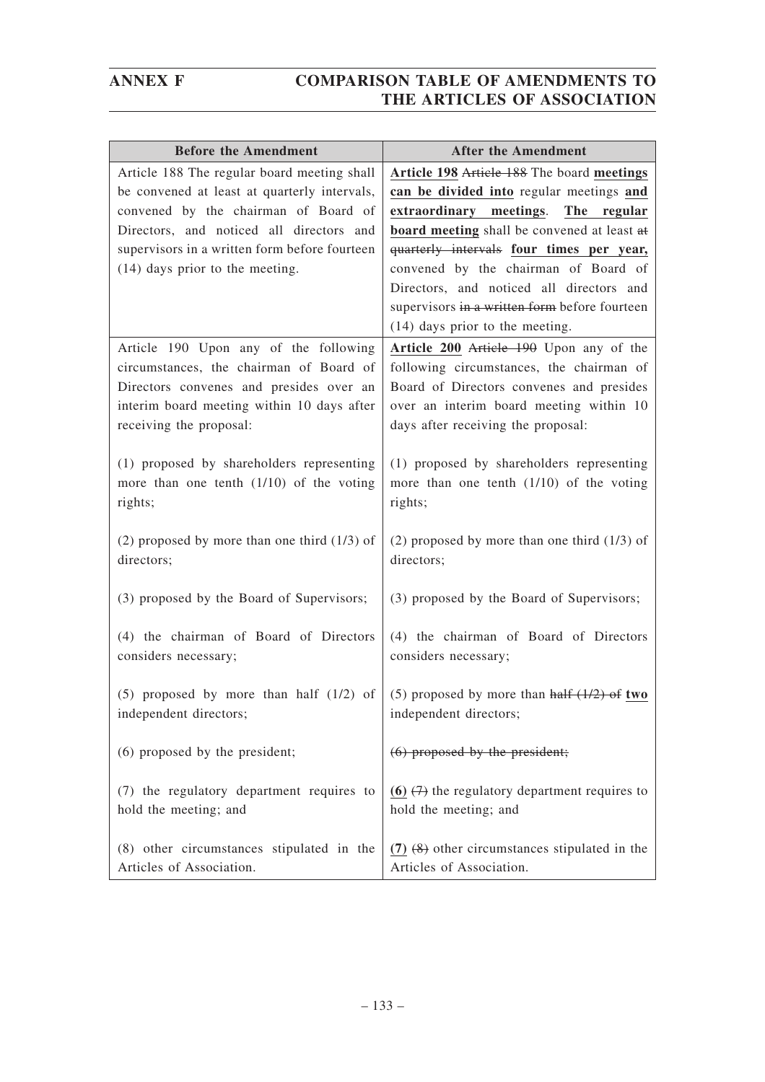| <b>Before the Amendment</b>                                                           | <b>After the Amendment</b>                                                          |
|---------------------------------------------------------------------------------------|-------------------------------------------------------------------------------------|
| Article 188 The regular board meeting shall                                           | Article 198 Article 188 The board meetings                                          |
| be convened at least at quarterly intervals,                                          | can be divided into regular meetings and                                            |
| convened by the chairman of Board of                                                  | extraordinary meetings. The regular                                                 |
| Directors, and noticed all directors and                                              | board meeting shall be convened at least at                                         |
| supervisors in a written form before fourteen                                         | quarterly intervals four times per year,                                            |
| $(14)$ days prior to the meeting.                                                     | convened by the chairman of Board of                                                |
|                                                                                       | Directors, and noticed all directors and                                            |
|                                                                                       | supervisors in a written form before fourteen                                       |
|                                                                                       | (14) days prior to the meeting.                                                     |
| Article 190 Upon any of the following                                                 | Article 200 Article 190 Upon any of the                                             |
| circumstances, the chairman of Board of                                               | following circumstances, the chairman of                                            |
| Directors convenes and presides over an<br>interim board meeting within 10 days after | Board of Directors convenes and presides<br>over an interim board meeting within 10 |
| receiving the proposal:                                                               | days after receiving the proposal:                                                  |
|                                                                                       |                                                                                     |
| (1) proposed by shareholders representing                                             | (1) proposed by shareholders representing                                           |
| more than one tenth $(1/10)$ of the voting                                            | more than one tenth $(1/10)$ of the voting                                          |
| rights;                                                                               | rights;                                                                             |
|                                                                                       |                                                                                     |
| $(2)$ proposed by more than one third $(1/3)$ of                                      | (2) proposed by more than one third $(1/3)$ of                                      |
| directors;                                                                            | directors;                                                                          |
|                                                                                       |                                                                                     |
| (3) proposed by the Board of Supervisors;                                             | (3) proposed by the Board of Supervisors;                                           |
|                                                                                       |                                                                                     |
| (4) the chairman of Board of Directors                                                | (4) the chairman of Board of Directors                                              |
| considers necessary;                                                                  | considers necessary;                                                                |
| $(5)$ proposed by more than half $(1/2)$ of                                           | (5) proposed by more than half $(1/2)$ of two                                       |
| independent directors;                                                                | independent directors;                                                              |
|                                                                                       |                                                                                     |
| (6) proposed by the president;                                                        | $(6)$ proposed by the president;                                                    |
|                                                                                       |                                                                                     |
| (7) the regulatory department requires to                                             | $(6)$ $(7)$ the regulatory department requires to                                   |
| hold the meeting; and                                                                 | hold the meeting; and                                                               |
|                                                                                       |                                                                                     |
| (8) other circumstances stipulated in the                                             | $(7)$ $(8)$ other circumstances stipulated in the                                   |
| Articles of Association.                                                              | Articles of Association.                                                            |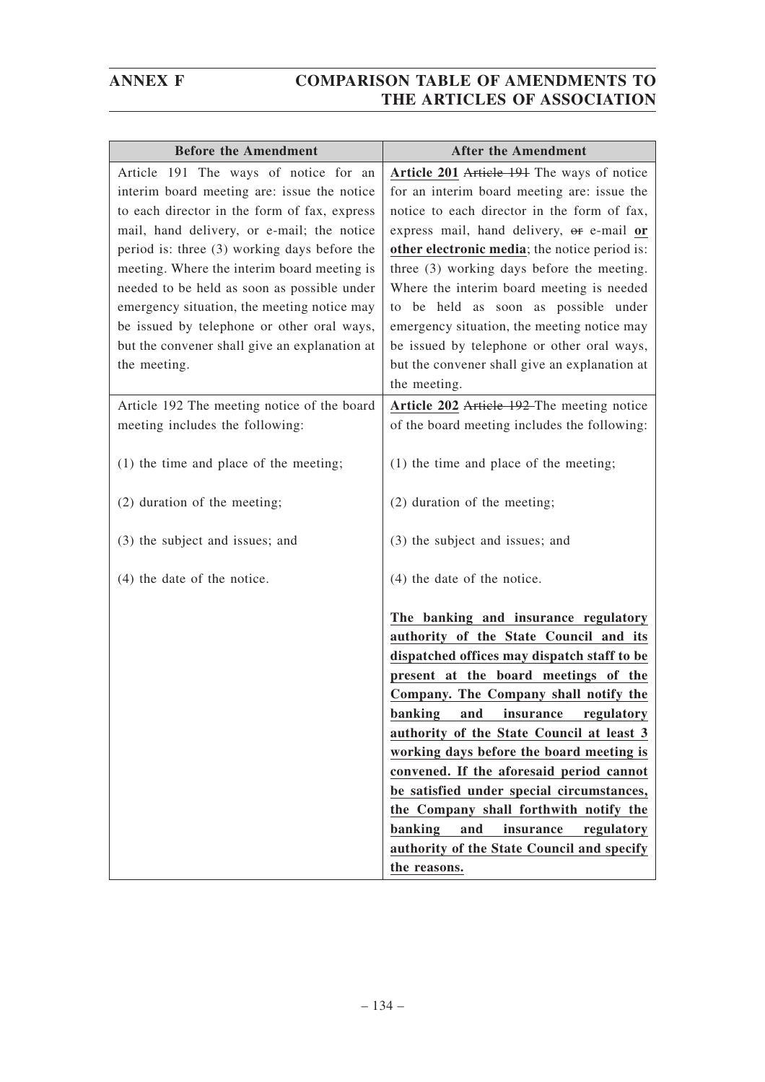| <b>Before the Amendment</b>                   | <b>After the Amendment</b>                                                                                                                                                                                                                                                                                                                                                                                                                                                                                                                                                                |
|-----------------------------------------------|-------------------------------------------------------------------------------------------------------------------------------------------------------------------------------------------------------------------------------------------------------------------------------------------------------------------------------------------------------------------------------------------------------------------------------------------------------------------------------------------------------------------------------------------------------------------------------------------|
| Article 191 The ways of notice for an         | Article 201 Article 191 The ways of notice                                                                                                                                                                                                                                                                                                                                                                                                                                                                                                                                                |
| interim board meeting are: issue the notice   | for an interim board meeting are: issue the                                                                                                                                                                                                                                                                                                                                                                                                                                                                                                                                               |
| to each director in the form of fax, express  | notice to each director in the form of fax,                                                                                                                                                                                                                                                                                                                                                                                                                                                                                                                                               |
| mail, hand delivery, or e-mail; the notice    | express mail, hand delivery, or e-mail or                                                                                                                                                                                                                                                                                                                                                                                                                                                                                                                                                 |
| period is: three (3) working days before the  | other electronic media; the notice period is:                                                                                                                                                                                                                                                                                                                                                                                                                                                                                                                                             |
| meeting. Where the interim board meeting is   | three (3) working days before the meeting.                                                                                                                                                                                                                                                                                                                                                                                                                                                                                                                                                |
| needed to be held as soon as possible under   | Where the interim board meeting is needed                                                                                                                                                                                                                                                                                                                                                                                                                                                                                                                                                 |
| emergency situation, the meeting notice may   | to be held as soon as possible under                                                                                                                                                                                                                                                                                                                                                                                                                                                                                                                                                      |
| be issued by telephone or other oral ways,    | emergency situation, the meeting notice may                                                                                                                                                                                                                                                                                                                                                                                                                                                                                                                                               |
| but the convener shall give an explanation at | be issued by telephone or other oral ways,                                                                                                                                                                                                                                                                                                                                                                                                                                                                                                                                                |
| the meeting.                                  | but the convener shall give an explanation at                                                                                                                                                                                                                                                                                                                                                                                                                                                                                                                                             |
|                                               | the meeting.                                                                                                                                                                                                                                                                                                                                                                                                                                                                                                                                                                              |
| Article 192 The meeting notice of the board   | Article 202 Article 192 The meeting notice                                                                                                                                                                                                                                                                                                                                                                                                                                                                                                                                                |
| meeting includes the following:               | of the board meeting includes the following:                                                                                                                                                                                                                                                                                                                                                                                                                                                                                                                                              |
| $(1)$ the time and place of the meeting;      | $(1)$ the time and place of the meeting;                                                                                                                                                                                                                                                                                                                                                                                                                                                                                                                                                  |
| (2) duration of the meeting;                  | (2) duration of the meeting;                                                                                                                                                                                                                                                                                                                                                                                                                                                                                                                                                              |
| (3) the subject and issues; and               | (3) the subject and issues; and                                                                                                                                                                                                                                                                                                                                                                                                                                                                                                                                                           |
| (4) the date of the notice.                   | $(4)$ the date of the notice.                                                                                                                                                                                                                                                                                                                                                                                                                                                                                                                                                             |
|                                               | The banking and insurance regulatory<br>authority of the State Council and its<br>dispatched offices may dispatch staff to be<br>present at the board meetings of the<br>Company. The Company shall notify the<br>banking and insurance regulatory<br>authority of the State Council at least 3<br>working days before the board meeting is<br>convened. If the aforesaid period cannot<br>be satisfied under special circumstances,<br>the Company shall forthwith notify the<br>banking<br>and<br>insurance<br>regulatory<br>authority of the State Council and specify<br>the reasons. |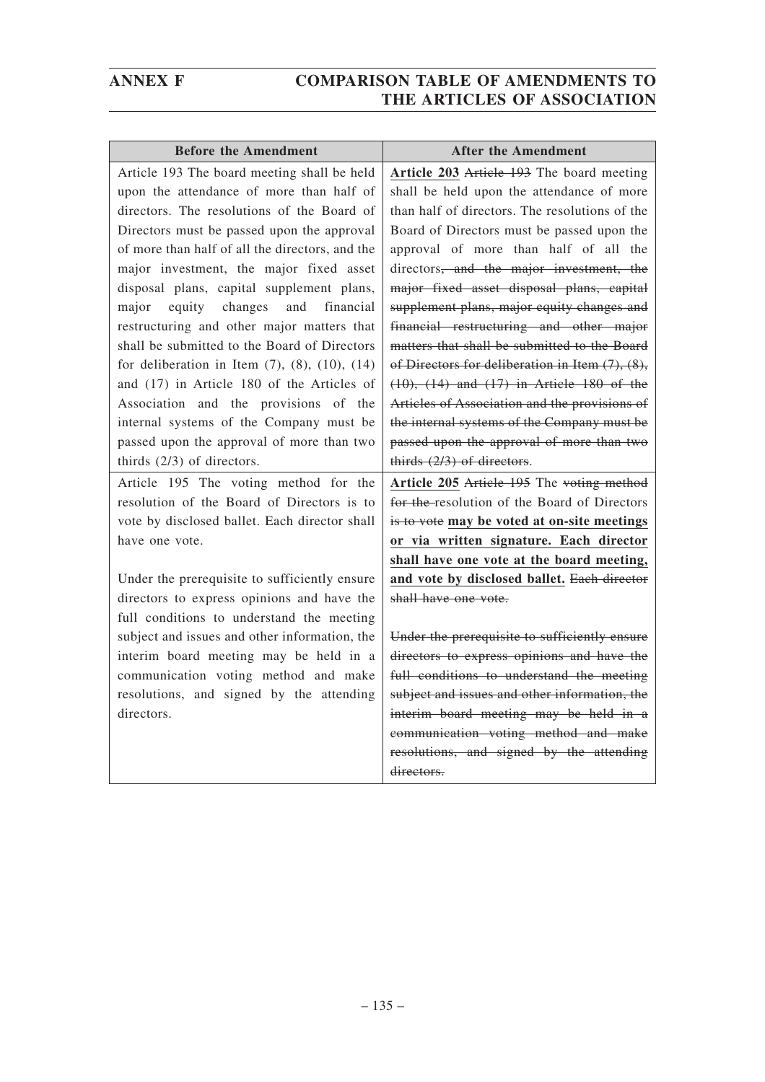| <b>Before the Amendment</b>                              | <b>After the Amendment</b>                            |
|----------------------------------------------------------|-------------------------------------------------------|
| Article 193 The board meeting shall be held              | Article 203 Article 193 The board meeting             |
| upon the attendance of more than half of                 | shall be held upon the attendance of more             |
| directors. The resolutions of the Board of               | than half of directors. The resolutions of the        |
| Directors must be passed upon the approval               | Board of Directors must be passed upon the            |
| of more than half of all the directors, and the          | approval of more than half of all the                 |
| major investment, the major fixed asset                  | directors, and the major investment, the              |
| disposal plans, capital supplement plans,                | major fixed asset disposal plans, capital             |
| equity<br>changes<br>and<br>financial<br>major           | supplement plans, major equity changes and            |
| restructuring and other major matters that               | financial restructuring and other major               |
| shall be submitted to the Board of Directors             | matters that shall be submitted to the Board          |
| for deliberation in Item $(7)$ , $(8)$ , $(10)$ , $(14)$ | of Directors for deliberation in Item $(7)$ , $(8)$ , |
| and (17) in Article 180 of the Articles of               | $(10)$ , $(14)$ and $(17)$ in Article 180 of the      |
| Association and the provisions of the                    | Articles of Association and the provisions of         |
| internal systems of the Company must be                  | the internal systems of the Company must be           |
| passed upon the approval of more than two                | passed upon the approval of more than two             |
| thirds $(2/3)$ of directors.                             | thirds $(2/3)$ of directors.                          |
| Article 195 The voting method for the                    | Article 205 Article 195 The voting method             |
| resolution of the Board of Directors is to               | for the resolution of the Board of Directors          |
| vote by disclosed ballet. Each director shall            | is to vote may be voted at on-site meetings           |
| have one vote.                                           | or via written signature. Each director               |
|                                                          | shall have one vote at the board meeting,             |
| Under the prerequisite to sufficiently ensure            | and vote by disclosed ballet. Each director           |
| directors to express opinions and have the               | shall have one vote.                                  |
| full conditions to understand the meeting                |                                                       |
| subject and issues and other information, the            | Under the prerequisite to sufficiently ensure         |
| interim board meeting may be held in a                   | directors to express opinions and have the            |
| communication voting method and make                     | full conditions to understand the meeting             |
| resolutions, and signed by the attending                 | subject and issues and other information, the         |
| directors.                                               | interim board meeting may be held in a                |
|                                                          | communication voting method and make                  |
|                                                          | resolutions, and signed by the attending              |
|                                                          | directors.                                            |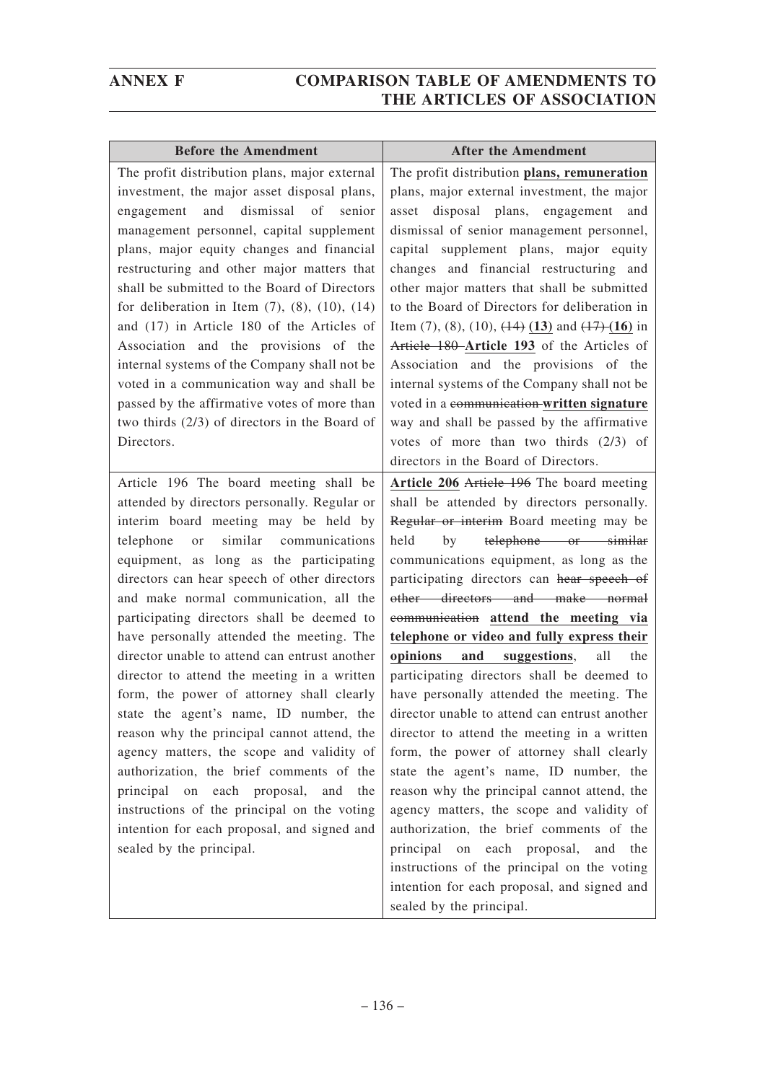| <b>Before the Amendment</b>                                                                                                                                                                                                                                                                                                                                                                                                                                                                                                                                                                                                                                                                                                                                                                                                                                                                                       | <b>After the Amendment</b>                                                                                                                                                                                                                                                                                                                                                                                                                                                                                                                                                                                                                                                                                                                                                                                                                                                                                                                                                                                                                    |
|-------------------------------------------------------------------------------------------------------------------------------------------------------------------------------------------------------------------------------------------------------------------------------------------------------------------------------------------------------------------------------------------------------------------------------------------------------------------------------------------------------------------------------------------------------------------------------------------------------------------------------------------------------------------------------------------------------------------------------------------------------------------------------------------------------------------------------------------------------------------------------------------------------------------|-----------------------------------------------------------------------------------------------------------------------------------------------------------------------------------------------------------------------------------------------------------------------------------------------------------------------------------------------------------------------------------------------------------------------------------------------------------------------------------------------------------------------------------------------------------------------------------------------------------------------------------------------------------------------------------------------------------------------------------------------------------------------------------------------------------------------------------------------------------------------------------------------------------------------------------------------------------------------------------------------------------------------------------------------|
| The profit distribution plans, major external<br>investment, the major asset disposal plans,<br>dismissal of senior<br>and<br>engagement<br>management personnel, capital supplement<br>plans, major equity changes and financial<br>restructuring and other major matters that<br>shall be submitted to the Board of Directors<br>for deliberation in Item $(7)$ , $(8)$ , $(10)$ , $(14)$<br>and (17) in Article 180 of the Articles of<br>Association and the provisions of the<br>internal systems of the Company shall not be<br>voted in a communication way and shall be<br>passed by the affirmative votes of more than<br>two thirds (2/3) of directors in the Board of<br>Directors.                                                                                                                                                                                                                    | The profit distribution plans, remuneration<br>plans, major external investment, the major<br>disposal plans, engagement and<br>asset<br>dismissal of senior management personnel,<br>capital supplement plans, major equity<br>changes and financial restructuring and<br>other major matters that shall be submitted<br>to the Board of Directors for deliberation in<br>Item $(7)$ , $(8)$ , $(10)$ , $(14)$ $(13)$ and $(17)$ $(16)$ in<br>Article 180 Article 193 of the Articles of<br>Association and the provisions of the<br>internal systems of the Company shall not be<br>voted in a communication-written signature<br>way and shall be passed by the affirmative<br>votes of more than two thirds $(2/3)$ of<br>directors in the Board of Directors.                                                                                                                                                                                                                                                                            |
| Article 196 The board meeting shall be<br>attended by directors personally. Regular or<br>interim board meeting may be held by<br>similar<br>telephone<br>communications<br>or<br>equipment, as long as the participating<br>directors can hear speech of other directors<br>and make normal communication, all the<br>participating directors shall be deemed to<br>have personally attended the meeting. The<br>director unable to attend can entrust another<br>director to attend the meeting in a written<br>form, the power of attorney shall clearly<br>state the agent's name, ID number, the<br>reason why the principal cannot attend, the<br>agency matters, the scope and validity of<br>authorization, the brief comments of the<br>principal on each proposal, and<br>the<br>instructions of the principal on the voting<br>intention for each proposal, and signed and<br>sealed by the principal. | Article 206 Article 196 The board meeting<br>shall be attended by directors personally.<br>Regular or interim Board meeting may be<br>telephone or similar<br>held<br>by<br>communications equipment, as long as the<br>participating directors can hear speech of<br>other directors and make normal<br>communication attend the meeting via<br>telephone or video and fully express their<br>suggestions,<br>opinions and<br>all<br>the<br>participating directors shall be deemed to<br>have personally attended the meeting. The<br>director unable to attend can entrust another<br>director to attend the meeting in a written<br>form, the power of attorney shall clearly<br>state the agent's name, ID number, the<br>reason why the principal cannot attend, the<br>agency matters, the scope and validity of<br>authorization, the brief comments of the<br>principal<br>on each proposal,<br>and<br>the<br>instructions of the principal on the voting<br>intention for each proposal, and signed and<br>sealed by the principal. |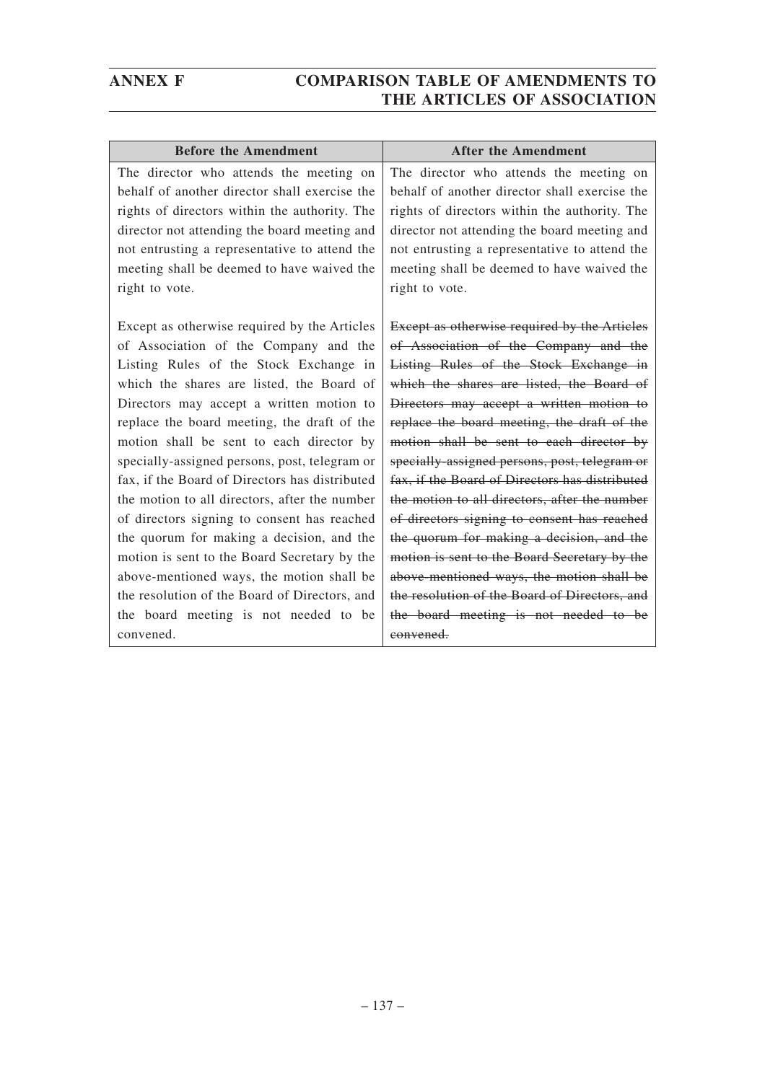| <b>Before the Amendment</b>                    | <b>After the Amendment</b>                          |
|------------------------------------------------|-----------------------------------------------------|
| The director who attends the meeting on        | The director who attends the meeting on             |
| behalf of another director shall exercise the  | behalf of another director shall exercise the       |
| rights of directors within the authority. The  | rights of directors within the authority. The       |
| director not attending the board meeting and   | director not attending the board meeting and        |
| not entrusting a representative to attend the  | not entrusting a representative to attend the       |
| meeting shall be deemed to have waived the     | meeting shall be deemed to have waived the          |
| right to vote.                                 | right to vote.                                      |
|                                                |                                                     |
| Except as otherwise required by the Articles   | <b>Except as otherwise required by the Articles</b> |
| of Association of the Company and the          | of Association of the Company and the               |
| Listing Rules of the Stock Exchange in         | Listing Rules of the Stock Exchange in              |
| which the shares are listed, the Board of      | which the shares are listed, the Board of           |
| Directors may accept a written motion to       | Directors may accept a written motion to            |
| replace the board meeting, the draft of the    | replace the board meeting, the draft of the         |
| motion shall be sent to each director by       | motion shall be sent to each director by            |
| specially-assigned persons, post, telegram or  | specially-assigned persons, post, telegram or       |
| fax, if the Board of Directors has distributed | fax, if the Board of Directors has distributed      |
| the motion to all directors, after the number  | the motion to all directors, after the number       |
| of directors signing to consent has reached    | of directors signing to consent has reached         |
| the quorum for making a decision, and the      | the quorum for making a decision, and the           |
| motion is sent to the Board Secretary by the   | motion is sent to the Board Secretary by the        |
| above-mentioned ways, the motion shall be      | above-mentioned ways, the motion shall be           |
| the resolution of the Board of Directors, and  | the resolution of the Board of Directors, and       |
| the board meeting is not needed to be          | the board meeting is not needed to be               |
| convened.                                      | convened.                                           |
|                                                |                                                     |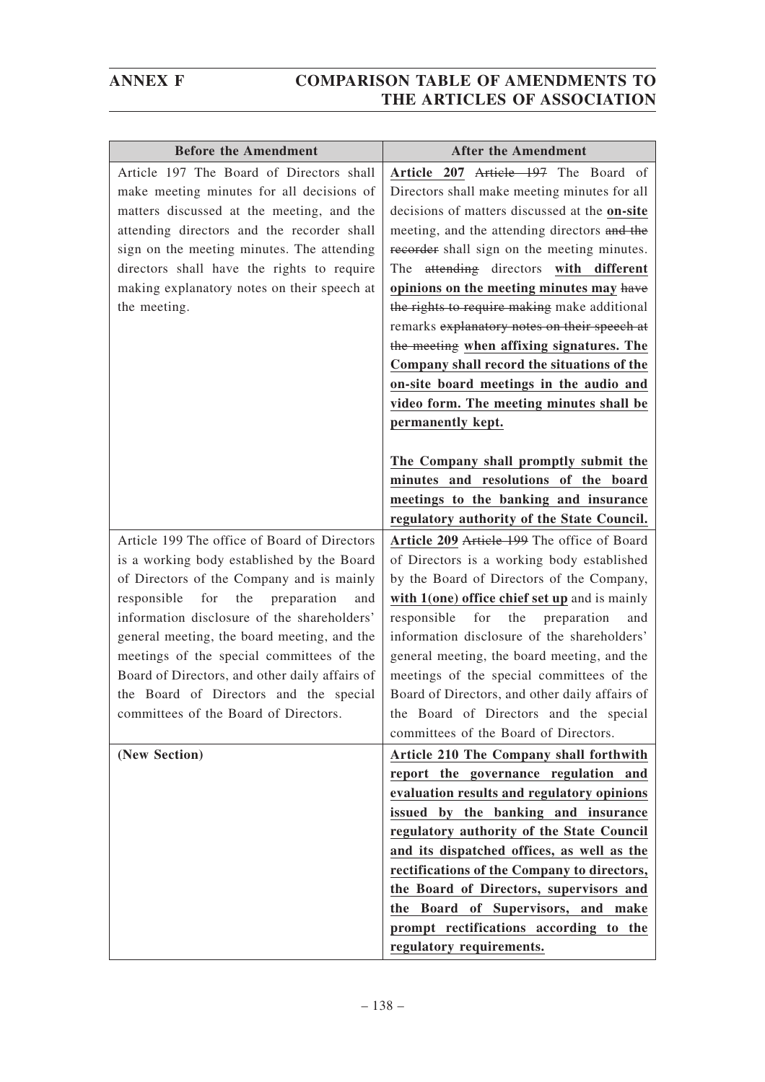| <b>Before the Amendment</b>                                                                                                                                                                                                                                                                                                                                                                                                                                                | <b>After the Amendment</b>                                                                                                                                                                                                                                                                                                                                                                                                                                                                                                                                                                                                                                                                                                                                  |
|----------------------------------------------------------------------------------------------------------------------------------------------------------------------------------------------------------------------------------------------------------------------------------------------------------------------------------------------------------------------------------------------------------------------------------------------------------------------------|-------------------------------------------------------------------------------------------------------------------------------------------------------------------------------------------------------------------------------------------------------------------------------------------------------------------------------------------------------------------------------------------------------------------------------------------------------------------------------------------------------------------------------------------------------------------------------------------------------------------------------------------------------------------------------------------------------------------------------------------------------------|
| Article 197 The Board of Directors shall<br>make meeting minutes for all decisions of<br>matters discussed at the meeting, and the<br>attending directors and the recorder shall<br>sign on the meeting minutes. The attending<br>directors shall have the rights to require<br>making explanatory notes on their speech at<br>the meeting.                                                                                                                                | Article 207 Article 197 The Board of<br>Directors shall make meeting minutes for all<br>decisions of matters discussed at the on-site<br>meeting, and the attending directors and the<br>recorder shall sign on the meeting minutes.<br>The attending directors with different<br>opinions on the meeting minutes may have<br>the rights to require making make additional<br>remarks explanatory notes on their speech at<br>the meeting when affixing signatures. The<br>Company shall record the situations of the<br>on-site board meetings in the audio and<br>video form. The meeting minutes shall be<br>permanently kept.<br>The Company shall promptly submit the<br>minutes and resolutions of the board<br>meetings to the banking and insurance |
|                                                                                                                                                                                                                                                                                                                                                                                                                                                                            | regulatory authority of the State Council.                                                                                                                                                                                                                                                                                                                                                                                                                                                                                                                                                                                                                                                                                                                  |
| Article 199 The office of Board of Directors<br>is a working body established by the Board<br>of Directors of the Company and is mainly<br>for<br>the<br>responsible<br>preparation<br>and<br>information disclosure of the shareholders'<br>general meeting, the board meeting, and the<br>meetings of the special committees of the<br>Board of Directors, and other daily affairs of<br>the Board of Directors and the special<br>committees of the Board of Directors. | Article 209 Article 199 The office of Board<br>of Directors is a working body established<br>by the Board of Directors of the Company,<br>with 1(one) office chief set up and is mainly<br>responsible<br>for<br>the<br>preparation<br>and<br>information disclosure of the shareholders'<br>general meeting, the board meeting, and the<br>meetings of the special committees of the<br>Board of Directors, and other daily affairs of<br>the Board of Directors and the special<br>committees of the Board of Directors.                                                                                                                                                                                                                                  |
| (New Section)                                                                                                                                                                                                                                                                                                                                                                                                                                                              | Article 210 The Company shall forthwith<br>report the governance regulation and<br>evaluation results and regulatory opinions<br>issued by the banking and insurance<br>regulatory authority of the State Council<br>and its dispatched offices, as well as the<br>rectifications of the Company to directors,<br>the Board of Directors, supervisors and<br>the Board of Supervisors, and make<br>prompt rectifications according to the<br>regulatory requirements.                                                                                                                                                                                                                                                                                       |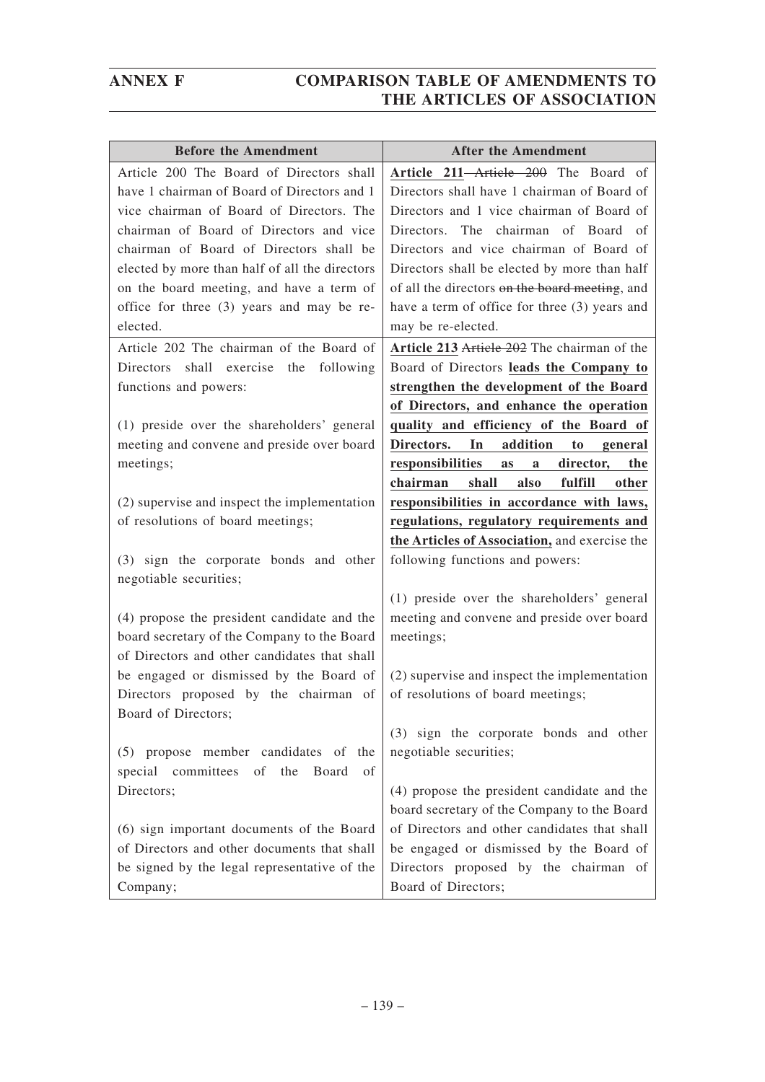| <b>Before the Amendment</b>                    | <b>After the Amendment</b>                      |
|------------------------------------------------|-------------------------------------------------|
| Article 200 The Board of Directors shall       | Article 211-Article 200 The Board of            |
| have 1 chairman of Board of Directors and 1    | Directors shall have 1 chairman of Board of     |
| vice chairman of Board of Directors. The       | Directors and 1 vice chairman of Board of       |
| chairman of Board of Directors and vice        | Directors. The chairman of Board of             |
| chairman of Board of Directors shall be        | Directors and vice chairman of Board of         |
| elected by more than half of all the directors | Directors shall be elected by more than half    |
| on the board meeting, and have a term of       | of all the directors on the board meeting, and  |
| office for three (3) years and may be re-      | have a term of office for three (3) years and   |
| elected.                                       | may be re-elected.                              |
| Article 202 The chairman of the Board of       | Article 213 Article 202 The chairman of the     |
| Directors shall exercise the<br>following      | Board of Directors leads the Company to         |
| functions and powers:                          | strengthen the development of the Board         |
|                                                | of Directors, and enhance the operation         |
| (1) preside over the shareholders' general     | quality and efficiency of the Board of          |
| meeting and convene and preside over board     | Directors.<br>In<br>addition<br>to<br>general   |
| meetings;                                      | responsibilities<br>director,<br>the<br>as<br>a |
|                                                | chairman<br>shall<br>also<br>fulfill<br>other   |
| (2) supervise and inspect the implementation   | responsibilities in accordance with laws,       |
| of resolutions of board meetings;              | regulations, regulatory requirements and        |
|                                                | the Articles of Association, and exercise the   |
| (3) sign the corporate bonds and other         | following functions and powers:                 |
| negotiable securities;                         |                                                 |
|                                                | (1) preside over the shareholders' general      |
| (4) propose the president candidate and the    | meeting and convene and preside over board      |
| board secretary of the Company to the Board    | meetings;                                       |
| of Directors and other candidates that shall   |                                                 |
| be engaged or dismissed by the Board of        | (2) supervise and inspect the implementation    |
| Directors proposed by the chairman of          | of resolutions of board meetings;               |
| Board of Directors;                            |                                                 |
|                                                | (3) sign the corporate bonds and other          |
| (5) propose member candidates of the           | negotiable securities;                          |
| special committees of the<br>Board<br>οf       |                                                 |
| Directors;                                     | (4) propose the president candidate and the     |
|                                                | board secretary of the Company to the Board     |
| (6) sign important documents of the Board      | of Directors and other candidates that shall    |
| of Directors and other documents that shall    | be engaged or dismissed by the Board of         |
| be signed by the legal representative of the   | Directors proposed by the chairman of           |
| Company;                                       | Board of Directors;                             |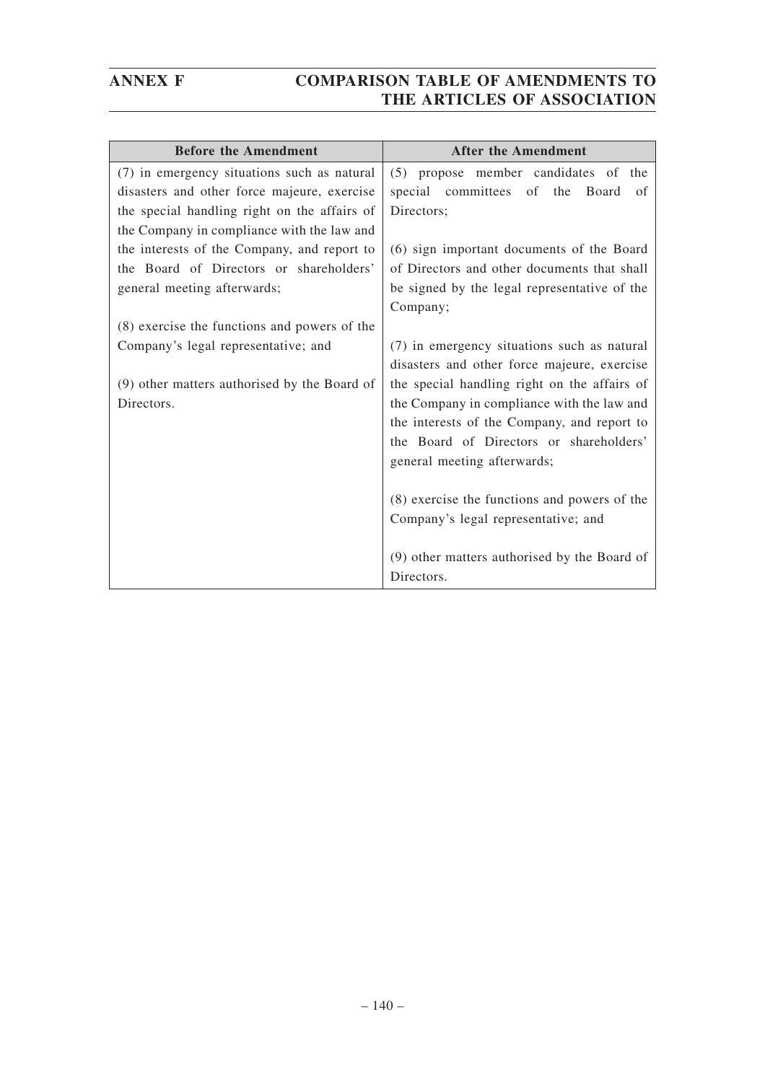| <b>Before the Amendment</b>                  | <b>After the Amendment</b>                   |
|----------------------------------------------|----------------------------------------------|
| (7) in emergency situations such as natural  | (5) propose member candidates of the         |
| disasters and other force majeure, exercise  | special committees of the<br>Board<br>of     |
| the special handling right on the affairs of | Directors;                                   |
| the Company in compliance with the law and   |                                              |
| the interests of the Company, and report to  | (6) sign important documents of the Board    |
| the Board of Directors or shareholders'      | of Directors and other documents that shall  |
| general meeting afterwards;                  | be signed by the legal representative of the |
|                                              | Company;                                     |
| (8) exercise the functions and powers of the |                                              |
| Company's legal representative; and          | (7) in emergency situations such as natural  |
|                                              | disasters and other force majeure, exercise  |
| (9) other matters authorised by the Board of | the special handling right on the affairs of |
| Directors.                                   | the Company in compliance with the law and   |
|                                              | the interests of the Company, and report to  |
|                                              | the Board of Directors or shareholders'      |
|                                              | general meeting afterwards;                  |
|                                              |                                              |
|                                              | (8) exercise the functions and powers of the |
|                                              | Company's legal representative; and          |
|                                              |                                              |
|                                              | (9) other matters authorised by the Board of |
|                                              | Directors.                                   |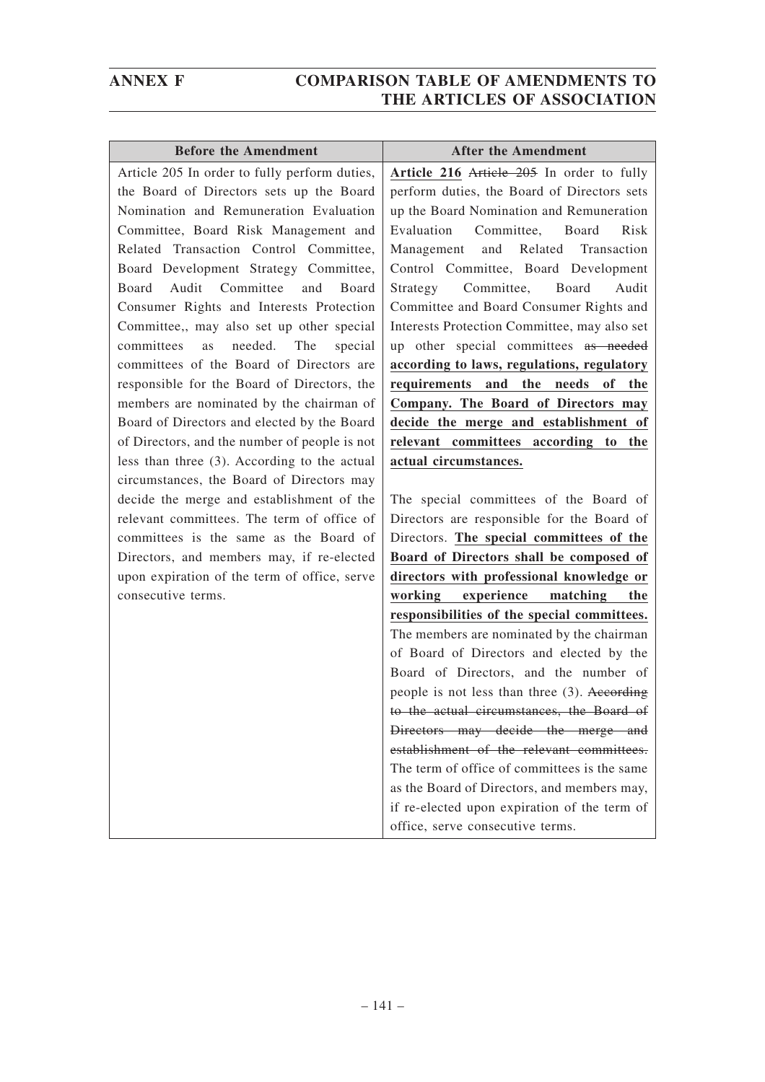| <b>Before the Amendment</b>                                                               | <b>After the Amendment</b>                                                          |
|-------------------------------------------------------------------------------------------|-------------------------------------------------------------------------------------|
| Article 205 In order to fully perform duties,                                             | Article 216 Article 205 In order to fully                                           |
| the Board of Directors sets up the Board                                                  | perform duties, the Board of Directors sets                                         |
| Nomination and Remuneration Evaluation                                                    | up the Board Nomination and Remuneration                                            |
| Committee, Board Risk Management and                                                      | Evaluation<br>Committee,<br>Board<br>Risk                                           |
| Related Transaction Control Committee,                                                    | Management and Related Transaction                                                  |
| Board Development Strategy Committee,                                                     | Control Committee, Board Development                                                |
| Audit Committee<br>and<br>Board<br>Board                                                  | Strategy<br>Committee,<br>Board<br>Audit                                            |
| Consumer Rights and Interests Protection                                                  | Committee and Board Consumer Rights and                                             |
| Committee,, may also set up other special                                                 | Interests Protection Committee, may also set                                        |
| committees<br>The<br>as<br>needed.<br>special                                             | up other special committees as needed                                               |
| committees of the Board of Directors are                                                  | according to laws, regulations, regulatory                                          |
| responsible for the Board of Directors, the                                               | requirements and the needs<br>of the                                                |
| members are nominated by the chairman of                                                  | Company. The Board of Directors may                                                 |
| Board of Directors and elected by the Board                                               | decide the merge and establishment of                                               |
| of Directors, and the number of people is not                                             | relevant committees according to the                                                |
| less than three (3). According to the actual                                              | actual circumstances.                                                               |
| circumstances, the Board of Directors may                                                 |                                                                                     |
| decide the merge and establishment of the                                                 | The special committees of the Board of                                              |
| relevant committees. The term of office of                                                | Directors are responsible for the Board of                                          |
| committees is the same as the Board of                                                    | Directors. The special committees of the                                            |
| Directors, and members may, if re-elected<br>upon expiration of the term of office, serve | Board of Directors shall be composed of<br>directors with professional knowledge or |
| consecutive terms.                                                                        | working<br>experience<br>matching<br>the                                            |
|                                                                                           | responsibilities of the special committees.                                         |
|                                                                                           | The members are nominated by the chairman                                           |
|                                                                                           | of Board of Directors and elected by the                                            |
|                                                                                           | Board of Directors, and the number of                                               |
|                                                                                           | people is not less than three (3). According                                        |
|                                                                                           | to the actual circumstances, the Board of                                           |
|                                                                                           | Directors may decide the merge and                                                  |
|                                                                                           | establishment of the relevant committees.                                           |
|                                                                                           | The term of office of committees is the same                                        |
|                                                                                           | as the Board of Directors, and members may,                                         |
|                                                                                           | if re-elected upon expiration of the term of                                        |
|                                                                                           | office, serve consecutive terms.                                                    |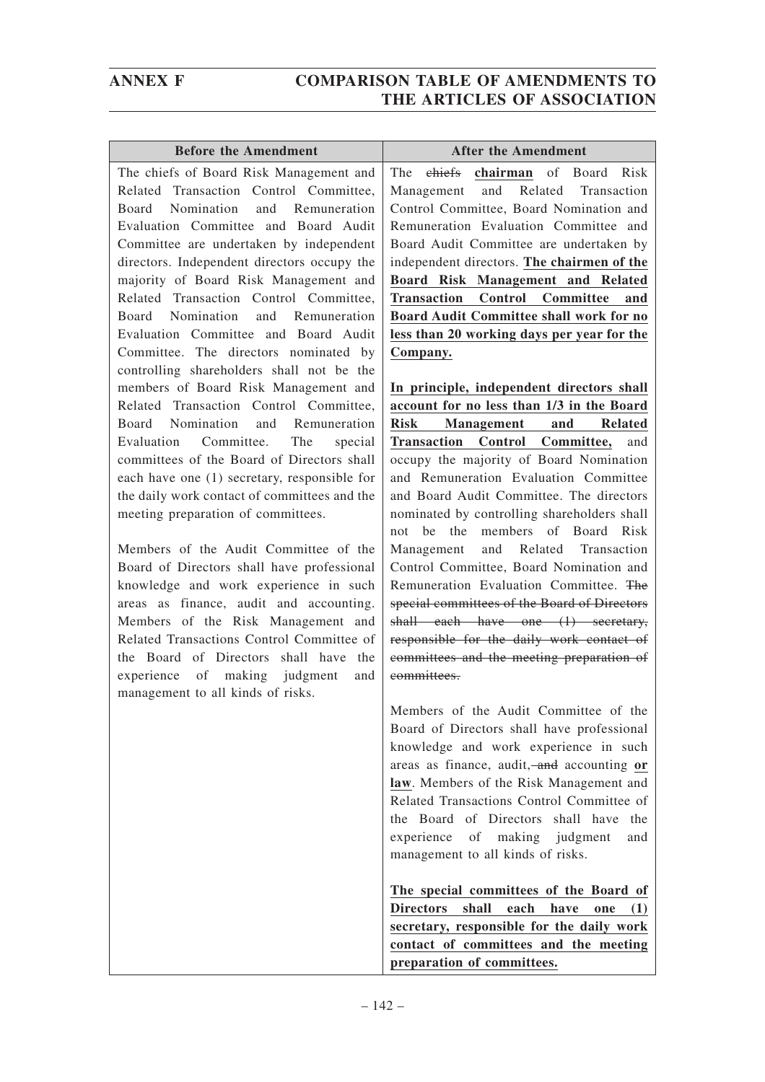$\lceil$ 

| <b>Before the Amendment</b>                                                                                                                                                                                                                                                                                                                                                                                                                                                                                                                                                                                                                                                                                                                                                                                                                                                                                                                                                                             | <b>After the Amendment</b>                                                                                                                                                                                                                                                                                                                                                                                                                                                                                                                                                                                                                                                                                                                                                                                                                                                                                                                                                                                                                                                                           |
|---------------------------------------------------------------------------------------------------------------------------------------------------------------------------------------------------------------------------------------------------------------------------------------------------------------------------------------------------------------------------------------------------------------------------------------------------------------------------------------------------------------------------------------------------------------------------------------------------------------------------------------------------------------------------------------------------------------------------------------------------------------------------------------------------------------------------------------------------------------------------------------------------------------------------------------------------------------------------------------------------------|------------------------------------------------------------------------------------------------------------------------------------------------------------------------------------------------------------------------------------------------------------------------------------------------------------------------------------------------------------------------------------------------------------------------------------------------------------------------------------------------------------------------------------------------------------------------------------------------------------------------------------------------------------------------------------------------------------------------------------------------------------------------------------------------------------------------------------------------------------------------------------------------------------------------------------------------------------------------------------------------------------------------------------------------------------------------------------------------------|
| The chiefs of Board Risk Management and<br>Related Transaction Control Committee,<br>Board Nomination and Remuneration<br>Evaluation Committee and Board Audit<br>Committee are undertaken by independent<br>directors. Independent directors occupy the<br>majority of Board Risk Management and<br>Related Transaction Control Committee,<br>Board Nomination and Remuneration<br>Evaluation Committee and Board Audit<br>Committee. The directors nominated by<br>controlling shareholders shall not be the<br>members of Board Risk Management and<br>Related Transaction Control Committee,<br>Board Nomination and Remuneration<br>Committee.<br>Evaluation<br>The<br>special<br>committees of the Board of Directors shall<br>each have one (1) secretary, responsible for<br>the daily work contact of committees and the<br>meeting preparation of committees.<br>Members of the Audit Committee of the<br>Board of Directors shall have professional<br>knowledge and work experience in such | ehiefs chairman of Board Risk<br>The <sub>1</sub><br>Related Transaction<br>and<br>Management<br>Control Committee, Board Nomination and<br>Remuneration Evaluation Committee and<br>Board Audit Committee are undertaken by<br>independent directors. The chairmen of the<br>Board Risk Management and Related<br><b>Transaction Control Committee</b><br>and<br><b>Board Audit Committee shall work for no</b><br>less than 20 working days per year for the<br>Company.<br>In principle, independent directors shall<br>account for no less than 1/3 in the Board<br><b>Risk</b><br>Management and Related<br><b>Transaction Control Committee,</b><br>and<br>occupy the majority of Board Nomination<br>and Remuneration Evaluation Committee<br>and Board Audit Committee. The directors<br>nominated by controlling shareholders shall<br>not be the members of Board Risk<br>and Related Transaction<br>Management<br>Control Committee, Board Nomination and<br>Remuneration Evaluation Committee. The<br>special committees of the Board of Directors<br>shall each have one (1) secretary, |
| Related Transactions Control Committee of<br>the Board of Directors shall have the<br>experience of making judgment<br>and<br>management to all kinds of risks.                                                                                                                                                                                                                                                                                                                                                                                                                                                                                                                                                                                                                                                                                                                                                                                                                                         | responsible for the daily work contact of<br>committees and the meeting preparation of<br>eommittees.<br>Members of the Audit Committee of the<br>Board of Directors shall have professional<br>knowledge and work experience in such<br>areas as finance, audit, and accounting or<br>law. Members of the Risk Management and<br>Related Transactions Control Committee of<br>the Board of Directors shall have the<br>experience<br>making judgment<br>of<br>and<br>management to all kinds of risks.<br>The special committees of the Board of<br>shall<br><b>Directors</b><br>each<br>have<br>(1)<br>one<br>secretary, responsible for the daily work<br>contact of committees and the meeting<br>preparation of committees.                                                                                                                                                                                                                                                                                                                                                                     |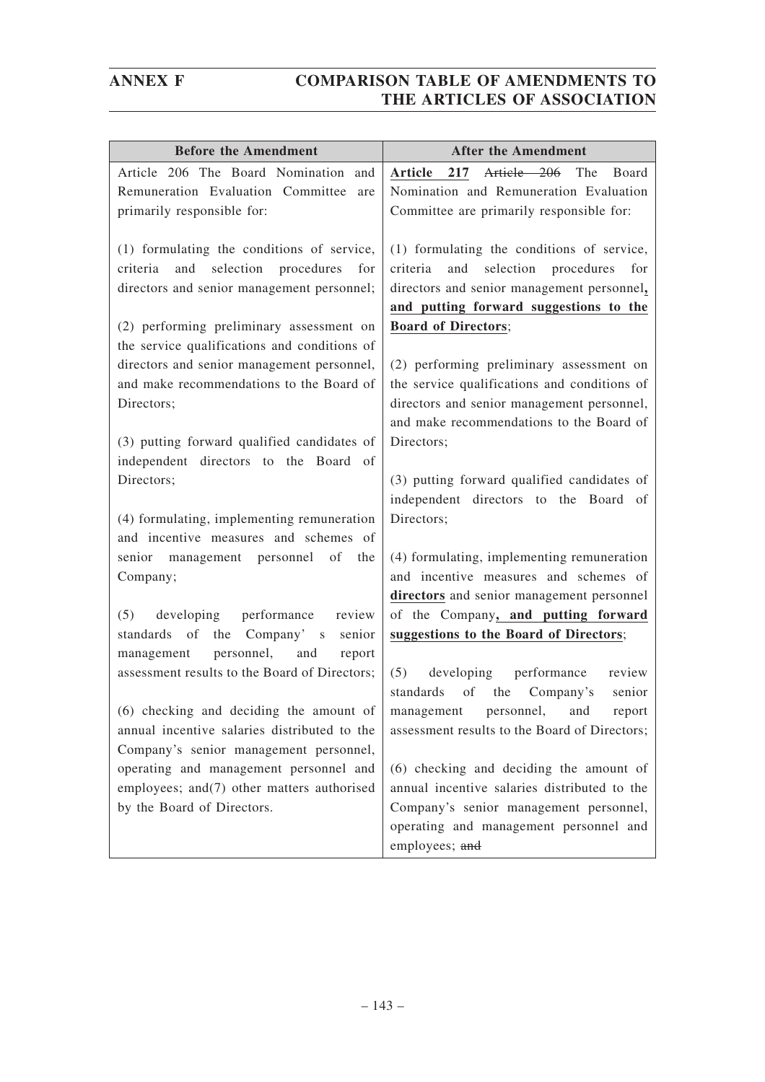| <b>Before the Amendment</b>                                         | <b>After the Amendment</b>                    |
|---------------------------------------------------------------------|-----------------------------------------------|
| Article 206 The Board Nomination and                                | Article 206<br>217<br>The<br>Article<br>Board |
| Remuneration Evaluation Committee are                               | Nomination and Remuneration Evaluation        |
| primarily responsible for:                                          | Committee are primarily responsible for:      |
|                                                                     |                                               |
| (1) formulating the conditions of service,                          | (1) formulating the conditions of service,    |
| and selection procedures<br>for<br>criteria                         | criteria<br>and selection procedures<br>for   |
| directors and senior management personnel;                          | directors and senior management personnel,    |
|                                                                     | and putting forward suggestions to the        |
| (2) performing preliminary assessment on                            | <b>Board of Directors;</b>                    |
| the service qualifications and conditions of                        |                                               |
| directors and senior management personnel,                          | (2) performing preliminary assessment on      |
| and make recommendations to the Board of                            | the service qualifications and conditions of  |
| Directors;                                                          | directors and senior management personnel,    |
|                                                                     | and make recommendations to the Board of      |
| (3) putting forward qualified candidates of                         | Directors;                                    |
| independent directors to the Board of                               |                                               |
| Directors;                                                          | (3) putting forward qualified candidates of   |
|                                                                     | independent directors to the Board of         |
| (4) formulating, implementing remuneration                          | Directors;                                    |
| and incentive measures and schemes of                               |                                               |
| senior management personnel<br>of<br>the                            | (4) formulating, implementing remuneration    |
| Company;                                                            | and incentive measures and schemes of         |
|                                                                     | directors and senior management personnel     |
| developing performance<br>(5)<br>review                             | of the Company, and putting forward           |
| the<br>Company's<br>standards of<br>senior                          | suggestions to the Board of Directors;        |
| personnel, and<br>management<br>report                              |                                               |
| assessment results to the Board of Directors;                       | (5)<br>developing<br>performance<br>review    |
|                                                                     | standards of<br>the<br>Company's<br>senior    |
| $(6)$ checking and deciding the amount of management personnel, and | report                                        |
| annual incentive salaries distributed to the                        | assessment results to the Board of Directors; |
| Company's senior management personnel,                              |                                               |
| operating and management personnel and                              | (6) checking and deciding the amount of       |
| employees; and(7) other matters authorised                          | annual incentive salaries distributed to the  |
| by the Board of Directors.                                          | Company's senior management personnel,        |
|                                                                     | operating and management personnel and        |
|                                                                     | employees; and                                |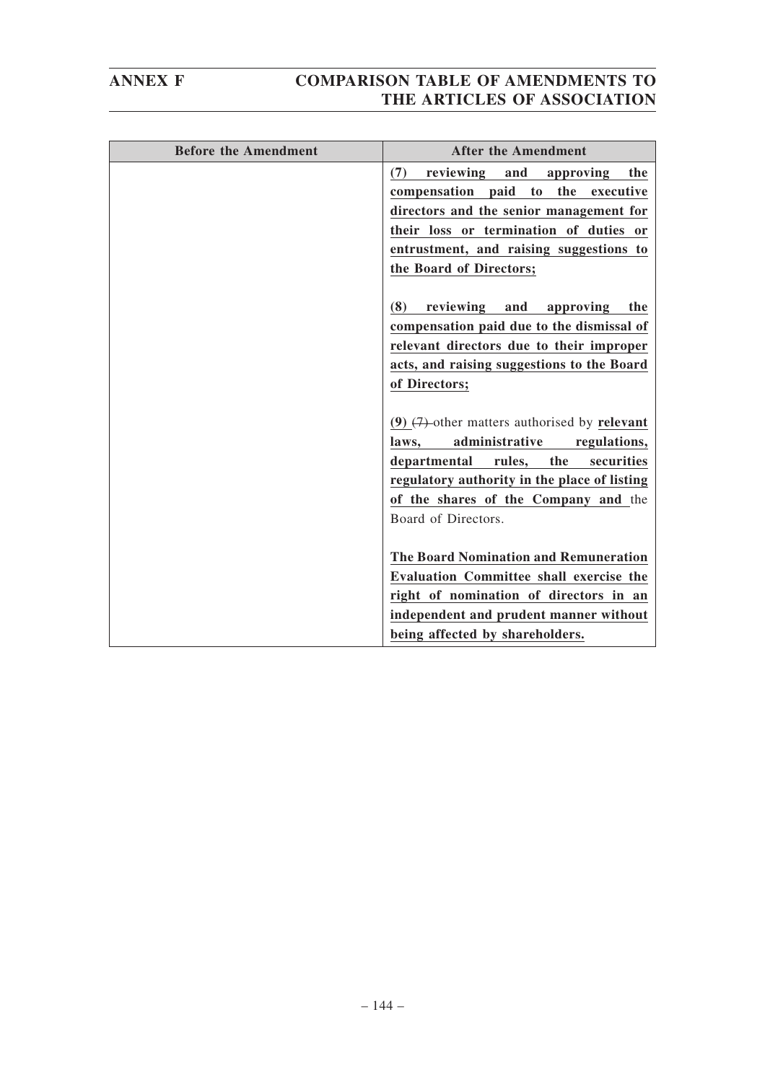| <b>Before the Amendment</b> | <b>After the Amendment</b>                                                              |
|-----------------------------|-----------------------------------------------------------------------------------------|
|                             | reviewing and<br>(7)<br>approving<br>the<br>the<br>compensation paid<br>to<br>executive |
|                             |                                                                                         |
|                             | directors and the senior management for<br>their loss or termination of duties or       |
|                             |                                                                                         |
|                             | entrustment, and raising suggestions to                                                 |
|                             | the Board of Directors;                                                                 |
|                             |                                                                                         |
|                             | reviewing<br>(8)<br>and<br>approving<br>the                                             |
|                             | compensation paid due to the dismissal of                                               |
|                             | relevant directors due to their improper                                                |
|                             | acts, and raising suggestions to the Board                                              |
|                             | of Directors;                                                                           |
|                             |                                                                                         |
|                             | (9) $(7)$ -other matters authorised by relevant                                         |
|                             | administrative<br>regulations,<br>laws.                                                 |
|                             | rules, the<br>departmental<br>securities                                                |
|                             | regulatory authority in the place of listing                                            |
|                             | of the shares of the Company and the                                                    |
|                             | Board of Directors.                                                                     |
|                             |                                                                                         |
|                             | <b>The Board Nomination and Remuneration</b>                                            |
|                             | <b>Evaluation Committee shall exercise the</b>                                          |
|                             | right of nomination of directors in an                                                  |
|                             | independent and prudent manner without                                                  |
|                             | being affected by shareholders.                                                         |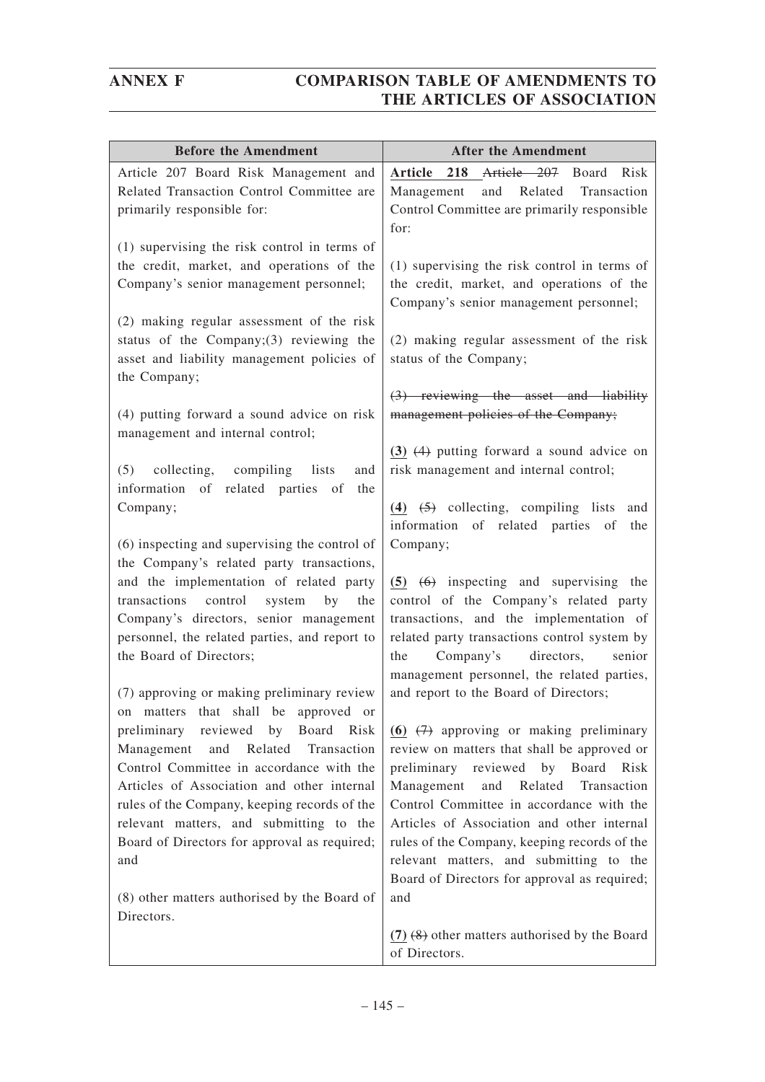| <b>Before the Amendment</b>                                                    | <b>After the Amendment</b>                                                          |
|--------------------------------------------------------------------------------|-------------------------------------------------------------------------------------|
| Article 207 Board Risk Management and                                          | 218 Article 207 Board<br>Article<br>Risk                                            |
| Related Transaction Control Committee are                                      | and Related Transaction<br>Management                                               |
| primarily responsible for:                                                     | Control Committee are primarily responsible<br>for:                                 |
| (1) supervising the risk control in terms of                                   |                                                                                     |
| the credit, market, and operations of the                                      | (1) supervising the risk control in terms of                                        |
| Company's senior management personnel;                                         | the credit, market, and operations of the<br>Company's senior management personnel; |
| (2) making regular assessment of the risk                                      |                                                                                     |
| status of the Company; $(3)$ reviewing the                                     | (2) making regular assessment of the risk                                           |
| asset and liability management policies of<br>the Company;                     | status of the Company;                                                              |
|                                                                                | $(3)$ reviewing the asset and liability                                             |
| (4) putting forward a sound advice on risk<br>management and internal control; | management policies of the Company;                                                 |
|                                                                                | $(3)$ $(4)$ putting forward a sound advice on                                       |
| (5)<br>collecting, compiling lists<br>and                                      | risk management and internal control;                                               |
| information of related parties<br>of<br>the                                    |                                                                                     |
| Company;                                                                       | $(4)$ $(5)$ collecting, compiling lists<br>and                                      |
| (6) inspecting and supervising the control of                                  | information of related parties of<br>the<br>Company;                                |
| the Company's related party transactions,                                      |                                                                                     |
| and the implementation of related party                                        | $(5)$ $(6)$ inspecting and supervising the                                          |
| transactions<br>control<br>system<br>by<br>the                                 | control of the Company's related party                                              |
| Company's directors, senior management                                         | transactions, and the implementation of                                             |
| personnel, the related parties, and report to                                  | related party transactions control system by                                        |
| the Board of Directors;                                                        | Company's<br>directors,<br>the<br>senior                                            |
|                                                                                | management personnel, the related parties,                                          |
| (7) approving or making preliminary review                                     | and report to the Board of Directors;                                               |
| on matters that shall be approved or<br>preliminary reviewed by Board Risk     | (6) $(7)$ approving or making preliminary                                           |
| Related<br>Transaction<br>Management<br>and                                    | review on matters that shall be approved or                                         |
| Control Committee in accordance with the                                       | preliminary reviewed by Board Risk                                                  |
| Articles of Association and other internal                                     | Management<br>and Related Transaction                                               |
| rules of the Company, keeping records of the                                   | Control Committee in accordance with the                                            |
| relevant matters, and submitting to the                                        | Articles of Association and other internal                                          |
| Board of Directors for approval as required;                                   | rules of the Company, keeping records of the                                        |
| and                                                                            | relevant matters, and submitting to the                                             |
|                                                                                | Board of Directors for approval as required;                                        |
| (8) other matters authorised by the Board of<br>Directors.                     | and                                                                                 |
|                                                                                | $(7)$ $(8)$ other matters authorised by the Board                                   |
|                                                                                | of Directors.                                                                       |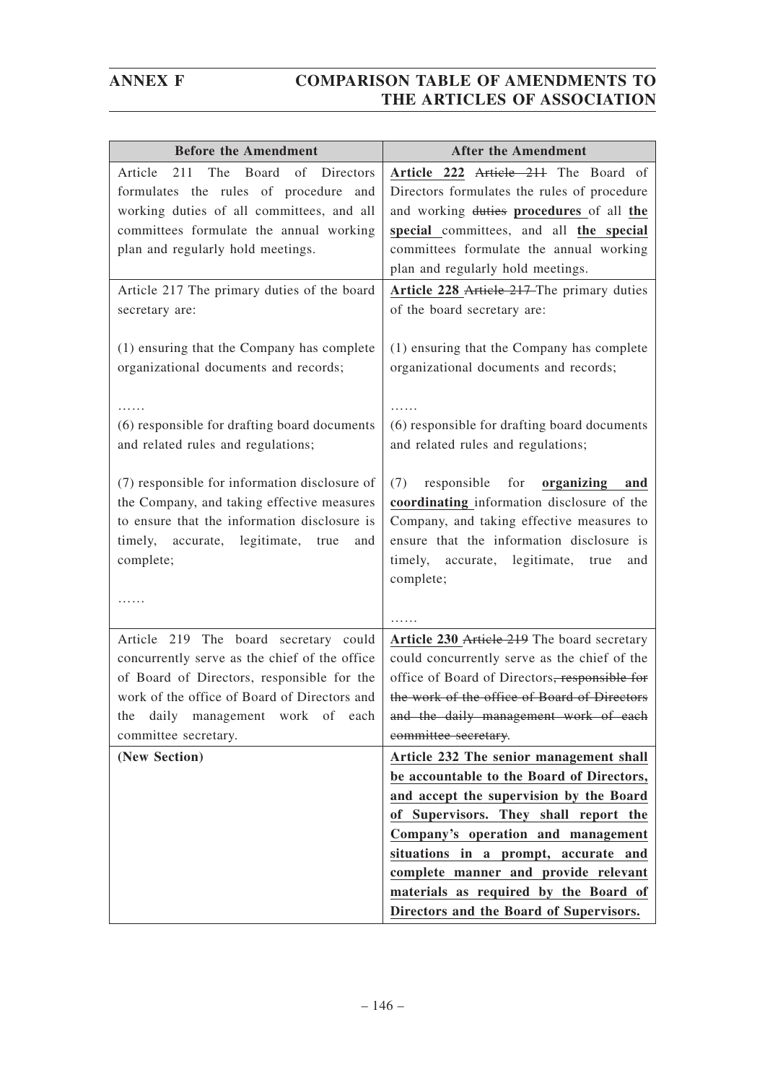| <b>Before the Amendment</b>                                                                                                                                                                                                                          | <b>After the Amendment</b>                                                                                                                                                                                                                                                                                                              |
|------------------------------------------------------------------------------------------------------------------------------------------------------------------------------------------------------------------------------------------------------|-----------------------------------------------------------------------------------------------------------------------------------------------------------------------------------------------------------------------------------------------------------------------------------------------------------------------------------------|
| The<br>Board<br>of<br>211<br>Article<br><b>Directors</b><br>formulates the rules of procedure and<br>working duties of all committees, and all<br>committees formulate the annual working<br>plan and regularly hold meetings.                       | Article 222 Article 211 The Board of<br>Directors formulates the rules of procedure<br>and working duties procedures of all the<br>special committees, and all the special<br>committees formulate the annual working                                                                                                                   |
|                                                                                                                                                                                                                                                      | plan and regularly hold meetings.                                                                                                                                                                                                                                                                                                       |
| Article 217 The primary duties of the board<br>secretary are:                                                                                                                                                                                        | Article 228 Article 217 The primary duties<br>of the board secretary are:                                                                                                                                                                                                                                                               |
| (1) ensuring that the Company has complete<br>organizational documents and records;                                                                                                                                                                  | (1) ensuring that the Company has complete<br>organizational documents and records;                                                                                                                                                                                                                                                     |
| (6) responsible for drafting board documents<br>and related rules and regulations;                                                                                                                                                                   | (6) responsible for drafting board documents<br>and related rules and regulations;                                                                                                                                                                                                                                                      |
| (7) responsible for information disclosure of<br>the Company, and taking effective measures<br>to ensure that the information disclosure is<br>timely, accurate, legitimate, true<br>and<br>complete;                                                | (7)<br>responsible for <b>organizing</b><br>and<br>coordinating information disclosure of the<br>Company, and taking effective measures to<br>ensure that the information disclosure is<br>timely, accurate, legitimate,<br>true<br>and<br>complete;                                                                                    |
|                                                                                                                                                                                                                                                      |                                                                                                                                                                                                                                                                                                                                         |
| Article 219 The board secretary could<br>concurrently serve as the chief of the office<br>of Board of Directors, responsible for the<br>work of the office of Board of Directors and<br>daily management work of each<br>the<br>committee secretary. | Article 230 Article 219 The board secretary<br>could concurrently serve as the chief of the<br>office of Board of Directors, responsible for<br>the work of the office of Board of Directors<br>and the daily management work of each<br>committee secretary.                                                                           |
| (New Section)                                                                                                                                                                                                                                        | Article 232 The senior management shall                                                                                                                                                                                                                                                                                                 |
|                                                                                                                                                                                                                                                      | be accountable to the Board of Directors,<br>and accept the supervision by the Board<br>of Supervisors. They shall report the<br>Company's operation and management<br>situations in a prompt, accurate and<br>complete manner and provide relevant<br>materials as required by the Board of<br>Directors and the Board of Supervisors. |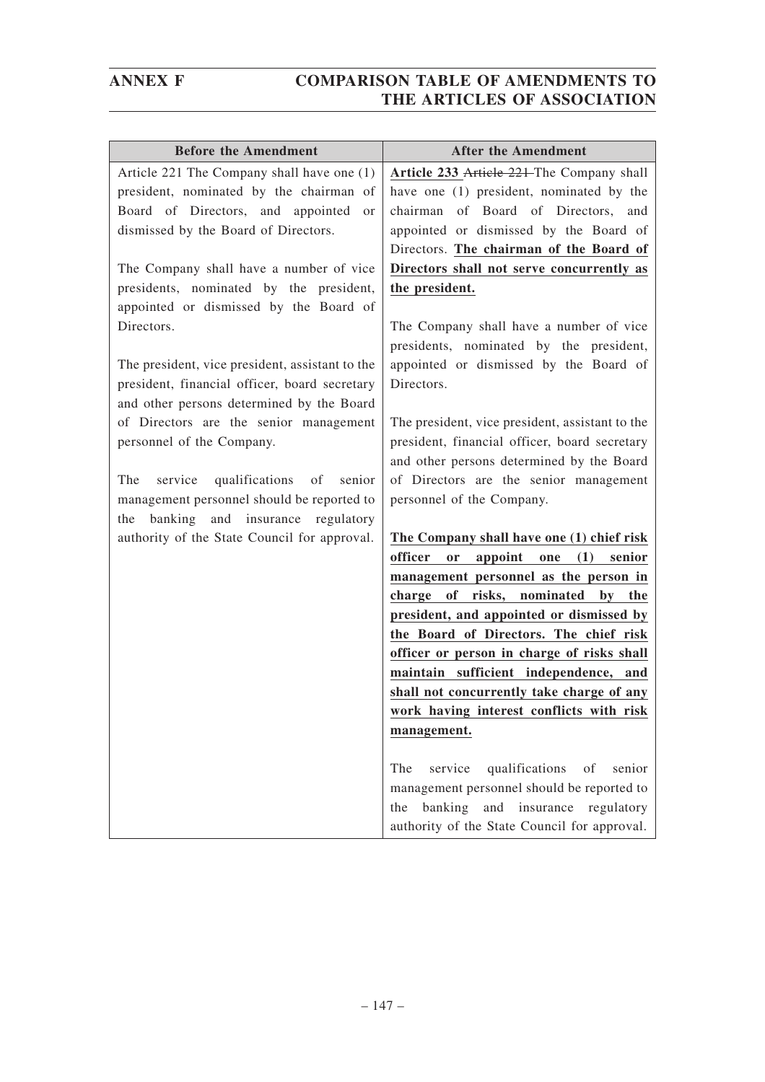| <b>Before the Amendment</b>                        | <b>After the Amendment</b>                                  |
|----------------------------------------------------|-------------------------------------------------------------|
| Article 221 The Company shall have one (1)         | Article 233 Article 221 The Company shall                   |
| president, nominated by the chairman of            | have one (1) president, nominated by the                    |
| Board of Directors, and appointed<br><sub>or</sub> | chairman of Board of Directors, and                         |
| dismissed by the Board of Directors.               | appointed or dismissed by the Board of                      |
|                                                    | Directors. The chairman of the Board of                     |
| The Company shall have a number of vice            | Directors shall not serve concurrently as                   |
| presidents, nominated by the president,            | the president.                                              |
| appointed or dismissed by the Board of             |                                                             |
| Directors.                                         | The Company shall have a number of vice                     |
|                                                    | presidents, nominated by the president,                     |
| The president, vice president, assistant to the    | appointed or dismissed by the Board of                      |
| president, financial officer, board secretary      | Directors.                                                  |
| and other persons determined by the Board          |                                                             |
| of Directors are the senior management             | The president, vice president, assistant to the             |
| personnel of the Company.                          | president, financial officer, board secretary               |
|                                                    | and other persons determined by the Board                   |
| qualifications of<br>The<br>service<br>senior      | of Directors are the senior management                      |
| management personnel should be reported to         | personnel of the Company.                                   |
| the banking and insurance regulatory               |                                                             |
| authority of the State Council for approval.       | The Company shall have one (1) chief risk                   |
|                                                    | officer<br>(1)<br>appoint<br>$\mathbf{or}$<br>one<br>senior |
|                                                    | management personnel as the person in                       |
|                                                    | charge of risks, nominated by the                           |
|                                                    | president, and appointed or dismissed by                    |
|                                                    | the Board of Directors. The chief risk                      |
|                                                    | officer or person in charge of risks shall                  |
|                                                    | maintain sufficient independence, and                       |
|                                                    | shall not concurrently take charge of any                   |
|                                                    | work having interest conflicts with risk                    |
|                                                    | management.                                                 |
|                                                    | qualifications<br>The<br>service<br>of<br>senior            |
|                                                    | management personnel should be reported to                  |
|                                                    | banking and insurance regulatory<br>the                     |
|                                                    | authority of the State Council for approval.                |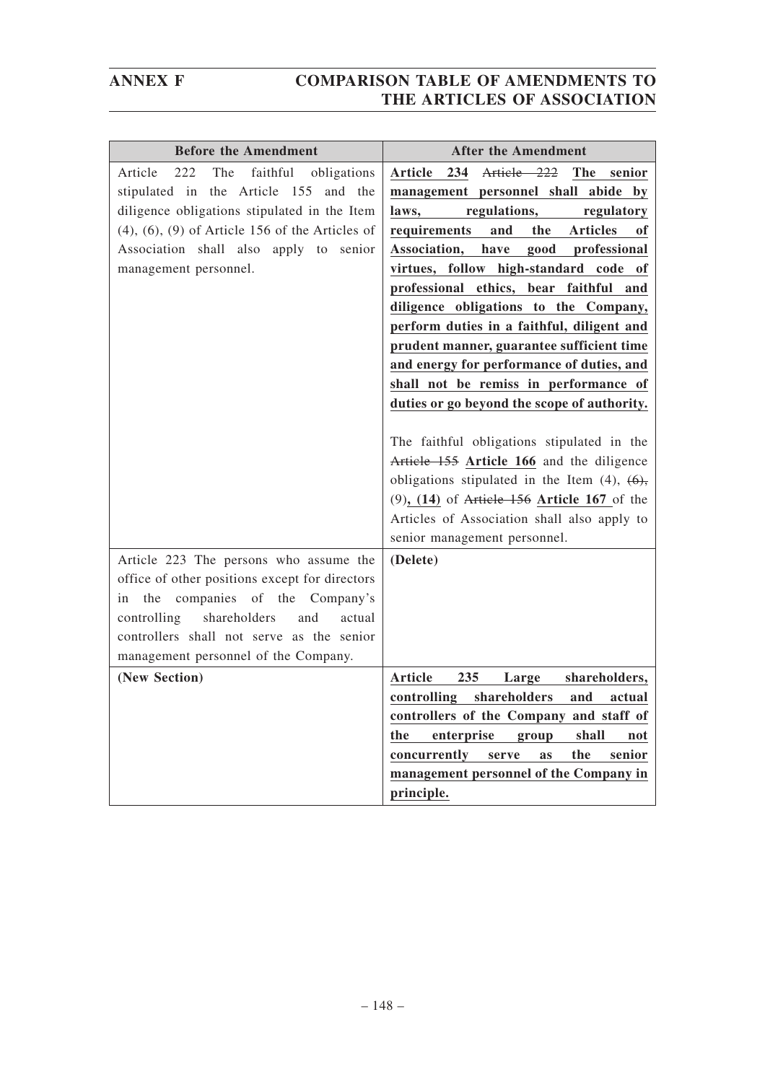| <b>Before the Amendment</b>                             | <b>After the Amendment</b>                                     |
|---------------------------------------------------------|----------------------------------------------------------------|
| 222<br>The<br>faithful<br>Article<br>obligations        | Article 222<br>Article 234<br><b>The</b><br>senior             |
| stipulated in the Article 155<br>and the                | management personnel shall abide by                            |
| diligence obligations stipulated in the Item            | regulations,<br>laws,<br>regulatory                            |
| $(4)$ , $(6)$ , $(9)$ of Article 156 of the Articles of | requirements<br>and<br>the<br><b>Articles</b><br><sub>of</sub> |
| Association shall also apply to senior                  | good professional<br>Association,<br>have                      |
| management personnel.                                   | virtues, follow high-standard code of                          |
|                                                         | professional ethics, bear faithful and                         |
|                                                         | diligence obligations to the Company,                          |
|                                                         | perform duties in a faithful, diligent and                     |
|                                                         | prudent manner, guarantee sufficient time                      |
|                                                         | and energy for performance of duties, and                      |
|                                                         | shall not be remiss in performance of                          |
|                                                         | duties or go beyond the scope of authority.                    |
|                                                         |                                                                |
|                                                         | The faithful obligations stipulated in the                     |
|                                                         | Article 155 Article 166 and the diligence                      |
|                                                         | obligations stipulated in the Item $(4)$ , $(6)$ ,             |
|                                                         | $(9)$ , $(14)$ of Article 156 Article 167 of the               |
|                                                         | Articles of Association shall also apply to                    |
|                                                         | senior management personnel.                                   |
| Article 223 The persons who assume the                  | (Delete)                                                       |
| office of other positions except for directors          |                                                                |
| companies of the Company's<br>the<br>in                 |                                                                |
| shareholders<br>controlling<br>and<br>actual            |                                                                |
| controllers shall not serve as the senior               |                                                                |
| management personnel of the Company.                    |                                                                |
| (New Section)                                           | <b>Article</b><br>235<br>Large<br>shareholders,                |
|                                                         | shareholders<br>controlling<br>and<br>actual                   |
|                                                         | controllers of the Company and staff of                        |
|                                                         | enterprise<br>the<br>group<br>shall<br>not                     |
|                                                         | concurrently<br>the<br>senior<br>serve<br><b>as</b>            |
|                                                         | management personnel of the Company in                         |
|                                                         | principle.                                                     |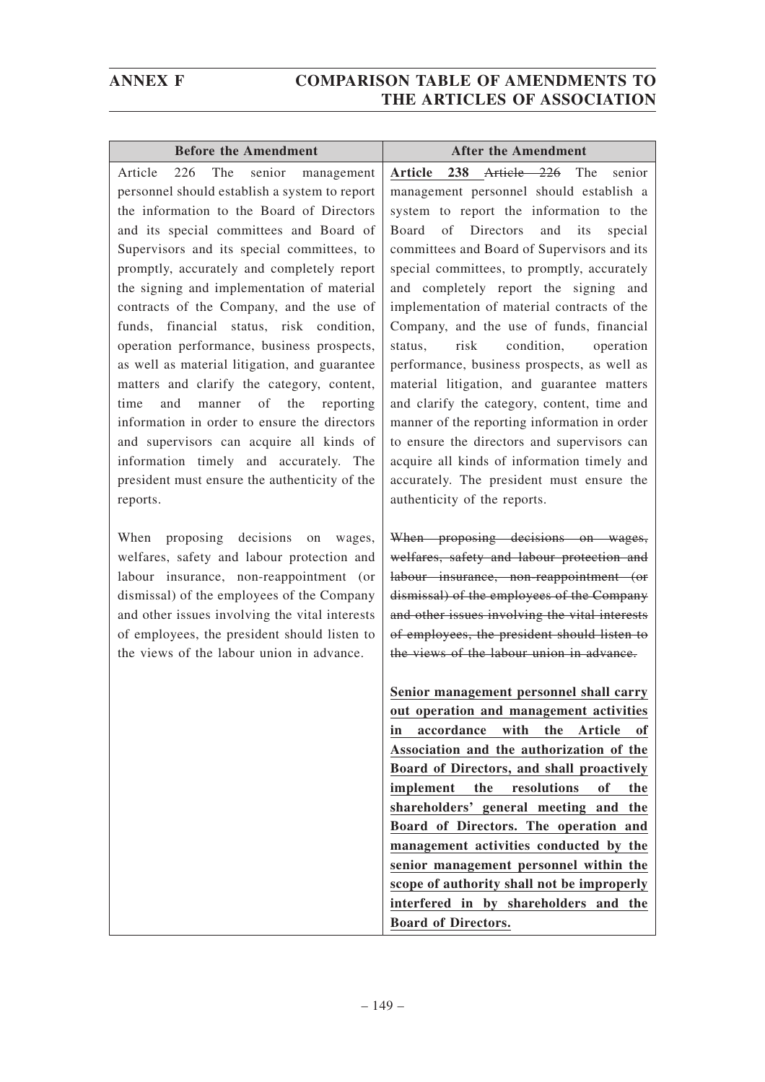| <b>Before the Amendment</b>                    | <b>After the Amendment</b>                        |
|------------------------------------------------|---------------------------------------------------|
| 226<br>The<br>Article<br>senior management     | Article 238 Article 226 The<br>senior             |
| personnel should establish a system to report  | management personnel should establish a           |
| the information to the Board of Directors      | system to report the information to the           |
| and its special committees and Board of        | Directors<br>Board<br>of<br>and<br>its<br>special |
| Supervisors and its special committees, to     | committees and Board of Supervisors and its       |
| promptly, accurately and completely report     | special committees, to promptly, accurately       |
| the signing and implementation of material     | and completely report the signing and             |
| contracts of the Company, and the use of       | implementation of material contracts of the       |
| funds, financial status, risk condition,       | Company, and the use of funds, financial          |
| operation performance, business prospects,     | risk<br>condition,<br>status,<br>operation        |
| as well as material litigation, and guarantee  | performance, business prospects, as well as       |
| matters and clarify the category, content,     | material litigation, and guarantee matters        |
| manner of the reporting<br>time<br>and         | and clarify the category, content, time and       |
| information in order to ensure the directors   | manner of the reporting information in order      |
| and supervisors can acquire all kinds of       | to ensure the directors and supervisors can       |
| information timely and accurately. The         | acquire all kinds of information timely and       |
| president must ensure the authenticity of the  | accurately. The president must ensure the         |
| reports.                                       | authenticity of the reports.                      |
| When proposing decisions on<br>wages,          | When proposing decisions on wages,                |
| welfares, safety and labour protection and     | welfares, safety and labour protection and        |
| labour insurance, non-reappointment (or        | labour insurance, non-reappointment (or           |
| dismissal) of the employees of the Company     | dismissal) of the employees of the Company        |
| and other issues involving the vital interests | and other issues involving the vital interests    |
| of employees, the president should listen to   | of employees, the president should listen to      |
| the views of the labour union in advance.      | the views of the labour union in advance.         |
|                                                | Senior management personnel shall carry           |
|                                                | out operation and management activities           |
|                                                | with<br>accordance<br>the<br>Article<br>оf<br>in  |
|                                                | Association and the authorization of the          |
|                                                | Board of Directors, and shall proactively         |
|                                                | implement<br>the<br>of<br>resolutions<br>the      |
|                                                | shareholders' general meeting and the             |
|                                                | Board of Directors. The operation and             |
|                                                | management activities conducted by the            |
|                                                | senior management personnel within the            |
|                                                | scope of authority shall not be improperly        |

**interfered in by shareholders and the**

**Board of Directors.**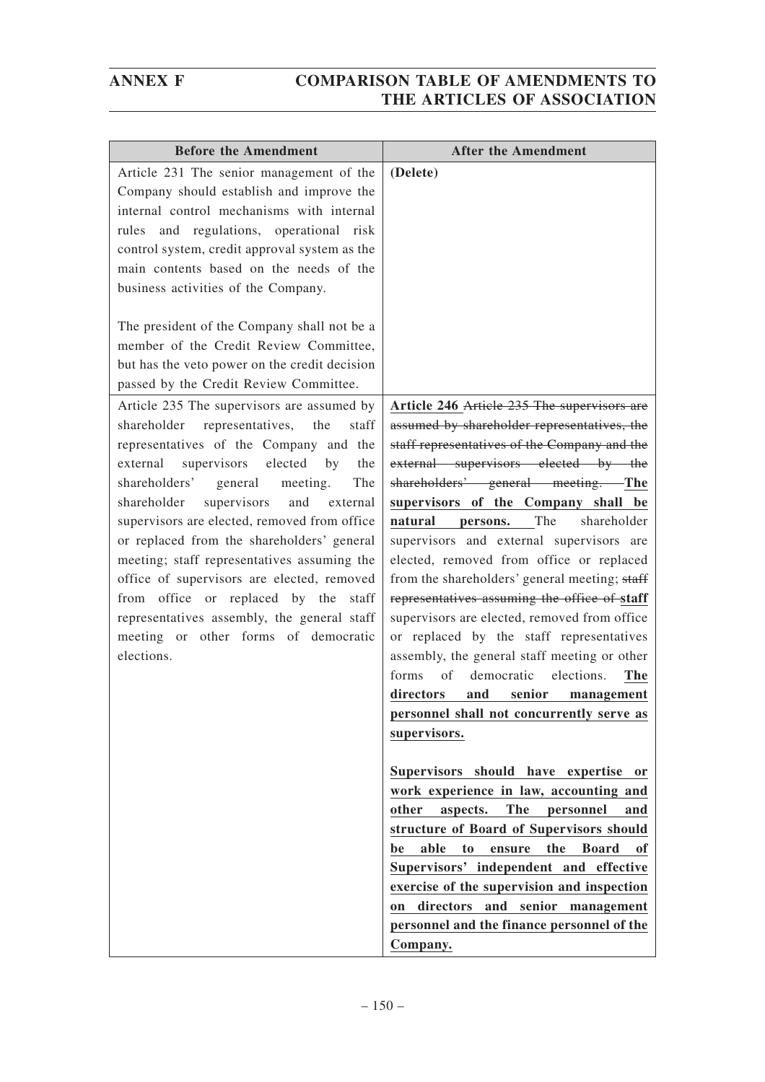| <b>Before the Amendment</b>                                                                                                                                                                                                                                                                                                                                                                                                                                                                                                                                                                                                     | <b>After the Amendment</b>                                                                                                                                                                                                                                                                                                                                                                                                                                                                                                                                                                                                                                                                                                                                                                                                                                                                                                                                                                                                                                              |
|---------------------------------------------------------------------------------------------------------------------------------------------------------------------------------------------------------------------------------------------------------------------------------------------------------------------------------------------------------------------------------------------------------------------------------------------------------------------------------------------------------------------------------------------------------------------------------------------------------------------------------|-------------------------------------------------------------------------------------------------------------------------------------------------------------------------------------------------------------------------------------------------------------------------------------------------------------------------------------------------------------------------------------------------------------------------------------------------------------------------------------------------------------------------------------------------------------------------------------------------------------------------------------------------------------------------------------------------------------------------------------------------------------------------------------------------------------------------------------------------------------------------------------------------------------------------------------------------------------------------------------------------------------------------------------------------------------------------|
| Article 231 The senior management of the<br>Company should establish and improve the<br>internal control mechanisms with internal<br>rules and regulations, operational risk<br>control system, credit approval system as the<br>main contents based on the needs of the<br>business activities of the Company.<br>The president of the Company shall not be a<br>member of the Credit Review Committee,<br>but has the veto power on the credit decision                                                                                                                                                                       | (Delete)                                                                                                                                                                                                                                                                                                                                                                                                                                                                                                                                                                                                                                                                                                                                                                                                                                                                                                                                                                                                                                                                |
| passed by the Credit Review Committee.                                                                                                                                                                                                                                                                                                                                                                                                                                                                                                                                                                                          |                                                                                                                                                                                                                                                                                                                                                                                                                                                                                                                                                                                                                                                                                                                                                                                                                                                                                                                                                                                                                                                                         |
| Article 235 The supervisors are assumed by<br>representatives,<br>the<br>shareholder<br>staff<br>representatives of the Company and the<br>supervisors elected<br>external<br>by<br>the<br>shareholders'<br>general<br>meeting.<br>The<br>supervisors<br>shareholder<br>and<br>external<br>supervisors are elected, removed from office<br>or replaced from the shareholders' general<br>meeting; staff representatives assuming the<br>office of supervisors are elected, removed<br>from office or replaced by the staff<br>representatives assembly, the general staff<br>meeting or other forms of democratic<br>elections. | Article 246 Article 235 The supervisors are<br>assumed by shareholder representatives, the<br>staff representatives of the Company and the<br>external supervisors elected by the<br>shareholders' general meeting. The<br>supervisors of the Company shall be<br>The<br>shareholder<br>natural<br>persons.<br>supervisors and external supervisors are<br>elected, removed from office or replaced<br>from the shareholders' general meeting; staff<br>representatives assuming the office of staff<br>supervisors are elected, removed from office<br>or replaced by the staff representatives<br>assembly, the general staff meeting or other<br>democratic<br>elections.<br>forms<br>of<br>The<br>senior<br>directors<br>and<br>management<br>personnel shall not concurrently serve as<br>supervisors.<br>Supervisors should have expertise or<br>work experience in law, accounting and<br>other<br><b>The</b><br>aspects.<br>personnel<br>and<br>structure of Board of Supervisors should<br>able<br>the<br><b>Board</b><br>t <sub>o</sub><br>be<br>ensure<br>0f |
|                                                                                                                                                                                                                                                                                                                                                                                                                                                                                                                                                                                                                                 | Supervisors' independent and effective<br>exercise of the supervision and inspection<br>on directors and senior management<br>personnel and the finance personnel of the<br>Company.                                                                                                                                                                                                                                                                                                                                                                                                                                                                                                                                                                                                                                                                                                                                                                                                                                                                                    |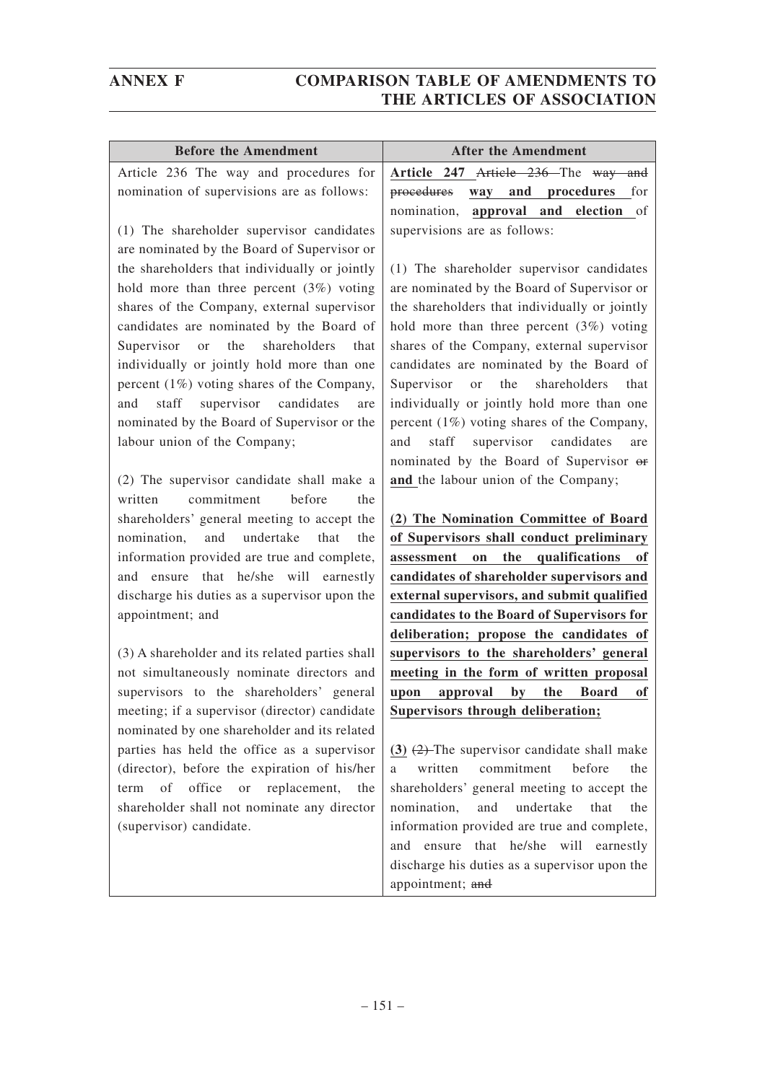| <b>Before the Amendment</b>                                            | <b>After the Amendment</b>                                                                    |
|------------------------------------------------------------------------|-----------------------------------------------------------------------------------------------|
| Article 236 The way and procedures for                                 | Article 247 Article 236 The way and                                                           |
| nomination of supervisions are as follows:                             | way and procedures<br>procedures<br>for                                                       |
|                                                                        | approval and<br>nomination,<br>election<br>of                                                 |
| (1) The shareholder supervisor candidates                              | supervisions are as follows:                                                                  |
| are nominated by the Board of Supervisor or                            |                                                                                               |
| the shareholders that individually or jointly                          | (1) The shareholder supervisor candidates                                                     |
| hold more than three percent $(3%)$ voting                             | are nominated by the Board of Supervisor or                                                   |
| shares of the Company, external supervisor                             | the shareholders that individually or jointly                                                 |
| candidates are nominated by the Board of                               | hold more than three percent $(3%)$ voting                                                    |
| the<br>shareholders<br>Supervisor<br>that<br>or                        | shares of the Company, external supervisor                                                    |
| individually or jointly hold more than one                             | candidates are nominated by the Board of                                                      |
| percent $(1%)$ voting shares of the Company,                           | the<br>shareholders<br>Supervisor<br>that<br>or or                                            |
| supervisor candidates<br>and<br>staff<br>are                           | individually or jointly hold more than one                                                    |
| nominated by the Board of Supervisor or the                            | percent (1%) voting shares of the Company,<br>staff<br>supervisor candidates<br>and           |
| labour union of the Company;                                           | are<br>nominated by the Board of Supervisor or                                                |
| (2) The supervisor candidate shall make a                              | and the labour union of the Company;                                                          |
| before<br>commitment<br>written<br>the                                 |                                                                                               |
| shareholders' general meeting to accept the                            | (2) The Nomination Committee of Board                                                         |
| undertake<br>nomination,<br>and<br>that<br>the                         | of Supervisors shall conduct preliminary                                                      |
| information provided are true and complete,                            | the qualifications<br>assessment<br>on<br>of                                                  |
| and ensure that he/she will earnestly                                  | candidates of shareholder supervisors and                                                     |
| discharge his duties as a supervisor upon the                          | external supervisors, and submit qualified                                                    |
| appointment; and                                                       | candidates to the Board of Supervisors for                                                    |
|                                                                        | deliberation; propose the candidates of                                                       |
| (3) A shareholder and its related parties shall                        | supervisors to the shareholders' general                                                      |
| not simultaneously nominate directors and                              | meeting in the form of written proposal                                                       |
| supervisors to the shareholders' general                               | upon<br>approval<br>by<br>the Board<br>of                                                     |
| meeting; if a supervisor (director) candidate                          | Supervisors through deliberation;                                                             |
| nominated by one shareholder and its related                           |                                                                                               |
| parties has held the office as a supervisor                            | (3) $(2)$ -The supervisor candidate shall make                                                |
| (director), before the expiration of his/her                           | commitment<br>before<br>written<br>the<br>a                                                   |
| office<br>of<br>replacement,<br><b>or</b><br>the<br>term               | shareholders' general meeting to accept the                                                   |
| shareholder shall not nominate any director<br>(supervisor) candidate. | nomination,<br>undertake<br>and<br>that<br>the<br>information provided are true and complete, |
|                                                                        | ensure that he/she will earnestly<br>and                                                      |
|                                                                        | discharge his duties as a supervisor upon the                                                 |
|                                                                        | appointment; and                                                                              |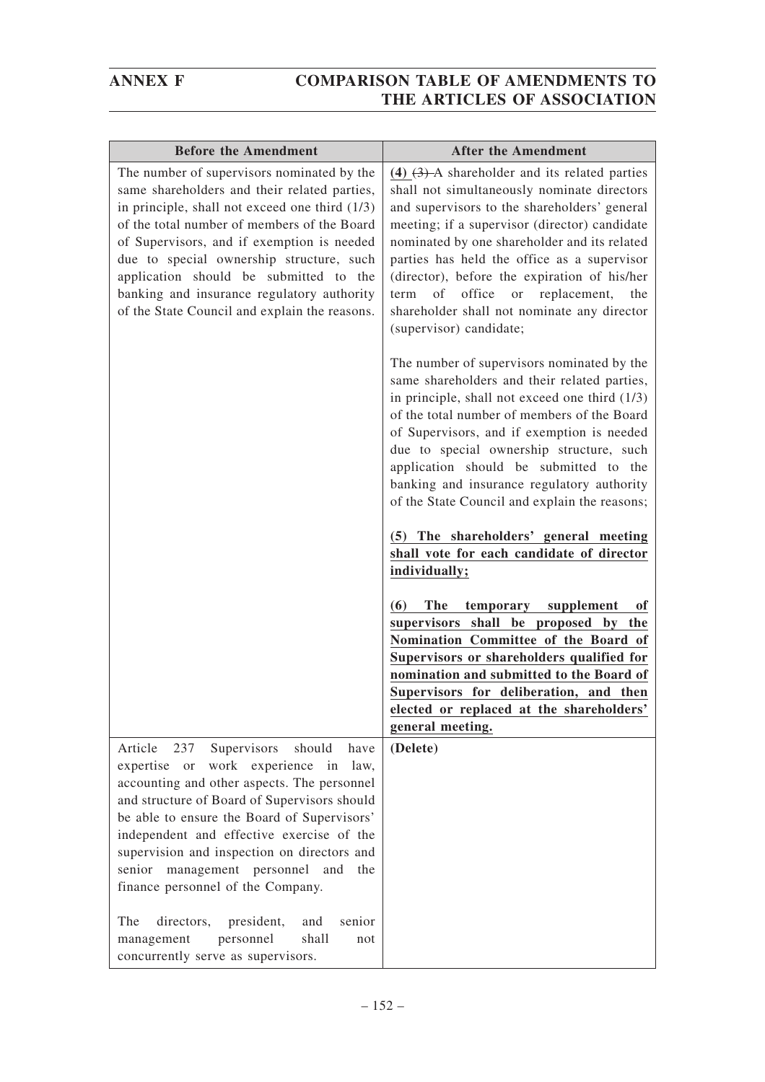| <b>Before the Amendment</b>                                                                                                                                                                                                                                                                                                                                                                                                    | <b>After the Amendment</b>                                                                                                                                                                                                                                                                                                                                                                                                                                                      |
|--------------------------------------------------------------------------------------------------------------------------------------------------------------------------------------------------------------------------------------------------------------------------------------------------------------------------------------------------------------------------------------------------------------------------------|---------------------------------------------------------------------------------------------------------------------------------------------------------------------------------------------------------------------------------------------------------------------------------------------------------------------------------------------------------------------------------------------------------------------------------------------------------------------------------|
| The number of supervisors nominated by the<br>same shareholders and their related parties,<br>in principle, shall not exceed one third (1/3)<br>of the total number of members of the Board<br>of Supervisors, and if exemption is needed<br>due to special ownership structure, such<br>application should be submitted to the<br>banking and insurance regulatory authority<br>of the State Council and explain the reasons. | $(4)$ $(3)$ A shareholder and its related parties<br>shall not simultaneously nominate directors<br>and supervisors to the shareholders' general<br>meeting; if a supervisor (director) candidate<br>nominated by one shareholder and its related<br>parties has held the office as a supervisor<br>(director), before the expiration of his/her<br>of<br>office<br>replacement,<br>term<br>the<br>or<br>shareholder shall not nominate any director<br>(supervisor) candidate; |
|                                                                                                                                                                                                                                                                                                                                                                                                                                | The number of supervisors nominated by the<br>same shareholders and their related parties,<br>in principle, shall not exceed one third $(1/3)$<br>of the total number of members of the Board<br>of Supervisors, and if exemption is needed<br>due to special ownership structure, such<br>application should be submitted to the<br>banking and insurance regulatory authority<br>of the State Council and explain the reasons;                                                |
|                                                                                                                                                                                                                                                                                                                                                                                                                                | (5) The shareholders' general meeting<br>shall vote for each candidate of director<br>individually;                                                                                                                                                                                                                                                                                                                                                                             |
|                                                                                                                                                                                                                                                                                                                                                                                                                                | (6)<br><b>The</b><br>temporary supplement<br>0ľ<br>supervisors shall be proposed by<br>the<br>Nomination Committee of the Board of<br>Supervisors or shareholders qualified for<br>nomination and submitted to the Board of<br>Supervisors for deliberation, and then<br>elected or replaced at the shareholders'<br>general meeting.                                                                                                                                           |
| Article<br>237<br>Supervisors<br>should<br>have<br>work experience in<br>expertise or<br>law,<br>accounting and other aspects. The personnel<br>and structure of Board of Supervisors should<br>be able to ensure the Board of Supervisors'<br>independent and effective exercise of the<br>supervision and inspection on directors and<br>senior management personnel and<br>the<br>finance personnel of the Company.         | (Delete)                                                                                                                                                                                                                                                                                                                                                                                                                                                                        |
| The<br>directors,<br>president,<br>and<br>senior<br>shall<br>management<br>personnel<br>not<br>concurrently serve as supervisors.                                                                                                                                                                                                                                                                                              |                                                                                                                                                                                                                                                                                                                                                                                                                                                                                 |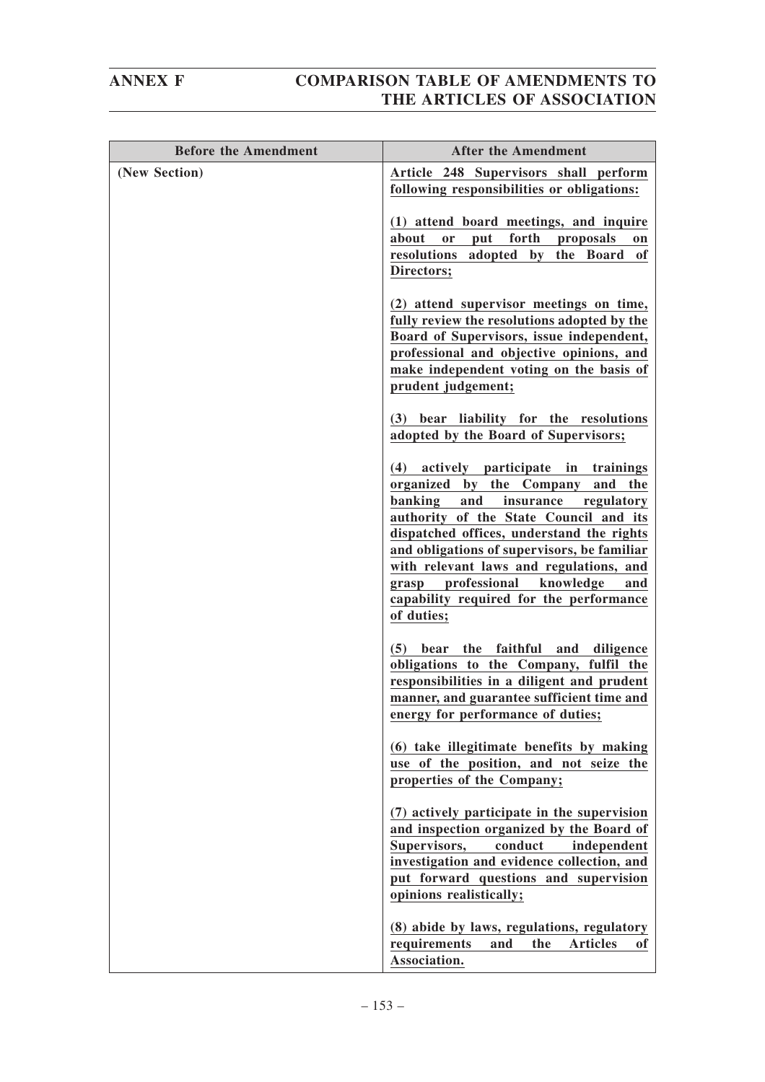| <b>Before the Amendment</b> | <b>After the Amendment</b>                                                                                                                                                                                                                                                                                                                                                                                                |
|-----------------------------|---------------------------------------------------------------------------------------------------------------------------------------------------------------------------------------------------------------------------------------------------------------------------------------------------------------------------------------------------------------------------------------------------------------------------|
| (New Section)               | Article 248 Supervisors shall perform<br>following responsibilities or obligations:                                                                                                                                                                                                                                                                                                                                       |
|                             | (1) attend board meetings, and inquire<br>forth<br>about<br>put<br><b>or</b><br>proposals<br>on<br>resolutions adopted by the Board of<br>Directors;                                                                                                                                                                                                                                                                      |
|                             | (2) attend supervisor meetings on time,<br>fully review the resolutions adopted by the<br>Board of Supervisors, issue independent,<br>professional and objective opinions, and<br>make independent voting on the basis of<br>prudent judgement;                                                                                                                                                                           |
|                             | (3) bear liability for the resolutions<br>adopted by the Board of Supervisors;                                                                                                                                                                                                                                                                                                                                            |
|                             | actively participate<br>in trainings<br>(4)<br>organized by the Company<br>and<br>the<br>banking<br>and<br>insurance<br>regulatory<br>authority of the State Council and its<br>dispatched offices, understand the rights<br>and obligations of supervisors, be familiar<br>with relevant laws and regulations, and<br>professional<br>knowledge<br>grasp<br>and<br>capability required for the performance<br>of duties; |
|                             | the faithful and diligence<br>(5)<br>bear<br>obligations to the Company, fulfil the<br>responsibilities in a diligent and prudent<br>manner, and guarantee sufficient time and<br>energy for performance of duties;                                                                                                                                                                                                       |
|                             | (6) take illegitimate benefits by making<br>use of the position, and not seize the<br>properties of the Company;                                                                                                                                                                                                                                                                                                          |
|                             | (7) actively participate in the supervision<br>and inspection organized by the Board of<br>Supervisors,<br>conduct<br>independent<br>investigation and evidence collection, and<br>put forward questions and supervision<br>opinions realistically;                                                                                                                                                                       |
|                             | (8) abide by laws, regulations, regulatory<br>requirements<br>and<br>the<br><b>Articles</b><br><sub>of</sub><br>Association.                                                                                                                                                                                                                                                                                              |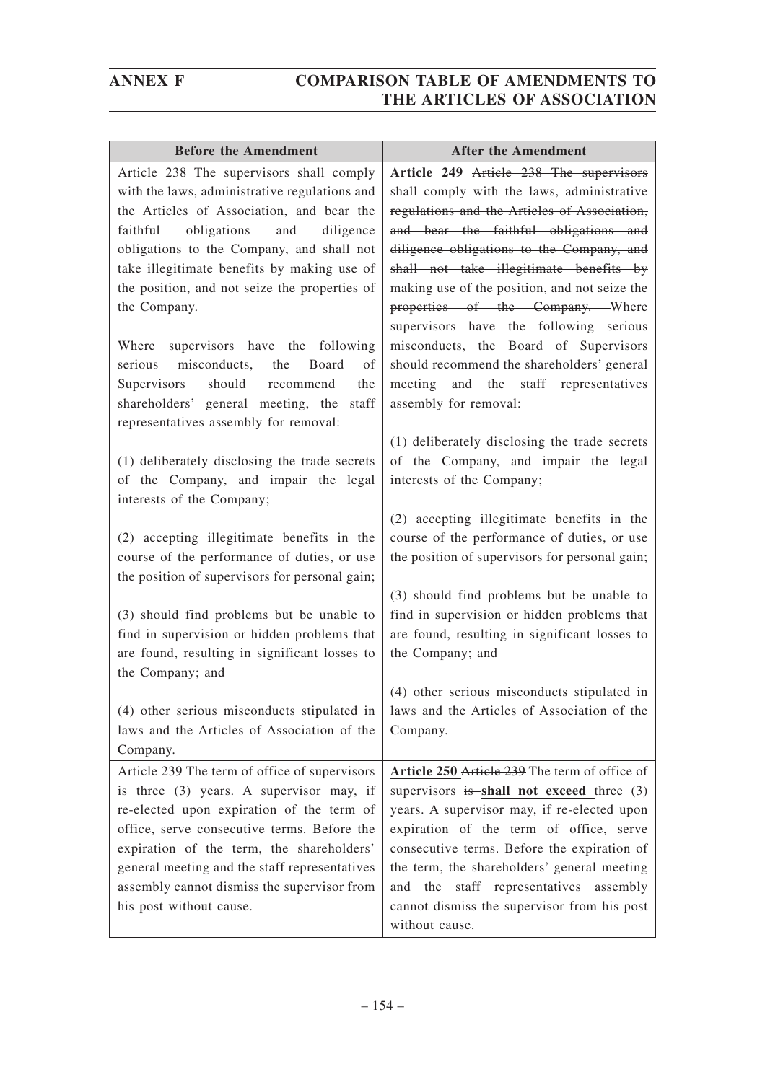| <b>Before the Amendment</b>                    | <b>After the Amendment</b>                     |
|------------------------------------------------|------------------------------------------------|
| Article 238 The supervisors shall comply       | Article 249 Article 238 The supervisors        |
| with the laws, administrative regulations and  | shall comply with the laws, administrative     |
| the Articles of Association, and bear the      | regulations and the Articles of Association,   |
| obligations<br>faithful<br>and<br>diligence    | and bear the faithful obligations and          |
| obligations to the Company, and shall not      | diligence obligations to the Company, and      |
| take illegitimate benefits by making use of    | shall not take illegitimate benefits by        |
| the position, and not seize the properties of  | making use of the position, and not seize the  |
| the Company.                                   | properties of the Company. Where               |
|                                                | supervisors have the following serious         |
| Where supervisors have the following           | misconducts, the Board of Supervisors          |
| serious misconducts,<br>the<br>Board<br>of     | should recommend the shareholders' general     |
| should recommend<br>Supervisors<br>the         | and the staff representatives<br>meeting       |
| shareholders' general meeting, the<br>staff    | assembly for removal:                          |
| representatives assembly for removal:          |                                                |
|                                                | (1) deliberately disclosing the trade secrets  |
| (1) deliberately disclosing the trade secrets  | of the Company, and impair the legal           |
| of the Company, and impair the legal           | interests of the Company;                      |
| interests of the Company;                      |                                                |
|                                                | (2) accepting illegitimate benefits in the     |
| (2) accepting illegitimate benefits in the     | course of the performance of duties, or use    |
| course of the performance of duties, or use    | the position of supervisors for personal gain; |
| the position of supervisors for personal gain; |                                                |
|                                                | (3) should find problems but be unable to      |
| (3) should find problems but be unable to      | find in supervision or hidden problems that    |
| find in supervision or hidden problems that    | are found, resulting in significant losses to  |
| are found, resulting in significant losses to  | the Company; and                               |
| the Company; and                               |                                                |
|                                                | (4) other serious misconducts stipulated in    |
| (4) other serious misconducts stipulated in    | laws and the Articles of Association of the    |
| laws and the Articles of Association of the    | Company.                                       |
| Company.                                       |                                                |
| Article 239 The term of office of supervisors  | Article 250 Article 239 The term of office of  |
| is three (3) years. A supervisor may, if       | supervisors is shall not exceed three (3)      |
| re-elected upon expiration of the term of      | years. A supervisor may, if re-elected upon    |
| office, serve consecutive terms. Before the    | expiration of the term of office, serve        |
| expiration of the term, the shareholders'      | consecutive terms. Before the expiration of    |
| general meeting and the staff representatives  | the term, the shareholders' general meeting    |
| assembly cannot dismiss the supervisor from    | and the staff representatives<br>assembly      |
| his post without cause.                        | cannot dismiss the supervisor from his post    |
|                                                | without cause.                                 |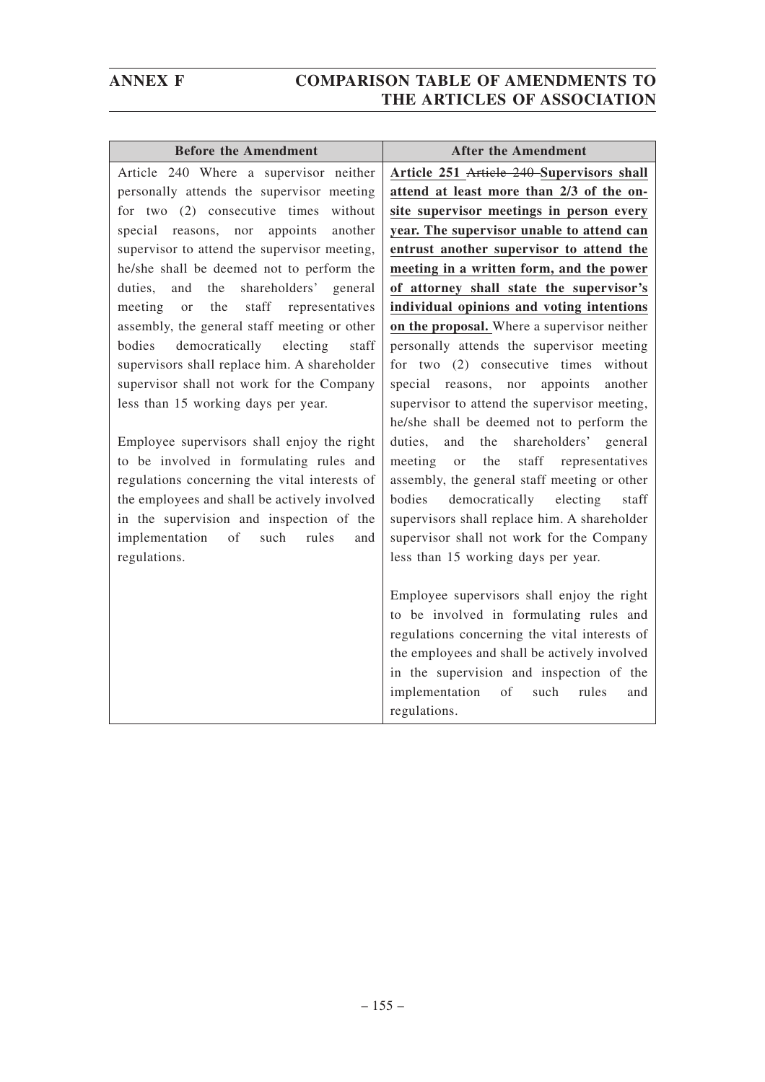| <b>Before the Amendment</b>                    | <b>After the Amendment</b>                                                                                 |
|------------------------------------------------|------------------------------------------------------------------------------------------------------------|
| Article 240 Where a supervisor neither         | Article 251 Article 240 Supervisors shall                                                                  |
| personally attends the supervisor meeting      | attend at least more than 2/3 of the on-                                                                   |
| for two $(2)$ consecutive times<br>without     | site supervisor meetings in person every                                                                   |
| appoints<br>another<br>special reasons, nor    | year. The supervisor unable to attend can                                                                  |
| supervisor to attend the supervisor meeting,   | entrust another supervisor to attend the                                                                   |
| he/she shall be deemed not to perform the      | meeting in a written form, and the power                                                                   |
| the<br>shareholders' general<br>duties,<br>and | of attorney shall state the supervisor's                                                                   |
| the<br>staff<br>representatives<br>meeting or  | individual opinions and voting intentions                                                                  |
| assembly, the general staff meeting or other   | on the proposal. Where a supervisor neither                                                                |
| democratically<br>bodies<br>electing<br>staff  | personally attends the supervisor meeting                                                                  |
| supervisors shall replace him. A shareholder   | for two $(2)$ consecutive times<br>without                                                                 |
| supervisor shall not work for the Company      | special reasons, nor appoints<br>another                                                                   |
| less than 15 working days per year.            | supervisor to attend the supervisor meeting,                                                               |
|                                                | he/she shall be deemed not to perform the                                                                  |
| Employee supervisors shall enjoy the right     | shareholders' general<br>duties,<br>and<br>the                                                             |
| to be involved in formulating rules and        | meeting<br>the<br>staff representatives<br><b>or</b>                                                       |
| regulations concerning the vital interests of  | assembly, the general staff meeting or other                                                               |
| the employees and shall be actively involved   | democratically<br>bodies<br>electing<br>staff                                                              |
| in the supervision and inspection of the       | supervisors shall replace him. A shareholder                                                               |
| implementation<br>of<br>such<br>rules<br>and   | supervisor shall not work for the Company                                                                  |
| regulations.                                   | less than 15 working days per year.                                                                        |
|                                                | Employee supervisors shall enjoy the right                                                                 |
|                                                | to be involved in formulating rules and                                                                    |
|                                                | regulations concerning the vital interests of                                                              |
|                                                |                                                                                                            |
|                                                |                                                                                                            |
|                                                | of<br>such<br>rules<br>and                                                                                 |
|                                                | regulations.                                                                                               |
|                                                | the employees and shall be actively involved<br>in the supervision and inspection of the<br>implementation |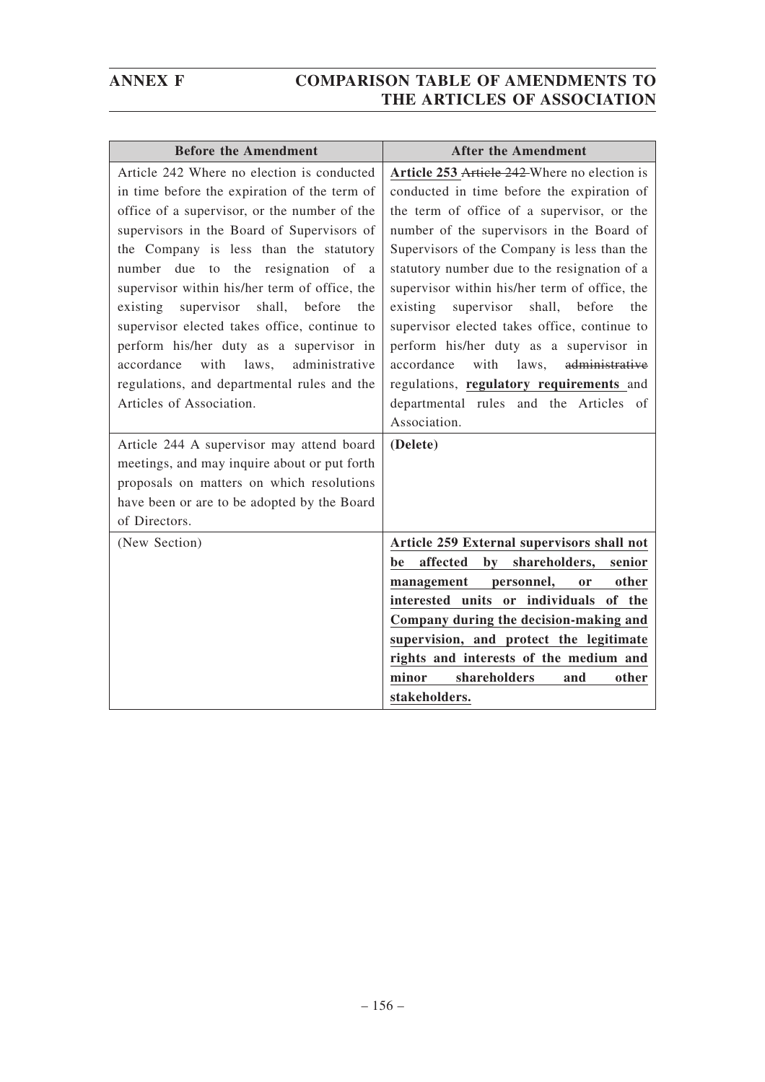| <b>Before the Amendment</b>                                  | <b>After the Amendment</b>                                      |
|--------------------------------------------------------------|-----------------------------------------------------------------|
| Article 242 Where no election is conducted                   | Article 253 Article 242 Where no election is                    |
| in time before the expiration of the term of                 | conducted in time before the expiration of                      |
| office of a supervisor, or the number of the                 | the term of office of a supervisor, or the                      |
| supervisors in the Board of Supervisors of                   | number of the supervisors in the Board of                       |
| the Company is less than the statutory                       | Supervisors of the Company is less than the                     |
| number due to the resignation of a                           | statutory number due to the resignation of a                    |
| supervisor within his/her term of office, the                | supervisor within his/her term of office, the                   |
| supervisor<br>shall,<br>before<br>existing<br>the            | shall,<br>before<br>existing<br>supervisor<br>the               |
| supervisor elected takes office, continue to                 | supervisor elected takes office, continue to                    |
| perform his/her duty as a supervisor in                      | perform his/her duty as a supervisor in                         |
| with<br>laws,<br>administrative<br>accordance                | with<br>laws,<br>administrative<br>accordance                   |
| regulations, and departmental rules and the                  | regulations, regulatory requirements and                        |
| Articles of Association.                                     | departmental rules and the Articles of<br>Association.          |
|                                                              |                                                                 |
| Article 244 A supervisor may attend board                    | (Delete)                                                        |
| meetings, and may inquire about or put forth                 |                                                                 |
| proposals on matters on which resolutions                    |                                                                 |
| have been or are to be adopted by the Board<br>of Directors. |                                                                 |
|                                                              |                                                                 |
| (New Section)                                                | Article 259 External supervisors shall not<br>affected<br>by    |
|                                                              | shareholders,<br>senior<br>be<br>other<br><b>or</b>             |
|                                                              | management personnel,<br>interested units or individuals of the |
|                                                              | Company during the decision-making and                          |
|                                                              | supervision, and protect the legitimate                         |
|                                                              | rights and interests of the medium and                          |
|                                                              | minor<br>shareholders<br>and<br>other                           |
|                                                              | stakeholders.                                                   |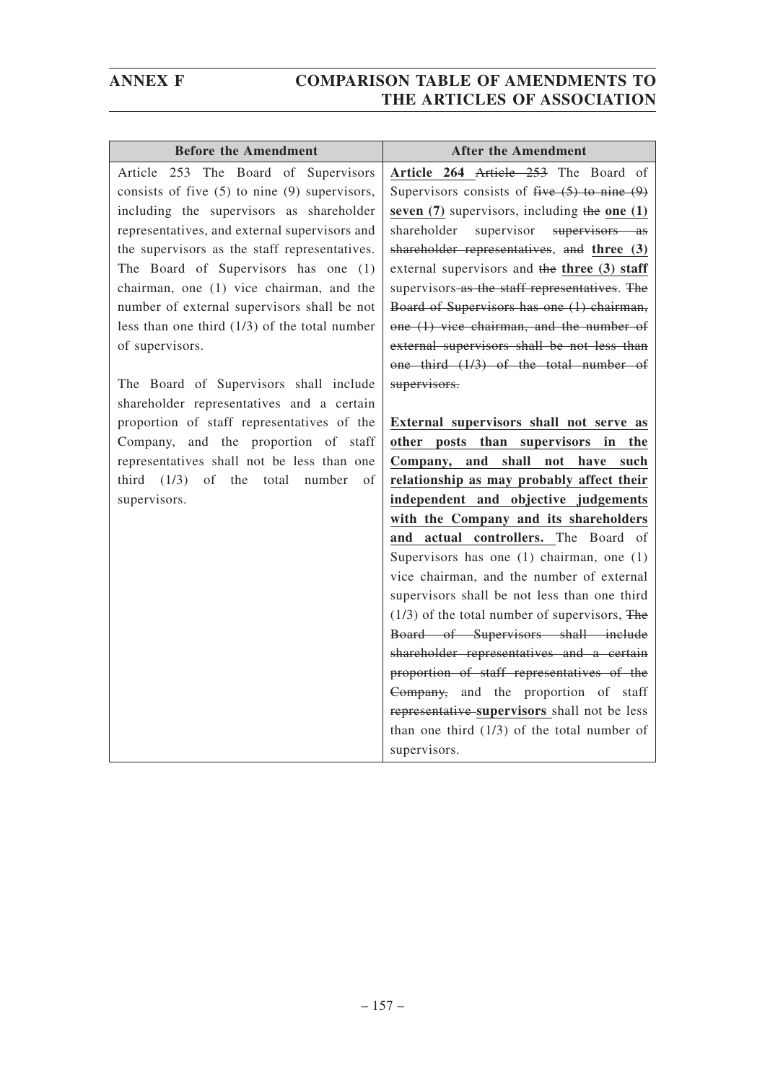| <b>Before the Amendment</b>                       | <b>After the Amendment</b>                       |
|---------------------------------------------------|--------------------------------------------------|
| Article 253 The Board of Supervisors              | Article 264 Article 253 The Board of             |
| consists of five $(5)$ to nine $(9)$ supervisors, | Supervisors consists of five $(5)$ to nine $(9)$ |
| including the supervisors as shareholder          | seven $(7)$ supervisors, including the one $(1)$ |
| representatives, and external supervisors and     | shareholder<br>supervisor supervisors as         |
| the supervisors as the staff representatives.     | shareholder representatives, and three (3)       |
| The Board of Supervisors has one (1)              | external supervisors and the three (3) staff     |
| chairman, one (1) vice chairman, and the          | supervisors as the staff representatives. The    |
| number of external supervisors shall be not       | Board of Supervisors has one (1) chairman,       |
| less than one third $(1/3)$ of the total number   | one (1) vice chairman, and the number of         |
| of supervisors.                                   | external supervisors shall be not less than      |
|                                                   | one third (1/3) of the total number of           |
| The Board of Supervisors shall include            | supervisors.                                     |
| shareholder representatives and a certain         |                                                  |
| proportion of staff representatives of the        | External supervisors shall not serve as          |
| Company, and the proportion of staff              | other posts than supervisors in the              |
| representatives shall not be less than one        | Company, and shall not have such                 |
| third $(1/3)$ of the total number<br>of           | relationship as may probably affect their        |
| supervisors.                                      | independent and objective judgements             |
|                                                   | with the Company and its shareholders            |
|                                                   | actual controllers. The Board of<br>and          |
|                                                   | Supervisors has one $(1)$ chairman, one $(1)$    |
|                                                   | vice chairman, and the number of external        |
|                                                   | supervisors shall be not less than one third     |
|                                                   | $(1/3)$ of the total number of supervisors, The  |
|                                                   | Board of Supervisors shall include               |
|                                                   | shareholder representatives and a certain        |
|                                                   | proportion of staff representatives of the       |
|                                                   | Company, and the proportion of staff             |
|                                                   | representative supervisors shall not be less     |
|                                                   | than one third $(1/3)$ of the total number of    |
|                                                   | supervisors.                                     |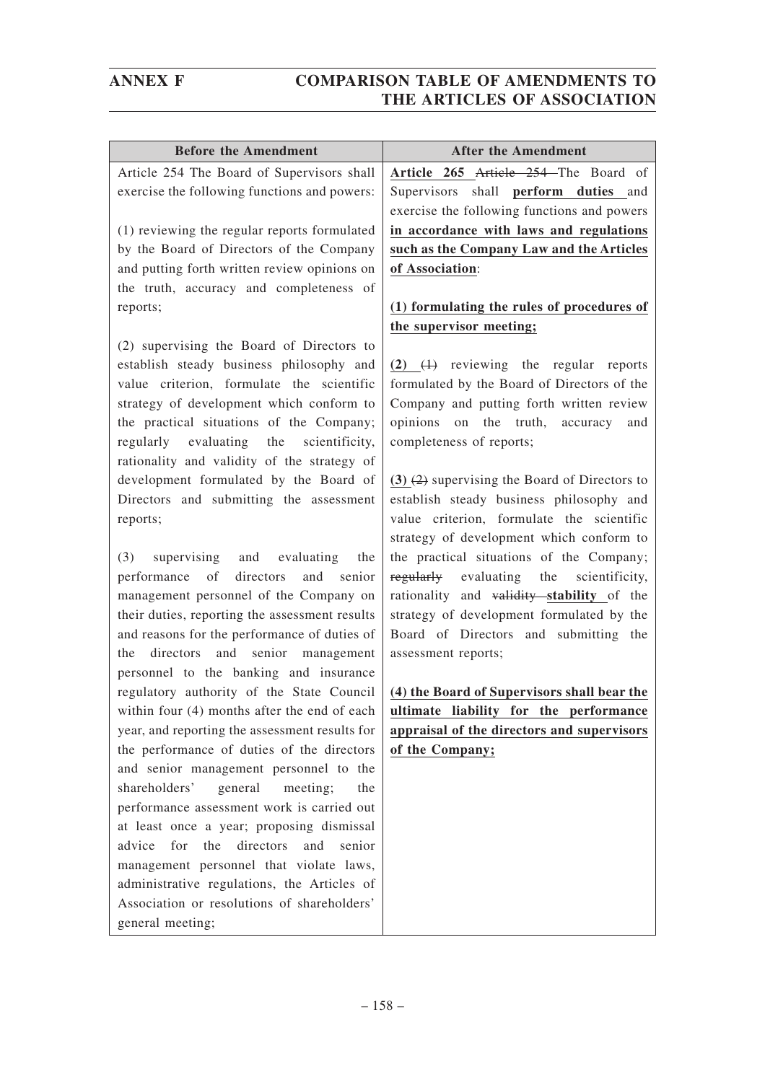| <b>Before the Amendment</b>                              | <b>After the Amendment</b>                                                           |
|----------------------------------------------------------|--------------------------------------------------------------------------------------|
| Article 254 The Board of Supervisors shall               | Article 265 Article 254 The Board of                                                 |
| exercise the following functions and powers:             | Supervisors shall perform duties and                                                 |
|                                                          | exercise the following functions and powers                                          |
| (1) reviewing the regular reports formulated             | in accordance with laws and regulations                                              |
| by the Board of Directors of the Company                 | such as the Company Law and the Articles                                             |
| and putting forth written review opinions on             | of Association:                                                                      |
| the truth, accuracy and completeness of                  |                                                                                      |
| reports;                                                 | (1) formulating the rules of procedures of                                           |
|                                                          | the supervisor meeting;                                                              |
| (2) supervising the Board of Directors to                |                                                                                      |
| establish steady business philosophy and                 | $(2)$ $(1)$ reviewing the regular reports                                            |
| value criterion, formulate the scientific                | formulated by the Board of Directors of the                                          |
| strategy of development which conform to                 | Company and putting forth written review                                             |
| the practical situations of the Company;                 | opinions on the truth, accuracy<br>and                                               |
| regularly evaluating the<br>scientificity,               | completeness of reports;                                                             |
| rationality and validity of the strategy of              |                                                                                      |
| development formulated by the Board of                   | $(3)$ $(2)$ supervising the Board of Directors to                                    |
| Directors and submitting the assessment                  | establish steady business philosophy and                                             |
| reports;                                                 | value criterion, formulate the scientific                                            |
| (3)<br>and evaluating<br>the                             | strategy of development which conform to<br>the practical situations of the Company; |
| supervising<br>directors<br>performance of<br>and senior | regularly evaluating the scientificity,                                              |
| management personnel of the Company on                   | rationality and validity stability of the                                            |
| their duties, reporting the assessment results           | strategy of development formulated by the                                            |
| and reasons for the performance of duties of             | Board of Directors and submitting the                                                |
| directors and senior management<br>the                   | assessment reports;                                                                  |
| personnel to the banking and insurance                   |                                                                                      |
| regulatory authority of the State Council                | (4) the Board of Supervisors shall bear the                                          |
| within four (4) months after the end of each             | ultimate liability for the performance                                               |
| year, and reporting the assessment results for           | appraisal of the directors and supervisors                                           |
| the performance of duties of the directors               | of the Company;                                                                      |
| and senior management personnel to the                   |                                                                                      |
| shareholders'<br>general<br>meeting;<br>the              |                                                                                      |
| performance assessment work is carried out               |                                                                                      |
| at least once a year; proposing dismissal                |                                                                                      |
| for<br>the<br>directors<br>advice<br>and<br>senior       |                                                                                      |
| management personnel that violate laws,                  |                                                                                      |
| administrative regulations, the Articles of              |                                                                                      |
| Association or resolutions of shareholders'              |                                                                                      |
| general meeting;                                         |                                                                                      |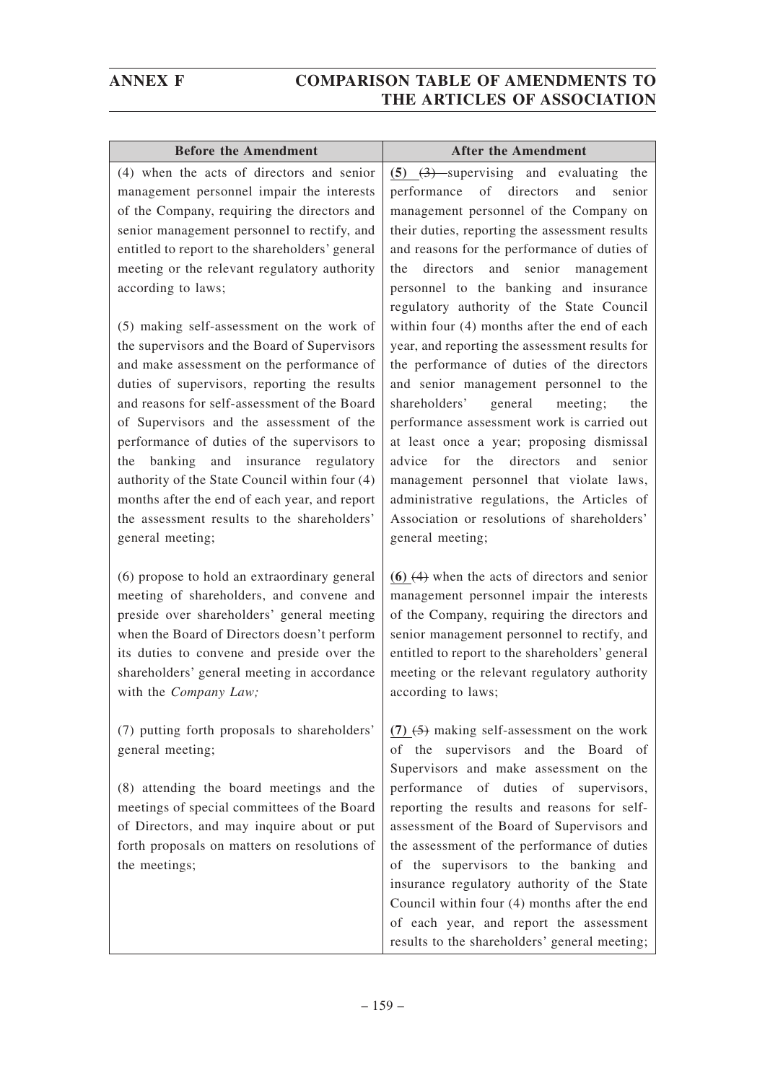| <b>Before the Amendment</b>                                                                                                                                                                                                                                                                                                                                                                                                                                                                                                                                                                                                                                                                                                                                                                                                                     | <b>After the Amendment</b>                                                                                                                                                                                                                                                                                                                                                                                                                                                                                                                                                                                                                                                                                                                                                                                                                                                                              |
|-------------------------------------------------------------------------------------------------------------------------------------------------------------------------------------------------------------------------------------------------------------------------------------------------------------------------------------------------------------------------------------------------------------------------------------------------------------------------------------------------------------------------------------------------------------------------------------------------------------------------------------------------------------------------------------------------------------------------------------------------------------------------------------------------------------------------------------------------|---------------------------------------------------------------------------------------------------------------------------------------------------------------------------------------------------------------------------------------------------------------------------------------------------------------------------------------------------------------------------------------------------------------------------------------------------------------------------------------------------------------------------------------------------------------------------------------------------------------------------------------------------------------------------------------------------------------------------------------------------------------------------------------------------------------------------------------------------------------------------------------------------------|
| (4) when the acts of directors and senior<br>management personnel impair the interests<br>of the Company, requiring the directors and<br>senior management personnel to rectify, and<br>entitled to report to the shareholders' general<br>meeting or the relevant regulatory authority<br>according to laws;<br>(5) making self-assessment on the work of<br>the supervisors and the Board of Supervisors<br>and make assessment on the performance of<br>duties of supervisors, reporting the results<br>and reasons for self-assessment of the Board<br>of Supervisors and the assessment of the<br>performance of duties of the supervisors to<br>banking and insurance regulatory<br>the<br>authority of the State Council within four (4)<br>months after the end of each year, and report<br>the assessment results to the shareholders' | $(5)$ $(3)$ supervising and evaluating the<br>of directors<br>and<br>senior<br>performance<br>management personnel of the Company on<br>their duties, reporting the assessment results<br>and reasons for the performance of duties of<br>directors and senior management<br>the<br>personnel to the banking and insurance<br>regulatory authority of the State Council<br>within four (4) months after the end of each<br>year, and reporting the assessment results for<br>the performance of duties of the directors<br>and senior management personnel to the<br>shareholders'<br>general meeting;<br>the<br>performance assessment work is carried out<br>at least once a year; proposing dismissal<br>directors<br>advice<br>for<br>the<br>and<br>senior<br>management personnel that violate laws,<br>administrative regulations, the Articles of<br>Association or resolutions of shareholders' |
| general meeting;<br>(6) propose to hold an extraordinary general<br>meeting of shareholders, and convene and<br>preside over shareholders' general meeting<br>when the Board of Directors doesn't perform<br>its duties to convene and preside over the<br>shareholders' general meeting in accordance<br>with the Company Law;                                                                                                                                                                                                                                                                                                                                                                                                                                                                                                                 | general meeting;<br>$(6)$ $(4)$ when the acts of directors and senior<br>management personnel impair the interests<br>of the Company, requiring the directors and<br>senior management personnel to rectify, and<br>entitled to report to the shareholders' general<br>meeting or the relevant regulatory authority<br>according to laws;                                                                                                                                                                                                                                                                                                                                                                                                                                                                                                                                                               |
| (7) putting forth proposals to shareholders'<br>general meeting;<br>(8) attending the board meetings and the<br>meetings of special committees of the Board<br>of Directors, and may inquire about or put<br>forth proposals on matters on resolutions of<br>the meetings;                                                                                                                                                                                                                                                                                                                                                                                                                                                                                                                                                                      | $(7)$ $(5)$ making self-assessment on the work<br>of the supervisors and the Board of<br>Supervisors and make assessment on the<br>performance of duties of supervisors,<br>reporting the results and reasons for self-<br>assessment of the Board of Supervisors and<br>the assessment of the performance of duties<br>of the supervisors to the banking and<br>insurance regulatory authority of the State<br>Council within four (4) months after the end<br>of each year, and report the assessment<br>results to the shareholders' general meeting;                                                                                                                                                                                                                                                                                                                                                |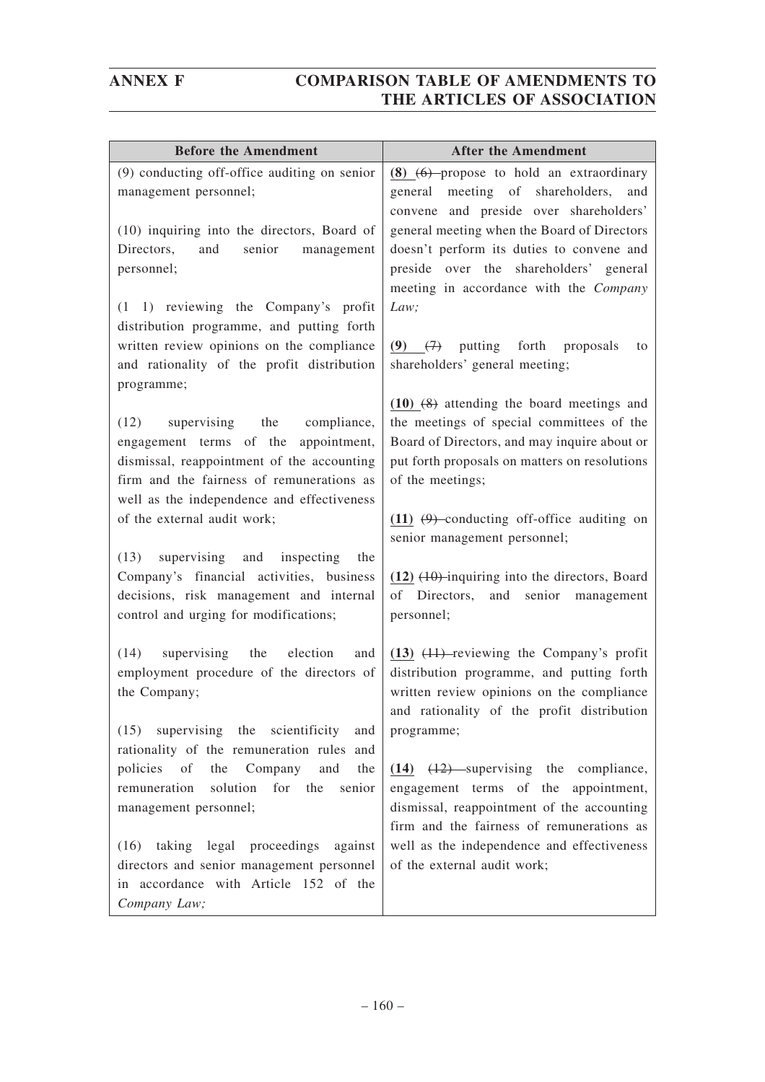| <b>Before the Amendment</b>                                                                                                                                                                                          | <b>After the Amendment</b>                                                                                                                                                                                      |
|----------------------------------------------------------------------------------------------------------------------------------------------------------------------------------------------------------------------|-----------------------------------------------------------------------------------------------------------------------------------------------------------------------------------------------------------------|
| (9) conducting off-office auditing on senior<br>management personnel;                                                                                                                                                | $(8)$ $(6)$ -propose to hold an extraordinary<br>meeting of shareholders,<br>general<br>and<br>convene and preside over shareholders'                                                                           |
| (10) inquiring into the directors, Board of<br>senior<br>and<br>Directors,<br>management<br>personnel;                                                                                                               | general meeting when the Board of Directors<br>doesn't perform its duties to convene and<br>preside over the shareholders' general<br>meeting in accordance with the Company                                    |
| (1 1) reviewing the Company's profit<br>distribution programme, and putting forth<br>written review opinions on the compliance<br>and rationality of the profit distribution<br>programme;                           | Law;<br>$(9)$ $(7)$<br>putting forth proposals<br>to<br>shareholders' general meeting;                                                                                                                          |
| (12)<br>supervising the compliance,<br>engagement terms of the appointment,<br>dismissal, reappointment of the accounting<br>firm and the fairness of remunerations as<br>well as the independence and effectiveness | $(10)$ $(8)$ attending the board meetings and<br>the meetings of special committees of the<br>Board of Directors, and may inquire about or<br>put forth proposals on matters on resolutions<br>of the meetings; |
| of the external audit work;                                                                                                                                                                                          | (11) $(9)$ -conducting off-office auditing on<br>senior management personnel;                                                                                                                                   |
| (13)<br>supervising and inspecting<br>the<br>Company's financial activities, business<br>decisions, risk management and internal<br>control and urging for modifications;                                            | $(12)$ $(10)$ -inquiring into the directors, Board<br>of Directors, and senior management<br>personnel;                                                                                                         |
| (14)<br>supervising<br>the<br>election<br>and<br>employment procedure of the directors of<br>the Company;                                                                                                            | $(13)$ $(11)$ -reviewing the Company's profit<br>distribution programme, and putting forth<br>written review opinions on the compliance<br>and rationality of the profit distribution                           |
| (15) supervising the scientificity<br>and<br>rationality of the remuneration rules and                                                                                                                               | programme;                                                                                                                                                                                                      |
| policies of<br>the Company and<br>the<br>solution<br>remuneration<br>for the<br>senior<br>management personnel;                                                                                                      | $(14)$ $(12)$ supervising the compliance,<br>engagement terms of the appointment,<br>dismissal, reappointment of the accounting<br>firm and the fairness of remunerations as                                    |
| (16) taking legal proceedings against<br>directors and senior management personnel<br>in accordance with Article 152 of the<br>Company Law;                                                                          | well as the independence and effectiveness<br>of the external audit work;                                                                                                                                       |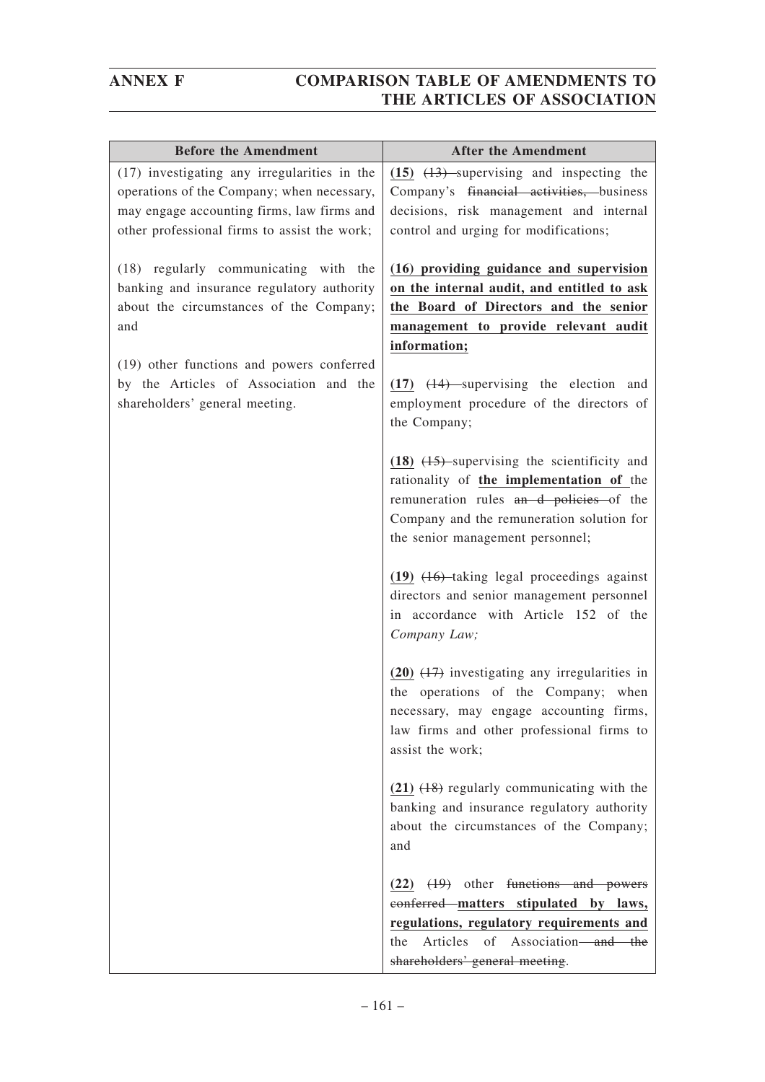| <b>Before the Amendment</b>                                                                                                                                                                                                                                    | <b>After the Amendment</b>                                                                                                                                                                                                                                                                       |
|----------------------------------------------------------------------------------------------------------------------------------------------------------------------------------------------------------------------------------------------------------------|--------------------------------------------------------------------------------------------------------------------------------------------------------------------------------------------------------------------------------------------------------------------------------------------------|
| (17) investigating any irregularities in the<br>operations of the Company; when necessary,<br>may engage accounting firms, law firms and<br>other professional firms to assist the work;                                                                       | $(15)$ $(13)$ supervising and inspecting the<br>Company's financial activities, business<br>decisions, risk management and internal<br>control and urging for modifications;                                                                                                                     |
| (18) regularly communicating with the<br>banking and insurance regulatory authority<br>about the circumstances of the Company;<br>and<br>(19) other functions and powers conferred<br>by the Articles of Association and the<br>shareholders' general meeting. | (16) providing guidance and supervision<br>on the internal audit, and entitled to ask<br>the Board of Directors and the senior<br>management to provide relevant audit<br>information;<br>$(17)$ $(14)$ supervising the election and<br>employment procedure of the directors of<br>the Company; |
|                                                                                                                                                                                                                                                                | $(18)$ $(15)$ -supervising the scientificity and<br>rationality of the implementation of the<br>remuneration rules an d-policies of the<br>Company and the remuneration solution for<br>the senior management personnel;                                                                         |
|                                                                                                                                                                                                                                                                | $(19)$ $(16)$ taking legal proceedings against<br>directors and senior management personnel<br>in accordance with Article 152 of the<br>Company Law;                                                                                                                                             |
|                                                                                                                                                                                                                                                                | $(20)$ $(17)$ investigating any irregularities in<br>the operations of the Company; when<br>necessary, may engage accounting firms,<br>law firms and other professional firms to<br>assist the work;                                                                                             |
|                                                                                                                                                                                                                                                                | $(21)$ $(18)$ regularly communicating with the<br>banking and insurance regulatory authority<br>about the circumstances of the Company;<br>and                                                                                                                                                   |
|                                                                                                                                                                                                                                                                | $(22)$ $(19)$ other functions and powers<br>conferred matters stipulated by laws,<br>regulations, regulatory requirements and<br>Articles of Association—and the<br>the<br>shareholders' general meeting.                                                                                        |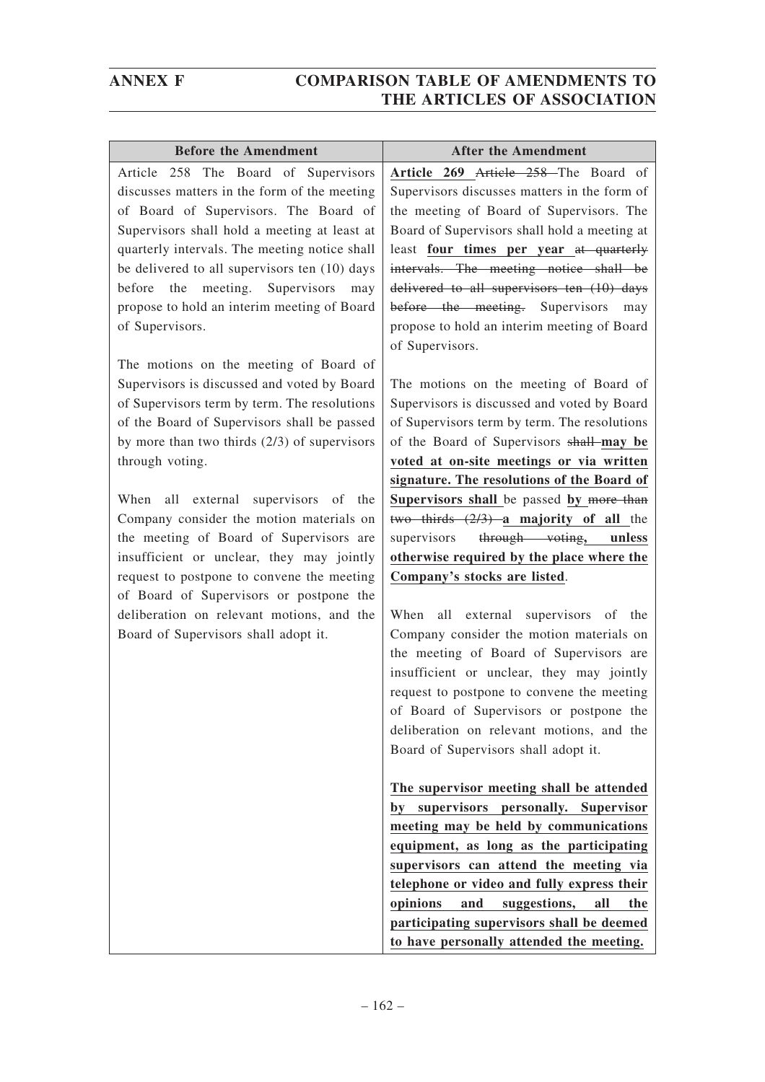| <b>Before the Amendment</b>                    | <b>After the Amendment</b>                                                                                                                                                                                                                                                                                                                                                                                                                                                                                                                 |
|------------------------------------------------|--------------------------------------------------------------------------------------------------------------------------------------------------------------------------------------------------------------------------------------------------------------------------------------------------------------------------------------------------------------------------------------------------------------------------------------------------------------------------------------------------------------------------------------------|
| Article 258 The Board of Supervisors           | Article 269 Article 258 The Board of                                                                                                                                                                                                                                                                                                                                                                                                                                                                                                       |
| discusses matters in the form of the meeting   | Supervisors discusses matters in the form of                                                                                                                                                                                                                                                                                                                                                                                                                                                                                               |
| of Board of Supervisors. The Board of          | the meeting of Board of Supervisors. The                                                                                                                                                                                                                                                                                                                                                                                                                                                                                                   |
| Supervisors shall hold a meeting at least at   | Board of Supervisors shall hold a meeting at                                                                                                                                                                                                                                                                                                                                                                                                                                                                                               |
| quarterly intervals. The meeting notice shall  | least four times per year at quarterly                                                                                                                                                                                                                                                                                                                                                                                                                                                                                                     |
| be delivered to all supervisors ten (10) days  | intervals. The meeting notice shall be                                                                                                                                                                                                                                                                                                                                                                                                                                                                                                     |
| before the meeting. Supervisors<br>may         | delivered to all supervisors ten (10) days                                                                                                                                                                                                                                                                                                                                                                                                                                                                                                 |
| propose to hold an interim meeting of Board    | before the meeting. Supervisors<br>may                                                                                                                                                                                                                                                                                                                                                                                                                                                                                                     |
| of Supervisors.                                | propose to hold an interim meeting of Board                                                                                                                                                                                                                                                                                                                                                                                                                                                                                                |
|                                                | of Supervisors.                                                                                                                                                                                                                                                                                                                                                                                                                                                                                                                            |
| The motions on the meeting of Board of         |                                                                                                                                                                                                                                                                                                                                                                                                                                                                                                                                            |
| Supervisors is discussed and voted by Board    | The motions on the meeting of Board of                                                                                                                                                                                                                                                                                                                                                                                                                                                                                                     |
| of Supervisors term by term. The resolutions   | Supervisors is discussed and voted by Board                                                                                                                                                                                                                                                                                                                                                                                                                                                                                                |
| of the Board of Supervisors shall be passed    | of Supervisors term by term. The resolutions                                                                                                                                                                                                                                                                                                                                                                                                                                                                                               |
| by more than two thirds $(2/3)$ of supervisors | of the Board of Supervisors shall-may be                                                                                                                                                                                                                                                                                                                                                                                                                                                                                                   |
| through voting.                                | voted at on-site meetings or via written                                                                                                                                                                                                                                                                                                                                                                                                                                                                                                   |
|                                                | signature. The resolutions of the Board of                                                                                                                                                                                                                                                                                                                                                                                                                                                                                                 |
| When all external supervisors of the           | Supervisors shall be passed by more than                                                                                                                                                                                                                                                                                                                                                                                                                                                                                                   |
| Company consider the motion materials on       | two thirds $(2/3)$ a majority of all the                                                                                                                                                                                                                                                                                                                                                                                                                                                                                                   |
| the meeting of Board of Supervisors are        | supervisors<br>through voting,<br>unless                                                                                                                                                                                                                                                                                                                                                                                                                                                                                                   |
| insufficient or unclear, they may jointly      | otherwise required by the place where the                                                                                                                                                                                                                                                                                                                                                                                                                                                                                                  |
| request to postpone to convene the meeting     | Company's stocks are listed.                                                                                                                                                                                                                                                                                                                                                                                                                                                                                                               |
| of Board of Supervisors or postpone the        |                                                                                                                                                                                                                                                                                                                                                                                                                                                                                                                                            |
| deliberation on relevant motions, and the      | all<br>external supervisors of the<br>When                                                                                                                                                                                                                                                                                                                                                                                                                                                                                                 |
| Board of Supervisors shall adopt it.           | Company consider the motion materials on                                                                                                                                                                                                                                                                                                                                                                                                                                                                                                   |
|                                                | the meeting of Board of Supervisors are                                                                                                                                                                                                                                                                                                                                                                                                                                                                                                    |
|                                                | insufficient or unclear, they may jointly                                                                                                                                                                                                                                                                                                                                                                                                                                                                                                  |
|                                                | request to postpone to convene the meeting                                                                                                                                                                                                                                                                                                                                                                                                                                                                                                 |
|                                                |                                                                                                                                                                                                                                                                                                                                                                                                                                                                                                                                            |
|                                                |                                                                                                                                                                                                                                                                                                                                                                                                                                                                                                                                            |
|                                                |                                                                                                                                                                                                                                                                                                                                                                                                                                                                                                                                            |
|                                                |                                                                                                                                                                                                                                                                                                                                                                                                                                                                                                                                            |
|                                                |                                                                                                                                                                                                                                                                                                                                                                                                                                                                                                                                            |
|                                                |                                                                                                                                                                                                                                                                                                                                                                                                                                                                                                                                            |
|                                                |                                                                                                                                                                                                                                                                                                                                                                                                                                                                                                                                            |
|                                                |                                                                                                                                                                                                                                                                                                                                                                                                                                                                                                                                            |
|                                                |                                                                                                                                                                                                                                                                                                                                                                                                                                                                                                                                            |
|                                                |                                                                                                                                                                                                                                                                                                                                                                                                                                                                                                                                            |
|                                                |                                                                                                                                                                                                                                                                                                                                                                                                                                                                                                                                            |
|                                                |                                                                                                                                                                                                                                                                                                                                                                                                                                                                                                                                            |
|                                                | of Board of Supervisors or postpone the<br>deliberation on relevant motions, and the<br>Board of Supervisors shall adopt it.<br>The supervisor meeting shall be attended<br>supervisors personally. Supervisor<br>by<br>meeting may be held by communications<br>equipment, as long as the participating<br>supervisors can attend the meeting via<br>telephone or video and fully express their<br>opinions<br>suggestions,<br>and<br>all<br>the<br>participating supervisors shall be deemed<br>to have personally attended the meeting. |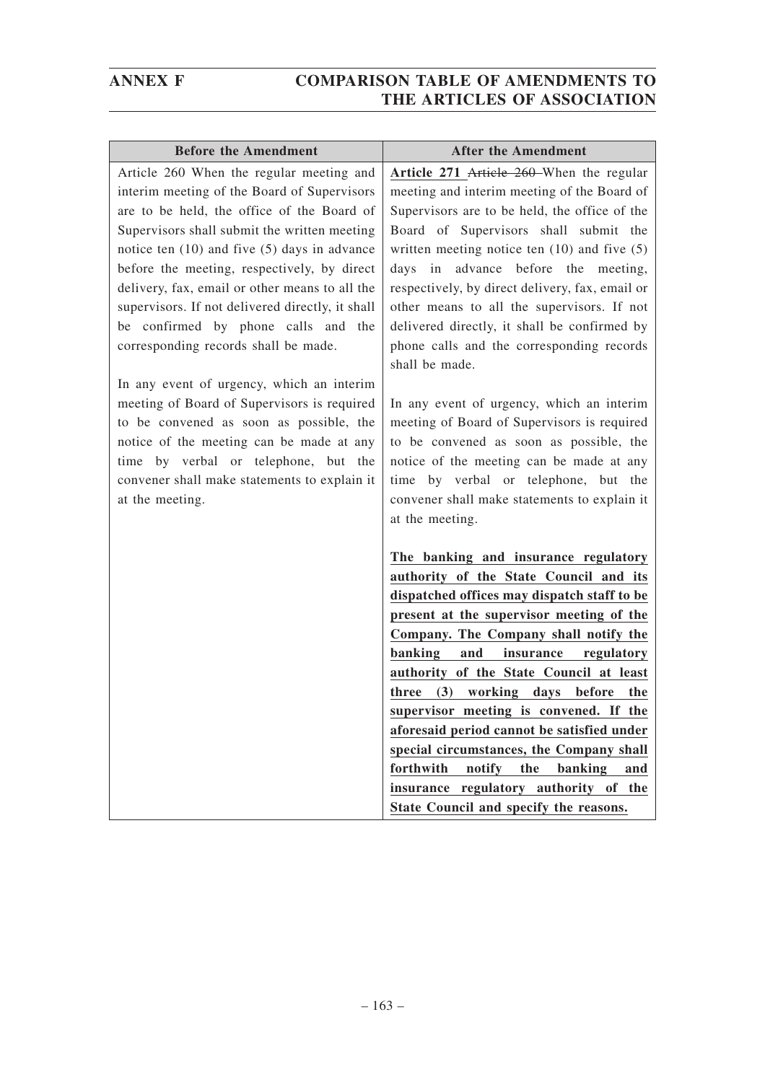| <b>Before the Amendment</b>                                                                                                                                                                                                                                                                                                                                                                                                                                               | <b>After the Amendment</b>                                                                                                                                                                                                                                                                                                                                                                                                                                                                                                                 |
|---------------------------------------------------------------------------------------------------------------------------------------------------------------------------------------------------------------------------------------------------------------------------------------------------------------------------------------------------------------------------------------------------------------------------------------------------------------------------|--------------------------------------------------------------------------------------------------------------------------------------------------------------------------------------------------------------------------------------------------------------------------------------------------------------------------------------------------------------------------------------------------------------------------------------------------------------------------------------------------------------------------------------------|
| Article 260 When the regular meeting and<br>interim meeting of the Board of Supervisors<br>are to be held, the office of the Board of<br>Supervisors shall submit the written meeting<br>notice ten (10) and five (5) days in advance<br>before the meeting, respectively, by direct<br>delivery, fax, email or other means to all the<br>supervisors. If not delivered directly, it shall<br>be confirmed by phone calls and the<br>corresponding records shall be made. | Article 271 Article 260-When the regular<br>meeting and interim meeting of the Board of<br>Supervisors are to be held, the office of the<br>Board of Supervisors shall submit the<br>written meeting notice ten $(10)$ and five $(5)$<br>days in advance before the meeting,<br>respectively, by direct delivery, fax, email or<br>other means to all the supervisors. If not<br>delivered directly, it shall be confirmed by<br>phone calls and the corresponding records<br>shall be made.                                               |
| In any event of urgency, which an interim<br>meeting of Board of Supervisors is required<br>to be convened as soon as possible, the<br>notice of the meeting can be made at any<br>time by verbal or telephone, but the<br>convener shall make statements to explain it<br>at the meeting.                                                                                                                                                                                | In any event of urgency, which an interim<br>meeting of Board of Supervisors is required<br>to be convened as soon as possible, the<br>notice of the meeting can be made at any<br>time by verbal or telephone, but the<br>convener shall make statements to explain it<br>at the meeting.<br>The banking and insurance regulatory                                                                                                                                                                                                         |
|                                                                                                                                                                                                                                                                                                                                                                                                                                                                           | authority of the State Council and its                                                                                                                                                                                                                                                                                                                                                                                                                                                                                                     |
|                                                                                                                                                                                                                                                                                                                                                                                                                                                                           | dispatched offices may dispatch staff to be<br>present at the supervisor meeting of the<br>Company. The Company shall notify the<br>banking<br>and<br>insurance<br>regulatory<br>authority of the State Council at least<br>(3) working days before<br>three<br>the<br>supervisor meeting is convened. If the<br>aforesaid period cannot be satisfied under<br>special circumstances, the Company shall<br>notify<br>forthwith<br>the<br>banking<br>and<br>insurance regulatory authority of the<br>State Council and specify the reasons. |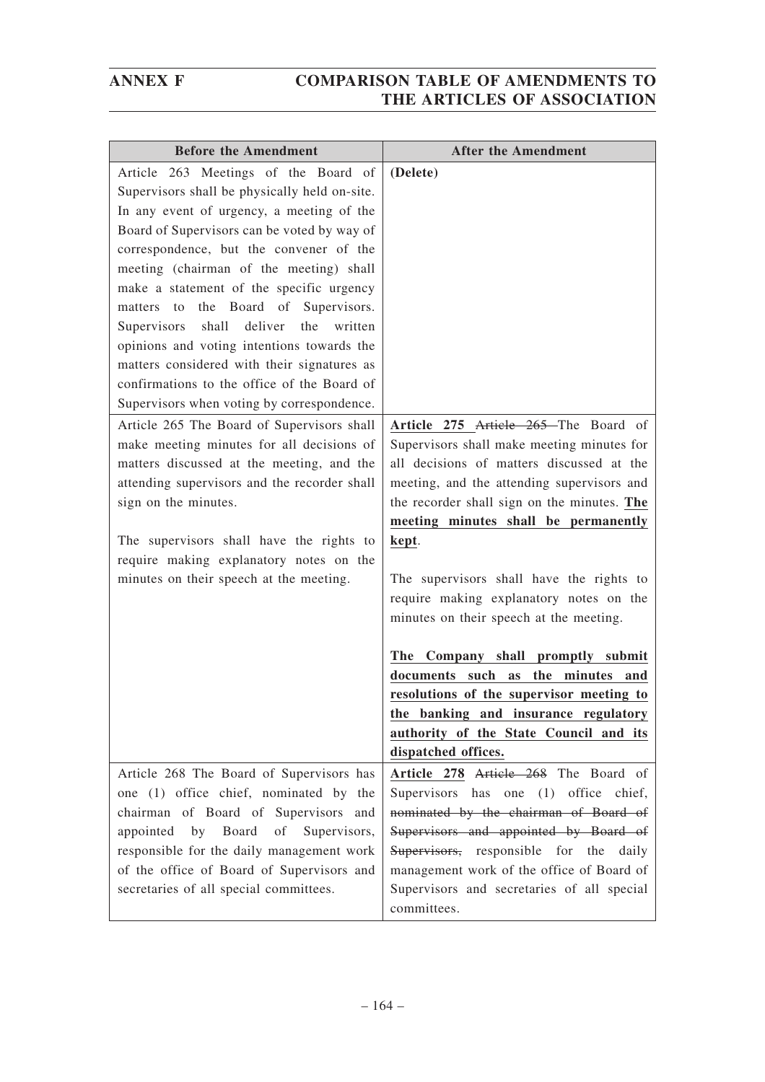| <b>Before the Amendment</b>                                                               | <b>After the Amendment</b>                                                              |
|-------------------------------------------------------------------------------------------|-----------------------------------------------------------------------------------------|
| Article 263 Meetings of the Board of                                                      | (Delete)                                                                                |
| Supervisors shall be physically held on-site.                                             |                                                                                         |
| In any event of urgency, a meeting of the                                                 |                                                                                         |
| Board of Supervisors can be voted by way of                                               |                                                                                         |
| correspondence, but the convener of the                                                   |                                                                                         |
| meeting (chairman of the meeting) shall                                                   |                                                                                         |
| make a statement of the specific urgency                                                  |                                                                                         |
| the Board of Supervisors.<br>matters to                                                   |                                                                                         |
| shall deliver<br>written<br>Supervisors<br>the                                            |                                                                                         |
| opinions and voting intentions towards the                                                |                                                                                         |
| matters considered with their signatures as                                               |                                                                                         |
| confirmations to the office of the Board of                                               |                                                                                         |
| Supervisors when voting by correspondence.                                                |                                                                                         |
| Article 265 The Board of Supervisors shall                                                | Article 275 Article 265 The Board of                                                    |
| make meeting minutes for all decisions of                                                 | Supervisors shall make meeting minutes for<br>all decisions of matters discussed at the |
| matters discussed at the meeting, and the<br>attending supervisors and the recorder shall | meeting, and the attending supervisors and                                              |
| sign on the minutes.                                                                      | the recorder shall sign on the minutes. The                                             |
|                                                                                           | meeting minutes shall be permanently                                                    |
| The supervisors shall have the rights to                                                  | kept.                                                                                   |
| require making explanatory notes on the                                                   |                                                                                         |
| minutes on their speech at the meeting.                                                   | The supervisors shall have the rights to                                                |
|                                                                                           | require making explanatory notes on the                                                 |
|                                                                                           | minutes on their speech at the meeting.                                                 |
|                                                                                           |                                                                                         |
|                                                                                           | The Company shall promptly submit                                                       |
|                                                                                           | documents such<br>the minutes<br>as<br>and                                              |
|                                                                                           | resolutions of the supervisor meeting to                                                |
|                                                                                           | the banking and insurance regulatory                                                    |
|                                                                                           | authority of the State Council and its<br>dispatched offices.                           |
|                                                                                           |                                                                                         |
| Article 268 The Board of Supervisors has                                                  | Article 278 Article 268 The Board of<br>Supervisors has one (1) office chief,           |
| one (1) office chief, nominated by the<br>chairman of Board of Supervisors and            | nominated by the chairman of Board of                                                   |
| Board<br>Supervisors,<br>appointed<br>by<br>οf                                            | Supervisors and appointed by Board of                                                   |
| responsible for the daily management work                                                 | Supervisors, responsible for the<br>daily                                               |
| of the office of Board of Supervisors and                                                 | management work of the office of Board of                                               |
| secretaries of all special committees.                                                    | Supervisors and secretaries of all special                                              |
|                                                                                           | committees.                                                                             |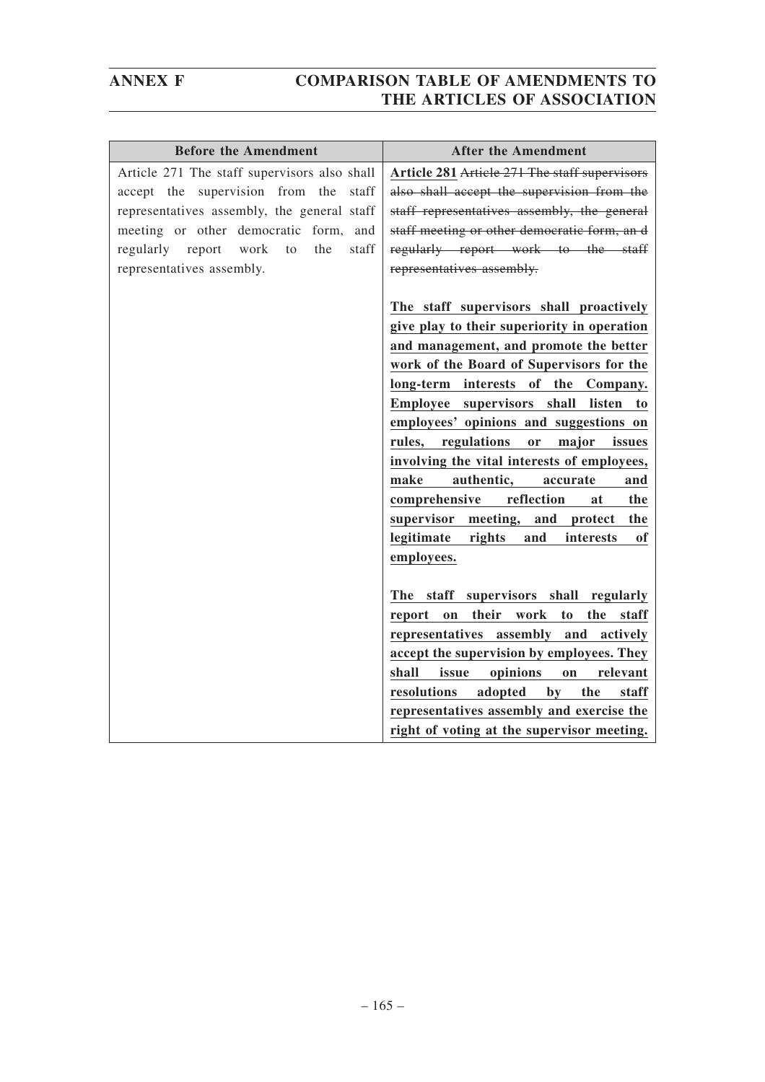| <b>Before the Amendment</b>                  | <b>After the Amendment</b>                                                                                                                                                                                                                                                                                                                                                                                                                                                                                                                                                                                                                                                                                                                                                         |
|----------------------------------------------|------------------------------------------------------------------------------------------------------------------------------------------------------------------------------------------------------------------------------------------------------------------------------------------------------------------------------------------------------------------------------------------------------------------------------------------------------------------------------------------------------------------------------------------------------------------------------------------------------------------------------------------------------------------------------------------------------------------------------------------------------------------------------------|
| Article 271 The staff supervisors also shall | Article 281 Article 271 The staff supervisors                                                                                                                                                                                                                                                                                                                                                                                                                                                                                                                                                                                                                                                                                                                                      |
| accept the supervision from the staff        | also shall accept the supervision from the                                                                                                                                                                                                                                                                                                                                                                                                                                                                                                                                                                                                                                                                                                                                         |
| representatives assembly, the general staff  | staff representatives assembly, the general                                                                                                                                                                                                                                                                                                                                                                                                                                                                                                                                                                                                                                                                                                                                        |
| meeting or other democratic form, and        | staff meeting or other democratic form, an d                                                                                                                                                                                                                                                                                                                                                                                                                                                                                                                                                                                                                                                                                                                                       |
| regularly report work<br>the<br>to<br>staff  | regularly report work to the staff                                                                                                                                                                                                                                                                                                                                                                                                                                                                                                                                                                                                                                                                                                                                                 |
| representatives assembly.                    | representatives assembly.                                                                                                                                                                                                                                                                                                                                                                                                                                                                                                                                                                                                                                                                                                                                                          |
|                                              | The staff supervisors shall proactively<br>give play to their superiority in operation<br>and management, and promote the better<br>work of the Board of Supervisors for the<br>long-term interests of the Company.<br>Employee supervisors shall listen<br>to<br>employees' opinions and suggestions on<br>regulations<br>rules,<br>or<br>major<br>issues<br>involving the vital interests of employees,<br>make<br>authentic,<br>accurate<br>and<br>comprehensive<br>reflection<br>at<br>the<br>supervisor meeting, and protect<br>the<br>legitimate<br>rights<br>and<br>interests<br>of<br>employees.<br>The staff supervisors shall regularly<br>their work to<br>report on<br>the staff<br>representatives assembly and actively<br>accept the supervision by employees. They |
|                                              | shall<br>opinions<br>issue<br>relevant<br>on                                                                                                                                                                                                                                                                                                                                                                                                                                                                                                                                                                                                                                                                                                                                       |
|                                              | resolutions<br>adopted<br>the<br>by<br>staff                                                                                                                                                                                                                                                                                                                                                                                                                                                                                                                                                                                                                                                                                                                                       |
|                                              |                                                                                                                                                                                                                                                                                                                                                                                                                                                                                                                                                                                                                                                                                                                                                                                    |
|                                              | representatives assembly and exercise the                                                                                                                                                                                                                                                                                                                                                                                                                                                                                                                                                                                                                                                                                                                                          |
|                                              |                                                                                                                                                                                                                                                                                                                                                                                                                                                                                                                                                                                                                                                                                                                                                                                    |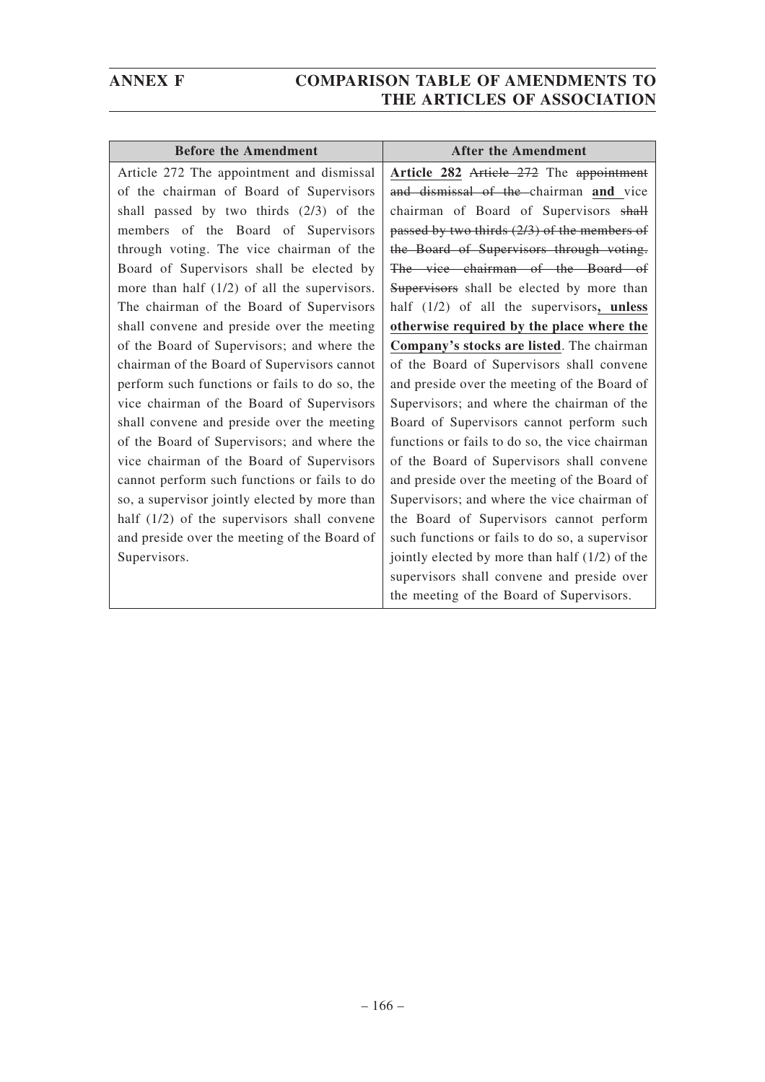| <b>Before the Amendment</b>                    | <b>After the Amendment</b>                       |
|------------------------------------------------|--------------------------------------------------|
| Article 272 The appointment and dismissal      | Article 282 Article 272 The appointment          |
| of the chairman of Board of Supervisors        | and dismissal of the chairman and vice           |
| shall passed by two thirds (2/3) of the        | chairman of Board of Supervisors shall           |
| members of the Board of Supervisors            | passed by two thirds $(2/3)$ of the members of   |
| through voting. The vice chairman of the       | the Board of Supervisors through voting.         |
| Board of Supervisors shall be elected by       | The vice chairman of the Board of                |
| more than half $(1/2)$ of all the supervisors. | Supervisors shall be elected by more than        |
| The chairman of the Board of Supervisors       | half $(1/2)$ of all the supervisors, unless      |
| shall convene and preside over the meeting     | otherwise required by the place where the        |
| of the Board of Supervisors; and where the     | Company's stocks are listed. The chairman        |
| chairman of the Board of Supervisors cannot    | of the Board of Supervisors shall convene        |
| perform such functions or fails to do so, the  | and preside over the meeting of the Board of     |
| vice chairman of the Board of Supervisors      | Supervisors; and where the chairman of the       |
| shall convene and preside over the meeting     | Board of Supervisors cannot perform such         |
| of the Board of Supervisors; and where the     | functions or fails to do so, the vice chairman   |
| vice chairman of the Board of Supervisors      | of the Board of Supervisors shall convene        |
| cannot perform such functions or fails to do   | and preside over the meeting of the Board of     |
| so, a supervisor jointly elected by more than  | Supervisors; and where the vice chairman of      |
| half (1/2) of the supervisors shall convene    | the Board of Supervisors cannot perform          |
| and preside over the meeting of the Board of   | such functions or fails to do so, a supervisor   |
| Supervisors.                                   | jointly elected by more than half $(1/2)$ of the |
|                                                | supervisors shall convene and preside over       |
|                                                | the meeting of the Board of Supervisors.         |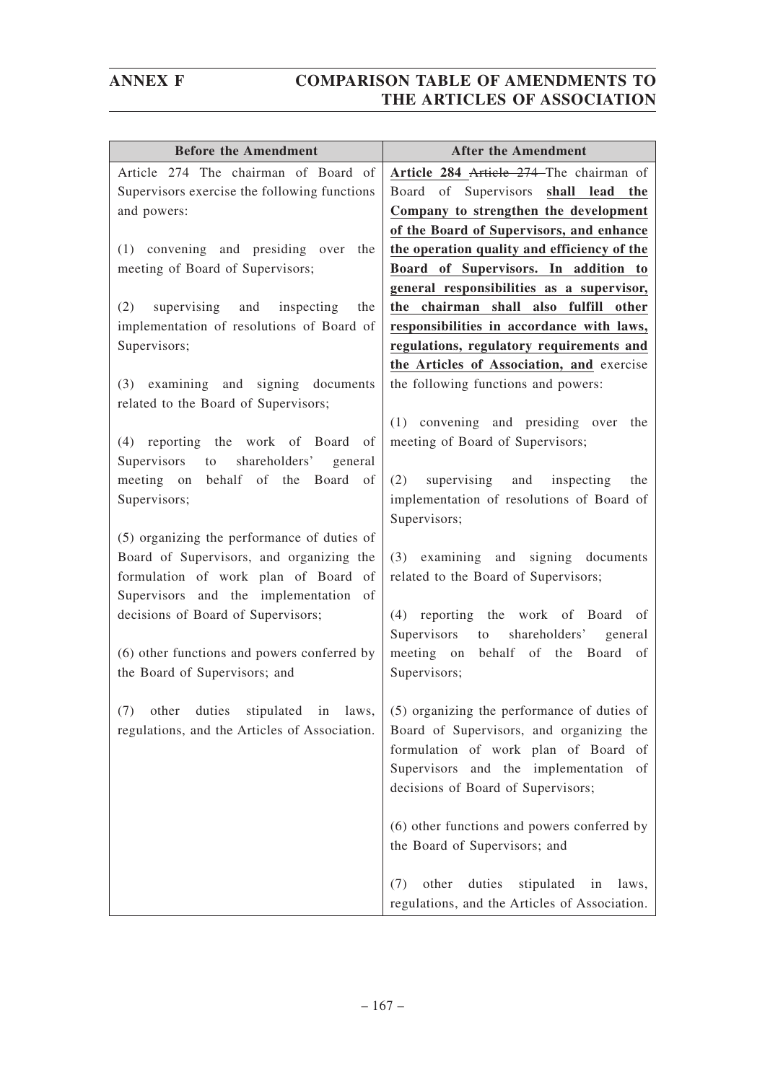| <b>Before the Amendment</b>                                                                                                                                                                                                                                                                    | <b>After the Amendment</b>                                                                                                                                                                                                                            |
|------------------------------------------------------------------------------------------------------------------------------------------------------------------------------------------------------------------------------------------------------------------------------------------------|-------------------------------------------------------------------------------------------------------------------------------------------------------------------------------------------------------------------------------------------------------|
| Article 274 The chairman of Board of<br>Supervisors exercise the following functions<br>and powers:                                                                                                                                                                                            | Article 284 Article 274–The chairman of<br>Board of Supervisors shall lead the<br>Company to strengthen the development                                                                                                                               |
| (1) convening and presiding over the<br>meeting of Board of Supervisors;                                                                                                                                                                                                                       | of the Board of Supervisors, and enhance<br>the operation quality and efficiency of the<br>Board of Supervisors. In addition to<br>general responsibilities as a supervisor,                                                                          |
| supervising and<br>inspecting<br>the<br>(2)<br>implementation of resolutions of Board of<br>Supervisors;                                                                                                                                                                                       | the chairman shall also fulfill other<br>responsibilities in accordance with laws,<br>regulations, regulatory requirements and<br>the Articles of Association, and exercise                                                                           |
| (3) examining and signing documents<br>related to the Board of Supervisors;                                                                                                                                                                                                                    | the following functions and powers:                                                                                                                                                                                                                   |
| (4) reporting the work of Board<br>of<br>Supervisors<br>shareholders'<br>to<br>general<br>behalf of the Board<br>meeting on<br>of<br>Supervisors;                                                                                                                                              | (1) convening and presiding over the<br>meeting of Board of Supervisors;<br>(2)<br>supervising and inspecting<br>the<br>implementation of resolutions of Board of                                                                                     |
| (5) organizing the performance of duties of<br>Board of Supervisors, and organizing the<br>formulation of work plan of Board of<br>Supervisors and the implementation of<br>decisions of Board of Supervisors;<br>(6) other functions and powers conferred by<br>the Board of Supervisors; and | Supervisors;<br>(3) examining and signing documents<br>related to the Board of Supervisors;<br>(4) reporting the work of Board<br>of<br>Supervisors to<br>shareholders'<br>general<br>meeting on behalf of the<br>Board<br>of<br>Supervisors;         |
| regulations, and the Articles of Association.                                                                                                                                                                                                                                                  | (7) other duties stipulated in laws, $(5)$ organizing the performance of duties of<br>Board of Supervisors, and organizing the<br>formulation of work plan of Board of<br>Supervisors and the implementation of<br>decisions of Board of Supervisors; |
|                                                                                                                                                                                                                                                                                                | (6) other functions and powers conferred by<br>the Board of Supervisors; and                                                                                                                                                                          |
|                                                                                                                                                                                                                                                                                                | other<br>duties<br>stipulated in<br>(7)<br>laws,<br>regulations, and the Articles of Association.                                                                                                                                                     |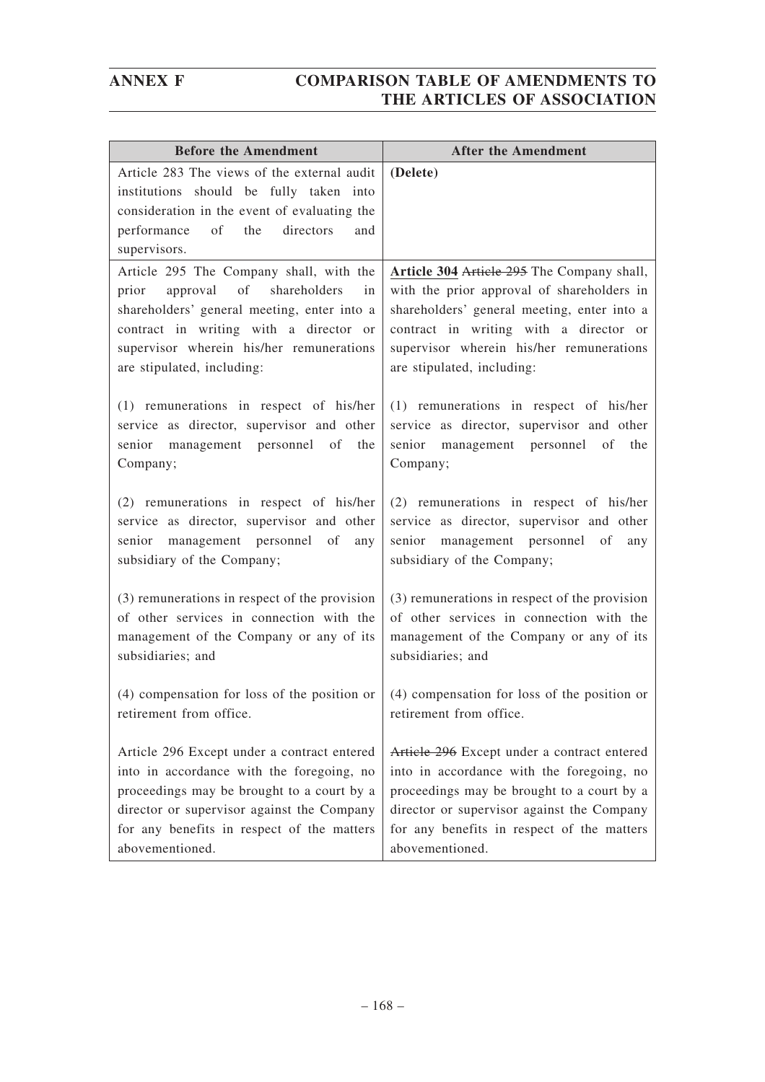| <b>Before the Amendment</b>                                                                                                                                                                                                                                 | <b>After the Amendment</b>                                                                                                                                                                                                                                  |
|-------------------------------------------------------------------------------------------------------------------------------------------------------------------------------------------------------------------------------------------------------------|-------------------------------------------------------------------------------------------------------------------------------------------------------------------------------------------------------------------------------------------------------------|
| Article 283 The views of the external audit                                                                                                                                                                                                                 | (Delete)                                                                                                                                                                                                                                                    |
| institutions should be fully taken into                                                                                                                                                                                                                     |                                                                                                                                                                                                                                                             |
| consideration in the event of evaluating the                                                                                                                                                                                                                |                                                                                                                                                                                                                                                             |
| of the<br>directors<br>performance<br>and                                                                                                                                                                                                                   |                                                                                                                                                                                                                                                             |
| supervisors.                                                                                                                                                                                                                                                |                                                                                                                                                                                                                                                             |
| Article 295 The Company shall, with the<br>of<br>shareholders<br>approval<br>prior<br>in<br>shareholders' general meeting, enter into a<br>contract in writing with a director or<br>supervisor wherein his/her remunerations<br>are stipulated, including: | Article 304 Article 295 The Company shall,<br>with the prior approval of shareholders in<br>shareholders' general meeting, enter into a<br>contract in writing with a director or<br>supervisor wherein his/her remunerations<br>are stipulated, including: |
| (1) remunerations in respect of his/her                                                                                                                                                                                                                     | (1) remunerations in respect of his/her                                                                                                                                                                                                                     |
| service as director, supervisor and other<br>senior management personnel of<br>the<br>Company;                                                                                                                                                              | service as director, supervisor and other<br>senior management personnel of the<br>Company;                                                                                                                                                                 |
| (2) remunerations in respect of his/her<br>service as director, supervisor and other<br>senior management personnel of<br>any<br>subsidiary of the Company;                                                                                                 | (2) remunerations in respect of his/her<br>service as director, supervisor and other<br>senior management personnel of<br>any<br>subsidiary of the Company;                                                                                                 |
| (3) remunerations in respect of the provision<br>of other services in connection with the<br>management of the Company or any of its<br>subsidiaries; and                                                                                                   | (3) remunerations in respect of the provision<br>of other services in connection with the<br>management of the Company or any of its<br>subsidiaries; and                                                                                                   |
| (4) compensation for loss of the position or<br>retirement from office.                                                                                                                                                                                     | (4) compensation for loss of the position or<br>retirement from office.                                                                                                                                                                                     |
| Article 296 Except under a contract entered<br>into in accordance with the foregoing, no<br>proceedings may be brought to a court by a<br>director or supervisor against the Company<br>for any benefits in respect of the matters<br>abovementioned.       | Article 296 Except under a contract entered<br>into in accordance with the foregoing, no<br>proceedings may be brought to a court by a<br>director or supervisor against the Company<br>for any benefits in respect of the matters<br>abovementioned.       |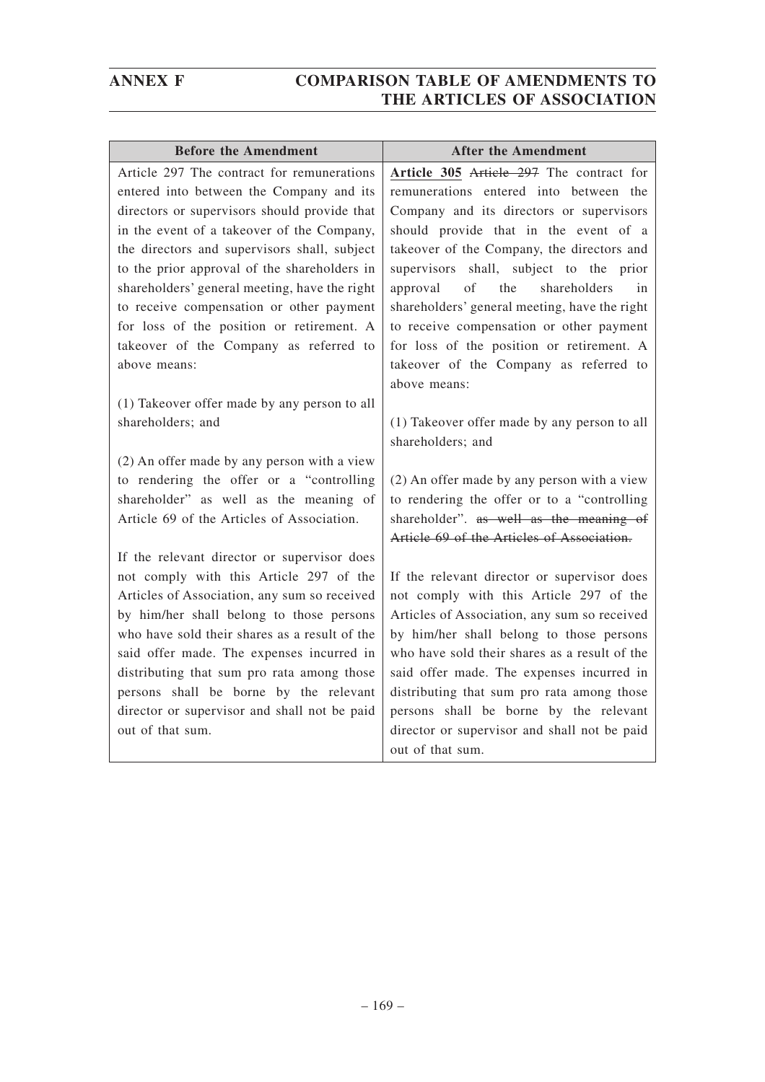| <b>Before the Amendment</b>                                                            | <b>After the Amendment</b>                                                           |
|----------------------------------------------------------------------------------------|--------------------------------------------------------------------------------------|
| Article 297 The contract for remunerations                                             | Article 305 Article 297 The contract for                                             |
| entered into between the Company and its                                               | remunerations entered into between the                                               |
| directors or supervisors should provide that                                           | Company and its directors or supervisors                                             |
| in the event of a takeover of the Company,                                             | should provide that in the event of a                                                |
| the directors and supervisors shall, subject                                           | takeover of the Company, the directors and                                           |
| to the prior approval of the shareholders in                                           | supervisors shall, subject to the prior                                              |
| shareholders' general meeting, have the right                                          | of<br>the<br>shareholders<br>approval<br>in                                          |
| to receive compensation or other payment                                               | shareholders' general meeting, have the right                                        |
| for loss of the position or retirement. A                                              | to receive compensation or other payment                                             |
| takeover of the Company as referred to                                                 | for loss of the position or retirement. A                                            |
| above means:                                                                           | takeover of the Company as referred to                                               |
|                                                                                        | above means:                                                                         |
| (1) Takeover offer made by any person to all                                           |                                                                                      |
| shareholders; and                                                                      | (1) Takeover offer made by any person to all                                         |
|                                                                                        | shareholders; and                                                                    |
| (2) An offer made by any person with a view                                            |                                                                                      |
| to rendering the offer or a "controlling                                               | (2) An offer made by any person with a view                                          |
| shareholder" as well as the meaning of                                                 | to rendering the offer or to a "controlling                                          |
| Article 69 of the Articles of Association.                                             | shareholder". as well as the meaning of                                              |
|                                                                                        | Article 69 of the Articles of Association.                                           |
| If the relevant director or supervisor does                                            |                                                                                      |
| not comply with this Article 297 of the                                                | If the relevant director or supervisor does                                          |
| Articles of Association, any sum so received                                           | not comply with this Article 297 of the                                              |
| by him/her shall belong to those persons                                               | Articles of Association, any sum so received                                         |
| who have sold their shares as a result of the                                          | by him/her shall belong to those persons                                             |
| said offer made. The expenses incurred in                                              | who have sold their shares as a result of the                                        |
| distributing that sum pro rata among those                                             | said offer made. The expenses incurred in                                            |
| persons shall be borne by the relevant<br>director or supervisor and shall not be paid | distributing that sum pro rata among those<br>persons shall be borne by the relevant |
| out of that sum.                                                                       | director or supervisor and shall not be paid                                         |
|                                                                                        | out of that sum.                                                                     |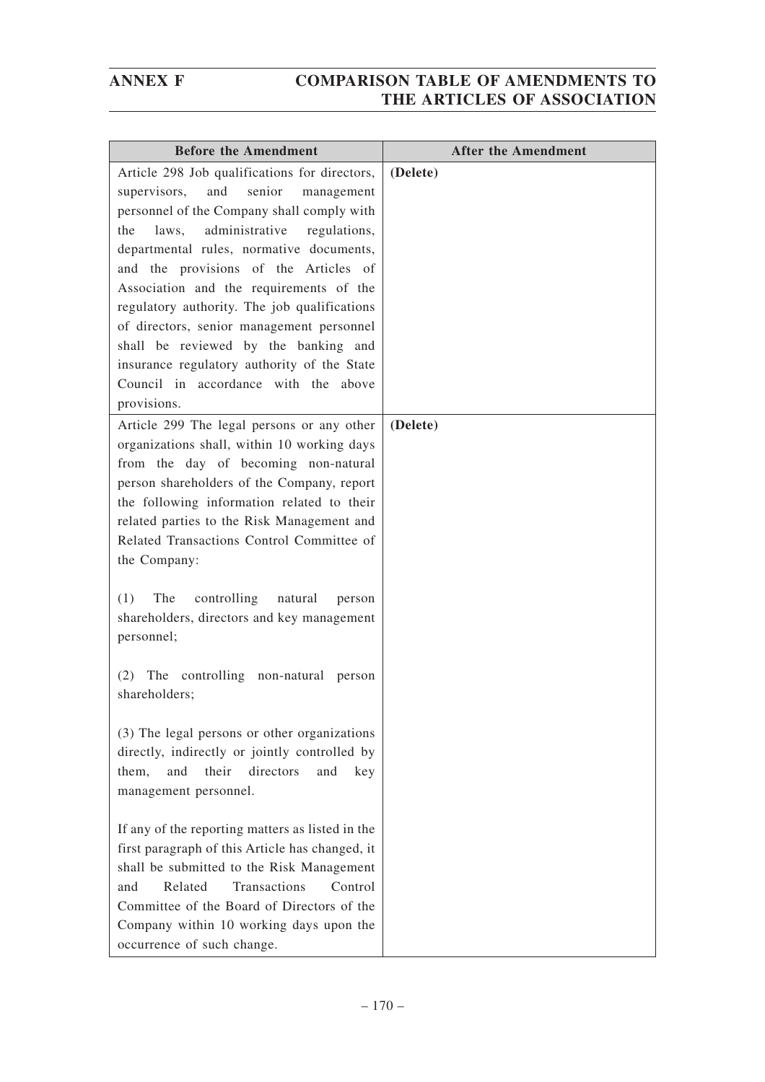| <b>Before the Amendment</b>                                                                                                                                                                                                                                                                                                                                                                                                                                                                                                                                             | <b>After the Amendment</b> |
|-------------------------------------------------------------------------------------------------------------------------------------------------------------------------------------------------------------------------------------------------------------------------------------------------------------------------------------------------------------------------------------------------------------------------------------------------------------------------------------------------------------------------------------------------------------------------|----------------------------|
| Article 298 Job qualifications for directors,<br>senior<br>and<br>supervisors,<br>management<br>personnel of the Company shall comply with<br>administrative<br>the<br>laws,<br>regulations,<br>departmental rules, normative documents,<br>and the provisions of the Articles of<br>Association and the requirements of the<br>regulatory authority. The job qualifications<br>of directors, senior management personnel<br>shall be reviewed by the banking and<br>insurance regulatory authority of the State<br>Council in accordance with the above<br>provisions. | (Delete)                   |
| Article 299 The legal persons or any other<br>organizations shall, within 10 working days<br>from the day of becoming non-natural<br>person shareholders of the Company, report<br>the following information related to their<br>related parties to the Risk Management and<br>Related Transactions Control Committee of<br>the Company:                                                                                                                                                                                                                                | (Delete)                   |
| The<br>controlling<br>natural<br>(1)<br>person<br>shareholders, directors and key management<br>personnel;                                                                                                                                                                                                                                                                                                                                                                                                                                                              |                            |
| The controlling<br>non-natural<br>(2)<br>person<br>shareholders;                                                                                                                                                                                                                                                                                                                                                                                                                                                                                                        |                            |
| (3) The legal persons or other organizations<br>directly, indirectly or jointly controlled by<br>and<br>their<br>directors<br>them,<br>and<br>key<br>management personnel.                                                                                                                                                                                                                                                                                                                                                                                              |                            |
| If any of the reporting matters as listed in the<br>first paragraph of this Article has changed, it<br>shall be submitted to the Risk Management<br>Related<br>Transactions<br>Control<br>and<br>Committee of the Board of Directors of the<br>Company within 10 working days upon the<br>occurrence of such change.                                                                                                                                                                                                                                                    |                            |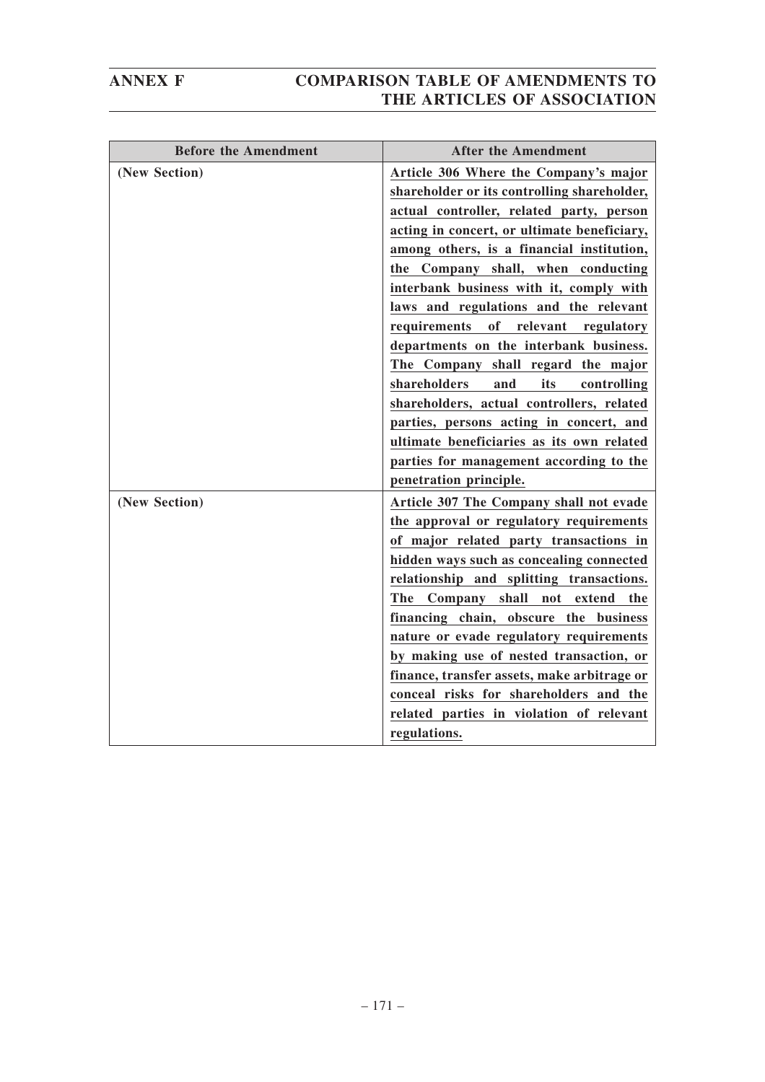| <b>Before the Amendment</b> | <b>After the Amendment</b>                  |
|-----------------------------|---------------------------------------------|
| (New Section)               | Article 306 Where the Company's major       |
|                             | shareholder or its controlling shareholder, |
|                             | actual controller, related party, person    |
|                             | acting in concert, or ultimate beneficiary, |
|                             | among others, is a financial institution,   |
|                             | the Company shall, when conducting          |
|                             | interbank business with it, comply with     |
|                             | laws and regulations and the relevant       |
|                             | requirements of<br>relevant<br>regulatory   |
|                             | departments on the interbank business.      |
|                             | The Company shall regard the major          |
|                             | shareholders<br>its<br>and<br>controlling   |
|                             | shareholders, actual controllers, related   |
|                             | parties, persons acting in concert, and     |
|                             | ultimate beneficiaries as its own related   |
|                             | parties for management according to the     |
|                             | penetration principle.                      |
| (New Section)               | Article 307 The Company shall not evade     |
|                             | the approval or regulatory requirements     |
|                             | of major related party transactions in      |
|                             | hidden ways such as concealing connected    |
|                             | relationship and splitting transactions.    |
|                             | The Company shall not extend the            |
|                             | financing chain, obscure the business       |
|                             | nature or evade regulatory requirements     |
|                             | by making use of nested transaction, or     |
|                             | finance, transfer assets, make arbitrage or |
|                             | conceal risks for shareholders and the      |
|                             | related parties in violation of relevant    |
|                             | regulations.                                |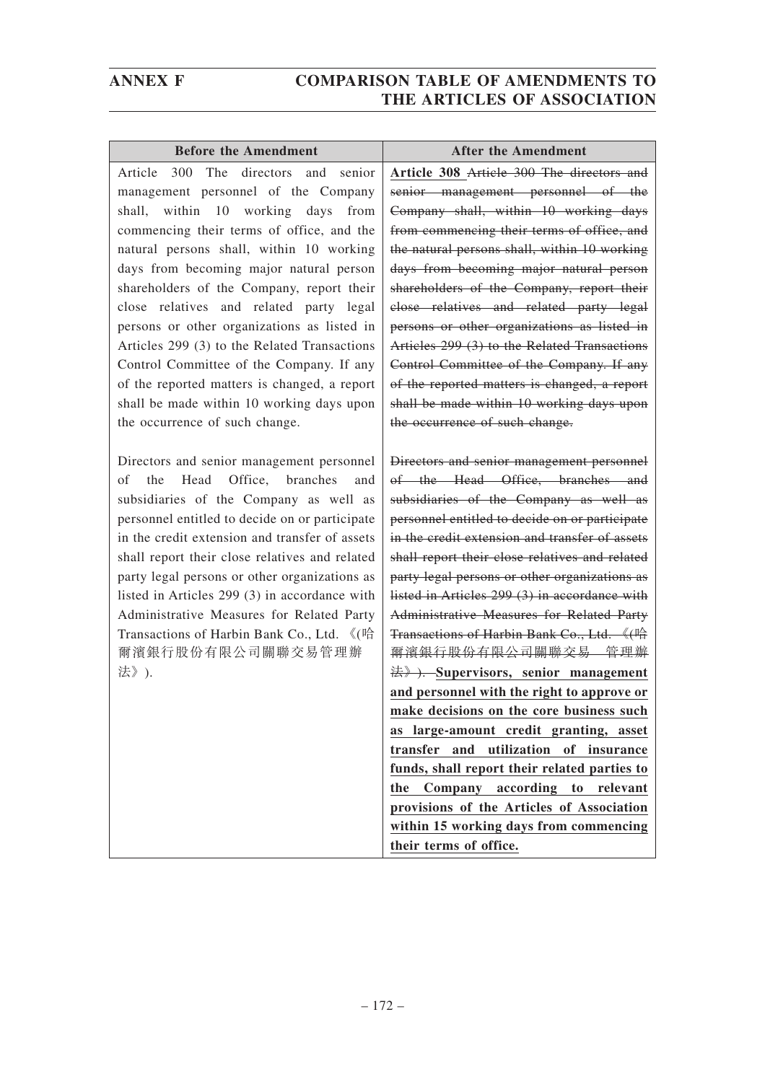| <b>Before the Amendment</b>                         | <b>After the Amendment</b>                     |
|-----------------------------------------------------|------------------------------------------------|
| The<br>directors<br>and<br>Article<br>300<br>senior | Article 308 Article 300 The directors and      |
| management personnel of the Company                 | senior management personnel of the             |
| within 10 working days<br>shall,<br>from            | Company shall, within 10 working days          |
| commencing their terms of office, and the           | from commencing their terms of office, and     |
| natural persons shall, within 10 working            | the natural persons shall, within 10 working   |
| days from becoming major natural person             | days from becoming major natural person        |
| shareholders of the Company, report their           | shareholders of the Company, report their      |
| close relatives and related party legal             | close relatives and related party legal        |
| persons or other organizations as listed in         | persons or other organizations as listed in    |
| Articles 299 (3) to the Related Transactions        | Articles 299 (3) to the Related Transactions   |
| Control Committee of the Company. If any            | Control Committee of the Company. If any       |
| of the reported matters is changed, a report        | of the reported matters is changed, a report   |
| shall be made within 10 working days upon           | shall be made within 10 working days upon      |
| the occurrence of such change.                      | the occurrence of such change.                 |
|                                                     |                                                |
| Directors and senior management personnel           | Directors and senior management personnel      |
| Office, branches<br>Head<br>оf<br>the<br>and        | of the Head Office, branches and               |
| subsidiaries of the Company as well as              | subsidiaries of the Company as well as         |
| personnel entitled to decide on or participate      | personnel entitled to decide on or participate |
| in the credit extension and transfer of assets      | in the credit extension and transfer of assets |
| shall report their close relatives and related      | shall report their close relatives and related |
| party legal persons or other organizations as       | party legal persons or other organizations as  |
| listed in Articles 299 (3) in accordance with       | listed in Articles 299 (3) in accordance with  |
| Administrative Measures for Related Party           | Administrative Measures for Related Party      |
| Transactions of Harbin Bank Co., Ltd. 《(哈           | Transactions of Harbin Bank Co., Ltd. 《(哈      |
| 爾濱銀行股份有限公司關聯交易管理辦                                   | <del>爾濱銀行股份有限公司關聯交易 管理辦</del>                  |
| 法》).                                                | $\#$ . Supervisors, senior management          |
|                                                     | and personnel with the right to approve or     |
|                                                     | make decisions on the core business such       |
|                                                     | as large-amount credit granting, asset         |
|                                                     | transfer and utilization of insurance          |
|                                                     | funds, shall report their related parties to   |
|                                                     | the Company according to relevant              |
|                                                     | provisions of the Articles of Association      |
|                                                     | within 15 working days from commencing         |
|                                                     | their terms of office.                         |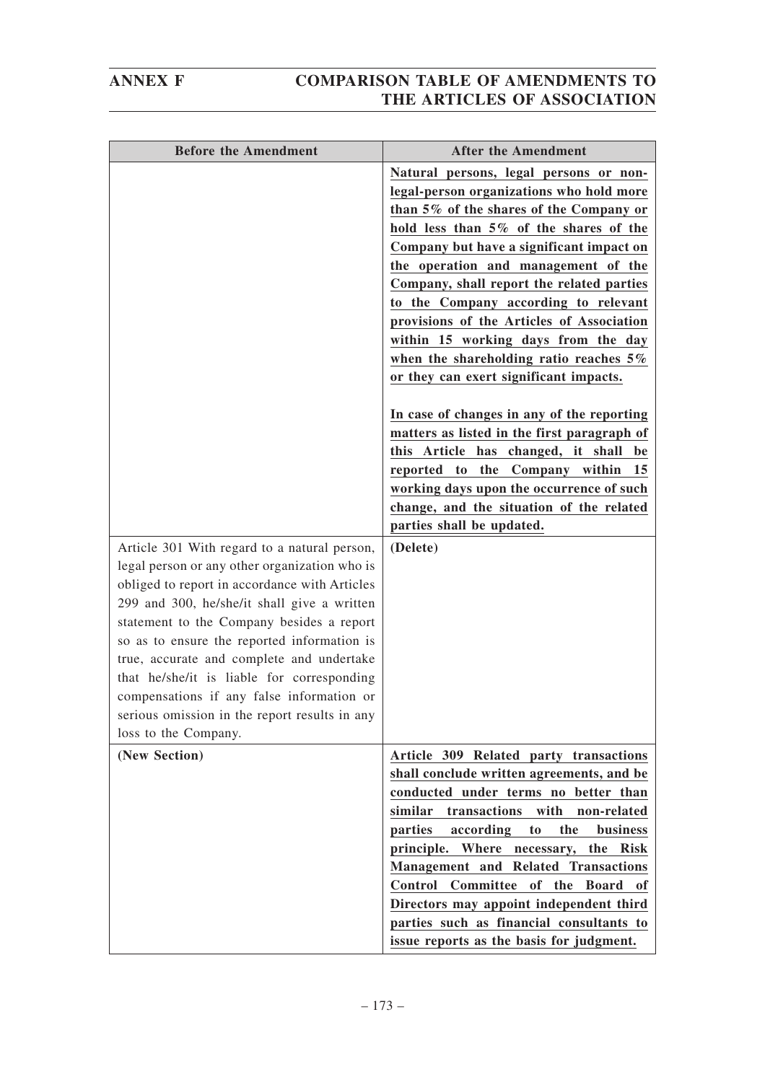| <b>Before the Amendment</b>                                                                                                                                                                                                                                                                                                                                                                                                                                                                                | <b>After the Amendment</b>                                                                                                                                                                                                                                                                                                                                                                                                                                                                                                                                                                                                                                                                                                                                                                                                                   |
|------------------------------------------------------------------------------------------------------------------------------------------------------------------------------------------------------------------------------------------------------------------------------------------------------------------------------------------------------------------------------------------------------------------------------------------------------------------------------------------------------------|----------------------------------------------------------------------------------------------------------------------------------------------------------------------------------------------------------------------------------------------------------------------------------------------------------------------------------------------------------------------------------------------------------------------------------------------------------------------------------------------------------------------------------------------------------------------------------------------------------------------------------------------------------------------------------------------------------------------------------------------------------------------------------------------------------------------------------------------|
| Article 301 With regard to a natural person,<br>legal person or any other organization who is<br>obliged to report in accordance with Articles<br>299 and 300, he/she/it shall give a written<br>statement to the Company besides a report<br>so as to ensure the reported information is<br>true, accurate and complete and undertake<br>that he/she/it is liable for corresponding<br>compensations if any false information or<br>serious omission in the report results in any<br>loss to the Company. | Natural persons, legal persons or non-<br>legal-person organizations who hold more<br>than 5% of the shares of the Company or<br>hold less than 5% of the shares of the<br>Company but have a significant impact on<br>the operation and management of the<br>Company, shall report the related parties<br>to the Company according to relevant<br>provisions of the Articles of Association<br>within 15 working days from the day<br>when the shareholding ratio reaches $5\%$<br>or they can exert significant impacts.<br>In case of changes in any of the reporting<br>matters as listed in the first paragraph of<br>this Article has changed, it shall<br>be<br>reported to the Company within<br>15<br>working days upon the occurrence of such<br>change, and the situation of the related<br>parties shall be updated.<br>(Delete) |
| (New Section)                                                                                                                                                                                                                                                                                                                                                                                                                                                                                              | Article 309 Related party transactions<br>shall conclude written agreements, and be<br>conducted under terms no better than<br>similar<br>transactions with<br>non-related<br>parties<br>according<br>the<br>business<br>to<br>principle. Where necessary, the Risk<br>Management and Related Transactions<br>Control<br>Committee<br>of the<br><b>Board</b><br>оf<br>Directors may appoint independent third<br>parties such as financial consultants to<br>issue reports as the basis for judgment.                                                                                                                                                                                                                                                                                                                                        |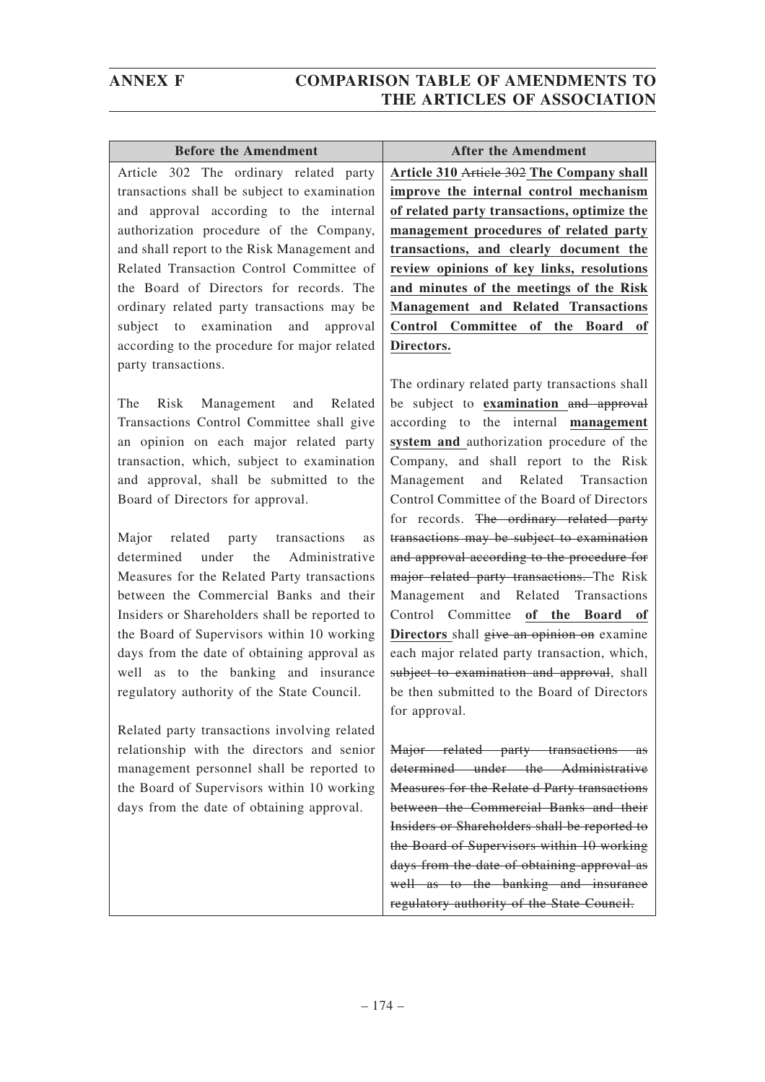| <b>Before the Amendment</b>                   | <b>After the Amendment</b>                    |
|-----------------------------------------------|-----------------------------------------------|
| Article 302 The ordinary related party        | Article 310 Article 302 The Company shall     |
| transactions shall be subject to examination  | improve the internal control mechanism        |
| and approval according to the internal        | of related party transactions, optimize the   |
| authorization procedure of the Company,       | management procedures of related party        |
| and shall report to the Risk Management and   | transactions, and clearly document the        |
| Related Transaction Control Committee of      | review opinions of key links, resolutions     |
| the Board of Directors for records. The       | and minutes of the meetings of the Risk       |
| ordinary related party transactions may be    | <b>Management and Related Transactions</b>    |
| subject to examination and approval           | Control Committee of the Board of             |
| according to the procedure for major related  | Directors.                                    |
| party transactions.                           |                                               |
|                                               | The ordinary related party transactions shall |
| The<br>Risk Management and Related            | be subject to examination and approval        |
| Transactions Control Committee shall give     | according to the internal management          |
| an opinion on each major related party        | system and authorization procedure of the     |
| transaction, which, subject to examination    | Company, and shall report to the Risk         |
| and approval, shall be submitted to the       | and Related Transaction<br>Management         |
| Board of Directors for approval.              | Control Committee of the Board of Directors   |
|                                               | for records. The ordinary related party       |
| related<br>party transactions<br>Major<br>as  | transactions may be subject to examination    |
| under the Administrative<br>determined        | and approval according to the procedure for   |
| Measures for the Related Party transactions   | major related party transactions. The Risk    |
| between the Commercial Banks and their        | Management and Related Transactions           |
| Insiders or Shareholders shall be reported to | Control Committee of the Board of             |
| the Board of Supervisors within 10 working    | Directors shall give an opinion on examine    |
| days from the date of obtaining approval as   | each major related party transaction, which,  |
| well as to the banking and insurance          | subject to examination and approval, shall    |
| regulatory authority of the State Council.    | be then submitted to the Board of Directors   |
|                                               | for approval.                                 |
| Related party transactions involving related  |                                               |
| relationship with the directors and senior    | Major related party transactions as           |
| management personnel shall be reported to     | determined under the Administrative           |
| the Board of Supervisors within 10 working    | Measures for the Relate d Party transactions  |
| days from the date of obtaining approval.     | between the Commercial Banks and their        |

Insiders or Shareholders shall be reported to the Board of Supervisors within 10 working days from the date of obtaining approval as well as to the banking and insurance regulatory authority of the State Council.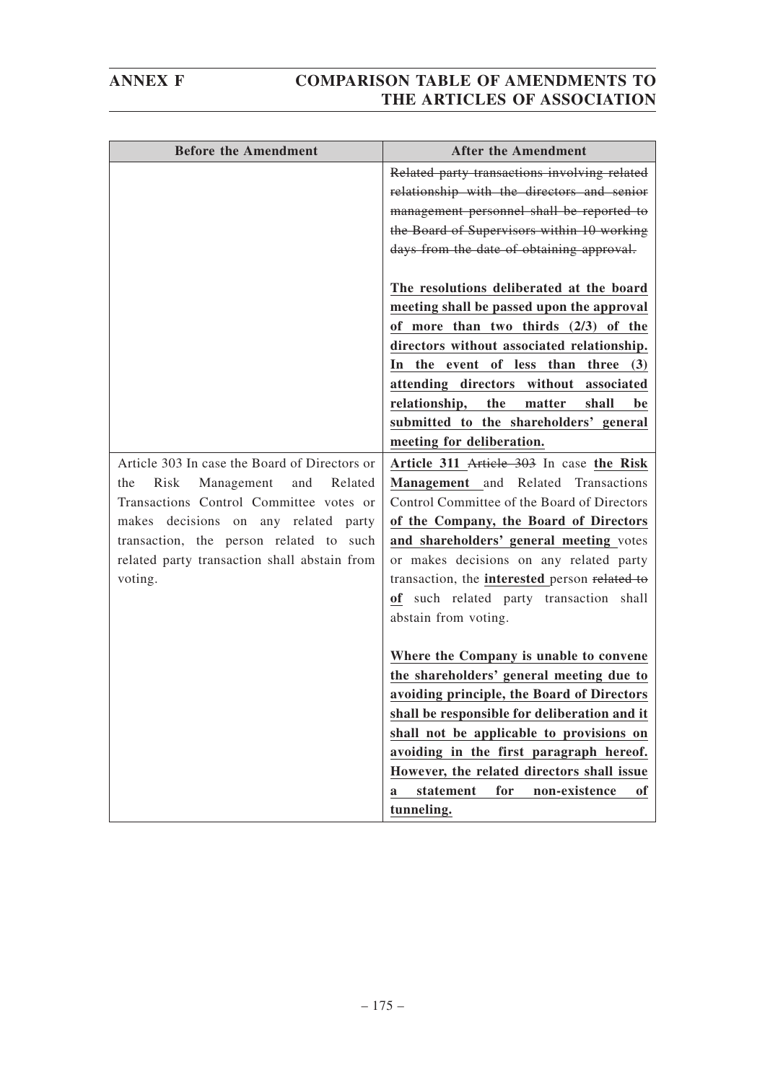| <b>Before the Amendment</b>                   | <b>After the Amendment</b>                    |
|-----------------------------------------------|-----------------------------------------------|
|                                               | Related party transactions involving related  |
|                                               | relationship with the directors and senior    |
|                                               | management personnel shall be reported to     |
|                                               | the Board of Supervisors within 10 working    |
|                                               | days from the date of obtaining approval.     |
|                                               | The resolutions deliberated at the board      |
|                                               | meeting shall be passed upon the approval     |
|                                               | of more than two thirds (2/3) of the          |
|                                               | directors without associated relationship.    |
|                                               | In the event of less than three (3)           |
|                                               | attending directors without associated        |
|                                               | relationship,<br>the<br>matter<br>shall<br>be |
|                                               | submitted to the shareholders' general        |
|                                               | meeting for deliberation.                     |
| Article 303 In case the Board of Directors or | Article 311 Article 303 In case the Risk      |
| Risk<br>Management and<br>Related<br>the      | Management and Related Transactions           |
| Transactions Control Committee votes or       | Control Committee of the Board of Directors   |
| makes decisions on any related party          | of the Company, the Board of Directors        |
| transaction, the person related to such       | and shareholders' general meeting votes       |
| related party transaction shall abstain from  | or makes decisions on any related party       |
| voting.                                       | transaction, the interested person related to |
|                                               | of such related party transaction shall       |
|                                               | abstain from voting.                          |
|                                               |                                               |
|                                               | Where the Company is unable to convene        |
|                                               | the shareholders' general meeting due to      |
|                                               | avoiding principle, the Board of Directors    |
|                                               | shall be responsible for deliberation and it  |
|                                               | shall not be applicable to provisions on      |
|                                               | avoiding in the first paragraph hereof.       |
|                                               | However, the related directors shall issue    |
|                                               | statement<br>for<br>non-existence<br>0f<br>a  |
|                                               | tunneling.                                    |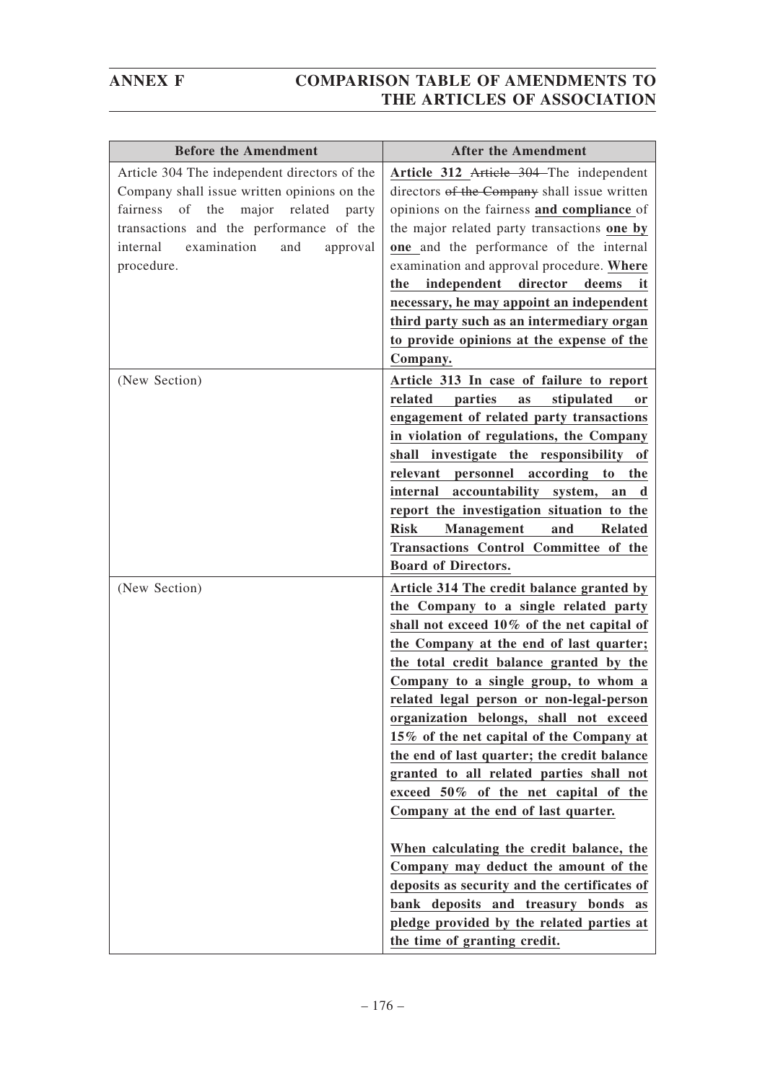| <b>Before the Amendment</b>                                                                                                                                                                                                                              | <b>After the Amendment</b>                                                                                                                                                                                                                                                                                                                                                                                                                                                                                                                                                                                                                                                                                                                                                                                                         |
|----------------------------------------------------------------------------------------------------------------------------------------------------------------------------------------------------------------------------------------------------------|------------------------------------------------------------------------------------------------------------------------------------------------------------------------------------------------------------------------------------------------------------------------------------------------------------------------------------------------------------------------------------------------------------------------------------------------------------------------------------------------------------------------------------------------------------------------------------------------------------------------------------------------------------------------------------------------------------------------------------------------------------------------------------------------------------------------------------|
| Article 304 The independent directors of the<br>Company shall issue written opinions on the<br>the<br>major<br>fairness<br>of<br>related<br>party<br>transactions and the performance of the<br>internal<br>examination<br>and<br>approval<br>procedure. | Article 312 Article 304–The independent<br>directors of the Company shall issue written<br>opinions on the fairness and compliance of<br>the major related party transactions one by<br>one and the performance of the internal<br>examination and approval procedure. Where<br>independent<br>director<br>deems<br>the<br>it<br>necessary, he may appoint an independent<br>third party such as an intermediary organ<br>to provide opinions at the expense of the<br>Company.                                                                                                                                                                                                                                                                                                                                                    |
| (New Section)                                                                                                                                                                                                                                            | Article 313 In case of failure to report<br>related<br>parties<br>stipulated<br>as<br><b>or</b><br>engagement of related party transactions<br>in violation of regulations, the Company<br>shall investigate the responsibility of<br>relevant personnel according to the<br>accountability<br>internal<br>system,<br>an<br>d<br>report the investigation situation to the<br><b>Risk</b><br><b>Management</b><br>and<br><b>Related</b><br>Transactions Control Committee of the<br><b>Board of Directors.</b>                                                                                                                                                                                                                                                                                                                     |
| (New Section)                                                                                                                                                                                                                                            | Article 314 The credit balance granted by<br>the Company to a single related party<br>shall not exceed 10% of the net capital of<br>the Company at the end of last quarter;<br>the total credit balance granted by the<br>Company to a single group, to whom a<br>related legal person or non-legal-person<br>organization belongs, shall not exceed<br>15% of the net capital of the Company at<br>the end of last quarter; the credit balance<br>granted to all related parties shall not<br>exceed 50% of the net capital of the<br>Company at the end of last quarter.<br>When calculating the credit balance, the<br>Company may deduct the amount of the<br>deposits as security and the certificates of<br>bank deposits and treasury bonds as<br>pledge provided by the related parties at<br>the time of granting credit. |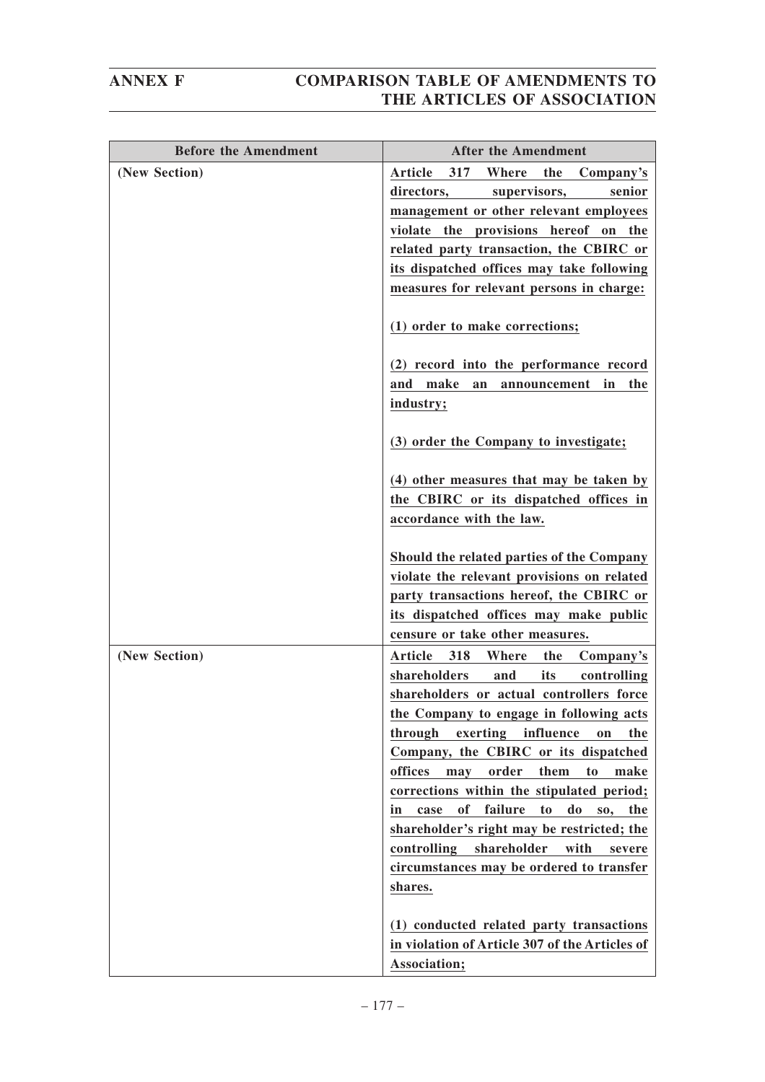| <b>Before the Amendment</b> | <b>After the Amendment</b>                                                                                                                                                                                                                                                                                                                                                                                                                                                                                                                                                                         |
|-----------------------------|----------------------------------------------------------------------------------------------------------------------------------------------------------------------------------------------------------------------------------------------------------------------------------------------------------------------------------------------------------------------------------------------------------------------------------------------------------------------------------------------------------------------------------------------------------------------------------------------------|
| (New Section)               | Article<br>317<br>Where<br>the<br>Company's<br>supervisors,<br>directors,<br>senior<br>management or other relevant employees<br>violate the provisions hereof on the<br>related party transaction, the CBIRC or<br>its dispatched offices may take following<br>measures for relevant persons in charge:<br>(1) order to make corrections;<br>(2) record into the performance record<br>make<br>and<br>announcement<br>in<br>the<br>an                                                                                                                                                            |
|                             | industry;<br>(3) order the Company to investigate;<br>(4) other measures that may be taken by                                                                                                                                                                                                                                                                                                                                                                                                                                                                                                      |
|                             | the CBIRC or its dispatched offices in<br>accordance with the law.<br>Should the related parties of the Company<br>violate the relevant provisions on related                                                                                                                                                                                                                                                                                                                                                                                                                                      |
|                             | party transactions hereof, the CBIRC or<br>its dispatched offices may make public<br>censure or take other measures.                                                                                                                                                                                                                                                                                                                                                                                                                                                                               |
| (New Section)               | 318<br>Where<br><b>Article</b><br>the<br>Company's<br>shareholders<br>its<br>and<br>controlling<br>shareholders or actual controllers force<br>the Company to engage in following acts<br>through<br>exerting<br>influence<br>the<br>on<br>Company, the CBIRC or its dispatched<br>offices<br>order<br>them<br>to<br>may<br>make<br>corrections within the stipulated period;<br>failure<br><b>of</b><br>do<br>to<br>in<br>case<br>so,<br>the<br>shareholder's right may be restricted; the<br>controlling<br>shareholder<br>with<br>severe<br>circumstances may be ordered to transfer<br>shares. |
|                             | (1) conducted related party transactions<br>in violation of Article 307 of the Articles of<br>Association;                                                                                                                                                                                                                                                                                                                                                                                                                                                                                         |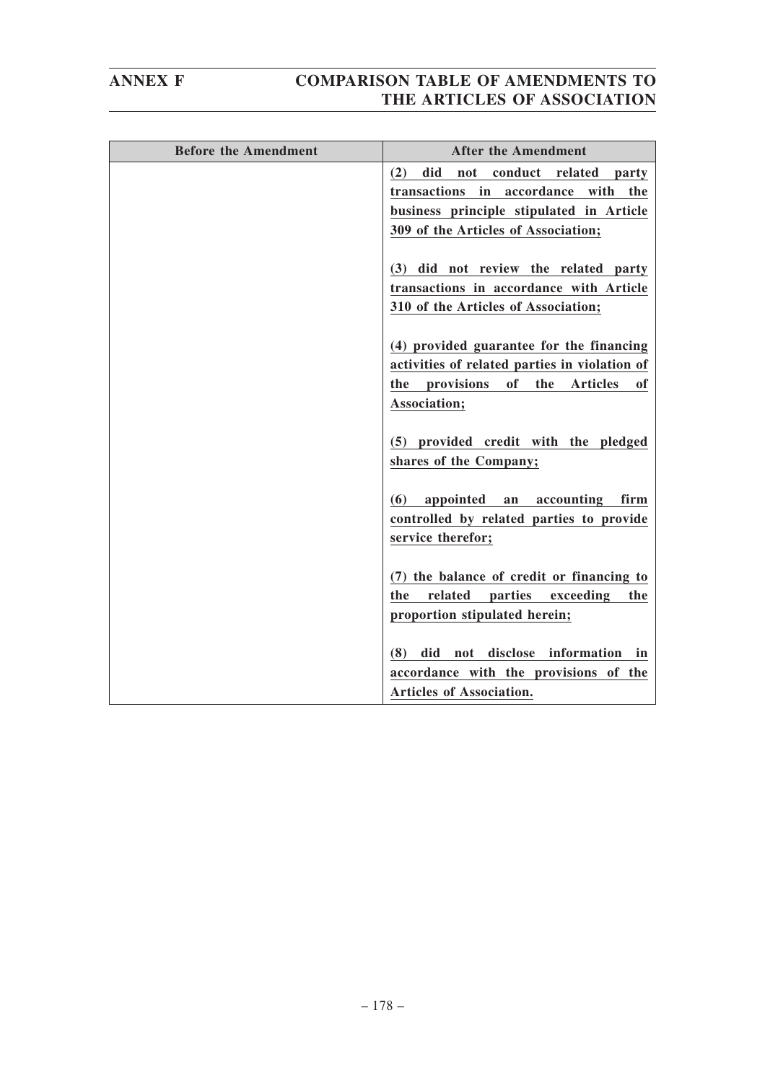| <b>Before the Amendment</b> | <b>After the Amendment</b>                                                     |
|-----------------------------|--------------------------------------------------------------------------------|
|                             | did<br>(2)<br>not<br>conduct related party                                     |
|                             | in<br>accordance with the<br>transactions                                      |
|                             | business principle stipulated in Article                                       |
|                             | 309 of the Articles of Association;                                            |
|                             | (3) did not review the related party                                           |
|                             | transactions in accordance with Article                                        |
|                             | 310 of the Articles of Association;                                            |
|                             |                                                                                |
|                             | (4) provided guarantee for the financing                                       |
|                             | activities of related parties in violation of                                  |
|                             | of the<br>the provisions<br><b>Articles</b><br>оf                              |
|                             | Association;                                                                   |
|                             | (5) provided credit with the pledged                                           |
|                             | shares of the Company;                                                         |
|                             |                                                                                |
|                             | (6)<br>appointed<br>accounting<br>an<br>firm                                   |
|                             | controlled by related parties to provide                                       |
|                             | service therefor;                                                              |
|                             |                                                                                |
|                             | (7) the balance of credit or financing to                                      |
|                             | related<br>parties<br>the<br>exceeding<br>the<br>proportion stipulated herein; |
|                             |                                                                                |
|                             | disclose information<br>(8)<br>did<br>not<br>in                                |
|                             | accordance with the provisions of the                                          |
|                             | <b>Articles of Association.</b>                                                |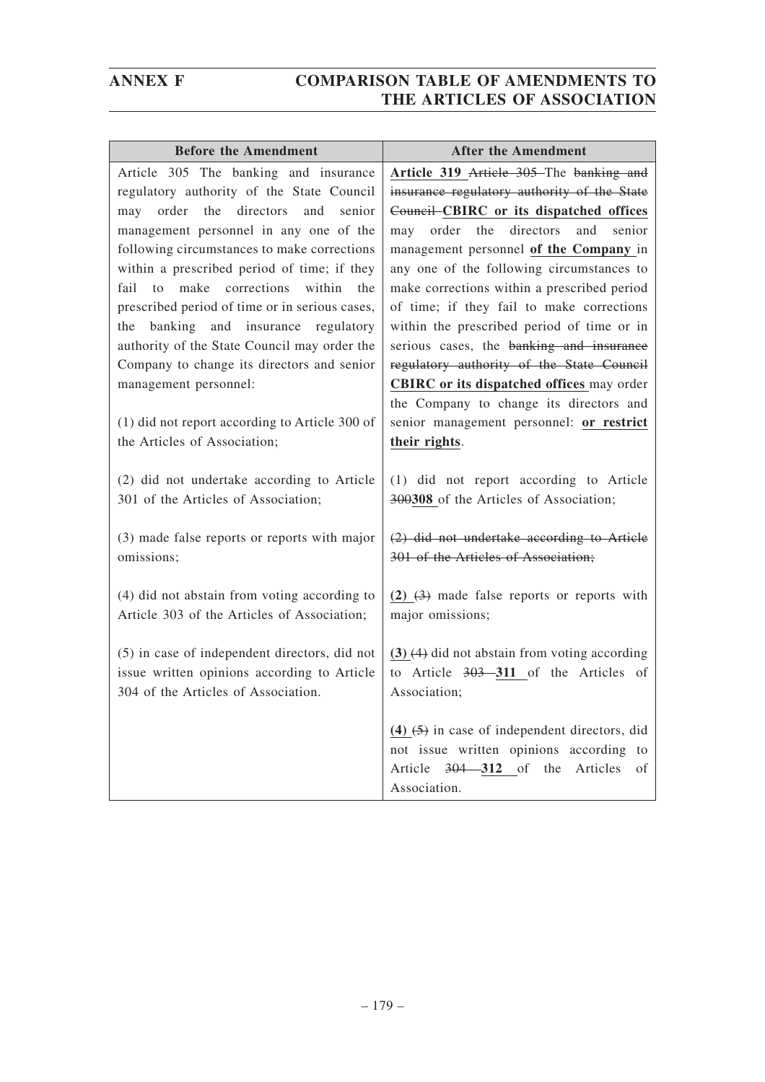| <b>Before the Amendment</b>                                                                                                         | <b>After the Amendment</b>                                                                                                                                         |
|-------------------------------------------------------------------------------------------------------------------------------------|--------------------------------------------------------------------------------------------------------------------------------------------------------------------|
| Article 305 The banking and insurance                                                                                               | Article 319 Article 305 The banking and                                                                                                                            |
| regulatory authority of the State Council                                                                                           | insurance regulatory authority of the State                                                                                                                        |
| directors<br>order<br>the<br>and<br>senior<br>may                                                                                   | Council-CBIRC or its dispatched offices                                                                                                                            |
| management personnel in any one of the                                                                                              | order<br>the<br>directors<br>and<br>senior<br>may                                                                                                                  |
| following circumstances to make corrections                                                                                         | management personnel of the Company in                                                                                                                             |
| within a prescribed period of time; if they                                                                                         | any one of the following circumstances to                                                                                                                          |
| to make corrections<br>within<br>the<br>fail                                                                                        | make corrections within a prescribed period                                                                                                                        |
| prescribed period of time or in serious cases,                                                                                      | of time; if they fail to make corrections                                                                                                                          |
| and insurance<br>banking<br>regulatory<br>the                                                                                       | within the prescribed period of time or in                                                                                                                         |
| authority of the State Council may order the                                                                                        | serious cases, the banking and insurance                                                                                                                           |
| Company to change its directors and senior                                                                                          | regulatory authority of the State Council                                                                                                                          |
| management personnel:                                                                                                               | CBIRC or its dispatched offices may order                                                                                                                          |
|                                                                                                                                     | the Company to change its directors and                                                                                                                            |
| (1) did not report according to Article 300 of                                                                                      | senior management personnel: or restrict                                                                                                                           |
| the Articles of Association;                                                                                                        | their rights.                                                                                                                                                      |
| (2) did not undertake according to Article<br>301 of the Articles of Association;                                                   | (1) did not report according to Article<br>300308 of the Articles of Association;                                                                                  |
| (3) made false reports or reports with major<br>omissions;                                                                          | (2) did not undertake according to Article<br>301 of the Articles of Association;                                                                                  |
| (4) did not abstain from voting according to<br>Article 303 of the Articles of Association;                                         | $(2)$ $(3)$ made false reports or reports with<br>major omissions;                                                                                                 |
| (5) in case of independent directors, did not<br>issue written opinions according to Article<br>304 of the Articles of Association. | $(3)$ $(4)$ did not abstain from voting according<br>to Article 303-311 of the Articles of<br>Association;                                                         |
|                                                                                                                                     | $(4)$ $(5)$ in case of independent directors, did<br>not issue written opinions according<br>to<br>Article $304 - 312$ of<br>the<br>Articles<br>οf<br>Association. |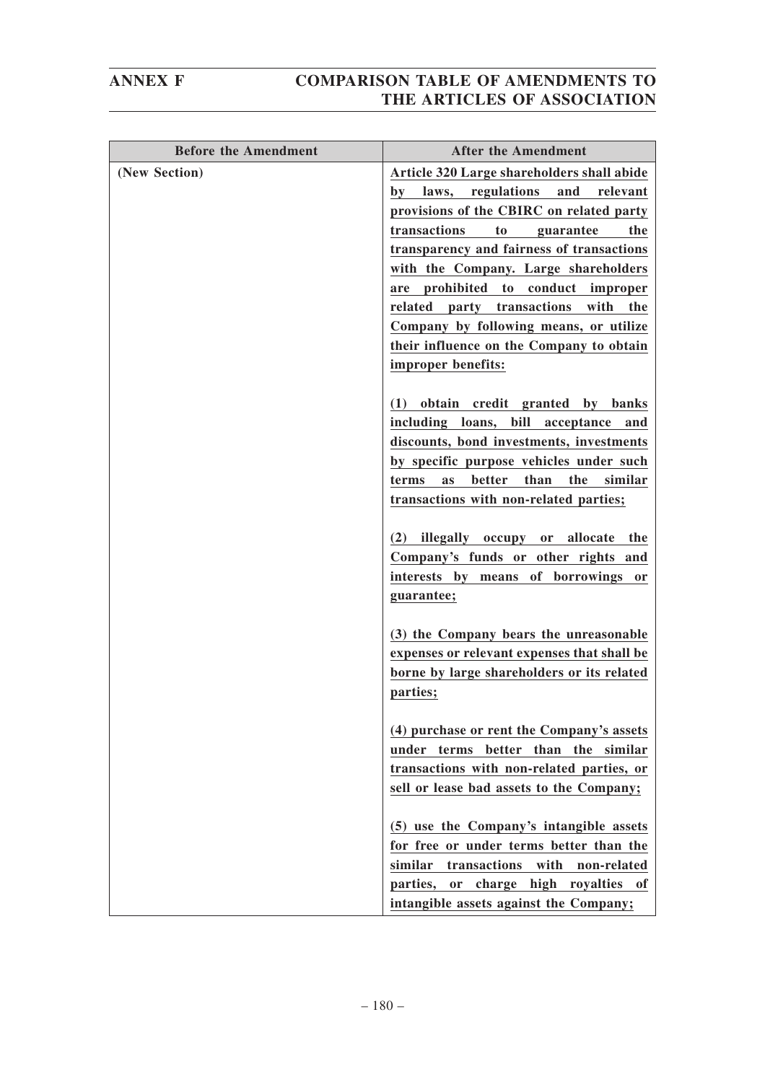| <b>Before the Amendment</b> | <b>After the Amendment</b>                                                                                                                                                                                                                                                                                                                                                                                                                                      |
|-----------------------------|-----------------------------------------------------------------------------------------------------------------------------------------------------------------------------------------------------------------------------------------------------------------------------------------------------------------------------------------------------------------------------------------------------------------------------------------------------------------|
| (New Section)               | Article 320 Large shareholders shall abide<br>by laws, regulations and<br>relevant<br>provisions of the CBIRC on related party<br>transactions<br>to<br>guarantee<br>the<br>transparency and fairness of transactions<br>with the Company. Large shareholders<br>are prohibited to conduct improper<br>related<br>party transactions<br>with<br>the<br>Company by following means, or utilize<br>their influence on the Company to obtain<br>improper benefits: |
|                             | obtain credit granted by banks<br>(1)<br>including loans, bill acceptance and<br>discounts, bond investments, investments<br>by specific purpose vehicles under such<br>better than the similar<br><b>as</b><br>terms<br>transactions with non-related parties;<br>illegally occupy or allocate<br>(2)<br>the<br>Company's funds or other rights and<br>interests by means of borrowings or<br>guarantee;                                                       |
|                             | (3) the Company bears the unreasonable<br>expenses or relevant expenses that shall be<br>borne by large shareholders or its related<br>parties;                                                                                                                                                                                                                                                                                                                 |
|                             | (4) purchase or rent the Company's assets<br>under terms better than the similar<br>transactions with non-related parties, or<br>sell or lease bad assets to the Company;                                                                                                                                                                                                                                                                                       |
|                             | (5) use the Company's intangible assets<br>for free or under terms better than the<br>similar<br>transactions<br>with non-related<br>or charge high royalties of<br>parties,<br>intangible assets against the Company;                                                                                                                                                                                                                                          |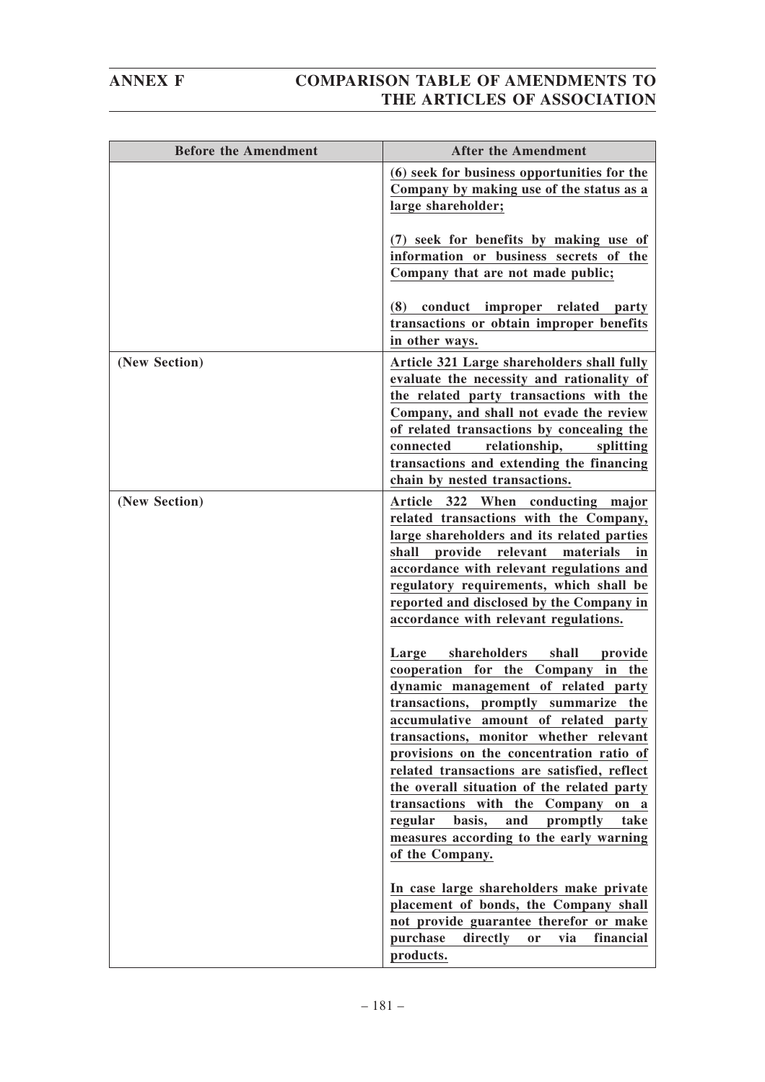| <b>Before the Amendment</b> | <b>After the Amendment</b>                                                                                                                                                                                                                                                                                                                                                                                                                                                                                                                          |
|-----------------------------|-----------------------------------------------------------------------------------------------------------------------------------------------------------------------------------------------------------------------------------------------------------------------------------------------------------------------------------------------------------------------------------------------------------------------------------------------------------------------------------------------------------------------------------------------------|
|                             | (6) seek for business opportunities for the<br>Company by making use of the status as a<br>large shareholder;                                                                                                                                                                                                                                                                                                                                                                                                                                       |
|                             | (7) seek for benefits by making use of<br>information or business secrets of the<br>Company that are not made public;                                                                                                                                                                                                                                                                                                                                                                                                                               |
|                             | conduct improper related party<br>(8)<br>transactions or obtain improper benefits<br>in other ways.                                                                                                                                                                                                                                                                                                                                                                                                                                                 |
| (New Section)               | Article 321 Large shareholders shall fully<br>evaluate the necessity and rationality of<br>the related party transactions with the<br>Company, and shall not evade the review<br>of related transactions by concealing the<br>relationship,<br>splitting<br>connected<br>transactions and extending the financing<br>chain by nested transactions.                                                                                                                                                                                                  |
| (New Section)               | Article 322 When conducting major<br>related transactions with the Company,<br>large shareholders and its related parties<br>provide relevant materials<br>shall<br>- in<br>accordance with relevant regulations and<br>regulatory requirements, which shall be<br>reported and disclosed by the Company in<br>accordance with relevant regulations.                                                                                                                                                                                                |
|                             | shareholders<br>shall<br>Large<br>provide<br>cooperation for the Company in the<br>dynamic management of related party<br>transactions, promptly summarize<br>the<br>accumulative amount of related party<br>transactions, monitor whether relevant<br>provisions on the concentration ratio of<br>related transactions are satisfied, reflect<br>the overall situation of the related party<br>transactions with the<br>Company on a<br>regular<br>basis,<br>and<br>promptly<br>take<br>measures according to the early warning<br>of the Company. |
|                             | In case large shareholders make private<br>placement of bonds, the Company shall<br>not provide guarantee therefor or make<br>purchase<br>directly<br>via<br>financial<br>or<br>products.                                                                                                                                                                                                                                                                                                                                                           |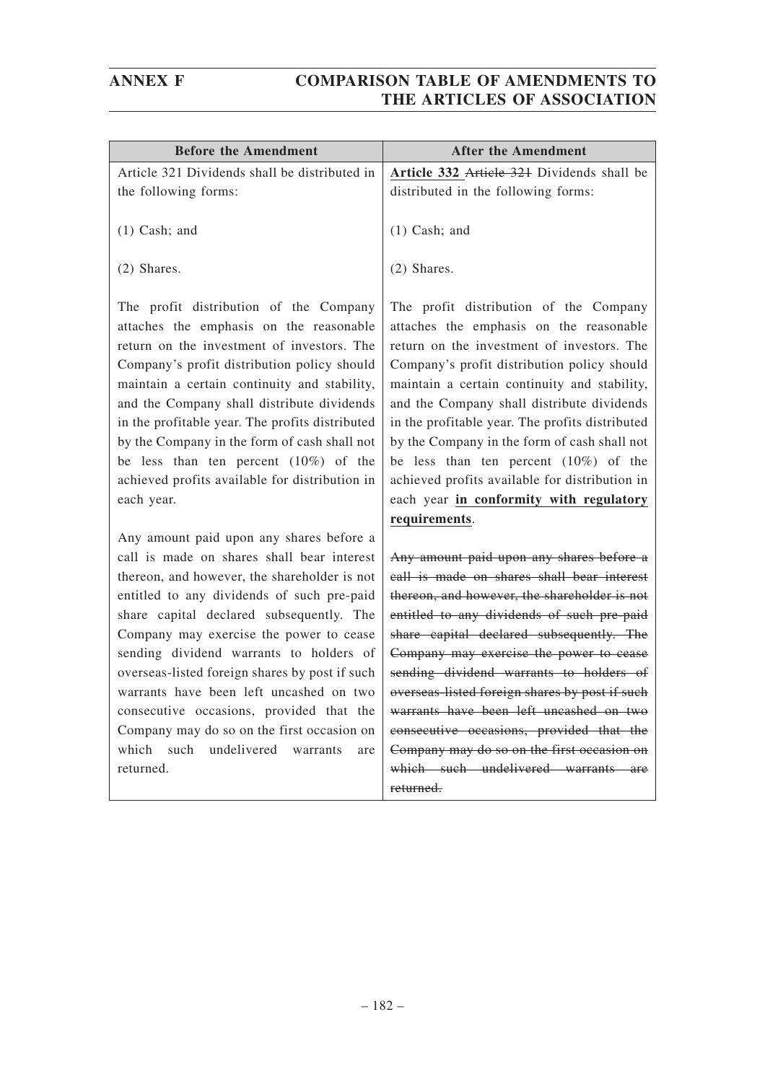| <b>Before the Amendment</b>                                                                                                                                                                                                                                                                                                                                                                                                                                                                                                                                                | <b>After the Amendment</b>                                                                                                                                                                                                                                                                                                                                                                                                                                                                                                                           |
|----------------------------------------------------------------------------------------------------------------------------------------------------------------------------------------------------------------------------------------------------------------------------------------------------------------------------------------------------------------------------------------------------------------------------------------------------------------------------------------------------------------------------------------------------------------------------|------------------------------------------------------------------------------------------------------------------------------------------------------------------------------------------------------------------------------------------------------------------------------------------------------------------------------------------------------------------------------------------------------------------------------------------------------------------------------------------------------------------------------------------------------|
| Article 321 Dividends shall be distributed in<br>the following forms:                                                                                                                                                                                                                                                                                                                                                                                                                                                                                                      | Article 332 Article 321 Dividends shall be<br>distributed in the following forms:                                                                                                                                                                                                                                                                                                                                                                                                                                                                    |
| $(1)$ Cash; and                                                                                                                                                                                                                                                                                                                                                                                                                                                                                                                                                            | $(1)$ Cash; and                                                                                                                                                                                                                                                                                                                                                                                                                                                                                                                                      |
| $(2)$ Shares.                                                                                                                                                                                                                                                                                                                                                                                                                                                                                                                                                              | (2) Shares.                                                                                                                                                                                                                                                                                                                                                                                                                                                                                                                                          |
| The profit distribution of the Company<br>attaches the emphasis on the reasonable<br>return on the investment of investors. The<br>Company's profit distribution policy should<br>maintain a certain continuity and stability,<br>and the Company shall distribute dividends<br>in the profitable year. The profits distributed<br>by the Company in the form of cash shall not<br>be less than ten percent $(10\%)$ of the<br>achieved profits available for distribution in<br>each year.                                                                                | The profit distribution of the Company<br>attaches the emphasis on the reasonable<br>return on the investment of investors. The<br>Company's profit distribution policy should<br>maintain a certain continuity and stability,<br>and the Company shall distribute dividends<br>in the profitable year. The profits distributed<br>by the Company in the form of cash shall not<br>be less than ten percent $(10\%)$ of the<br>achieved profits available for distribution in<br>each year in conformity with regulatory                             |
|                                                                                                                                                                                                                                                                                                                                                                                                                                                                                                                                                                            | requirements.                                                                                                                                                                                                                                                                                                                                                                                                                                                                                                                                        |
| Any amount paid upon any shares before a<br>call is made on shares shall bear interest<br>thereon, and however, the shareholder is not<br>entitled to any dividends of such pre-paid<br>share capital declared subsequently. The<br>Company may exercise the power to cease<br>sending dividend warrants to holders of<br>overseas-listed foreign shares by post if such<br>warrants have been left uncashed on two<br>consecutive occasions, provided that the<br>Company may do so on the first occasion on<br>which<br>such undelivered<br>warrants<br>are<br>returned. | Any amount paid upon any shares before a<br>call is made on shares shall bear interest<br>thereon, and however, the shareholder is not<br>entitled to any dividends of such pre-paid<br>share capital declared subsequently. The<br>Company may exercise the power to cease<br>sending dividend warrants to holders of<br>overseas-listed foreign shares by post if such<br>warrants have been left uncashed on two<br>consecutive occasions, provided that the<br>Company may do so on the first occasion on<br>which such undelivered warrants are |
|                                                                                                                                                                                                                                                                                                                                                                                                                                                                                                                                                                            | returned.                                                                                                                                                                                                                                                                                                                                                                                                                                                                                                                                            |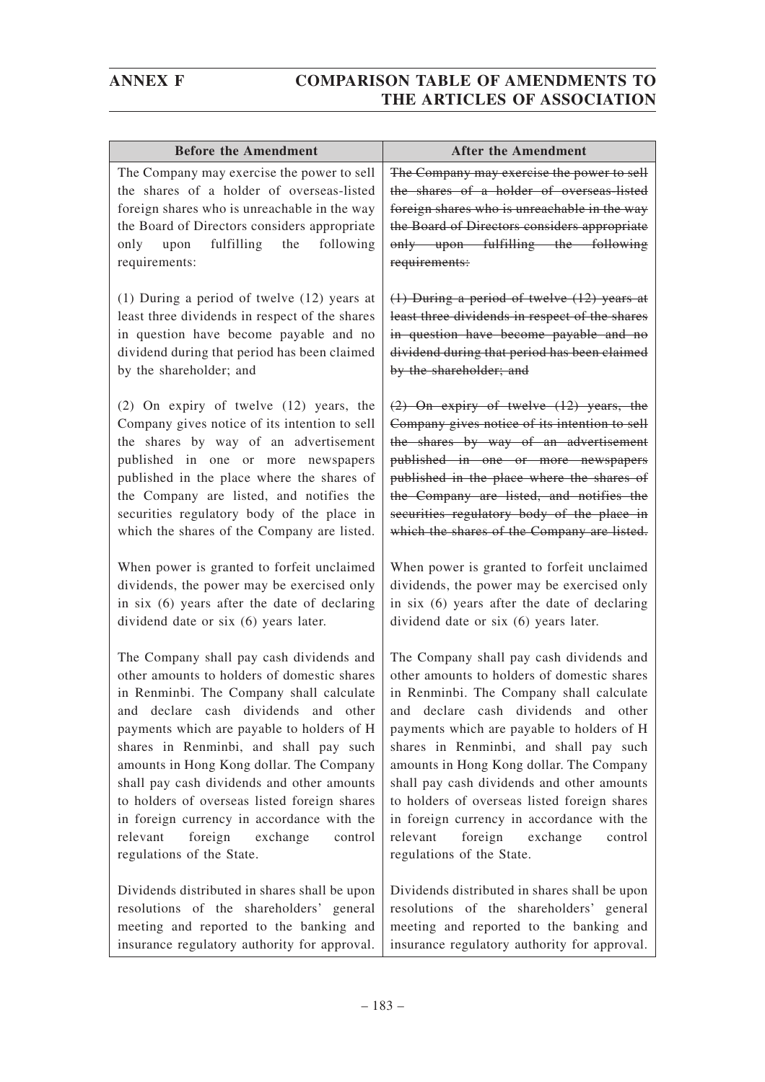| <b>Before the Amendment</b>                                                                                                                                                                                                                                                                                                                                                                                                                                                                                                            | <b>After the Amendment</b>                                                                                                                                                                                                                                                                                                                                                                                                                                                                                                          |
|----------------------------------------------------------------------------------------------------------------------------------------------------------------------------------------------------------------------------------------------------------------------------------------------------------------------------------------------------------------------------------------------------------------------------------------------------------------------------------------------------------------------------------------|-------------------------------------------------------------------------------------------------------------------------------------------------------------------------------------------------------------------------------------------------------------------------------------------------------------------------------------------------------------------------------------------------------------------------------------------------------------------------------------------------------------------------------------|
| The Company may exercise the power to sell<br>the shares of a holder of overseas-listed<br>foreign shares who is unreachable in the way<br>the Board of Directors considers appropriate<br>only upon fulfilling the<br>following<br>requirements:                                                                                                                                                                                                                                                                                      | The Company may exercise the power to sell<br>the shares of a holder of overseas-listed<br>foreign shares who is unreachable in the way<br>the Board of Directors considers appropriate<br>only upon fulfilling the following<br>requirements:                                                                                                                                                                                                                                                                                      |
| $(1)$ During a period of twelve $(12)$ years at                                                                                                                                                                                                                                                                                                                                                                                                                                                                                        | $(1)$ During a period of twelve $(12)$ years at                                                                                                                                                                                                                                                                                                                                                                                                                                                                                     |
| least three dividends in respect of the shares                                                                                                                                                                                                                                                                                                                                                                                                                                                                                         | least three dividends in respect of the shares                                                                                                                                                                                                                                                                                                                                                                                                                                                                                      |
| in question have become payable and no                                                                                                                                                                                                                                                                                                                                                                                                                                                                                                 | in question have become payable and no                                                                                                                                                                                                                                                                                                                                                                                                                                                                                              |
| dividend during that period has been claimed                                                                                                                                                                                                                                                                                                                                                                                                                                                                                           | dividend during that period has been claimed                                                                                                                                                                                                                                                                                                                                                                                                                                                                                        |
| by the shareholder; and                                                                                                                                                                                                                                                                                                                                                                                                                                                                                                                | by the shareholder; and                                                                                                                                                                                                                                                                                                                                                                                                                                                                                                             |
| (2) On expiry of twelve (12) years, the                                                                                                                                                                                                                                                                                                                                                                                                                                                                                                | $(2)$ On expiry of twelve $(12)$ years, the                                                                                                                                                                                                                                                                                                                                                                                                                                                                                         |
| Company gives notice of its intention to sell                                                                                                                                                                                                                                                                                                                                                                                                                                                                                          | Company gives notice of its intention to sell                                                                                                                                                                                                                                                                                                                                                                                                                                                                                       |
| the shares by way of an advertisement                                                                                                                                                                                                                                                                                                                                                                                                                                                                                                  | the shares by way of an advertisement                                                                                                                                                                                                                                                                                                                                                                                                                                                                                               |
| published in one or more newspapers                                                                                                                                                                                                                                                                                                                                                                                                                                                                                                    | published in one or more newspapers                                                                                                                                                                                                                                                                                                                                                                                                                                                                                                 |
| published in the place where the shares of                                                                                                                                                                                                                                                                                                                                                                                                                                                                                             | published in the place where the shares of                                                                                                                                                                                                                                                                                                                                                                                                                                                                                          |
| the Company are listed, and notifies the                                                                                                                                                                                                                                                                                                                                                                                                                                                                                               | the Company are listed, and notifies the                                                                                                                                                                                                                                                                                                                                                                                                                                                                                            |
| securities regulatory body of the place in                                                                                                                                                                                                                                                                                                                                                                                                                                                                                             | securities regulatory body of the place in                                                                                                                                                                                                                                                                                                                                                                                                                                                                                          |
| which the shares of the Company are listed.                                                                                                                                                                                                                                                                                                                                                                                                                                                                                            | which the shares of the Company are listed.                                                                                                                                                                                                                                                                                                                                                                                                                                                                                         |
| When power is granted to forfeit unclaimed                                                                                                                                                                                                                                                                                                                                                                                                                                                                                             | When power is granted to forfeit unclaimed                                                                                                                                                                                                                                                                                                                                                                                                                                                                                          |
| dividends, the power may be exercised only                                                                                                                                                                                                                                                                                                                                                                                                                                                                                             | dividends, the power may be exercised only                                                                                                                                                                                                                                                                                                                                                                                                                                                                                          |
| in six (6) years after the date of declaring                                                                                                                                                                                                                                                                                                                                                                                                                                                                                           | in six (6) years after the date of declaring                                                                                                                                                                                                                                                                                                                                                                                                                                                                                        |
| dividend date or six (6) years later.                                                                                                                                                                                                                                                                                                                                                                                                                                                                                                  | dividend date or six (6) years later.                                                                                                                                                                                                                                                                                                                                                                                                                                                                                               |
| The Company shall pay cash dividends and<br>other amounts to holders of domestic shares<br>in Renminbi. The Company shall calculate<br>and declare cash dividends and other<br>payments which are payable to holders of H<br>shares in Renminbi, and shall pay such<br>amounts in Hong Kong dollar. The Company<br>shall pay cash dividends and other amounts<br>to holders of overseas listed foreign shares<br>in foreign currency in accordance with the<br>relevant<br>foreign<br>exchange<br>control<br>regulations of the State. | The Company shall pay cash dividends and<br>other amounts to holders of domestic shares<br>in Renminbi. The Company shall calculate<br>and declare cash dividends and other<br>payments which are payable to holders of H<br>shares in Renminbi, and shall pay such<br>amounts in Hong Kong dollar. The Company<br>shall pay cash dividends and other amounts<br>to holders of overseas listed foreign shares<br>in foreign currency in accordance with the<br>foreign exchange<br>relevant<br>control<br>regulations of the State. |
| Dividends distributed in shares shall be upon                                                                                                                                                                                                                                                                                                                                                                                                                                                                                          | Dividends distributed in shares shall be upon                                                                                                                                                                                                                                                                                                                                                                                                                                                                                       |
| resolutions of the shareholders' general                                                                                                                                                                                                                                                                                                                                                                                                                                                                                               | resolutions of the shareholders' general                                                                                                                                                                                                                                                                                                                                                                                                                                                                                            |
| meeting and reported to the banking and                                                                                                                                                                                                                                                                                                                                                                                                                                                                                                | meeting and reported to the banking and                                                                                                                                                                                                                                                                                                                                                                                                                                                                                             |

insurance regulatory authority for approval.

insurance regulatory authority for approval.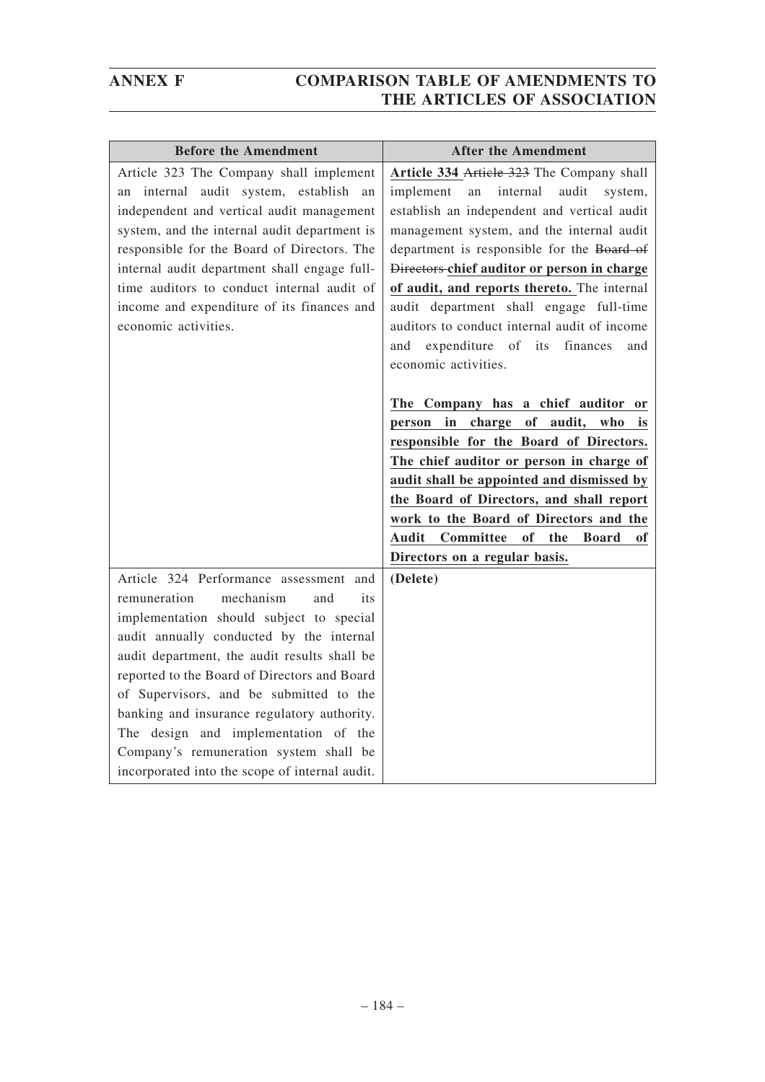| <b>Before the Amendment</b>                                                                                                                                                                                                                                                                                                                                                                                                                                                                             | <b>After the Amendment</b>                                                                                                                                                                                                                                                                                                                                                                                                                                                                              |
|---------------------------------------------------------------------------------------------------------------------------------------------------------------------------------------------------------------------------------------------------------------------------------------------------------------------------------------------------------------------------------------------------------------------------------------------------------------------------------------------------------|---------------------------------------------------------------------------------------------------------------------------------------------------------------------------------------------------------------------------------------------------------------------------------------------------------------------------------------------------------------------------------------------------------------------------------------------------------------------------------------------------------|
| Article 323 The Company shall implement<br>internal audit system, establish<br>an<br>an<br>independent and vertical audit management<br>system, and the internal audit department is<br>responsible for the Board of Directors. The<br>internal audit department shall engage full-<br>time auditors to conduct internal audit of<br>income and expenditure of its finances and<br>economic activities.                                                                                                 | Article 334 Article 323 The Company shall<br>implement<br>internal<br>audit<br>an<br>system,<br>establish an independent and vertical audit<br>management system, and the internal audit<br>department is responsible for the Board of<br>Directors-chief auditor or person in charge<br>of audit, and reports thereto. The internal<br>audit department shall engage full-time<br>auditors to conduct internal audit of income<br>expenditure of its<br>finances<br>and<br>and<br>economic activities. |
|                                                                                                                                                                                                                                                                                                                                                                                                                                                                                                         | The Company has a chief auditor or<br>in<br>charge of audit, who<br>person<br><i>is</i><br>responsible for the Board of Directors.<br>The chief auditor or person in charge of<br>audit shall be appointed and dismissed by<br>the Board of Directors, and shall report<br>work to the Board of Directors and the<br>Committee<br>of<br>Audit<br>the<br><b>Board</b><br>оf<br>Directors on a regular basis.                                                                                             |
| Article 324 Performance assessment and<br>remuneration<br>mechanism<br>and<br>its<br>implementation should subject to special<br>audit annually conducted by the internal<br>audit department, the audit results shall be<br>reported to the Board of Directors and Board<br>of Supervisors, and be submitted to the<br>banking and insurance regulatory authority.<br>The design and implementation of the<br>Company's remuneration system shall be<br>incorporated into the scope of internal audit. | (Delete)                                                                                                                                                                                                                                                                                                                                                                                                                                                                                                |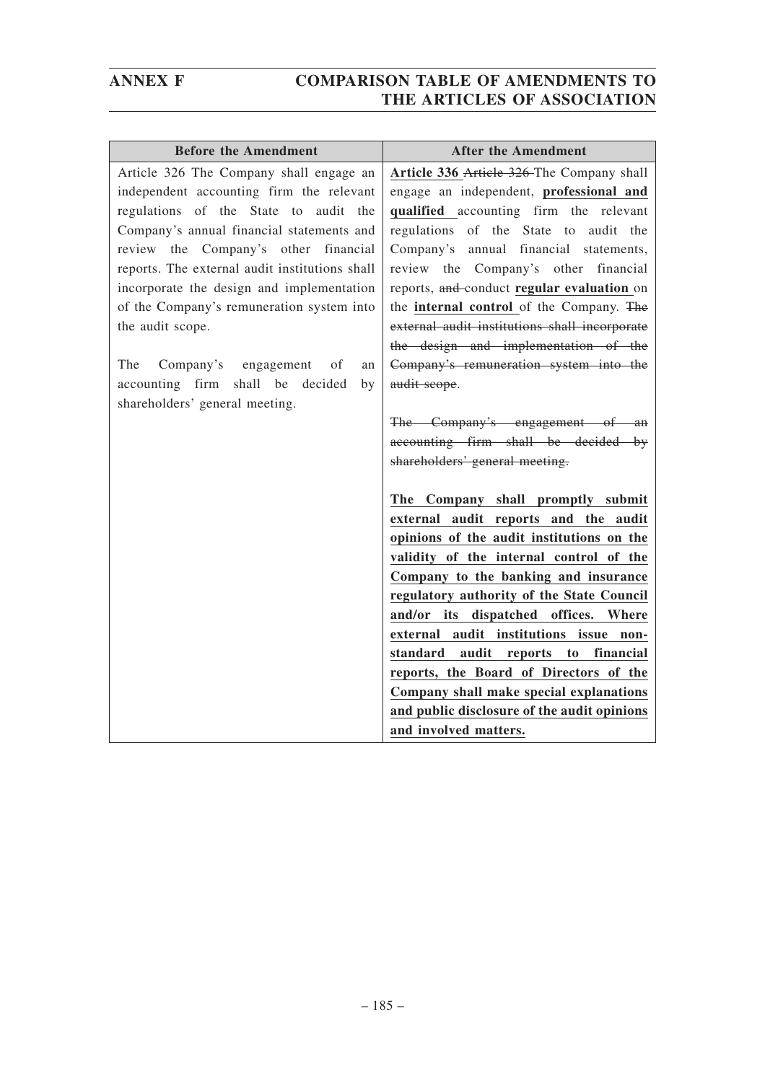| <b>Before the Amendment</b>                    | <b>After the Amendment</b>                                                    |
|------------------------------------------------|-------------------------------------------------------------------------------|
| Article 326 The Company shall engage an        | Article 336 Article 326 The Company shall                                     |
| independent accounting firm the relevant       | engage an independent, professional and                                       |
| regulations of the State to audit the          | qualified accounting firm the relevant                                        |
| Company's annual financial statements and      | regulations of the State to audit the                                         |
| review the Company's other financial           | Company's annual financial statements,                                        |
| reports. The external audit institutions shall | review the Company's other financial                                          |
| incorporate the design and implementation      | reports, and-conduct regular evaluation on                                    |
| of the Company's remuneration system into      | the internal control of the Company. The                                      |
| the audit scope.                               | external audit institutions shall incorporate                                 |
|                                                | the design and implementation of the                                          |
| The<br>Company's engagement<br>of<br>an        | Company's remuneration system into the                                        |
| accounting firm shall be decided<br>by         | audit scope.                                                                  |
| shareholders' general meeting.                 |                                                                               |
|                                                | The Company's engagement of an                                                |
|                                                | accounting firm shall be decided by                                           |
|                                                | shareholders' general meeting.                                                |
|                                                |                                                                               |
|                                                | The Company shall promptly submit                                             |
|                                                | external audit reports and the audit                                          |
|                                                | opinions of the audit institutions on the                                     |
|                                                | validity of the internal control of the                                       |
|                                                | Company to the banking and insurance                                          |
|                                                | regulatory authority of the State Council                                     |
|                                                | and/or its dispatched offices. Where                                          |
|                                                | external audit institutions issue non-<br>standard audit reports to financial |
|                                                | reports, the Board of Directors of the                                        |
|                                                | Company shall make special explanations                                       |
|                                                | and public disclosure of the audit opinions                                   |
|                                                | and involved matters.                                                         |
|                                                |                                                                               |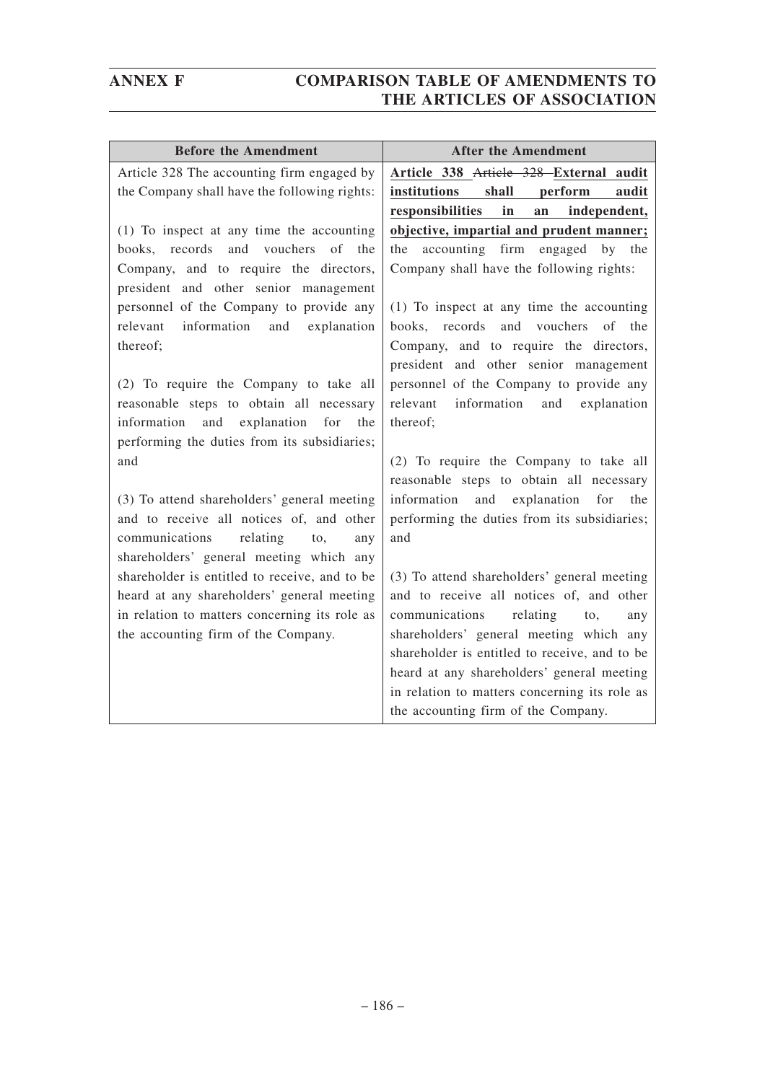| <b>Before the Amendment</b>                                                                     | <b>After the Amendment</b>                    |
|-------------------------------------------------------------------------------------------------|-----------------------------------------------|
| Article 328 The accounting firm engaged by                                                      | Article 338 Article 328 External audit        |
| the Company shall have the following rights:                                                    | institutions<br>shall<br>perform<br>audit     |
|                                                                                                 | responsibilities<br>in<br>an<br>independent,  |
| (1) To inspect at any time the accounting                                                       | objective, impartial and prudent manner;      |
| and<br>vouchers of the<br>records<br>books,                                                     | accounting<br>firm engaged<br>the<br>by the   |
| Company, and to require the directors,                                                          | Company shall have the following rights:      |
| president and other senior management                                                           |                                               |
| personnel of the Company to provide any                                                         | (1) To inspect at any time the accounting     |
| information<br>relevant<br>and<br>explanation                                                   | books, records<br>and<br>vouchers<br>of the   |
| thereof;                                                                                        | Company, and to require the directors,        |
|                                                                                                 | president and other senior management         |
| (2) To require the Company to take all                                                          | personnel of the Company to provide any       |
| reasonable steps to obtain all necessary                                                        | information<br>relevant<br>and<br>explanation |
| explanation<br>information<br>and<br>for<br>the<br>performing the duties from its subsidiaries; | thereof;                                      |
| and                                                                                             | (2) To require the Company to take all        |
|                                                                                                 | reasonable steps to obtain all necessary      |
| (3) To attend shareholders' general meeting                                                     | information and explanation<br>for<br>the     |
| and to receive all notices of, and other                                                        | performing the duties from its subsidiaries;  |
| communications<br>relating<br>to,<br>any                                                        | and                                           |
| shareholders' general meeting which any                                                         |                                               |
| shareholder is entitled to receive, and to be                                                   | (3) To attend shareholders' general meeting   |
| heard at any shareholders' general meeting                                                      | and to receive all notices of, and other      |
| in relation to matters concerning its role as                                                   | communications<br>relating<br>to,<br>any      |
| the accounting firm of the Company.                                                             | shareholders' general meeting which any       |
|                                                                                                 | shareholder is entitled to receive, and to be |
|                                                                                                 | heard at any shareholders' general meeting    |
|                                                                                                 | in relation to matters concerning its role as |
|                                                                                                 | the accounting firm of the Company.           |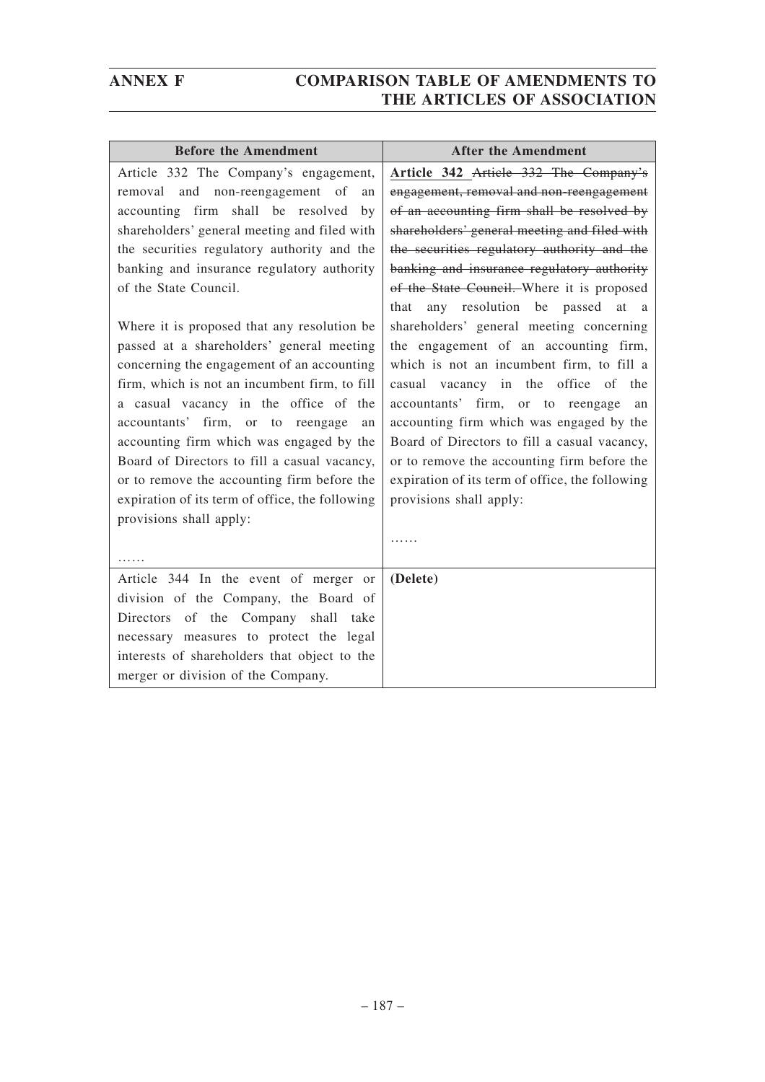| <b>Before the Amendment</b>                                                                                                                                                                                                                                                                                                                                                                                                                                                                                                                                                                                                                                                                                                                                                                             | <b>After the Amendment</b>                                                                                                                                                                                                                                                                                                                                                                                                                                                                                                                                                                                                                                                                                                                                                                                       |
|---------------------------------------------------------------------------------------------------------------------------------------------------------------------------------------------------------------------------------------------------------------------------------------------------------------------------------------------------------------------------------------------------------------------------------------------------------------------------------------------------------------------------------------------------------------------------------------------------------------------------------------------------------------------------------------------------------------------------------------------------------------------------------------------------------|------------------------------------------------------------------------------------------------------------------------------------------------------------------------------------------------------------------------------------------------------------------------------------------------------------------------------------------------------------------------------------------------------------------------------------------------------------------------------------------------------------------------------------------------------------------------------------------------------------------------------------------------------------------------------------------------------------------------------------------------------------------------------------------------------------------|
| Article 332 The Company's engagement,<br>removal and non-reengagement of<br>an<br>accounting firm shall be resolved<br>by<br>shareholders' general meeting and filed with<br>the securities regulatory authority and the<br>banking and insurance regulatory authority<br>of the State Council.<br>Where it is proposed that any resolution be<br>passed at a shareholders' general meeting<br>concerning the engagement of an accounting<br>firm, which is not an incumbent firm, to fill<br>a casual vacancy in the office of the<br>accountants' firm, or to reengage<br>an<br>accounting firm which was engaged by the<br>Board of Directors to fill a casual vacancy,<br>or to remove the accounting firm before the<br>expiration of its term of office, the following<br>provisions shall apply: | Article 342 Article 332 The Company's<br>engagement, removal and non-reengagement<br>of an accounting firm shall be resolved by<br>shareholders' general meeting and filed with<br>the securities regulatory authority and the<br>banking and insurance regulatory authority<br>of the State Council. Where it is proposed<br>any resolution be passed at a<br>that<br>shareholders' general meeting concerning<br>the engagement of an accounting firm,<br>which is not an incumbent firm, to fill a<br>casual vacancy in the office of the<br>accountants' firm, or to reengage<br>an<br>accounting firm which was engaged by the<br>Board of Directors to fill a casual vacancy,<br>or to remove the accounting firm before the<br>expiration of its term of office, the following<br>provisions shall apply: |
|                                                                                                                                                                                                                                                                                                                                                                                                                                                                                                                                                                                                                                                                                                                                                                                                         |                                                                                                                                                                                                                                                                                                                                                                                                                                                                                                                                                                                                                                                                                                                                                                                                                  |
| Article 344 In the event of merger or<br>division of the Company, the Board of<br>Directors of the Company shall take<br>necessary measures to protect the legal<br>interests of shareholders that object to the<br>merger or division of the Company.                                                                                                                                                                                                                                                                                                                                                                                                                                                                                                                                                  | (Delete)                                                                                                                                                                                                                                                                                                                                                                                                                                                                                                                                                                                                                                                                                                                                                                                                         |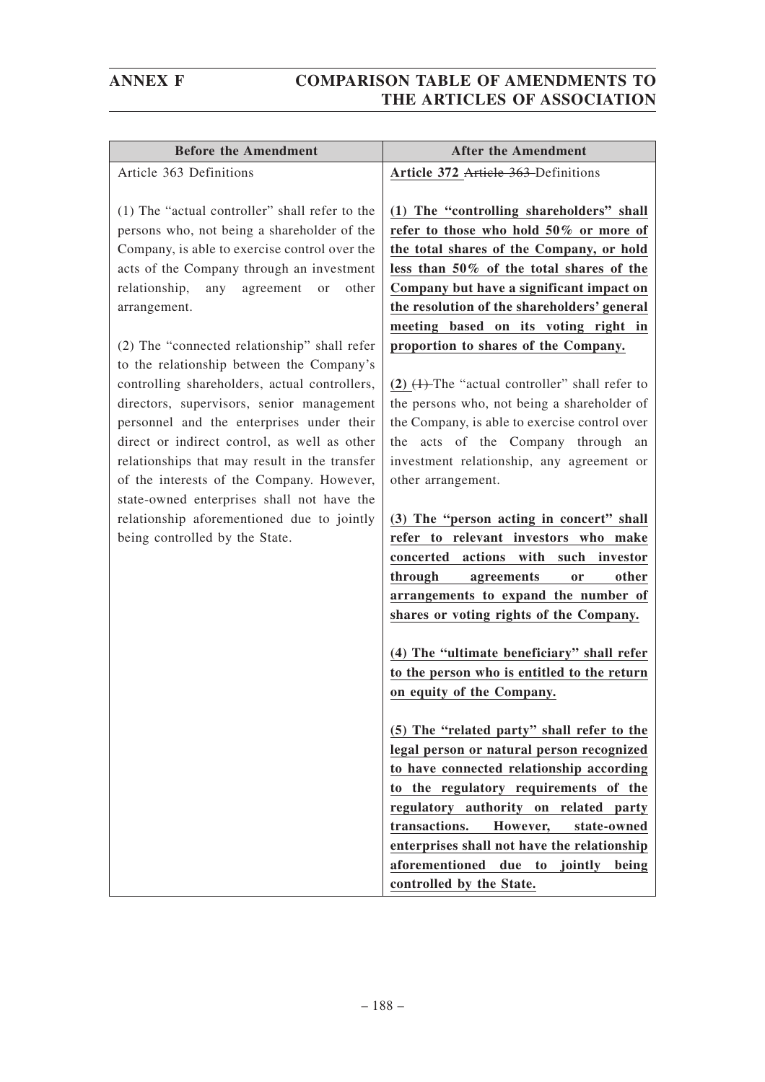| <b>Before the Amendment</b>                      | <b>After the Amendment</b>                          |
|--------------------------------------------------|-----------------------------------------------------|
| Article 363 Definitions                          | Article 372 Article 363 Definitions                 |
| (1) The "actual controller" shall refer to the   | (1) The "controlling shareholders" shall            |
| persons who, not being a shareholder of the      | refer to those who hold 50% or more of              |
| Company, is able to exercise control over the    | the total shares of the Company, or hold            |
| acts of the Company through an investment        | less than 50% of the total shares of the            |
| any<br>relationship,<br>agreement<br>other<br>or | Company but have a significant impact on            |
| arrangement.                                     | the resolution of the shareholders' general         |
|                                                  | meeting based on its voting right in                |
| (2) The "connected relationship" shall refer     | proportion to shares of the Company.                |
| to the relationship between the Company's        |                                                     |
| controlling shareholders, actual controllers,    | $(2)$ $(1)$ -The "actual controller" shall refer to |
| directors, supervisors, senior management        | the persons who, not being a shareholder of         |
| personnel and the enterprises under their        | the Company, is able to exercise control over       |
| direct or indirect control, as well as other     | the acts of the Company through an                  |
| relationships that may result in the transfer    | investment relationship, any agreement or           |
| of the interests of the Company. However,        | other arrangement.                                  |
| state-owned enterprises shall not have the       |                                                     |
| relationship aforementioned due to jointly       | (3) The "person acting in concert" shall            |
| being controlled by the State.                   | refer to relevant investors who make                |
|                                                  | concerted actions with such investor                |
|                                                  | through<br>other<br>agreements<br>or                |
|                                                  | arrangements to expand the number of                |
|                                                  | shares or voting rights of the Company.             |
|                                                  | (4) The "ultimate beneficiary" shall refer          |
|                                                  | to the person who is entitled to the return         |
|                                                  | on equity of the Company.                           |
|                                                  | (5) The "related party" shall refer to the          |
|                                                  | legal person or natural person recognized           |
|                                                  | to have connected relationship according            |
|                                                  | to the regulatory requirements of the               |
|                                                  | regulatory authority on related party               |
|                                                  | transactions.<br>However,<br>state-owned            |
|                                                  | enterprises shall not have the relationship<br>due  |
|                                                  | aforementioned<br>to jointly<br>being               |
|                                                  | controlled by the State.                            |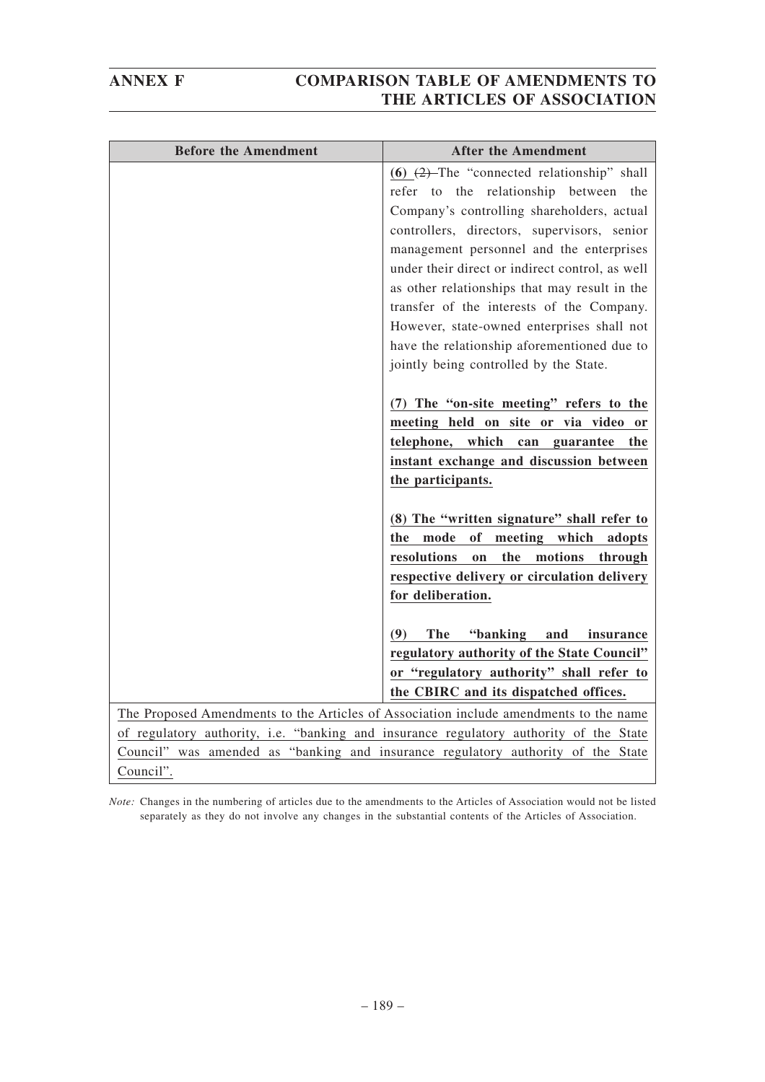| <b>Before the Amendment</b> | <b>After the Amendment</b>                                                             |
|-----------------------------|----------------------------------------------------------------------------------------|
|                             | (6) $(2)$ -The "connected relationship" shall                                          |
|                             | refer to the relationship between the                                                  |
|                             | Company's controlling shareholders, actual                                             |
|                             | controllers, directors, supervisors, senior                                            |
|                             | management personnel and the enterprises                                               |
|                             | under their direct or indirect control, as well                                        |
|                             | as other relationships that may result in the                                          |
|                             | transfer of the interests of the Company.                                              |
|                             | However, state-owned enterprises shall not                                             |
|                             | have the relationship aforementioned due to                                            |
|                             | jointly being controlled by the State.                                                 |
|                             | (7) The "on-site meeting" refers to the                                                |
|                             | meeting held on site or via video or                                                   |
|                             | telephone, which can guarantee<br>the                                                  |
|                             | instant exchange and discussion between                                                |
|                             | the participants.                                                                      |
|                             | (8) The "written signature" shall refer to                                             |
|                             | mode<br>of<br>meeting which<br>the<br>adopts                                           |
|                             | the<br>resolutions<br>motions<br>on<br>through                                         |
|                             | respective delivery or circulation delivery                                            |
|                             | for deliberation.                                                                      |
|                             | <b>The</b><br>"banking<br>and<br>(9)<br>insurance                                      |
|                             | regulatory authority of the State Council"                                             |
|                             | or "regulatory authority" shall refer to                                               |
|                             | the CBIRC and its dispatched offices.                                                  |
|                             | The Proposed Amendments to the Articles of Association include amendments to the name  |
|                             | of regulatory authority, i.e. "banking and insurance regulatory authority of the State |
|                             | Council" was amended as "banking and insurance regulatory authority of the State       |
| Council".                   |                                                                                        |

*Note:* Changes in the numbering of articles due to the amendments to the Articles of Association would not be listed separately as they do not involve any changes in the substantial contents of the Articles of Association.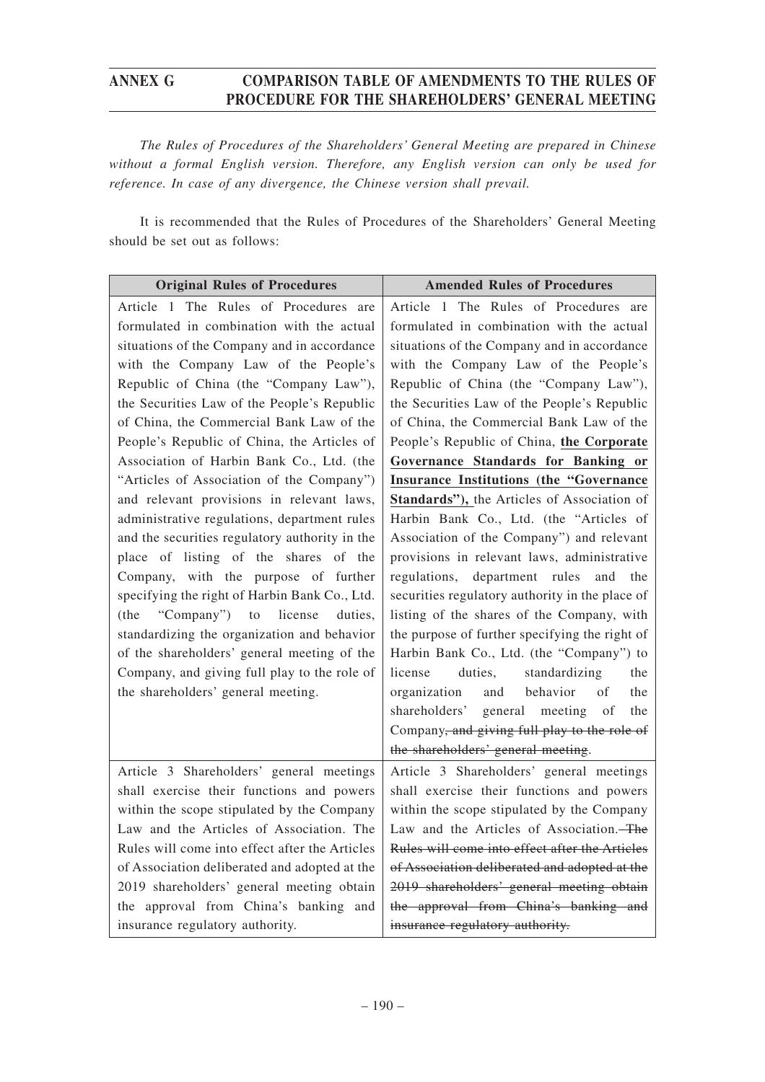*The Rules of Procedures of the Shareholders' General Meeting are prepared in Chinese without a formal English version. Therefore, any English version can only be used for reference. In case of any divergence, the Chinese version shall prevail.*

It is recommended that the Rules of Procedures of the Shareholders' General Meeting should be set out as follows:

| <b>Original Rules of Procedures</b>                                                | <b>Amended Rules of Procedures</b>                                                                                                                                                                                             |
|------------------------------------------------------------------------------------|--------------------------------------------------------------------------------------------------------------------------------------------------------------------------------------------------------------------------------|
| Article 1 The Rules of Procedures are                                              | Article 1 The Rules of Procedures are                                                                                                                                                                                          |
| formulated in combination with the actual                                          | formulated in combination with the actual                                                                                                                                                                                      |
| situations of the Company and in accordance                                        | situations of the Company and in accordance                                                                                                                                                                                    |
| with the Company Law of the People's                                               | with the Company Law of the People's                                                                                                                                                                                           |
| Republic of China (the "Company Law"),                                             | Republic of China (the "Company Law"),                                                                                                                                                                                         |
| the Securities Law of the People's Republic                                        | the Securities Law of the People's Republic                                                                                                                                                                                    |
| of China, the Commercial Bank Law of the                                           | of China, the Commercial Bank Law of the                                                                                                                                                                                       |
| People's Republic of China, the Articles of                                        | People's Republic of China, the Corporate                                                                                                                                                                                      |
| Association of Harbin Bank Co., Ltd. (the                                          | Governance Standards for Banking or                                                                                                                                                                                            |
| "Articles of Association of the Company")                                          | <b>Insurance Institutions (the "Governance</b>                                                                                                                                                                                 |
| and relevant provisions in relevant laws,                                          | Standards"), the Articles of Association of                                                                                                                                                                                    |
| administrative regulations, department rules                                       | Harbin Bank Co., Ltd. (the "Articles of                                                                                                                                                                                        |
| and the securities regulatory authority in the                                     | Association of the Company") and relevant                                                                                                                                                                                      |
| place of listing of the shares of the                                              | provisions in relevant laws, administrative                                                                                                                                                                                    |
| Company, with the purpose of further                                               | regulations,                                                                                                                                                                                                                   |
| specifying the right of Harbin Bank Co., Ltd.                                      | department rules                                                                                                                                                                                                               |
| (the "Company")                                                                    | and                                                                                                                                                                                                                            |
| license                                                                            | the                                                                                                                                                                                                                            |
| duties,                                                                            | securities regulatory authority in the place of                                                                                                                                                                                |
| to                                                                                 | listing of the shares of the Company, with                                                                                                                                                                                     |
| standardizing the organization and behavior                                        | the purpose of further specifying the right of                                                                                                                                                                                 |
| of the shareholders' general meeting of the                                        | Harbin Bank Co., Ltd. (the "Company") to                                                                                                                                                                                       |
| Company, and giving full play to the role of<br>the shareholders' general meeting. | license<br>duties,<br>standardizing<br>the<br>organization<br>behavior<br>of<br>and<br>the<br>shareholders' general meeting<br>of<br>the<br>Company, and giving full play to the role of<br>the shareholders' general meeting. |
| Article 3 Shareholders' general meetings                                           | Article 3 Shareholders' general meetings                                                                                                                                                                                       |
| shall exercise their functions and powers                                          | shall exercise their functions and powers                                                                                                                                                                                      |
| within the scope stipulated by the Company                                         | within the scope stipulated by the Company                                                                                                                                                                                     |
| Law and the Articles of Association. The                                           | Law and the Articles of Association. The                                                                                                                                                                                       |
| Rules will come into effect after the Articles                                     | Rules will come into effect after the Articles                                                                                                                                                                                 |
| of Association deliberated and adopted at the                                      | of Association deliberated and adopted at the                                                                                                                                                                                  |
| 2019 shareholders' general meeting obtain                                          | 2019 shareholders' general meeting obtain                                                                                                                                                                                      |
| the approval from China's banking and                                              | the approval from China's banking and                                                                                                                                                                                          |
| insurance regulatory authority.                                                    | insurance regulatory authority.                                                                                                                                                                                                |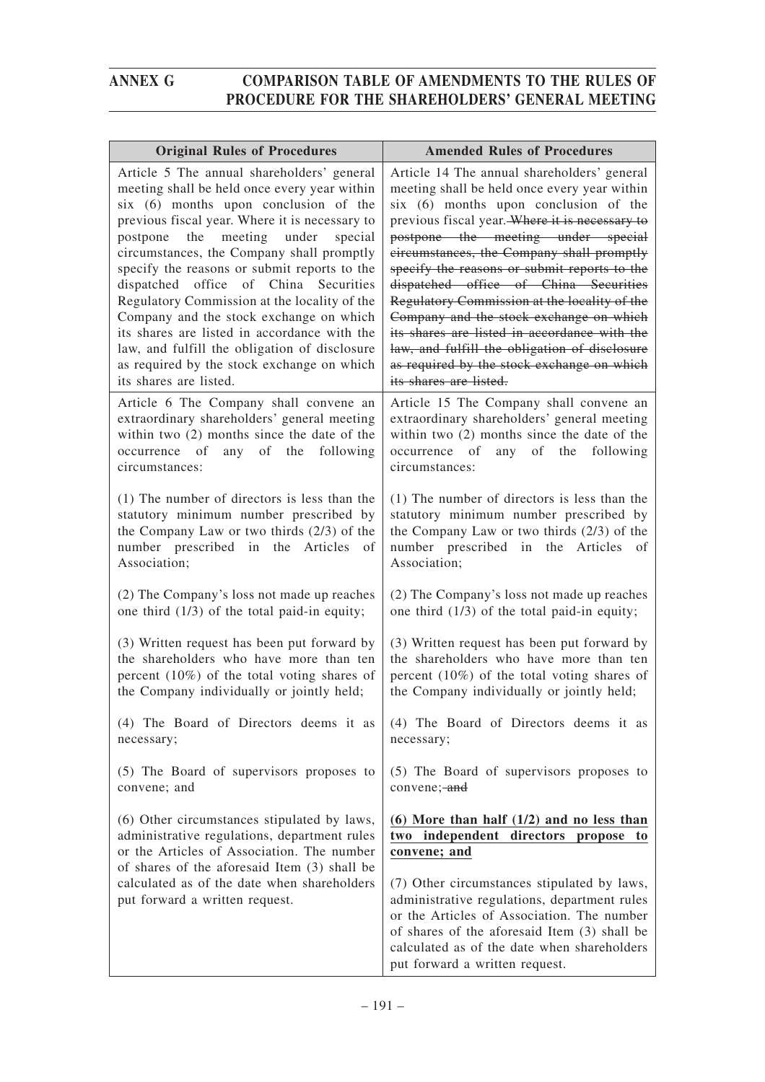| <b>Original Rules of Procedures</b>                                                        | <b>Amended Rules of Procedures</b>                                                          |
|--------------------------------------------------------------------------------------------|---------------------------------------------------------------------------------------------|
| Article 5 The annual shareholders' general                                                 | Article 14 The annual shareholders' general                                                 |
| meeting shall be held once every year within                                               | meeting shall be held once every year within                                                |
| six (6) months upon conclusion of the<br>previous fiscal year. Where it is necessary to    | six (6) months upon conclusion of the<br>previous fiscal year. Where it is necessary to     |
| meeting<br>under<br>the<br>special<br>postpone                                             | postpone the meeting under special                                                          |
| circumstances, the Company shall promptly                                                  | circumstances, the Company shall promptly                                                   |
| specify the reasons or submit reports to the                                               | specify the reasons or submit reports to the                                                |
| dispatched office of China Securities                                                      | dispatched office of China Securities                                                       |
| Regulatory Commission at the locality of the                                               | Regulatory Commission at the locality of the                                                |
| Company and the stock exchange on which<br>its shares are listed in accordance with the    | Company and the stock exchange on which<br>its shares are listed in accordance with the     |
| law, and fulfill the obligation of disclosure                                              | law, and fulfill the obligation of disclosure                                               |
| as required by the stock exchange on which                                                 | as required by the stock exchange on which                                                  |
| its shares are listed.                                                                     | its shares are listed.                                                                      |
| Article 6 The Company shall convene an                                                     | Article 15 The Company shall convene an                                                     |
| extraordinary shareholders' general meeting                                                | extraordinary shareholders' general meeting                                                 |
| within two (2) months since the date of the                                                | within two $(2)$ months since the date of the                                               |
| occurrence of<br>any<br>of the<br>following                                                | occurrence of<br>any of<br>the<br>following                                                 |
| circumstances:                                                                             | circumstances:                                                                              |
| (1) The number of directors is less than the                                               | (1) The number of directors is less than the                                                |
| statutory minimum number prescribed by                                                     | statutory minimum number prescribed by                                                      |
| the Company Law or two thirds $(2/3)$ of the                                               | the Company Law or two thirds $(2/3)$ of the                                                |
| number prescribed in the Articles of<br>Association;                                       | number prescribed in the Articles<br>of<br>Association;                                     |
|                                                                                            |                                                                                             |
| (2) The Company's loss not made up reaches                                                 | (2) The Company's loss not made up reaches                                                  |
| one third $(1/3)$ of the total paid-in equity;                                             | one third (1/3) of the total paid-in equity;                                                |
| (3) Written request has been put forward by                                                | (3) Written request has been put forward by                                                 |
| the shareholders who have more than ten                                                    | the shareholders who have more than ten                                                     |
| percent $(10\%)$ of the total voting shares of                                             | percent $(10\%)$ of the total voting shares of                                              |
| the Company individually or jointly held;                                                  | the Company individually or jointly held;                                                   |
| (4) The Board of Directors deems it as                                                     | (4) The Board of Directors deems it as                                                      |
| necessary;                                                                                 | necessary;                                                                                  |
|                                                                                            |                                                                                             |
| (5) The Board of supervisors proposes to                                                   | (5) The Board of supervisors proposes to                                                    |
| convene; and                                                                               | convene; and                                                                                |
| (6) Other circumstances stipulated by laws,                                                | $(6)$ More than half $(1/2)$ and no less than                                               |
| administrative regulations, department rules<br>or the Articles of Association. The number | two independent directors<br>propose to                                                     |
| of shares of the aforesaid Item (3) shall be                                               | convene; and                                                                                |
| calculated as of the date when shareholders                                                | (7) Other circumstances stipulated by laws,                                                 |
| put forward a written request.                                                             | administrative regulations, department rules                                                |
|                                                                                            | or the Articles of Association. The number                                                  |
|                                                                                            | of shares of the aforesaid Item (3) shall be<br>calculated as of the date when shareholders |
|                                                                                            | put forward a written request.                                                              |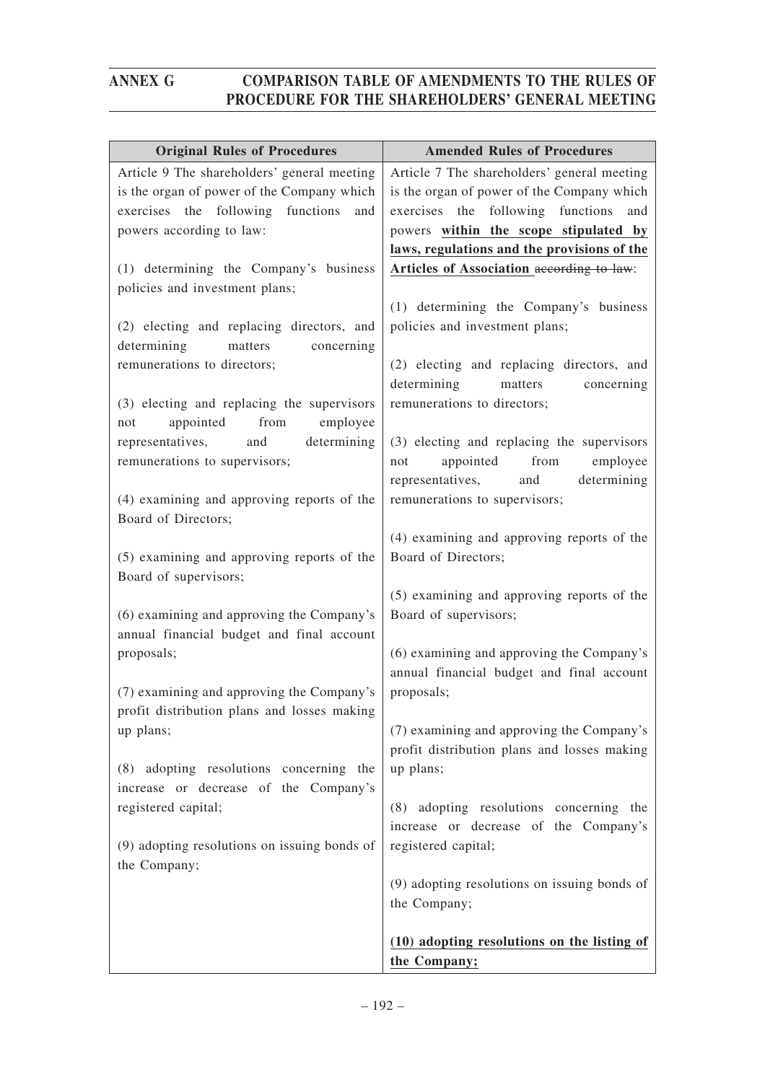| <b>Original Rules of Procedures</b>                                                                                                                               | <b>Amended Rules of Procedures</b>                                                                                                                                             |
|-------------------------------------------------------------------------------------------------------------------------------------------------------------------|--------------------------------------------------------------------------------------------------------------------------------------------------------------------------------|
| Article 9 The shareholders' general meeting<br>is the organ of power of the Company which<br>exercises the following functions<br>and<br>powers according to law: | Article 7 The shareholders' general meeting<br>is the organ of power of the Company which<br>exercises the following functions<br>and<br>powers within the scope stipulated by |
| (1) determining the Company's business<br>policies and investment plans;                                                                                          | laws, regulations and the provisions of the<br>Articles of Association according to law:                                                                                       |
| (2) electing and replacing directors, and<br>determining<br>matters<br>concerning                                                                                 | (1) determining the Company's business<br>policies and investment plans;                                                                                                       |
| remunerations to directors;<br>(3) electing and replacing the supervisors                                                                                         | (2) electing and replacing directors, and<br>determining<br>matters<br>concerning<br>remunerations to directors;                                                               |
| appointed<br>from<br>employee<br>not<br>representatives,<br>and<br>determining<br>remunerations to supervisors;                                                   | (3) electing and replacing the supervisors<br>appointed from<br>employee<br>not<br>and<br>determining<br>representatives,                                                      |
| (4) examining and approving reports of the<br>Board of Directors;                                                                                                 | remunerations to supervisors;                                                                                                                                                  |
| (5) examining and approving reports of the<br>Board of supervisors;                                                                                               | (4) examining and approving reports of the<br>Board of Directors;                                                                                                              |
| (6) examining and approving the Company's<br>annual financial budget and final account                                                                            | (5) examining and approving reports of the<br>Board of supervisors;                                                                                                            |
| proposals;                                                                                                                                                        | (6) examining and approving the Company's<br>annual financial budget and final account                                                                                         |
| (7) examining and approving the Company's<br>profit distribution plans and losses making                                                                          | proposals;                                                                                                                                                                     |
| up plans;<br>adopting resolutions concerning the<br>(8)                                                                                                           | (7) examining and approving the Company's<br>profit distribution plans and losses making<br>up plans;                                                                          |
| increase or decrease of the Company's<br>registered capital;                                                                                                      | (8) adopting resolutions concerning the<br>increase or decrease of the Company's                                                                                               |
| (9) adopting resolutions on issuing bonds of<br>the Company;                                                                                                      | registered capital;                                                                                                                                                            |
|                                                                                                                                                                   | (9) adopting resolutions on issuing bonds of<br>the Company;                                                                                                                   |
|                                                                                                                                                                   | (10) adopting resolutions on the listing of<br>the Company;                                                                                                                    |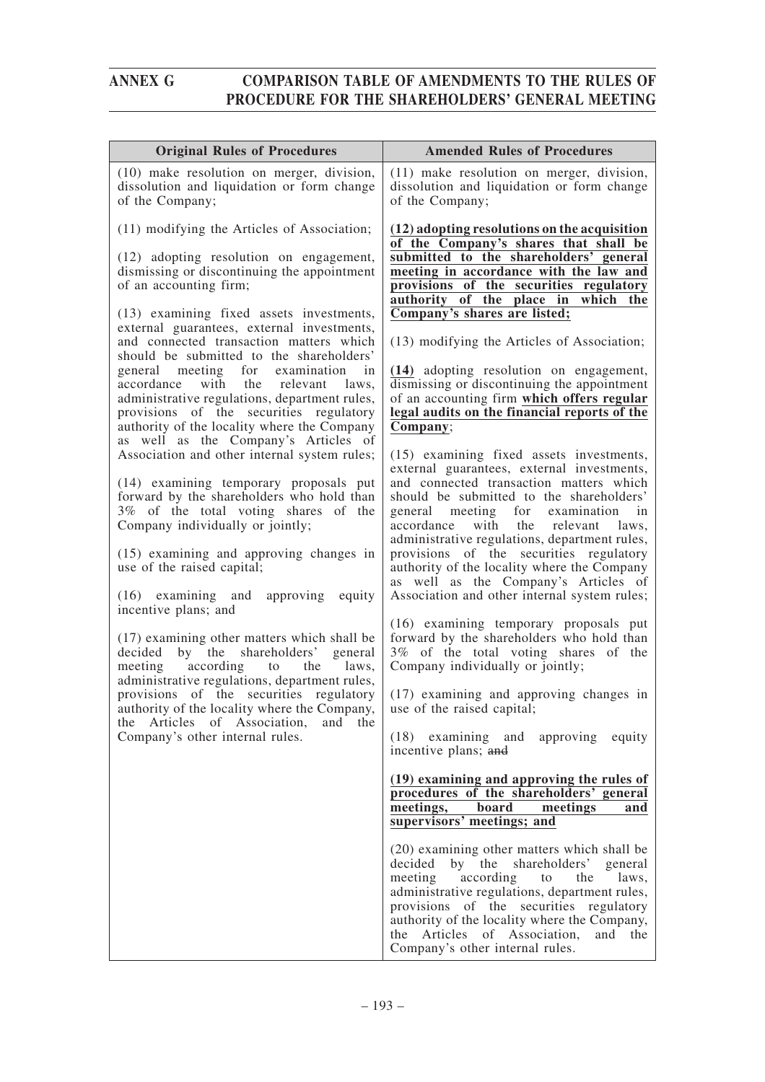| <b>Original Rules of Procedures</b>                                                                                                                                                                                             | <b>Amended Rules of Procedures</b>                                                                                                                                                                                                                                                                                                                                |
|---------------------------------------------------------------------------------------------------------------------------------------------------------------------------------------------------------------------------------|-------------------------------------------------------------------------------------------------------------------------------------------------------------------------------------------------------------------------------------------------------------------------------------------------------------------------------------------------------------------|
| (10) make resolution on merger, division,<br>dissolution and liquidation or form change<br>of the Company;                                                                                                                      | (11) make resolution on merger, division,<br>dissolution and liquidation or form change<br>of the Company;                                                                                                                                                                                                                                                        |
| (11) modifying the Articles of Association;<br>(12) adopting resolution on engagement,<br>dismissing or discontinuing the appointment                                                                                           | (12) adopting resolutions on the acquisition<br>of the Company's shares that shall be<br>submitted to the shareholders' general<br>meeting in accordance with the law and                                                                                                                                                                                         |
| of an accounting firm;<br>(13) examining fixed assets investments,                                                                                                                                                              | provisions of the securities regulatory<br>authority of the place in which the<br>Company's shares are listed;                                                                                                                                                                                                                                                    |
| external guarantees, external investments,<br>and connected transaction matters which<br>should be submitted to the shareholders'                                                                                               | (13) modifying the Articles of Association;                                                                                                                                                                                                                                                                                                                       |
| general meeting for examination<br>in<br>with the<br>accordance<br>relevant<br>laws,<br>administrative regulations, department rules,<br>provisions of the securities regulatory<br>authority of the locality where the Company | (14) adopting resolution on engagement,<br>dismissing or discontinuing the appointment<br>of an accounting firm which offers regular<br>legal audits on the financial reports of the<br>Company;                                                                                                                                                                  |
| as well as the Company's Articles of<br>Association and other internal system rules;<br>(14) examining temporary proposals put<br>forward by the shareholders who hold than                                                     | (15) examining fixed assets investments,<br>external guarantees, external investments,<br>and connected transaction matters which<br>should be submitted to the shareholders'                                                                                                                                                                                     |
| 3% of the total voting shares of the<br>Company individually or jointly;                                                                                                                                                        | general meeting for examination<br>in<br>accordance<br>with<br>the relevant<br>laws,<br>administrative regulations, department rules,                                                                                                                                                                                                                             |
| (15) examining and approving changes in<br>use of the raised capital;                                                                                                                                                           | provisions of the securities regulatory<br>authority of the locality where the Company<br>as well as the Company's Articles of                                                                                                                                                                                                                                    |
| (16) examining and approving equity<br>incentive plans; and                                                                                                                                                                     | Association and other internal system rules;<br>(16) examining temporary proposals put                                                                                                                                                                                                                                                                            |
| (17) examining other matters which shall be<br>decided by the shareholders' general<br>according to the<br>meeting<br>laws.                                                                                                     | forward by the shareholders who hold than<br>3% of the total voting shares of the<br>Company individually or jointly;                                                                                                                                                                                                                                             |
| administrative regulations, department rules,<br>provisions of the securities regulatory<br>authority of the locality where the Company,<br>the Articles of Association,<br>and the                                             | (17) examining and approving changes in<br>use of the raised capital;                                                                                                                                                                                                                                                                                             |
| Company's other internal rules.                                                                                                                                                                                                 | (18) examining and approving equity<br>incentive plans; and                                                                                                                                                                                                                                                                                                       |
|                                                                                                                                                                                                                                 | (19) examining and approving the rules of<br>procedures of the shareholders' general<br>meetings,<br>board<br>meetings<br>and<br>supervisors' meetings; and                                                                                                                                                                                                       |
|                                                                                                                                                                                                                                 | (20) examining other matters which shall be<br>decided<br>by the shareholders' general<br>meeting<br>according<br>the<br>to<br>laws,<br>administrative regulations, department rules,<br>provisions of the securities regulatory<br>authority of the locality where the Company,<br>Articles of Association,<br>the<br>and the<br>Company's other internal rules. |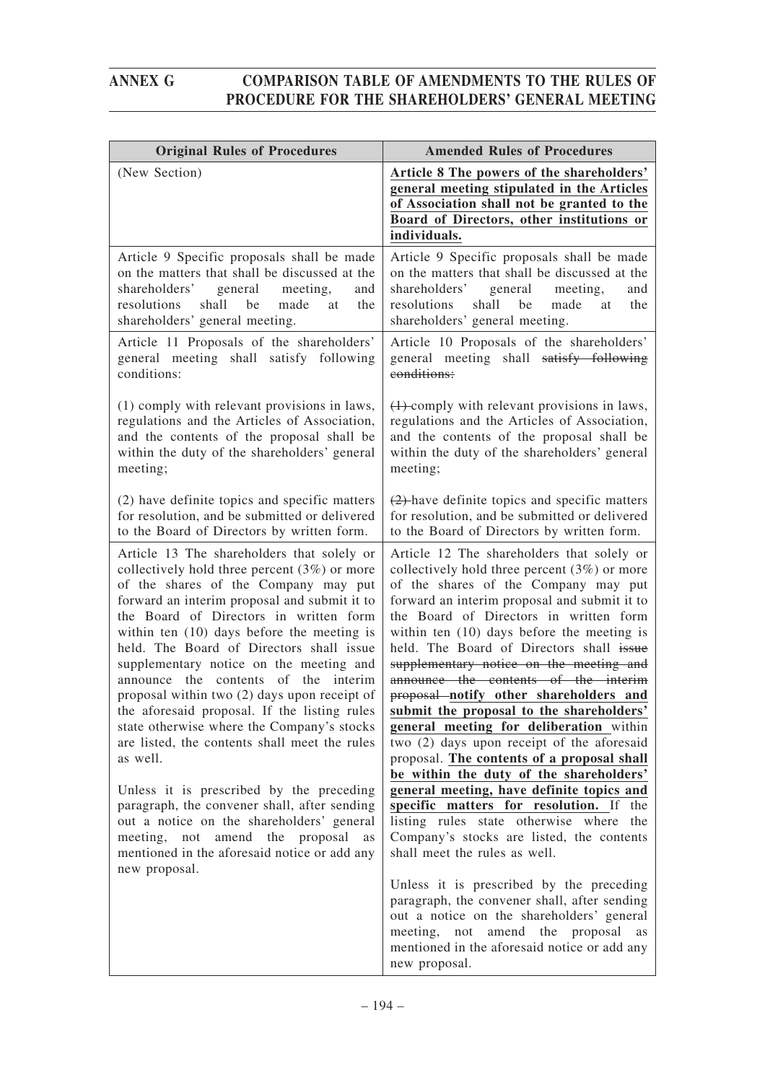| <b>Original Rules of Procedures</b>                                                                                                                                                                                                                                                                                                                                                                           | <b>Amended Rules of Procedures</b>                                                                                                                                                                                                                                                                                                                                                                            |
|---------------------------------------------------------------------------------------------------------------------------------------------------------------------------------------------------------------------------------------------------------------------------------------------------------------------------------------------------------------------------------------------------------------|---------------------------------------------------------------------------------------------------------------------------------------------------------------------------------------------------------------------------------------------------------------------------------------------------------------------------------------------------------------------------------------------------------------|
| (New Section)                                                                                                                                                                                                                                                                                                                                                                                                 | Article 8 The powers of the shareholders'<br>general meeting stipulated in the Articles<br>of Association shall not be granted to the<br>Board of Directors, other institutions or<br>individuals.                                                                                                                                                                                                            |
| Article 9 Specific proposals shall be made<br>on the matters that shall be discussed at the<br>shareholders' general<br>meeting,<br>and<br>shall<br>be<br>resolutions<br>made<br>the<br>at<br>shareholders' general meeting.                                                                                                                                                                                  | Article 9 Specific proposals shall be made<br>on the matters that shall be discussed at the<br>shareholders'<br>general<br>meeting,<br>and<br>shall<br>be<br>resolutions<br>made<br>the<br>at<br>shareholders' general meeting.                                                                                                                                                                               |
| Article 11 Proposals of the shareholders'<br>general meeting shall satisfy following<br>conditions:                                                                                                                                                                                                                                                                                                           | Article 10 Proposals of the shareholders'<br>general meeting shall satisfy following<br>conditions:                                                                                                                                                                                                                                                                                                           |
| (1) comply with relevant provisions in laws,<br>regulations and the Articles of Association,<br>and the contents of the proposal shall be<br>within the duty of the shareholders' general<br>meeting;                                                                                                                                                                                                         | $(1)$ -comply with relevant provisions in laws,<br>regulations and the Articles of Association,<br>and the contents of the proposal shall be<br>within the duty of the shareholders' general<br>meeting;                                                                                                                                                                                                      |
| (2) have definite topics and specific matters<br>for resolution, and be submitted or delivered<br>to the Board of Directors by written form.                                                                                                                                                                                                                                                                  | $(2)$ -have definite topics and specific matters<br>for resolution, and be submitted or delivered<br>to the Board of Directors by written form.                                                                                                                                                                                                                                                               |
| Article 13 The shareholders that solely or<br>collectively hold three percent $(3%)$ or more<br>of the shares of the Company may put<br>forward an interim proposal and submit it to<br>the Board of Directors in written form<br>within ten $(10)$ days before the meeting is<br>held. The Board of Directors shall issue<br>supplementary notice on the meeting and<br>announce the contents of the interim | Article 12 The shareholders that solely or<br>collectively hold three percent $(3%)$ or more<br>of the shares of the Company may put<br>forward an interim proposal and submit it to<br>the Board of Directors in written form<br>within ten $(10)$ days before the meeting is<br>held. The Board of Directors shall issue<br>supplementary notice on the meeting and<br>announce the contents of the interim |
| proposal within two (2) days upon receipt of<br>the aforesaid proposal. If the listing rules<br>state otherwise where the Company's stocks<br>are listed, the contents shall meet the rules<br>as well.                                                                                                                                                                                                       | proposal notify other shareholders and<br>submit the proposal to the shareholders'<br>general meeting for deliberation within<br>two (2) days upon receipt of the aforesaid<br>proposal. The contents of a proposal shall<br>be within the duty of the shareholders'                                                                                                                                          |
| Unless it is prescribed by the preceding<br>paragraph, the convener shall, after sending<br>out a notice on the shareholders' general<br>meeting,<br>not amend the proposal<br>as<br>mentioned in the aforesaid notice or add any<br>new proposal.                                                                                                                                                            | general meeting, have definite topics and<br>specific matters for resolution. If the<br>listing rules state otherwise where the<br>Company's stocks are listed, the contents<br>shall meet the rules as well.                                                                                                                                                                                                 |
|                                                                                                                                                                                                                                                                                                                                                                                                               | Unless it is prescribed by the preceding<br>paragraph, the convener shall, after sending<br>out a notice on the shareholders' general<br>proposal<br>meeting, not amend the<br><b>as</b><br>mentioned in the aforesaid notice or add any<br>new proposal.                                                                                                                                                     |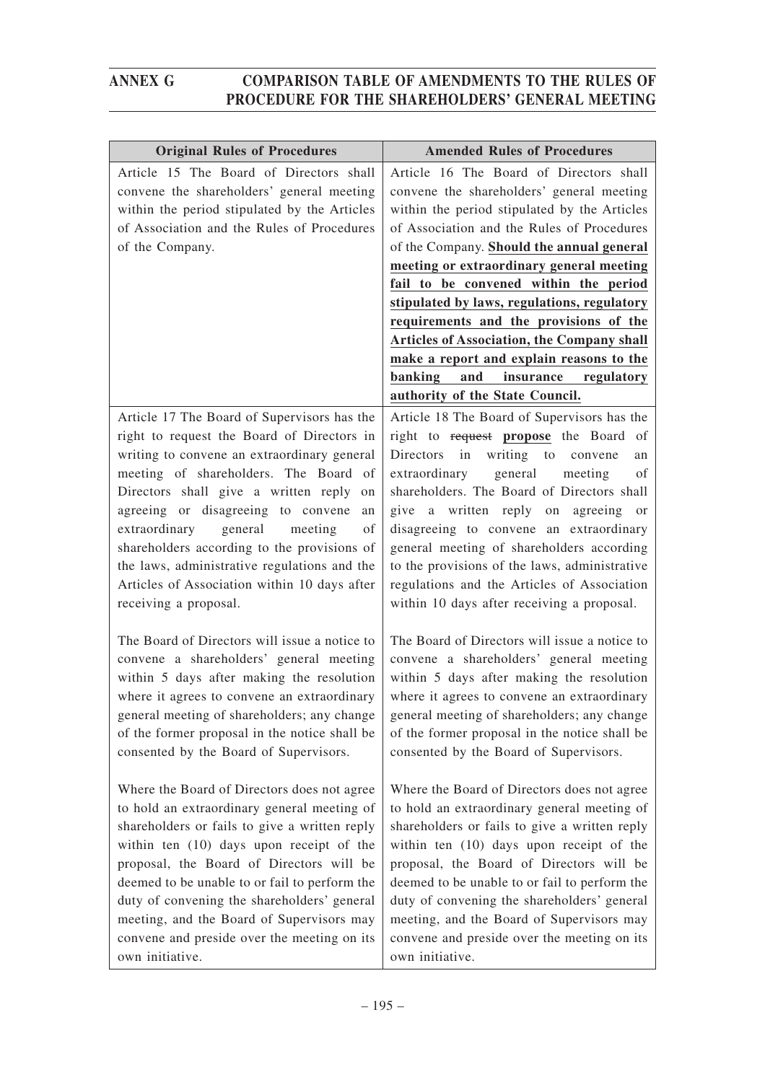| <b>Original Rules of Procedures</b>                                                                                                                                                                                                                                                                                                                                                                                                                                                              | <b>Amended Rules of Procedures</b>                                                                                                                                                                                                                                                                                                                                                                                                                                                                                                                                                             |
|--------------------------------------------------------------------------------------------------------------------------------------------------------------------------------------------------------------------------------------------------------------------------------------------------------------------------------------------------------------------------------------------------------------------------------------------------------------------------------------------------|------------------------------------------------------------------------------------------------------------------------------------------------------------------------------------------------------------------------------------------------------------------------------------------------------------------------------------------------------------------------------------------------------------------------------------------------------------------------------------------------------------------------------------------------------------------------------------------------|
| Article 15 The Board of Directors shall<br>convene the shareholders' general meeting<br>within the period stipulated by the Articles<br>of Association and the Rules of Procedures<br>of the Company.                                                                                                                                                                                                                                                                                            | Article 16 The Board of Directors shall<br>convene the shareholders' general meeting<br>within the period stipulated by the Articles<br>of Association and the Rules of Procedures<br>of the Company. Should the annual general<br>meeting or extraordinary general meeting<br>fail to be convened within the period<br>stipulated by laws, regulations, regulatory<br>requirements and the provisions of the<br><b>Articles of Association, the Company shall</b><br>make a report and explain reasons to the<br>and<br>insurance<br>banking<br>regulatory<br>authority of the State Council. |
| Article 17 The Board of Supervisors has the<br>right to request the Board of Directors in<br>writing to convene an extraordinary general<br>meeting of shareholders. The Board of<br>Directors shall give a written reply<br>on<br>agreeing or disagreeing to convene<br>an<br>extraordinary<br>general<br>meeting<br>of<br>shareholders according to the provisions of<br>the laws, administrative regulations and the<br>Articles of Association within 10 days after<br>receiving a proposal. | Article 18 The Board of Supervisors has the<br>right to request propose the Board of<br>in<br>writing to convene<br>Directors<br>an<br>extraordinary<br>general<br>meeting<br>of<br>shareholders. The Board of Directors shall<br>give a written reply on agreeing or<br>disagreeing to convene an extraordinary<br>general meeting of shareholders according<br>to the provisions of the laws, administrative<br>regulations and the Articles of Association<br>within 10 days after receiving a proposal.                                                                                    |
| The Board of Directors will issue a notice to<br>convene a shareholders' general meeting<br>within 5 days after making the resolution<br>where it agrees to convene an extraordinary<br>general meeting of shareholders; any change<br>of the former proposal in the notice shall be<br>consented by the Board of Supervisors.                                                                                                                                                                   | The Board of Directors will issue a notice to<br>convene a shareholders' general meeting<br>within 5 days after making the resolution<br>where it agrees to convene an extraordinary<br>general meeting of shareholders; any change<br>of the former proposal in the notice shall be<br>consented by the Board of Supervisors.                                                                                                                                                                                                                                                                 |
| Where the Board of Directors does not agree<br>to hold an extraordinary general meeting of<br>shareholders or fails to give a written reply<br>within ten (10) days upon receipt of the<br>proposal, the Board of Directors will be<br>deemed to be unable to or fail to perform the<br>duty of convening the shareholders' general<br>meeting, and the Board of Supervisors may<br>convene and preside over the meeting on its<br>own initiative.                                               | Where the Board of Directors does not agree<br>to hold an extraordinary general meeting of<br>shareholders or fails to give a written reply<br>within ten (10) days upon receipt of the<br>proposal, the Board of Directors will be<br>deemed to be unable to or fail to perform the<br>duty of convening the shareholders' general<br>meeting, and the Board of Supervisors may<br>convene and preside over the meeting on its<br>own initiative.                                                                                                                                             |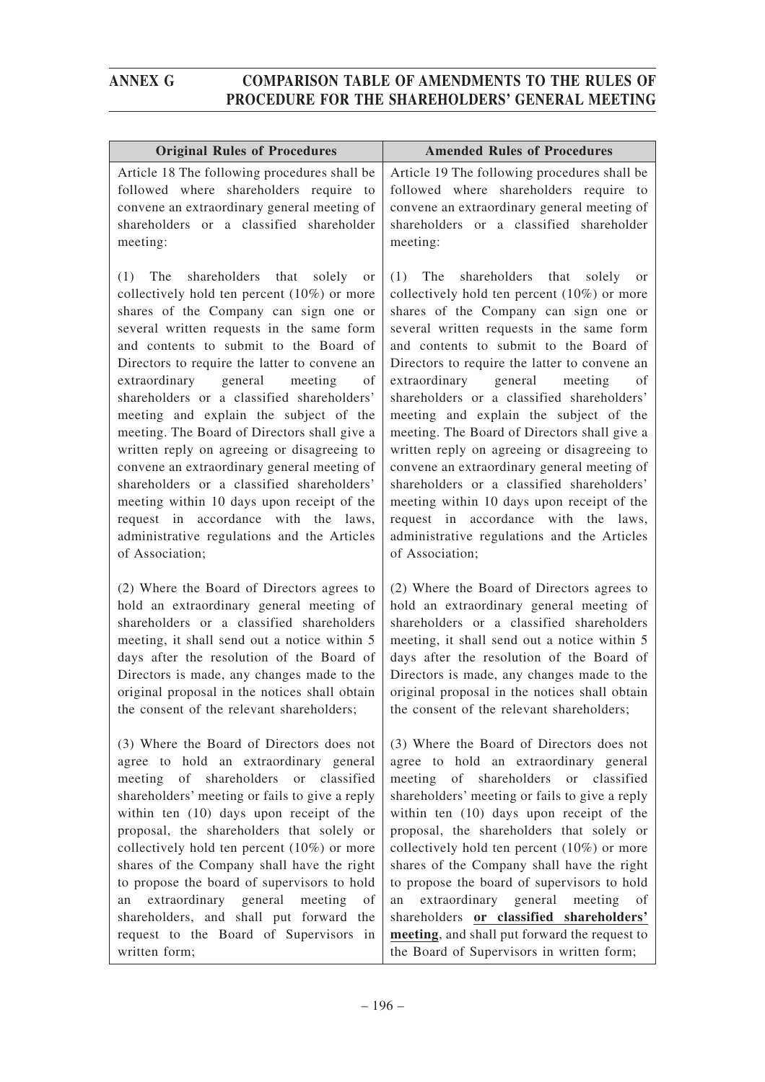| <b>Original Rules of Procedures</b>                                                                                                                                                                                                                                                                                                                                                                                                                                                                                                                                                                                                                                                                                                                                          | <b>Amended Rules of Procedures</b>                                                                                                                                                                                                                                                                                                                                                                                                                                                                                                                                                                                                                                                                                                                                   |
|------------------------------------------------------------------------------------------------------------------------------------------------------------------------------------------------------------------------------------------------------------------------------------------------------------------------------------------------------------------------------------------------------------------------------------------------------------------------------------------------------------------------------------------------------------------------------------------------------------------------------------------------------------------------------------------------------------------------------------------------------------------------------|----------------------------------------------------------------------------------------------------------------------------------------------------------------------------------------------------------------------------------------------------------------------------------------------------------------------------------------------------------------------------------------------------------------------------------------------------------------------------------------------------------------------------------------------------------------------------------------------------------------------------------------------------------------------------------------------------------------------------------------------------------------------|
|                                                                                                                                                                                                                                                                                                                                                                                                                                                                                                                                                                                                                                                                                                                                                                              |                                                                                                                                                                                                                                                                                                                                                                                                                                                                                                                                                                                                                                                                                                                                                                      |
| Article 18 The following procedures shall be<br>followed where shareholders require to                                                                                                                                                                                                                                                                                                                                                                                                                                                                                                                                                                                                                                                                                       | Article 19 The following procedures shall be<br>followed where shareholders require to                                                                                                                                                                                                                                                                                                                                                                                                                                                                                                                                                                                                                                                                               |
| convene an extraordinary general meeting of                                                                                                                                                                                                                                                                                                                                                                                                                                                                                                                                                                                                                                                                                                                                  | convene an extraordinary general meeting of                                                                                                                                                                                                                                                                                                                                                                                                                                                                                                                                                                                                                                                                                                                          |
| shareholders or a classified shareholder                                                                                                                                                                                                                                                                                                                                                                                                                                                                                                                                                                                                                                                                                                                                     | shareholders or a classified shareholder                                                                                                                                                                                                                                                                                                                                                                                                                                                                                                                                                                                                                                                                                                                             |
| meeting:                                                                                                                                                                                                                                                                                                                                                                                                                                                                                                                                                                                                                                                                                                                                                                     | meeting:                                                                                                                                                                                                                                                                                                                                                                                                                                                                                                                                                                                                                                                                                                                                                             |
| shareholders that solely<br>(1)<br>The<br><b>or</b><br>collectively hold ten percent $(10\%)$ or more<br>shares of the Company can sign one or<br>several written requests in the same form<br>and contents to submit to the Board of<br>Directors to require the latter to convene an<br>extraordinary<br>general meeting<br>of<br>shareholders or a classified shareholders'<br>meeting and explain the subject of the<br>meeting. The Board of Directors shall give a<br>written reply on agreeing or disagreeing to<br>convene an extraordinary general meeting of<br>shareholders or a classified shareholders'<br>meeting within 10 days upon receipt of the<br>request in accordance with the laws,<br>administrative regulations and the Articles<br>of Association; | $(1)$ The<br>shareholders that solely or<br>collectively hold ten percent $(10\%)$ or more<br>shares of the Company can sign one or<br>several written requests in the same form<br>and contents to submit to the Board of<br>Directors to require the latter to convene an<br>extraordinary<br>general<br>meeting<br>of<br>shareholders or a classified shareholders'<br>meeting and explain the subject of the<br>meeting. The Board of Directors shall give a<br>written reply on agreeing or disagreeing to<br>convene an extraordinary general meeting of<br>shareholders or a classified shareholders'<br>meeting within 10 days upon receipt of the<br>request in accordance with the laws,<br>administrative regulations and the Articles<br>of Association; |
| (2) Where the Board of Directors agrees to<br>hold an extraordinary general meeting of<br>shareholders or a classified shareholders<br>meeting, it shall send out a notice within 5<br>days after the resolution of the Board of<br>Directors is made, any changes made to the<br>original proposal in the notices shall obtain<br>the consent of the relevant shareholders;                                                                                                                                                                                                                                                                                                                                                                                                 | (2) Where the Board of Directors agrees to<br>hold an extraordinary general meeting of<br>shareholders or a classified shareholders<br>meeting, it shall send out a notice within 5<br>days after the resolution of the Board of<br>Directors is made, any changes made to the<br>original proposal in the notices shall obtain<br>the consent of the relevant shareholders;                                                                                                                                                                                                                                                                                                                                                                                         |
| (3) Where the Board of Directors does not<br>agree to hold an extraordinary general<br>meeting of shareholders or classified<br>shareholders' meeting or fails to give a reply<br>within ten (10) days upon receipt of the<br>proposal, the shareholders that solely or<br>collectively hold ten percent $(10\%)$ or more<br>shares of the Company shall have the right<br>to propose the board of supervisors to hold<br>extraordinary general<br>meeting<br>an<br><sub>of</sub><br>shareholders, and shall put forward the<br>request to the Board of Supervisors in<br>written form;                                                                                                                                                                                      | (3) Where the Board of Directors does not<br>agree to hold an extraordinary general<br>meeting of shareholders or classified<br>shareholders' meeting or fails to give a reply<br>within ten (10) days upon receipt of the<br>proposal, the shareholders that solely or<br>collectively hold ten percent $(10\%)$ or more<br>shares of the Company shall have the right<br>to propose the board of supervisors to hold<br>extraordinary general meeting<br>an<br>of<br>shareholders or classified shareholders'<br>meeting, and shall put forward the request to<br>the Board of Supervisors in written form;                                                                                                                                                        |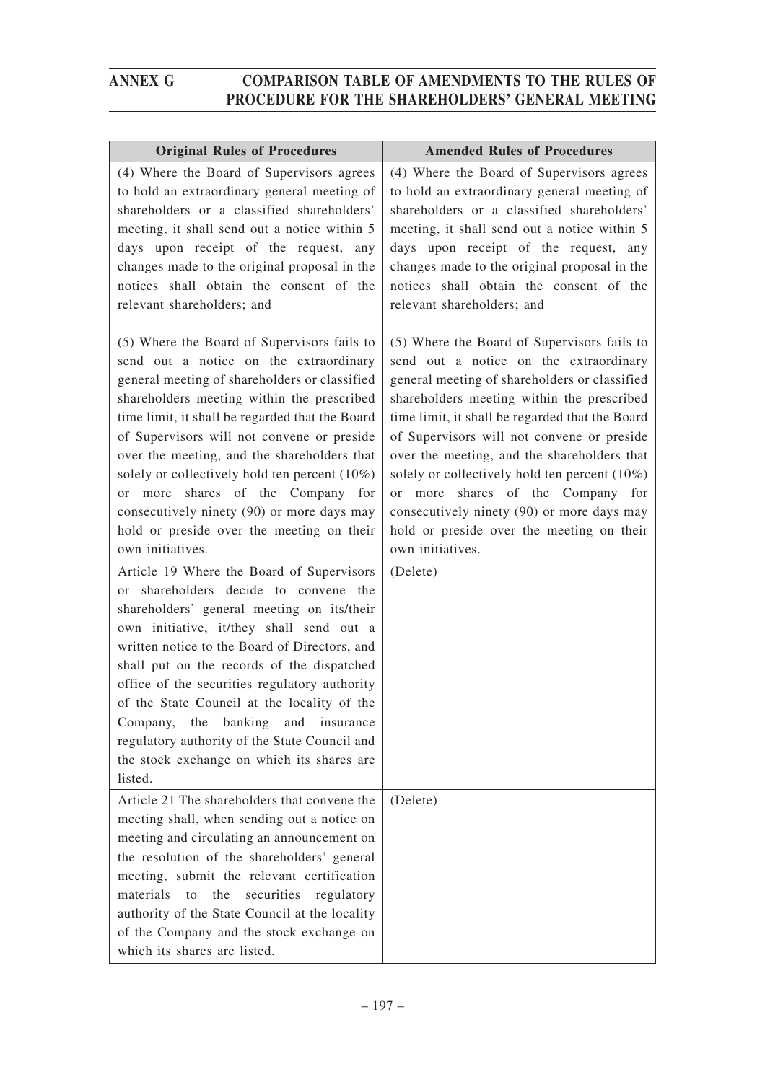| <b>Original Rules of Procedures</b>                                                                                                                                                                                                                                                                                                                                                                                                                                                                                                                                                                     | <b>Amended Rules of Procedures</b>                                                                                                                                                                                                                                                                                                                                                                                                                                                                                                                       |
|---------------------------------------------------------------------------------------------------------------------------------------------------------------------------------------------------------------------------------------------------------------------------------------------------------------------------------------------------------------------------------------------------------------------------------------------------------------------------------------------------------------------------------------------------------------------------------------------------------|----------------------------------------------------------------------------------------------------------------------------------------------------------------------------------------------------------------------------------------------------------------------------------------------------------------------------------------------------------------------------------------------------------------------------------------------------------------------------------------------------------------------------------------------------------|
| (4) Where the Board of Supervisors agrees<br>to hold an extraordinary general meeting of<br>shareholders or a classified shareholders'<br>meeting, it shall send out a notice within 5<br>days upon receipt of the request, any<br>changes made to the original proposal in the<br>notices shall obtain the consent of the<br>relevant shareholders; and                                                                                                                                                                                                                                                | (4) Where the Board of Supervisors agrees<br>to hold an extraordinary general meeting of<br>shareholders or a classified shareholders'<br>meeting, it shall send out a notice within 5<br>days upon receipt of the request, any<br>changes made to the original proposal in the<br>notices shall obtain the consent of the<br>relevant shareholders; and                                                                                                                                                                                                 |
| (5) Where the Board of Supervisors fails to<br>send out a notice on the extraordinary<br>general meeting of shareholders or classified<br>shareholders meeting within the prescribed<br>time limit, it shall be regarded that the Board<br>of Supervisors will not convene or preside<br>over the meeting, and the shareholders that<br>solely or collectively hold ten percent (10%)<br>shares of the Company for<br>more<br><sub>or</sub><br>consecutively ninety (90) or more days may<br>hold or preside over the meeting on their<br>own initiatives.<br>Article 19 Where the Board of Supervisors | (5) Where the Board of Supervisors fails to<br>send out a notice on the extraordinary<br>general meeting of shareholders or classified<br>shareholders meeting within the prescribed<br>time limit, it shall be regarded that the Board<br>of Supervisors will not convene or preside<br>over the meeting, and the shareholders that<br>solely or collectively hold ten percent (10%)<br>shares of the Company for<br>or more<br>consecutively ninety (90) or more days may<br>hold or preside over the meeting on their<br>own initiatives.<br>(Delete) |
| or shareholders decide to convene the<br>shareholders' general meeting on its/their<br>own initiative, it/they shall send out a<br>written notice to the Board of Directors, and<br>shall put on the records of the dispatched<br>office of the securities regulatory authority<br>of the State Council at the locality of the<br>banking<br>Company,<br>the<br>and<br>insurance<br>regulatory authority of the State Council and<br>the stock exchange on which its shares are<br>listed.                                                                                                              |                                                                                                                                                                                                                                                                                                                                                                                                                                                                                                                                                          |
| Article 21 The shareholders that convene the<br>meeting shall, when sending out a notice on<br>meeting and circulating an announcement on<br>the resolution of the shareholders' general<br>meeting, submit the relevant certification<br>materials<br>the<br>securities<br>to<br>regulatory<br>authority of the State Council at the locality<br>of the Company and the stock exchange on<br>which its shares are listed.                                                                                                                                                                              | (Delete)                                                                                                                                                                                                                                                                                                                                                                                                                                                                                                                                                 |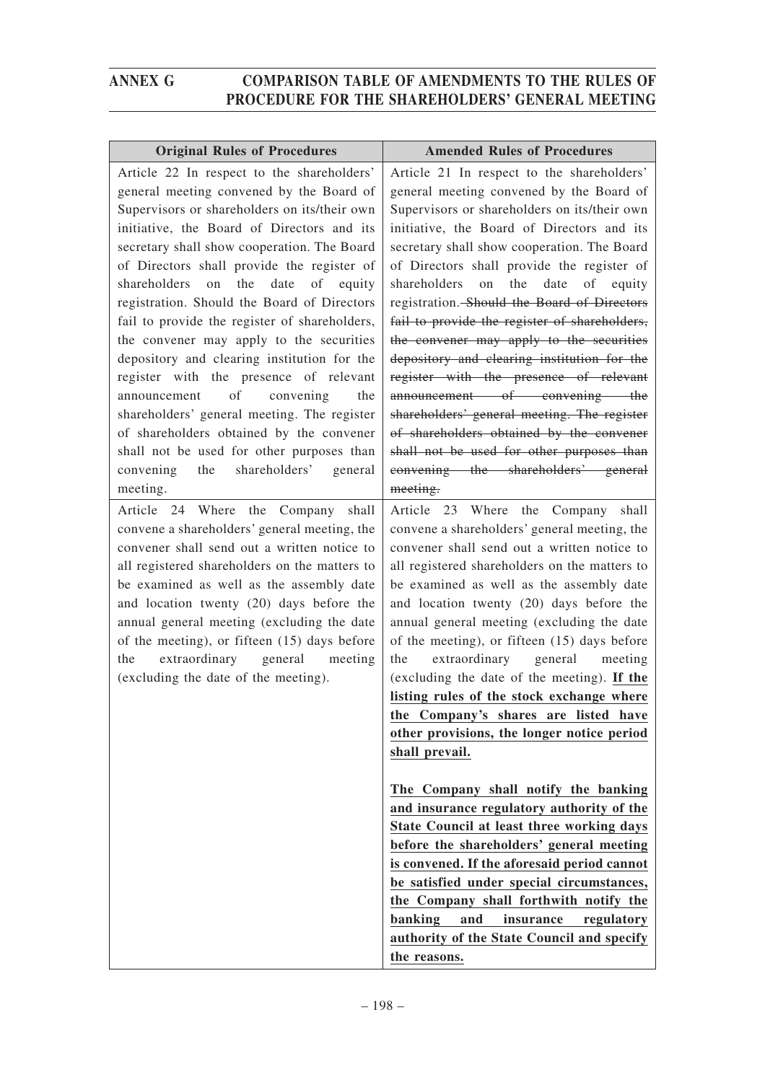| <b>Original Rules of Procedures</b>                                                                                                                                                                                                                                                                                                                                                                                                                                                                                                                                                                                                                                                                                                                                                                           | <b>Amended Rules of Procedures</b>                                                                                                                                                                                                                                                                                                                                                                                                                                                                                                                                                                                                                                                                                                                                                                                                                                                                                                                                                    |
|---------------------------------------------------------------------------------------------------------------------------------------------------------------------------------------------------------------------------------------------------------------------------------------------------------------------------------------------------------------------------------------------------------------------------------------------------------------------------------------------------------------------------------------------------------------------------------------------------------------------------------------------------------------------------------------------------------------------------------------------------------------------------------------------------------------|---------------------------------------------------------------------------------------------------------------------------------------------------------------------------------------------------------------------------------------------------------------------------------------------------------------------------------------------------------------------------------------------------------------------------------------------------------------------------------------------------------------------------------------------------------------------------------------------------------------------------------------------------------------------------------------------------------------------------------------------------------------------------------------------------------------------------------------------------------------------------------------------------------------------------------------------------------------------------------------|
| Article 22 In respect to the shareholders'<br>general meeting convened by the Board of<br>Supervisors or shareholders on its/their own<br>initiative, the Board of Directors and its<br>secretary shall show cooperation. The Board<br>of Directors shall provide the register of<br>shareholders<br>the<br>date<br>of equity<br>on<br>registration. Should the Board of Directors<br>fail to provide the register of shareholders,<br>the convener may apply to the securities<br>depository and clearing institution for the<br>register with the presence of relevant<br>announcement of convening<br>the<br>shareholders' general meeting. The register<br>of shareholders obtained by the convener<br>shall not be used for other purposes than<br>shareholders' general<br>convening<br>the<br>meeting. | Article 21 In respect to the shareholders'<br>general meeting convened by the Board of<br>Supervisors or shareholders on its/their own<br>initiative, the Board of Directors and its<br>secretary shall show cooperation. The Board<br>of Directors shall provide the register of<br>on the<br>shareholders<br>date<br>of equity<br>registration. Should the Board of Directors<br>fail to provide the register of shareholders,<br>the convener may apply to the securities<br>depository and clearing institution for the<br>register with the presence of relevant<br>announcement of convening the<br>shareholders' general meeting. The register<br>of shareholders obtained by the convener<br>shall not be used for other purposes than<br>convening the shareholders' general<br>meeting.                                                                                                                                                                                     |
| Article 24 Where the Company shall<br>convene a shareholders' general meeting, the<br>convener shall send out a written notice to<br>all registered shareholders on the matters to<br>be examined as well as the assembly date<br>and location twenty (20) days before the<br>annual general meeting (excluding the date<br>of the meeting), or fifteen (15) days before<br>extraordinary general meeting<br>the<br>(excluding the date of the meeting).                                                                                                                                                                                                                                                                                                                                                      | Article 23 Where the Company shall<br>convene a shareholders' general meeting, the<br>convener shall send out a written notice to<br>all registered shareholders on the matters to<br>be examined as well as the assembly date<br>and location twenty (20) days before the<br>annual general meeting (excluding the date<br>of the meeting), or fifteen (15) days before<br>extraordinary general meeting<br>the<br>(excluding the date of the meeting). If the<br>listing rules of the stock exchange where<br>the Company's shares are listed have<br>other provisions, the longer notice period<br>shall prevail.<br>The Company shall notify the banking<br>and insurance regulatory authority of the<br>State Council at least three working days<br>before the shareholders' general meeting<br>is convened. If the aforesaid period cannot<br>be satisfied under special circumstances,<br>the Company shall forthwith notify the<br>banking<br>and<br>insurance<br>regulatory |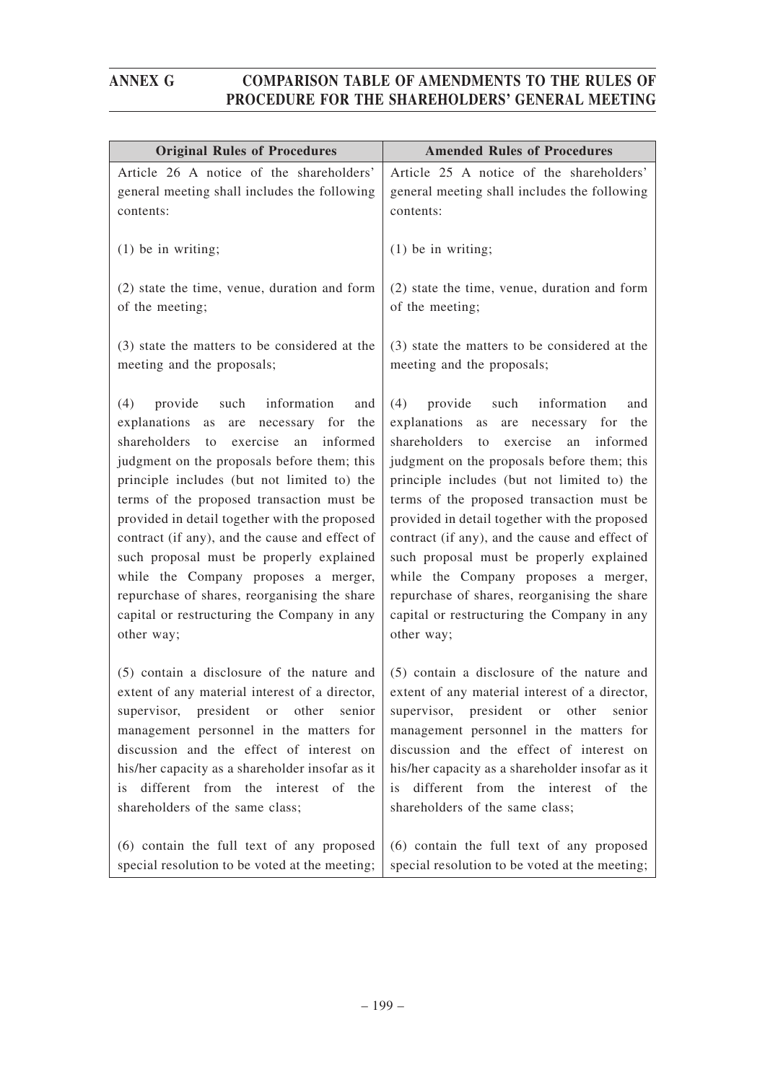| <b>Original Rules of Procedures</b>                                                                                                                                                                                                                                                                                                                                                                                                                                                                                                                                                                  | <b>Amended Rules of Procedures</b>                                                                                                                                                                                                                                                                                                                                                                                                                                                                                                                                                          |
|------------------------------------------------------------------------------------------------------------------------------------------------------------------------------------------------------------------------------------------------------------------------------------------------------------------------------------------------------------------------------------------------------------------------------------------------------------------------------------------------------------------------------------------------------------------------------------------------------|---------------------------------------------------------------------------------------------------------------------------------------------------------------------------------------------------------------------------------------------------------------------------------------------------------------------------------------------------------------------------------------------------------------------------------------------------------------------------------------------------------------------------------------------------------------------------------------------|
| Article 26 A notice of the shareholders'                                                                                                                                                                                                                                                                                                                                                                                                                                                                                                                                                             | Article 25 A notice of the shareholders'                                                                                                                                                                                                                                                                                                                                                                                                                                                                                                                                                    |
| general meeting shall includes the following                                                                                                                                                                                                                                                                                                                                                                                                                                                                                                                                                         | general meeting shall includes the following                                                                                                                                                                                                                                                                                                                                                                                                                                                                                                                                                |
| contents:                                                                                                                                                                                                                                                                                                                                                                                                                                                                                                                                                                                            | contents:                                                                                                                                                                                                                                                                                                                                                                                                                                                                                                                                                                                   |
| $(1)$ be in writing;                                                                                                                                                                                                                                                                                                                                                                                                                                                                                                                                                                                 | $(1)$ be in writing;                                                                                                                                                                                                                                                                                                                                                                                                                                                                                                                                                                        |
| (2) state the time, venue, duration and form                                                                                                                                                                                                                                                                                                                                                                                                                                                                                                                                                         | (2) state the time, venue, duration and form                                                                                                                                                                                                                                                                                                                                                                                                                                                                                                                                                |
| of the meeting;                                                                                                                                                                                                                                                                                                                                                                                                                                                                                                                                                                                      | of the meeting;                                                                                                                                                                                                                                                                                                                                                                                                                                                                                                                                                                             |
| (3) state the matters to be considered at the                                                                                                                                                                                                                                                                                                                                                                                                                                                                                                                                                        | (3) state the matters to be considered at the                                                                                                                                                                                                                                                                                                                                                                                                                                                                                                                                               |
| meeting and the proposals;                                                                                                                                                                                                                                                                                                                                                                                                                                                                                                                                                                           | meeting and the proposals;                                                                                                                                                                                                                                                                                                                                                                                                                                                                                                                                                                  |
| information<br>(4)<br>provide<br>such<br>and<br>explanations<br>the<br>as<br>are<br>necessary for<br>shareholders<br>exercise<br>informed<br>an<br>to<br>judgment on the proposals before them; this<br>principle includes (but not limited to) the<br>terms of the proposed transaction must be<br>provided in detail together with the proposed<br>contract (if any), and the cause and effect of<br>such proposal must be properly explained<br>while the Company proposes a merger,<br>repurchase of shares, reorganising the share<br>capital or restructuring the Company in any<br>other way; | (4)<br>provide such information<br>and<br>explanations as<br>the<br>are<br>necessary for<br>shareholders<br>exercise<br>informed<br>to<br>an<br>judgment on the proposals before them; this<br>principle includes (but not limited to) the<br>terms of the proposed transaction must be<br>provided in detail together with the proposed<br>contract (if any), and the cause and effect of<br>such proposal must be properly explained<br>while the Company proposes a merger,<br>repurchase of shares, reorganising the share<br>capital or restructuring the Company in any<br>other way; |
| (5) contain a disclosure of the nature and<br>extent of any material interest of a director,<br>supervisor, president or other senior<br>management personnel in the matters for<br>discussion and the effect of interest on<br>his/her capacity as a shareholder insofar as it<br>different from the interest of the<br>is.<br>shareholders of the same class;                                                                                                                                                                                                                                      | (5) contain a disclosure of the nature and<br>extent of any material interest of a director,<br>supervisor, president or other senior<br>management personnel in the matters for<br>discussion and the effect of interest on<br>his/her capacity as a shareholder insofar as it<br>is different from the interest of the<br>shareholders of the same class;                                                                                                                                                                                                                                 |
| (6) contain the full text of any proposed                                                                                                                                                                                                                                                                                                                                                                                                                                                                                                                                                            | (6) contain the full text of any proposed                                                                                                                                                                                                                                                                                                                                                                                                                                                                                                                                                   |
| special resolution to be voted at the meeting;                                                                                                                                                                                                                                                                                                                                                                                                                                                                                                                                                       | special resolution to be voted at the meeting;                                                                                                                                                                                                                                                                                                                                                                                                                                                                                                                                              |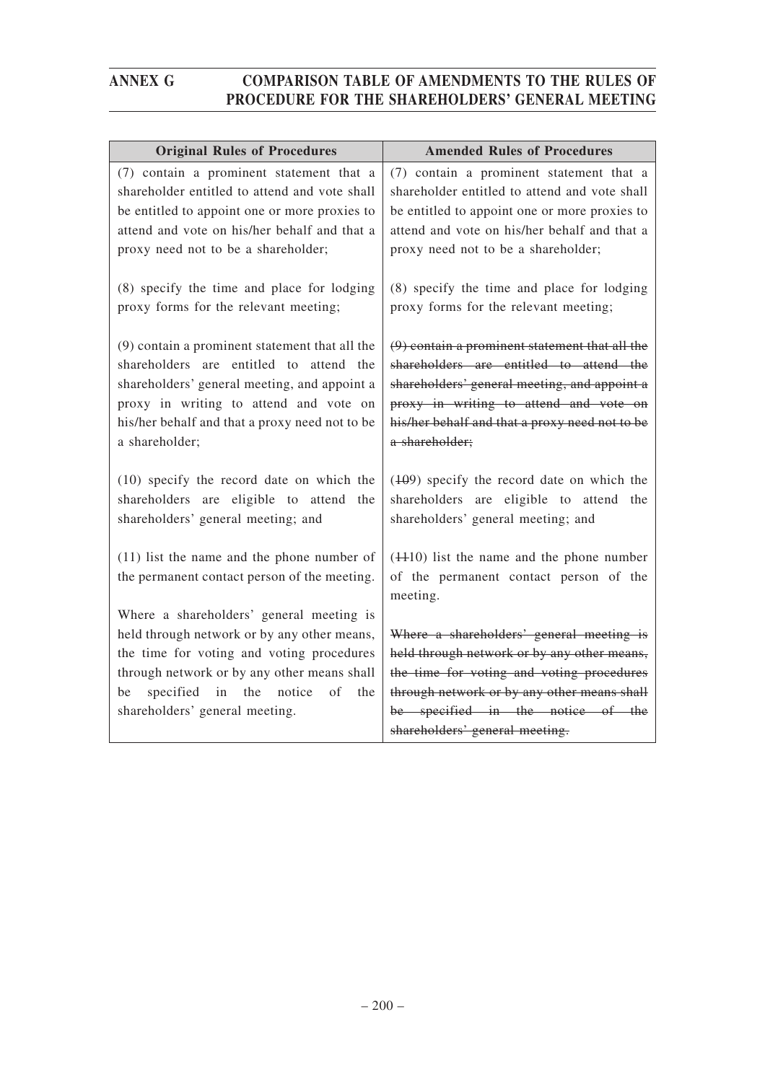| <b>Original Rules of Procedures</b>                                                                                                                                                                                                                     | <b>Amended Rules of Procedures</b>                                                                                                                                                                                                                        |
|---------------------------------------------------------------------------------------------------------------------------------------------------------------------------------------------------------------------------------------------------------|-----------------------------------------------------------------------------------------------------------------------------------------------------------------------------------------------------------------------------------------------------------|
| (7) contain a prominent statement that a<br>shareholder entitled to attend and vote shall<br>be entitled to appoint one or more proxies to<br>attend and vote on his/her behalf and that a                                                              | (7) contain a prominent statement that a<br>shareholder entitled to attend and vote shall<br>be entitled to appoint one or more proxies to<br>attend and vote on his/her behalf and that a                                                                |
| proxy need not to be a shareholder;                                                                                                                                                                                                                     | proxy need not to be a shareholder;                                                                                                                                                                                                                       |
| (8) specify the time and place for lodging<br>proxy forms for the relevant meeting;                                                                                                                                                                     | (8) specify the time and place for lodging<br>proxy forms for the relevant meeting;                                                                                                                                                                       |
| (9) contain a prominent statement that all the<br>shareholders are entitled to attend the<br>shareholders' general meeting, and appoint a<br>proxy in writing to attend and vote on<br>his/her behalf and that a proxy need not to be<br>a shareholder; | $(9)$ contain a prominent statement that all the<br>shareholders are entitled to attend the<br>shareholders' general meeting, and appoint a<br>proxy in writing to attend and vote on<br>his/her behalf and that a proxy need not to be<br>a shareholder; |
| (10) specify the record date on which the<br>shareholders are eligible to attend the<br>shareholders' general meeting; and                                                                                                                              | $(109)$ specify the record date on which the<br>shareholders are eligible to attend the<br>shareholders' general meeting; and                                                                                                                             |
| $(11)$ list the name and the phone number of<br>the permanent contact person of the meeting.<br>Where a shareholders' general meeting is                                                                                                                | $(4410)$ list the name and the phone number<br>of the permanent contact person of the<br>meeting.                                                                                                                                                         |
| held through network or by any other means,                                                                                                                                                                                                             | Where a shareholders' general meeting is                                                                                                                                                                                                                  |
| the time for voting and voting procedures                                                                                                                                                                                                               | held through network or by any other means,                                                                                                                                                                                                               |
| through network or by any other means shall                                                                                                                                                                                                             | the time for voting and voting procedures                                                                                                                                                                                                                 |
| specified in the notice<br>of<br>the<br>be                                                                                                                                                                                                              | through network or by any other means shall                                                                                                                                                                                                               |
| shareholders' general meeting.                                                                                                                                                                                                                          | be specified in the notice of the                                                                                                                                                                                                                         |
|                                                                                                                                                                                                                                                         | shareholders' general meeting.                                                                                                                                                                                                                            |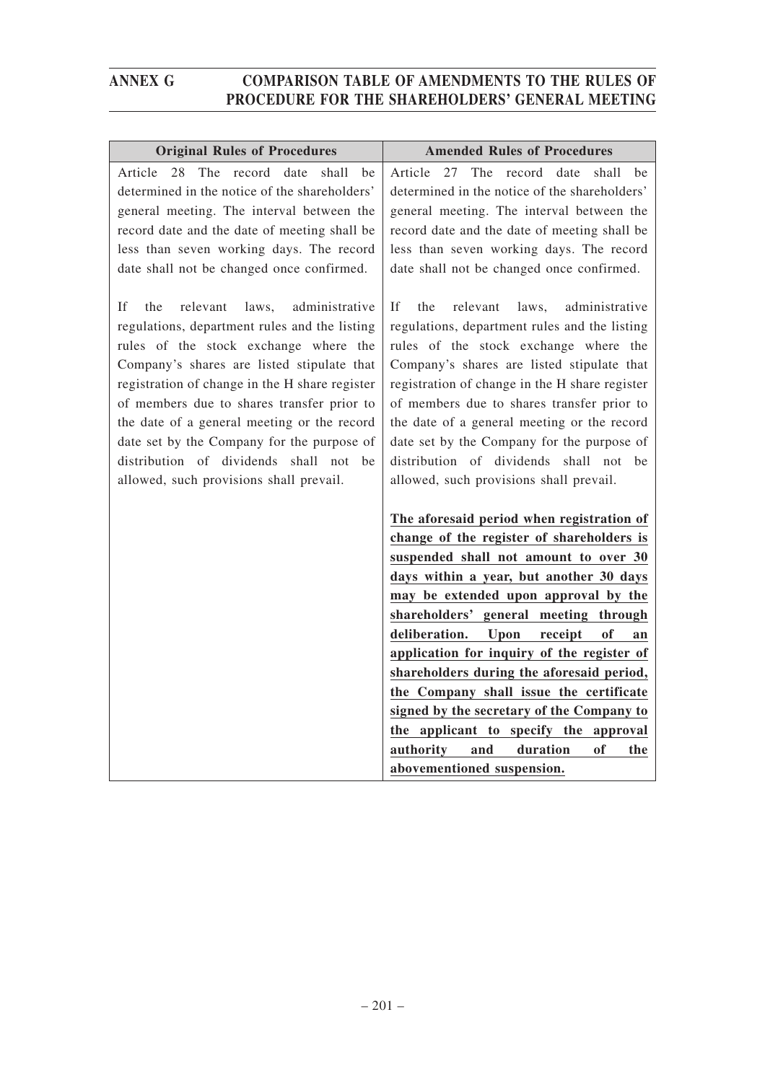| <b>Original Rules of Procedures</b>            | <b>Amended Rules of Procedures</b>                                                                                                                                                                                                                                                                                                                                                                                                                                                                                                                                                                                        |
|------------------------------------------------|---------------------------------------------------------------------------------------------------------------------------------------------------------------------------------------------------------------------------------------------------------------------------------------------------------------------------------------------------------------------------------------------------------------------------------------------------------------------------------------------------------------------------------------------------------------------------------------------------------------------------|
| The                                            | The                                                                                                                                                                                                                                                                                                                                                                                                                                                                                                                                                                                                                       |
| Article                                        | 27                                                                                                                                                                                                                                                                                                                                                                                                                                                                                                                                                                                                                        |
| 28                                             | record                                                                                                                                                                                                                                                                                                                                                                                                                                                                                                                                                                                                                    |
| record                                         | date                                                                                                                                                                                                                                                                                                                                                                                                                                                                                                                                                                                                                      |
| date                                           | shall                                                                                                                                                                                                                                                                                                                                                                                                                                                                                                                                                                                                                     |
| shall                                          | Article                                                                                                                                                                                                                                                                                                                                                                                                                                                                                                                                                                                                                   |
| be                                             | be                                                                                                                                                                                                                                                                                                                                                                                                                                                                                                                                                                                                                        |
| determined in the notice of the shareholders'  | determined in the notice of the shareholders'                                                                                                                                                                                                                                                                                                                                                                                                                                                                                                                                                                             |
| general meeting. The interval between the      | general meeting. The interval between the                                                                                                                                                                                                                                                                                                                                                                                                                                                                                                                                                                                 |
| record date and the date of meeting shall be   | record date and the date of meeting shall be                                                                                                                                                                                                                                                                                                                                                                                                                                                                                                                                                                              |
| less than seven working days. The record       | less than seven working days. The record                                                                                                                                                                                                                                                                                                                                                                                                                                                                                                                                                                                  |
| date shall not be changed once confirmed.      | date shall not be changed once confirmed.                                                                                                                                                                                                                                                                                                                                                                                                                                                                                                                                                                                 |
| administrative                                 | If                                                                                                                                                                                                                                                                                                                                                                                                                                                                                                                                                                                                                        |
| If                                             | the                                                                                                                                                                                                                                                                                                                                                                                                                                                                                                                                                                                                                       |
| the                                            | administrative                                                                                                                                                                                                                                                                                                                                                                                                                                                                                                                                                                                                            |
| relevant                                       | relevant                                                                                                                                                                                                                                                                                                                                                                                                                                                                                                                                                                                                                  |
| laws,                                          | laws,                                                                                                                                                                                                                                                                                                                                                                                                                                                                                                                                                                                                                     |
| regulations, department rules and the listing  | regulations, department rules and the listing                                                                                                                                                                                                                                                                                                                                                                                                                                                                                                                                                                             |
| rules of the stock exchange where the          | rules of the stock exchange where the                                                                                                                                                                                                                                                                                                                                                                                                                                                                                                                                                                                     |
| Company's shares are listed stipulate that     | Company's shares are listed stipulate that                                                                                                                                                                                                                                                                                                                                                                                                                                                                                                                                                                                |
| registration of change in the H share register | registration of change in the H share register                                                                                                                                                                                                                                                                                                                                                                                                                                                                                                                                                                            |
| of members due to shares transfer prior to     | of members due to shares transfer prior to                                                                                                                                                                                                                                                                                                                                                                                                                                                                                                                                                                                |
| the date of a general meeting or the record    | the date of a general meeting or the record                                                                                                                                                                                                                                                                                                                                                                                                                                                                                                                                                                               |
| date set by the Company for the purpose of     | date set by the Company for the purpose of                                                                                                                                                                                                                                                                                                                                                                                                                                                                                                                                                                                |
| distribution of dividends shall not be         | distribution of dividends shall not be                                                                                                                                                                                                                                                                                                                                                                                                                                                                                                                                                                                    |
| allowed, such provisions shall prevail.        | allowed, such provisions shall prevail.                                                                                                                                                                                                                                                                                                                                                                                                                                                                                                                                                                                   |
|                                                | The aforesaid period when registration of<br>change of the register of shareholders is<br>suspended shall not amount to over 30<br>days within a year, but another 30 days<br>may be extended upon approval by the<br>shareholders' general meeting through<br>deliberation.<br>Upon<br>of<br>receipt<br>an<br>application for inquiry of the register of<br>shareholders during the aforesaid period,<br>the Company shall issue the certificate<br>signed by the secretary of the Company to<br>the applicant to specify the approval<br>authority<br>and<br>duration<br><b>of</b><br>the<br>abovementioned suspension. |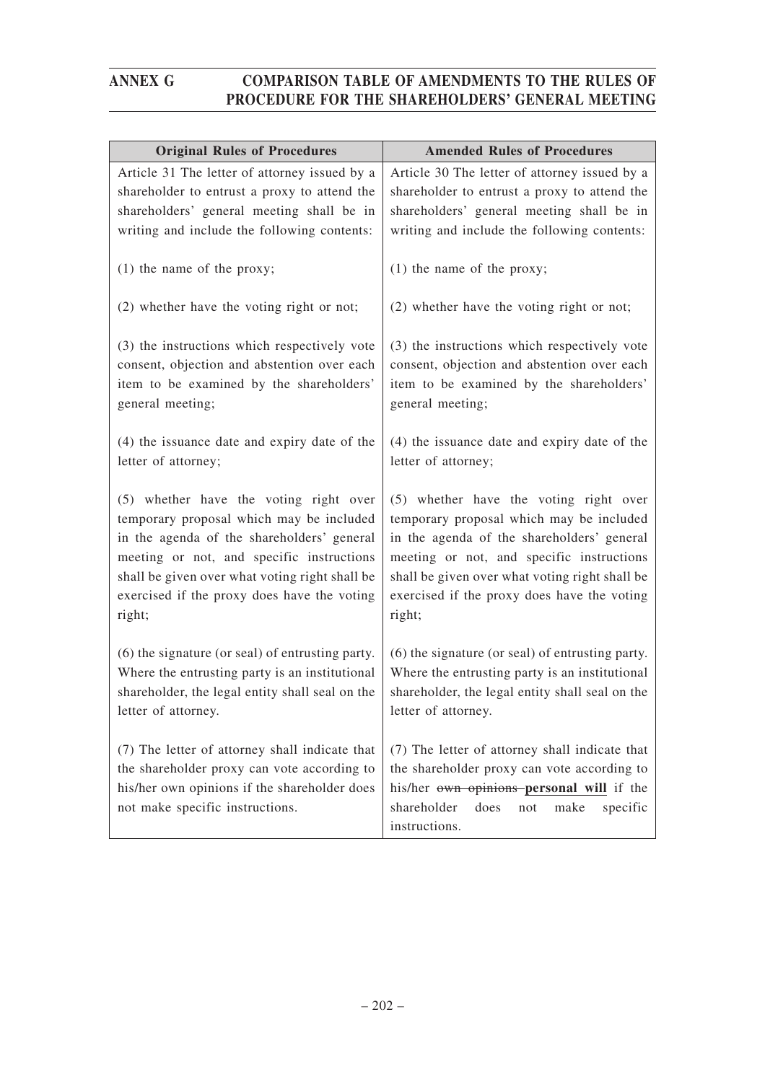| <b>Original Rules of Procedures</b>                                                                                                                                                                                                                                                      | <b>Amended Rules of Procedures</b>                                                                                                                                                                                                                                                       |
|------------------------------------------------------------------------------------------------------------------------------------------------------------------------------------------------------------------------------------------------------------------------------------------|------------------------------------------------------------------------------------------------------------------------------------------------------------------------------------------------------------------------------------------------------------------------------------------|
| Article 31 The letter of attorney issued by a                                                                                                                                                                                                                                            | Article 30 The letter of attorney issued by a                                                                                                                                                                                                                                            |
| shareholder to entrust a proxy to attend the                                                                                                                                                                                                                                             | shareholder to entrust a proxy to attend the                                                                                                                                                                                                                                             |
| shareholders' general meeting shall be in                                                                                                                                                                                                                                                | shareholders' general meeting shall be in                                                                                                                                                                                                                                                |
| writing and include the following contents:                                                                                                                                                                                                                                              | writing and include the following contents:                                                                                                                                                                                                                                              |
| $(1)$ the name of the proxy;                                                                                                                                                                                                                                                             | $(1)$ the name of the proxy;                                                                                                                                                                                                                                                             |
| (2) whether have the voting right or not;                                                                                                                                                                                                                                                | (2) whether have the voting right or not;                                                                                                                                                                                                                                                |
| (3) the instructions which respectively vote                                                                                                                                                                                                                                             | (3) the instructions which respectively vote                                                                                                                                                                                                                                             |
| consent, objection and abstention over each                                                                                                                                                                                                                                              | consent, objection and abstention over each                                                                                                                                                                                                                                              |
| item to be examined by the shareholders'                                                                                                                                                                                                                                                 | item to be examined by the shareholders'                                                                                                                                                                                                                                                 |
| general meeting;                                                                                                                                                                                                                                                                         | general meeting;                                                                                                                                                                                                                                                                         |
| (4) the issuance date and expiry date of the<br>letter of attorney;                                                                                                                                                                                                                      | (4) the issuance date and expiry date of the<br>letter of attorney;                                                                                                                                                                                                                      |
| (5) whether have the voting right over<br>temporary proposal which may be included<br>in the agenda of the shareholders' general<br>meeting or not, and specific instructions<br>shall be given over what voting right shall be<br>exercised if the proxy does have the voting<br>right; | (5) whether have the voting right over<br>temporary proposal which may be included<br>in the agenda of the shareholders' general<br>meeting or not, and specific instructions<br>shall be given over what voting right shall be<br>exercised if the proxy does have the voting<br>right; |
| (6) the signature (or seal) of entrusting party.<br>Where the entrusting party is an institutional<br>shareholder, the legal entity shall seal on the<br>letter of attorney.                                                                                                             | (6) the signature (or seal) of entrusting party.<br>Where the entrusting party is an institutional<br>shareholder, the legal entity shall seal on the<br>letter of attorney.                                                                                                             |
| (7) The letter of attorney shall indicate that<br>the shareholder proxy can vote according to<br>his/her own opinions if the shareholder does<br>not make specific instructions.                                                                                                         | (7) The letter of attorney shall indicate that<br>the shareholder proxy can vote according to<br>his/her own opinions personal will if the<br>shareholder<br>does<br>not<br>make<br>specific<br>instructions.                                                                            |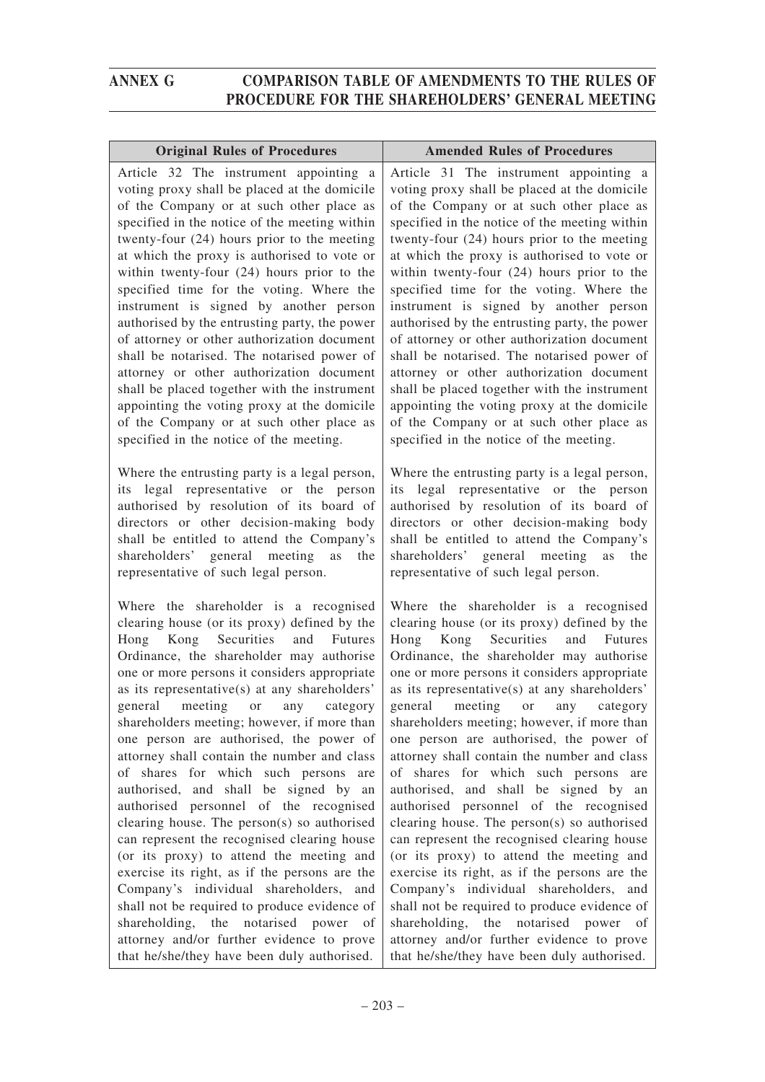| <b>Original Rules of Procedures</b>                                                                                                                                                                                                                                                                                                                                                                                                                                                                                                                                                                                                                                                                                                                                                                                                                                                                                           | <b>Amended Rules of Procedures</b>                                                                                                                                                                                                                                                                                                                                                                                                                                                                                                                                                                                                                                                                                                                                                                                                                                                                                         |
|-------------------------------------------------------------------------------------------------------------------------------------------------------------------------------------------------------------------------------------------------------------------------------------------------------------------------------------------------------------------------------------------------------------------------------------------------------------------------------------------------------------------------------------------------------------------------------------------------------------------------------------------------------------------------------------------------------------------------------------------------------------------------------------------------------------------------------------------------------------------------------------------------------------------------------|----------------------------------------------------------------------------------------------------------------------------------------------------------------------------------------------------------------------------------------------------------------------------------------------------------------------------------------------------------------------------------------------------------------------------------------------------------------------------------------------------------------------------------------------------------------------------------------------------------------------------------------------------------------------------------------------------------------------------------------------------------------------------------------------------------------------------------------------------------------------------------------------------------------------------|
| Article 32 The instrument appointing a<br>voting proxy shall be placed at the domicile<br>of the Company or at such other place as<br>specified in the notice of the meeting within<br>twenty-four (24) hours prior to the meeting<br>at which the proxy is authorised to vote or<br>within twenty-four (24) hours prior to the<br>specified time for the voting. Where the<br>instrument is signed by another person<br>authorised by the entrusting party, the power<br>of attorney or other authorization document<br>shall be notarised. The notarised power of<br>attorney or other authorization document<br>shall be placed together with the instrument<br>appointing the voting proxy at the domicile<br>of the Company or at such other place as<br>specified in the notice of the meeting.                                                                                                                         | Article 31 The instrument appointing a<br>voting proxy shall be placed at the domicile<br>of the Company or at such other place as<br>specified in the notice of the meeting within<br>twenty-four (24) hours prior to the meeting<br>at which the proxy is authorised to vote or<br>within twenty-four (24) hours prior to the<br>specified time for the voting. Where the<br>instrument is signed by another person<br>authorised by the entrusting party, the power<br>of attorney or other authorization document<br>shall be notarised. The notarised power of<br>attorney or other authorization document<br>shall be placed together with the instrument<br>appointing the voting proxy at the domicile<br>of the Company or at such other place as<br>specified in the notice of the meeting.                                                                                                                      |
| Where the entrusting party is a legal person,<br>legal representative or the person<br>its<br>authorised by resolution of its board of<br>directors or other decision-making body<br>shall be entitled to attend the Company's<br>shareholders' general meeting<br>as<br>the<br>representative of such legal person.                                                                                                                                                                                                                                                                                                                                                                                                                                                                                                                                                                                                          | Where the entrusting party is a legal person,<br>its legal representative or the person<br>authorised by resolution of its board of<br>directors or other decision-making body<br>shall be entitled to attend the Company's<br>shareholders' general meeting<br>as<br>the<br>representative of such legal person.                                                                                                                                                                                                                                                                                                                                                                                                                                                                                                                                                                                                          |
| Where the shareholder is a recognised<br>clearing house (or its proxy) defined by the<br>Kong Securities<br>Hong<br>and<br><b>Futures</b><br>Ordinance, the shareholder may authorise<br>one or more persons it considers appropriate<br>as its representative(s) at any shareholders'<br>general meeting or any category<br>shareholders meeting; however, if more than<br>one person are authorised, the power of<br>attorney shall contain the number and class<br>of shares for which such persons<br>are<br>authorised, and shall be signed by an<br>authorised personnel of the recognised<br>clearing house. The person(s) so authorised<br>can represent the recognised clearing house<br>(or its proxy) to attend the meeting and<br>exercise its right, as if the persons are the<br>Company's individual shareholders, and<br>shall not be required to produce evidence of<br>shareholding, the notarised power of | Where the shareholder is a recognised<br>clearing house (or its proxy) defined by the<br>Kong Securities<br>Hong<br>and<br><b>Futures</b><br>Ordinance, the shareholder may authorise<br>one or more persons it considers appropriate<br>as its representative(s) at any shareholders'<br>general meeting or any category<br>shareholders meeting; however, if more than<br>one person are authorised, the power of<br>attorney shall contain the number and class<br>of shares for which such persons are<br>authorised, and shall be signed by an<br>authorised personnel of the recognised<br>clearing house. The person(s) so authorised<br>can represent the recognised clearing house<br>(or its proxy) to attend the meeting and<br>exercise its right, as if the persons are the<br>Company's individual shareholders, and<br>shall not be required to produce evidence of<br>shareholding, the notarised power of |
| attorney and/or further evidence to prove<br>that he/she/they have been duly authorised.                                                                                                                                                                                                                                                                                                                                                                                                                                                                                                                                                                                                                                                                                                                                                                                                                                      | attorney and/or further evidence to prove<br>that he/she/they have been duly authorised.                                                                                                                                                                                                                                                                                                                                                                                                                                                                                                                                                                                                                                                                                                                                                                                                                                   |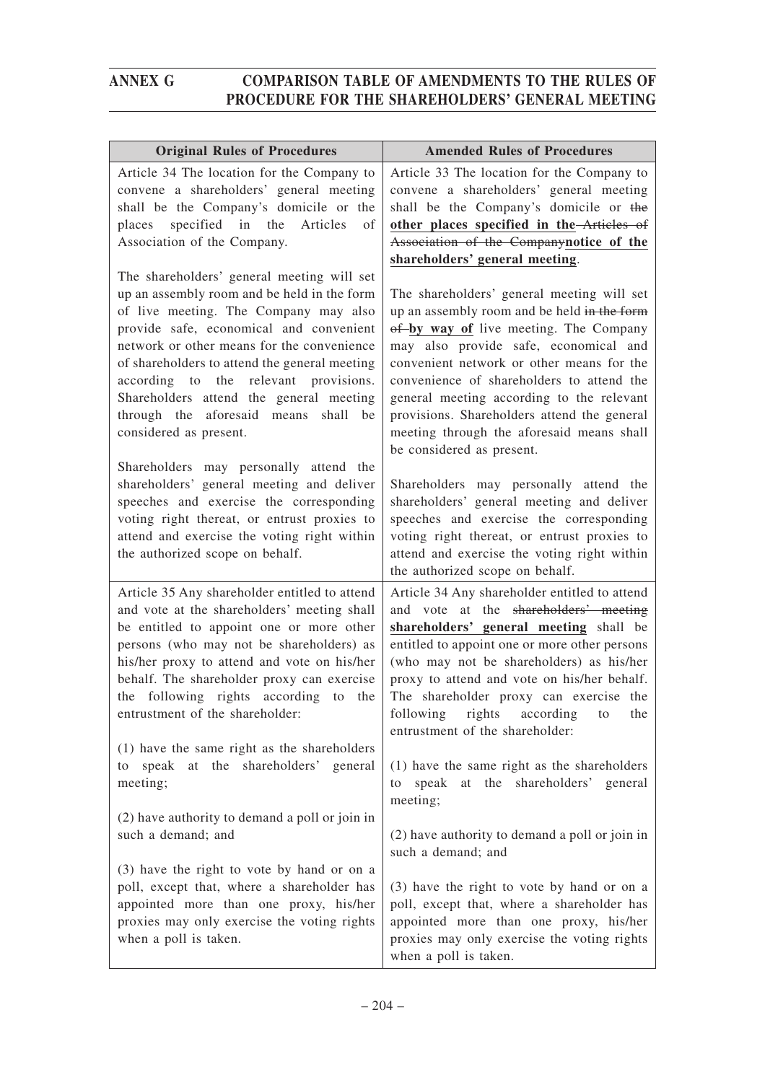| <b>Original Rules of Procedures</b>                                                                                                                                                                                                                                                                                                                                                                                                   | <b>Amended Rules of Procedures</b>                                                                                                                                                                                                                                                                                                                                                                                                           |
|---------------------------------------------------------------------------------------------------------------------------------------------------------------------------------------------------------------------------------------------------------------------------------------------------------------------------------------------------------------------------------------------------------------------------------------|----------------------------------------------------------------------------------------------------------------------------------------------------------------------------------------------------------------------------------------------------------------------------------------------------------------------------------------------------------------------------------------------------------------------------------------------|
| Article 34 The location for the Company to<br>convene a shareholders' general meeting<br>shall be the Company's domicile or the<br>specified in the<br>Articles<br>places<br>of<br>Association of the Company.                                                                                                                                                                                                                        | Article 33 The location for the Company to<br>convene a shareholders' general meeting<br>shall be the Company's domicile or the<br>other places specified in the-Articles of<br>Association of the Companynotice of the<br>shareholders' general meeting.                                                                                                                                                                                    |
| The shareholders' general meeting will set<br>up an assembly room and be held in the form<br>of live meeting. The Company may also<br>provide safe, economical and convenient<br>network or other means for the convenience<br>of shareholders to attend the general meeting<br>according to the relevant provisions.<br>Shareholders attend the general meeting<br>through the aforesaid means<br>shall be<br>considered as present. | The shareholders' general meeting will set<br>up an assembly room and be held in the form<br>of by way of live meeting. The Company<br>may also provide safe, economical and<br>convenient network or other means for the<br>convenience of shareholders to attend the<br>general meeting according to the relevant<br>provisions. Shareholders attend the general<br>meeting through the aforesaid means shall<br>be considered as present. |
| Shareholders may personally attend the                                                                                                                                                                                                                                                                                                                                                                                                | Shareholders may personally attend the                                                                                                                                                                                                                                                                                                                                                                                                       |
| shareholders' general meeting and deliver                                                                                                                                                                                                                                                                                                                                                                                             | shareholders' general meeting and deliver                                                                                                                                                                                                                                                                                                                                                                                                    |
| speeches and exercise the corresponding                                                                                                                                                                                                                                                                                                                                                                                               | speeches and exercise the corresponding                                                                                                                                                                                                                                                                                                                                                                                                      |
| voting right thereat, or entrust proxies to                                                                                                                                                                                                                                                                                                                                                                                           | voting right thereat, or entrust proxies to                                                                                                                                                                                                                                                                                                                                                                                                  |
| attend and exercise the voting right within                                                                                                                                                                                                                                                                                                                                                                                           | attend and exercise the voting right within                                                                                                                                                                                                                                                                                                                                                                                                  |
| the authorized scope on behalf.                                                                                                                                                                                                                                                                                                                                                                                                       | the authorized scope on behalf.                                                                                                                                                                                                                                                                                                                                                                                                              |
| Article 35 Any shareholder entitled to attend<br>and vote at the shareholders' meeting shall<br>be entitled to appoint one or more other<br>persons (who may not be shareholders) as<br>his/her proxy to attend and vote on his/her<br>behalf. The shareholder proxy can exercise<br>the following rights according to the<br>entrustment of the shareholder:                                                                         | Article 34 Any shareholder entitled to attend<br>and vote at the shareholders' meeting<br>shareholders' general meeting shall be<br>entitled to appoint one or more other persons<br>(who may not be shareholders) as his/her<br>proxy to attend and vote on his/her behalf.<br>The shareholder proxy can exercise the<br>following rights according<br>to<br>the<br>entrustment of the shareholder:                                         |
| (1) have the same right as the shareholders                                                                                                                                                                                                                                                                                                                                                                                           | (1) have the same right as the shareholders                                                                                                                                                                                                                                                                                                                                                                                                  |
| speak at the shareholders' general                                                                                                                                                                                                                                                                                                                                                                                                    | speak at the shareholders' general                                                                                                                                                                                                                                                                                                                                                                                                           |
| to                                                                                                                                                                                                                                                                                                                                                                                                                                    | to                                                                                                                                                                                                                                                                                                                                                                                                                                           |
| meeting;                                                                                                                                                                                                                                                                                                                                                                                                                              | meeting;                                                                                                                                                                                                                                                                                                                                                                                                                                     |
| (2) have authority to demand a poll or join in                                                                                                                                                                                                                                                                                                                                                                                        | (2) have authority to demand a poll or join in                                                                                                                                                                                                                                                                                                                                                                                               |
| such a demand; and                                                                                                                                                                                                                                                                                                                                                                                                                    | such a demand; and                                                                                                                                                                                                                                                                                                                                                                                                                           |
| (3) have the right to vote by hand or on a                                                                                                                                                                                                                                                                                                                                                                                            | (3) have the right to vote by hand or on a                                                                                                                                                                                                                                                                                                                                                                                                   |
| poll, except that, where a shareholder has                                                                                                                                                                                                                                                                                                                                                                                            | poll, except that, where a shareholder has                                                                                                                                                                                                                                                                                                                                                                                                   |
| appointed more than one proxy, his/her                                                                                                                                                                                                                                                                                                                                                                                                | appointed more than one proxy, his/her                                                                                                                                                                                                                                                                                                                                                                                                       |
| proxies may only exercise the voting rights                                                                                                                                                                                                                                                                                                                                                                                           | proxies may only exercise the voting rights                                                                                                                                                                                                                                                                                                                                                                                                  |
| when a poll is taken.                                                                                                                                                                                                                                                                                                                                                                                                                 | when a poll is taken.                                                                                                                                                                                                                                                                                                                                                                                                                        |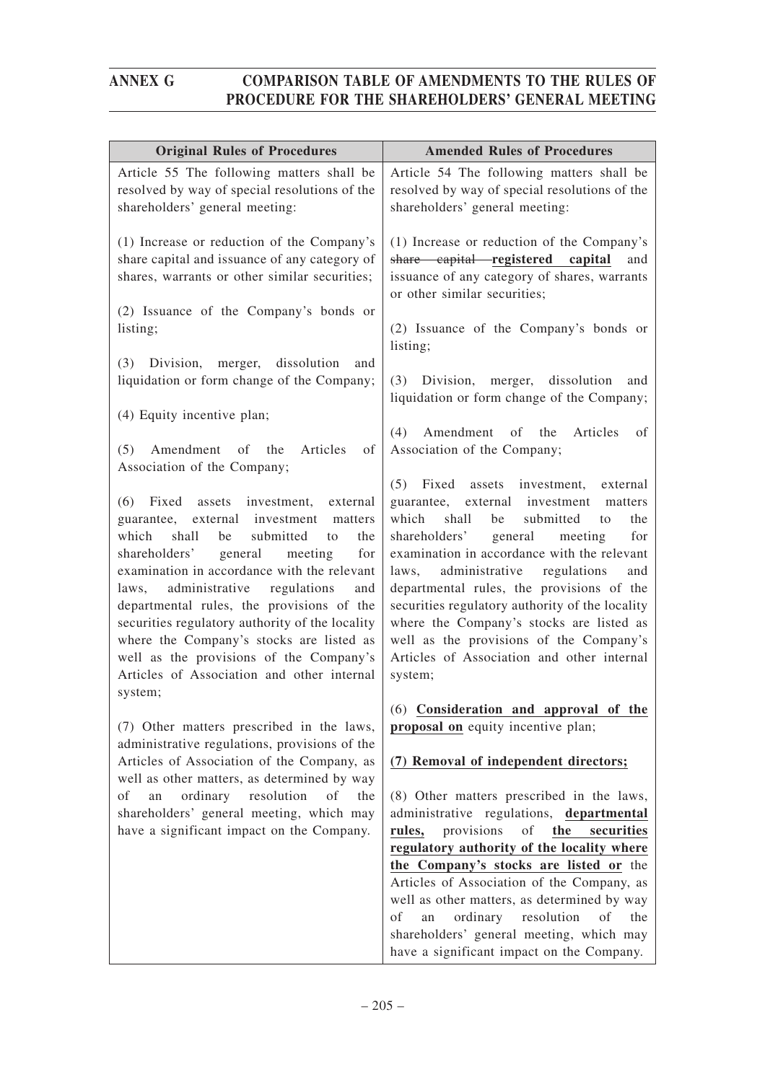| Article 54 The following matters shall be<br>resolved by way of special resolutions of the<br>shareholders' general meeting:<br>(1) Increase or reduction of the Company's<br>share capital registered<br>capital<br>and<br>issuance of any category of shares, warrants<br>or other similar securities;<br>(2) Issuance of the Company's bonds or<br>listing;<br>$(3)$ Division,<br>merger, dissolution<br>and<br>liquidation or form change of the Company;                                                   |
|-----------------------------------------------------------------------------------------------------------------------------------------------------------------------------------------------------------------------------------------------------------------------------------------------------------------------------------------------------------------------------------------------------------------------------------------------------------------------------------------------------------------|
|                                                                                                                                                                                                                                                                                                                                                                                                                                                                                                                 |
|                                                                                                                                                                                                                                                                                                                                                                                                                                                                                                                 |
|                                                                                                                                                                                                                                                                                                                                                                                                                                                                                                                 |
|                                                                                                                                                                                                                                                                                                                                                                                                                                                                                                                 |
| Amendment of<br>the<br>Articles<br>of                                                                                                                                                                                                                                                                                                                                                                                                                                                                           |
| Association of the Company;                                                                                                                                                                                                                                                                                                                                                                                                                                                                                     |
| Fixed assets investment,<br>external<br>external investment<br>guarantee,<br>matters<br>shall<br>be<br>submitted<br>the<br>to<br>general<br>shareholders'<br>meeting<br>for<br>examination in accordance with the relevant<br>administrative regulations<br>and<br>departmental rules, the provisions of the<br>securities regulatory authority of the locality<br>where the Company's stocks are listed as<br>well as the provisions of the Company's<br>Articles of Association and other internal<br>system; |
| (6) Consideration and approval of the<br>proposal on equity incentive plan;                                                                                                                                                                                                                                                                                                                                                                                                                                     |
| (7) Removal of independent directors;                                                                                                                                                                                                                                                                                                                                                                                                                                                                           |
| (8) Other matters prescribed in the laws,<br>administrative regulations, departmental<br>provisions<br>of<br>the<br>securities<br>regulatory authority of the locality where<br>the Company's stocks are listed or the<br>Articles of Association of the Company, as<br>well as other matters, as determined by way                                                                                                                                                                                             |
|                                                                                                                                                                                                                                                                                                                                                                                                                                                                                                                 |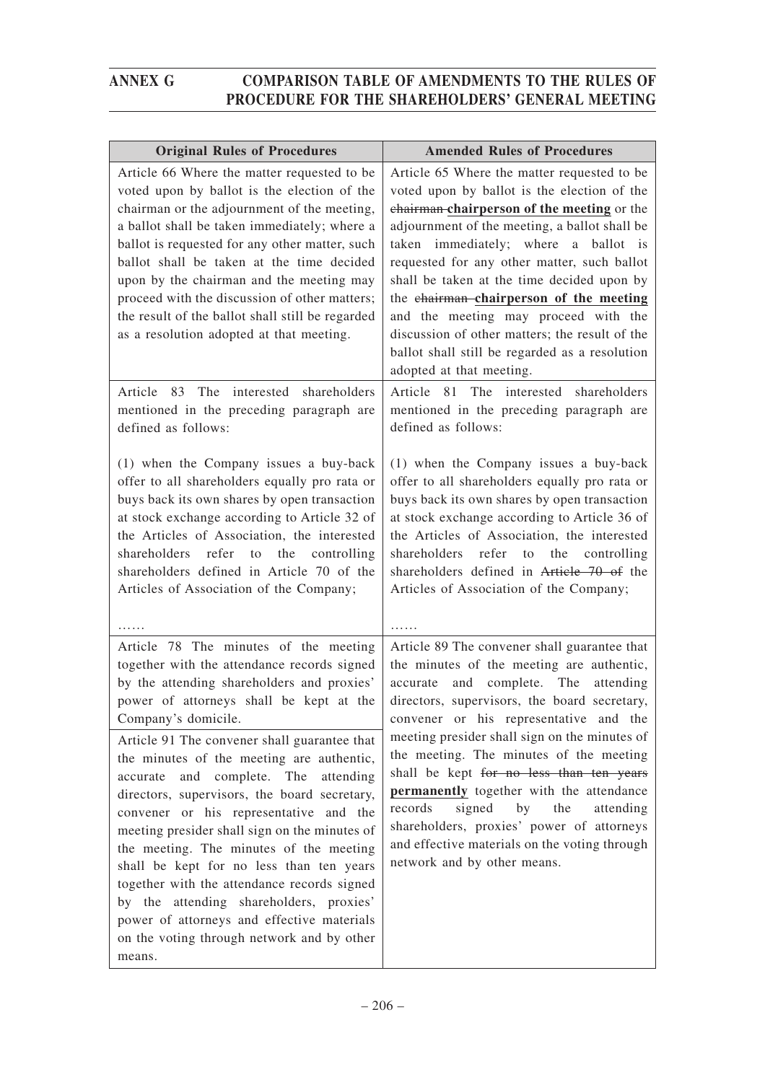| <b>Original Rules of Procedures</b>                                                                                                                                                                                                                                                                                                                                                                                                                                                                                                                                          | <b>Amended Rules of Procedures</b>                                                                                                                                                                                                                                                                                                                                                                                                                                                                                                                |
|------------------------------------------------------------------------------------------------------------------------------------------------------------------------------------------------------------------------------------------------------------------------------------------------------------------------------------------------------------------------------------------------------------------------------------------------------------------------------------------------------------------------------------------------------------------------------|---------------------------------------------------------------------------------------------------------------------------------------------------------------------------------------------------------------------------------------------------------------------------------------------------------------------------------------------------------------------------------------------------------------------------------------------------------------------------------------------------------------------------------------------------|
| Article 66 Where the matter requested to be<br>voted upon by ballot is the election of the<br>chairman or the adjournment of the meeting,<br>a ballot shall be taken immediately; where a<br>ballot is requested for any other matter, such<br>ballot shall be taken at the time decided<br>upon by the chairman and the meeting may<br>proceed with the discussion of other matters;<br>the result of the ballot shall still be regarded<br>as a resolution adopted at that meeting.                                                                                        | Article 65 Where the matter requested to be<br>voted upon by ballot is the election of the<br>chairman-chairperson of the meeting or the<br>adjournment of the meeting, a ballot shall be<br>taken immediately; where a ballot is<br>requested for any other matter, such ballot<br>shall be taken at the time decided upon by<br>the chairman-chairperson of the meeting<br>and the meeting may proceed with the<br>discussion of other matters; the result of the<br>ballot shall still be regarded as a resolution<br>adopted at that meeting. |
| The interested shareholders<br>Article 83<br>mentioned in the preceding paragraph are<br>defined as follows:                                                                                                                                                                                                                                                                                                                                                                                                                                                                 | Article 81 The interested shareholders<br>mentioned in the preceding paragraph are<br>defined as follows:                                                                                                                                                                                                                                                                                                                                                                                                                                         |
| (1) when the Company issues a buy-back<br>offer to all shareholders equally pro rata or<br>buys back its own shares by open transaction<br>at stock exchange according to Article 32 of<br>the Articles of Association, the interested<br>shareholders<br>refer<br>the<br>controlling<br>to<br>shareholders defined in Article 70 of the<br>Articles of Association of the Company;                                                                                                                                                                                          | (1) when the Company issues a buy-back<br>offer to all shareholders equally pro rata or<br>buys back its own shares by open transaction<br>at stock exchange according to Article 36 of<br>the Articles of Association, the interested<br>refer<br>shareholders<br>the controlling<br>to<br>shareholders defined in Article 70 of the<br>Articles of Association of the Company;                                                                                                                                                                  |
| Article 78 The minutes of the meeting<br>together with the attendance records signed<br>by the attending shareholders and proxies'<br>power of attorneys shall be kept at the<br>Company's domicile.                                                                                                                                                                                                                                                                                                                                                                         | Article 89 The convener shall guarantee that<br>the minutes of the meeting are authentic,<br>and complete. The<br>attending<br>accurate<br>directors, supervisors, the board secretary,<br>convener or his representative and the                                                                                                                                                                                                                                                                                                                 |
| Article 91 The convener shall guarantee that<br>the minutes of the meeting are authentic,<br>and complete. The<br>attending<br>accurate<br>directors, supervisors, the board secretary,<br>convener or his representative and the<br>meeting presider shall sign on the minutes of<br>the meeting. The minutes of the meeting<br>shall be kept for no less than ten years<br>together with the attendance records signed<br>attending shareholders, proxies'<br>by the<br>power of attorneys and effective materials<br>on the voting through network and by other<br>means. | meeting presider shall sign on the minutes of<br>the meeting. The minutes of the meeting<br>shall be kept for no less than ten years<br>permanently together with the attendance<br>records<br>signed<br>the<br>by<br>attending<br>shareholders, proxies' power of attorneys<br>and effective materials on the voting through<br>network and by other means.                                                                                                                                                                                      |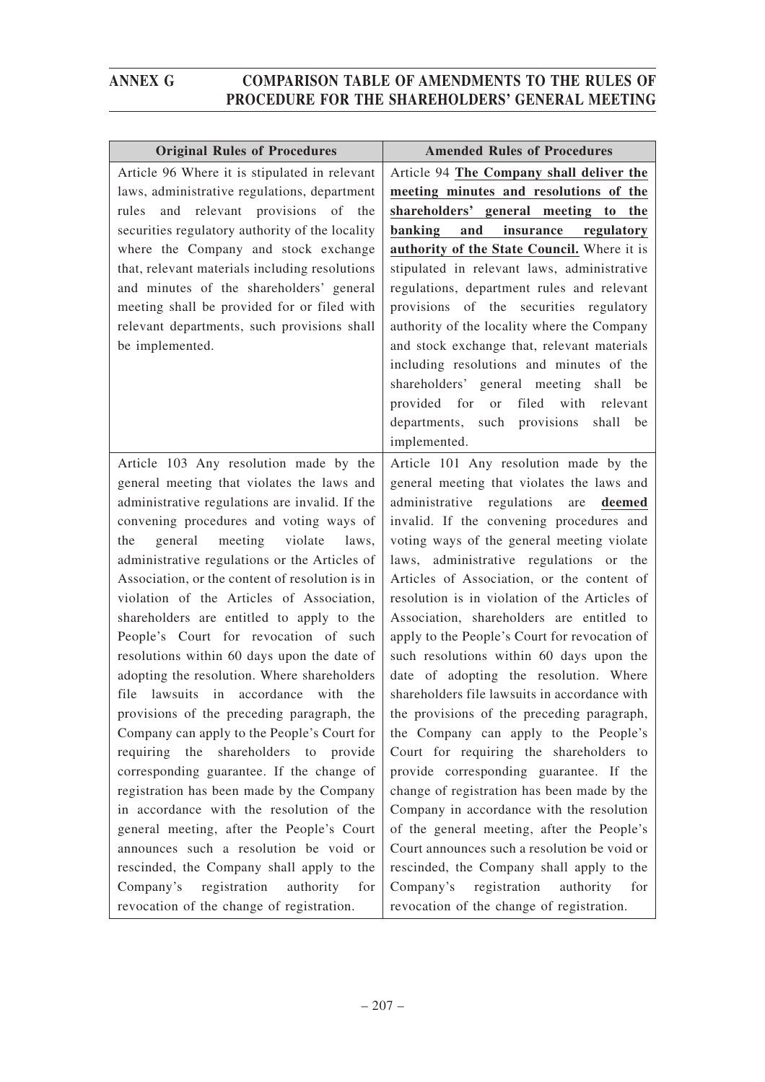| <b>Original Rules of Procedures</b>                                                          | <b>Amended Rules of Procedures</b>                                                          |
|----------------------------------------------------------------------------------------------|---------------------------------------------------------------------------------------------|
| Article 96 Where it is stipulated in relevant                                                | Article 94 The Company shall deliver the                                                    |
| laws, administrative regulations, department                                                 | meeting minutes and resolutions of the                                                      |
| and relevant provisions of the<br>rules                                                      | shareholders' general meeting to the                                                        |
| securities regulatory authority of the locality                                              | banking<br>and<br>insurance regulatory                                                      |
| where the Company and stock exchange                                                         | authority of the State Council. Where it is                                                 |
| that, relevant materials including resolutions                                               | stipulated in relevant laws, administrative                                                 |
| and minutes of the shareholders' general                                                     | regulations, department rules and relevant                                                  |
| meeting shall be provided for or filed with                                                  | provisions of the securities regulatory                                                     |
| relevant departments, such provisions shall                                                  | authority of the locality where the Company                                                 |
| be implemented.                                                                              | and stock exchange that, relevant materials                                                 |
|                                                                                              | including resolutions and minutes of the                                                    |
|                                                                                              | shareholders' general meeting shall be                                                      |
|                                                                                              | filed with relevant<br>provided for or                                                      |
|                                                                                              | departments, such provisions shall<br>be                                                    |
|                                                                                              | implemented.                                                                                |
| Article 103 Any resolution made by the                                                       | Article 101 Any resolution made by the                                                      |
| general meeting that violates the laws and                                                   | general meeting that violates the laws and                                                  |
| administrative regulations are invalid. If the                                               | administrative regulations<br>are<br>deemed                                                 |
| convening procedures and voting ways of                                                      | invalid. If the convening procedures and                                                    |
| meeting<br>violate<br>general<br>laws,<br>the                                                | voting ways of the general meeting violate                                                  |
| administrative regulations or the Articles of                                                | laws, administrative regulations or the                                                     |
| Association, or the content of resolution is in<br>violation of the Articles of Association, | Articles of Association, or the content of<br>resolution is in violation of the Articles of |
| shareholders are entitled to apply to the                                                    | Association, shareholders are entitled to                                                   |
| People's Court for revocation of such                                                        | apply to the People's Court for revocation of                                               |
| resolutions within 60 days upon the date of                                                  | such resolutions within 60 days upon the                                                    |
| adopting the resolution. Where shareholders                                                  | date of adopting the resolution. Where                                                      |
| file lawsuits in accordance with the                                                         | shareholders file lawsuits in accordance with                                               |
| provisions of the preceding paragraph, the                                                   | the provisions of the preceding paragraph,                                                  |
| Company can apply to the People's Court for                                                  | the Company can apply to the People's                                                       |
| shareholders to provide<br>requiring the                                                     | Court for requiring the shareholders to                                                     |
| corresponding guarantee. If the change of                                                    | provide corresponding guarantee. If the                                                     |
| registration has been made by the Company                                                    | change of registration has been made by the                                                 |
| in accordance with the resolution of the                                                     | Company in accordance with the resolution                                                   |
| general meeting, after the People's Court                                                    | of the general meeting, after the People's                                                  |
| announces such a resolution be void or                                                       | Court announces such a resolution be void or                                                |
| rescinded, the Company shall apply to the                                                    | rescinded, the Company shall apply to the                                                   |
| registration<br>Company's<br>authority<br>for                                                | registration<br>Company's<br>authority<br>for                                               |
| revocation of the change of registration.                                                    | revocation of the change of registration.                                                   |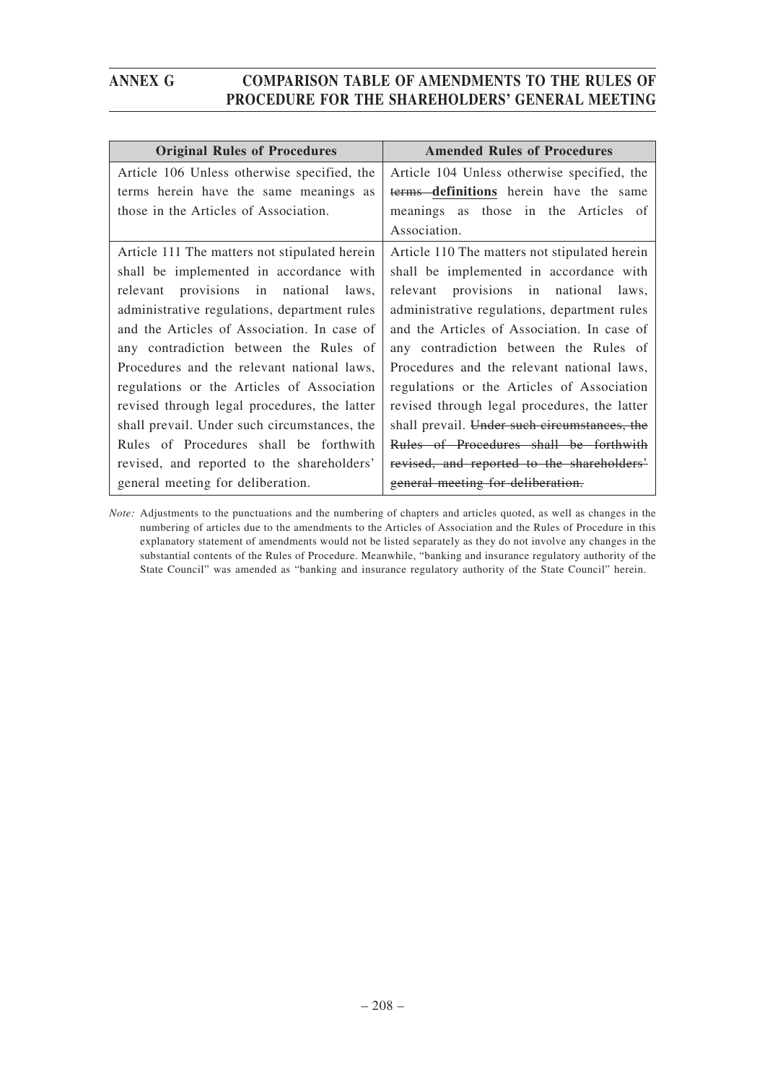| <b>Original Rules of Procedures</b>           | <b>Amended Rules of Procedures</b>            |
|-----------------------------------------------|-----------------------------------------------|
| Article 106 Unless otherwise specified, the   | Article 104 Unless otherwise specified, the   |
| terms herein have the same meanings as        | terms definitions herein have the same        |
| those in the Articles of Association.         | meanings as those in the Articles of          |
|                                               | Association.                                  |
| Article 111 The matters not stipulated herein | Article 110 The matters not stipulated herein |
| shall be implemented in accordance with       | shall be implemented in accordance with       |
| relevant provisions in national laws,         | relevant provisions in national laws,         |
| administrative regulations, department rules  | administrative regulations, department rules  |
| and the Articles of Association. In case of   | and the Articles of Association. In case of   |
| any contradiction between the Rules of        | any contradiction between the Rules of        |
| Procedures and the relevant national laws,    | Procedures and the relevant national laws,    |
| regulations or the Articles of Association    | regulations or the Articles of Association    |
| revised through legal procedures, the latter  | revised through legal procedures, the latter  |
| shall prevail. Under such circumstances, the  | shall prevail. Under such circumstances, the  |
| Rules of Procedures shall be forthwith        | Rules of Procedures shall be forthwith        |
| revised, and reported to the shareholders'    | revised, and reported to the shareholders'    |
| general meeting for deliberation.             | general meeting for deliberation.             |

*Note:* Adjustments to the punctuations and the numbering of chapters and articles quoted, as well as changes in the numbering of articles due to the amendments to the Articles of Association and the Rules of Procedure in this explanatory statement of amendments would not be listed separately as they do not involve any changes in the substantial contents of the Rules of Procedure. Meanwhile, "banking and insurance regulatory authority of the State Council" was amended as "banking and insurance regulatory authority of the State Council" herein.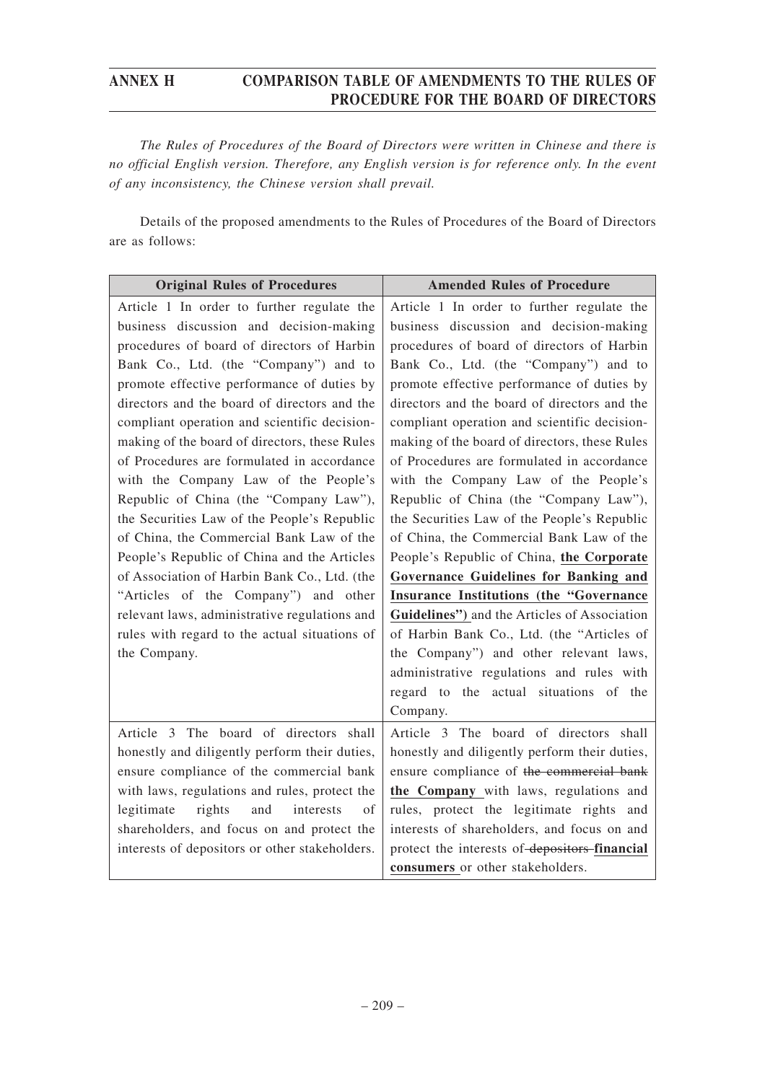*The Rules of Procedures of the Board of Directors were written in Chinese and there is no official English version. Therefore, any English version is for reference only. In the event of any inconsistency, the Chinese version shall prevail.*

Details of the proposed amendments to the Rules of Procedures of the Board of Directors are as follows:

| <b>Original Rules of Procedures</b>            | <b>Amended Rules of Procedure</b>             |
|------------------------------------------------|-----------------------------------------------|
| Article 1 In order to further regulate the     | Article 1 In order to further regulate the    |
| business discussion and decision-making        | business discussion and decision-making       |
| procedures of board of directors of Harbin     | procedures of board of directors of Harbin    |
| Bank Co., Ltd. (the "Company") and to          | Bank Co., Ltd. (the "Company") and to         |
| promote effective performance of duties by     | promote effective performance of duties by    |
| directors and the board of directors and the   | directors and the board of directors and the  |
| compliant operation and scientific decision-   | compliant operation and scientific decision-  |
| making of the board of directors, these Rules  | making of the board of directors, these Rules |
| of Procedures are formulated in accordance     | of Procedures are formulated in accordance    |
| with the Company Law of the People's           | with the Company Law of the People's          |
| Republic of China (the "Company Law"),         | Republic of China (the "Company Law"),        |
| the Securities Law of the People's Republic    | the Securities Law of the People's Republic   |
| of China, the Commercial Bank Law of the       | of China, the Commercial Bank Law of the      |
| People's Republic of China and the Articles    | People's Republic of China, the Corporate     |
| of Association of Harbin Bank Co., Ltd. (the   | Governance Guidelines for Banking and         |
| "Articles of the Company") and other           | Insurance Institutions (the "Governance       |
| relevant laws, administrative regulations and  | Guidelines") and the Articles of Association  |
| rules with regard to the actual situations of  | of Harbin Bank Co., Ltd. (the "Articles of    |
| the Company.                                   | the Company") and other relevant laws,        |
|                                                | administrative regulations and rules with     |
|                                                | regard to the actual situations of the        |
|                                                | Company.                                      |
| Article 3 The board of directors shall         | Article 3 The board of directors shall        |
| honestly and diligently perform their duties,  | honestly and diligently perform their duties, |
| ensure compliance of the commercial bank       | ensure compliance of the commercial bank      |
| with laws, regulations and rules, protect the  | the Company with laws, regulations and        |
| legitimate<br>rights<br>interests<br>and<br>οf | rules, protect the legitimate rights and      |
| shareholders, and focus on and protect the     | interests of shareholders, and focus on and   |
| interests of depositors or other stakeholders. | protect the interests of-depositors-financial |
|                                                | consumers or other stakeholders.              |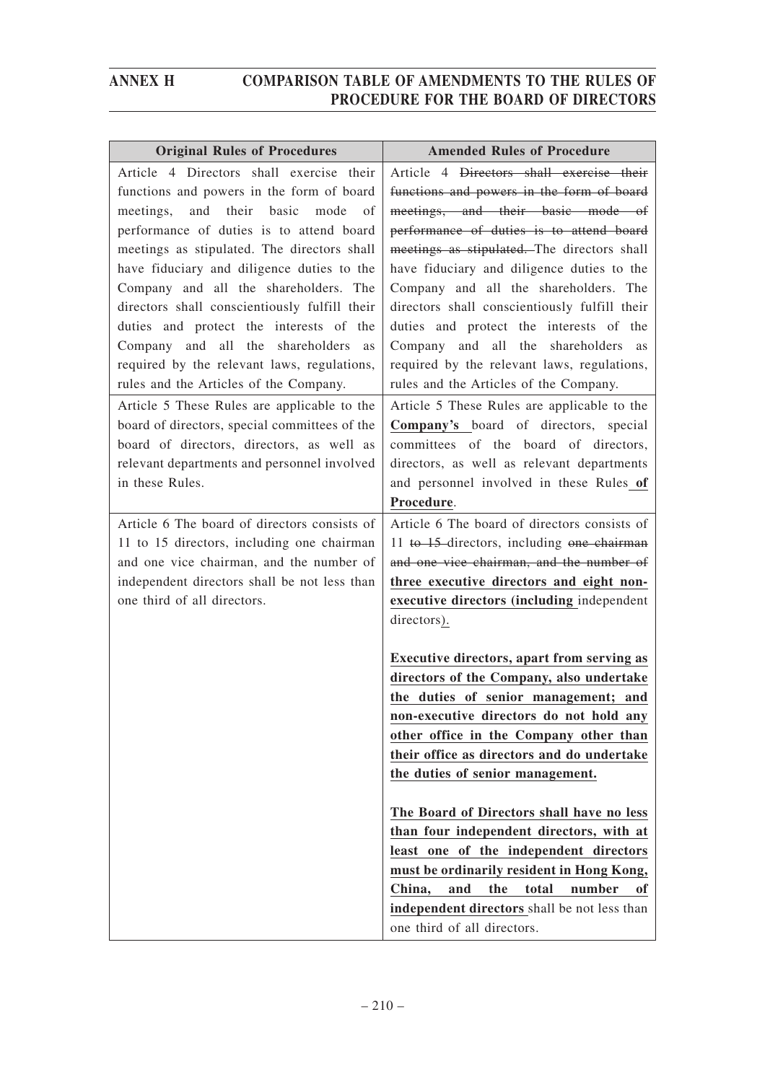| <b>Original Rules of Procedures</b>                                                                                                                                                                                                                                                                                                                                                                                                                                                                        | <b>Amended Rules of Procedure</b>                                                                                                                                                                                                                                                                                                                                                                                                                                                              |
|------------------------------------------------------------------------------------------------------------------------------------------------------------------------------------------------------------------------------------------------------------------------------------------------------------------------------------------------------------------------------------------------------------------------------------------------------------------------------------------------------------|------------------------------------------------------------------------------------------------------------------------------------------------------------------------------------------------------------------------------------------------------------------------------------------------------------------------------------------------------------------------------------------------------------------------------------------------------------------------------------------------|
| Article 4 Directors shall exercise their<br>functions and powers in the form of board<br>and their basic<br>mode<br>meetings,<br>of<br>performance of duties is to attend board<br>meetings as stipulated. The directors shall<br>have fiduciary and diligence duties to the<br>Company and all the shareholders. The<br>directors shall conscientiously fulfill their<br>duties and protect the interests of the<br>Company and all the shareholders<br>as<br>required by the relevant laws, regulations, | Article 4 Directors shall exercise their<br>functions and powers in the form of board<br>meetings, and their basic mode of<br>performance of duties is to attend board<br>meetings as stipulated. The directors shall<br>have fiduciary and diligence duties to the<br>Company and all the shareholders. The<br>directors shall conscientiously fulfill their<br>duties and protect the interests of the<br>Company and all the shareholders as<br>required by the relevant laws, regulations, |
| rules and the Articles of the Company.<br>Article 5 These Rules are applicable to the<br>board of directors, special committees of the<br>board of directors, directors, as well as<br>relevant departments and personnel involved<br>in these Rules.                                                                                                                                                                                                                                                      | rules and the Articles of the Company.<br>Article 5 These Rules are applicable to the<br>Company's board of directors, special<br>committees of the board of directors,<br>directors, as well as relevant departments<br>and personnel involved in these Rules of<br>Procedure.                                                                                                                                                                                                                |
| Article 6 The board of directors consists of<br>11 to 15 directors, including one chairman<br>and one vice chairman, and the number of<br>independent directors shall be not less than<br>one third of all directors.                                                                                                                                                                                                                                                                                      | Article 6 The board of directors consists of<br>11 to 15-directors, including one chairman<br>and one vice chairman, and the number of<br>three executive directors and eight non-<br>executive directors (including independent<br>directors).                                                                                                                                                                                                                                                |
|                                                                                                                                                                                                                                                                                                                                                                                                                                                                                                            | <b>Executive directors, apart from serving as</b><br>directors of the Company, also undertake<br>the duties of senior management; and<br>non-executive directors do not hold any<br>other office in the Company other than<br>their office as directors and do undertake<br>the duties of senior management.                                                                                                                                                                                   |
|                                                                                                                                                                                                                                                                                                                                                                                                                                                                                                            | The Board of Directors shall have no less<br>than four independent directors, with at<br>least one of the independent directors<br>must be ordinarily resident in Hong Kong,<br>China,<br>and<br>the<br>total<br>number<br>оf<br>independent directors shall be not less than<br>one third of all directors.                                                                                                                                                                                   |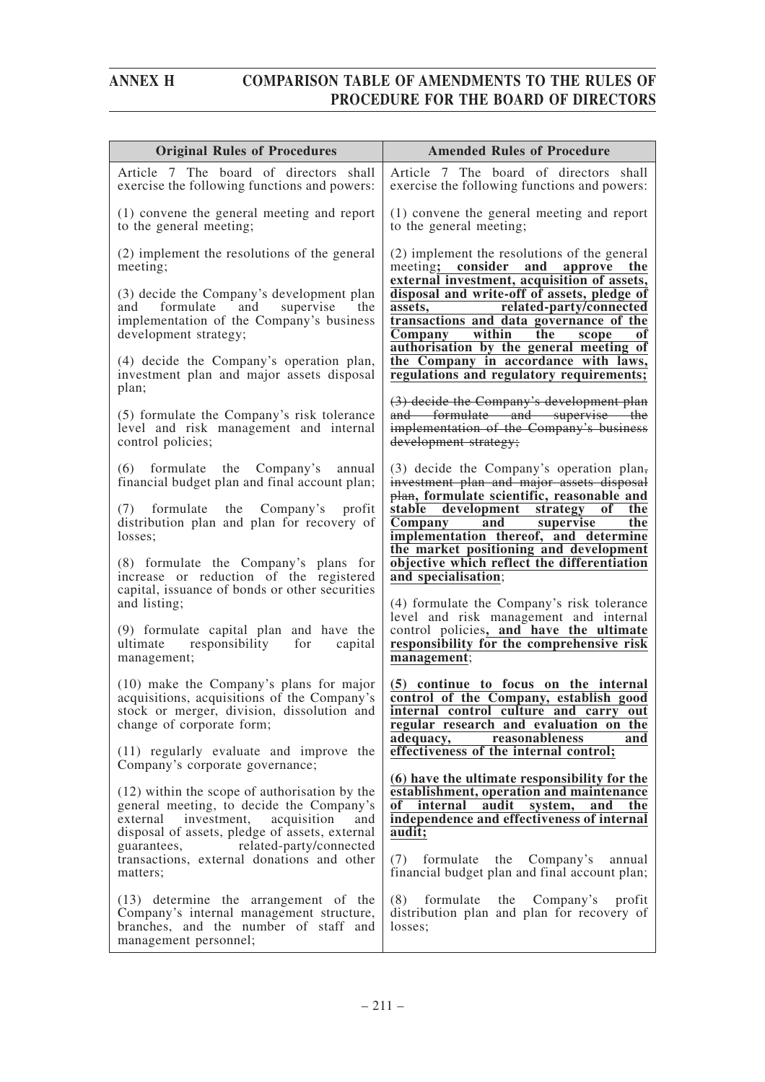| <b>Original Rules of Procedures</b>                                                                                                                                                                                           | <b>Amended Rules of Procedure</b>                                                                                                                                                                                      |
|-------------------------------------------------------------------------------------------------------------------------------------------------------------------------------------------------------------------------------|------------------------------------------------------------------------------------------------------------------------------------------------------------------------------------------------------------------------|
| Article 7 The board of directors shall<br>exercise the following functions and powers:                                                                                                                                        | Article 7 The board of directors shall<br>exercise the following functions and powers:                                                                                                                                 |
| (1) convene the general meeting and report<br>to the general meeting;                                                                                                                                                         | (1) convene the general meeting and report<br>to the general meeting;                                                                                                                                                  |
| (2) implement the resolutions of the general<br>meeting;                                                                                                                                                                      | (2) implement the resolutions of the general<br>meeting; consider and approve the                                                                                                                                      |
| (3) decide the Company's development plan<br>formulate and<br>supervise<br>the<br>and<br>implementation of the Company's business<br>development strategy;                                                                    | external investment, acquisition of assets,<br>disposal and write-off of assets, pledge of<br>related-party/connected<br>assets,<br>transactions and data governance of the<br>within<br>the<br>Company<br>scope<br>оf |
| (4) decide the Company's operation plan,<br>investment plan and major assets disposal<br>plan;                                                                                                                                | authorisation by the general meeting of<br>the Company in accordance with laws,<br>regulations and regulatory requirements;                                                                                            |
| (5) formulate the Company's risk tolerance<br>level and risk management and internal<br>control policies;                                                                                                                     | (3) decide the Company's development plan<br>and formulate and supervise the<br>implementation of the Company's business<br>development strategy;                                                                      |
| (6)<br>formulate the Company's annual<br>financial budget plan and final account plan;                                                                                                                                        | $(3)$ decide the Company's operation plan,<br>investment plan and major assets disposal<br>plan, formulate scientific, reasonable and                                                                                  |
| formulate the Company's<br>profit<br>(7)<br>distribution plan and plan for recovery of<br>losses;                                                                                                                             | stable development strategy<br>of<br>the<br><b>Company</b><br>$\overline{and}$<br>supervise<br>the<br>implementation thereof, and determine                                                                            |
| (8) formulate the Company's plans for<br>increase or reduction of the registered<br>capital, issuance of bonds or other securities                                                                                            | the market positioning and development<br>objective which reflect the differentiation<br>and specialisation;                                                                                                           |
| and listing;                                                                                                                                                                                                                  | (4) formulate the Company's risk tolerance<br>level and risk management and internal                                                                                                                                   |
| (9) formulate capital plan and have the<br>responsibility for<br>capital<br>ultimate<br>management;                                                                                                                           | control policies, and have the ultimate<br>responsibility for the comprehensive risk<br>management;                                                                                                                    |
| (10) make the Company's plans for major<br>acquisitions, acquisitions of the Company's<br>stock or merger, division, dissolution and<br>change of corporate form;                                                             | (5) continue to focus on the internal<br>control of the Company, establish good<br>internal control culture and carry out<br>regular research and evaluation on the                                                    |
| (11) regularly evaluate and improve the<br>Company's corporate governance;                                                                                                                                                    | reasonableness<br>adequacy,<br>and<br>effectiveness of the internal control;                                                                                                                                           |
| (12) within the scope of authorisation by the<br>general meeting, to decide the Company's<br>external investment, acquisition<br>and<br>disposal of assets, pledge of assets, external<br>guarantees, related-party/connected | (6) have the ultimate responsibility for the<br>establishment, operation and maintenance<br>of<br>internal<br>audit<br>system,<br>the<br>and<br>independence and effectiveness of internal<br>audit;                   |
| transactions, external donations and other<br>matters;                                                                                                                                                                        | formulate the Company's<br>(7)<br>annual<br>financial budget plan and final account plan;                                                                                                                              |
| (13) determine the arrangement of the<br>Company's internal management structure,<br>branches, and the number of staff and<br>management personnel;                                                                           | $(8)$ formulate the Company's<br>profit<br>distribution plan and plan for recovery of<br>losses;                                                                                                                       |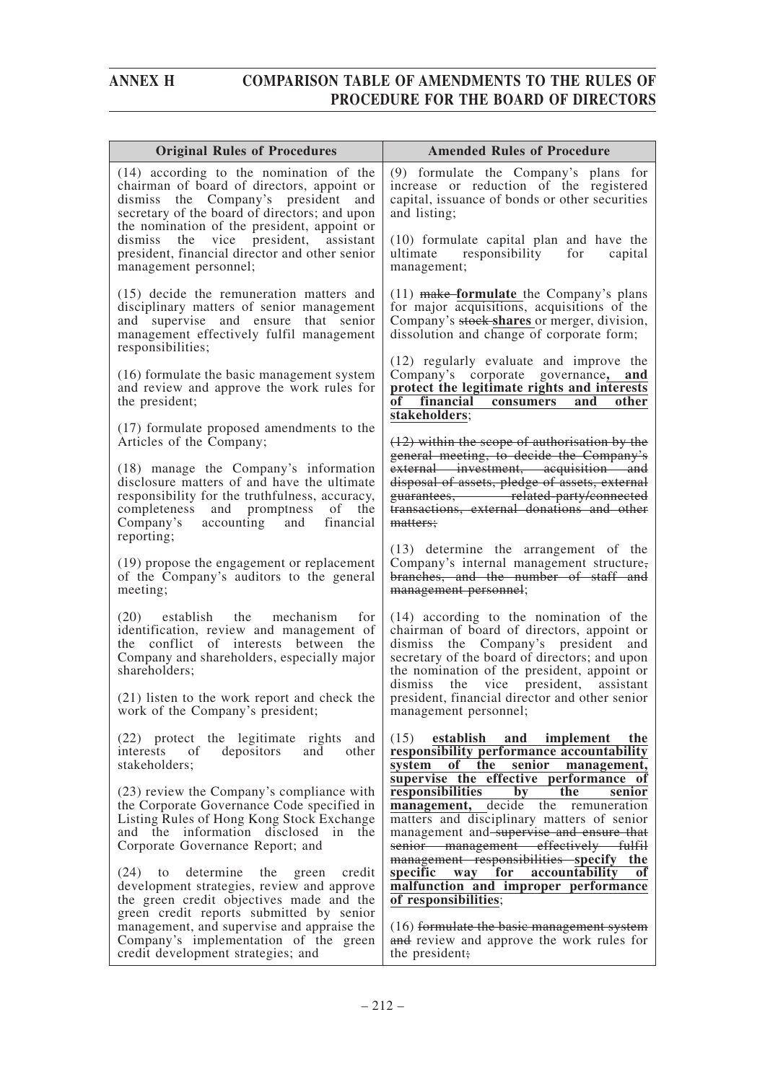| <b>Original Rules of Procedures</b>                                                                                                                                                                                                    | <b>Amended Rules of Procedure</b>                                                                                                                                                                                                                                             |
|----------------------------------------------------------------------------------------------------------------------------------------------------------------------------------------------------------------------------------------|-------------------------------------------------------------------------------------------------------------------------------------------------------------------------------------------------------------------------------------------------------------------------------|
| $(14)$ according to the nomination of the<br>chairman of board of directors, appoint or<br>dismiss the Company's president<br>and<br>secretary of the board of directors; and upon<br>the nomination of the president, appoint or      | (9) formulate the Company's plans for<br>increase or reduction of the registered<br>capital, issuance of bonds or other securities<br>and listing;                                                                                                                            |
| dismiss the vice president, assistant<br>president, financial director and other senior<br>management personnel;                                                                                                                       | (10) formulate capital plan and have the<br>responsibility for<br>capital<br>ultimate<br>management;                                                                                                                                                                          |
| (15) decide the remuneration matters and<br>disciplinary matters of senior management<br>and supervise and ensure that senior<br>management effectively fulfil management<br>responsibilities;                                         | $(11)$ make-formulate the Company's plans<br>for major acquisitions, acquisitions of the<br>Company's stock shares or merger, division,<br>dissolution and change of corporate form;                                                                                          |
| (16) formulate the basic management system<br>and review and approve the work rules for<br>the president;                                                                                                                              | (12) regularly evaluate and improve the<br>Company's corporate governance, and<br>protect the legitimate rights and interests<br>financial consumers<br>and<br>other<br>оf<br>stakeholders;                                                                                   |
| (17) formulate proposed amendments to the<br>Articles of the Company;                                                                                                                                                                  | $(12)$ within the scope of authorization by the                                                                                                                                                                                                                               |
| (18) manage the Company's information<br>disclosure matters of and have the ultimate<br>responsibility for the truthfulness, accuracy,<br>completeness and promptness<br>of<br>the<br>Company's accounting and financial<br>reporting; | general meeting, to decide the Company's<br>external investment, acquisition and<br>disposal of assets, pledge of assets, external<br>guarantees, related-party/connected<br>transactions, external donations and other<br>matters;                                           |
| (19) propose the engagement or replacement<br>of the Company's auditors to the general<br>meeting;                                                                                                                                     | (13) determine the arrangement of the<br>Company's internal management structure,<br>branches, and the number of staff and<br>management personnel;                                                                                                                           |
| establish<br>the<br>mechanism<br>for<br>(20)<br>identification, review and management of<br>the conflict of interests between<br>the<br>Company and shareholders, especially major<br>shareholders;                                    | $(14)$ according to the nomination of the<br>chairman of board of directors, appoint or<br>dismiss the Company's president and<br>secretary of the board of directors; and upon<br>the nomination of the president, appoint or<br>the vice president,<br>dismiss<br>assistant |
| (21) listen to the work report and check the<br>work of the Company's president;                                                                                                                                                       | president, financial director and other senior<br>management personnel;                                                                                                                                                                                                       |
| (22) protect the legitimate rights and<br>interests of<br>depositors<br>and<br>other<br>stakeholders;                                                                                                                                  | (15)<br>establish and implement the<br>responsibility performance accountability<br>of the<br>senior<br>system<br>management,<br>supervise the effective performance of                                                                                                       |
| (23) review the Company's compliance with<br>the Corporate Governance Code specified in<br>Listing Rules of Hong Kong Stock Exchange<br>and the information disclosed in<br>the<br>Corporate Governance Report; and                    | responsibilities<br>the<br>by<br>senior<br>management, decide the remuneration<br>matters and disciplinary matters of senior<br>management and supervise and ensure that<br>senior management effectively fulfil<br>management responsibilities specify the                   |
| determine the green<br>$(24)$ to<br>credit<br>development strategies, review and approve<br>the green credit objectives made and the<br>green credit reports submitted by senior                                                       | specific way for<br>accountability<br>of<br>malfunction and improper performance<br>of responsibilities;                                                                                                                                                                      |
| management, and supervise and appraise the<br>Company's implementation of the green<br>credit development strategies; and                                                                                                              | (16) formulate the basic management system<br>and review and approve the work rules for<br>the president;                                                                                                                                                                     |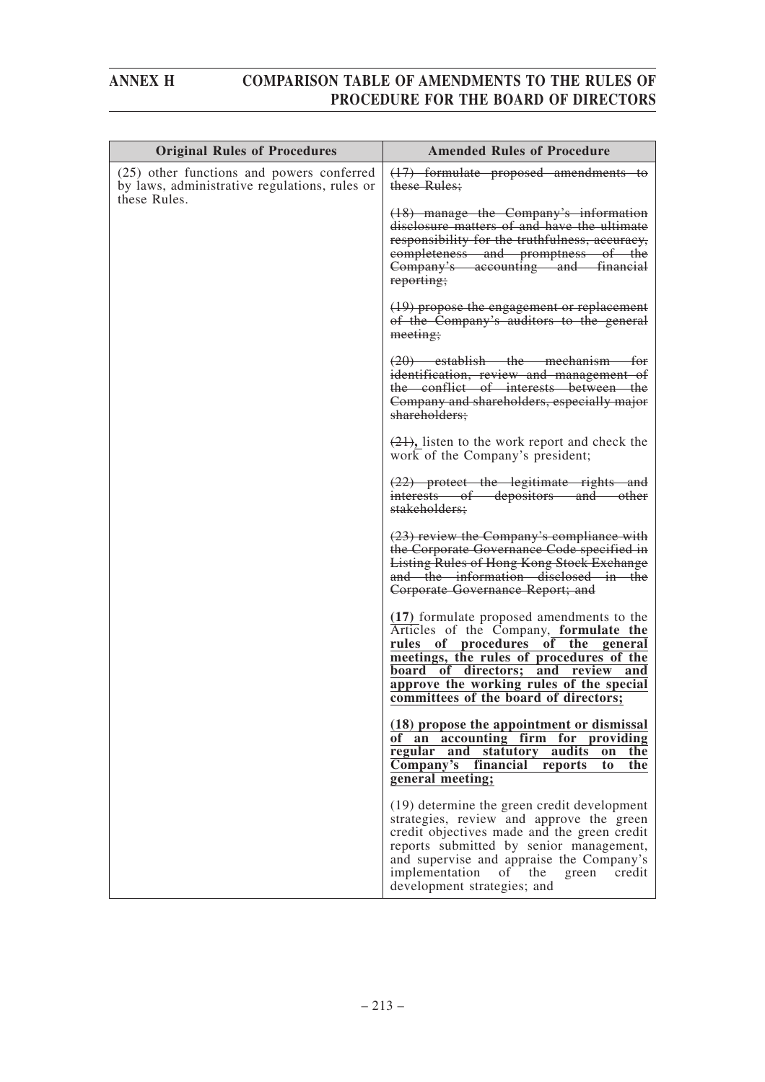| <b>Original Rules of Procedures</b>                                                                        | <b>Amended Rules of Procedure</b>                                                                                                                                                                                                                                                                           |
|------------------------------------------------------------------------------------------------------------|-------------------------------------------------------------------------------------------------------------------------------------------------------------------------------------------------------------------------------------------------------------------------------------------------------------|
| (25) other functions and powers conferred<br>by laws, administrative regulations, rules or<br>these Rules. | (17) formulate proposed amendments to<br>these Rules;                                                                                                                                                                                                                                                       |
|                                                                                                            | (18) manage the Company's information<br>disclosure matters of and have the ultimate<br>responsibility for the truthfulness, accuracy,<br>completeness and promptness of the<br>Company's accounting and financial<br>reporting;                                                                            |
|                                                                                                            | (19) propose the engagement or replacement<br>of the Company's auditors to the general<br>meeting;                                                                                                                                                                                                          |
|                                                                                                            | $(20)$ establish the mechanism for<br>identification, review and management of<br>the conflict of interests between the<br>Company and shareholders, especially major<br>shareholders;                                                                                                                      |
|                                                                                                            | $(21)$ , listen to the work report and check the<br>work of the Company's president;                                                                                                                                                                                                                        |
|                                                                                                            | $(22)$ protect the legitimate rights and<br>interests of depositors and other<br>stakeholders;                                                                                                                                                                                                              |
|                                                                                                            | (23) review the Company's compliance with<br>the Corporate Governance Code specified in<br><b>Listing Rules of Hong Kong Stock Exchange</b><br>and the information disclosed in the<br>Corporate Governance Report; and                                                                                     |
|                                                                                                            | (17) formulate proposed amendments to the<br>Articles of the Company, formulate the<br>of procedures of the general<br>rules<br>meetings, the rules of procedures of the<br>board of directors; and review and<br>approve the working rules of the special<br>committees of the board of directors;         |
|                                                                                                            | (18) propose the appointment or dismissal<br>of an accounting firm for providing<br>and statutory audits<br>regular<br>the<br>on<br>Company's<br>financial<br>the<br>reports<br>to<br>general meeting;                                                                                                      |
|                                                                                                            | (19) determine the green credit development<br>strategies, review and approve the green<br>credit objectives made and the green credit<br>reports submitted by senior management,<br>and supervise and appraise the Company's<br>implementation<br>of the<br>green<br>credit<br>development strategies; and |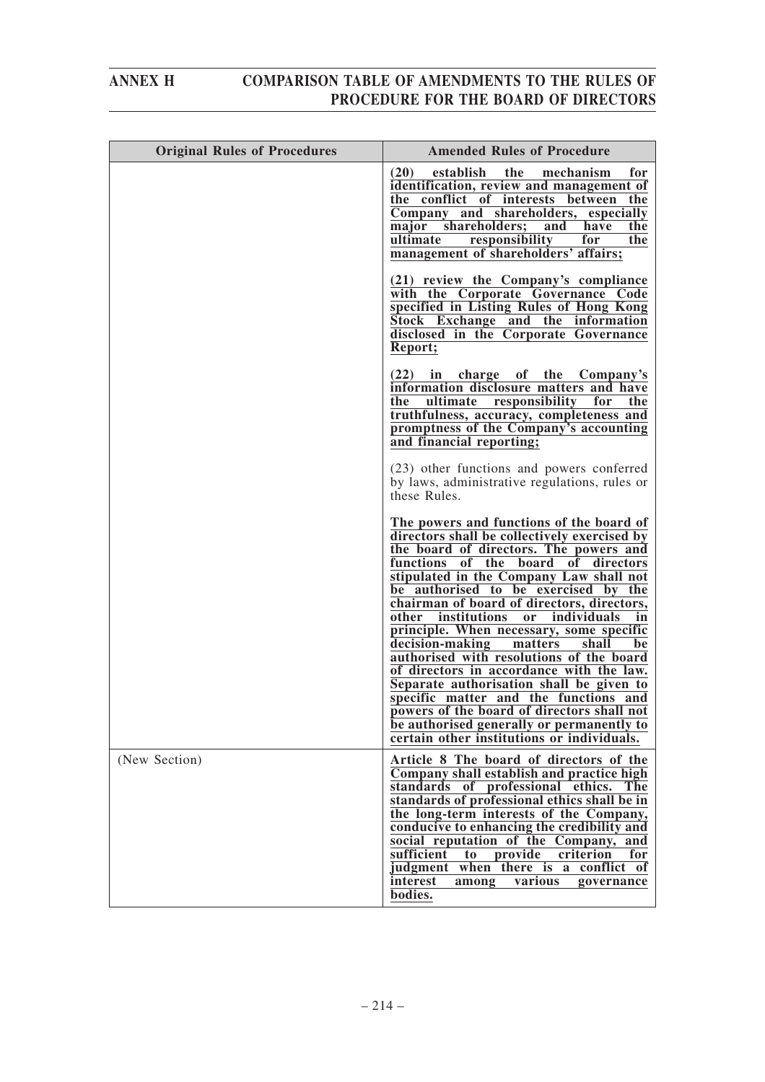| <b>Original Rules of Procedures</b> | <b>Amended Rules of Procedure</b>                                                                                                                                                                                                                                                                                                                                                                                                                                                                                                                                                                                                                                                                                                                                          |
|-------------------------------------|----------------------------------------------------------------------------------------------------------------------------------------------------------------------------------------------------------------------------------------------------------------------------------------------------------------------------------------------------------------------------------------------------------------------------------------------------------------------------------------------------------------------------------------------------------------------------------------------------------------------------------------------------------------------------------------------------------------------------------------------------------------------------|
|                                     | establish<br>the<br>mechanism<br>(20)<br>for<br>identification, review and management of<br>the conflict of interests between the<br>Company and shareholders, especially<br>major shareholders;<br>the<br>and<br>have<br>ultimate<br>responsibility<br>for<br>the<br>management of shareholders' affairs;                                                                                                                                                                                                                                                                                                                                                                                                                                                                 |
|                                     | (21) review the Company's compliance<br>with the Corporate Governance Code<br>specified in Listing Rules of Hong Kong<br>Stock Exchange and the information<br>disclosed in the Corporate Governance<br>Report;                                                                                                                                                                                                                                                                                                                                                                                                                                                                                                                                                            |
|                                     | (22) in charge of the Company's<br>information disclosure matters and have<br>ultimate<br>responsibility for<br>the<br>the<br>truthfulness, accuracy, completeness and<br>promptness of the Company's accounting<br>and financial reporting;                                                                                                                                                                                                                                                                                                                                                                                                                                                                                                                               |
|                                     | (23) other functions and powers conferred<br>by laws, administrative regulations, rules or<br>these Rules.                                                                                                                                                                                                                                                                                                                                                                                                                                                                                                                                                                                                                                                                 |
|                                     | The powers and functions of the board of<br>directors shall be collectively exercised by<br>the board of directors. The powers and<br>functions of the board of directors<br>stipulated in the Company Law shall not<br>be authorised to be exercised by the<br>chairman of board of directors, directors,<br>other institutions<br>individuals<br>or<br>in<br>principle. When necessary, some specific<br>decision-making<br>shall<br>matters<br>be<br>authorised with resolutions of the board<br>of directors in accordance with the law.<br>Separate authorisation shall be given to<br>specific matter and the functions and<br>powers of the board of directors shall not<br>be authorised generally or permanently to<br>certain other institutions or individuals. |
| (New Section)                       | Article 8 The board of directors of the<br>Company shall establish and practice high<br>standards of professional ethics. The<br>standards of professional ethics shall be in<br>the long-term interests of the Company,<br>conducive to enhancing the credibility and<br>social reputation of the Company, and<br>sufficient<br>provide<br>criterion<br>to<br>for<br>judgment when there is a conflict of<br>interest<br>among<br>various<br>governance<br>bodies.                                                                                                                                                                                                                                                                                                        |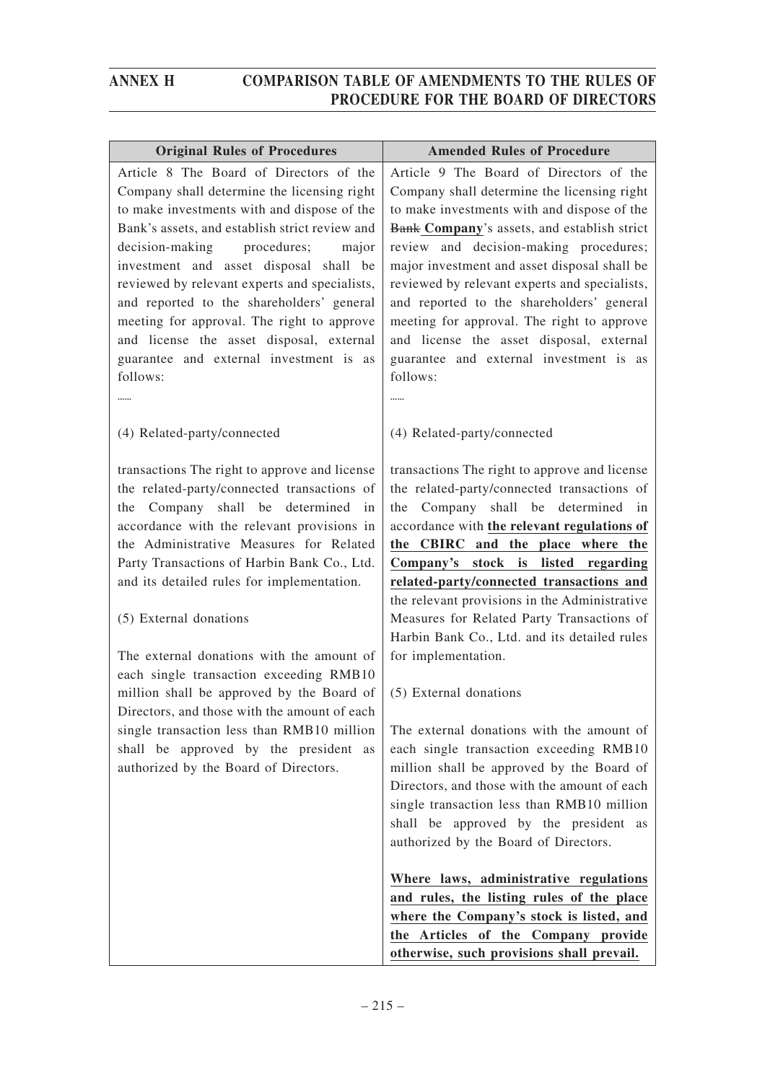| <b>Original Rules of Procedures</b>                                                                                                                                                                                                                                                                                                                                                                                                                                                                                      | <b>Amended Rules of Procedure</b>                                                                                                                                                                                                                                                                                                                                                                                                                                                                                                                                  |
|--------------------------------------------------------------------------------------------------------------------------------------------------------------------------------------------------------------------------------------------------------------------------------------------------------------------------------------------------------------------------------------------------------------------------------------------------------------------------------------------------------------------------|--------------------------------------------------------------------------------------------------------------------------------------------------------------------------------------------------------------------------------------------------------------------------------------------------------------------------------------------------------------------------------------------------------------------------------------------------------------------------------------------------------------------------------------------------------------------|
| Article 8 The Board of Directors of the<br>Company shall determine the licensing right<br>to make investments with and dispose of the<br>Bank's assets, and establish strict review and<br>decision-making procedures;<br>major<br>investment and asset disposal shall be<br>reviewed by relevant experts and specialists,<br>and reported to the shareholders' general<br>meeting for approval. The right to approve<br>and license the asset disposal, external<br>guarantee and external investment is as<br>follows: | Article 9 The Board of Directors of the<br>Company shall determine the licensing right<br>to make investments with and dispose of the<br>Bank Company's assets, and establish strict<br>review and decision-making procedures;<br>major investment and asset disposal shall be<br>reviewed by relevant experts and specialists,<br>and reported to the shareholders' general<br>meeting for approval. The right to approve<br>and license the asset disposal, external<br>guarantee and external investment is as<br>follows:<br>                                  |
|                                                                                                                                                                                                                                                                                                                                                                                                                                                                                                                          |                                                                                                                                                                                                                                                                                                                                                                                                                                                                                                                                                                    |
| (4) Related-party/connected<br>transactions The right to approve and license<br>the related-party/connected transactions of<br>Company shall be determined<br>the<br>in<br>accordance with the relevant provisions in<br>the Administrative Measures for Related<br>Party Transactions of Harbin Bank Co., Ltd.<br>and its detailed rules for implementation.<br>(5) External donations<br>The external donations with the amount of<br>each single transaction exceeding RMB10                                          | (4) Related-party/connected<br>transactions The right to approve and license<br>the related-party/connected transactions of<br>the Company shall be determined in<br>accordance with the relevant regulations of<br>the CBIRC and the place where the<br>Company's stock is listed regarding<br>related-party/connected transactions and<br>the relevant provisions in the Administrative<br>Measures for Related Party Transactions of<br>Harbin Bank Co., Ltd. and its detailed rules<br>for implementation.                                                     |
| million shall be approved by the Board of<br>Directors, and those with the amount of each<br>single transaction less than RMB10 million<br>shall be approved by the president as<br>authorized by the Board of Directors.                                                                                                                                                                                                                                                                                                | (5) External donations<br>The external donations with the amount of<br>each single transaction exceeding RMB10<br>million shall be approved by the Board of<br>Directors, and those with the amount of each<br>single transaction less than RMB10 million<br>shall be approved by the president as<br>authorized by the Board of Directors.<br>Where laws, administrative regulations<br>and rules, the listing rules of the place<br>where the Company's stock is listed, and<br>the Articles of the Company provide<br>otherwise, such provisions shall prevail. |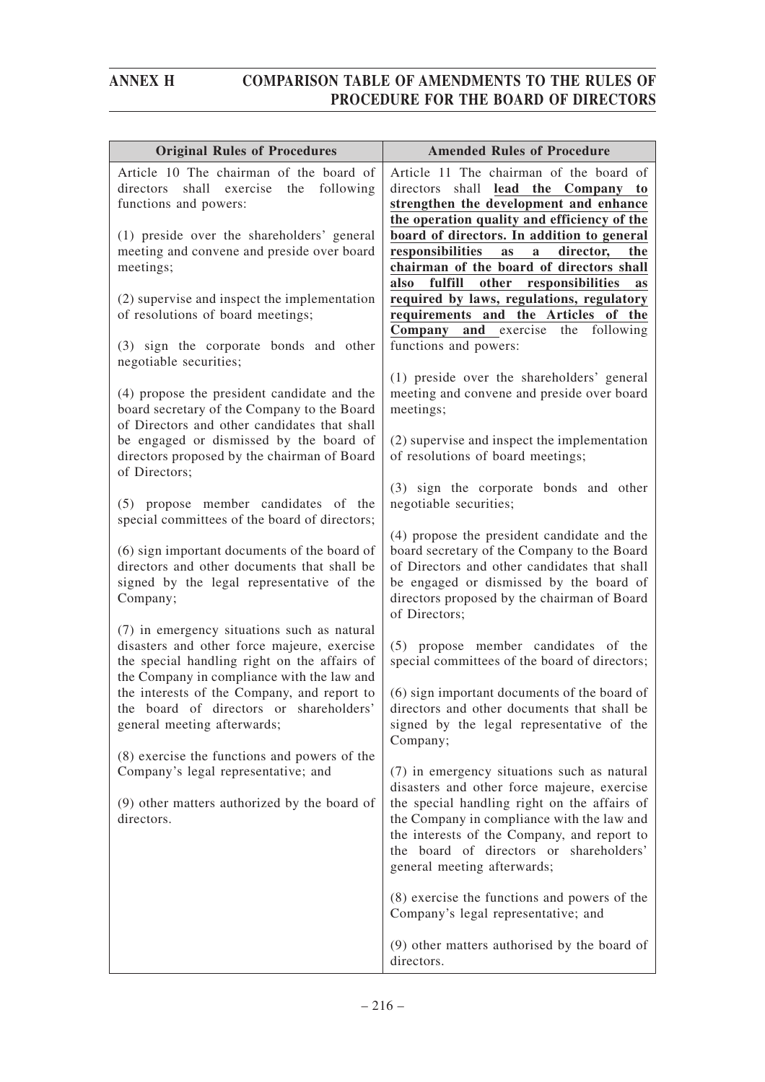| <b>Original Rules of Procedures</b>                                                                                                                                                      | <b>Amended Rules of Procedure</b>                                                                                                                                                                                                                                                                                 |
|------------------------------------------------------------------------------------------------------------------------------------------------------------------------------------------|-------------------------------------------------------------------------------------------------------------------------------------------------------------------------------------------------------------------------------------------------------------------------------------------------------------------|
| Article 10 The chairman of the board of<br>directors shall exercise the following<br>functions and powers:                                                                               | Article 11 The chairman of the board of<br>directors shall lead the Company to<br>strengthen the development and enhance<br>the operation quality and efficiency of the                                                                                                                                           |
| (1) preside over the shareholders' general<br>meeting and convene and preside over board<br>meetings;                                                                                    | board of directors. In addition to general<br>responsibilities<br>director,<br><b>as</b><br>a<br>the<br>chairman of the board of directors shall<br>fulfill<br>other responsibilities<br>also<br>as                                                                                                               |
| (2) supervise and inspect the implementation<br>of resolutions of board meetings;                                                                                                        | required by laws, regulations, regulatory<br>requirements and the Articles of the<br><b>Company</b> and exercise<br>the following                                                                                                                                                                                 |
| (3) sign the corporate bonds and other<br>negotiable securities;                                                                                                                         | functions and powers:                                                                                                                                                                                                                                                                                             |
| (4) propose the president candidate and the<br>board secretary of the Company to the Board<br>of Directors and other candidates that shall                                               | (1) preside over the shareholders' general<br>meeting and convene and preside over board<br>meetings;                                                                                                                                                                                                             |
| be engaged or dismissed by the board of<br>directors proposed by the chairman of Board<br>of Directors;                                                                                  | (2) supervise and inspect the implementation<br>of resolutions of board meetings;                                                                                                                                                                                                                                 |
| (5) propose member candidates of the<br>special committees of the board of directors;                                                                                                    | (3) sign the corporate bonds and other<br>negotiable securities;                                                                                                                                                                                                                                                  |
| (6) sign important documents of the board of<br>directors and other documents that shall be<br>signed by the legal representative of the<br>Company;                                     | (4) propose the president candidate and the<br>board secretary of the Company to the Board<br>of Directors and other candidates that shall<br>be engaged or dismissed by the board of<br>directors proposed by the chairman of Board<br>of Directors;                                                             |
| (7) in emergency situations such as natural<br>disasters and other force majeure, exercise<br>the special handling right on the affairs of<br>the Company in compliance with the law and | (5) propose member candidates of the<br>special committees of the board of directors;                                                                                                                                                                                                                             |
| the interests of the Company, and report to<br>the board of directors or shareholders'<br>general meeting afterwards;                                                                    | (6) sign important documents of the board of<br>directors and other documents that shall be<br>signed by the legal representative of the<br>Company;                                                                                                                                                              |
| (8) exercise the functions and powers of the<br>Company's legal representative; and<br>(9) other matters authorized by the board of<br>directors.                                        | (7) in emergency situations such as natural<br>disasters and other force majeure, exercise<br>the special handling right on the affairs of<br>the Company in compliance with the law and<br>the interests of the Company, and report to<br>the board of directors or shareholders'<br>general meeting afterwards; |
|                                                                                                                                                                                          | (8) exercise the functions and powers of the<br>Company's legal representative; and                                                                                                                                                                                                                               |
|                                                                                                                                                                                          | (9) other matters authorised by the board of<br>directors.                                                                                                                                                                                                                                                        |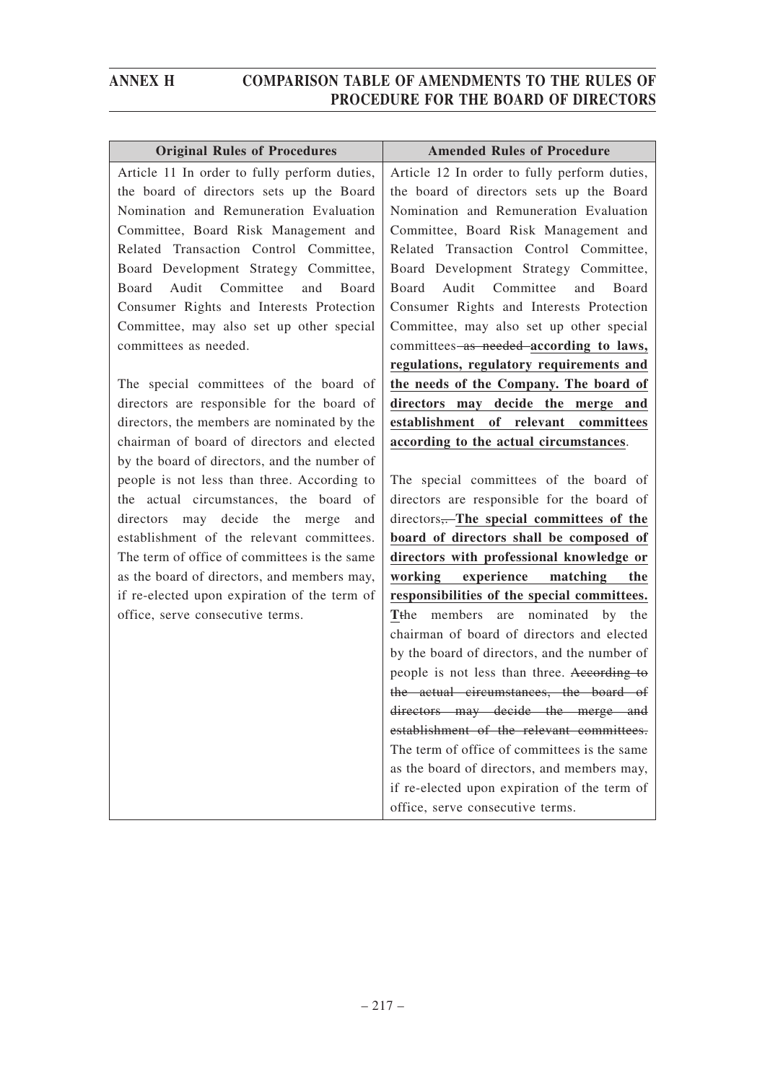| <b>Original Rules of Procedures</b>          | <b>Amended Rules of Procedure</b>                      |
|----------------------------------------------|--------------------------------------------------------|
| Article 11 In order to fully perform duties, | Article 12 In order to fully perform duties,           |
| the board of directors sets up the Board     | the board of directors sets up the Board               |
| Nomination and Remuneration Evaluation       | Nomination and Remuneration Evaluation                 |
| Committee, Board Risk Management and         | Committee, Board Risk Management and                   |
| Related Transaction Control Committee,       | Related Transaction Control Committee,                 |
| Board Development Strategy Committee,        | Board Development Strategy Committee,                  |
| Audit<br>Committee<br>Board<br>Board<br>and  | Audit Committee<br>Board<br>Board<br>and               |
| Consumer Rights and Interests Protection     | Consumer Rights and Interests Protection               |
| Committee, may also set up other special     | Committee, may also set up other special               |
| committees as needed.                        | committees-as needed-according to laws,                |
|                                              | regulations, regulatory requirements and               |
| The special committees of the board of       | the needs of the Company. The board of                 |
| directors are responsible for the board of   | directors may decide the merge and                     |
| directors, the members are nominated by the  | establishment<br>of relevant committees                |
| chairman of board of directors and elected   | according to the actual circumstances.                 |
| by the board of directors, and the number of |                                                        |
| people is not less than three. According to  | The special committees of the board of                 |
| the actual circumstances, the board of       | directors are responsible for the board of             |
| may decide the merge<br>directors<br>and     | directors,The special committees of the                |
| establishment of the relevant committees.    | board of directors shall be composed of                |
| The term of office of committees is the same | directors with professional knowledge or               |
| as the board of directors, and members may,  | working experience<br>matching<br>the                  |
| if re-elected upon expiration of the term of | responsibilities of the special committees.            |
| office, serve consecutive terms.             | members<br>are nominated by<br>T <sub>the</sub><br>the |
|                                              | chairman of board of directors and elected             |
|                                              | by the board of directors, and the number of           |
|                                              | people is not less than three. According to            |
|                                              | the actual circumstances, the board of                 |
|                                              | directors may decide the merge and                     |
|                                              | establishment of the relevant committees.              |
|                                              | The term of office of committees is the same           |

office, serve consecutive terms.

as the board of directors, and members may, if re-elected upon expiration of the term of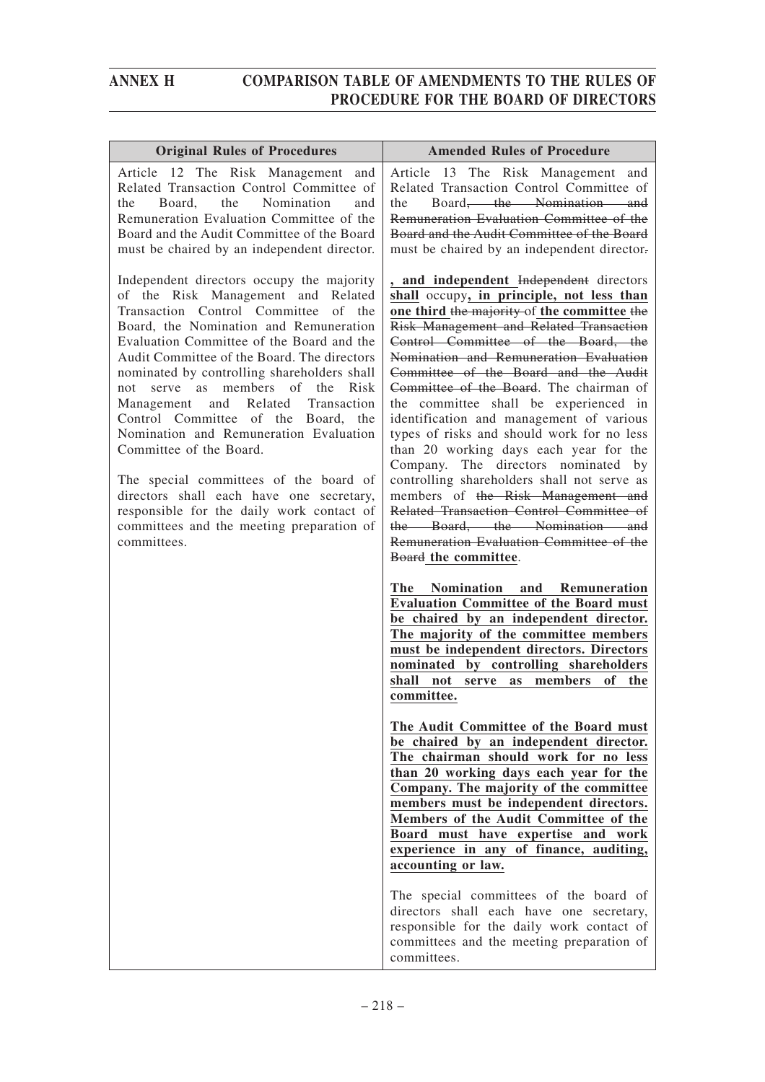| <b>Original Rules of Procedures</b>                                                                                                                                                                                                                                                                                                                                                                                                                                                                                                                                                                                                                                                                     | <b>Amended Rules of Procedure</b>                                                                                                                                                                                                                                                                                                                                                                                                                                                                                                                                                                                                                                                                                                                                                                                                                                                                                                                                                      |
|---------------------------------------------------------------------------------------------------------------------------------------------------------------------------------------------------------------------------------------------------------------------------------------------------------------------------------------------------------------------------------------------------------------------------------------------------------------------------------------------------------------------------------------------------------------------------------------------------------------------------------------------------------------------------------------------------------|----------------------------------------------------------------------------------------------------------------------------------------------------------------------------------------------------------------------------------------------------------------------------------------------------------------------------------------------------------------------------------------------------------------------------------------------------------------------------------------------------------------------------------------------------------------------------------------------------------------------------------------------------------------------------------------------------------------------------------------------------------------------------------------------------------------------------------------------------------------------------------------------------------------------------------------------------------------------------------------|
| Article 12 The Risk Management and<br>Related Transaction Control Committee of<br>Nomination<br>Board,<br>the<br>the<br>and<br>Remuneration Evaluation Committee of the<br>Board and the Audit Committee of the Board<br>must be chaired by an independent director.                                                                                                                                                                                                                                                                                                                                                                                                                                    | Article 13 The Risk Management and<br>Related Transaction Control Committee of<br>Board <del>, the Nomination and</del><br>the<br>Remuneration Evaluation Committee of the<br>Board and the Audit Committee of the Board<br>must be chaired by an independent director.                                                                                                                                                                                                                                                                                                                                                                                                                                                                                                                                                                                                                                                                                                                |
| Independent directors occupy the majority<br>of the Risk Management and Related<br>Transaction Control Committee of the<br>Board, the Nomination and Remuneration<br>Evaluation Committee of the Board and the<br>Audit Committee of the Board. The directors<br>nominated by controlling shareholders shall<br>serve as members of<br>the Risk<br>not<br>Management and Related Transaction<br>Control Committee of the Board, the<br>Nomination and Remuneration Evaluation<br>Committee of the Board.<br>The special committees of the board of<br>directors shall each have one secretary,<br>responsible for the daily work contact of<br>committees and the meeting preparation of<br>committees. | , and independent Independent directors<br>shall occupy, in principle, not less than<br>one third the majority of the committee the<br>Risk Management and Related Transaction<br>Control Committee of the Board, the<br>Nomination and Remuneration Evaluation<br>Committee of the Board and the Audit<br>Committee of the Board. The chairman of<br>the committee shall be experienced in<br>identification and management of various<br>types of risks and should work for no less<br>than 20 working days each year for the<br>Company. The directors nominated by<br>controlling shareholders shall not serve as<br>members of the Risk Management and<br>Related Transaction Control Committee of<br>the Board, the Nomination and<br>Remuneration Evaluation Committee of the<br>Board the committee.<br>Nomination and Remuneration<br>The<br><b>Evaluation Committee of the Board must</b><br>be chaired by an independent director.<br>The majority of the committee members |
|                                                                                                                                                                                                                                                                                                                                                                                                                                                                                                                                                                                                                                                                                                         | must be independent directors. Directors<br>nominated by controlling shareholders<br>as members<br>shall not serve<br>of<br>the<br>committee.                                                                                                                                                                                                                                                                                                                                                                                                                                                                                                                                                                                                                                                                                                                                                                                                                                          |
|                                                                                                                                                                                                                                                                                                                                                                                                                                                                                                                                                                                                                                                                                                         | The Audit Committee of the Board must<br>be chaired by an independent director.<br>The chairman should work for no less<br>than 20 working days each year for the<br>Company. The majority of the committee<br>members must be independent directors.<br>Members of the Audit Committee of the<br>Board must have expertise and work<br>experience in any of finance, auditing,<br>accounting or law.                                                                                                                                                                                                                                                                                                                                                                                                                                                                                                                                                                                  |
|                                                                                                                                                                                                                                                                                                                                                                                                                                                                                                                                                                                                                                                                                                         | The special committees of the board of<br>directors shall each have one secretary,<br>responsible for the daily work contact of<br>committees and the meeting preparation of<br>committees.                                                                                                                                                                                                                                                                                                                                                                                                                                                                                                                                                                                                                                                                                                                                                                                            |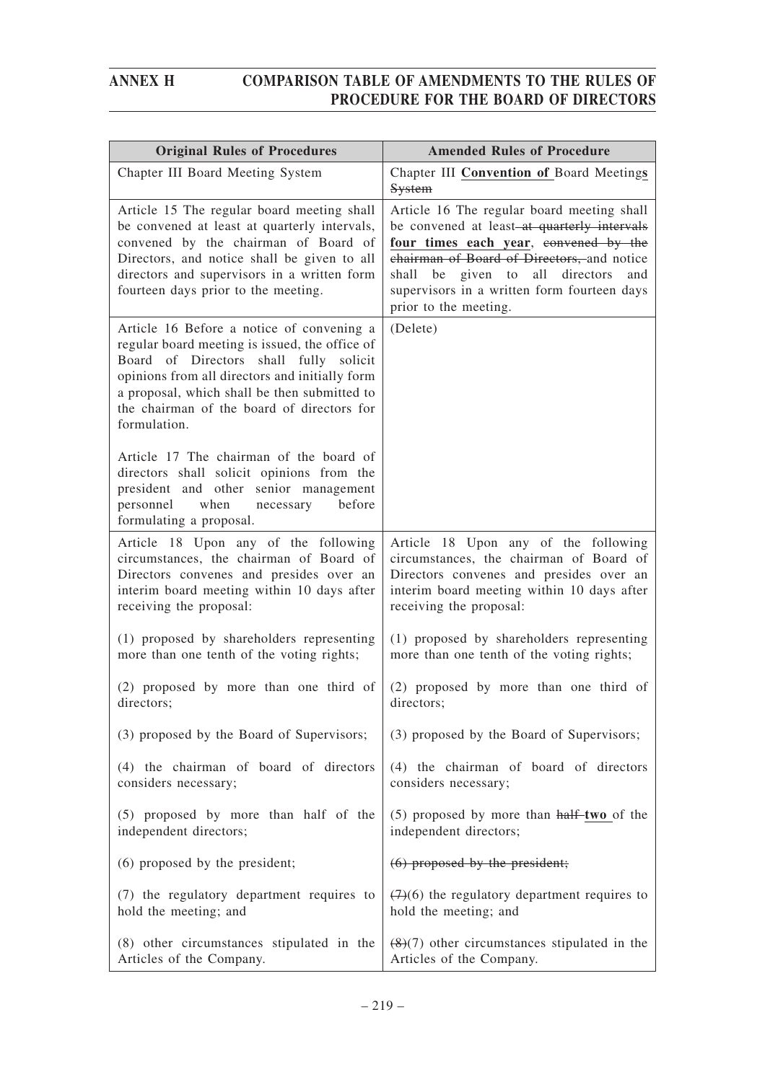| <b>Original Rules of Procedures</b>                                                                                                                                                                                                                                                                   | <b>Amended Rules of Procedure</b>                                                                                                                                                                                                                                                                     |
|-------------------------------------------------------------------------------------------------------------------------------------------------------------------------------------------------------------------------------------------------------------------------------------------------------|-------------------------------------------------------------------------------------------------------------------------------------------------------------------------------------------------------------------------------------------------------------------------------------------------------|
| Chapter III Board Meeting System                                                                                                                                                                                                                                                                      | Chapter III Convention of Board Meetings<br>System                                                                                                                                                                                                                                                    |
| Article 15 The regular board meeting shall<br>be convened at least at quarterly intervals,<br>convened by the chairman of Board of<br>Directors, and notice shall be given to all<br>directors and supervisors in a written form<br>fourteen days prior to the meeting.                               | Article 16 The regular board meeting shall<br>be convened at least-at quarterly intervals<br>four times each year, convened by the<br>chairman of Board of Directors, and notice<br>shall be given to<br>all directors<br>and<br>supervisors in a written form fourteen days<br>prior to the meeting. |
| Article 16 Before a notice of convening a<br>regular board meeting is issued, the office of<br>Board of Directors shall fully solicit<br>opinions from all directors and initially form<br>a proposal, which shall be then submitted to<br>the chairman of the board of directors for<br>formulation. | (Delete)                                                                                                                                                                                                                                                                                              |
| Article 17 The chairman of the board of<br>directors shall solicit opinions from the<br>president and other senior management<br>personnel<br>when<br>necessary<br>before<br>formulating a proposal.                                                                                                  |                                                                                                                                                                                                                                                                                                       |
| Article 18 Upon any of the following                                                                                                                                                                                                                                                                  | Article 18 Upon any of the following                                                                                                                                                                                                                                                                  |
| circumstances, the chairman of Board of                                                                                                                                                                                                                                                               | circumstances, the chairman of Board of                                                                                                                                                                                                                                                               |
| Directors convenes and presides over an                                                                                                                                                                                                                                                               | Directors convenes and presides over an                                                                                                                                                                                                                                                               |
| interim board meeting within 10 days after                                                                                                                                                                                                                                                            | interim board meeting within 10 days after                                                                                                                                                                                                                                                            |
| receiving the proposal:                                                                                                                                                                                                                                                                               | receiving the proposal:                                                                                                                                                                                                                                                                               |
| (1) proposed by shareholders representing                                                                                                                                                                                                                                                             | (1) proposed by shareholders representing                                                                                                                                                                                                                                                             |
| more than one tenth of the voting rights;                                                                                                                                                                                                                                                             | more than one tenth of the voting rights;                                                                                                                                                                                                                                                             |
| (2) proposed by more than one third of                                                                                                                                                                                                                                                                | (2) proposed by more than one third of                                                                                                                                                                                                                                                                |
| directors;                                                                                                                                                                                                                                                                                            | directors;                                                                                                                                                                                                                                                                                            |
| (3) proposed by the Board of Supervisors;                                                                                                                                                                                                                                                             | (3) proposed by the Board of Supervisors;                                                                                                                                                                                                                                                             |
| (4) the chairman of board of directors                                                                                                                                                                                                                                                                | (4) the chairman of board of directors                                                                                                                                                                                                                                                                |
| considers necessary;                                                                                                                                                                                                                                                                                  | considers necessary;                                                                                                                                                                                                                                                                                  |
| (5) proposed by more than half of the                                                                                                                                                                                                                                                                 | $(5)$ proposed by more than $\text{half-two of the}$                                                                                                                                                                                                                                                  |
| independent directors;                                                                                                                                                                                                                                                                                | independent directors;                                                                                                                                                                                                                                                                                |
| (6) proposed by the president;                                                                                                                                                                                                                                                                        | $(6)$ proposed by the president;                                                                                                                                                                                                                                                                      |
| (7) the regulatory department requires to                                                                                                                                                                                                                                                             | $(7)(6)$ the regulatory department requires to                                                                                                                                                                                                                                                        |
| hold the meeting; and                                                                                                                                                                                                                                                                                 | hold the meeting; and                                                                                                                                                                                                                                                                                 |
| (8) other circumstances stipulated in the                                                                                                                                                                                                                                                             | $(8)(7)$ other circumstances stipulated in the                                                                                                                                                                                                                                                        |
| Articles of the Company.                                                                                                                                                                                                                                                                              | Articles of the Company.                                                                                                                                                                                                                                                                              |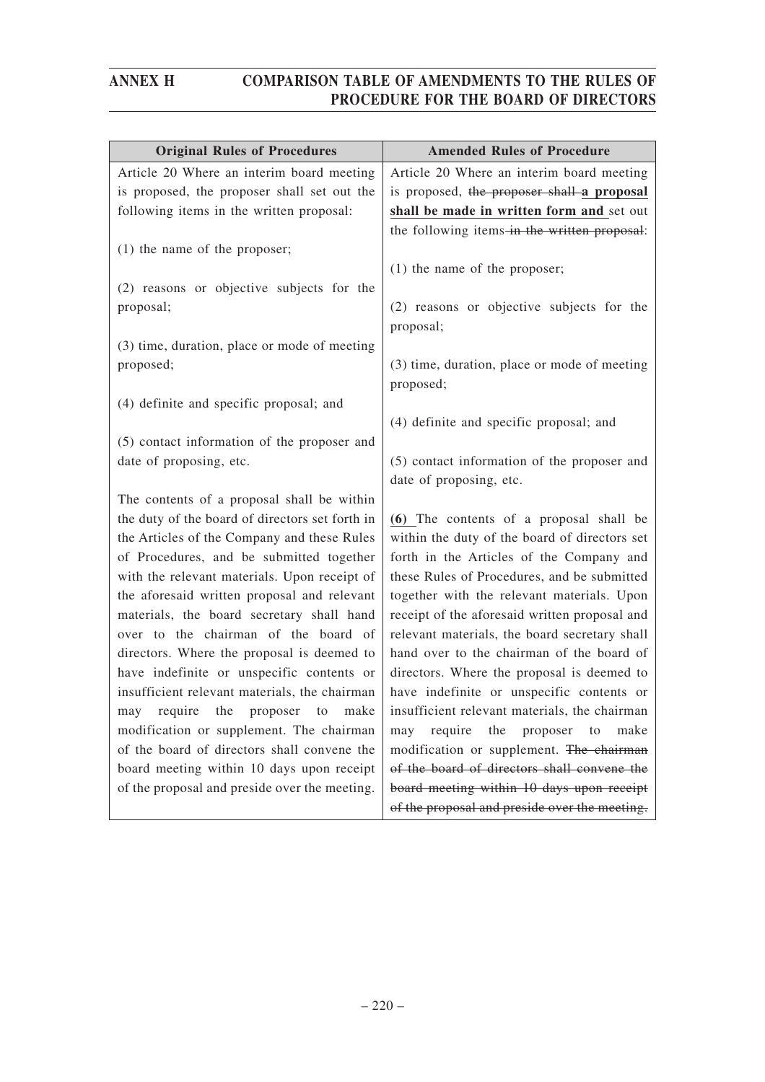| <b>Original Rules of Procedures</b>             | <b>Amended Rules of Procedure</b>                         |
|-------------------------------------------------|-----------------------------------------------------------|
| Article 20 Where an interim board meeting       | Article 20 Where an interim board meeting                 |
| is proposed, the proposer shall set out the     | is proposed, the proposer shall a proposal                |
| following items in the written proposal:        | shall be made in written form and set out                 |
|                                                 | the following items-in the written proposal:              |
| $(1)$ the name of the proposer;                 |                                                           |
|                                                 | $(1)$ the name of the proposer;                           |
| (2) reasons or objective subjects for the       |                                                           |
| proposal;                                       | (2) reasons or objective subjects for the<br>proposal;    |
| (3) time, duration, place or mode of meeting    |                                                           |
| proposed;                                       | (3) time, duration, place or mode of meeting<br>proposed; |
| (4) definite and specific proposal; and         |                                                           |
|                                                 | (4) definite and specific proposal; and                   |
| (5) contact information of the proposer and     |                                                           |
| date of proposing, etc.                         | (5) contact information of the proposer and               |
|                                                 | date of proposing, etc.                                   |
| The contents of a proposal shall be within      |                                                           |
| the duty of the board of directors set forth in | (6) The contents of a proposal shall be                   |
| the Articles of the Company and these Rules     | within the duty of the board of directors set             |
| of Procedures, and be submitted together        | forth in the Articles of the Company and                  |
| with the relevant materials. Upon receipt of    | these Rules of Procedures, and be submitted               |
| the aforesaid written proposal and relevant     | together with the relevant materials. Upon                |
| materials, the board secretary shall hand       | receipt of the aforesaid written proposal and             |
| over to the chairman of the board of            | relevant materials, the board secretary shall             |
| directors. Where the proposal is deemed to      | hand over to the chairman of the board of                 |
| have indefinite or unspecific contents or       | directors. Where the proposal is deemed to                |
| insufficient relevant materials, the chairman   | have indefinite or unspecific contents or                 |
| may require the proposer to make                | insufficient relevant materials, the chairman             |
| modification or supplement. The chairman        | may require the proposer to<br>make                       |
| of the board of directors shall convene the     | modification or supplement. The chairman                  |
| board meeting within 10 days upon receipt       | of the board of directors shall convene the               |
| of the proposal and preside over the meeting.   | board meeting within 10 days upon receipt                 |
|                                                 | of the proposal and preside over the meeting.             |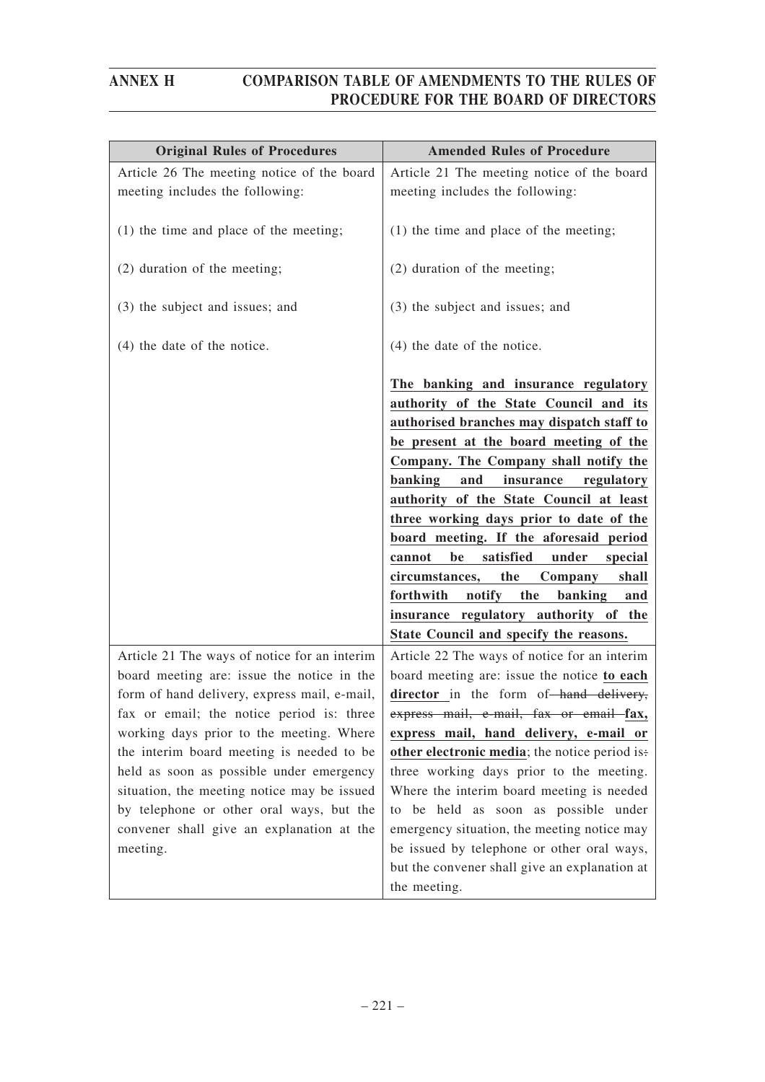| <b>Original Rules of Procedures</b>                                                        | <b>Amended Rules of Procedure</b>                                                                                                                                                                                                                                                                                                                                                                                                                                                                                                                                                                                            |
|--------------------------------------------------------------------------------------------|------------------------------------------------------------------------------------------------------------------------------------------------------------------------------------------------------------------------------------------------------------------------------------------------------------------------------------------------------------------------------------------------------------------------------------------------------------------------------------------------------------------------------------------------------------------------------------------------------------------------------|
| Article 26 The meeting notice of the board<br>meeting includes the following:              | Article 21 The meeting notice of the board<br>meeting includes the following:                                                                                                                                                                                                                                                                                                                                                                                                                                                                                                                                                |
| $(1)$ the time and place of the meeting;                                                   | $(1)$ the time and place of the meeting;                                                                                                                                                                                                                                                                                                                                                                                                                                                                                                                                                                                     |
| (2) duration of the meeting;                                                               | (2) duration of the meeting;                                                                                                                                                                                                                                                                                                                                                                                                                                                                                                                                                                                                 |
| (3) the subject and issues; and                                                            | (3) the subject and issues; and                                                                                                                                                                                                                                                                                                                                                                                                                                                                                                                                                                                              |
| $(4)$ the date of the notice.                                                              | $(4)$ the date of the notice.                                                                                                                                                                                                                                                                                                                                                                                                                                                                                                                                                                                                |
|                                                                                            | The banking and insurance regulatory<br>authority of the State Council and its<br>authorised branches may dispatch staff to<br>be present at the board meeting of the<br>Company. The Company shall notify the<br>banking<br>and<br>insurance<br>regulatory<br>authority of the State Council at least<br>three working days prior to date of the<br>board meeting. If the aforesaid period<br>satisfied<br>be<br>under<br>cannot<br>special<br>circumstances,<br>the<br>Company<br>shall<br>forthwith<br>notify<br>the<br>banking<br>and<br>insurance regulatory authority of the<br>State Council and specify the reasons. |
| Article 21 The ways of notice for an interim                                               | Article 22 The ways of notice for an interim                                                                                                                                                                                                                                                                                                                                                                                                                                                                                                                                                                                 |
| board meeting are: issue the notice in the<br>form of hand delivery, express mail, e-mail, | board meeting are: issue the notice to each<br>director in the form of-hand delivery,                                                                                                                                                                                                                                                                                                                                                                                                                                                                                                                                        |
| fax or email; the notice period is: three                                                  | express mail, e-mail, fax or email fax,                                                                                                                                                                                                                                                                                                                                                                                                                                                                                                                                                                                      |
| working days prior to the meeting. Where                                                   | express mail, hand delivery, e-mail or                                                                                                                                                                                                                                                                                                                                                                                                                                                                                                                                                                                       |
| the interim board meeting is needed to be                                                  | other electronic media; the notice period is:                                                                                                                                                                                                                                                                                                                                                                                                                                                                                                                                                                                |
| held as soon as possible under emergency                                                   | three working days prior to the meeting.                                                                                                                                                                                                                                                                                                                                                                                                                                                                                                                                                                                     |
| situation, the meeting notice may be issued                                                | Where the interim board meeting is needed                                                                                                                                                                                                                                                                                                                                                                                                                                                                                                                                                                                    |
| by telephone or other oral ways, but the                                                   | to be held as soon as possible under                                                                                                                                                                                                                                                                                                                                                                                                                                                                                                                                                                                         |
| convener shall give an explanation at the                                                  | emergency situation, the meeting notice may                                                                                                                                                                                                                                                                                                                                                                                                                                                                                                                                                                                  |
| meeting.                                                                                   | be issued by telephone or other oral ways,                                                                                                                                                                                                                                                                                                                                                                                                                                                                                                                                                                                   |
|                                                                                            | but the convener shall give an explanation at                                                                                                                                                                                                                                                                                                                                                                                                                                                                                                                                                                                |
|                                                                                            | the meeting.                                                                                                                                                                                                                                                                                                                                                                                                                                                                                                                                                                                                                 |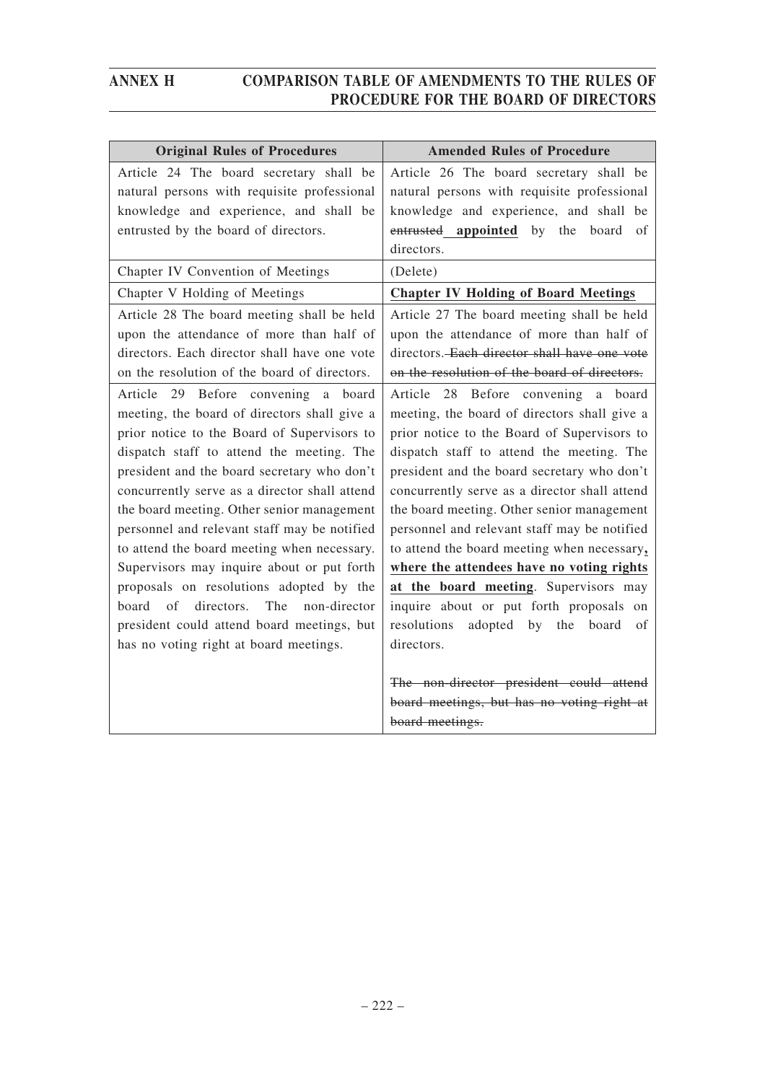| <b>Original Rules of Procedures</b>           | <b>Amended Rules of Procedure</b>             |
|-----------------------------------------------|-----------------------------------------------|
| Article 24 The board secretary shall be       | Article 26 The board secretary shall be       |
| natural persons with requisite professional   | natural persons with requisite professional   |
| knowledge and experience, and shall be        | knowledge and experience, and shall be        |
| entrusted by the board of directors.          | entrusted appointed by the board<br>of        |
|                                               | directors.                                    |
| Chapter IV Convention of Meetings             | (Delete)                                      |
| Chapter V Holding of Meetings                 | <b>Chapter IV Holding of Board Meetings</b>   |
| Article 28 The board meeting shall be held    | Article 27 The board meeting shall be held    |
| upon the attendance of more than half of      | upon the attendance of more than half of      |
| directors. Each director shall have one vote  | directors. Each director shall have one vote  |
| on the resolution of the board of directors.  | on the resolution of the board of directors.  |
| Article 29 Before convening a board           | Article 28 Before convening a board           |
| meeting, the board of directors shall give a  | meeting, the board of directors shall give a  |
| prior notice to the Board of Supervisors to   | prior notice to the Board of Supervisors to   |
| dispatch staff to attend the meeting. The     | dispatch staff to attend the meeting. The     |
| president and the board secretary who don't   | president and the board secretary who don't   |
| concurrently serve as a director shall attend | concurrently serve as a director shall attend |
| the board meeting. Other senior management    | the board meeting. Other senior management    |
| personnel and relevant staff may be notified  | personnel and relevant staff may be notified  |
| to attend the board meeting when necessary.   | to attend the board meeting when necessary,   |
| Supervisors may inquire about or put forth    | where the attendees have no voting rights     |
| proposals on resolutions adopted by the       | at the board meeting. Supervisors may         |
| board of directors. The non-director          | inquire about or put forth proposals on       |
| president could attend board meetings, but    | adopted by the board<br>resolutions<br>of     |
| has no voting right at board meetings.        | directors.                                    |
|                                               |                                               |
|                                               | The non-director president could attend       |
|                                               | board meetings, but has no voting right at    |
|                                               | board meetings.                               |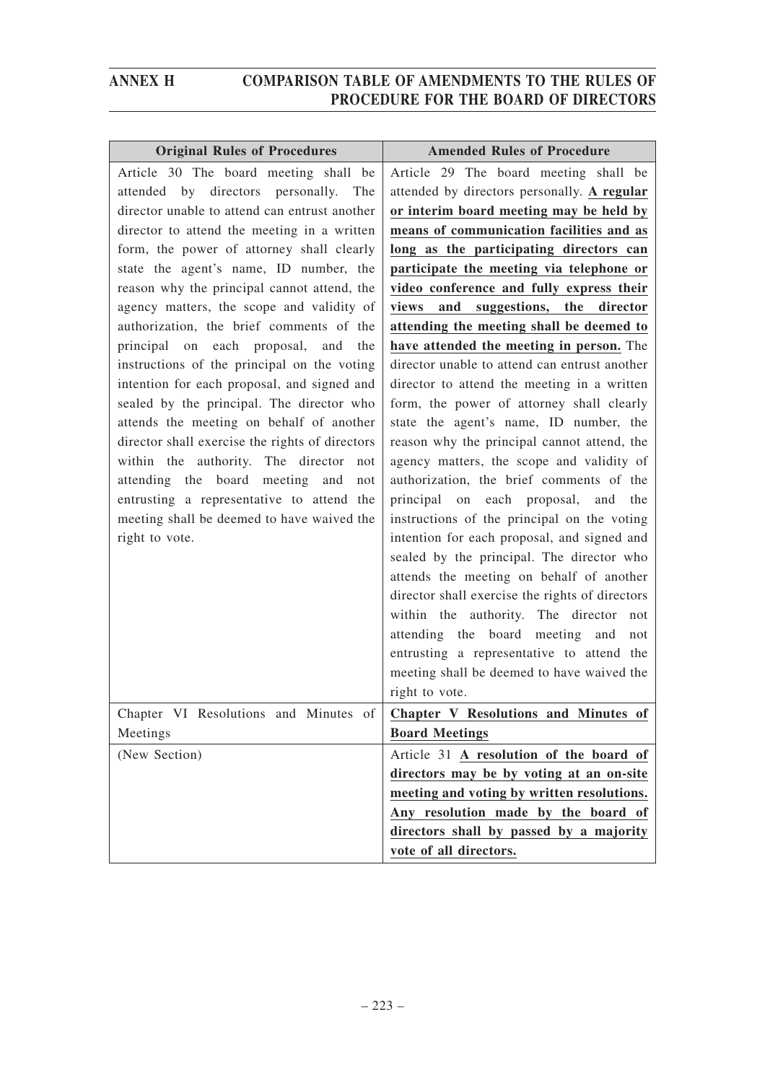| <b>Original Rules of Procedures</b>             | <b>Amended Rules of Procedure</b>               |
|-------------------------------------------------|-------------------------------------------------|
| Article 30 The board meeting shall be           | Article 29 The board meeting shall be           |
| attended by directors personally. The           | attended by directors personally. A regular     |
| director unable to attend can entrust another   | or interim board meeting may be held by         |
| director to attend the meeting in a written     | means of communication facilities and as        |
| form, the power of attorney shall clearly       | long as the participating directors can         |
| state the agent's name, ID number, the          | participate the meeting via telephone or        |
| reason why the principal cannot attend, the     | video conference and fully express their        |
| agency matters, the scope and validity of       | suggestions,<br>the<br>views<br>and<br>director |
| authorization, the brief comments of the        | attending the meeting shall be deemed to        |
| principal on each proposal, and<br>the          | have attended the meeting in person. The        |
| instructions of the principal on the voting     | director unable to attend can entrust another   |
| intention for each proposal, and signed and     | director to attend the meeting in a written     |
| sealed by the principal. The director who       | form, the power of attorney shall clearly       |
| attends the meeting on behalf of another        | state the agent's name, ID number, the          |
| director shall exercise the rights of directors | reason why the principal cannot attend, the     |
| within the authority. The director not          | agency matters, the scope and validity of       |
| attending the board meeting and<br>not          | authorization, the brief comments of the        |
| entrusting a representative to attend the       | principal on each proposal, and the             |
| meeting shall be deemed to have waived the      | instructions of the principal on the voting     |
| right to vote.                                  | intention for each proposal, and signed and     |
|                                                 | sealed by the principal. The director who       |
|                                                 | attends the meeting on behalf of another        |
|                                                 | director shall exercise the rights of directors |
|                                                 | within the authority. The director not          |
|                                                 | attending the board meeting and<br>not          |
|                                                 | entrusting a representative to attend the       |
|                                                 | meeting shall be deemed to have waived the      |
|                                                 | right to vote.                                  |
| Chapter VI Resolutions and Minutes of           | Chapter V Resolutions and Minutes of            |
| Meetings                                        | <b>Board Meetings</b>                           |
| (New Section)                                   | Article 31 A resolution of the board of         |
|                                                 | directors may be by voting at an on-site        |
|                                                 | meeting and voting by written resolutions.      |
|                                                 | Any resolution made by the board of             |
|                                                 | directors shall by passed by a majority         |
|                                                 | vote of all directors.                          |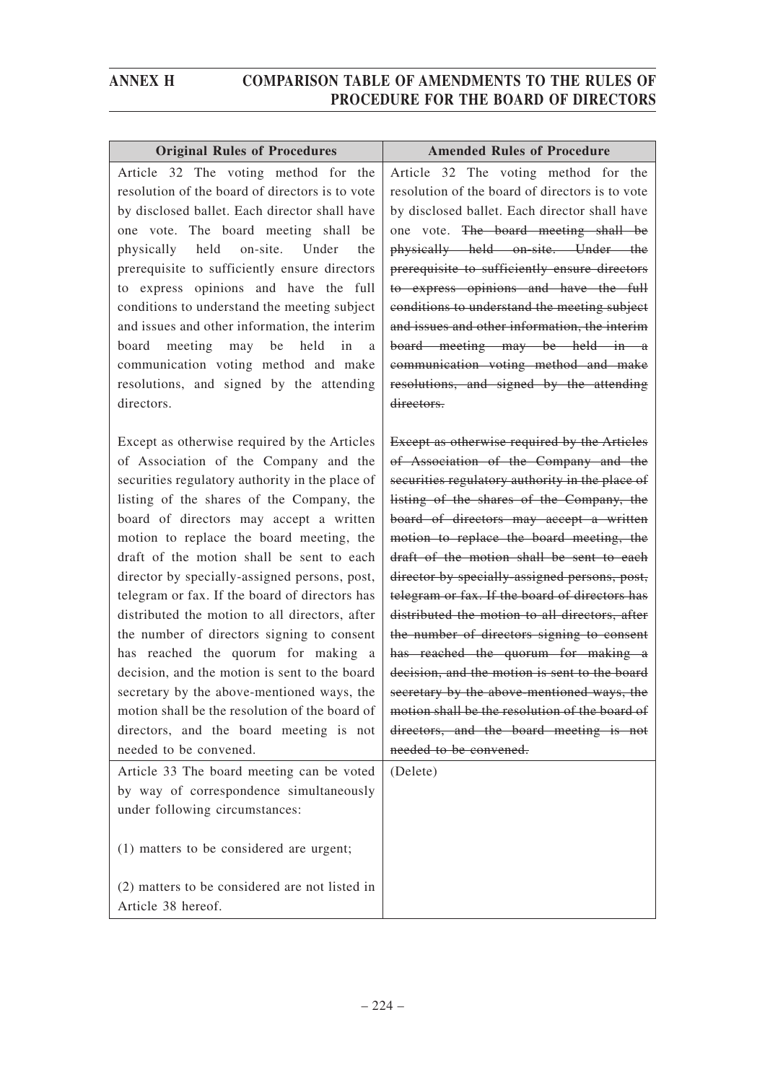| <b>Original Rules of Procedures</b>                                                                                                                                                                                                                                                                                                                                                                                                                                                                                                                                                                                                                                                                                                                                                       | <b>Amended Rules of Procedure</b>                                                                                                                                                                                                                                                                                                                                                                                                                                                                                                                                                                                                                                                                                                                                                         |
|-------------------------------------------------------------------------------------------------------------------------------------------------------------------------------------------------------------------------------------------------------------------------------------------------------------------------------------------------------------------------------------------------------------------------------------------------------------------------------------------------------------------------------------------------------------------------------------------------------------------------------------------------------------------------------------------------------------------------------------------------------------------------------------------|-------------------------------------------------------------------------------------------------------------------------------------------------------------------------------------------------------------------------------------------------------------------------------------------------------------------------------------------------------------------------------------------------------------------------------------------------------------------------------------------------------------------------------------------------------------------------------------------------------------------------------------------------------------------------------------------------------------------------------------------------------------------------------------------|
| Article 32 The voting method for the<br>resolution of the board of directors is to vote<br>by disclosed ballet. Each director shall have<br>one vote. The board meeting shall be<br>held<br>on-site. Under<br>physically<br>the<br>prerequisite to sufficiently ensure directors<br>to express opinions and have the full<br>conditions to understand the meeting subject<br>and issues and other information, the interim<br>board meeting may be<br>held in<br>a<br>communication voting method and make<br>resolutions, and signed by the attending<br>directors.                                                                                                                                                                                                                      | Article 32 The voting method for the<br>resolution of the board of directors is to vote<br>by disclosed ballet. Each director shall have<br>one vote. The board meeting shall be<br>physically held on-site. Under the<br>prerequisite to sufficiently ensure directors<br>to express opinions and have the full<br>conditions to understand the meeting subject<br>and issues and other information, the interim<br>board meeting may be held in a<br>communication voting method and make<br>resolutions, and signed by the attending<br>directors.                                                                                                                                                                                                                                     |
| Except as otherwise required by the Articles<br>of Association of the Company and the<br>securities regulatory authority in the place of<br>listing of the shares of the Company, the<br>board of directors may accept a written<br>motion to replace the board meeting, the<br>draft of the motion shall be sent to each<br>director by specially-assigned persons, post,<br>telegram or fax. If the board of directors has<br>distributed the motion to all directors, after<br>the number of directors signing to consent<br>has reached the quorum for making a<br>decision, and the motion is sent to the board<br>secretary by the above-mentioned ways, the<br>motion shall be the resolution of the board of<br>directors, and the board meeting is not<br>needed to be convened. | Except as otherwise required by the Articles<br>of Association of the Company and the<br>securities regulatory authority in the place of<br>listing of the shares of the Company, the<br>board of directors may accept a written<br>motion to replace the board meeting, the<br>draft of the motion shall be sent to each<br>director by specially-assigned persons, post,<br>telegram or fax. If the board of directors has<br>distributed the motion to all directors, after<br>the number of directors signing to consent<br>has reached the quorum for making a<br>decision, and the motion is sent to the board<br>secretary by the above-mentioned ways, the<br>motion shall be the resolution of the board of<br>directors, and the board meeting is not<br>needed to be convened. |
| Article 33 The board meeting can be voted<br>by way of correspondence simultaneously<br>under following circumstances:<br>(1) matters to be considered are urgent;                                                                                                                                                                                                                                                                                                                                                                                                                                                                                                                                                                                                                        | (Delete)                                                                                                                                                                                                                                                                                                                                                                                                                                                                                                                                                                                                                                                                                                                                                                                  |
| (2) matters to be considered are not listed in<br>Article 38 hereof.                                                                                                                                                                                                                                                                                                                                                                                                                                                                                                                                                                                                                                                                                                                      |                                                                                                                                                                                                                                                                                                                                                                                                                                                                                                                                                                                                                                                                                                                                                                                           |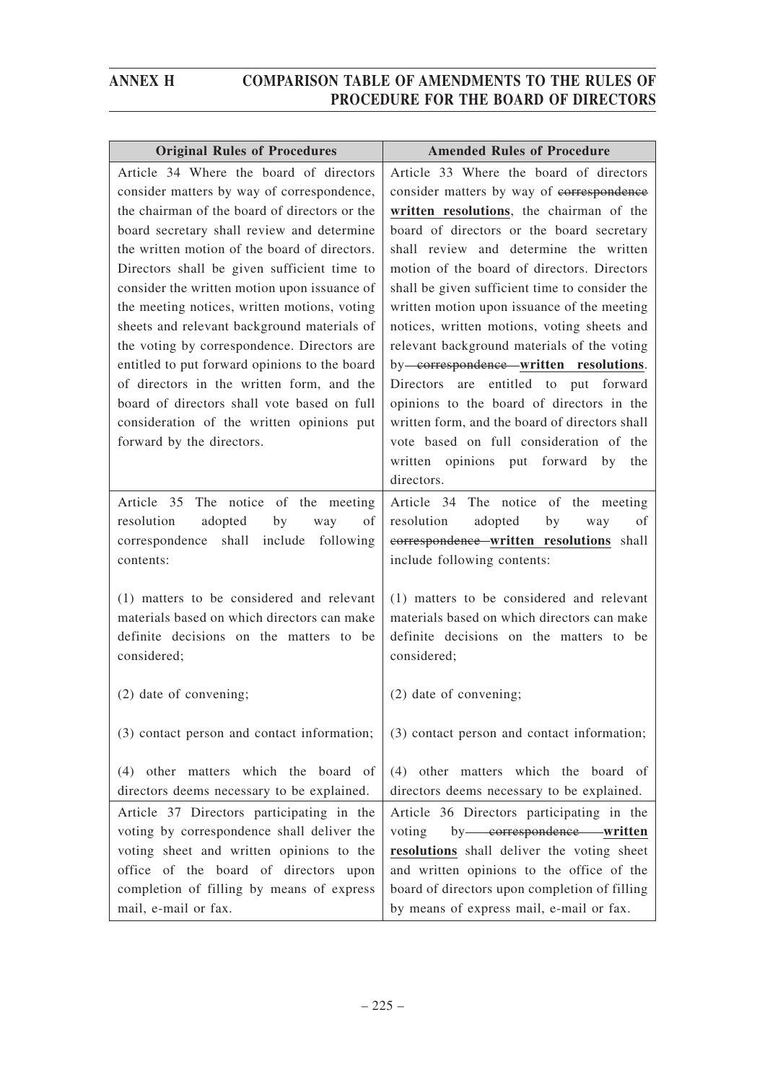| <b>Original Rules of Procedures</b>                                                                                                                                                                                                                                                                                                                                                                                                                                                                                                                                                                                                                                                                       | <b>Amended Rules of Procedure</b>                                                                                                                                                                                                                                                                                                                                                                                                                                                                                                                                                                                                                                                                                  |
|-----------------------------------------------------------------------------------------------------------------------------------------------------------------------------------------------------------------------------------------------------------------------------------------------------------------------------------------------------------------------------------------------------------------------------------------------------------------------------------------------------------------------------------------------------------------------------------------------------------------------------------------------------------------------------------------------------------|--------------------------------------------------------------------------------------------------------------------------------------------------------------------------------------------------------------------------------------------------------------------------------------------------------------------------------------------------------------------------------------------------------------------------------------------------------------------------------------------------------------------------------------------------------------------------------------------------------------------------------------------------------------------------------------------------------------------|
| Article 34 Where the board of directors<br>consider matters by way of correspondence,<br>the chairman of the board of directors or the<br>board secretary shall review and determine<br>the written motion of the board of directors.<br>Directors shall be given sufficient time to<br>consider the written motion upon issuance of<br>the meeting notices, written motions, voting<br>sheets and relevant background materials of<br>the voting by correspondence. Directors are<br>entitled to put forward opinions to the board<br>of directors in the written form, and the<br>board of directors shall vote based on full<br>consideration of the written opinions put<br>forward by the directors. | Article 33 Where the board of directors<br>consider matters by way of eorrespondence<br>written resolutions, the chairman of the<br>board of directors or the board secretary<br>shall review and determine the written<br>motion of the board of directors. Directors<br>shall be given sufficient time to consider the<br>written motion upon issuance of the meeting<br>notices, written motions, voting sheets and<br>relevant background materials of the voting<br>by <del>-correspondence</del> -written resolutions.<br>are entitled to put forward<br>Directors<br>opinions to the board of directors in the<br>written form, and the board of directors shall<br>vote based on full consideration of the |
|                                                                                                                                                                                                                                                                                                                                                                                                                                                                                                                                                                                                                                                                                                           | written opinions put forward by the<br>directors.                                                                                                                                                                                                                                                                                                                                                                                                                                                                                                                                                                                                                                                                  |
| Article 35 The notice of the meeting<br>resolution<br>adopted<br>by<br>of<br>way<br>shall<br>include<br>following<br>correspondence<br>contents:                                                                                                                                                                                                                                                                                                                                                                                                                                                                                                                                                          | Article 34 The notice of the meeting<br>resolution<br>adopted<br>of<br>by<br>way<br>correspondence-written resolutions shall<br>include following contents:                                                                                                                                                                                                                                                                                                                                                                                                                                                                                                                                                        |
| (1) matters to be considered and relevant<br>materials based on which directors can make<br>definite decisions on the matters to be<br>considered;                                                                                                                                                                                                                                                                                                                                                                                                                                                                                                                                                        | (1) matters to be considered and relevant<br>materials based on which directors can make<br>definite decisions on the matters to be<br>considered;                                                                                                                                                                                                                                                                                                                                                                                                                                                                                                                                                                 |
| (2) date of convening;                                                                                                                                                                                                                                                                                                                                                                                                                                                                                                                                                                                                                                                                                    | (2) date of convening;                                                                                                                                                                                                                                                                                                                                                                                                                                                                                                                                                                                                                                                                                             |
| (3) contact person and contact information;                                                                                                                                                                                                                                                                                                                                                                                                                                                                                                                                                                                                                                                               | (3) contact person and contact information;                                                                                                                                                                                                                                                                                                                                                                                                                                                                                                                                                                                                                                                                        |
| (4) other matters which the board of<br>directors deems necessary to be explained.                                                                                                                                                                                                                                                                                                                                                                                                                                                                                                                                                                                                                        | (4) other matters which the board of<br>directors deems necessary to be explained.                                                                                                                                                                                                                                                                                                                                                                                                                                                                                                                                                                                                                                 |
| Article 37 Directors participating in the<br>voting by correspondence shall deliver the<br>voting sheet and written opinions to the<br>office of the board of directors upon<br>completion of filling by means of express<br>mail, e-mail or fax.                                                                                                                                                                                                                                                                                                                                                                                                                                                         | Article 36 Directors participating in the<br>by-correspondence-written<br>voting<br>resolutions shall deliver the voting sheet<br>and written opinions to the office of the<br>board of directors upon completion of filling<br>by means of express mail, e-mail or fax.                                                                                                                                                                                                                                                                                                                                                                                                                                           |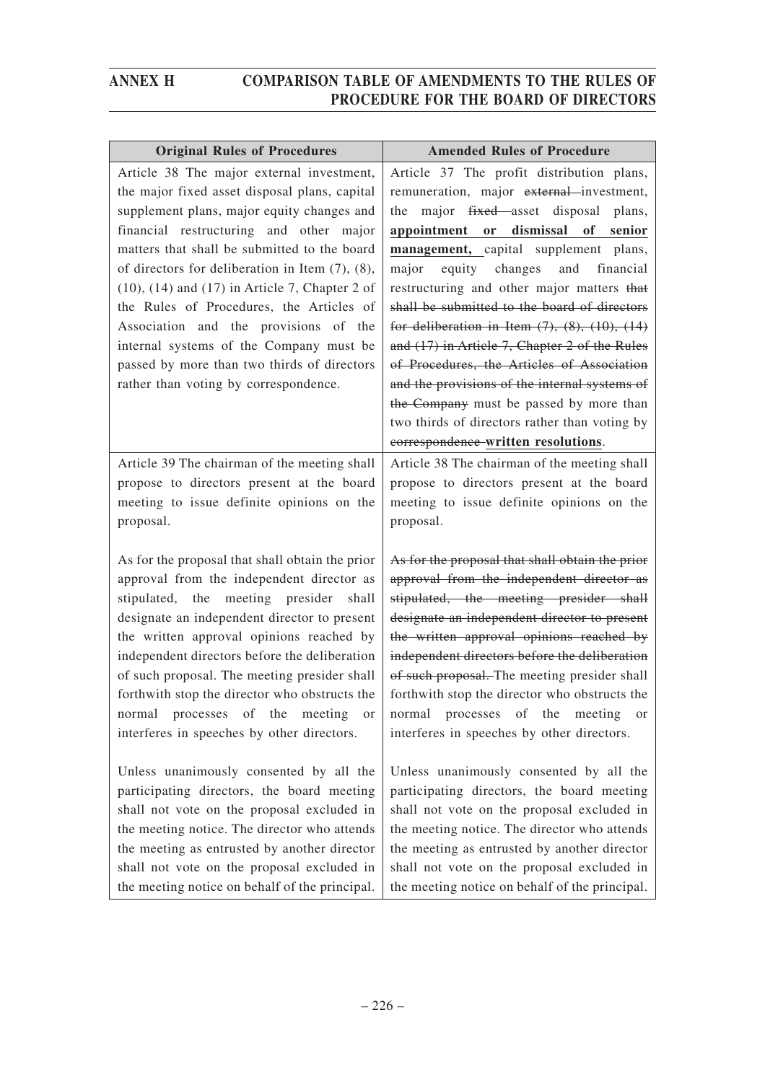| <b>Original Rules of Procedures</b>                                                                                                                                                                                                                                                                                                                                                    | <b>Amended Rules of Procedure</b>                                                                                                                                                                                                                                                                                                                                                                                                                                                                                                 |
|----------------------------------------------------------------------------------------------------------------------------------------------------------------------------------------------------------------------------------------------------------------------------------------------------------------------------------------------------------------------------------------|-----------------------------------------------------------------------------------------------------------------------------------------------------------------------------------------------------------------------------------------------------------------------------------------------------------------------------------------------------------------------------------------------------------------------------------------------------------------------------------------------------------------------------------|
| Article 38 The major external investment,<br>the major fixed asset disposal plans, capital<br>supplement plans, major equity changes and<br>financial restructuring and other major                                                                                                                                                                                                    | Article 37 The profit distribution plans,<br>remuneration, major external investment,<br>major fixed asset disposal plans,<br>the<br>appointment or dismissal of senior                                                                                                                                                                                                                                                                                                                                                           |
| matters that shall be submitted to the board<br>of directors for deliberation in Item $(7)$ , $(8)$ ,<br>$(10)$ , $(14)$ and $(17)$ in Article 7, Chapter 2 of<br>the Rules of Procedures, the Articles of<br>Association and the provisions of the<br>internal systems of the Company must be<br>passed by more than two thirds of directors<br>rather than voting by correspondence. | management, capital supplement plans,<br>equity changes<br>and<br>financial<br>major<br>restructuring and other major matters that<br>shall be submitted to the board of directors<br>for deliberation in Item $(7)$ , $(8)$ , $(10)$ , $(14)$<br>and (17) in Article 7, Chapter 2 of the Rules<br>of Procedures, the Articles of Association<br>and the provisions of the internal systems of<br>the Company must be passed by more than<br>two thirds of directors rather than voting by<br>correspondence-written resolutions. |
| Article 39 The chairman of the meeting shall                                                                                                                                                                                                                                                                                                                                           | Article 38 The chairman of the meeting shall                                                                                                                                                                                                                                                                                                                                                                                                                                                                                      |
| propose to directors present at the board                                                                                                                                                                                                                                                                                                                                              | propose to directors present at the board                                                                                                                                                                                                                                                                                                                                                                                                                                                                                         |
| meeting to issue definite opinions on the                                                                                                                                                                                                                                                                                                                                              | meeting to issue definite opinions on the                                                                                                                                                                                                                                                                                                                                                                                                                                                                                         |
| proposal.                                                                                                                                                                                                                                                                                                                                                                              | proposal.                                                                                                                                                                                                                                                                                                                                                                                                                                                                                                                         |
| As for the proposal that shall obtain the prior                                                                                                                                                                                                                                                                                                                                        | As for the proposal that shall obtain the prior                                                                                                                                                                                                                                                                                                                                                                                                                                                                                   |
| approval from the independent director as                                                                                                                                                                                                                                                                                                                                              | approval from the independent director as                                                                                                                                                                                                                                                                                                                                                                                                                                                                                         |
| stipulated, the meeting presider shall                                                                                                                                                                                                                                                                                                                                                 | stipulated, the meeting presider shall                                                                                                                                                                                                                                                                                                                                                                                                                                                                                            |
| designate an independent director to present                                                                                                                                                                                                                                                                                                                                           | designate an independent director to present                                                                                                                                                                                                                                                                                                                                                                                                                                                                                      |
| the written approval opinions reached by                                                                                                                                                                                                                                                                                                                                               | the written approval opinions reached by                                                                                                                                                                                                                                                                                                                                                                                                                                                                                          |
| independent directors before the deliberation                                                                                                                                                                                                                                                                                                                                          | independent directors before the deliberation                                                                                                                                                                                                                                                                                                                                                                                                                                                                                     |
| of such proposal. The meeting presider shall                                                                                                                                                                                                                                                                                                                                           | of such proposal. The meeting presider shall                                                                                                                                                                                                                                                                                                                                                                                                                                                                                      |
| forthwith stop the director who obstructs the                                                                                                                                                                                                                                                                                                                                          | forthwith stop the director who obstructs the                                                                                                                                                                                                                                                                                                                                                                                                                                                                                     |
| normal processes of the meeting or                                                                                                                                                                                                                                                                                                                                                     | normal processes of the meeting or                                                                                                                                                                                                                                                                                                                                                                                                                                                                                                |
| interferes in speeches by other directors.                                                                                                                                                                                                                                                                                                                                             | interferes in speeches by other directors.                                                                                                                                                                                                                                                                                                                                                                                                                                                                                        |
| Unless unanimously consented by all the                                                                                                                                                                                                                                                                                                                                                | Unless unanimously consented by all the                                                                                                                                                                                                                                                                                                                                                                                                                                                                                           |
| participating directors, the board meeting                                                                                                                                                                                                                                                                                                                                             | participating directors, the board meeting                                                                                                                                                                                                                                                                                                                                                                                                                                                                                        |
| shall not vote on the proposal excluded in                                                                                                                                                                                                                                                                                                                                             | shall not vote on the proposal excluded in                                                                                                                                                                                                                                                                                                                                                                                                                                                                                        |
| the meeting notice. The director who attends                                                                                                                                                                                                                                                                                                                                           | the meeting notice. The director who attends                                                                                                                                                                                                                                                                                                                                                                                                                                                                                      |
| the meeting as entrusted by another director                                                                                                                                                                                                                                                                                                                                           | the meeting as entrusted by another director                                                                                                                                                                                                                                                                                                                                                                                                                                                                                      |
| shall not vote on the proposal excluded in                                                                                                                                                                                                                                                                                                                                             | shall not vote on the proposal excluded in                                                                                                                                                                                                                                                                                                                                                                                                                                                                                        |
| the meeting notice on behalf of the principal.                                                                                                                                                                                                                                                                                                                                         | the meeting notice on behalf of the principal.                                                                                                                                                                                                                                                                                                                                                                                                                                                                                    |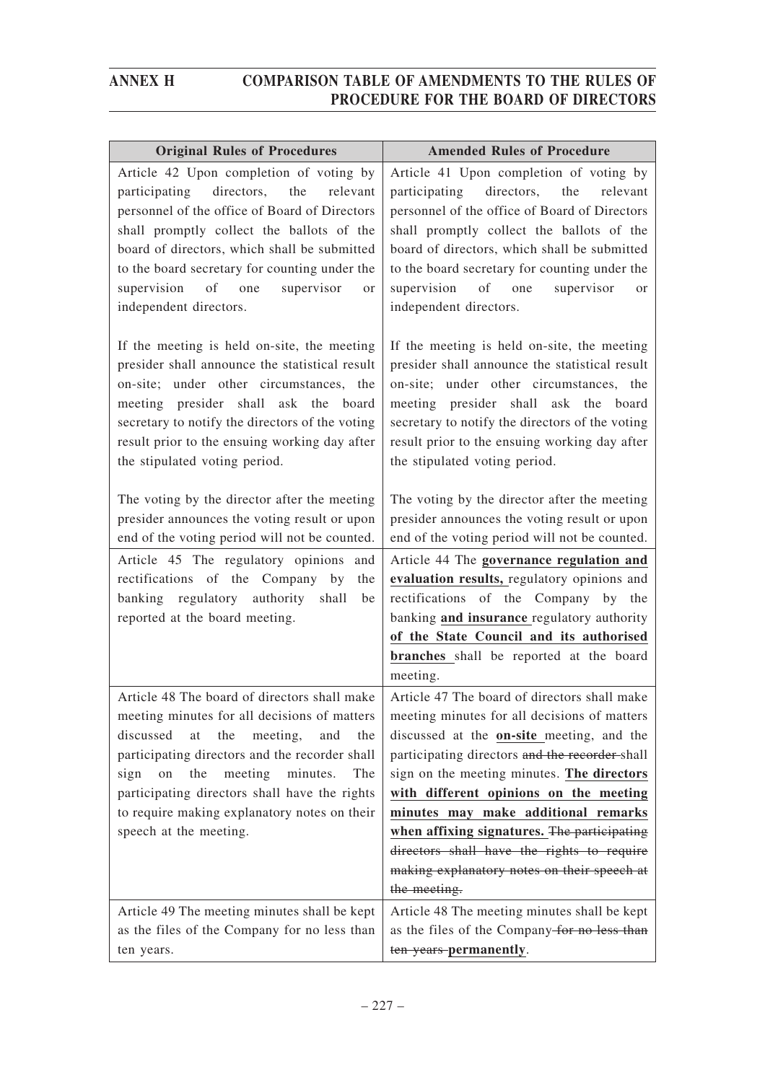| <b>Original Rules of Procedures</b>                                                                                                                                                                                                                                                                                                                                              | <b>Amended Rules of Procedure</b>                                                                                                                                                                                                                                                                                                                                                                                                                                                      |
|----------------------------------------------------------------------------------------------------------------------------------------------------------------------------------------------------------------------------------------------------------------------------------------------------------------------------------------------------------------------------------|----------------------------------------------------------------------------------------------------------------------------------------------------------------------------------------------------------------------------------------------------------------------------------------------------------------------------------------------------------------------------------------------------------------------------------------------------------------------------------------|
| Article 42 Upon completion of voting by<br>participating<br>directors,<br>the<br>relevant<br>personnel of the office of Board of Directors<br>shall promptly collect the ballots of the<br>board of directors, which shall be submitted<br>to the board secretary for counting under the<br>supervision<br>of one<br>supervisor<br>or<br>independent directors.                  | Article 41 Upon completion of voting by<br>participating<br>directors,<br>the<br>relevant<br>personnel of the office of Board of Directors<br>shall promptly collect the ballots of the<br>board of directors, which shall be submitted<br>to the board secretary for counting under the<br>supervision<br>of one<br>supervisor<br><sub>or</sub><br>independent directors.                                                                                                             |
| If the meeting is held on-site, the meeting<br>presider shall announce the statistical result<br>on-site; under other circumstances, the<br>meeting presider shall ask the board<br>secretary to notify the directors of the voting<br>result prior to the ensuing working day after<br>the stipulated voting period.                                                            | If the meeting is held on-site, the meeting<br>presider shall announce the statistical result<br>on-site; under other circumstances, the<br>meeting presider shall ask the board<br>secretary to notify the directors of the voting<br>result prior to the ensuing working day after<br>the stipulated voting period.                                                                                                                                                                  |
| The voting by the director after the meeting<br>presider announces the voting result or upon<br>end of the voting period will not be counted.<br>Article 45 The regulatory opinions and<br>rectifications of the Company by<br>the                                                                                                                                               | The voting by the director after the meeting<br>presider announces the voting result or upon<br>end of the voting period will not be counted.<br>Article 44 The governance regulation and<br>evaluation results, regulatory opinions and                                                                                                                                                                                                                                               |
| banking regulatory authority shall<br>be<br>reported at the board meeting.                                                                                                                                                                                                                                                                                                       | rectifications of the Company by the<br>banking and insurance regulatory authority<br>of the State Council and its authorised<br>branches shall be reported at the board<br>meeting.                                                                                                                                                                                                                                                                                                   |
| Article 48 The board of directors shall make<br>meeting minutes for all decisions of matters<br>discussed<br>at<br>the<br>meeting,<br>and<br>the<br>participating directors and the recorder shall<br>meeting<br>minutes.<br>sign<br>the<br>on<br>The<br>participating directors shall have the rights<br>to require making explanatory notes on their<br>speech at the meeting. | Article 47 The board of directors shall make<br>meeting minutes for all decisions of matters<br>discussed at the on-site meeting, and the<br>participating directors and the recorder shall<br>sign on the meeting minutes. The directors<br>with different opinions on the meeting<br>minutes may make additional remarks<br>when affixing signatures. The participating<br>directors shall have the rights to require<br>making explanatory notes on their speech at<br>the meeting. |
| Article 49 The meeting minutes shall be kept<br>as the files of the Company for no less than<br>ten years.                                                                                                                                                                                                                                                                       | Article 48 The meeting minutes shall be kept<br>as the files of the Company-for no less than<br>ten years-permanently.                                                                                                                                                                                                                                                                                                                                                                 |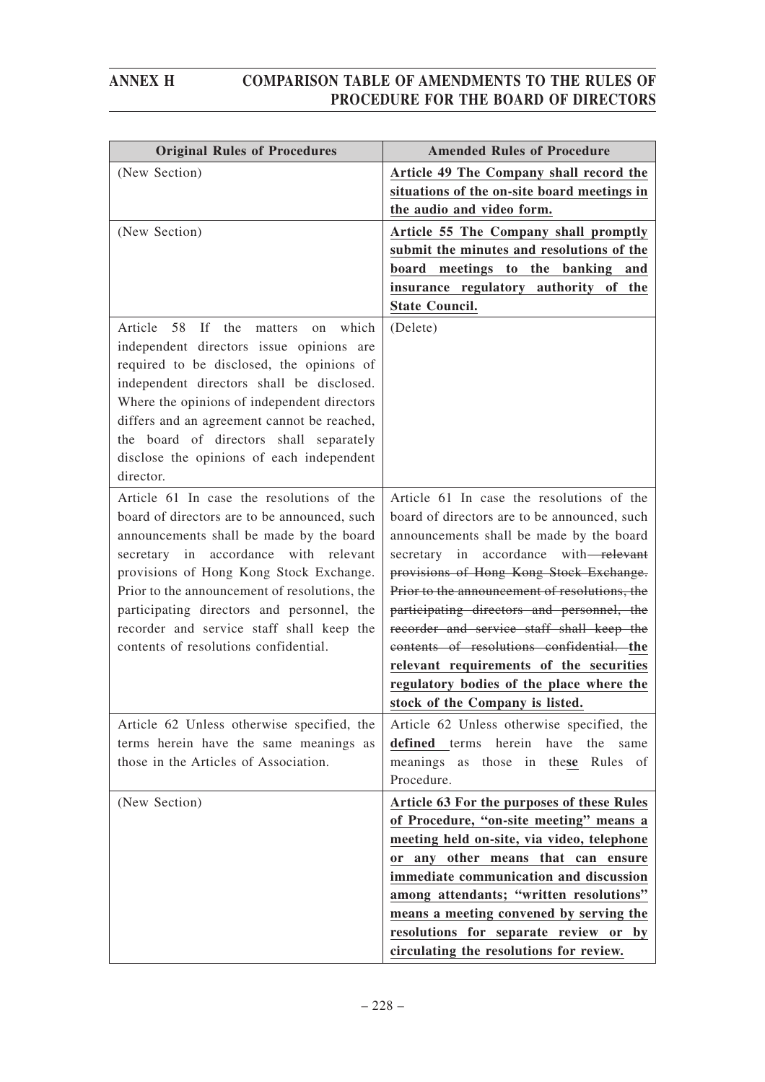| <b>Original Rules of Procedures</b>                                                                                                                                                                                                                                                                                                                                                                            | <b>Amended Rules of Procedure</b>                                                                                                                                                                                                                                                                                                                                                                                                                                                                                                               |
|----------------------------------------------------------------------------------------------------------------------------------------------------------------------------------------------------------------------------------------------------------------------------------------------------------------------------------------------------------------------------------------------------------------|-------------------------------------------------------------------------------------------------------------------------------------------------------------------------------------------------------------------------------------------------------------------------------------------------------------------------------------------------------------------------------------------------------------------------------------------------------------------------------------------------------------------------------------------------|
| (New Section)                                                                                                                                                                                                                                                                                                                                                                                                  | Article 49 The Company shall record the<br>situations of the on-site board meetings in<br>the audio and video form.                                                                                                                                                                                                                                                                                                                                                                                                                             |
| (New Section)                                                                                                                                                                                                                                                                                                                                                                                                  | Article 55 The Company shall promptly<br>submit the minutes and resolutions of the<br>board meetings to the banking<br>and<br>insurance regulatory authority of the<br><b>State Council.</b>                                                                                                                                                                                                                                                                                                                                                    |
| the<br>Article<br>58<br>If<br>matters<br>on which<br>independent directors issue opinions are<br>required to be disclosed, the opinions of<br>independent directors shall be disclosed.<br>Where the opinions of independent directors<br>differs and an agreement cannot be reached,<br>the board of directors shall separately<br>disclose the opinions of each independent<br>director.                     | (Delete)                                                                                                                                                                                                                                                                                                                                                                                                                                                                                                                                        |
| Article 61 In case the resolutions of the<br>board of directors are to be announced, such<br>announcements shall be made by the board<br>secretary in accordance with relevant<br>provisions of Hong Kong Stock Exchange.<br>Prior to the announcement of resolutions, the<br>participating directors and personnel, the<br>recorder and service staff shall keep the<br>contents of resolutions confidential. | Article 61 In case the resolutions of the<br>board of directors are to be announced, such<br>announcements shall be made by the board<br>accordance with-relevant<br>secretary in<br>provisions of Hong Kong Stock Exchange.<br>Prior to the announcement of resolutions, the<br>participating directors and personnel, the<br>recorder and service staff shall keep the<br>contents of resolutions confidential. the<br>relevant requirements of the securities<br>regulatory bodies of the place where the<br>stock of the Company is listed. |
| Article 62 Unless otherwise specified, the<br>terms herein have the same meanings as<br>those in the Articles of Association.                                                                                                                                                                                                                                                                                  | Article 62 Unless otherwise specified, the<br>defined terms herein have the<br>same<br>meanings as those in these Rules of<br>Procedure.                                                                                                                                                                                                                                                                                                                                                                                                        |
| (New Section)                                                                                                                                                                                                                                                                                                                                                                                                  | Article 63 For the purposes of these Rules<br>of Procedure, "on-site meeting" means a<br>meeting held on-site, via video, telephone<br>or any other means that can ensure<br>immediate communication and discussion<br>among attendants; "written resolutions"<br>means a meeting convened by serving the<br>resolutions for separate review or by<br>circulating the resolutions for review.                                                                                                                                                   |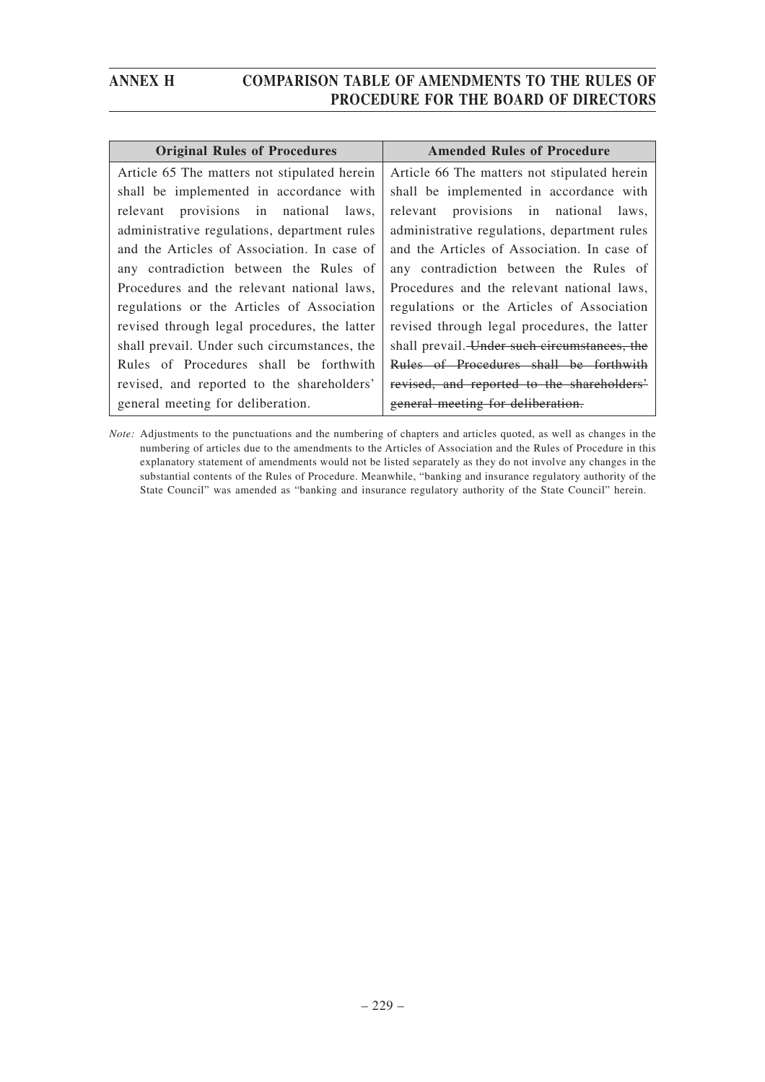| <b>Original Rules of Procedures</b>          | <b>Amended Rules of Procedure</b>            |
|----------------------------------------------|----------------------------------------------|
| Article 65 The matters not stipulated herein | Article 66 The matters not stipulated herein |
| shall be implemented in accordance with      | shall be implemented in accordance with      |
| relevant provisions in national laws,        | relevant provisions in national<br>laws.     |
| administrative regulations, department rules | administrative regulations, department rules |
| and the Articles of Association. In case of  | and the Articles of Association. In case of  |
| any contradiction between the Rules of       | any contradiction between the Rules of       |
| Procedures and the relevant national laws,   | Procedures and the relevant national laws,   |
| regulations or the Articles of Association   | regulations or the Articles of Association   |
| revised through legal procedures, the latter | revised through legal procedures, the latter |
| shall prevail. Under such circumstances, the | shall prevail. Under such circumstances, the |
| Rules of Procedures shall be forthwith       | Rules of Procedures shall be forthwith       |
| revised, and reported to the shareholders'   | revised, and reported to the shareholders'   |
| general meeting for deliberation.            | general meeting for deliberation.            |

*Note:* Adjustments to the punctuations and the numbering of chapters and articles quoted, as well as changes in the numbering of articles due to the amendments to the Articles of Association and the Rules of Procedure in this explanatory statement of amendments would not be listed separately as they do not involve any changes in the substantial contents of the Rules of Procedure. Meanwhile, "banking and insurance regulatory authority of the State Council" was amended as "banking and insurance regulatory authority of the State Council" herein.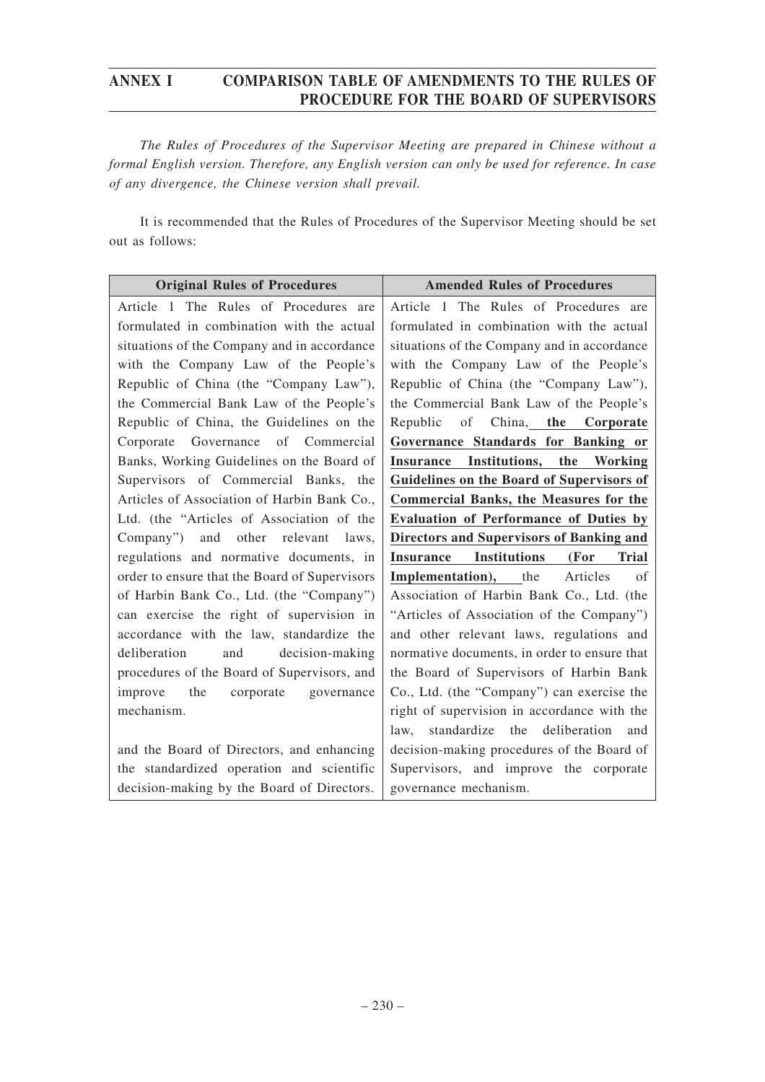*The Rules of Procedures of the Supervisor Meeting are prepared in Chinese without a formal English version. Therefore, any English version can only be used for reference. In case of any divergence, the Chinese version shall prevail.*

It is recommended that the Rules of Procedures of the Supervisor Meeting should be set out as follows:

| <b>Original Rules of Procedures</b>           | <b>Amended Rules of Procedures</b>                              |
|-----------------------------------------------|-----------------------------------------------------------------|
| Article 1 The Rules of Procedures are         | Article 1 The Rules of Procedures are                           |
| formulated in combination with the actual     | formulated in combination with the actual                       |
| situations of the Company and in accordance   | situations of the Company and in accordance                     |
| with the Company Law of the People's          | with the Company Law of the People's                            |
| Republic of China (the "Company Law"),        | Republic of China (the "Company Law"),                          |
| the Commercial Bank Law of the People's       | the Commercial Bank Law of the People's                         |
| Republic of China, the Guidelines on the      | of China, the Corporate<br>Republic                             |
| Corporate Governance of Commercial            | Governance Standards for Banking or                             |
| Banks, Working Guidelines on the Board of     | Insurance Institutions, the<br>Working                          |
| Supervisors of Commercial Banks, the          | Guidelines on the Board of Supervisors of                       |
| Articles of Association of Harbin Bank Co.,   | <b>Commercial Banks, the Measures for the</b>                   |
| Ltd. (the "Articles of Association of the     | <b>Evaluation of Performance of Duties by</b>                   |
| Company") and other relevant laws,            | <b>Directors and Supervisors of Banking and</b>                 |
| regulations and normative documents, in       | <b>Institutions</b><br>(For<br><b>Trial</b><br><b>Insurance</b> |
| order to ensure that the Board of Supervisors | <b>Implementation</b> ), the<br>Articles<br>of                  |
| of Harbin Bank Co., Ltd. (the "Company")      | Association of Harbin Bank Co., Ltd. (the                       |
| can exercise the right of supervision in      | "Articles of Association of the Company")                       |
| accordance with the law, standardize the      | and other relevant laws, regulations and                        |
| and decision-making<br>deliberation           | normative documents, in order to ensure that                    |
| procedures of the Board of Supervisors, and   | the Board of Supervisors of Harbin Bank                         |
| the<br>corporate<br>improve<br>governance     | Co., Ltd. (the "Company") can exercise the                      |
| mechanism.                                    | right of supervision in accordance with the                     |
|                                               | standardize the deliberation<br>law,<br>and                     |
| and the Board of Directors, and enhancing     | decision-making procedures of the Board of                      |
| the standardized operation and scientific     | Supervisors, and improve the corporate                          |
| decision-making by the Board of Directors.    | governance mechanism.                                           |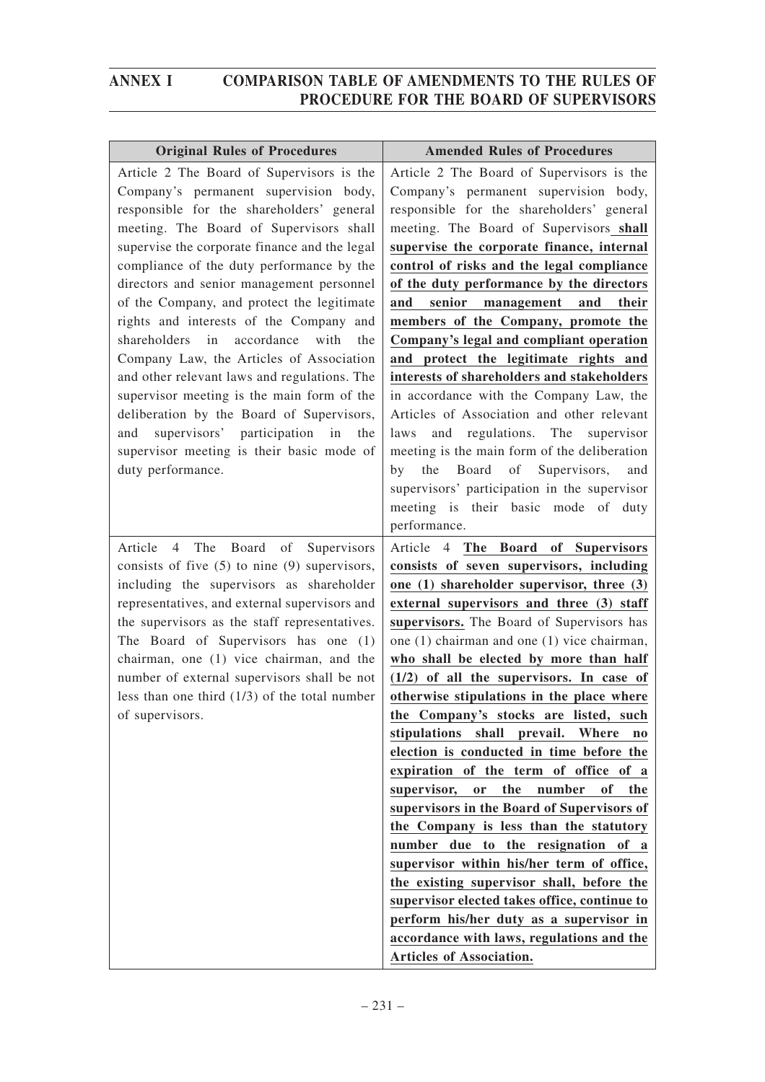| <b>Original Rules of Procedures</b>                                                                                                                                                                                                                                                                                                                                                                                                                                                                                                                                                                                                                                                                                                                                    | <b>Amended Rules of Procedures</b>                                                                                                                                                                                                                                                                                                                                                                                                                                                                                                                                                                                                                                                                                                                                                                                                                                                                                                                                                                                                                      |
|------------------------------------------------------------------------------------------------------------------------------------------------------------------------------------------------------------------------------------------------------------------------------------------------------------------------------------------------------------------------------------------------------------------------------------------------------------------------------------------------------------------------------------------------------------------------------------------------------------------------------------------------------------------------------------------------------------------------------------------------------------------------|---------------------------------------------------------------------------------------------------------------------------------------------------------------------------------------------------------------------------------------------------------------------------------------------------------------------------------------------------------------------------------------------------------------------------------------------------------------------------------------------------------------------------------------------------------------------------------------------------------------------------------------------------------------------------------------------------------------------------------------------------------------------------------------------------------------------------------------------------------------------------------------------------------------------------------------------------------------------------------------------------------------------------------------------------------|
| Article 2 The Board of Supervisors is the<br>Company's permanent supervision body,<br>responsible for the shareholders' general<br>meeting. The Board of Supervisors shall<br>supervise the corporate finance and the legal<br>compliance of the duty performance by the<br>directors and senior management personnel<br>of the Company, and protect the legitimate<br>rights and interests of the Company and<br>shareholders in<br>accordance<br>with<br>the<br>Company Law, the Articles of Association<br>and other relevant laws and regulations. The<br>supervisor meeting is the main form of the<br>deliberation by the Board of Supervisors,<br>supervisors' participation in<br>and<br>the<br>supervisor meeting is their basic mode of<br>duty performance. | Article 2 The Board of Supervisors is the<br>Company's permanent supervision body,<br>responsible for the shareholders' general<br>meeting. The Board of Supervisors shall<br>supervise the corporate finance, internal<br>control of risks and the legal compliance<br>of the duty performance by the directors<br>senior management and<br>their<br>and<br>members of the Company, promote the<br>Company's legal and compliant operation<br>and protect the legitimate rights and<br>interests of shareholders and stakeholders<br>in accordance with the Company Law, the<br>Articles of Association and other relevant<br>and regulations. The supervisor<br>laws<br>meeting is the main form of the deliberation<br>Board<br>of<br>Supervisors,<br>by<br>the<br>and<br>supervisors' participation in the supervisor<br>meeting is their basic mode of<br>duty                                                                                                                                                                                     |
| The Board of Supervisors<br>Article<br>$4\overline{ }$<br>consists of five $(5)$ to nine $(9)$ supervisors,<br>including the supervisors as shareholder<br>representatives, and external supervisors and<br>the supervisors as the staff representatives.<br>The Board of Supervisors has one (1)<br>chairman, one (1) vice chairman, and the<br>number of external supervisors shall be not<br>less than one third $(1/3)$ of the total number<br>of supervisors.                                                                                                                                                                                                                                                                                                     | performance.<br>Article 4 The Board of Supervisors<br>consists of seven supervisors, including<br>one (1) shareholder supervisor, three (3)<br>external supervisors and three (3) staff<br>supervisors. The Board of Supervisors has<br>one (1) chairman and one (1) vice chairman,<br>who shall be elected by more than half<br>$(1/2)$ of all the supervisors. In case of<br>otherwise stipulations in the place where<br>the Company's stocks are listed, such<br>stipulations shall prevail. Where<br>no<br>election is conducted in time before the<br>expiration of the term of office of a<br>supervisor,<br>the<br>number<br>of<br>the<br>or<br>supervisors in the Board of Supervisors of<br>the Company is less than the statutory<br>number due to the resignation of a<br>supervisor within his/her term of office,<br>the existing supervisor shall, before the<br>supervisor elected takes office, continue to<br>perform his/her duty as a supervisor in<br>accordance with laws, regulations and the<br><b>Articles of Association.</b> |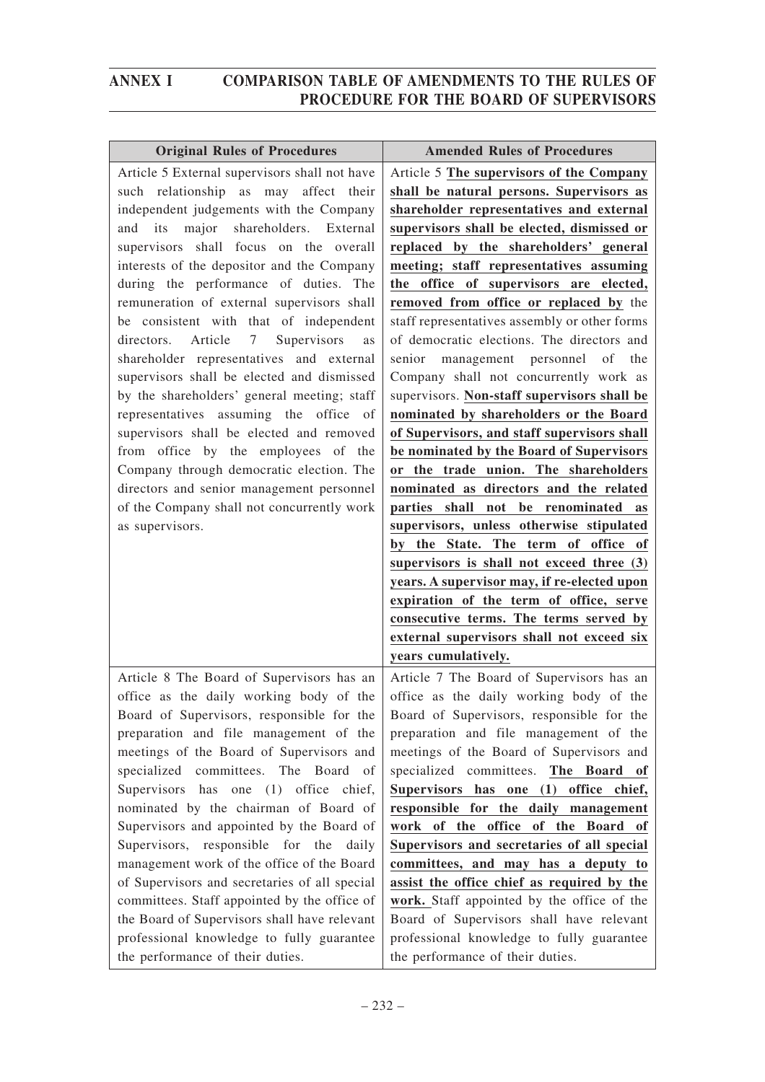| <b>Original Rules of Procedures</b>                                                     | <b>Amended Rules of Procedures</b>                                            |
|-----------------------------------------------------------------------------------------|-------------------------------------------------------------------------------|
| Article 5 External supervisors shall not have                                           | Article 5 The supervisors of the Company                                      |
| such relationship as may affect their                                                   | shall be natural persons. Supervisors as                                      |
| independent judgements with the Company                                                 | shareholder representatives and external                                      |
| major<br>shareholders. External<br>and<br>its                                           | supervisors shall be elected, dismissed or                                    |
| supervisors shall focus on the overall                                                  | replaced by the shareholders' general                                         |
| interests of the depositor and the Company                                              | meeting; staff representatives assuming                                       |
| during the performance of duties. The                                                   | the office of supervisors are elected,                                        |
| remuneration of external supervisors shall                                              | removed from office or replaced by the                                        |
| be consistent with that of independent                                                  | staff representatives assembly or other forms                                 |
| directors. Article 7 Supervisors<br>as                                                  | of democratic elections. The directors and                                    |
| shareholder representatives and external                                                | senior management personnel<br>of<br>the                                      |
| supervisors shall be elected and dismissed                                              | Company shall not concurrently work as                                        |
| by the shareholders' general meeting; staff                                             | supervisors. Non-staff supervisors shall be                                   |
| representatives assuming the office of                                                  | nominated by shareholders or the Board                                        |
| supervisors shall be elected and removed                                                | of Supervisors, and staff supervisors shall                                   |
| from office by the employees of the                                                     | be nominated by the Board of Supervisors                                      |
| Company through democratic election. The                                                | or the trade union. The shareholders                                          |
| directors and senior management personnel<br>of the Company shall not concurrently work | nominated as directors and the related<br>parties shall not be renominated as |
| as supervisors.                                                                         | supervisors, unless otherwise stipulated                                      |
|                                                                                         | by the State. The term of office of                                           |
|                                                                                         | supervisors is shall not exceed three (3)                                     |
|                                                                                         | years. A supervisor may, if re-elected upon                                   |
|                                                                                         | expiration of the term of office, serve                                       |
|                                                                                         | consecutive terms. The terms served by                                        |
|                                                                                         | external supervisors shall not exceed six                                     |
|                                                                                         | years cumulatively.                                                           |
| Article 8 The Board of Supervisors has an                                               | Article 7 The Board of Supervisors has an                                     |
| office as the daily working body of the                                                 | office as the daily working body of the                                       |
| Board of Supervisors, responsible for the                                               | Board of Supervisors, responsible for the                                     |
| preparation and file management of the                                                  | preparation and file management of the                                        |
| meetings of the Board of Supervisors and                                                | meetings of the Board of Supervisors and                                      |
| specialized committees. The Board of                                                    | specialized committees. The Board of                                          |
| Supervisors has one (1) office chief,                                                   | Supervisors has one (1) office chief,                                         |
| nominated by the chairman of Board of                                                   | responsible for the daily management                                          |
| Supervisors and appointed by the Board of                                               | work of the office of the Board of                                            |
| Supervisors, responsible for the daily                                                  | Supervisors and secretaries of all special                                    |
| management work of the office of the Board                                              | committees, and may has a deputy to                                           |
| of Supervisors and secretaries of all special                                           | assist the office chief as required by the                                    |
| committees. Staff appointed by the office of                                            | work. Staff appointed by the office of the                                    |
| the Board of Supervisors shall have relevant                                            | Board of Supervisors shall have relevant                                      |
| professional knowledge to fully guarantee                                               | professional knowledge to fully guarantee                                     |
| the performance of their duties.                                                        | the performance of their duties.                                              |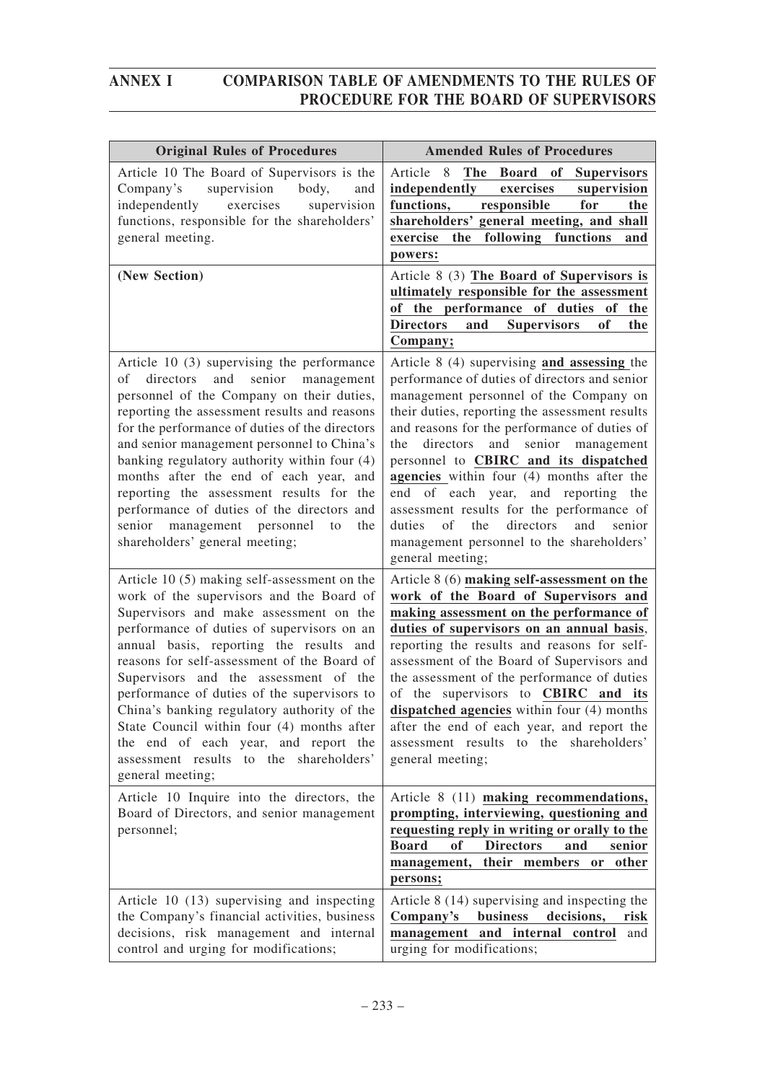| <b>Original Rules of Procedures</b>                                                                                                                                                                                                                                                                                                                                                                                                                                                                                                                                    | <b>Amended Rules of Procedures</b>                                                                                                                                                                                                                                                                                                                                                                                                                                                                                                                                                                 |
|------------------------------------------------------------------------------------------------------------------------------------------------------------------------------------------------------------------------------------------------------------------------------------------------------------------------------------------------------------------------------------------------------------------------------------------------------------------------------------------------------------------------------------------------------------------------|----------------------------------------------------------------------------------------------------------------------------------------------------------------------------------------------------------------------------------------------------------------------------------------------------------------------------------------------------------------------------------------------------------------------------------------------------------------------------------------------------------------------------------------------------------------------------------------------------|
| Article 10 The Board of Supervisors is the<br>Company's supervision<br>body,<br>and<br>independently<br>exercises<br>supervision<br>functions, responsible for the shareholders'<br>general meeting.                                                                                                                                                                                                                                                                                                                                                                   | Article<br>- 8<br>The Board of<br><b>Supervisors</b><br>independently<br>exercises<br>supervision<br>functions,<br>responsible<br>for<br>the<br>shareholders' general meeting, and shall<br>functions<br>following<br>exercise<br>the<br>and<br>powers:                                                                                                                                                                                                                                                                                                                                            |
| (New Section)                                                                                                                                                                                                                                                                                                                                                                                                                                                                                                                                                          | Article 8 (3) The Board of Supervisors is<br>ultimately responsible for the assessment<br>of the performance of duties of the<br><b>Supervisors</b><br><b>Directors</b><br>and<br>of<br>the<br>Company;                                                                                                                                                                                                                                                                                                                                                                                            |
| Article 10 (3) supervising the performance<br>and<br>senior<br>οf<br>directors<br>management<br>personnel of the Company on their duties,<br>reporting the assessment results and reasons<br>for the performance of duties of the directors<br>and senior management personnel to China's<br>banking regulatory authority within four (4)<br>months after the end of each year, and<br>reporting the assessment results for the<br>performance of duties of the directors and<br>senior management personnel<br>to<br>the<br>shareholders' general meeting;            | Article $8(4)$ supervising and assessing the<br>performance of duties of directors and senior<br>management personnel of the Company on<br>their duties, reporting the assessment results<br>and reasons for the performance of duties of<br>and<br>senior<br>the<br>directors<br>management<br>personnel to CBIRC and its dispatched<br>agencies within four (4) months after the<br>and reporting<br>end of each year,<br>the<br>assessment results for the performance of<br>directors<br>of<br>the<br>and<br>duties<br>senior<br>management personnel to the shareholders'<br>general meeting; |
| Article 10 (5) making self-assessment on the<br>work of the supervisors and the Board of<br>Supervisors and make assessment on the<br>performance of duties of supervisors on an<br>annual basis, reporting the results and<br>reasons for self-assessment of the Board of<br>Supervisors and the assessment of the<br>performance of duties of the supervisors to<br>China's banking regulatory authority of the<br>State Council within four (4) months after<br>the end of each year, and report the<br>assessment results to the shareholders'<br>general meeting; | Article 8 (6) making self-assessment on the<br>work of the Board of Supervisors and<br>making assessment on the performance of<br>duties of supervisors on an annual basis,<br>reporting the results and reasons for self-<br>assessment of the Board of Supervisors and<br>the assessment of the performance of duties<br>of the supervisors to CBIRC and its<br>dispatched agencies within four (4) months<br>after the end of each year, and report the<br>assessment results to the shareholders'<br>general meeting;                                                                          |
| Article 10 Inquire into the directors, the<br>Board of Directors, and senior management<br>personnel;                                                                                                                                                                                                                                                                                                                                                                                                                                                                  | Article 8 (11) making recommendations,<br>prompting, interviewing, questioning and<br>requesting reply in writing or orally to the<br><b>Board</b><br><b>Directors</b><br>of<br>and<br>senior<br>their members<br>management,<br>other<br>or<br>persons;                                                                                                                                                                                                                                                                                                                                           |
| Article 10 (13) supervising and inspecting<br>the Company's financial activities, business<br>decisions, risk management and internal<br>control and urging for modifications;                                                                                                                                                                                                                                                                                                                                                                                         | Article 8 (14) supervising and inspecting the<br>business<br>decisions,<br>Company's<br>risk<br>management and internal control<br>and<br>urging for modifications;                                                                                                                                                                                                                                                                                                                                                                                                                                |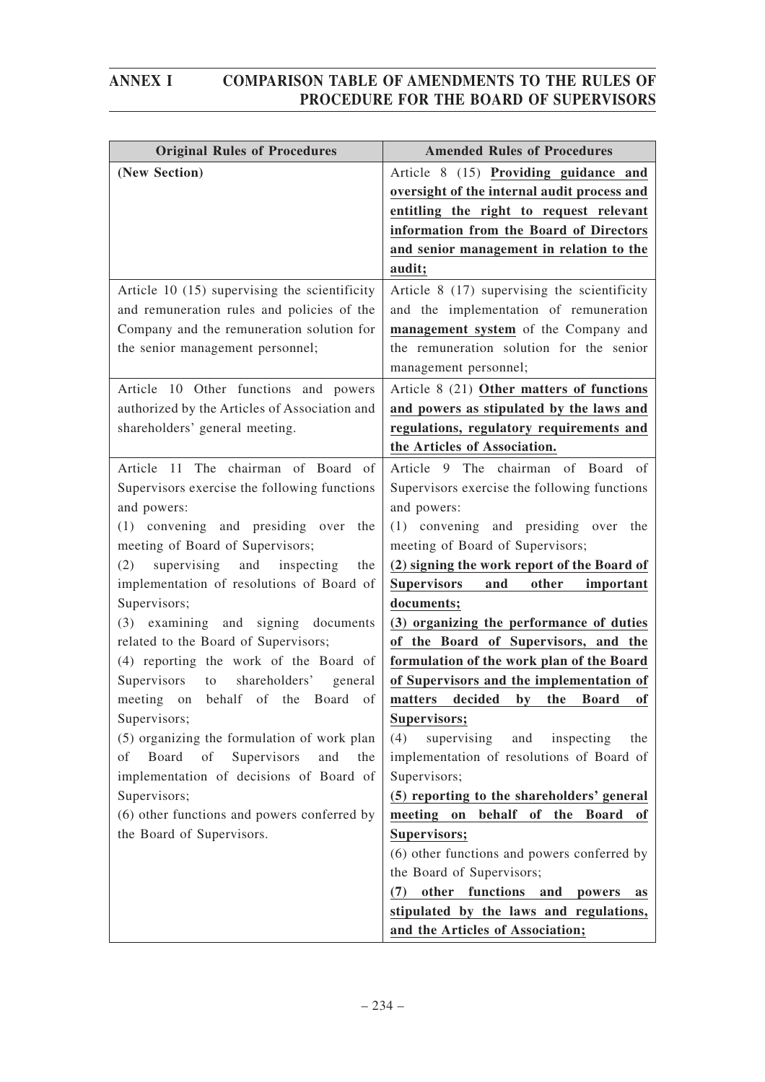| <b>Original Rules of Procedures</b>            | <b>Amended Rules of Procedures</b>                                       |
|------------------------------------------------|--------------------------------------------------------------------------|
| (New Section)                                  | Article 8 (15) Providing guidance and                                    |
|                                                | oversight of the internal audit process and                              |
|                                                | entitling the right to request relevant                                  |
|                                                | information from the Board of Directors                                  |
|                                                | and senior management in relation to the                                 |
|                                                | audit;                                                                   |
| Article 10 (15) supervising the scientificity  | Article 8 (17) supervising the scientificity                             |
| and remuneration rules and policies of the     | and the implementation of remuneration                                   |
| Company and the remuneration solution for      | management system of the Company and                                     |
| the senior management personnel;               | the remuneration solution for the senior                                 |
|                                                | management personnel;                                                    |
| Article 10 Other functions and powers          | Article 8 (21) Other matters of functions                                |
| authorized by the Articles of Association and  | and powers as stipulated by the laws and                                 |
| shareholders' general meeting.                 | regulations, regulatory requirements and                                 |
|                                                | the Articles of Association.                                             |
| Article 11 The chairman of Board of            | Article 9 The chairman of Board of                                       |
| Supervisors exercise the following functions   | Supervisors exercise the following functions                             |
| and powers:                                    | and powers:                                                              |
| (1) convening and presiding over the           | (1) convening and presiding over the                                     |
| meeting of Board of Supervisors;               | meeting of Board of Supervisors;                                         |
| (2)<br>supervising<br>and<br>inspecting<br>the | (2) signing the work report of the Board of                              |
| implementation of resolutions of Board of      | <b>Supervisors</b><br>other<br>and<br>important                          |
| Supervisors;                                   | documents;                                                               |
| (3) examining and signing documents            | (3) organizing the performance of duties                                 |
| related to the Board of Supervisors;           | of the Board of Supervisors, and the                                     |
| (4) reporting the work of the Board of         | formulation of the work plan of the Board                                |
| shareholders'<br>Supervisors<br>to<br>general  | of Supervisors and the implementation of                                 |
| meeting on behalf of the Board<br>of           | decided<br>by<br>matters<br>the Board<br>of                              |
| Supervisors;                                   | Supervisors;                                                             |
| (5) organizing the formulation of work plan    | (4)<br>supervising<br>and<br>inspecting<br>the                           |
| Board of<br>Supervisors<br>of<br>and<br>the    | implementation of resolutions of Board of                                |
| implementation of decisions of Board of        | Supervisors;                                                             |
| Supervisors;                                   | (5) reporting to the shareholders' general                               |
| (6) other functions and powers conferred by    | meeting on behalf of the Board of                                        |
| the Board of Supervisors.                      | Supervisors;                                                             |
|                                                | (6) other functions and powers conferred by<br>the Board of Supervisors; |
|                                                | other functions<br>and<br>(7)<br>powers                                  |
|                                                | as<br>stipulated by the laws and regulations,                            |
|                                                | and the Articles of Association;                                         |
|                                                |                                                                          |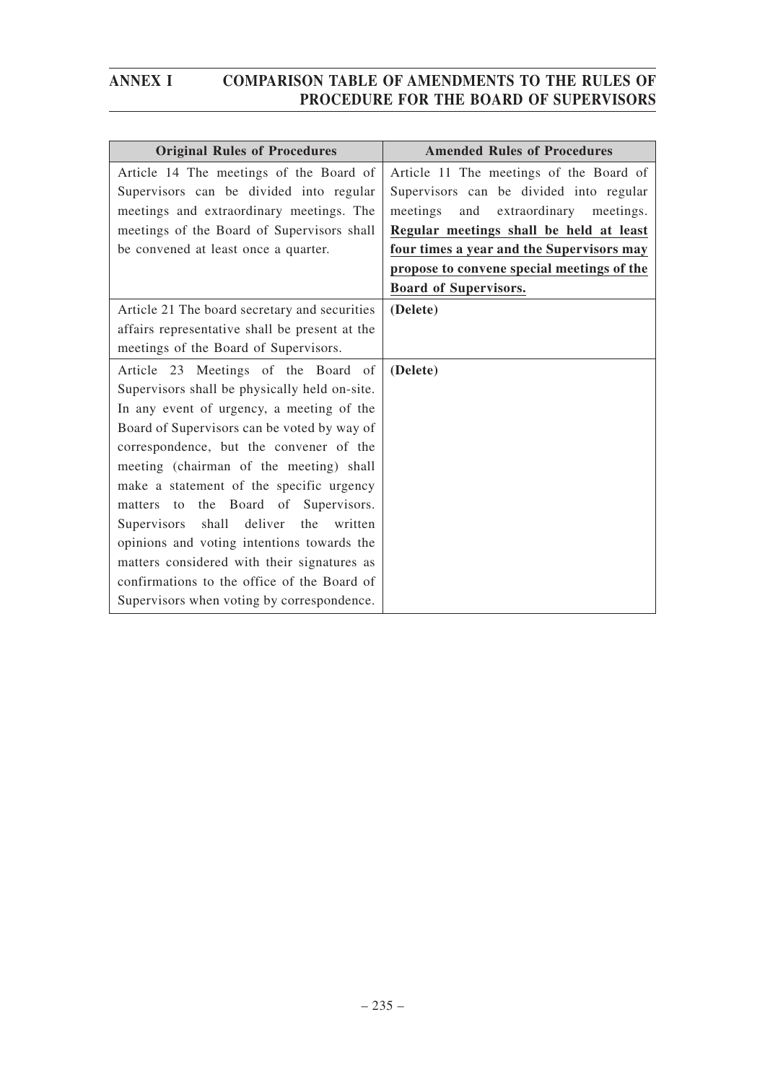| <b>Original Rules of Procedures</b>            | <b>Amended Rules of Procedures</b>         |
|------------------------------------------------|--------------------------------------------|
| Article 14 The meetings of the Board of        | Article 11 The meetings of the Board of    |
| Supervisors can be divided into regular        | Supervisors can be divided into regular    |
| meetings and extraordinary meetings. The       | meetings<br>and<br>extraordinary meetings. |
| meetings of the Board of Supervisors shall     | Regular meetings shall be held at least    |
| be convened at least once a quarter.           | four times a year and the Supervisors may  |
|                                                | propose to convene special meetings of the |
|                                                | <b>Board of Supervisors.</b>               |
| Article 21 The board secretary and securities  | (Delete)                                   |
| affairs representative shall be present at the |                                            |
| meetings of the Board of Supervisors.          |                                            |
| Article 23 Meetings of the Board of            | (Delete)                                   |
| Supervisors shall be physically held on-site.  |                                            |
| In any event of urgency, a meeting of the      |                                            |
| Board of Supervisors can be voted by way of    |                                            |
| correspondence, but the convener of the        |                                            |
| meeting (chairman of the meeting) shall        |                                            |
| make a statement of the specific urgency       |                                            |
| matters to the Board of Supervisors.           |                                            |
| shall deliver the<br>Supervisors<br>written    |                                            |
| opinions and voting intentions towards the     |                                            |
| matters considered with their signatures as    |                                            |
| confirmations to the office of the Board of    |                                            |
| Supervisors when voting by correspondence.     |                                            |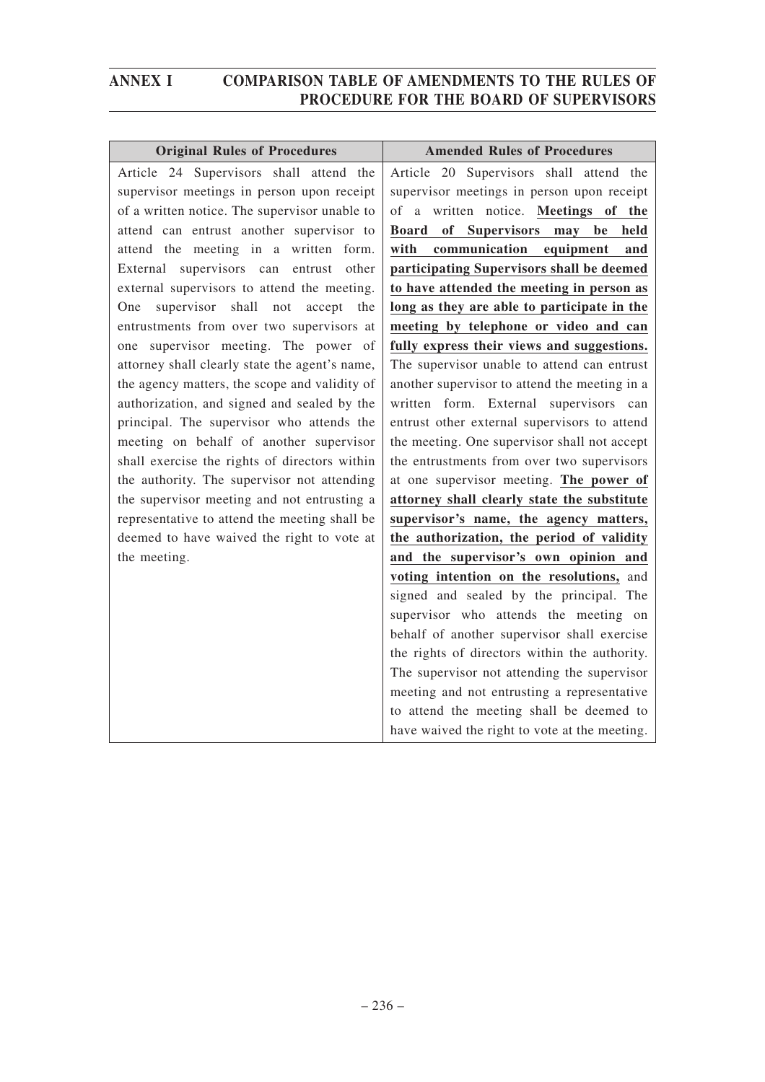| <b>Original Rules of Procedures</b>            | <b>Amended Rules of Procedures</b>            |
|------------------------------------------------|-----------------------------------------------|
| Article 24 Supervisors shall attend the        | Article 20 Supervisors shall attend the       |
| supervisor meetings in person upon receipt     | supervisor meetings in person upon receipt    |
| of a written notice. The supervisor unable to  | of a written notice. Meetings of the          |
| attend can entrust another supervisor to       | of Supervisors may be<br><b>Board</b><br>held |
| attend the meeting in a written form.          | communication<br>with<br>equipment<br>and     |
| External supervisors can entrust other         | participating Supervisors shall be deemed     |
| external supervisors to attend the meeting.    | to have attended the meeting in person as     |
| supervisor shall not<br>accept the<br>One      | long as they are able to participate in the   |
| entrustments from over two supervisors at      | meeting by telephone or video and can         |
| one supervisor meeting. The power of           | fully express their views and suggestions.    |
| attorney shall clearly state the agent's name, | The supervisor unable to attend can entrust   |
| the agency matters, the scope and validity of  | another supervisor to attend the meeting in a |
| authorization, and signed and sealed by the    | written form. External supervisors can        |
| principal. The supervisor who attends the      | entrust other external supervisors to attend  |
| meeting on behalf of another supervisor        | the meeting. One supervisor shall not accept  |
| shall exercise the rights of directors within  | the entrustments from over two supervisors    |
| the authority. The supervisor not attending    | at one supervisor meeting. The power of       |
| the supervisor meeting and not entrusting a    | attorney shall clearly state the substitute   |
| representative to attend the meeting shall be  | supervisor's name, the agency matters,        |
| deemed to have waived the right to vote at     | the authorization, the period of validity     |
| the meeting.                                   | and the supervisor's own opinion and          |
|                                                | voting intention on the resolutions, and      |
|                                                | signed and sealed by the principal. The       |
|                                                | supervisor who attends the meeting on         |
|                                                | behalf of another supervisor shall exercise   |
|                                                | the rights of directors within the authority. |
|                                                | The supervisor not attending the supervisor   |
|                                                | meeting and not entrusting a representative   |
|                                                | to attend the meeting shall be deemed to      |
|                                                | have waived the right to vote at the meeting. |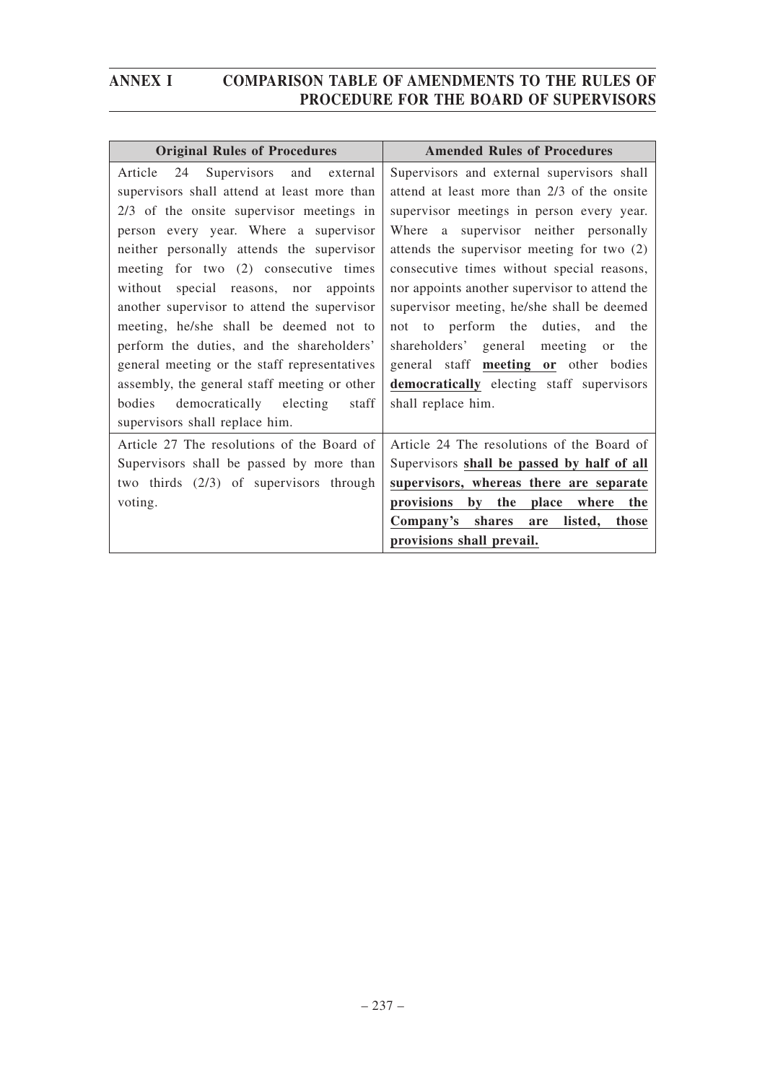| <b>Original Rules of Procedures</b>          | <b>Amended Rules of Procedures</b>                   |
|----------------------------------------------|------------------------------------------------------|
| Article<br>24<br>Supervisors and<br>external | Supervisors and external supervisors shall           |
| supervisors shall attend at least more than  | attend at least more than 2/3 of the onsite          |
| 2/3 of the onsite supervisor meetings in     | supervisor meetings in person every year.            |
| person every year. Where a supervisor        | Where a supervisor neither personally                |
| neither personally attends the supervisor    | attends the supervisor meeting for two (2)           |
| meeting for two (2) consecutive times        | consecutive times without special reasons,           |
| without<br>special reasons, nor appoints     | nor appoints another supervisor to attend the        |
| another supervisor to attend the supervisor  | supervisor meeting, he/she shall be deemed           |
| meeting, he/she shall be deemed not to       | to perform the duties, and the<br>not                |
| perform the duties, and the shareholders'    | shareholders' general meeting<br>the<br>or           |
| general meeting or the staff representatives | general staff meeting or other bodies                |
| assembly, the general staff meeting or other | democratically electing staff supervisors            |
| bodies democratically electing<br>staff      | shall replace him.                                   |
| supervisors shall replace him.               |                                                      |
| Article 27 The resolutions of the Board of   | Article 24 The resolutions of the Board of           |
| Supervisors shall be passed by more than     | Supervisors shall be passed by half of all           |
| two thirds (2/3) of supervisors through      | supervisors, whereas there are separate              |
| voting.                                      | by the<br>place<br>where<br><i>provisions</i><br>the |
|                                              | Company's shares are<br>listed,<br>those             |
|                                              | provisions shall prevail.                            |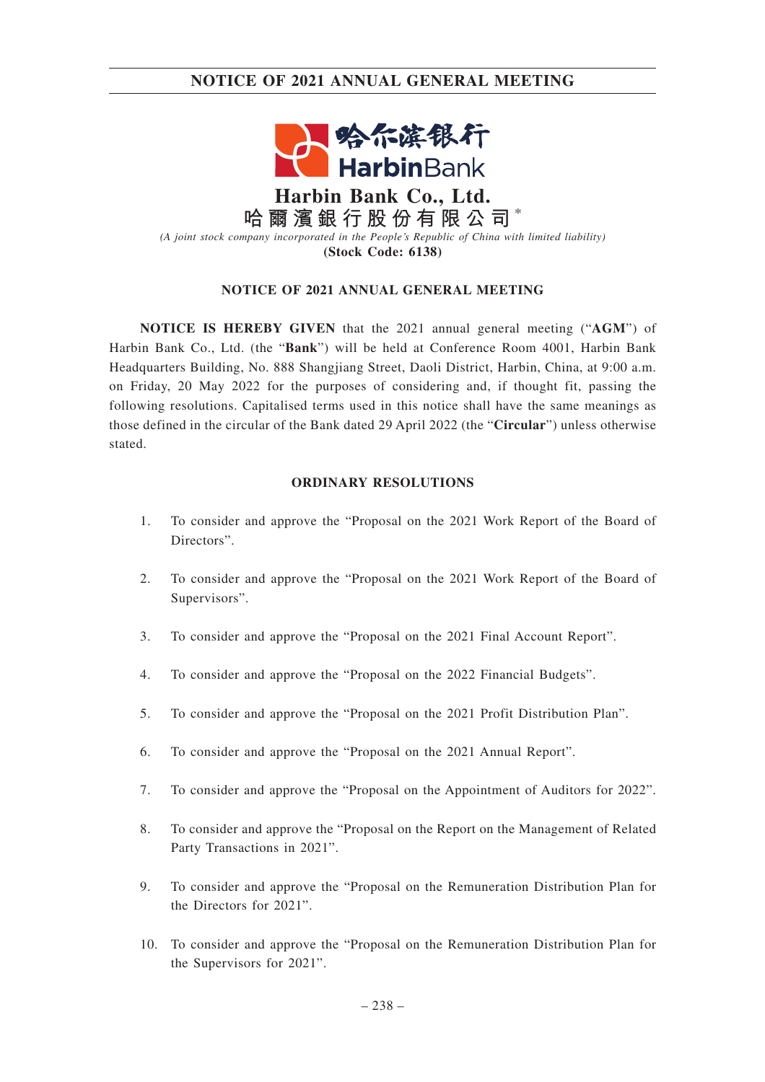## **NOTICE OF 2021 ANNUAL GENERAL MEETING**



**哈爾濱銀行股份有限公司** \* *(A joint stock company incorporated in the People's Republic of China with limited liability)* **(Stock Code: 6138)**

### **NOTICE OF 2021 ANNUAL GENERAL MEETING**

**NOTICE IS HEREBY GIVEN** that the 2021 annual general meeting ("**AGM**") of Harbin Bank Co., Ltd. (the "**Bank**") will be held at Conference Room 4001, Harbin Bank Headquarters Building, No. 888 Shangjiang Street, Daoli District, Harbin, China, at 9:00 a.m. on Friday, 20 May 2022 for the purposes of considering and, if thought fit, passing the following resolutions. Capitalised terms used in this notice shall have the same meanings as those defined in the circular of the Bank dated 29 April 2022 (the "**Circular**") unless otherwise stated.

### **ORDINARY RESOLUTIONS**

- 1. To consider and approve the "Proposal on the 2021 Work Report of the Board of Directors".
- 2. To consider and approve the "Proposal on the 2021 Work Report of the Board of Supervisors".
- 3. To consider and approve the "Proposal on the 2021 Final Account Report".
- 4. To consider and approve the "Proposal on the 2022 Financial Budgets".
- 5. To consider and approve the "Proposal on the 2021 Profit Distribution Plan".
- 6. To consider and approve the "Proposal on the 2021 Annual Report".
- 7. To consider and approve the "Proposal on the Appointment of Auditors for 2022".
- 8. To consider and approve the "Proposal on the Report on the Management of Related Party Transactions in 2021".
- 9. To consider and approve the "Proposal on the Remuneration Distribution Plan for the Directors for 2021".
- 10. To consider and approve the "Proposal on the Remuneration Distribution Plan for the Supervisors for 2021".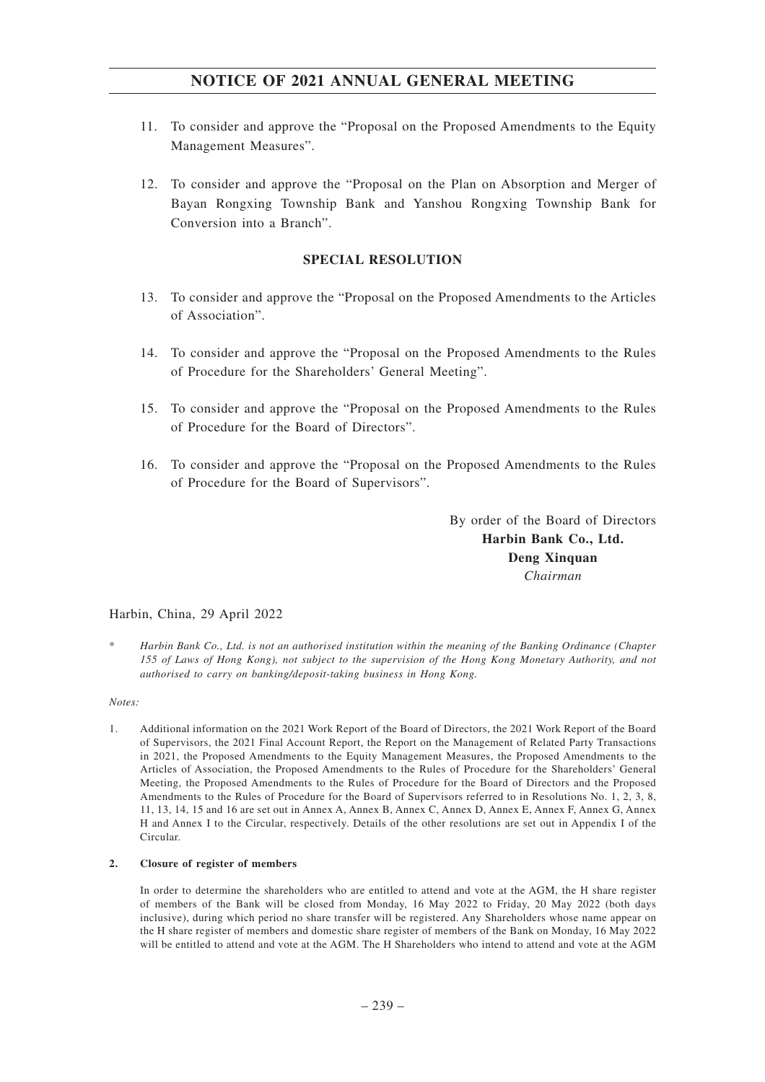## **NOTICE OF 2021 ANNUAL GENERAL MEETING**

- 11. To consider and approve the "Proposal on the Proposed Amendments to the Equity Management Measures".
- 12. To consider and approve the "Proposal on the Plan on Absorption and Merger of Bayan Rongxing Township Bank and Yanshou Rongxing Township Bank for Conversion into a Branch".

### **SPECIAL RESOLUTION**

- 13. To consider and approve the "Proposal on the Proposed Amendments to the Articles of Association".
- 14. To consider and approve the "Proposal on the Proposed Amendments to the Rules of Procedure for the Shareholders' General Meeting".
- 15. To consider and approve the "Proposal on the Proposed Amendments to the Rules of Procedure for the Board of Directors".
- 16. To consider and approve the "Proposal on the Proposed Amendments to the Rules of Procedure for the Board of Supervisors".

By order of the Board of Directors **Harbin Bank Co., Ltd. Deng Xinquan** *Chairman*

### Harbin, China, 29 April 2022

\* *Harbin Bank Co., Ltd. is not an authorised institution within the meaning of the Banking Ordinance (Chapter 155 of Laws of Hong Kong), not subject to the supervision of the Hong Kong Monetary Authority, and not authorised to carry on banking/deposit-taking business in Hong Kong.*

### *Notes:*

1. Additional information on the 2021 Work Report of the Board of Directors, the 2021 Work Report of the Board of Supervisors, the 2021 Final Account Report, the Report on the Management of Related Party Transactions in 2021, the Proposed Amendments to the Equity Management Measures, the Proposed Amendments to the Articles of Association, the Proposed Amendments to the Rules of Procedure for the Shareholders' General Meeting, the Proposed Amendments to the Rules of Procedure for the Board of Directors and the Proposed Amendments to the Rules of Procedure for the Board of Supervisors referred to in Resolutions No. 1, 2, 3, 8, 11, 13, 14, 15 and 16 are set out in Annex A, Annex B, Annex C, Annex D, Annex E, Annex F, Annex G, Annex H and Annex I to the Circular, respectively. Details of the other resolutions are set out in Appendix I of the Circular.

### **2. Closure of register of members**

In order to determine the shareholders who are entitled to attend and vote at the AGM, the H share register of members of the Bank will be closed from Monday, 16 May 2022 to Friday, 20 May 2022 (both days inclusive), during which period no share transfer will be registered. Any Shareholders whose name appear on the H share register of members and domestic share register of members of the Bank on Monday, 16 May 2022 will be entitled to attend and vote at the AGM. The H Shareholders who intend to attend and vote at the AGM